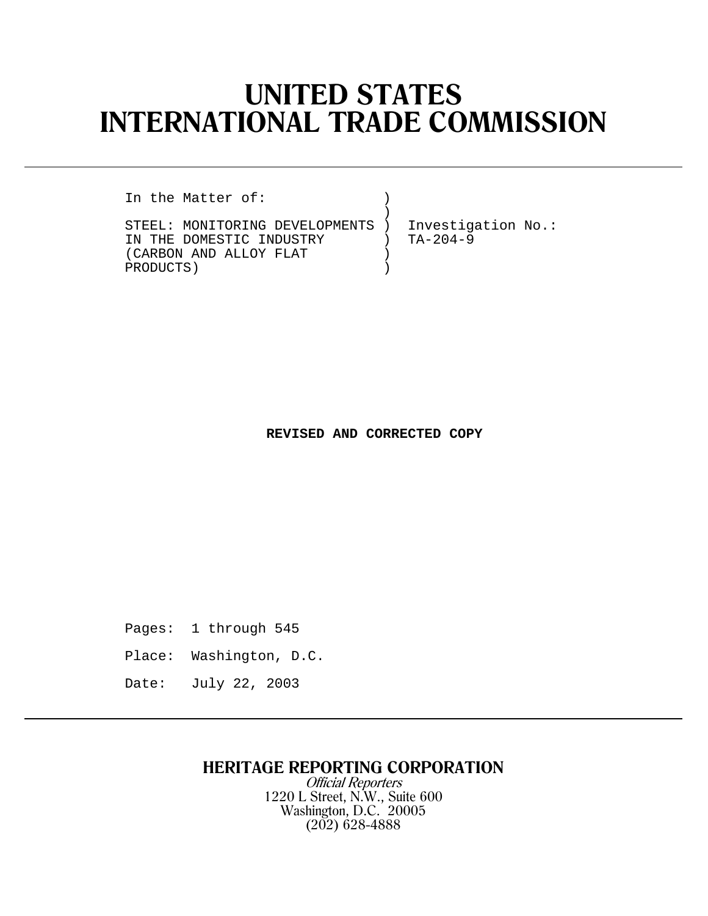# **UNITED STATES INTERNATIONAL TRADE COMMISSION**

In the Matter of:

 ) STEEL: MONITORING DEVELOPMENTS ) Investigation No.:<br>IN THE DOMESTIC INDUSTRY ) TA-204-9 IN THE DOMESTIC INDUSTRY )<br>(CARBON AND ALLOY FLAT ) (CARBON AND ALLOY FLAT )<br>PRODUCTS) PRODUCTS) )

### **REVISED AND CORRECTED COPY**

Pages: 1 through 545

Place: Washington, D.C.

Date: July 22, 2003

# **HERITAGE REPORTING CORPORATION**

Official Reporters 1220 L Street, N.W., Suite 600 Washington, D.C. 20005 (202) 628-4888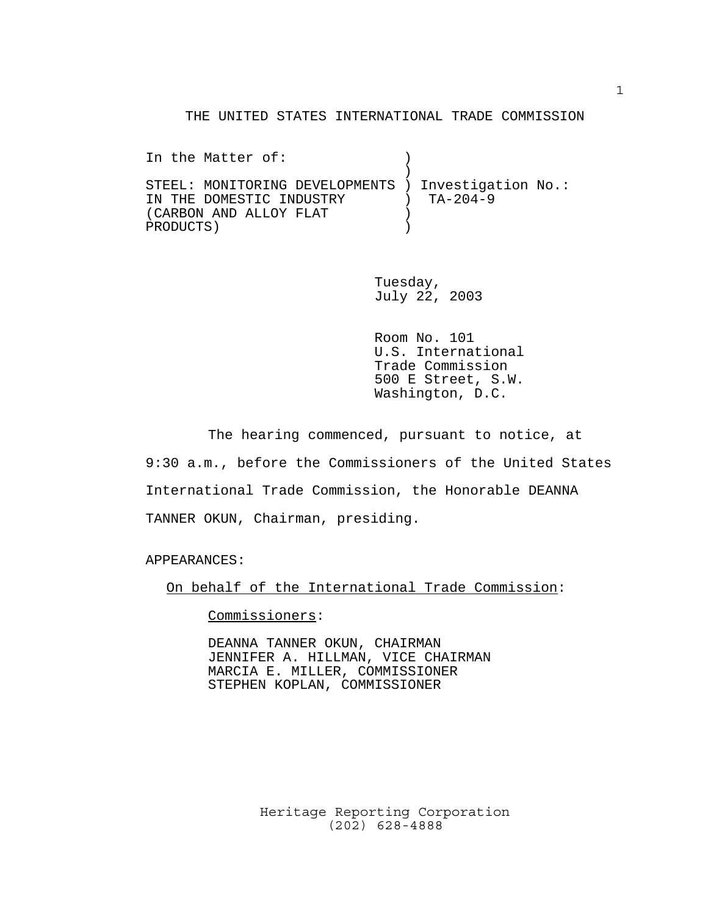#### THE UNITED STATES INTERNATIONAL TRADE COMMISSION

In the Matter of:  $\qquad \qquad$  )  $)$ STEEL: MONITORING DEVELOPMENTS ) Investigation No.: IN THE DOMESTIC INDUSTRY ) TA-204-9 (CARBON AND ALLOY FLAT ) PRODUCTS )

> Tuesday, July 22, 2003

Room No. 101 U.S. International Trade Commission 500 E Street, S.W. Washington, D.C.

The hearing commenced, pursuant to notice, at 9:30 a.m., before the Commissioners of the United States International Trade Commission, the Honorable DEANNA TANNER OKUN, Chairman, presiding.

APPEARANCES:

On behalf of the International Trade Commission:

Commissioners:

DEANNA TANNER OKUN, CHAIRMAN JENNIFER A. HILLMAN, VICE CHAIRMAN MARCIA E. MILLER, COMMISSIONER STEPHEN KOPLAN, COMMISSIONER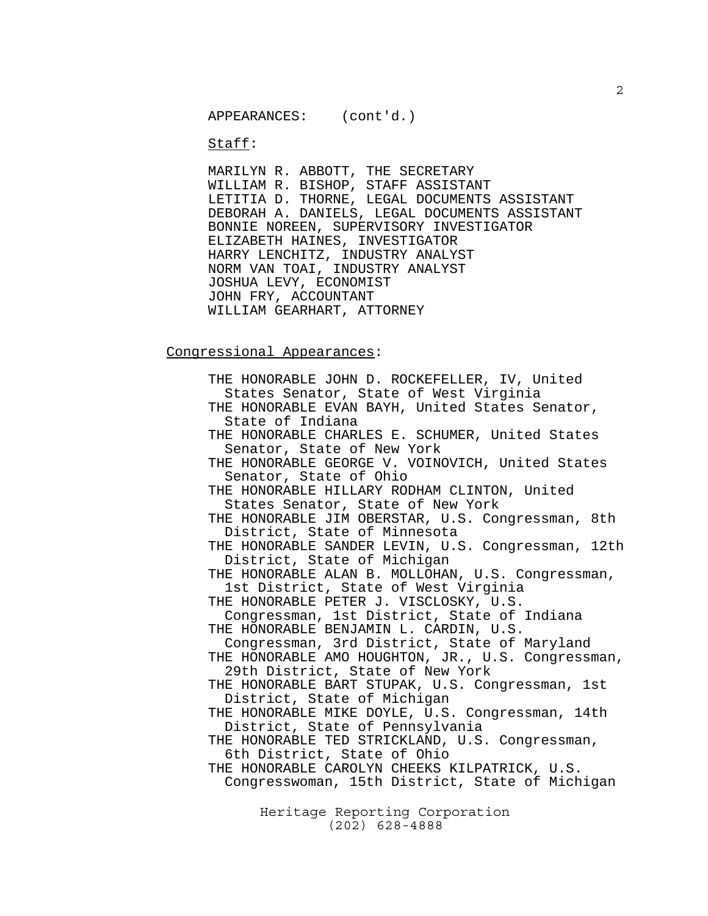Staff:

MARILYN R. ABBOTT, THE SECRETARY WILLIAM R. BISHOP, STAFF ASSISTANT LETITIA D. THORNE, LEGAL DOCUMENTS ASSISTANT DEBORAH A. DANIELS, LEGAL DOCUMENTS ASSISTANT BONNIE NOREEN, SUPERVISORY INVESTIGATOR ELIZABETH HAINES, INVESTIGATOR HARRY LENCHITZ, INDUSTRY ANALYST NORM VAN TOAI, INDUSTRY ANALYST JOSHUA LEVY, ECONOMIST JOHN FRY, ACCOUNTANT WILLIAM GEARHART, ATTORNEY

#### Congressional Appearances:

Heritage Reporting Corporation THE HONORABLE JOHN D. ROCKEFELLER, IV, United States Senator, State of West Virginia THE HONORABLE EVAN BAYH, United States Senator, State of Indiana THE HONORABLE CHARLES E. SCHUMER, United States Senator, State of New York THE HONORABLE GEORGE V. VOINOVICH, United States Senator, State of Ohio THE HONORABLE HILLARY RODHAM CLINTON, United States Senator, State of New York THE HONORABLE JIM OBERSTAR, U.S. Congressman, 8th District, State of Minnesota THE HONORABLE SANDER LEVIN, U.S. Congressman, 12th District, State of Michigan THE HONORABLE ALAN B. MOLLOHAN, U.S. Congressman, 1st District, State of West Virginia THE HONORABLE PETER J. VISCLOSKY, U.S. Congressman, 1st District, State of Indiana THE HONORABLE BENJAMIN L. CARDIN, U.S. Congressman, 3rd District, State of Maryland THE HONORABLE AMO HOUGHTON, JR., U.S. Congressman, 29th District, State of New York THE HONORABLE BART STUPAK, U.S. Congressman, 1st District, State of Michigan THE HONORABLE MIKE DOYLE, U.S. Congressman, 14th District, State of Pennsylvania THE HONORABLE TED STRICKLAND, U.S. Congressman, 6th District, State of Ohio THE HONORABLE CAROLYN CHEEKS KILPATRICK, U.S. Congresswoman, 15th District, State of Michigan

(202) 628-4888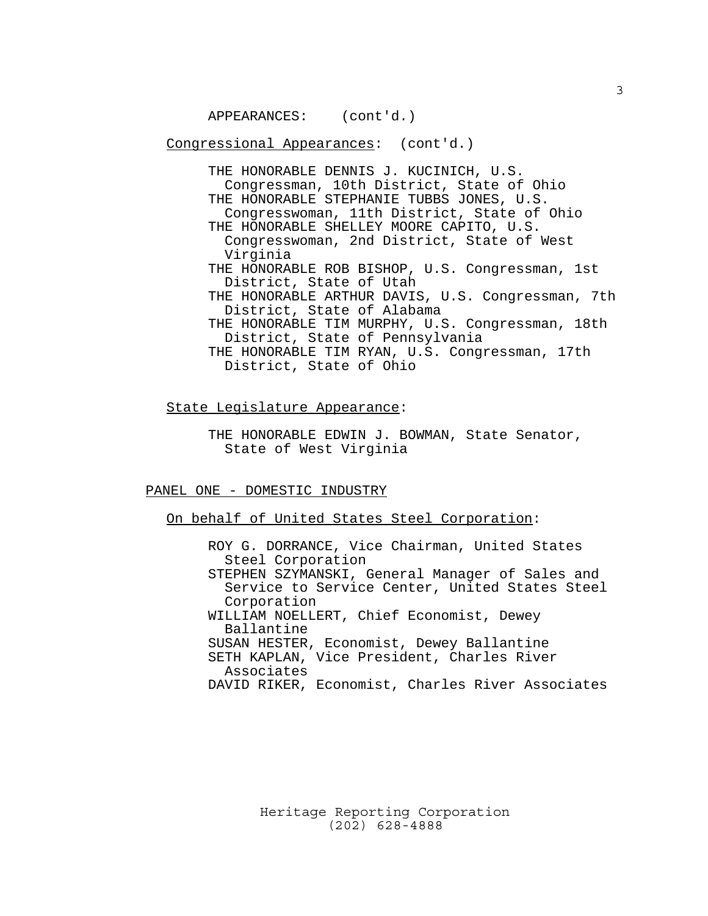Congressional Appearances: (cont'd.)

THE HONORABLE DENNIS J. KUCINICH, U.S. Congressman, 10th District, State of Ohio THE HONORABLE STEPHANIE TUBBS JONES, U.S. Congresswoman, 11th District, State of Ohio THE HONORABLE SHELLEY MOORE CAPITO, U.S. Congresswoman, 2nd District, State of West Virginia THE HONORABLE ROB BISHOP, U.S. Congressman, 1st District, State of Utah THE HONORABLE ARTHUR DAVIS, U.S. Congressman, 7th District, State of Alabama THE HONORABLE TIM MURPHY, U.S. Congressman, 18th District, State of Pennsylvania THE HONORABLE TIM RYAN, U.S. Congressman, 17th District, State of Ohio

State Legislature Appearance:

THE HONORABLE EDWIN J. BOWMAN, State Senator, State of West Virginia

PANEL ONE - DOMESTIC INDUSTRY

On behalf of United States Steel Corporation:

ROY G. DORRANCE, Vice Chairman, United States Steel Corporation STEPHEN SZYMANSKI, General Manager of Sales and Service to Service Center, United States Steel Corporation WILLIAM NOELLERT, Chief Economist, Dewey Ballantine SUSAN HESTER, Economist, Dewey Ballantine SETH KAPLAN, Vice President, Charles River Associates DAVID RIKER, Economist, Charles River Associates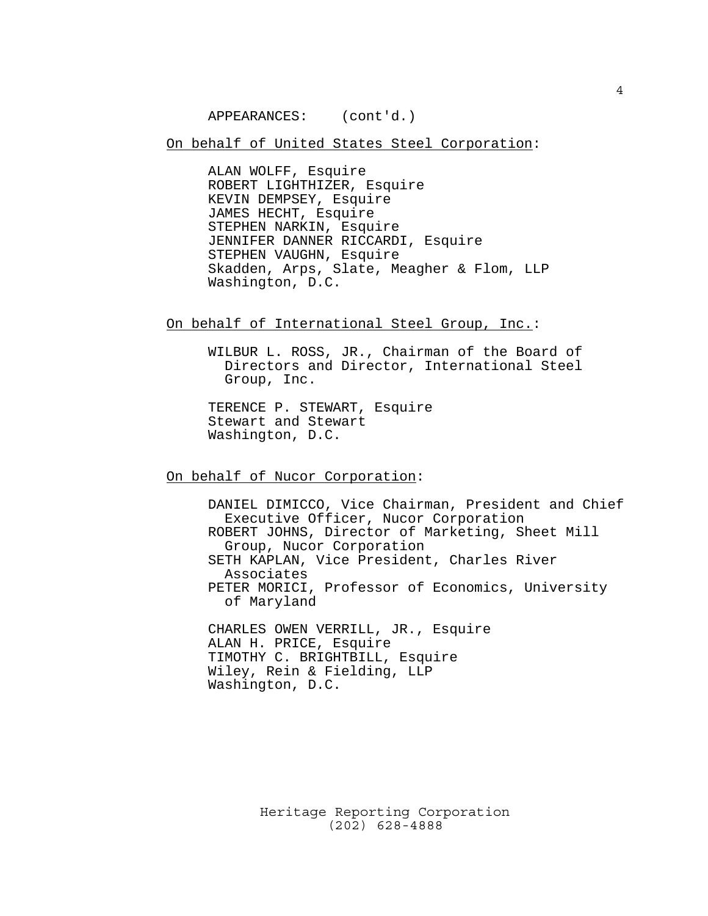On behalf of United States Steel Corporation:

ALAN WOLFF, Esquire ROBERT LIGHTHIZER, Esquire KEVIN DEMPSEY, Esquire JAMES HECHT, Esquire STEPHEN NARKIN, Esquire JENNIFER DANNER RICCARDI, Esquire STEPHEN VAUGHN, Esquire Skadden, Arps, Slate, Meagher & Flom, LLP Washington, D.C.

On behalf of International Steel Group, Inc.:

WILBUR L. ROSS, JR., Chairman of the Board of Directors and Director, International Steel Group, Inc.

TERENCE P. STEWART, Esquire Stewart and Stewart Washington, D.C.

On behalf of Nucor Corporation:

DANIEL DIMICCO, Vice Chairman, President and Chief Executive Officer, Nucor Corporation ROBERT JOHNS, Director of Marketing, Sheet Mill Group, Nucor Corporation SETH KAPLAN, Vice President, Charles River Associates PETER MORICI, Professor of Economics, University of Maryland CHARLES OWEN VERRILL, JR., Esquire ALAN H. PRICE, Esquire TIMOTHY C. BRIGHTBILL, Esquire

Wiley, Rein & Fielding, LLP Washington, D.C.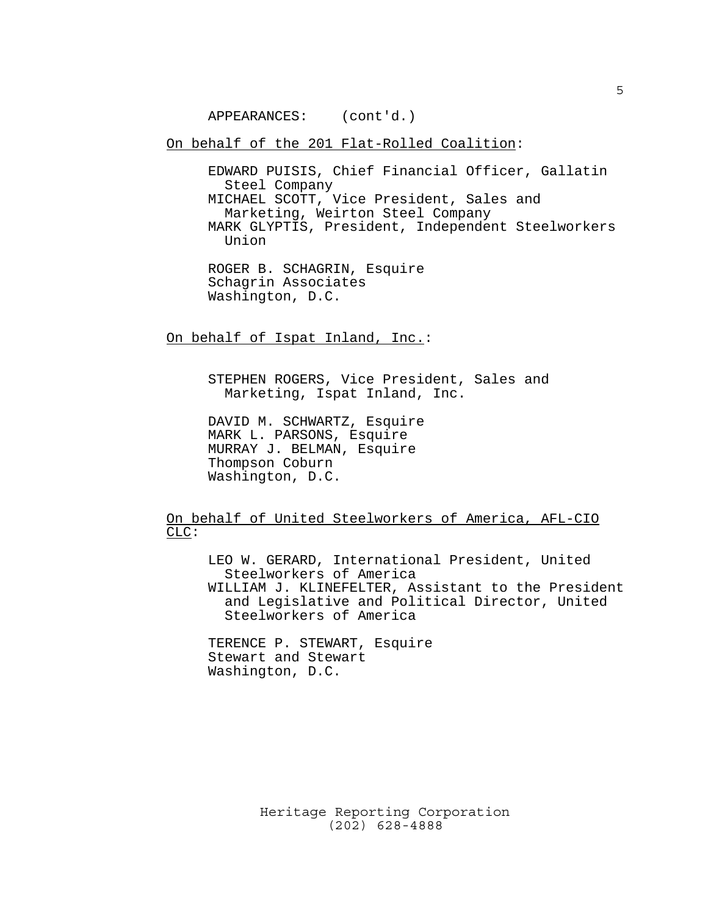On behalf of the 201 Flat-Rolled Coalition:

EDWARD PUISIS, Chief Financial Officer, Gallatin Steel Company MICHAEL SCOTT, Vice President, Sales and Marketing, Weirton Steel Company MARK GLYPTIS, President, Independent Steelworkers Union

On behalf of Ispat Inland, Inc.:

STEPHEN ROGERS, Vice President, Sales and Marketing, Ispat Inland, Inc.

DAVID M. SCHWARTZ, Esquire MARK L. PARSONS, Esquire MURRAY J. BELMAN, Esquire Thompson Coburn Washington, D.C.

On behalf of United Steelworkers of America, AFL-CIO CLC:

LEO W. GERARD, International President, United Steelworkers of America WILLIAM J. KLINEFELTER, Assistant to the President

 and Legislative and Political Director, United Steelworkers of America

TERENCE P. STEWART, Esquire Stewart and Stewart Washington, D.C.

ROGER B. SCHAGRIN, Esquire Schagrin Associates Washington, D.C.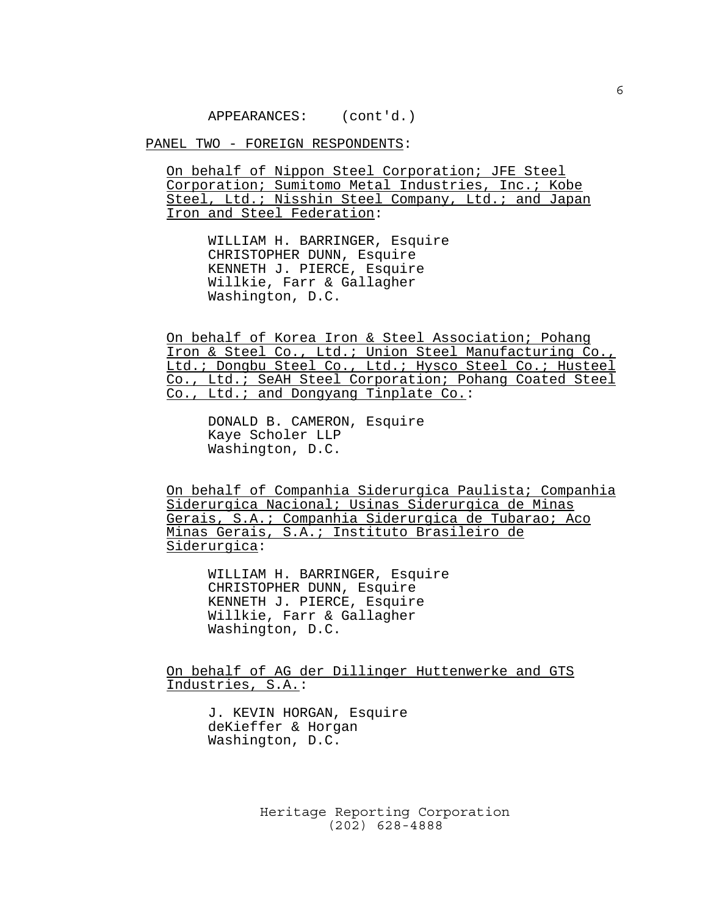PANEL TWO - FOREIGN RESPONDENTS:

On behalf of Nippon Steel Corporation; JFE Steel Corporation; Sumitomo Metal Industries, Inc.; Kobe Steel, Ltd.; Nisshin Steel Company, Ltd.; and Japan Iron and Steel Federation:

WILLIAM H. BARRINGER, Esquire CHRISTOPHER DUNN, Esquire KENNETH J. PIERCE, Esquire Willkie, Farr & Gallagher Washington, D.C.

On behalf of Korea Iron & Steel Association; Pohang Iron & Steel Co., Ltd.; Union Steel Manufacturing Co., Ltd.; Dongbu Steel Co., Ltd.; Hysco Steel Co.; Husteel Co., Ltd.; SeAH Steel Corporation; Pohang Coated Steel Co., Ltd.; and Dongyang Tinplate Co.:

DONALD B. CAMERON, Esquire Kaye Scholer LLP Washington, D.C.

On behalf of Companhia Siderurgica Paulista; Companhia Siderurgica Nacional; Usinas Siderurgica de Minas Gerais, S.A.; Companhia Siderurgica de Tubarao; Aco Minas Gerais, S.A.; Instituto Brasileiro de Siderurgica:

WILLIAM H. BARRINGER, Esquire CHRISTOPHER DUNN, Esquire KENNETH J. PIERCE, Esquire Willkie, Farr & Gallagher Washington, D.C.

On behalf of AG der Dillinger Huttenwerke and GTS Industries, S.A.:

> J. KEVIN HORGAN, Esquire deKieffer & Horgan Washington, D.C.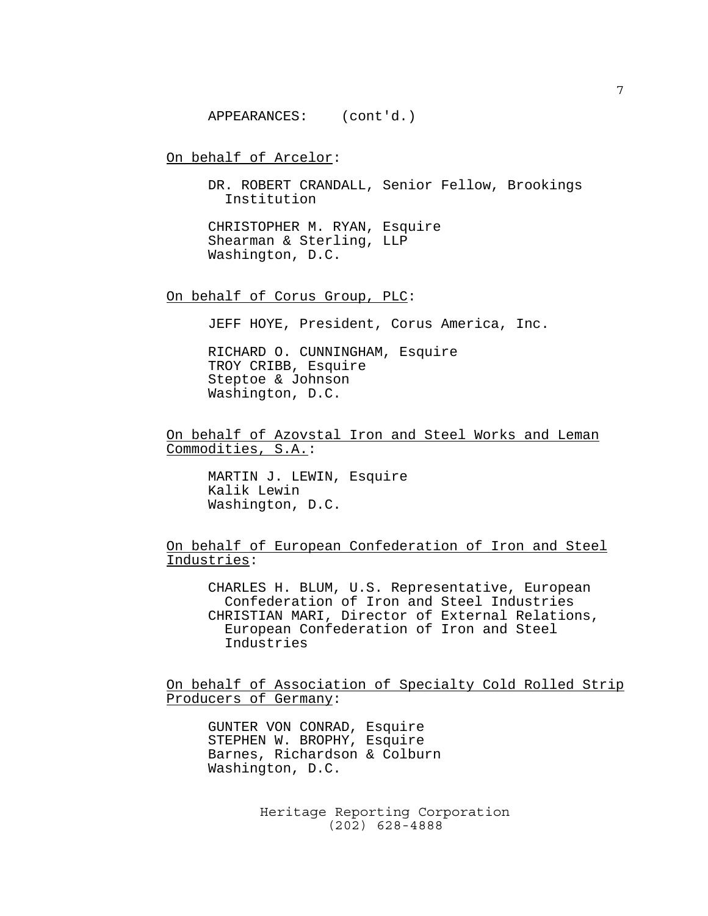On behalf of Arcelor:

DR. ROBERT CRANDALL, Senior Fellow, Brookings Institution

CHRISTOPHER M. RYAN, Esquire Shearman & Sterling, LLP Washington, D.C.

On behalf of Corus Group, PLC:

JEFF HOYE, President, Corus America, Inc.

RICHARD O. CUNNINGHAM, Esquire TROY CRIBB, Esquire Steptoe & Johnson Washington, D.C.

On behalf of Azovstal Iron and Steel Works and Leman Commodities, S.A.:

MARTIN J. LEWIN, Esquire Kalik Lewin Washington, D.C.

On behalf of European Confederation of Iron and Steel Industries:

CHARLES H. BLUM, U.S. Representative, European Confederation of Iron and Steel Industries CHRISTIAN MARI, Director of External Relations, European Confederation of Iron and Steel Industries

On behalf of Association of Specialty Cold Rolled Strip Producers of Germany:

GUNTER VON CONRAD, Esquire STEPHEN W. BROPHY, Esquire Barnes, Richardson & Colburn Washington, D.C.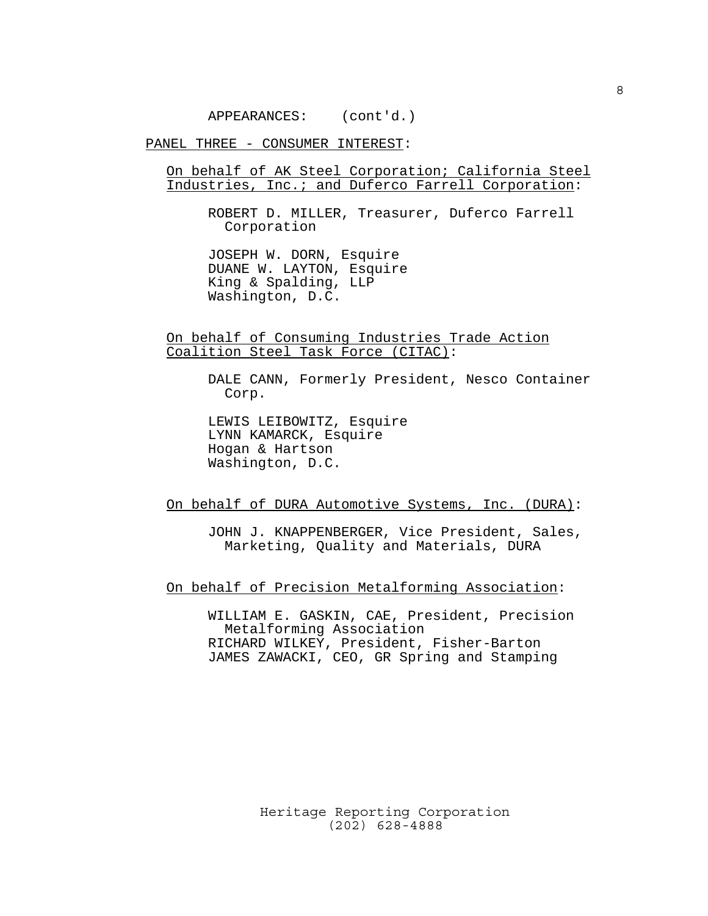PANEL THREE - CONSUMER INTEREST:

On behalf of AK Steel Corporation; California Steel Industries, Inc.; and Duferco Farrell Corporation:

ROBERT D. MILLER, Treasurer, Duferco Farrell Corporation

JOSEPH W. DORN, Esquire DUANE W. LAYTON, Esquire King & Spalding, LLP Washington, D.C.

On behalf of Consuming Industries Trade Action Coalition Steel Task Force (CITAC):

> DALE CANN, Formerly President, Nesco Container Corp.

LEWIS LEIBOWITZ, Esquire LYNN KAMARCK, Esquire Hogan & Hartson Washington, D.C.

On behalf of DURA Automotive Systems, Inc. (DURA):

JOHN J. KNAPPENBERGER, Vice President, Sales, Marketing, Quality and Materials, DURA

On behalf of Precision Metalforming Association:

WILLIAM E. GASKIN, CAE, President, Precision Metalforming Association RICHARD WILKEY, President, Fisher-Barton JAMES ZAWACKI, CEO, GR Spring and Stamping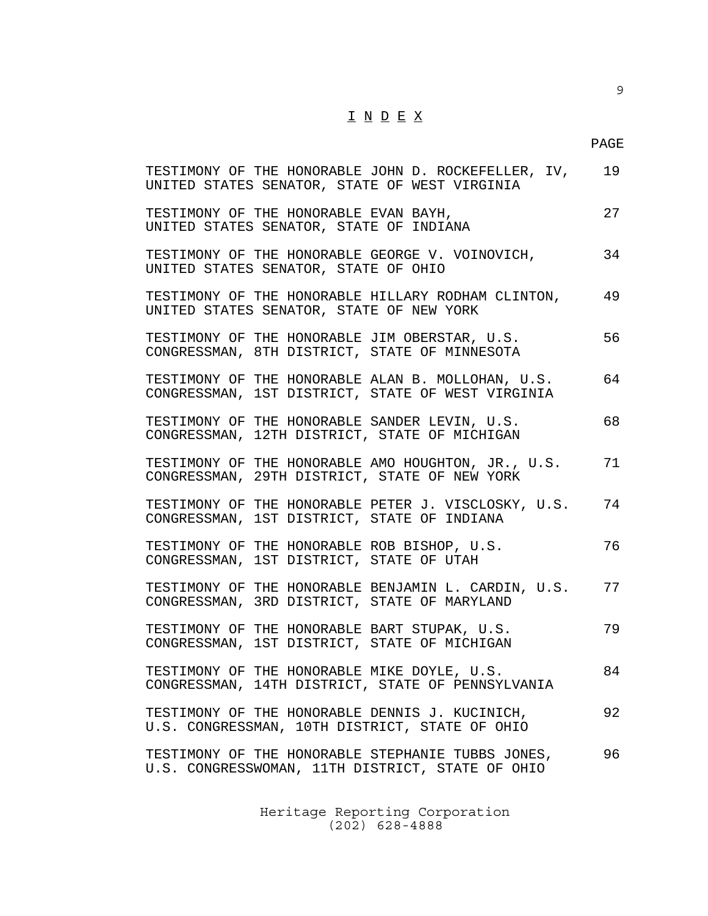## PAGE

| TESTIMONY OF THE HONORABLE JOHN D. ROCKEFELLER, IV,<br>UNITED STATES SENATOR, STATE OF WEST VIRGINIA   | 19 |
|--------------------------------------------------------------------------------------------------------|----|
| TESTIMONY OF THE HONORABLE EVAN BAYH,<br>UNITED STATES SENATOR, STATE OF INDIANA                       | 27 |
| TESTIMONY OF THE HONORABLE GEORGE V. VOINOVICH,<br>UNITED STATES SENATOR, STATE OF OHIO                | 34 |
| TESTIMONY OF THE HONORABLE HILLARY RODHAM CLINTON,<br>UNITED STATES SENATOR, STATE OF NEW YORK         | 49 |
| TESTIMONY OF THE HONORABLE JIM OBERSTAR, U.S.<br>CONGRESSMAN, 8TH DISTRICT, STATE OF MINNESOTA         | 56 |
| TESTIMONY OF THE HONORABLE ALAN B. MOLLOHAN, U.S.<br>CONGRESSMAN, 1ST DISTRICT, STATE OF WEST VIRGINIA | 64 |
| TESTIMONY OF THE HONORABLE SANDER LEVIN, U.S.<br>CONGRESSMAN, 12TH DISTRICT, STATE OF MICHIGAN         | 68 |
| TESTIMONY OF THE HONORABLE AMO HOUGHTON, JR., U.S.<br>CONGRESSMAN, 29TH DISTRICT, STATE OF NEW YORK    | 71 |
| TESTIMONY OF THE HONORABLE PETER J. VISCLOSKY, U.S.<br>CONGRESSMAN, 1ST DISTRICT, STATE OF INDIANA     | 74 |
| TESTIMONY OF THE HONORABLE ROB BISHOP, U.S.<br>CONGRESSMAN, 1ST DISTRICT, STATE OF UTAH                | 76 |
| TESTIMONY OF THE HONORABLE BENJAMIN L. CARDIN, U.S.<br>CONGRESSMAN, 3RD DISTRICT, STATE OF MARYLAND    | 77 |
| TESTIMONY OF THE HONORABLE BART STUPAK, U.S.<br>CONGRESSMAN, 1ST DISTRICT, STATE OF MICHIGAN           | 79 |
| TESTIMONY OF THE HONORABLE MIKE DOYLE, U.S.<br>CONGRESSMAN, 14TH DISTRICT, STATE OF PENNSYLVANIA       | 84 |
| TESTIMONY OF THE HONORABLE DENNIS J. KUCINICH,<br>U.S. CONGRESSMAN, 10TH DISTRICT, STATE OF OHIO       | 92 |
| TESTIMONY OF THE HONORABLE STEPHANIE TUBBS JONES,<br>U.S. CONGRESSWOMAN, 11TH DISTRICT, STATE OF OHIO  | 96 |
|                                                                                                        |    |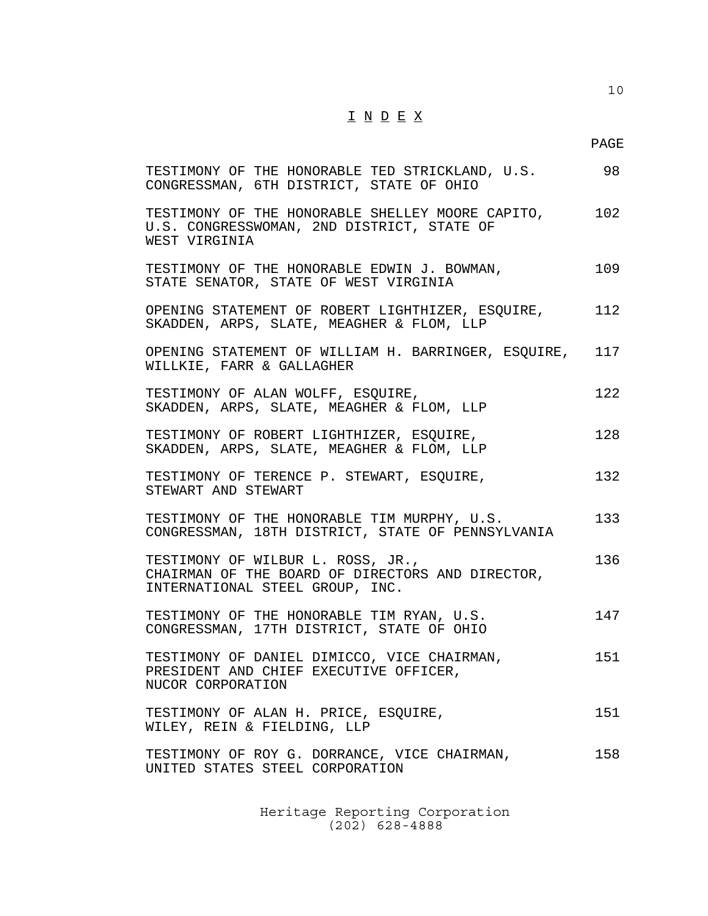10

| TESTIMONY OF THE HONORABLE TED STRICKLAND, U.S.<br>CONGRESSMAN, 6TH DISTRICT, STATE OF OHIO                              | 98  |
|--------------------------------------------------------------------------------------------------------------------------|-----|
| TESTIMONY OF THE HONORABLE SHELLEY MOORE CAPITO, 102<br>U.S. CONGRESSWOMAN, 2ND DISTRICT, STATE OF<br>WEST VIRGINIA      |     |
| TESTIMONY OF THE HONORABLE EDWIN J. BOWMAN,<br>STATE SENATOR, STATE OF WEST VIRGINIA                                     | 109 |
| OPENING STATEMENT OF ROBERT LIGHTHIZER, ESQUIRE,<br>SKADDEN, ARPS, SLATE, MEAGHER & FLOM, LLP                            | 112 |
| OPENING STATEMENT OF WILLIAM H. BARRINGER, ESQUIRE, 117<br>WILLKIE, FARR & GALLAGHER                                     |     |
| TESTIMONY OF ALAN WOLFF, ESQUIRE,<br>SKADDEN, ARPS, SLATE, MEAGHER & FLOM, LLP                                           | 122 |
| TESTIMONY OF ROBERT LIGHTHIZER, ESQUIRE,<br>SKADDEN, ARPS, SLATE, MEAGHER & FLOM, LLP                                    | 128 |
| TESTIMONY OF TERENCE P. STEWART, ESOUIRE,<br>STEWART AND STEWART                                                         | 132 |
| TESTIMONY OF THE HONORABLE TIM MURPHY, U.S.<br>CONGRESSMAN, 18TH DISTRICT, STATE OF PENNSYLVANIA                         | 133 |
| TESTIMONY OF WILBUR L. ROSS, JR.,<br>CHAIRMAN OF THE BOARD OF DIRECTORS AND DIRECTOR,<br>INTERNATIONAL STEEL GROUP, INC. | 136 |
| TESTIMONY OF THE HONORABLE TIM RYAN, U.S.<br>CONGRESSMAN, 17TH DISTRICT, STATE OF OHIO                                   | 147 |
| TESTIMONY OF DANIEL DIMICCO, VICE CHAIRMAN,<br>PRESIDENT AND CHIEF EXECUTIVE OFFICER,<br>NUCOR CORPORATION               | 151 |
| TESTIMONY OF ALAN H. PRICE, ESQUIRE,<br>WILEY, REIN & FIELDING, LLP                                                      | 151 |
| TESTIMONY OF ROY G. DORRANCE, VICE CHAIRMAN,<br>UNITED STATES STEEL CORPORATION                                          | 158 |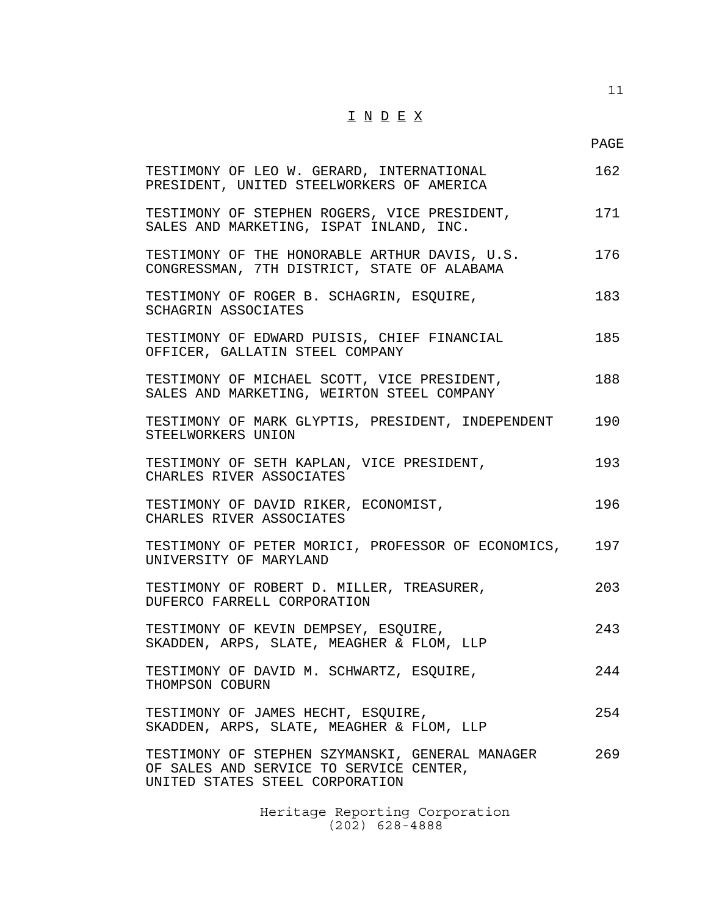11

| TESTIMONY OF LEO W. GERARD, INTERNATIONAL<br>PRESIDENT, UNITED STEELWORKERS OF AMERICA                                        | 162 |
|-------------------------------------------------------------------------------------------------------------------------------|-----|
| TESTIMONY OF STEPHEN ROGERS, VICE PRESIDENT,<br>SALES AND MARKETING, ISPAT INLAND, INC.                                       | 171 |
| TESTIMONY OF THE HONORABLE ARTHUR DAVIS, U.S.<br>CONGRESSMAN, 7TH DISTRICT, STATE OF ALABAMA                                  | 176 |
| TESTIMONY OF ROGER B. SCHAGRIN, ESQUIRE,<br>SCHAGRIN ASSOCIATES                                                               | 183 |
| TESTIMONY OF EDWARD PUISIS, CHIEF FINANCIAL<br>OFFICER, GALLATIN STEEL COMPANY                                                | 185 |
| TESTIMONY OF MICHAEL SCOTT, VICE PRESIDENT,<br>SALES AND MARKETING, WEIRTON STEEL COMPANY                                     | 188 |
| TESTIMONY OF MARK GLYPTIS, PRESIDENT, INDEPENDENT<br>STEELWORKERS UNION                                                       | 190 |
| TESTIMONY OF SETH KAPLAN, VICE PRESIDENT,<br>CHARLES RIVER ASSOCIATES                                                         | 193 |
| TESTIMONY OF DAVID RIKER, ECONOMIST,<br>CHARLES RIVER ASSOCIATES                                                              | 196 |
| TESTIMONY OF PETER MORICI, PROFESSOR OF ECONOMICS, 197<br>UNIVERSITY OF MARYLAND                                              |     |
| TESTIMONY OF ROBERT D. MILLER, TREASURER,<br>DUFERCO FARRELL CORPORATION                                                      | 203 |
| TESTIMONY OF KEVIN DEMPSEY, ESQUIRE,<br>SKADDEN, ARPS, SLATE, MEAGHER & FLOM, LLP                                             | 243 |
| TESTIMONY OF DAVID M. SCHWARTZ, ESQUIRE,<br>THOMPSON COBURN                                                                   | 244 |
| TESTIMONY OF JAMES HECHT, ESQUIRE,<br>SKADDEN, ARPS, SLATE, MEAGHER & FLOM, LLP                                               | 254 |
| TESTIMONY OF STEPHEN SZYMANSKI, GENERAL MANAGER<br>OF SALES AND SERVICE TO SERVICE CENTER,<br>UNITED STATES STEEL CORPORATION | 269 |
|                                                                                                                               |     |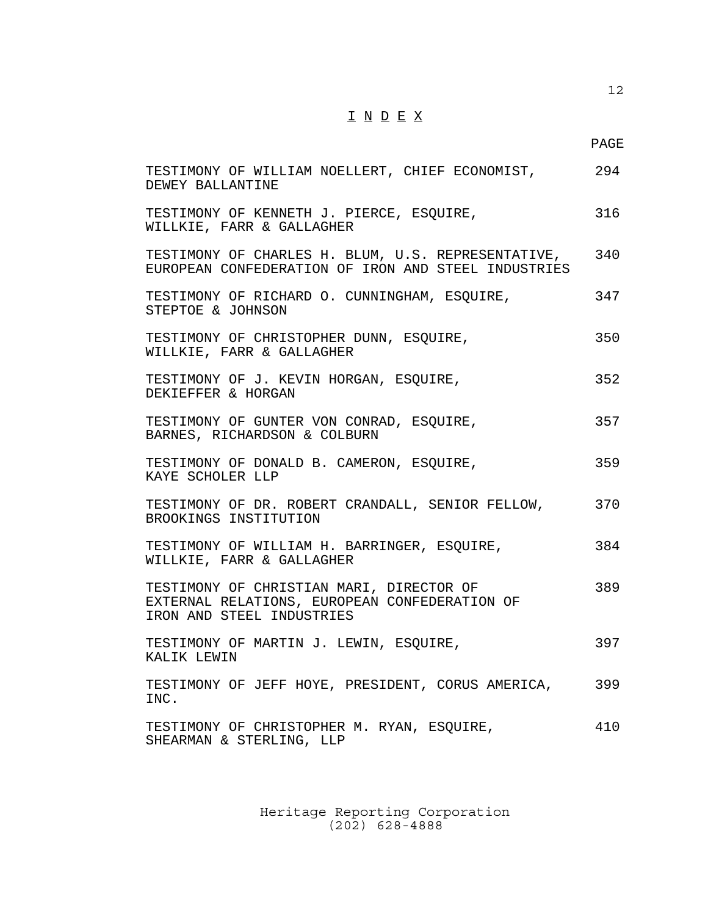PAGE

| TESTIMONY OF WILLIAM NOELLERT, CHIEF ECONOMIST,<br>DEWEY BALLANTINE                                                    | 294 |
|------------------------------------------------------------------------------------------------------------------------|-----|
| TESTIMONY OF KENNETH J. PIERCE, ESQUIRE,<br>WILLKIE, FARR & GALLAGHER                                                  | 316 |
| TESTIMONY OF CHARLES H. BLUM, U.S. REPRESENTATIVE, 340<br>EUROPEAN CONFEDERATION OF IRON AND STEEL INDUSTRIES          |     |
| TESTIMONY OF RICHARD O. CUNNINGHAM, ESQUIRE,<br>STEPTOE & JOHNSON                                                      | 347 |
| TESTIMONY OF CHRISTOPHER DUNN, ESQUIRE,<br>WILLKIE, FARR & GALLAGHER                                                   | 350 |
| TESTIMONY OF J. KEVIN HORGAN, ESQUIRE,<br>DEKIEFFER & HORGAN                                                           | 352 |
| TESTIMONY OF GUNTER VON CONRAD, ESQUIRE,<br>BARNES, RICHARDSON & COLBURN                                               | 357 |
| TESTIMONY OF DONALD B. CAMERON, ESQUIRE,<br>KAYE SCHOLER LLP                                                           | 359 |
| TESTIMONY OF DR. ROBERT CRANDALL, SENIOR FELLOW,<br>BROOKINGS INSTITUTION                                              | 370 |
| TESTIMONY OF WILLIAM H. BARRINGER, ESQUIRE,<br>WILLKIE, FARR & GALLAGHER                                               | 384 |
| TESTIMONY OF CHRISTIAN MARI, DIRECTOR OF<br>EXTERNAL RELATIONS, EUROPEAN CONFEDERATION OF<br>IRON AND STEEL INDUSTRIES | 389 |
| TESTIMONY OF MARTIN J. LEWIN, ESQUIRE,<br>KALIK LEWIN                                                                  | 397 |
| TESTIMONY OF JEFF HOYE, PRESIDENT, CORUS AMERICA,<br>INC.                                                              | 399 |
| TESTIMONY OF CHRISTOPHER M. RYAN, ESQUIRE,<br>SHEARMAN & STERLING, LLP                                                 | 410 |
|                                                                                                                        |     |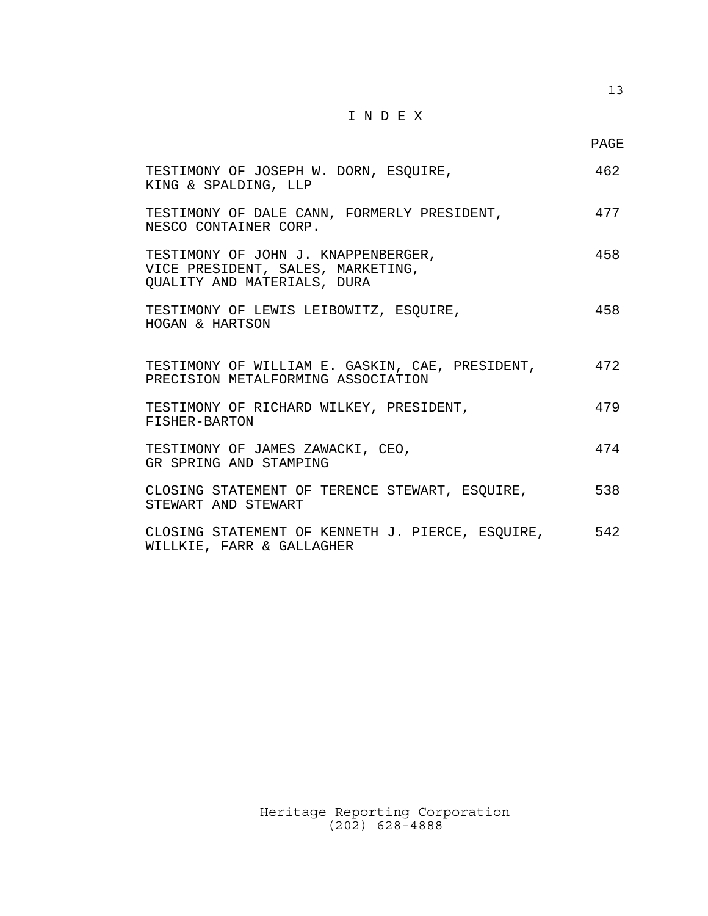13

| TESTIMONY OF JOSEPH W. DORN, ESQUIRE,<br>KING & SPALDING, LLP                                           | 462 |
|---------------------------------------------------------------------------------------------------------|-----|
| TESTIMONY OF DALE CANN, FORMERLY PRESIDENT,<br>NESCO CONTAINER CORP.                                    | 477 |
| TESTIMONY OF JOHN J. KNAPPENBERGER,<br>VICE PRESIDENT, SALES, MARKETING,<br>QUALITY AND MATERIALS, DURA | 458 |
| TESTIMONY OF LEWIS LEIBOWITZ, ESQUIRE,<br>HOGAN & HARTSON                                               | 458 |
| TESTIMONY OF WILLIAM E. GASKIN, CAE, PRESIDENT, 472<br>PRECISION METALFORMING ASSOCIATION               |     |
| TESTIMONY OF RICHARD WILKEY, PRESIDENT,<br>FISHER-BARTON                                                | 479 |
| TESTIMONY OF JAMES ZAWACKI, CEO,<br>GR SPRING AND STAMPING                                              | 474 |
| CLOSING STATEMENT OF TERENCE STEWART, ESQUIRE,<br>STEWART AND STEWART                                   | 538 |
| CLOSING STATEMENT OF KENNETH J. PIERCE, ESQUIRE, 542<br>WILLKIE, FARR & GALLAGHER                       |     |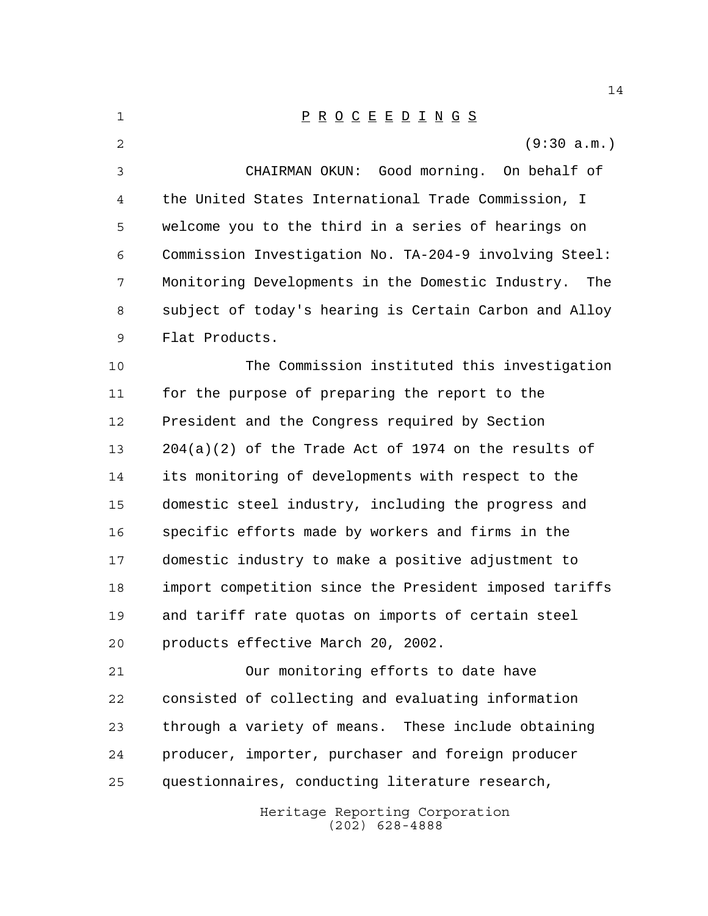| 1  | $\underline{P} \underline{R} \underline{O} \underline{C} \underline{E} \underline{E} \underline{D} \underline{I} \underline{N} \underline{G} \underline{S}$ |
|----|-------------------------------------------------------------------------------------------------------------------------------------------------------------|
| 2  | (9:30 a.m.)                                                                                                                                                 |
| 3  | CHAIRMAN OKUN: Good morning. On behalf of                                                                                                                   |
| 4  | the United States International Trade Commission, I                                                                                                         |
| 5  | welcome you to the third in a series of hearings on                                                                                                         |
| 6  | Commission Investigation No. TA-204-9 involving Steel:                                                                                                      |
| 7  | Monitoring Developments in the Domestic Industry.<br>The                                                                                                    |
| 8  | subject of today's hearing is Certain Carbon and Alloy                                                                                                      |
| 9  | Flat Products.                                                                                                                                              |
| 10 | The Commission instituted this investigation                                                                                                                |
| 11 | for the purpose of preparing the report to the                                                                                                              |
| 12 | President and the Congress required by Section                                                                                                              |
| 13 | $204(a)(2)$ of the Trade Act of 1974 on the results of                                                                                                      |
| 14 | its monitoring of developments with respect to the                                                                                                          |
| 15 | domestic steel industry, including the progress and                                                                                                         |
| 16 | specific efforts made by workers and firms in the                                                                                                           |
| 17 | domestic industry to make a positive adjustment to                                                                                                          |
| 18 | import competition since the President imposed tariffs                                                                                                      |
| 19 | and tariff rate quotas on imports of certain steel                                                                                                          |
| 20 | products effective March 20, 2002.                                                                                                                          |
| 21 | Our monitoring efforts to date have                                                                                                                         |
| 22 | consisted of collecting and evaluating information                                                                                                          |
| 23 | through a variety of means. These include obtaining                                                                                                         |
| 24 | producer, importer, purchaser and foreign producer                                                                                                          |
| 25 | questionnaires, conducting literature research,                                                                                                             |
|    | Heritage Reporting Corporation<br>$(202)$ 628-4888                                                                                                          |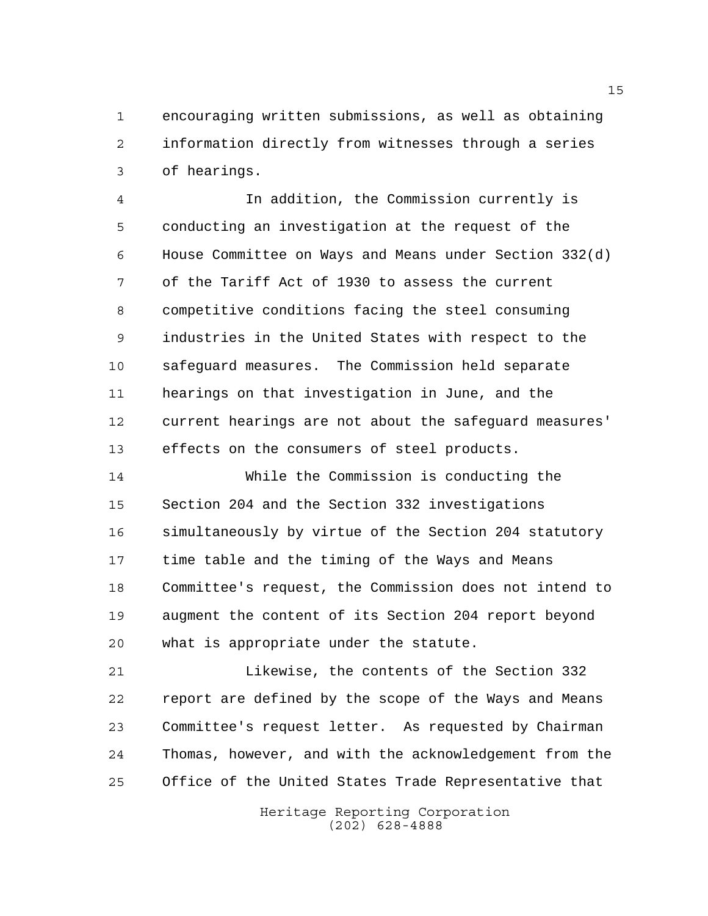encouraging written submissions, as well as obtaining information directly from witnesses through a series of hearings.

 In addition, the Commission currently is conducting an investigation at the request of the House Committee on Ways and Means under Section 332(d) of the Tariff Act of 1930 to assess the current competitive conditions facing the steel consuming industries in the United States with respect to the safeguard measures. The Commission held separate hearings on that investigation in June, and the current hearings are not about the safeguard measures' effects on the consumers of steel products.

 While the Commission is conducting the Section 204 and the Section 332 investigations simultaneously by virtue of the Section 204 statutory time table and the timing of the Ways and Means Committee's request, the Commission does not intend to augment the content of its Section 204 report beyond what is appropriate under the statute.

 Likewise, the contents of the Section 332 report are defined by the scope of the Ways and Means Committee's request letter. As requested by Chairman Thomas, however, and with the acknowledgement from the Office of the United States Trade Representative that

> Heritage Reporting Corporation (202) 628-4888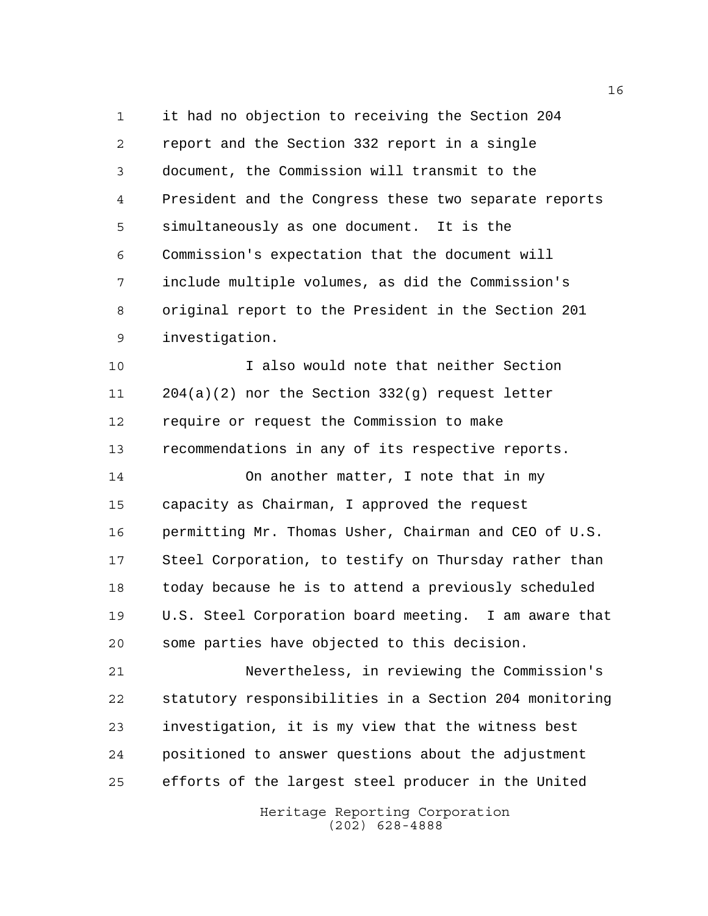it had no objection to receiving the Section 204 report and the Section 332 report in a single document, the Commission will transmit to the President and the Congress these two separate reports simultaneously as one document. It is the Commission's expectation that the document will include multiple volumes, as did the Commission's original report to the President in the Section 201 investigation.

 I also would note that neither Section 204(a)(2) nor the Section 332(g) request letter require or request the Commission to make recommendations in any of its respective reports.

 On another matter, I note that in my capacity as Chairman, I approved the request permitting Mr. Thomas Usher, Chairman and CEO of U.S. Steel Corporation, to testify on Thursday rather than today because he is to attend a previously scheduled U.S. Steel Corporation board meeting. I am aware that some parties have objected to this decision.

 Nevertheless, in reviewing the Commission's statutory responsibilities in a Section 204 monitoring investigation, it is my view that the witness best positioned to answer questions about the adjustment efforts of the largest steel producer in the United

> Heritage Reporting Corporation (202) 628-4888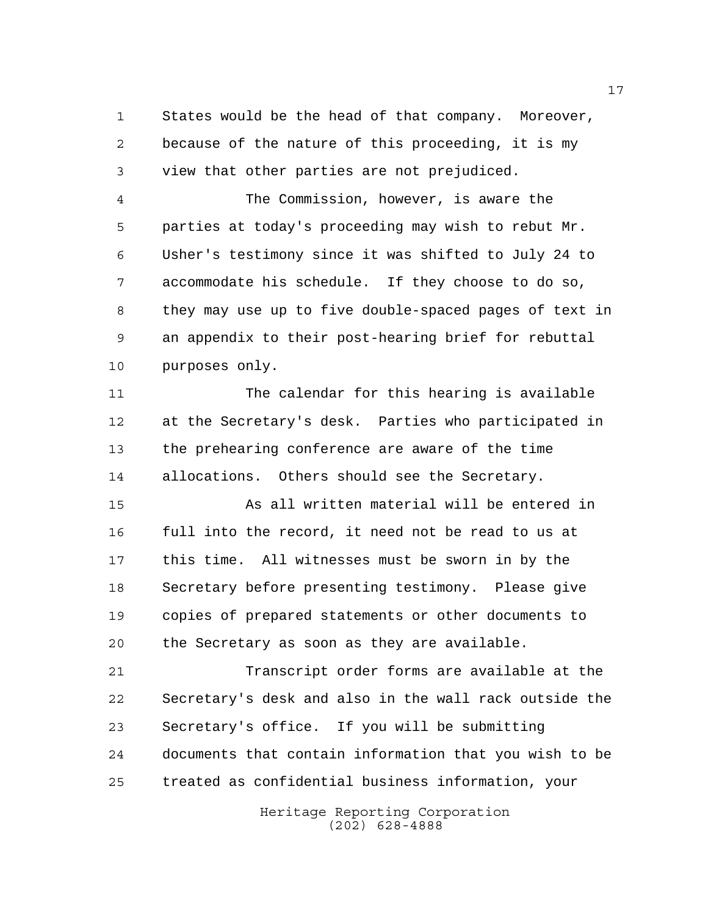States would be the head of that company. Moreover, because of the nature of this proceeding, it is my view that other parties are not prejudiced.

 The Commission, however, is aware the parties at today's proceeding may wish to rebut Mr. Usher's testimony since it was shifted to July 24 to accommodate his schedule. If they choose to do so, they may use up to five double-spaced pages of text in an appendix to their post-hearing brief for rebuttal purposes only.

 The calendar for this hearing is available at the Secretary's desk. Parties who participated in the prehearing conference are aware of the time allocations. Others should see the Secretary.

 As all written material will be entered in full into the record, it need not be read to us at this time. All witnesses must be sworn in by the Secretary before presenting testimony. Please give copies of prepared statements or other documents to the Secretary as soon as they are available.

 Transcript order forms are available at the Secretary's desk and also in the wall rack outside the Secretary's office. If you will be submitting documents that contain information that you wish to be treated as confidential business information, your

> Heritage Reporting Corporation (202) 628-4888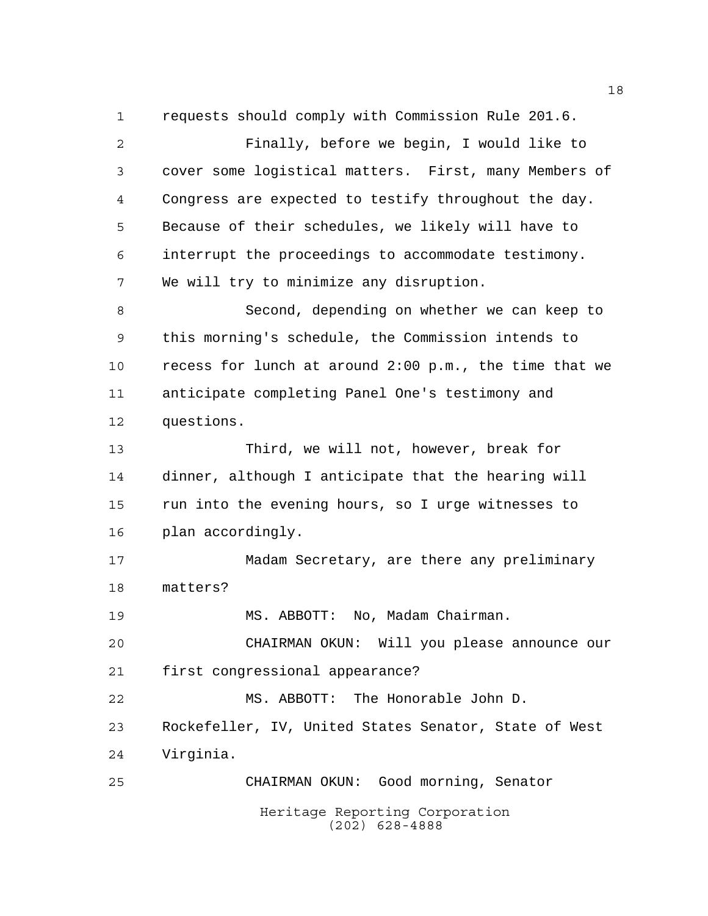Heritage Reporting Corporation (202) 628-4888 requests should comply with Commission Rule 201.6. Finally, before we begin, I would like to cover some logistical matters. First, many Members of Congress are expected to testify throughout the day. Because of their schedules, we likely will have to interrupt the proceedings to accommodate testimony. We will try to minimize any disruption. Second, depending on whether we can keep to this morning's schedule, the Commission intends to recess for lunch at around 2:00 p.m., the time that we anticipate completing Panel One's testimony and questions. Third, we will not, however, break for dinner, although I anticipate that the hearing will run into the evening hours, so I urge witnesses to plan accordingly. Madam Secretary, are there any preliminary matters? 19 MS. ABBOTT: No, Madam Chairman. CHAIRMAN OKUN: Will you please announce our first congressional appearance? MS. ABBOTT: The Honorable John D. Rockefeller, IV, United States Senator, State of West Virginia. CHAIRMAN OKUN: Good morning, Senator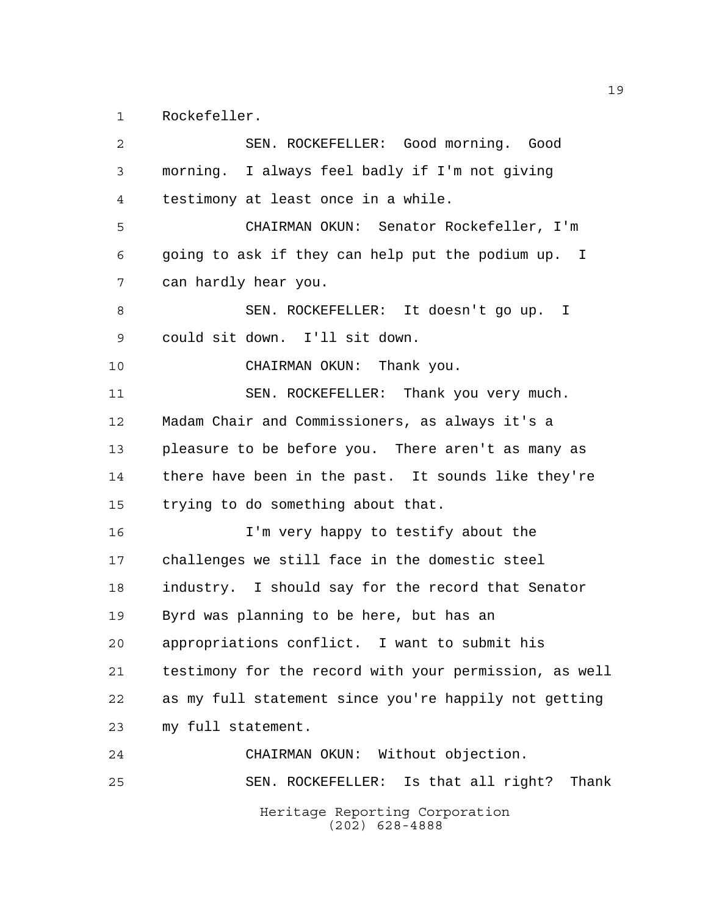Rockefeller.

| 2  | SEN. ROCKEFELLER: Good morning. Good                   |
|----|--------------------------------------------------------|
| 3  | morning. I always feel badly if I'm not giving         |
| 4  | testimony at least once in a while.                    |
| 5  | CHAIRMAN OKUN: Senator Rockefeller, I'm                |
| 6  | going to ask if they can help put the podium up. I     |
| 7  | can hardly hear you.                                   |
| 8  | SEN. ROCKEFELLER: It doesn't go up. I                  |
| 9  | could sit down. I'll sit down.                         |
| 10 | CHAIRMAN OKUN: Thank you.                              |
| 11 | SEN. ROCKEFELLER: Thank you very much.                 |
| 12 | Madam Chair and Commissioners, as always it's a        |
| 13 | pleasure to be before you. There aren't as many as     |
| 14 | there have been in the past. It sounds like they're    |
| 15 | trying to do something about that.                     |
| 16 | I'm very happy to testify about the                    |
| 17 | challenges we still face in the domestic steel         |
| 18 | industry. I should say for the record that Senator     |
| 19 | Byrd was planning to be here, but has an               |
| 20 | appropriations conflict. I want to submit his          |
| 21 | testimony for the record with your permission, as well |
| 22 | as my full statement since you're happily not getting  |
| 23 | my full statement.                                     |
| 24 | CHAIRMAN OKUN: Without objection.                      |
| 25 | SEN. ROCKEFELLER: Is that all right? Thank             |
|    | Heritage Reporting Corporation<br>$(202)$ 628-4888     |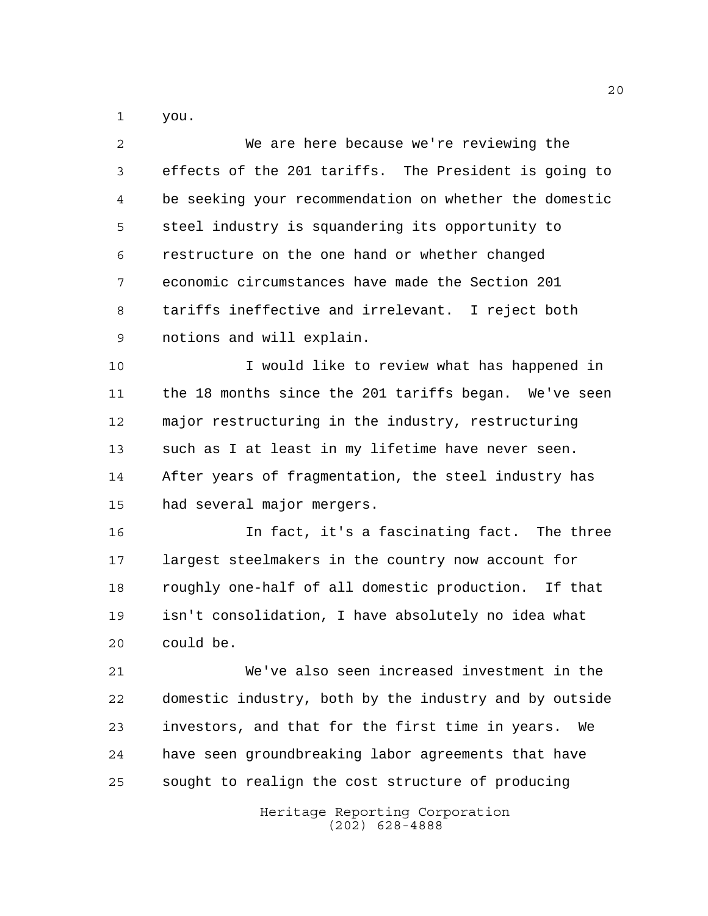you.

| 2  | We are here because we're reviewing the                |
|----|--------------------------------------------------------|
| 3  | effects of the 201 tariffs. The President is going to  |
| 4  | be seeking your recommendation on whether the domestic |
| 5  | steel industry is squandering its opportunity to       |
| 6  | restructure on the one hand or whether changed         |
| 7  | economic circumstances have made the Section 201       |
| 8  | tariffs ineffective and irrelevant. I reject both      |
| 9  | notions and will explain.                              |
| 10 | I would like to review what has happened in            |
| 11 | the 18 months since the 201 tariffs began. We've seen  |
| 12 | major restructuring in the industry, restructuring     |
| 13 | such as I at least in my lifetime have never seen.     |
| 14 | After years of fragmentation, the steel industry has   |
| 15 | had several major mergers.                             |
| 16 | In fact, it's a fascinating fact. The three            |
| 17 | largest steelmakers in the country now account for     |
| 18 | roughly one-half of all domestic production. If that   |
| 19 | isn't consolidation, I have absolutely no idea what    |
| 20 | could be.                                              |
| 21 | We've also seen increased investment in the            |
| 22 | domestic industry, both by the industry and by outside |
| 23 | investors, and that for the first time in years.<br>We |
| 24 | have seen groundbreaking labor agreements that have    |
| 25 | sought to realign the cost structure of producing      |
|    | Heritage Reporting Corporation<br>$(202)$ 628-4888     |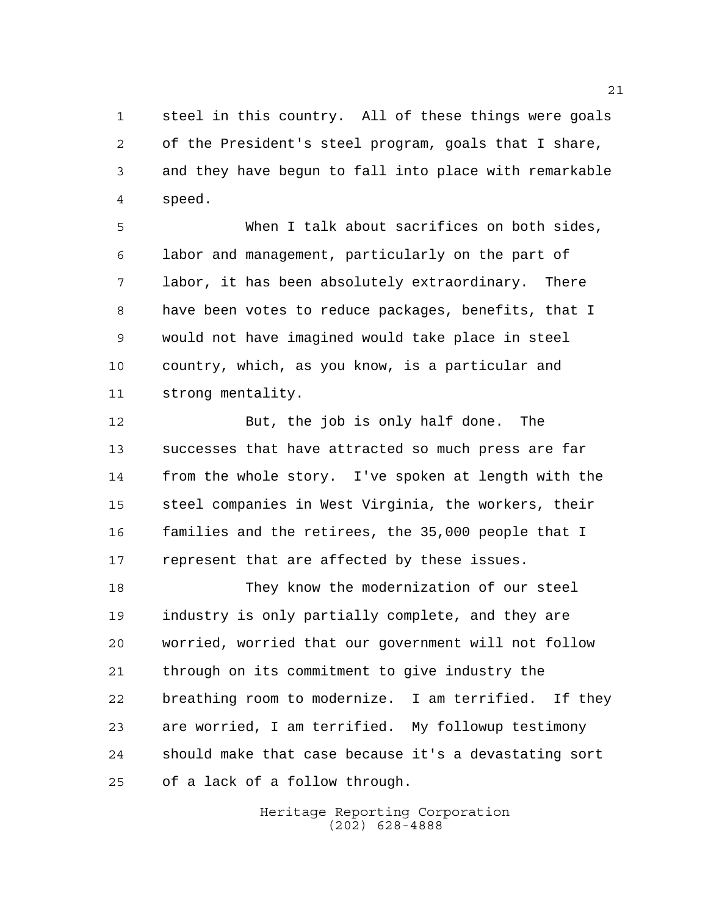steel in this country. All of these things were goals of the President's steel program, goals that I share, and they have begun to fall into place with remarkable speed.

 When I talk about sacrifices on both sides, labor and management, particularly on the part of labor, it has been absolutely extraordinary. There have been votes to reduce packages, benefits, that I would not have imagined would take place in steel country, which, as you know, is a particular and strong mentality.

 But, the job is only half done. The successes that have attracted so much press are far from the whole story. I've spoken at length with the steel companies in West Virginia, the workers, their families and the retirees, the 35,000 people that I represent that are affected by these issues.

 They know the modernization of our steel industry is only partially complete, and they are worried, worried that our government will not follow through on its commitment to give industry the breathing room to modernize. I am terrified. If they are worried, I am terrified. My followup testimony should make that case because it's a devastating sort of a lack of a follow through.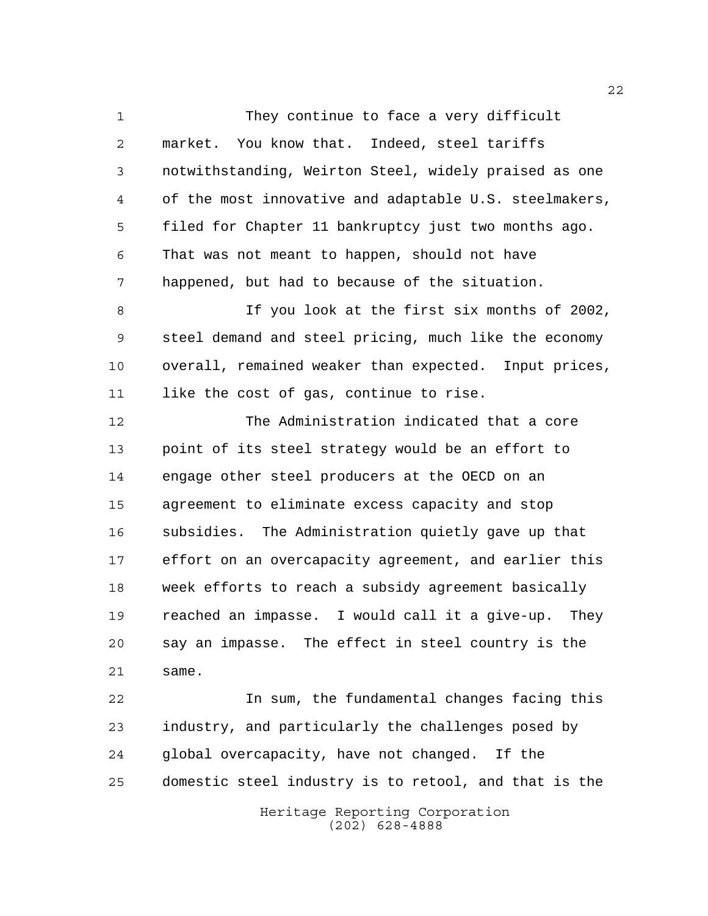They continue to face a very difficult market. You know that. Indeed, steel tariffs notwithstanding, Weirton Steel, widely praised as one of the most innovative and adaptable U.S. steelmakers, filed for Chapter 11 bankruptcy just two months ago. That was not meant to happen, should not have happened, but had to because of the situation.

 If you look at the first six months of 2002, steel demand and steel pricing, much like the economy overall, remained weaker than expected. Input prices, like the cost of gas, continue to rise.

 The Administration indicated that a core point of its steel strategy would be an effort to engage other steel producers at the OECD on an agreement to eliminate excess capacity and stop subsidies. The Administration quietly gave up that effort on an overcapacity agreement, and earlier this week efforts to reach a subsidy agreement basically reached an impasse. I would call it a give-up. They say an impasse. The effect in steel country is the same.

 In sum, the fundamental changes facing this industry, and particularly the challenges posed by global overcapacity, have not changed. If the domestic steel industry is to retool, and that is the

Heritage Reporting Corporation (202) 628-4888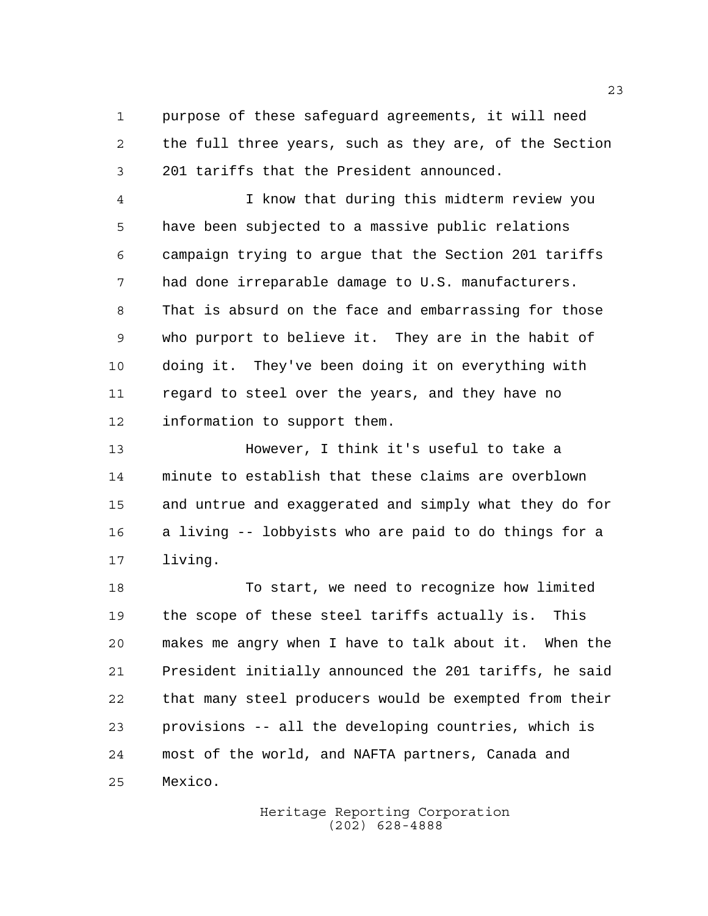purpose of these safeguard agreements, it will need the full three years, such as they are, of the Section 201 tariffs that the President announced.

 I know that during this midterm review you have been subjected to a massive public relations campaign trying to argue that the Section 201 tariffs had done irreparable damage to U.S. manufacturers. That is absurd on the face and embarrassing for those who purport to believe it. They are in the habit of doing it. They've been doing it on everything with regard to steel over the years, and they have no information to support them.

 However, I think it's useful to take a minute to establish that these claims are overblown and untrue and exaggerated and simply what they do for a living -- lobbyists who are paid to do things for a living.

 To start, we need to recognize how limited the scope of these steel tariffs actually is. This makes me angry when I have to talk about it. When the President initially announced the 201 tariffs, he said that many steel producers would be exempted from their provisions -- all the developing countries, which is most of the world, and NAFTA partners, Canada and Mexico.

> Heritage Reporting Corporation (202) 628-4888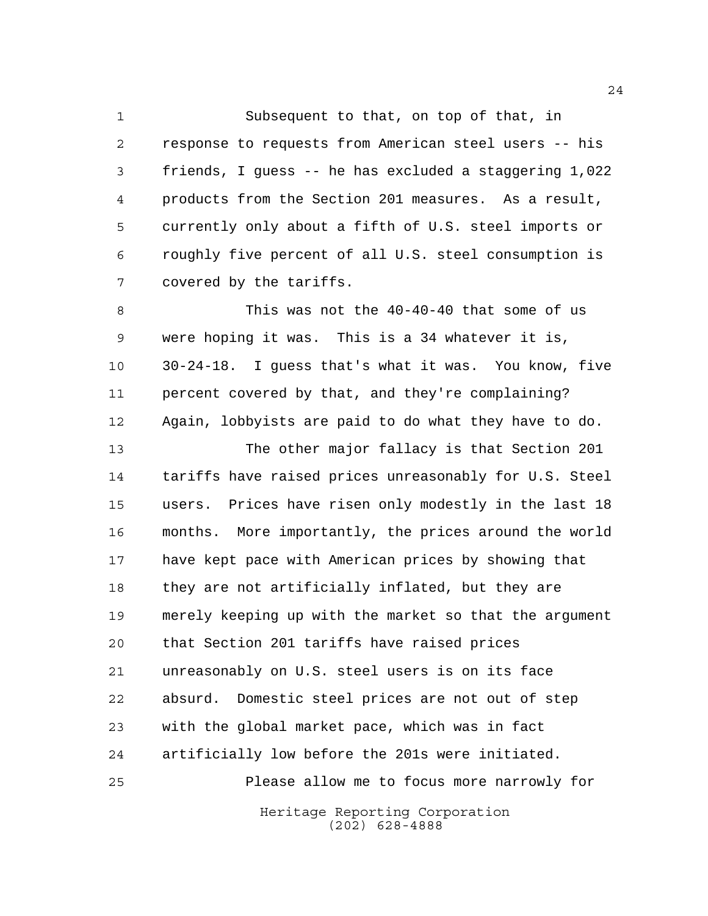Subsequent to that, on top of that, in response to requests from American steel users -- his friends, I guess -- he has excluded a staggering 1,022 products from the Section 201 measures. As a result, currently only about a fifth of U.S. steel imports or roughly five percent of all U.S. steel consumption is covered by the tariffs.

8 This was not the 40-40-40 that some of us were hoping it was. This is a 34 whatever it is, 30-24-18. I guess that's what it was. You know, five percent covered by that, and they're complaining? Again, lobbyists are paid to do what they have to do.

 The other major fallacy is that Section 201 tariffs have raised prices unreasonably for U.S. Steel users. Prices have risen only modestly in the last 18 months. More importantly, the prices around the world have kept pace with American prices by showing that they are not artificially inflated, but they are merely keeping up with the market so that the argument that Section 201 tariffs have raised prices unreasonably on U.S. steel users is on its face absurd. Domestic steel prices are not out of step with the global market pace, which was in fact artificially low before the 201s were initiated. Please allow me to focus more narrowly for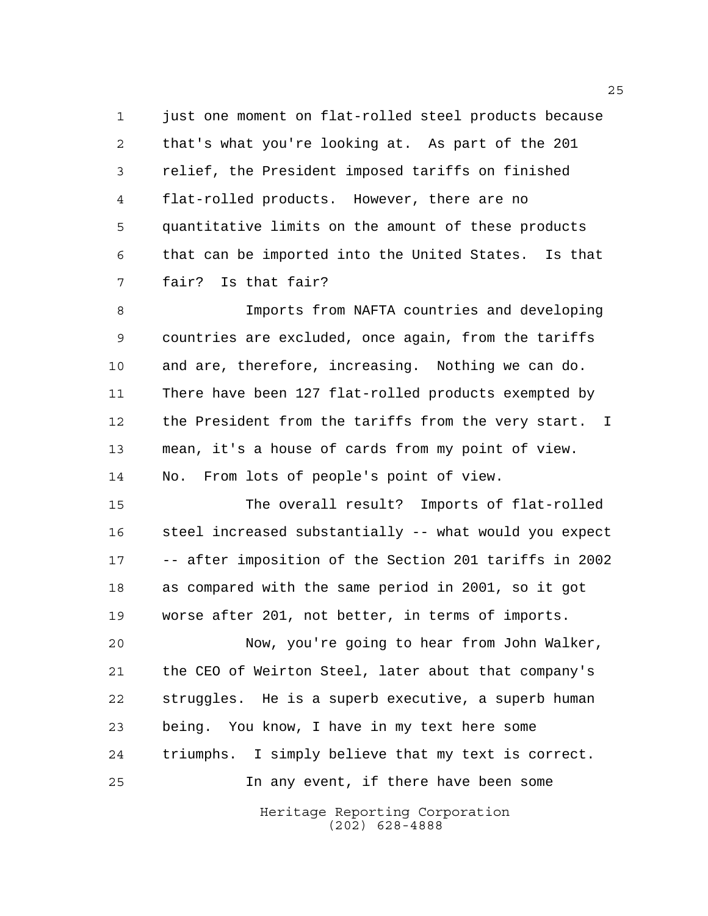1 just one moment on flat-rolled steel products because that's what you're looking at. As part of the 201 relief, the President imposed tariffs on finished flat-rolled products. However, there are no quantitative limits on the amount of these products that can be imported into the United States. Is that fair? Is that fair?

 Imports from NAFTA countries and developing countries are excluded, once again, from the tariffs and are, therefore, increasing. Nothing we can do. There have been 127 flat-rolled products exempted by the President from the tariffs from the very start. I mean, it's a house of cards from my point of view. No. From lots of people's point of view.

 The overall result? Imports of flat-rolled steel increased substantially -- what would you expect -- after imposition of the Section 201 tariffs in 2002 as compared with the same period in 2001, so it got worse after 201, not better, in terms of imports.

 Now, you're going to hear from John Walker, the CEO of Weirton Steel, later about that company's struggles. He is a superb executive, a superb human being. You know, I have in my text here some triumphs. I simply believe that my text is correct. In any event, if there have been some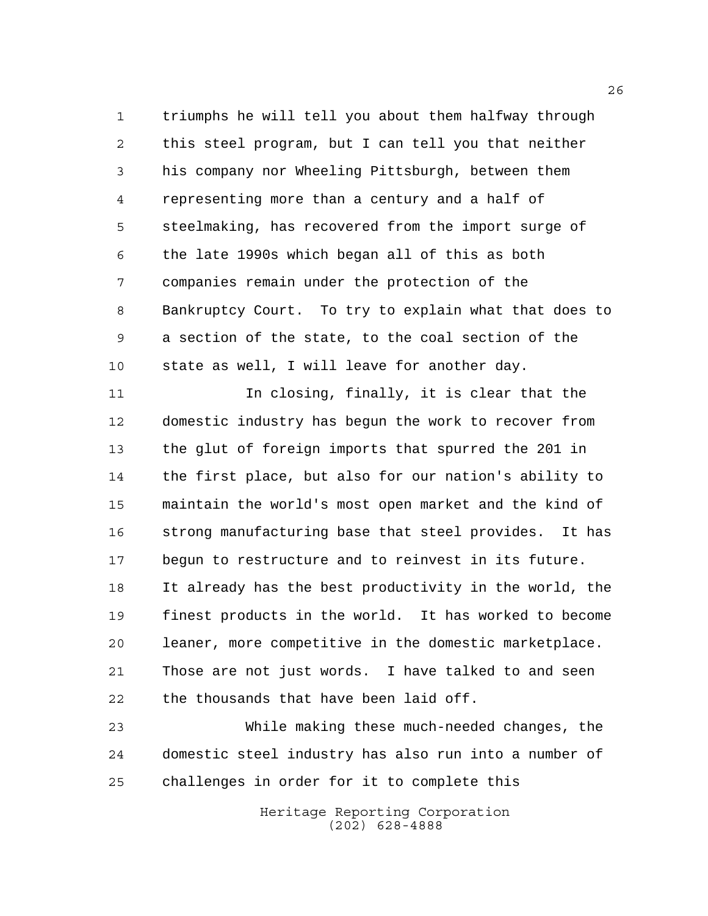triumphs he will tell you about them halfway through this steel program, but I can tell you that neither his company nor Wheeling Pittsburgh, between them representing more than a century and a half of steelmaking, has recovered from the import surge of the late 1990s which began all of this as both companies remain under the protection of the Bankruptcy Court. To try to explain what that does to a section of the state, to the coal section of the state as well, I will leave for another day.

11 In closing, finally, it is clear that the domestic industry has begun the work to recover from the glut of foreign imports that spurred the 201 in the first place, but also for our nation's ability to maintain the world's most open market and the kind of strong manufacturing base that steel provides. It has begun to restructure and to reinvest in its future. It already has the best productivity in the world, the finest products in the world. It has worked to become leaner, more competitive in the domestic marketplace. Those are not just words. I have talked to and seen the thousands that have been laid off.

 While making these much-needed changes, the domestic steel industry has also run into a number of challenges in order for it to complete this

> Heritage Reporting Corporation (202) 628-4888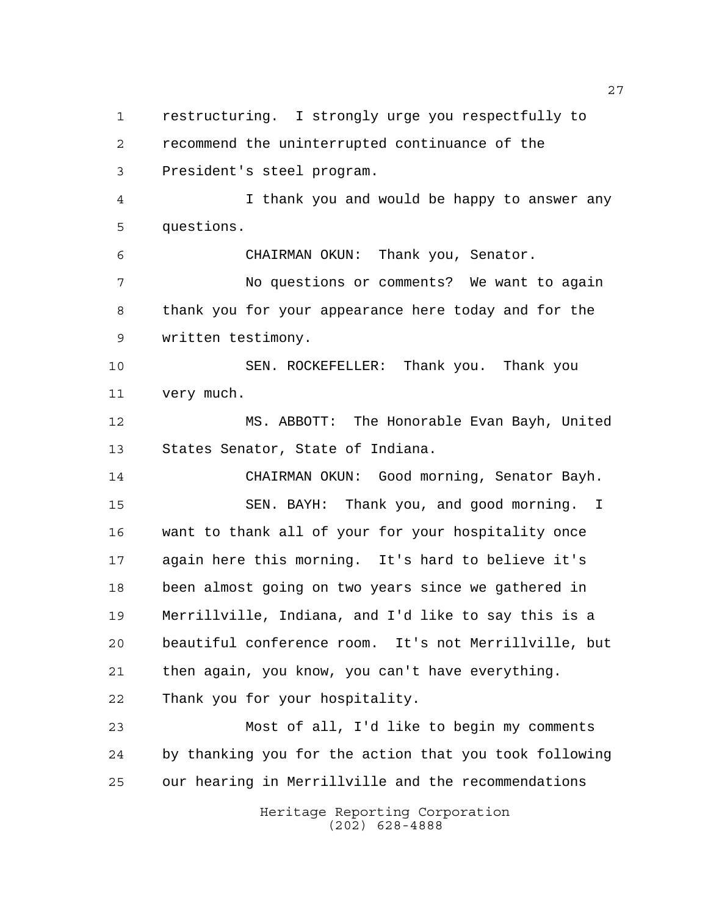Heritage Reporting Corporation (202) 628-4888 restructuring. I strongly urge you respectfully to recommend the uninterrupted continuance of the President's steel program. I thank you and would be happy to answer any questions. CHAIRMAN OKUN: Thank you, Senator. No questions or comments? We want to again thank you for your appearance here today and for the written testimony. SEN. ROCKEFELLER: Thank you. Thank you very much. MS. ABBOTT: The Honorable Evan Bayh, United States Senator, State of Indiana. CHAIRMAN OKUN: Good morning, Senator Bayh. SEN. BAYH: Thank you, and good morning. I want to thank all of your for your hospitality once again here this morning. It's hard to believe it's been almost going on two years since we gathered in Merrillville, Indiana, and I'd like to say this is a beautiful conference room. It's not Merrillville, but then again, you know, you can't have everything. Thank you for your hospitality. Most of all, I'd like to begin my comments by thanking you for the action that you took following our hearing in Merrillville and the recommendations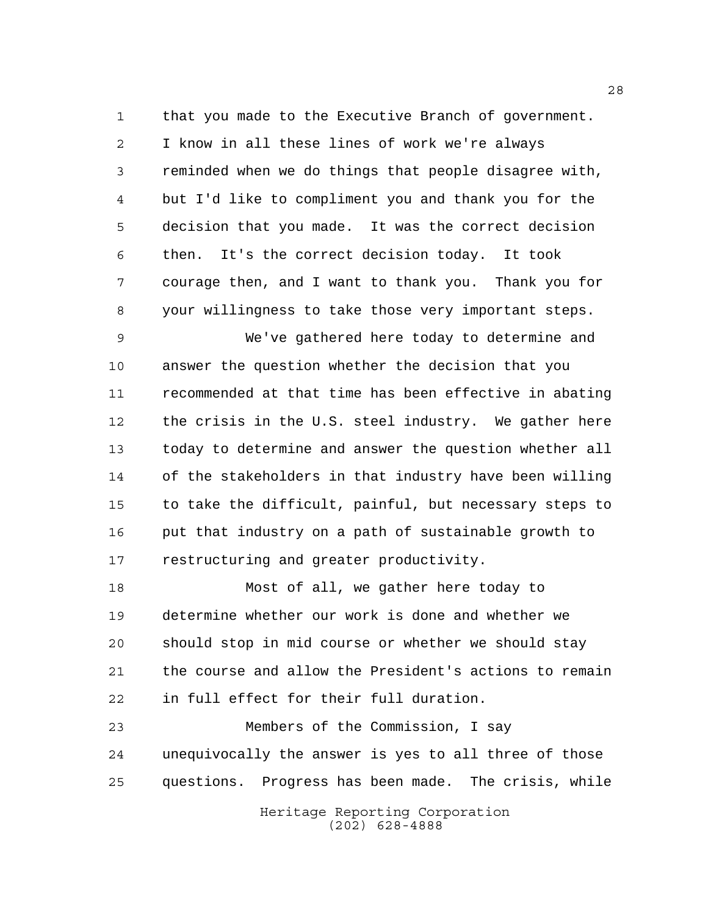that you made to the Executive Branch of government. I know in all these lines of work we're always reminded when we do things that people disagree with, but I'd like to compliment you and thank you for the decision that you made. It was the correct decision then. It's the correct decision today. It took courage then, and I want to thank you. Thank you for your willingness to take those very important steps.

 We've gathered here today to determine and answer the question whether the decision that you recommended at that time has been effective in abating the crisis in the U.S. steel industry. We gather here today to determine and answer the question whether all of the stakeholders in that industry have been willing to take the difficult, painful, but necessary steps to put that industry on a path of sustainable growth to restructuring and greater productivity.

 Most of all, we gather here today to determine whether our work is done and whether we should stop in mid course or whether we should stay the course and allow the President's actions to remain in full effect for their full duration.

 Members of the Commission, I say unequivocally the answer is yes to all three of those questions. Progress has been made. The crisis, while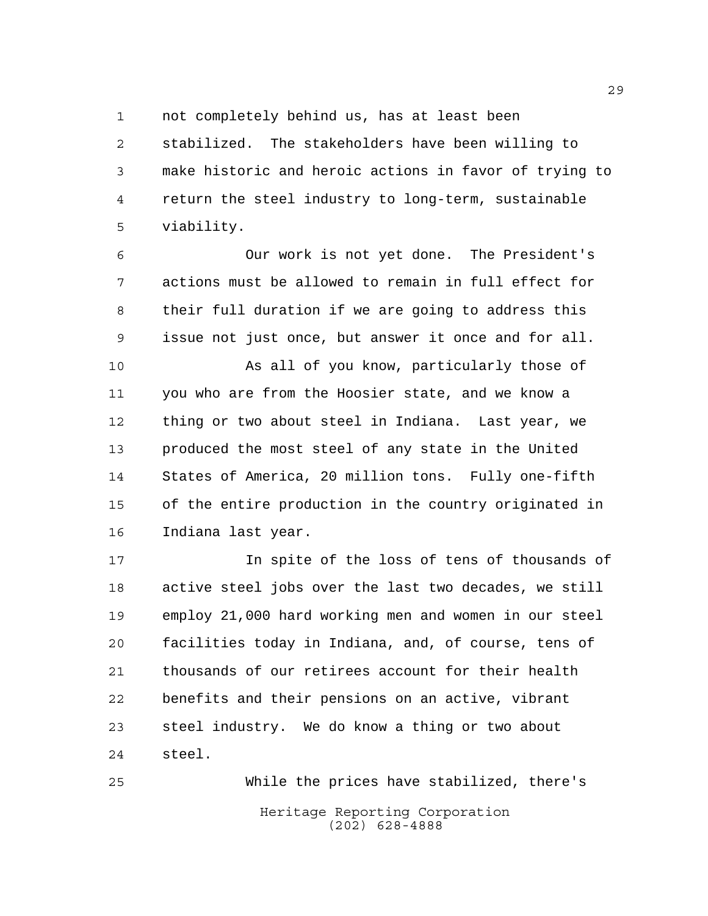not completely behind us, has at least been

 stabilized. The stakeholders have been willing to make historic and heroic actions in favor of trying to return the steel industry to long-term, sustainable viability.

 Our work is not yet done. The President's actions must be allowed to remain in full effect for their full duration if we are going to address this issue not just once, but answer it once and for all.

 As all of you know, particularly those of you who are from the Hoosier state, and we know a thing or two about steel in Indiana. Last year, we produced the most steel of any state in the United States of America, 20 million tons. Fully one-fifth of the entire production in the country originated in Indiana last year.

 In spite of the loss of tens of thousands of active steel jobs over the last two decades, we still employ 21,000 hard working men and women in our steel facilities today in Indiana, and, of course, tens of thousands of our retirees account for their health benefits and their pensions on an active, vibrant steel industry. We do know a thing or two about steel.

Heritage Reporting Corporation (202) 628-4888 While the prices have stabilized, there's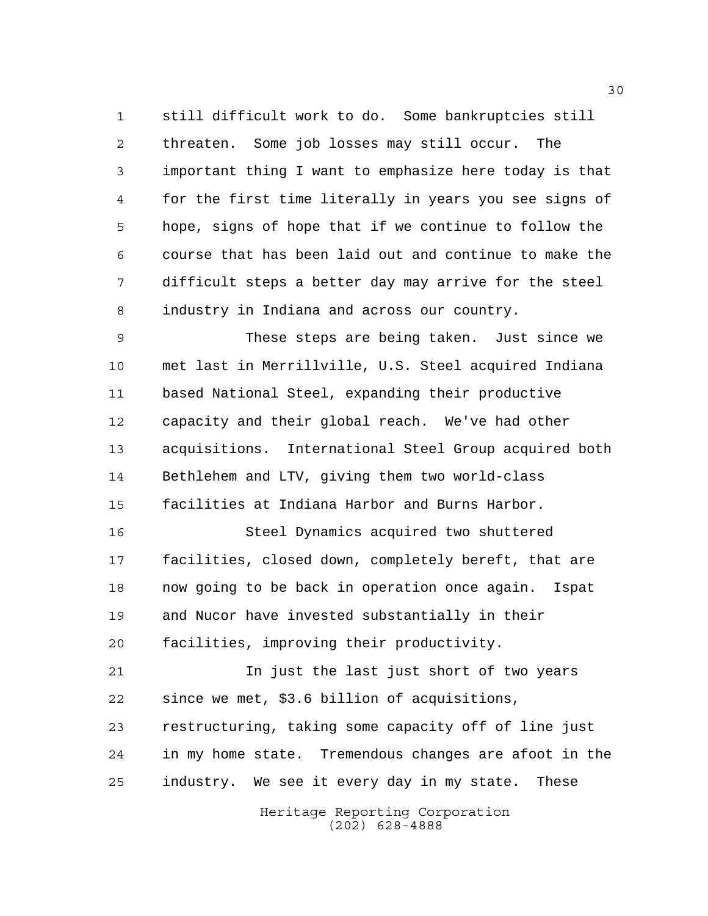still difficult work to do. Some bankruptcies still threaten. Some job losses may still occur. The important thing I want to emphasize here today is that for the first time literally in years you see signs of hope, signs of hope that if we continue to follow the course that has been laid out and continue to make the difficult steps a better day may arrive for the steel industry in Indiana and across our country.

 These steps are being taken. Just since we met last in Merrillville, U.S. Steel acquired Indiana based National Steel, expanding their productive capacity and their global reach. We've had other acquisitions. International Steel Group acquired both Bethlehem and LTV, giving them two world-class facilities at Indiana Harbor and Burns Harbor.

 Steel Dynamics acquired two shuttered facilities, closed down, completely bereft, that are now going to be back in operation once again. Ispat and Nucor have invested substantially in their facilities, improving their productivity.

 In just the last just short of two years since we met, \$3.6 billion of acquisitions, restructuring, taking some capacity off of line just in my home state. Tremendous changes are afoot in the

industry. We see it every day in my state. These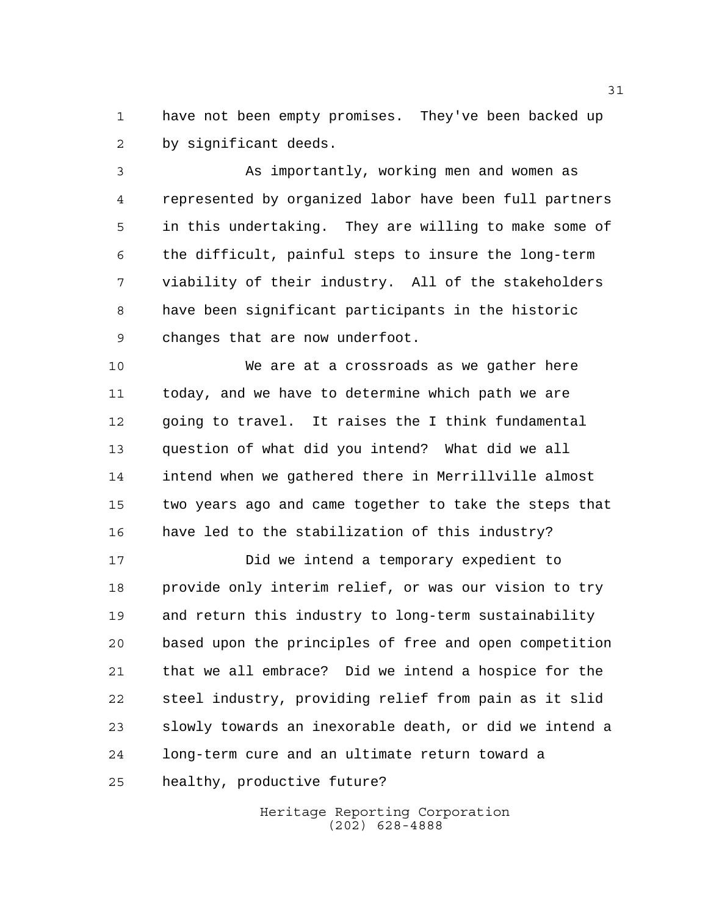have not been empty promises. They've been backed up by significant deeds.

 As importantly, working men and women as represented by organized labor have been full partners in this undertaking. They are willing to make some of the difficult, painful steps to insure the long-term viability of their industry. All of the stakeholders have been significant participants in the historic changes that are now underfoot.

 We are at a crossroads as we gather here today, and we have to determine which path we are going to travel. It raises the I think fundamental question of what did you intend? What did we all intend when we gathered there in Merrillville almost two years ago and came together to take the steps that have led to the stabilization of this industry?

 Did we intend a temporary expedient to provide only interim relief, or was our vision to try and return this industry to long-term sustainability based upon the principles of free and open competition that we all embrace? Did we intend a hospice for the steel industry, providing relief from pain as it slid slowly towards an inexorable death, or did we intend a long-term cure and an ultimate return toward a healthy, productive future?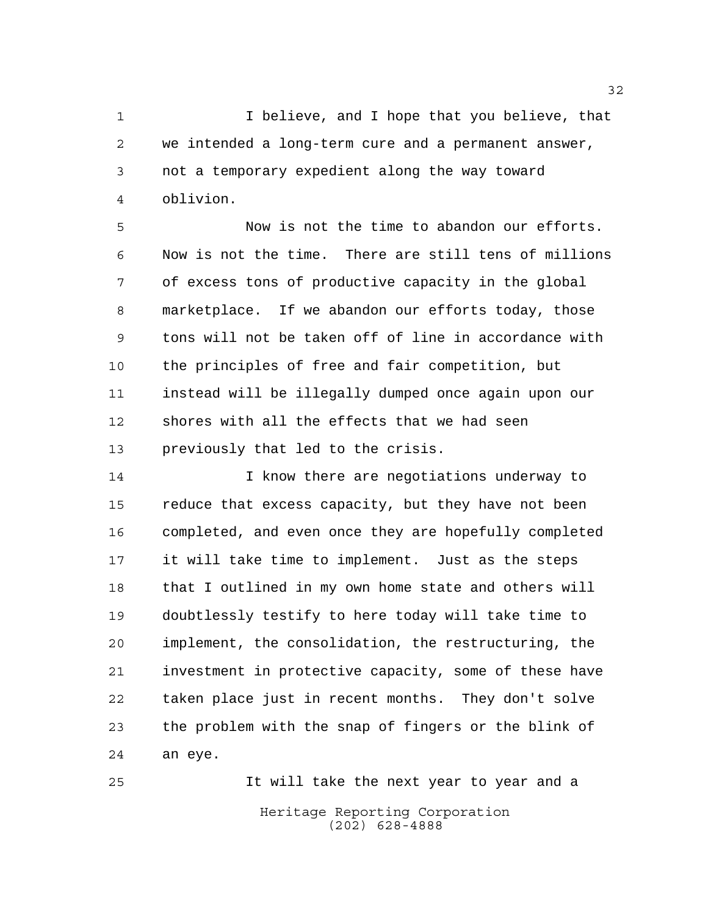I believe, and I hope that you believe, that we intended a long-term cure and a permanent answer, not a temporary expedient along the way toward oblivion.

 Now is not the time to abandon our efforts. Now is not the time. There are still tens of millions of excess tons of productive capacity in the global marketplace. If we abandon our efforts today, those tons will not be taken off of line in accordance with the principles of free and fair competition, but instead will be illegally dumped once again upon our shores with all the effects that we had seen previously that led to the crisis.

 I know there are negotiations underway to reduce that excess capacity, but they have not been completed, and even once they are hopefully completed it will take time to implement. Just as the steps 18 that I outlined in my own home state and others will doubtlessly testify to here today will take time to implement, the consolidation, the restructuring, the investment in protective capacity, some of these have taken place just in recent months. They don't solve the problem with the snap of fingers or the blink of an eye.

Heritage Reporting Corporation (202) 628-4888 It will take the next year to year and a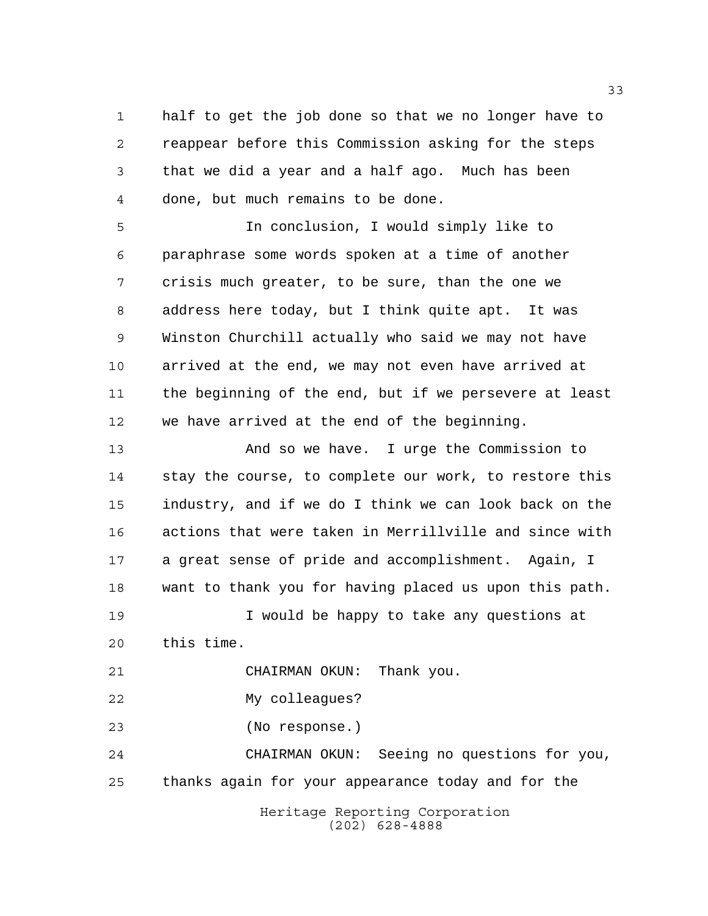half to get the job done so that we no longer have to reappear before this Commission asking for the steps that we did a year and a half ago. Much has been done, but much remains to be done.

 In conclusion, I would simply like to paraphrase some words spoken at a time of another crisis much greater, to be sure, than the one we address here today, but I think quite apt. It was Winston Churchill actually who said we may not have arrived at the end, we may not even have arrived at the beginning of the end, but if we persevere at least we have arrived at the end of the beginning.

 And so we have. I urge the Commission to stay the course, to complete our work, to restore this industry, and if we do I think we can look back on the actions that were taken in Merrillville and since with a great sense of pride and accomplishment. Again, I want to thank you for having placed us upon this path. 19 19 I would be happy to take any questions at this time. CHAIRMAN OKUN: Thank you. My colleagues?

(No response.)

 CHAIRMAN OKUN: Seeing no questions for you, thanks again for your appearance today and for the

> Heritage Reporting Corporation (202) 628-4888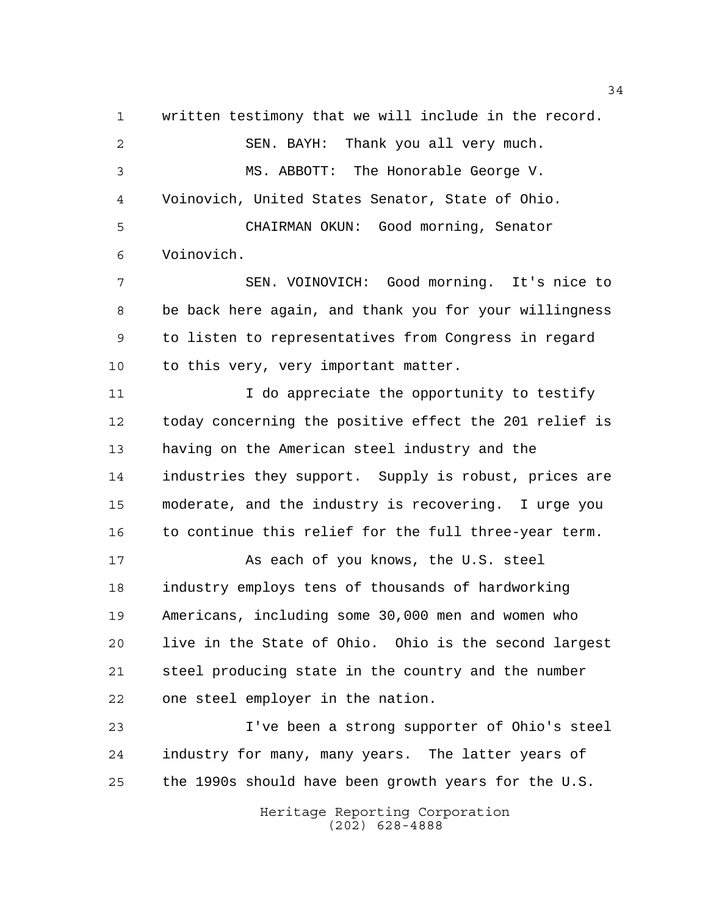written testimony that we will include in the record. SEN. BAYH: Thank you all very much. MS. ABBOTT: The Honorable George V. Voinovich, United States Senator, State of Ohio. CHAIRMAN OKUN: Good morning, Senator Voinovich. SEN. VOINOVICH: Good morning. It's nice to be back here again, and thank you for your willingness to listen to representatives from Congress in regard 10 to this very, very important matter. 11 12 I do appreciate the opportunity to testify

 today concerning the positive effect the 201 relief is having on the American steel industry and the industries they support. Supply is robust, prices are moderate, and the industry is recovering. I urge you to continue this relief for the full three-year term.

17 As each of you knows, the U.S. steel industry employs tens of thousands of hardworking Americans, including some 30,000 men and women who live in the State of Ohio. Ohio is the second largest steel producing state in the country and the number one steel employer in the nation.

 I've been a strong supporter of Ohio's steel industry for many, many years. The latter years of the 1990s should have been growth years for the U.S.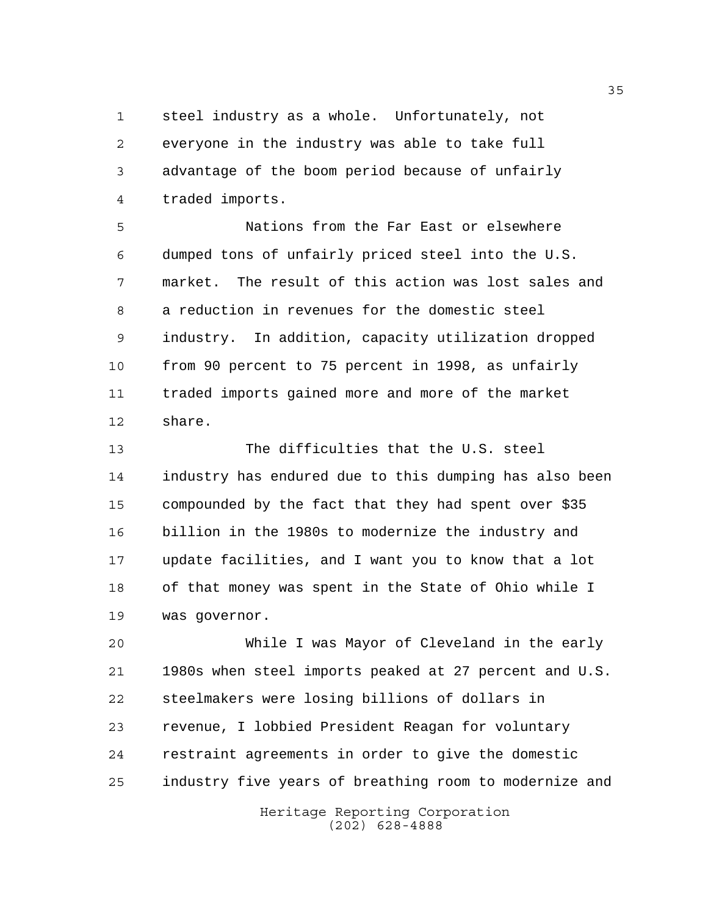steel industry as a whole. Unfortunately, not everyone in the industry was able to take full advantage of the boom period because of unfairly traded imports.

 Nations from the Far East or elsewhere dumped tons of unfairly priced steel into the U.S. market. The result of this action was lost sales and a reduction in revenues for the domestic steel industry. In addition, capacity utilization dropped from 90 percent to 75 percent in 1998, as unfairly traded imports gained more and more of the market share.

 The difficulties that the U.S. steel industry has endured due to this dumping has also been compounded by the fact that they had spent over \$35 billion in the 1980s to modernize the industry and update facilities, and I want you to know that a lot of that money was spent in the State of Ohio while I was governor.

 While I was Mayor of Cleveland in the early 1980s when steel imports peaked at 27 percent and U.S. steelmakers were losing billions of dollars in revenue, I lobbied President Reagan for voluntary restraint agreements in order to give the domestic industry five years of breathing room to modernize and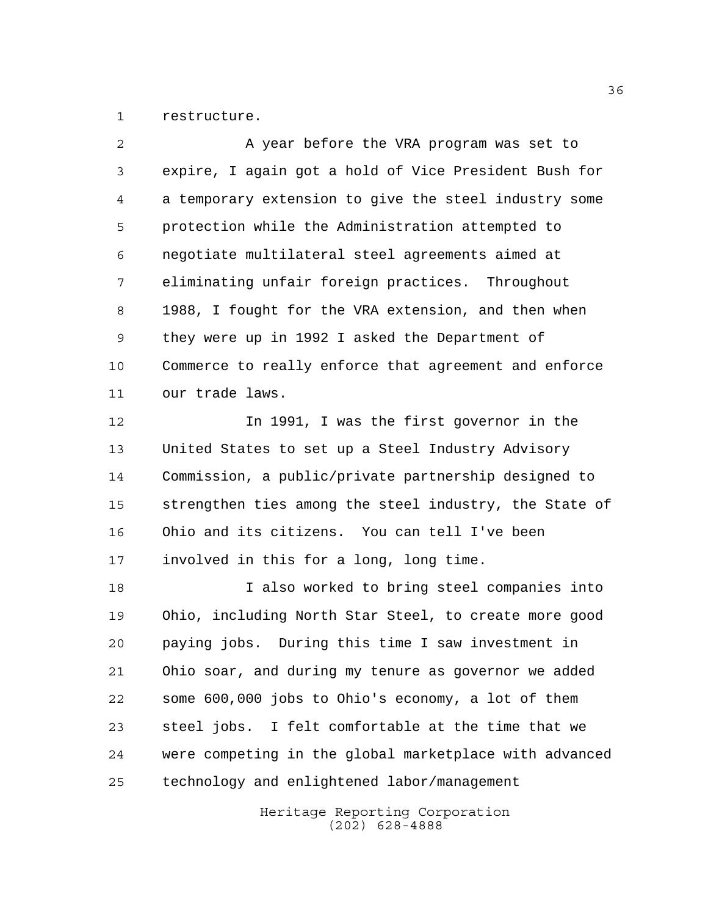restructure.

| A year before the VRA program was set to               |
|--------------------------------------------------------|
| expire, I again got a hold of Vice President Bush for  |
| a temporary extension to give the steel industry some  |
| protection while the Administration attempted to       |
| negotiate multilateral steel agreements aimed at       |
| eliminating unfair foreign practices. Throughout       |
| 1988, I fought for the VRA extension, and then when    |
| they were up in 1992 I asked the Department of         |
| Commerce to really enforce that agreement and enforce  |
| our trade laws.                                        |
| In 1991, I was the first governor in the               |
| United States to set up a Steel Industry Advisory      |
| Commission, a public/private partnership designed to   |
| strengthen ties among the steel industry, the State of |
| Ohio and its citizens. You can tell I've been          |
| involved in this for a long, long time.                |
| I also worked to bring steel companies into            |
| Ohio, including North Star Steel, to create more good  |
| paying jobs. During this time I saw investment in      |
| Ohio soar, and during my tenure as governor we added   |
| some 600,000 jobs to Ohio's economy, a lot of them     |
| steel jobs. I felt comfortable at the time that we     |
| were competing in the global marketplace with advanced |
|                                                        |

technology and enlightened labor/management

Heritage Reporting Corporation (202) 628-4888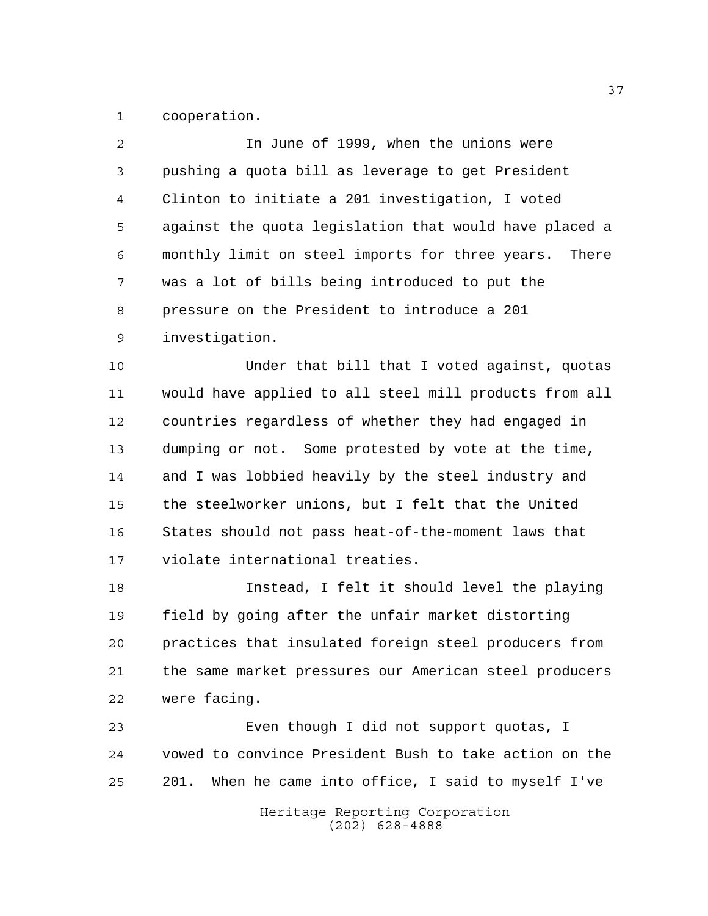cooperation.

| $\overline{a}$ | In June of 1999, when the unions were                    |
|----------------|----------------------------------------------------------|
| 3              | pushing a quota bill as leverage to get President        |
| 4              | Clinton to initiate a 201 investigation, I voted         |
| 5              | against the quota legislation that would have placed a   |
| 6              | monthly limit on steel imports for three years.<br>There |
| 7              | was a lot of bills being introduced to put the           |
| 8              | pressure on the President to introduce a 201             |
| 9              | investigation.                                           |
| 10             | Under that bill that I voted against, quotas             |
| 11             | would have applied to all steel mill products from all   |
| 12             | countries regardless of whether they had engaged in      |
| 13             | dumping or not. Some protested by vote at the time,      |
| 14             | and I was lobbied heavily by the steel industry and      |
| 15             | the steelworker unions, but I felt that the United       |
| 16             | States should not pass heat-of-the-moment laws that      |
| 17             | violate international treaties.                          |
| 18             | Instead, I felt it should level the playing              |
| 19             | field by going after the unfair market distorting        |
| 20             | practices that insulated foreign steel producers from    |
| 21             | the same market pressures our American steel producers   |
|                |                                                          |

were facing.

 Even though I did not support quotas, I vowed to convince President Bush to take action on the 201. When he came into office, I said to myself I've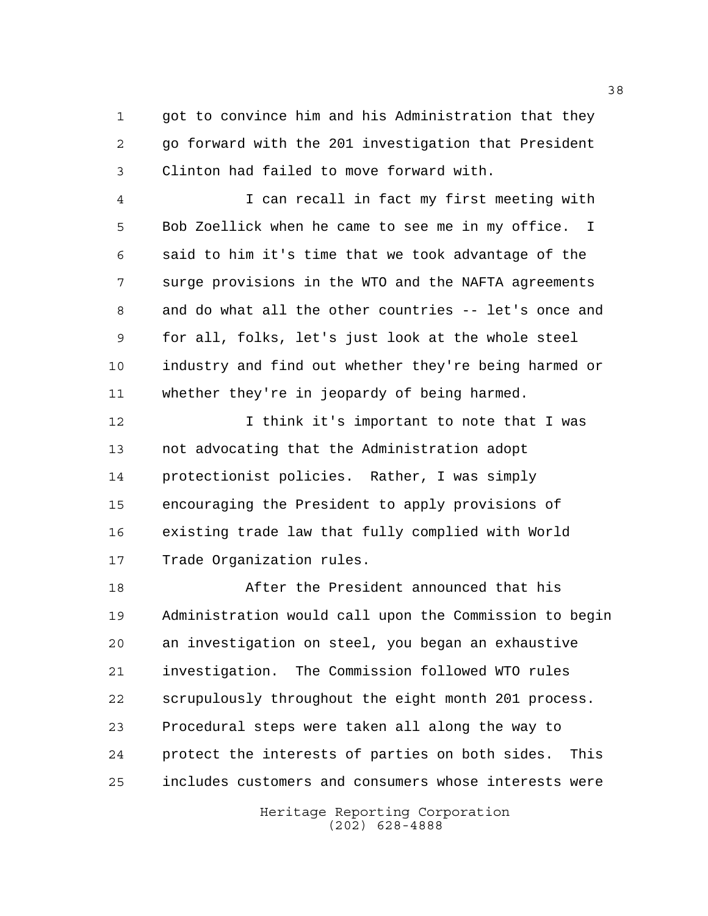1 got to convince him and his Administration that they go forward with the 201 investigation that President Clinton had failed to move forward with.

 I can recall in fact my first meeting with Bob Zoellick when he came to see me in my office. I said to him it's time that we took advantage of the surge provisions in the WTO and the NAFTA agreements and do what all the other countries -- let's once and for all, folks, let's just look at the whole steel industry and find out whether they're being harmed or whether they're in jeopardy of being harmed.

 I think it's important to note that I was not advocating that the Administration adopt protectionist policies. Rather, I was simply encouraging the President to apply provisions of existing trade law that fully complied with World Trade Organization rules.

 After the President announced that his Administration would call upon the Commission to begin an investigation on steel, you began an exhaustive investigation. The Commission followed WTO rules scrupulously throughout the eight month 201 process. Procedural steps were taken all along the way to protect the interests of parties on both sides. This includes customers and consumers whose interests were

> Heritage Reporting Corporation (202) 628-4888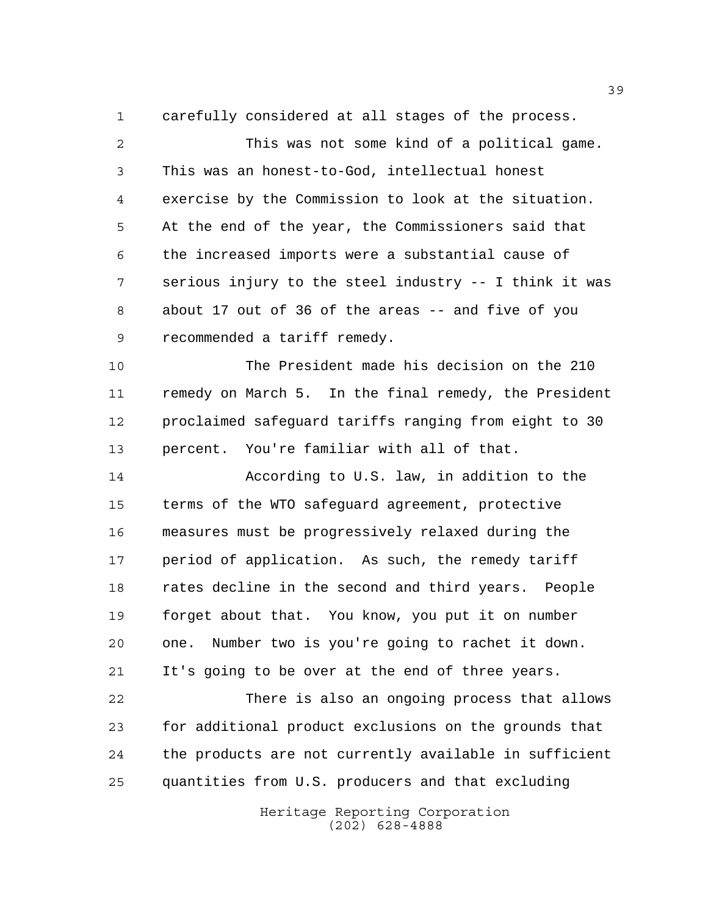carefully considered at all stages of the process.

 This was not some kind of a political game. This was an honest-to-God, intellectual honest exercise by the Commission to look at the situation. At the end of the year, the Commissioners said that the increased imports were a substantial cause of serious injury to the steel industry -- I think it was about 17 out of 36 of the areas -- and five of you recommended a tariff remedy.

 The President made his decision on the 210 remedy on March 5. In the final remedy, the President proclaimed safeguard tariffs ranging from eight to 30 percent. You're familiar with all of that.

 According to U.S. law, in addition to the terms of the WTO safeguard agreement, protective measures must be progressively relaxed during the period of application. As such, the remedy tariff rates decline in the second and third years. People forget about that. You know, you put it on number one. Number two is you're going to rachet it down. It's going to be over at the end of three years.

 There is also an ongoing process that allows for additional product exclusions on the grounds that the products are not currently available in sufficient quantities from U.S. producers and that excluding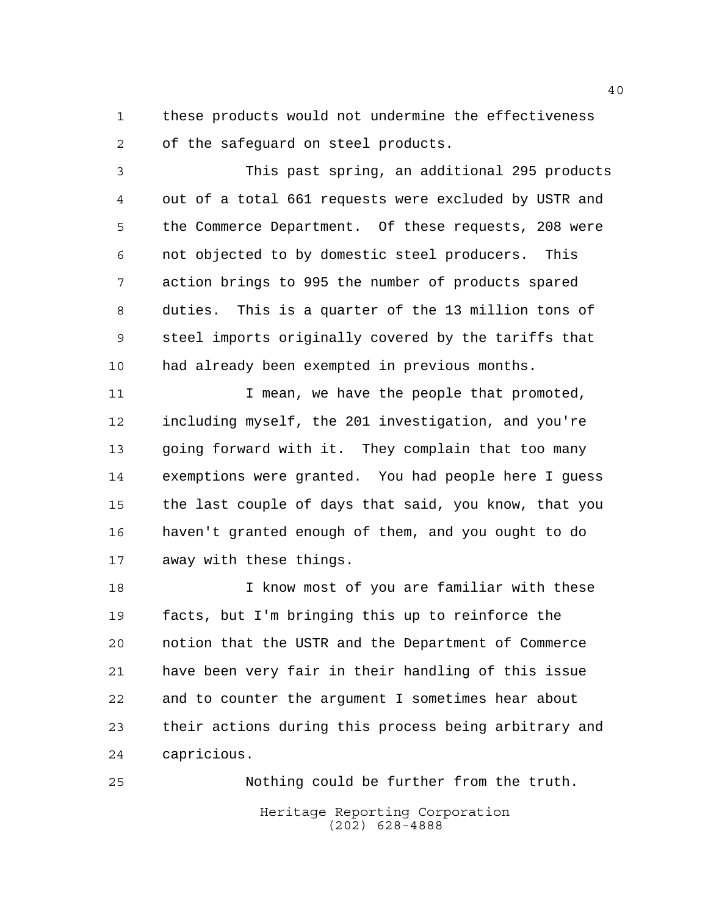these products would not undermine the effectiveness of the safeguard on steel products.

 This past spring, an additional 295 products out of a total 661 requests were excluded by USTR and the Commerce Department. Of these requests, 208 were not objected to by domestic steel producers. This action brings to 995 the number of products spared duties. This is a quarter of the 13 million tons of steel imports originally covered by the tariffs that had already been exempted in previous months.

11 1 I mean, we have the people that promoted, including myself, the 201 investigation, and you're going forward with it. They complain that too many exemptions were granted. You had people here I guess the last couple of days that said, you know, that you haven't granted enough of them, and you ought to do away with these things.

 I know most of you are familiar with these facts, but I'm bringing this up to reinforce the notion that the USTR and the Department of Commerce have been very fair in their handling of this issue and to counter the argument I sometimes hear about their actions during this process being arbitrary and capricious.

Heritage Reporting Corporation (202) 628-4888 Nothing could be further from the truth.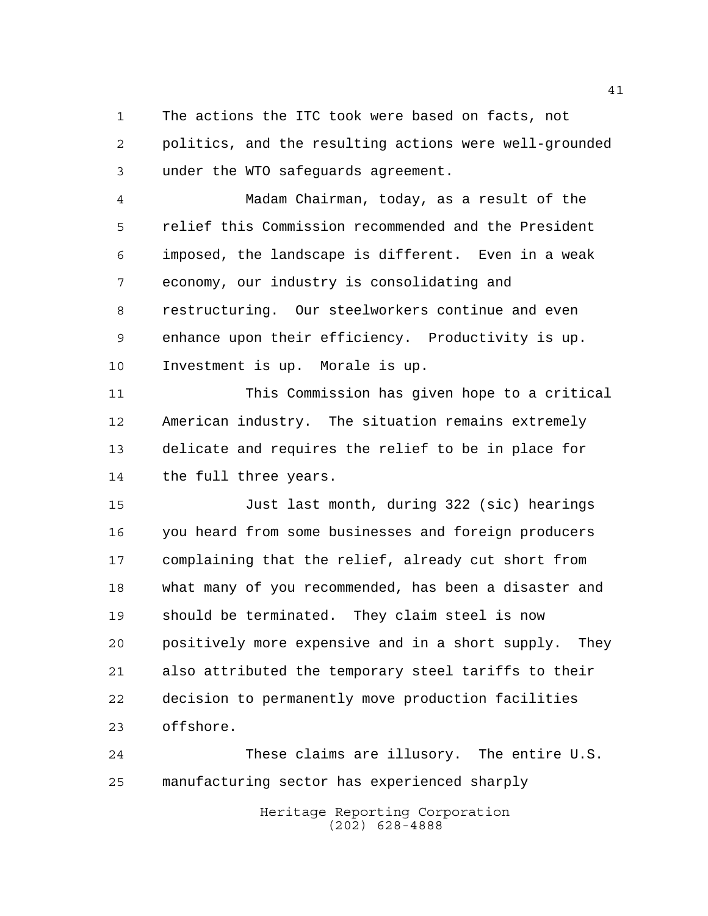The actions the ITC took were based on facts, not politics, and the resulting actions were well-grounded under the WTO safeguards agreement.

 Madam Chairman, today, as a result of the relief this Commission recommended and the President imposed, the landscape is different. Even in a weak economy, our industry is consolidating and restructuring. Our steelworkers continue and even enhance upon their efficiency. Productivity is up. Investment is up. Morale is up.

 This Commission has given hope to a critical American industry. The situation remains extremely delicate and requires the relief to be in place for 14 the full three years.

 Just last month, during 322 (sic) hearings you heard from some businesses and foreign producers complaining that the relief, already cut short from what many of you recommended, has been a disaster and should be terminated. They claim steel is now positively more expensive and in a short supply. They also attributed the temporary steel tariffs to their decision to permanently move production facilities offshore.

 These claims are illusory. The entire U.S. manufacturing sector has experienced sharply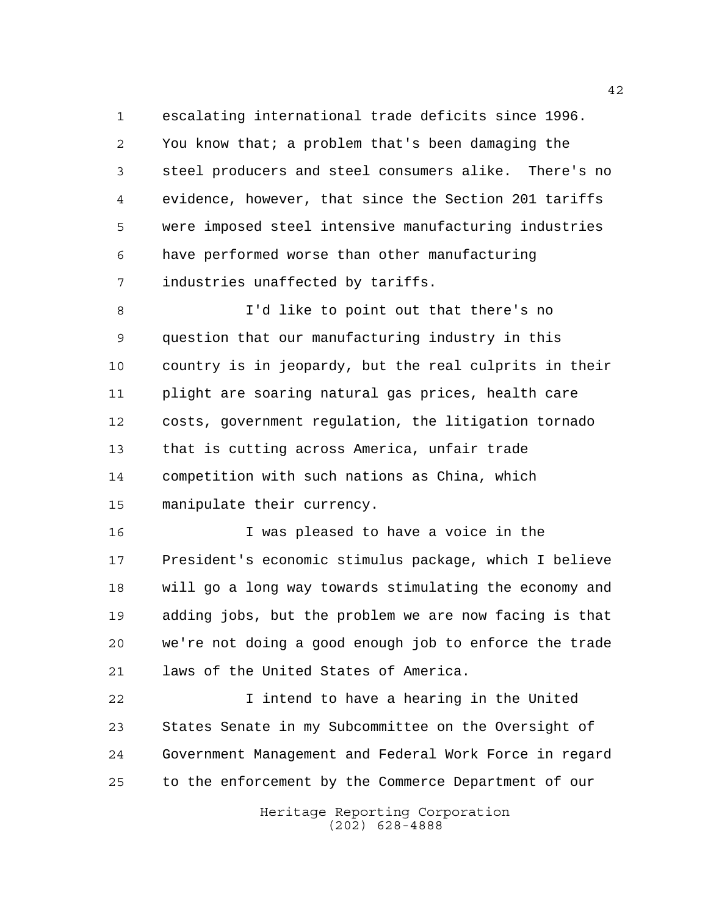escalating international trade deficits since 1996. You know that; a problem that's been damaging the steel producers and steel consumers alike. There's no evidence, however, that since the Section 201 tariffs were imposed steel intensive manufacturing industries have performed worse than other manufacturing industries unaffected by tariffs.

 I'd like to point out that there's no question that our manufacturing industry in this country is in jeopardy, but the real culprits in their plight are soaring natural gas prices, health care costs, government regulation, the litigation tornado that is cutting across America, unfair trade competition with such nations as China, which manipulate their currency.

 I was pleased to have a voice in the President's economic stimulus package, which I believe will go a long way towards stimulating the economy and adding jobs, but the problem we are now facing is that we're not doing a good enough job to enforce the trade laws of the United States of America.

 I intend to have a hearing in the United States Senate in my Subcommittee on the Oversight of Government Management and Federal Work Force in regard to the enforcement by the Commerce Department of our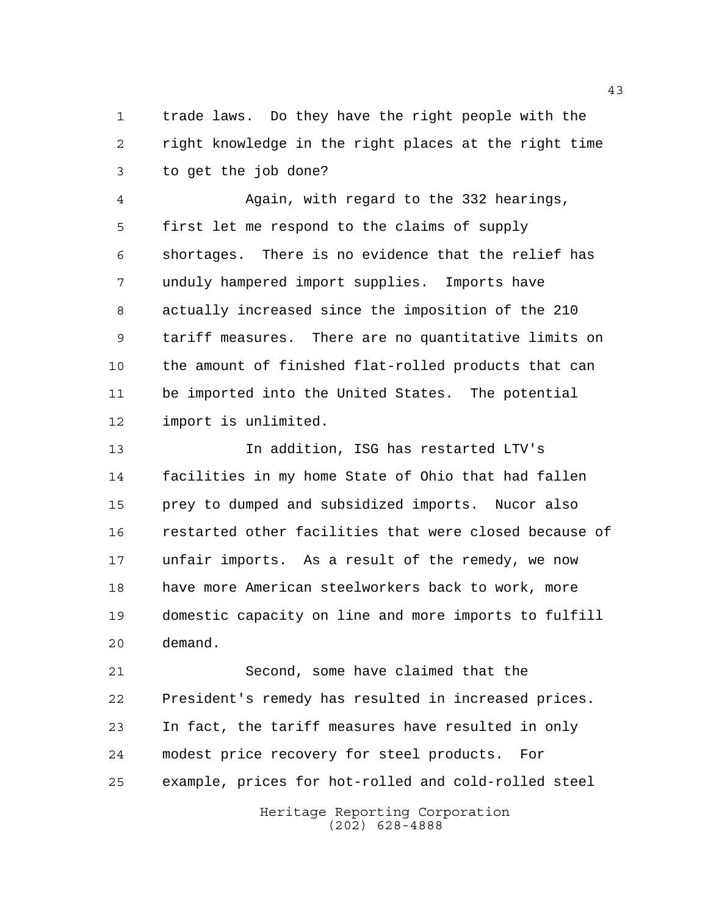trade laws. Do they have the right people with the right knowledge in the right places at the right time to get the job done?

 Again, with regard to the 332 hearings, first let me respond to the claims of supply shortages. There is no evidence that the relief has unduly hampered import supplies. Imports have actually increased since the imposition of the 210 tariff measures. There are no quantitative limits on the amount of finished flat-rolled products that can be imported into the United States. The potential import is unlimited.

 In addition, ISG has restarted LTV's facilities in my home State of Ohio that had fallen prey to dumped and subsidized imports. Nucor also restarted other facilities that were closed because of unfair imports. As a result of the remedy, we now have more American steelworkers back to work, more domestic capacity on line and more imports to fulfill demand.

 Second, some have claimed that the President's remedy has resulted in increased prices. In fact, the tariff measures have resulted in only modest price recovery for steel products. For example, prices for hot-rolled and cold-rolled steel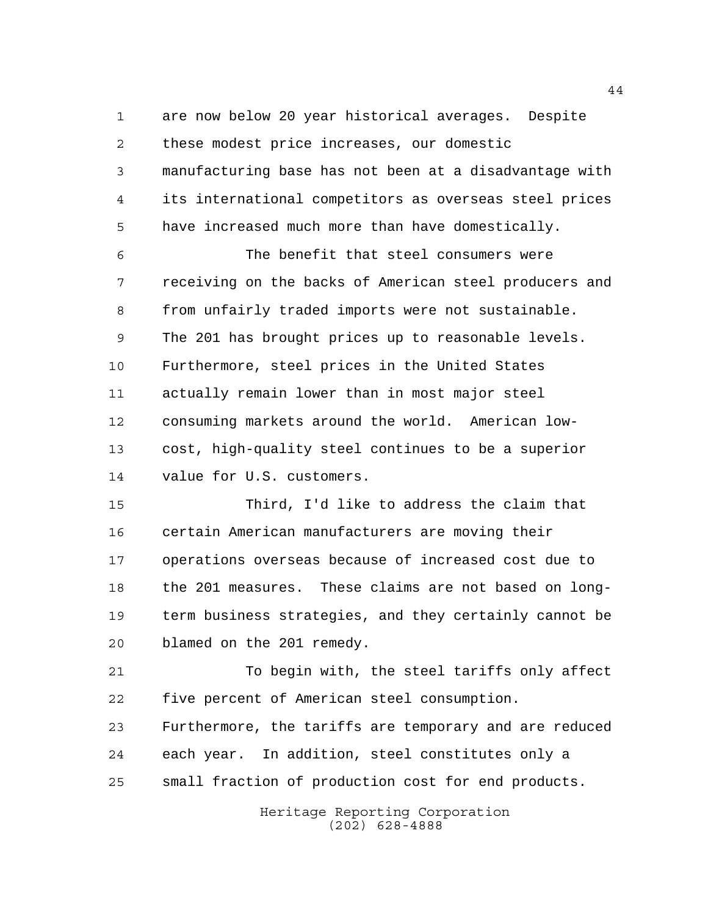are now below 20 year historical averages. Despite these modest price increases, our domestic manufacturing base has not been at a disadvantage with its international competitors as overseas steel prices have increased much more than have domestically.

 The benefit that steel consumers were receiving on the backs of American steel producers and from unfairly traded imports were not sustainable. The 201 has brought prices up to reasonable levels. Furthermore, steel prices in the United States actually remain lower than in most major steel consuming markets around the world. American low- cost, high-quality steel continues to be a superior value for U.S. customers.

 Third, I'd like to address the claim that certain American manufacturers are moving their operations overseas because of increased cost due to the 201 measures. These claims are not based on long- term business strategies, and they certainly cannot be blamed on the 201 remedy.

 To begin with, the steel tariffs only affect five percent of American steel consumption.

 Furthermore, the tariffs are temporary and are reduced each year. In addition, steel constitutes only a small fraction of production cost for end products.

> Heritage Reporting Corporation (202) 628-4888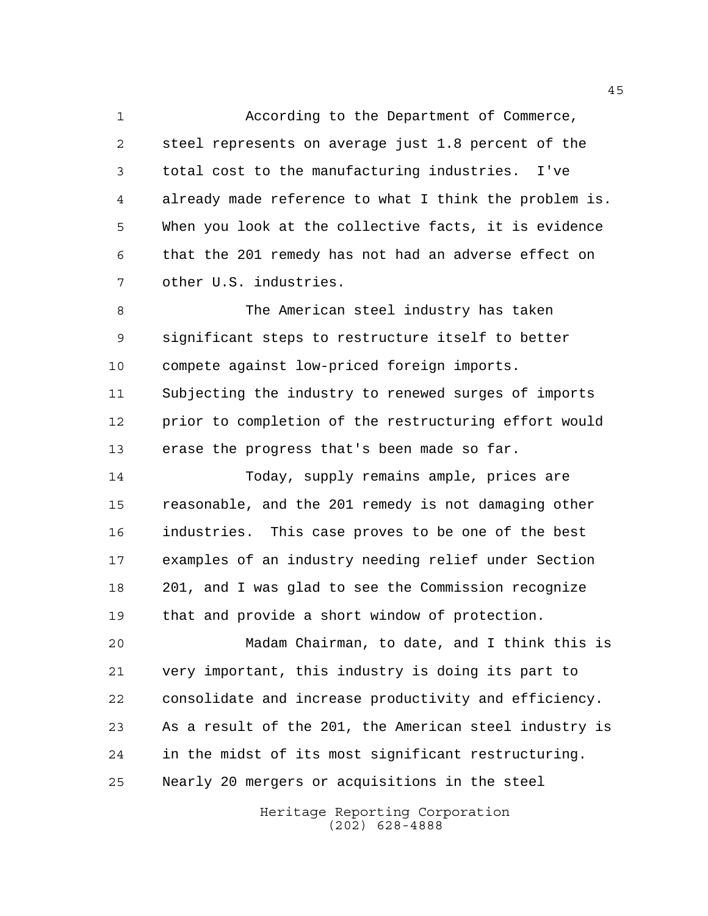According to the Department of Commerce, steel represents on average just 1.8 percent of the total cost to the manufacturing industries. I've already made reference to what I think the problem is. When you look at the collective facts, it is evidence that the 201 remedy has not had an adverse effect on other U.S. industries.

 The American steel industry has taken significant steps to restructure itself to better compete against low-priced foreign imports. Subjecting the industry to renewed surges of imports prior to completion of the restructuring effort would erase the progress that's been made so far.

 Today, supply remains ample, prices are reasonable, and the 201 remedy is not damaging other industries. This case proves to be one of the best examples of an industry needing relief under Section 201, and I was glad to see the Commission recognize that and provide a short window of protection.

 Madam Chairman, to date, and I think this is very important, this industry is doing its part to consolidate and increase productivity and efficiency. As a result of the 201, the American steel industry is in the midst of its most significant restructuring. Nearly 20 mergers or acquisitions in the steel

> Heritage Reporting Corporation (202) 628-4888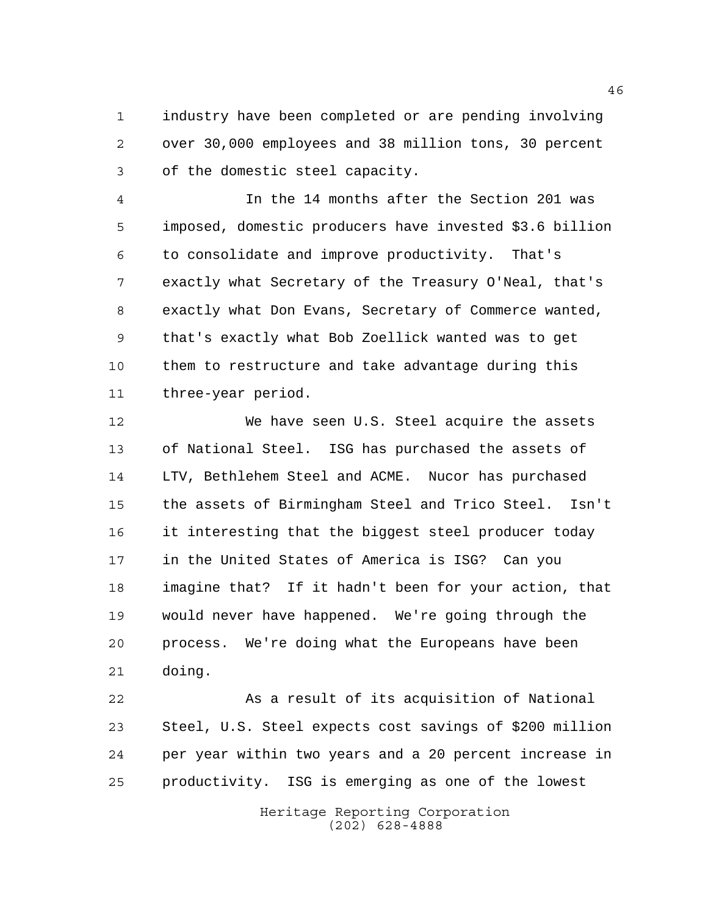industry have been completed or are pending involving over 30,000 employees and 38 million tons, 30 percent of the domestic steel capacity.

 In the 14 months after the Section 201 was imposed, domestic producers have invested \$3.6 billion to consolidate and improve productivity. That's exactly what Secretary of the Treasury O'Neal, that's exactly what Don Evans, Secretary of Commerce wanted, that's exactly what Bob Zoellick wanted was to get them to restructure and take advantage during this three-year period.

 We have seen U.S. Steel acquire the assets of National Steel. ISG has purchased the assets of LTV, Bethlehem Steel and ACME. Nucor has purchased the assets of Birmingham Steel and Trico Steel. Isn't it interesting that the biggest steel producer today in the United States of America is ISG? Can you imagine that? If it hadn't been for your action, that would never have happened. We're going through the process. We're doing what the Europeans have been doing.

 As a result of its acquisition of National Steel, U.S. Steel expects cost savings of \$200 million per year within two years and a 20 percent increase in productivity. ISG is emerging as one of the lowest

> Heritage Reporting Corporation (202) 628-4888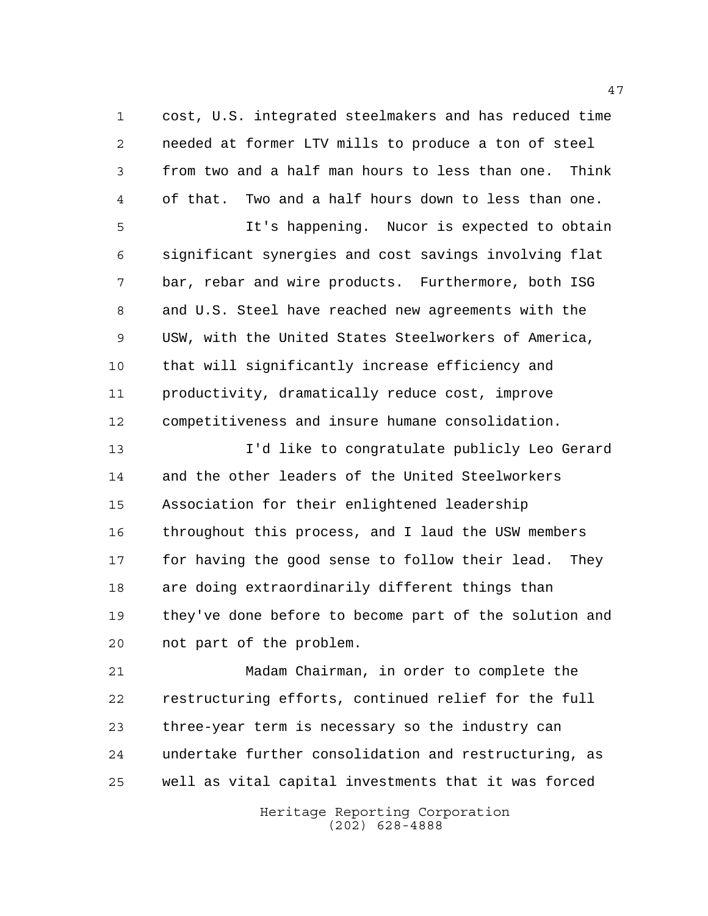cost, U.S. integrated steelmakers and has reduced time needed at former LTV mills to produce a ton of steel from two and a half man hours to less than one. Think of that. Two and a half hours down to less than one.

 It's happening. Nucor is expected to obtain significant synergies and cost savings involving flat bar, rebar and wire products. Furthermore, both ISG and U.S. Steel have reached new agreements with the USW, with the United States Steelworkers of America, that will significantly increase efficiency and productivity, dramatically reduce cost, improve competitiveness and insure humane consolidation.

 I'd like to congratulate publicly Leo Gerard and the other leaders of the United Steelworkers Association for their enlightened leadership throughout this process, and I laud the USW members for having the good sense to follow their lead. They are doing extraordinarily different things than they've done before to become part of the solution and not part of the problem.

 Madam Chairman, in order to complete the restructuring efforts, continued relief for the full three-year term is necessary so the industry can undertake further consolidation and restructuring, as well as vital capital investments that it was forced

> Heritage Reporting Corporation (202) 628-4888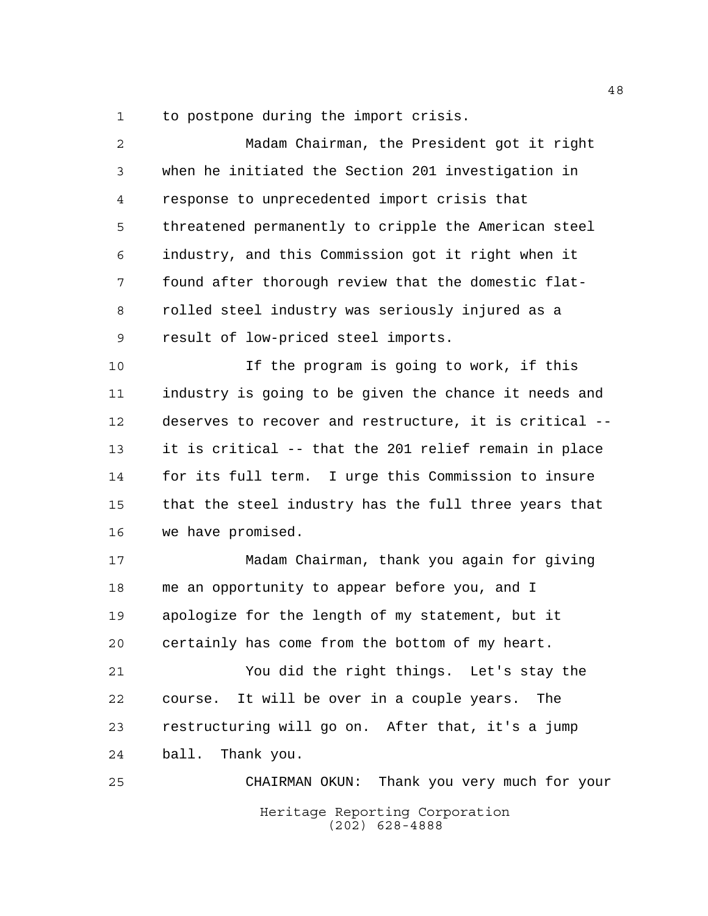to postpone during the import crisis.

| $\overline{a}$ | Madam Chairman, the President got it right             |
|----------------|--------------------------------------------------------|
| 3              | when he initiated the Section 201 investigation in     |
| 4              | response to unprecedented import crisis that           |
| 5              | threatened permanently to cripple the American steel   |
| 6              | industry, and this Commission got it right when it     |
| 7              | found after thorough review that the domestic flat-    |
| 8              | rolled steel industry was seriously injured as a       |
| 9              | result of low-priced steel imports.                    |
| 10             | If the program is going to work, if this               |
| 11             | industry is going to be given the chance it needs and  |
| 12             | deserves to recover and restructure, it is critical -- |
| 13             | it is critical -- that the 201 relief remain in place  |
| 14             | for its full term. I urge this Commission to insure    |
| 15             | that the steel industry has the full three years that  |
| 16             | we have promised.                                      |
| 17             | Madam Chairman, thank you again for giving             |
| 18             | me an opportunity to appear before you, and I          |
| 19             | apologize for the length of my statement, but it       |
| 20             | certainly has come from the bottom of my heart.        |
| 21             | You did the right things. Let's stay the               |
| 22             | course. It will be over in a couple years. The         |
| 23             | restructuring will go on. After that, it's a jump      |
| 24             | ball. Thank you.                                       |
| 25             | CHAIRMAN OKUN: Thank you very much for your            |
|                | Heritage Reporting Corporation<br>$(202)$ 628-4888     |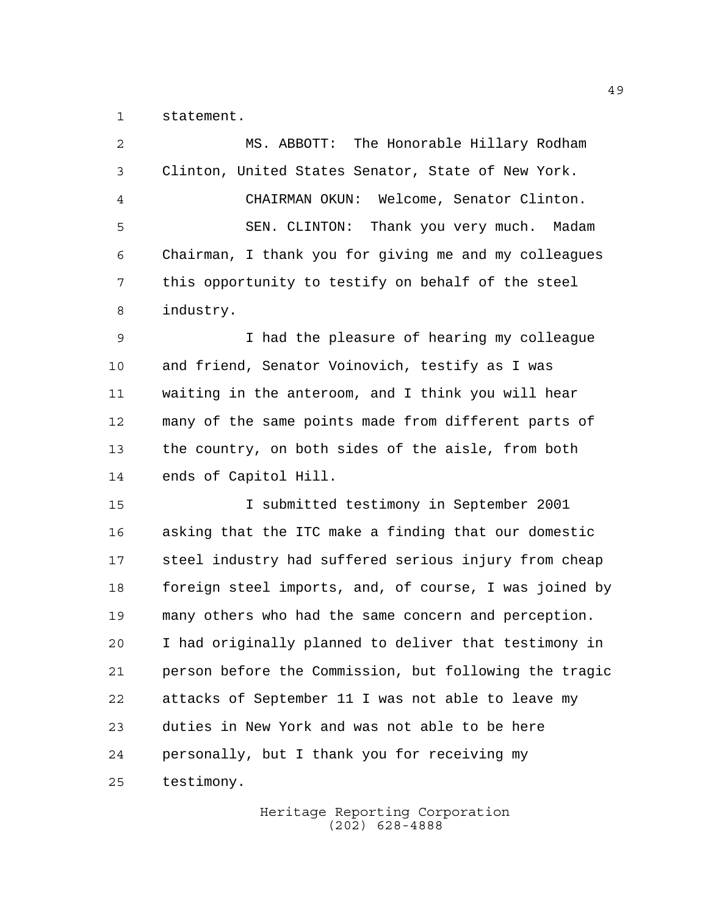statement.

| 2  | MS. ABBOTT: The Honorable Hillary Rodham               |
|----|--------------------------------------------------------|
| 3  | Clinton, United States Senator, State of New York.     |
| 4  | CHAIRMAN OKUN: Welcome, Senator Clinton.               |
| 5  | SEN. CLINTON: Thank you very much. Madam               |
| 6  | Chairman, I thank you for giving me and my colleagues  |
| 7  | this opportunity to testify on behalf of the steel     |
| 8  | industry.                                              |
| 9  | I had the pleasure of hearing my colleague             |
| 10 | and friend, Senator Voinovich, testify as I was        |
| 11 | waiting in the anteroom, and I think you will hear     |
| 12 | many of the same points made from different parts of   |
| 13 | the country, on both sides of the aisle, from both     |
| 14 | ends of Capitol Hill.                                  |
| 15 | I submitted testimony in September 2001                |
| 16 | asking that the ITC make a finding that our domestic   |
| 17 | steel industry had suffered serious injury from cheap  |
| 18 | foreign steel imports, and, of course, I was joined by |
| 19 | many others who had the same concern and perception.   |
| 20 | I had originally planned to deliver that testimony in  |
| 21 | person before the Commission, but following the tragic |
| 22 | attacks of September 11 I was not able to leave my     |
| 23 | duties in New York and was not able to be here         |
| 24 | personally, but I thank you for receiving my           |
| 25 | testimony.                                             |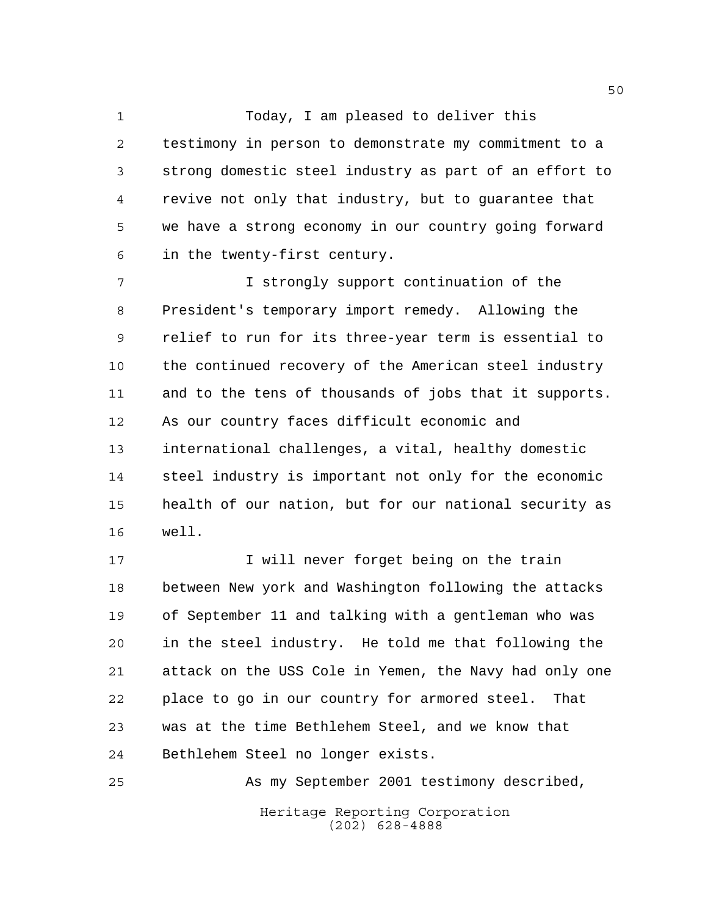1 Today, I am pleased to deliver this testimony in person to demonstrate my commitment to a strong domestic steel industry as part of an effort to revive not only that industry, but to guarantee that we have a strong economy in our country going forward in the twenty-first century.

 I strongly support continuation of the President's temporary import remedy. Allowing the relief to run for its three-year term is essential to the continued recovery of the American steel industry and to the tens of thousands of jobs that it supports. As our country faces difficult economic and international challenges, a vital, healthy domestic steel industry is important not only for the economic health of our nation, but for our national security as well.

17 17 I will never forget being on the train between New york and Washington following the attacks of September 11 and talking with a gentleman who was in the steel industry. He told me that following the attack on the USS Cole in Yemen, the Navy had only one place to go in our country for armored steel. That was at the time Bethlehem Steel, and we know that Bethlehem Steel no longer exists.

Heritage Reporting Corporation (202) 628-4888 As my September 2001 testimony described,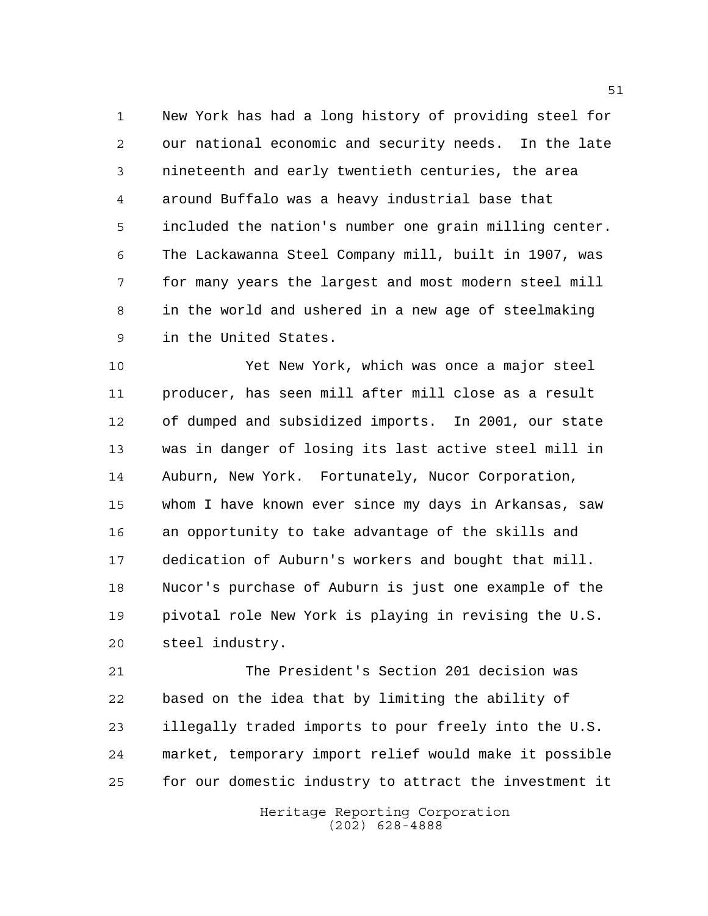New York has had a long history of providing steel for our national economic and security needs. In the late nineteenth and early twentieth centuries, the area around Buffalo was a heavy industrial base that included the nation's number one grain milling center. The Lackawanna Steel Company mill, built in 1907, was for many years the largest and most modern steel mill in the world and ushered in a new age of steelmaking in the United States.

 Yet New York, which was once a major steel producer, has seen mill after mill close as a result of dumped and subsidized imports. In 2001, our state was in danger of losing its last active steel mill in Auburn, New York. Fortunately, Nucor Corporation, whom I have known ever since my days in Arkansas, saw an opportunity to take advantage of the skills and dedication of Auburn's workers and bought that mill. Nucor's purchase of Auburn is just one example of the pivotal role New York is playing in revising the U.S. steel industry.

 The President's Section 201 decision was based on the idea that by limiting the ability of illegally traded imports to pour freely into the U.S. market, temporary import relief would make it possible for our domestic industry to attract the investment it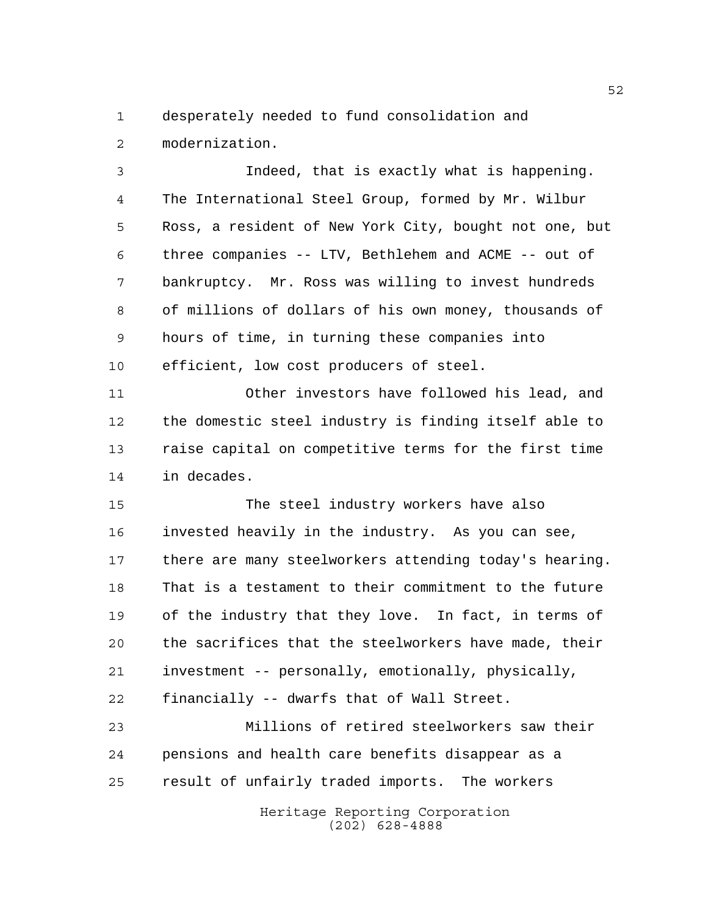desperately needed to fund consolidation and modernization.

 Indeed, that is exactly what is happening. The International Steel Group, formed by Mr. Wilbur Ross, a resident of New York City, bought not one, but three companies -- LTV, Bethlehem and ACME -- out of bankruptcy. Mr. Ross was willing to invest hundreds of millions of dollars of his own money, thousands of hours of time, in turning these companies into efficient, low cost producers of steel.

 Other investors have followed his lead, and the domestic steel industry is finding itself able to raise capital on competitive terms for the first time in decades.

 The steel industry workers have also invested heavily in the industry. As you can see, there are many steelworkers attending today's hearing. That is a testament to their commitment to the future of the industry that they love. In fact, in terms of the sacrifices that the steelworkers have made, their investment -- personally, emotionally, physically, financially -- dwarfs that of Wall Street.

 Millions of retired steelworkers saw their pensions and health care benefits disappear as a result of unfairly traded imports. The workers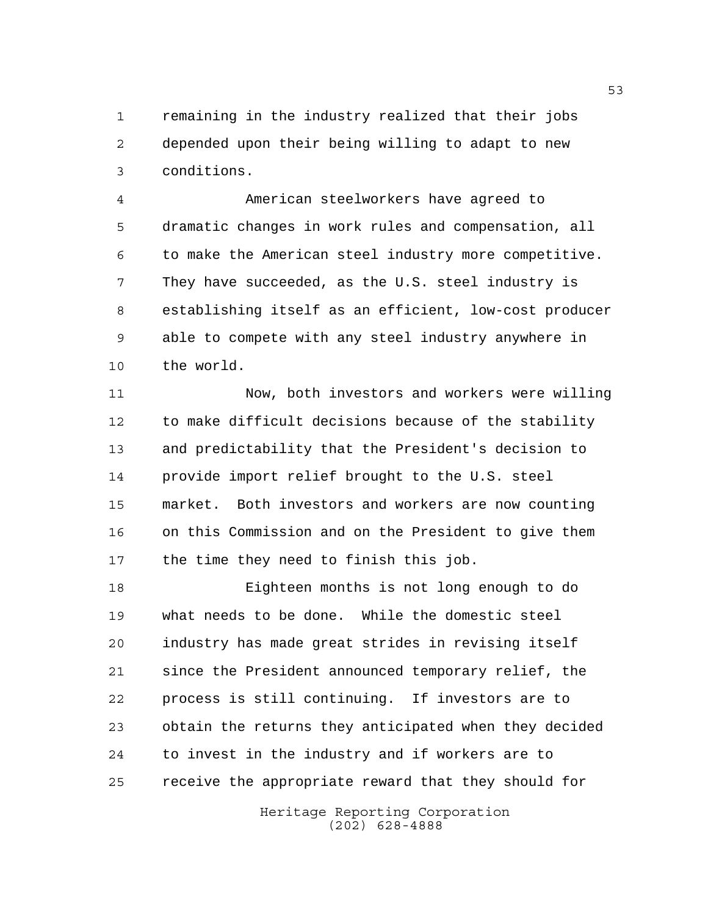remaining in the industry realized that their jobs depended upon their being willing to adapt to new conditions.

 American steelworkers have agreed to dramatic changes in work rules and compensation, all to make the American steel industry more competitive. They have succeeded, as the U.S. steel industry is establishing itself as an efficient, low-cost producer able to compete with any steel industry anywhere in the world.

 Now, both investors and workers were willing to make difficult decisions because of the stability and predictability that the President's decision to provide import relief brought to the U.S. steel market. Both investors and workers are now counting on this Commission and on the President to give them 17 the time they need to finish this job.

 Eighteen months is not long enough to do what needs to be done. While the domestic steel industry has made great strides in revising itself since the President announced temporary relief, the process is still continuing. If investors are to obtain the returns they anticipated when they decided to invest in the industry and if workers are to receive the appropriate reward that they should for

> Heritage Reporting Corporation (202) 628-4888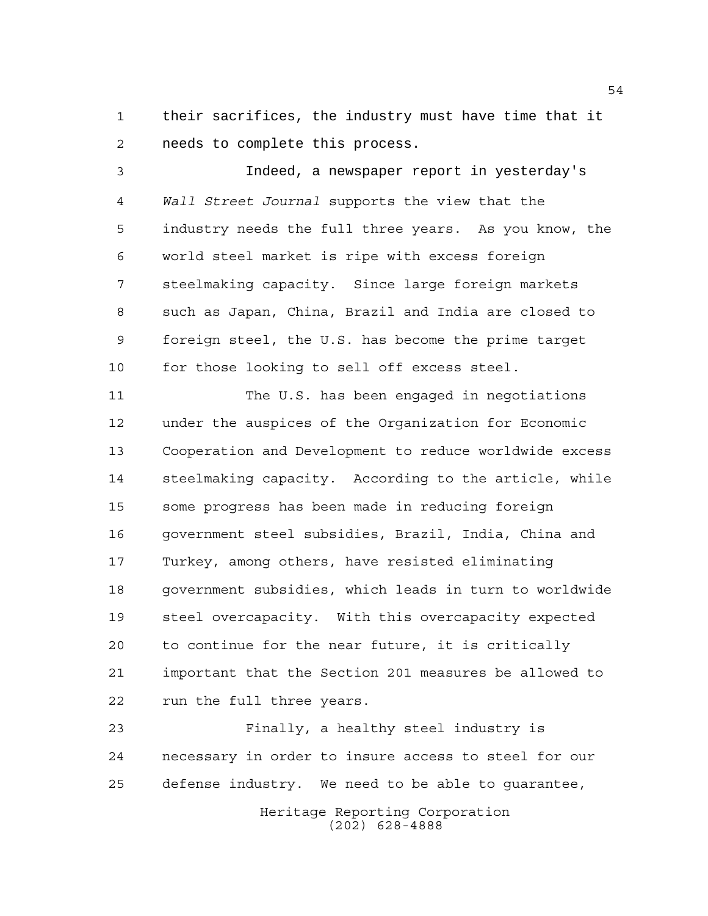their sacrifices, the industry must have time that it needs to complete this process.

 Indeed, a newspaper report in yesterday's *Wall Street Journal* supports the view that the industry needs the full three years. As you know, the world steel market is ripe with excess foreign steelmaking capacity. Since large foreign markets such as Japan, China, Brazil and India are closed to foreign steel, the U.S. has become the prime target for those looking to sell off excess steel.

 The U.S. has been engaged in negotiations under the auspices of the Organization for Economic Cooperation and Development to reduce worldwide excess steelmaking capacity. According to the article, while some progress has been made in reducing foreign government steel subsidies, Brazil, India, China and Turkey, among others, have resisted eliminating government subsidies, which leads in turn to worldwide steel overcapacity. With this overcapacity expected to continue for the near future, it is critically important that the Section 201 measures be allowed to run the full three years.

 Finally, a healthy steel industry is necessary in order to insure access to steel for our defense industry. We need to be able to guarantee,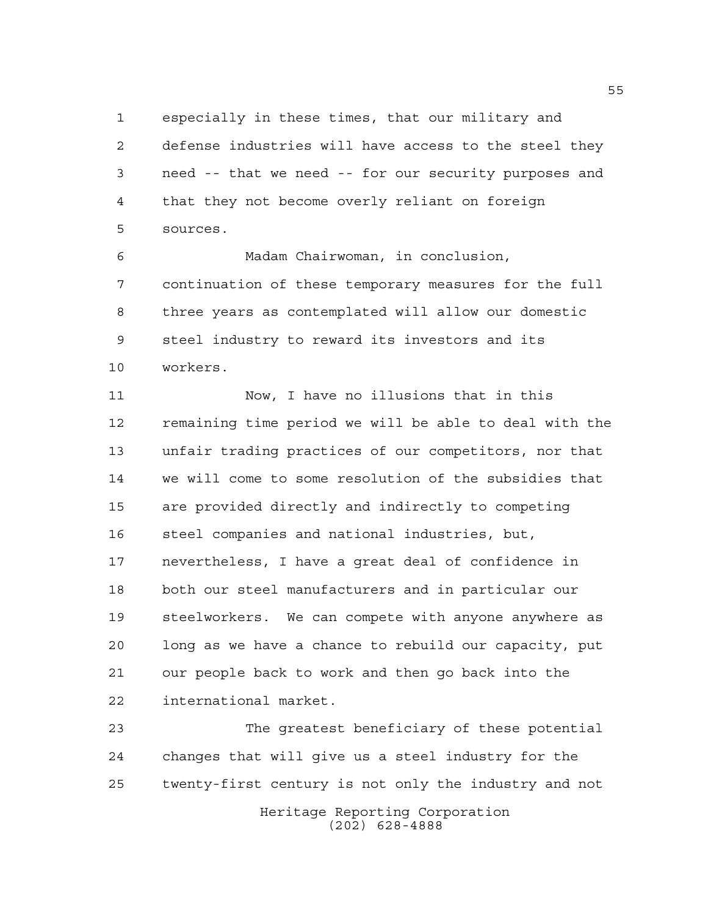especially in these times, that our military and defense industries will have access to the steel they need -- that we need -- for our security purposes and that they not become overly reliant on foreign sources.

 Madam Chairwoman, in conclusion, continuation of these temporary measures for the full three years as contemplated will allow our domestic steel industry to reward its investors and its workers.

 Now, I have no illusions that in this remaining time period we will be able to deal with the unfair trading practices of our competitors, nor that we will come to some resolution of the subsidies that are provided directly and indirectly to competing steel companies and national industries, but, nevertheless, I have a great deal of confidence in both our steel manufacturers and in particular our steelworkers. We can compete with anyone anywhere as long as we have a chance to rebuild our capacity, put our people back to work and then go back into the international market.

Heritage Reporting Corporation (202) 628-4888 The greatest beneficiary of these potential changes that will give us a steel industry for the twenty-first century is not only the industry and not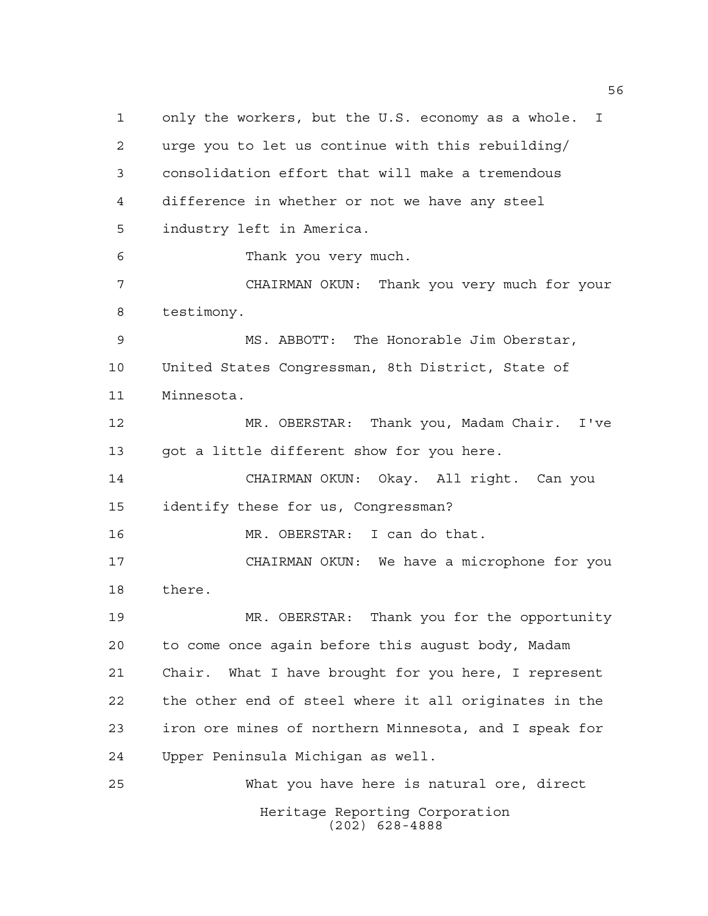Heritage Reporting Corporation (202) 628-4888 only the workers, but the U.S. economy as a whole. I urge you to let us continue with this rebuilding/ consolidation effort that will make a tremendous difference in whether or not we have any steel industry left in America. Thank you very much. CHAIRMAN OKUN: Thank you very much for your testimony. MS. ABBOTT: The Honorable Jim Oberstar, United States Congressman, 8th District, State of Minnesota. MR. OBERSTAR: Thank you, Madam Chair. I've got a little different show for you here. CHAIRMAN OKUN: Okay. All right. Can you identify these for us, Congressman? MR. OBERSTAR: I can do that. CHAIRMAN OKUN: We have a microphone for you there. MR. OBERSTAR: Thank you for the opportunity to come once again before this august body, Madam Chair. What I have brought for you here, I represent the other end of steel where it all originates in the iron ore mines of northern Minnesota, and I speak for Upper Peninsula Michigan as well. What you have here is natural ore, direct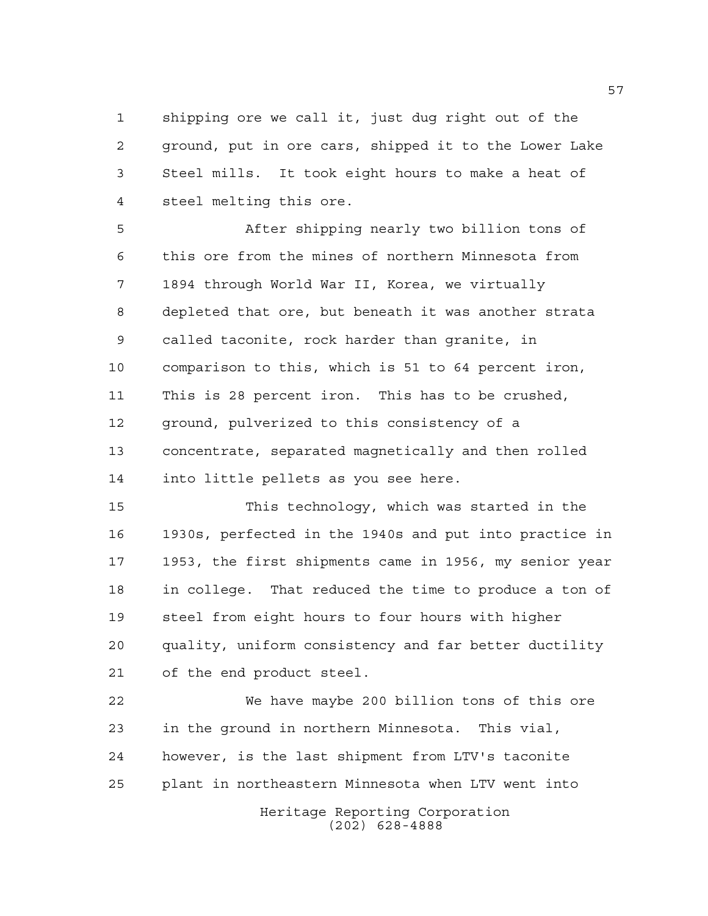shipping ore we call it, just dug right out of the ground, put in ore cars, shipped it to the Lower Lake Steel mills. It took eight hours to make a heat of steel melting this ore.

 After shipping nearly two billion tons of this ore from the mines of northern Minnesota from 1894 through World War II, Korea, we virtually depleted that ore, but beneath it was another strata called taconite, rock harder than granite, in comparison to this, which is 51 to 64 percent iron, This is 28 percent iron. This has to be crushed, ground, pulverized to this consistency of a concentrate, separated magnetically and then rolled into little pellets as you see here.

 This technology, which was started in the 1930s, perfected in the 1940s and put into practice in 1953, the first shipments came in 1956, my senior year in college. That reduced the time to produce a ton of steel from eight hours to four hours with higher quality, uniform consistency and far better ductility of the end product steel.

 We have maybe 200 billion tons of this ore in the ground in northern Minnesota. This vial, however, is the last shipment from LTV's taconite plant in northeastern Minnesota when LTV went into

Heritage Reporting Corporation (202) 628-4888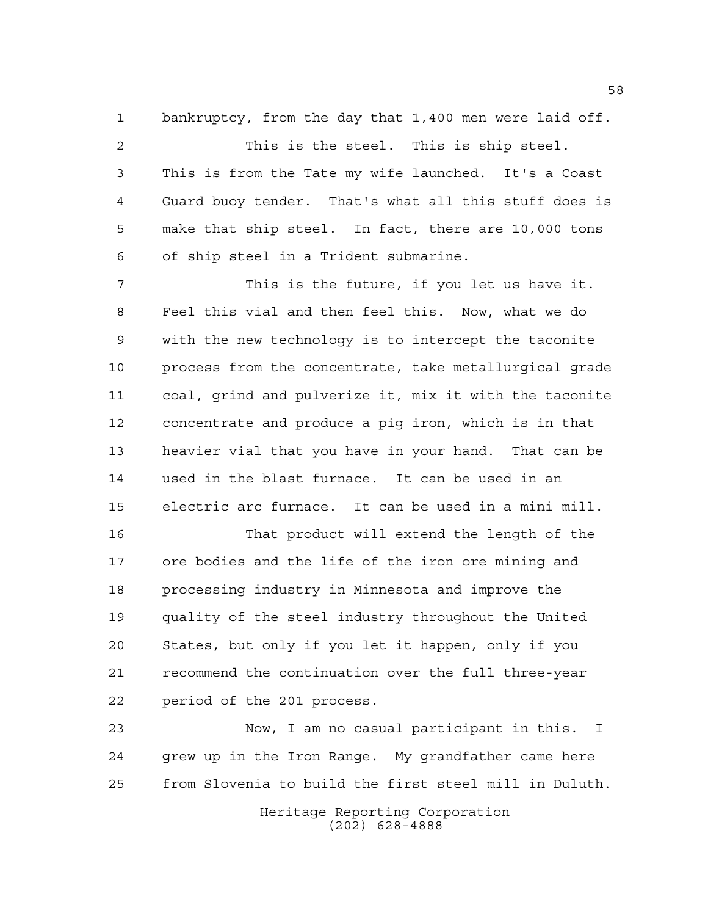bankruptcy, from the day that 1,400 men were laid off.

 This is the steel. This is ship steel. This is from the Tate my wife launched. It's a Coast Guard buoy tender. That's what all this stuff does is make that ship steel. In fact, there are 10,000 tons of ship steel in a Trident submarine.

 This is the future, if you let us have it. Feel this vial and then feel this. Now, what we do with the new technology is to intercept the taconite process from the concentrate, take metallurgical grade coal, grind and pulverize it, mix it with the taconite concentrate and produce a pig iron, which is in that heavier vial that you have in your hand. That can be used in the blast furnace. It can be used in an electric arc furnace. It can be used in a mini mill.

 That product will extend the length of the ore bodies and the life of the iron ore mining and processing industry in Minnesota and improve the quality of the steel industry throughout the United States, but only if you let it happen, only if you recommend the continuation over the full three-year period of the 201 process.

 Now, I am no casual participant in this. I grew up in the Iron Range. My grandfather came here from Slovenia to build the first steel mill in Duluth.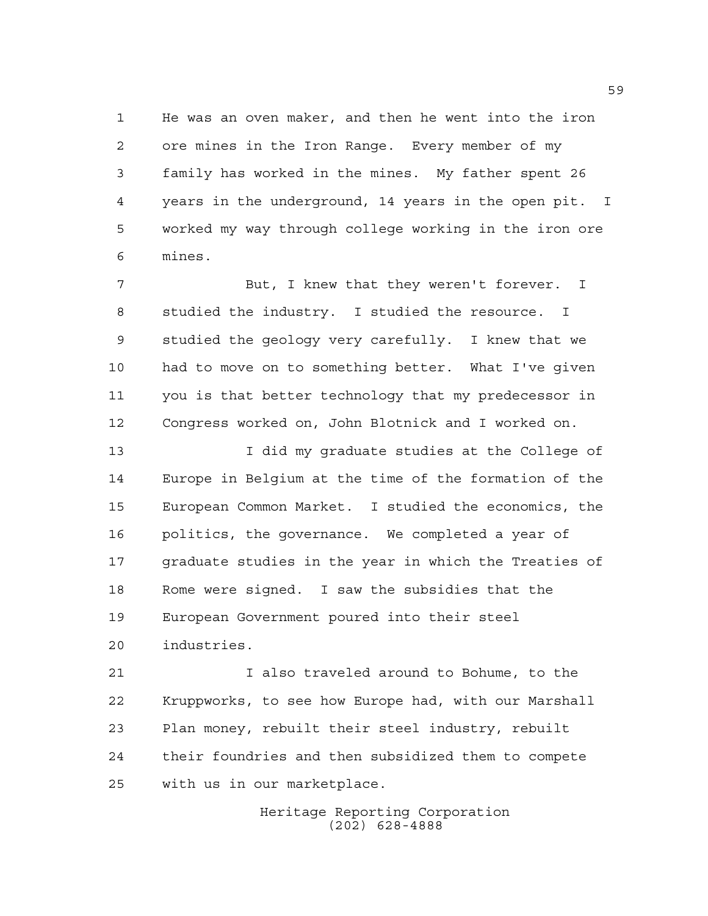He was an oven maker, and then he went into the iron ore mines in the Iron Range. Every member of my family has worked in the mines. My father spent 26 years in the underground, 14 years in the open pit. I worked my way through college working in the iron ore mines.

 But, I knew that they weren't forever. I studied the industry. I studied the resource. I studied the geology very carefully. I knew that we had to move on to something better. What I've given you is that better technology that my predecessor in Congress worked on, John Blotnick and I worked on.

 I did my graduate studies at the College of Europe in Belgium at the time of the formation of the European Common Market. I studied the economics, the politics, the governance. We completed a year of graduate studies in the year in which the Treaties of Rome were signed. I saw the subsidies that the European Government poured into their steel industries.

 I also traveled around to Bohume, to the Kruppworks, to see how Europe had, with our Marshall Plan money, rebuilt their steel industry, rebuilt their foundries and then subsidized them to compete with us in our marketplace.

> Heritage Reporting Corporation (202) 628-4888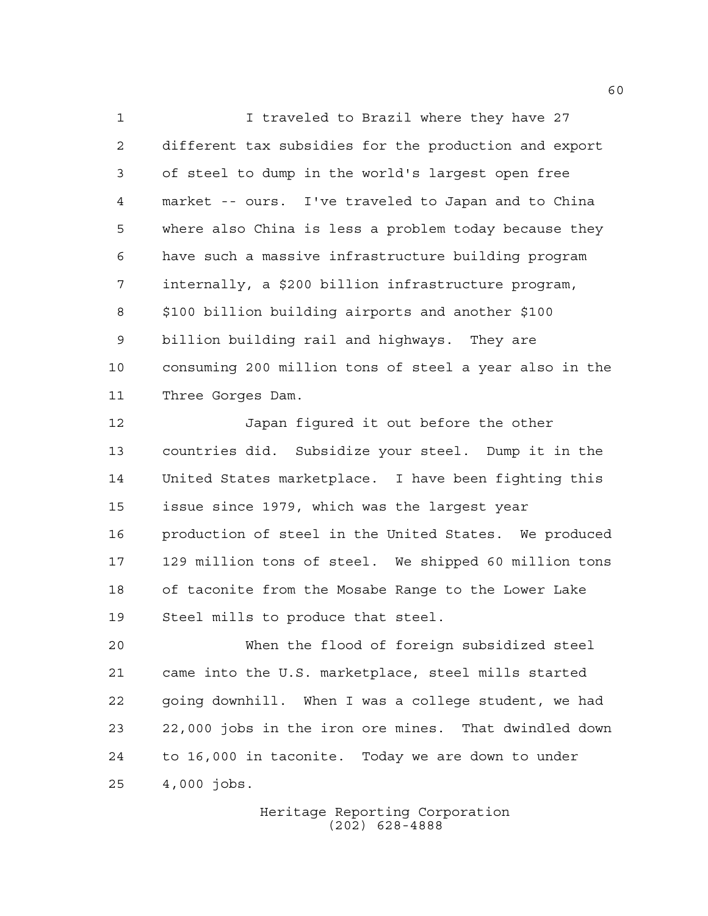I traveled to Brazil where they have 27 different tax subsidies for the production and export of steel to dump in the world's largest open free market -- ours. I've traveled to Japan and to China where also China is less a problem today because they have such a massive infrastructure building program internally, a \$200 billion infrastructure program, \$100 billion building airports and another \$100 billion building rail and highways. They are consuming 200 million tons of steel a year also in the Three Gorges Dam.

 Japan figured it out before the other countries did. Subsidize your steel. Dump it in the United States marketplace. I have been fighting this issue since 1979, which was the largest year production of steel in the United States. We produced 129 million tons of steel. We shipped 60 million tons of taconite from the Mosabe Range to the Lower Lake Steel mills to produce that steel.

 When the flood of foreign subsidized steel came into the U.S. marketplace, steel mills started going downhill. When I was a college student, we had 22,000 jobs in the iron ore mines. That dwindled down to 16,000 in taconite. Today we are down to under 4,000 jobs.

> Heritage Reporting Corporation (202) 628-4888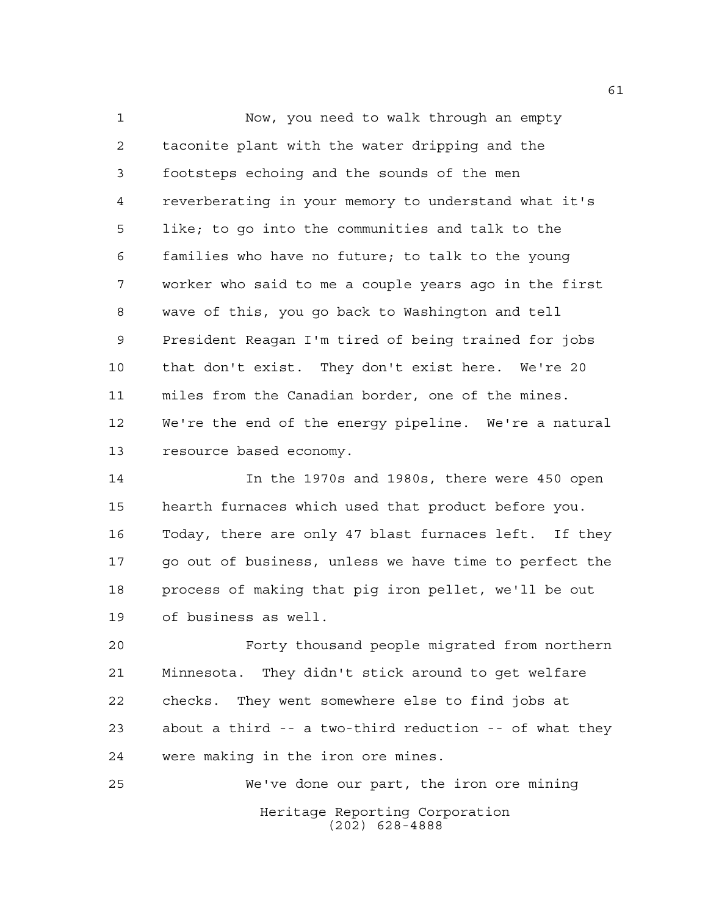Now, you need to walk through an empty taconite plant with the water dripping and the footsteps echoing and the sounds of the men reverberating in your memory to understand what it's like; to go into the communities and talk to the families who have no future; to talk to the young worker who said to me a couple years ago in the first wave of this, you go back to Washington and tell President Reagan I'm tired of being trained for jobs that don't exist. They don't exist here. We're 20 miles from the Canadian border, one of the mines. We're the end of the energy pipeline. We're a natural resource based economy.

 In the 1970s and 1980s, there were 450 open hearth furnaces which used that product before you. Today, there are only 47 blast furnaces left. If they go out of business, unless we have time to perfect the process of making that pig iron pellet, we'll be out of business as well.

 Forty thousand people migrated from northern Minnesota. They didn't stick around to get welfare checks. They went somewhere else to find jobs at about a third -- a two-third reduction -- of what they were making in the iron ore mines.

Heritage Reporting Corporation (202) 628-4888 We've done our part, the iron ore mining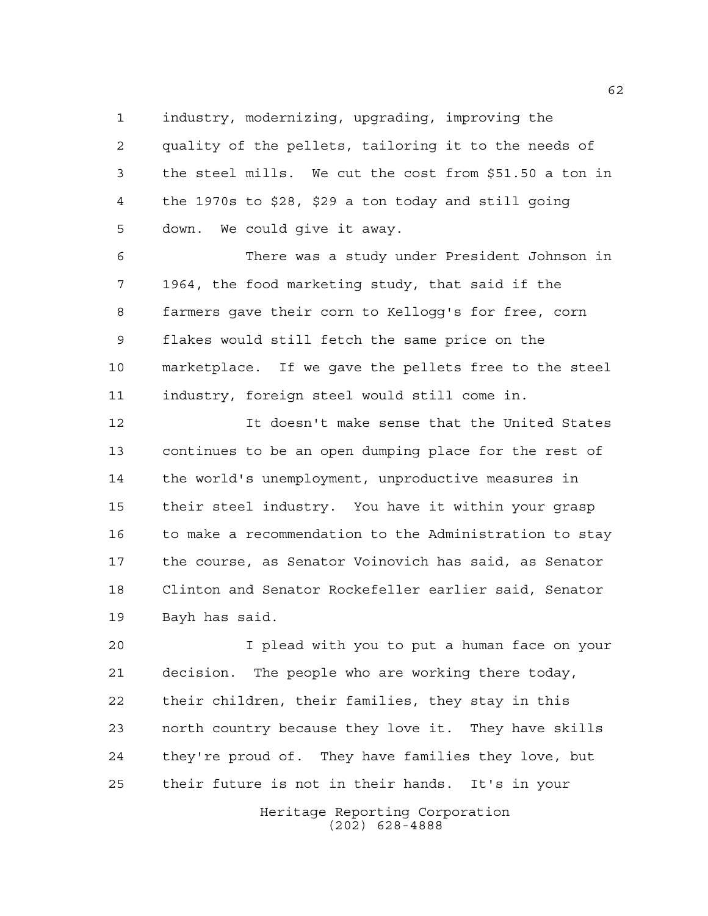industry, modernizing, upgrading, improving the quality of the pellets, tailoring it to the needs of the steel mills. We cut the cost from \$51.50 a ton in

 the 1970s to \$28, \$29 a ton today and still going down. We could give it away.

 There was a study under President Johnson in 1964, the food marketing study, that said if the farmers gave their corn to Kellogg's for free, corn flakes would still fetch the same price on the marketplace. If we gave the pellets free to the steel industry, foreign steel would still come in.

 It doesn't make sense that the United States continues to be an open dumping place for the rest of the world's unemployment, unproductive measures in their steel industry. You have it within your grasp to make a recommendation to the Administration to stay the course, as Senator Voinovich has said, as Senator Clinton and Senator Rockefeller earlier said, Senator Bayh has said.

 I plead with you to put a human face on your decision. The people who are working there today, their children, their families, they stay in this north country because they love it. They have skills they're proud of. They have families they love, but their future is not in their hands. It's in your

> Heritage Reporting Corporation (202) 628-4888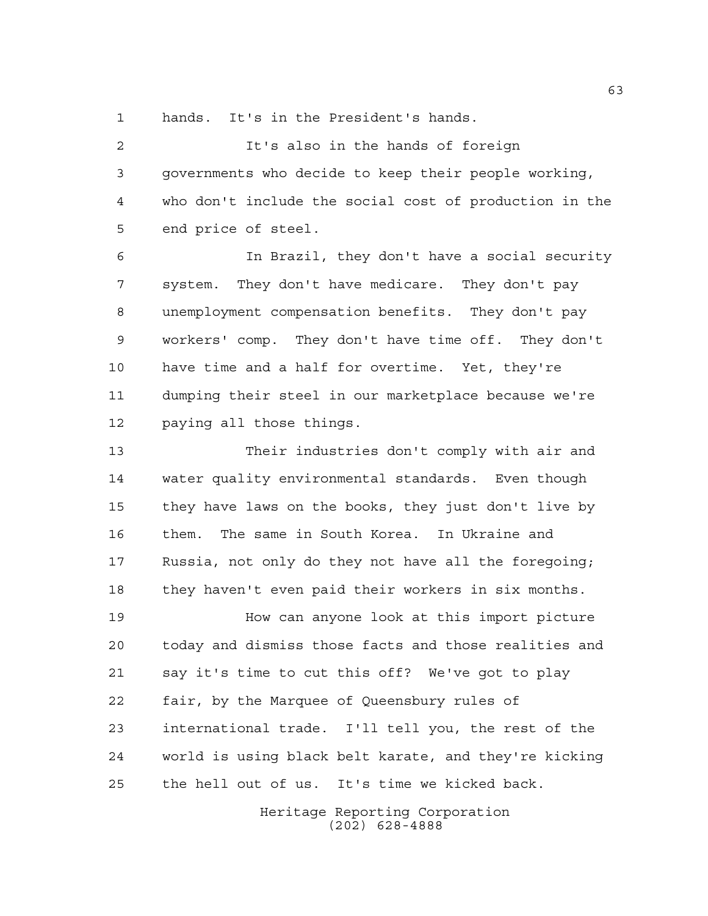hands. It's in the President's hands.

 It's also in the hands of foreign governments who decide to keep their people working, who don't include the social cost of production in the end price of steel.

 In Brazil, they don't have a social security system. They don't have medicare. They don't pay unemployment compensation benefits. They don't pay workers' comp. They don't have time off. They don't have time and a half for overtime. Yet, they're dumping their steel in our marketplace because we're paying all those things.

 Their industries don't comply with air and water quality environmental standards. Even though they have laws on the books, they just don't live by them. The same in South Korea. In Ukraine and Russia, not only do they not have all the foregoing; they haven't even paid their workers in six months.

 How can anyone look at this import picture today and dismiss those facts and those realities and say it's time to cut this off? We've got to play fair, by the Marquee of Queensbury rules of international trade. I'll tell you, the rest of the world is using black belt karate, and they're kicking the hell out of us. It's time we kicked back.

> Heritage Reporting Corporation (202) 628-4888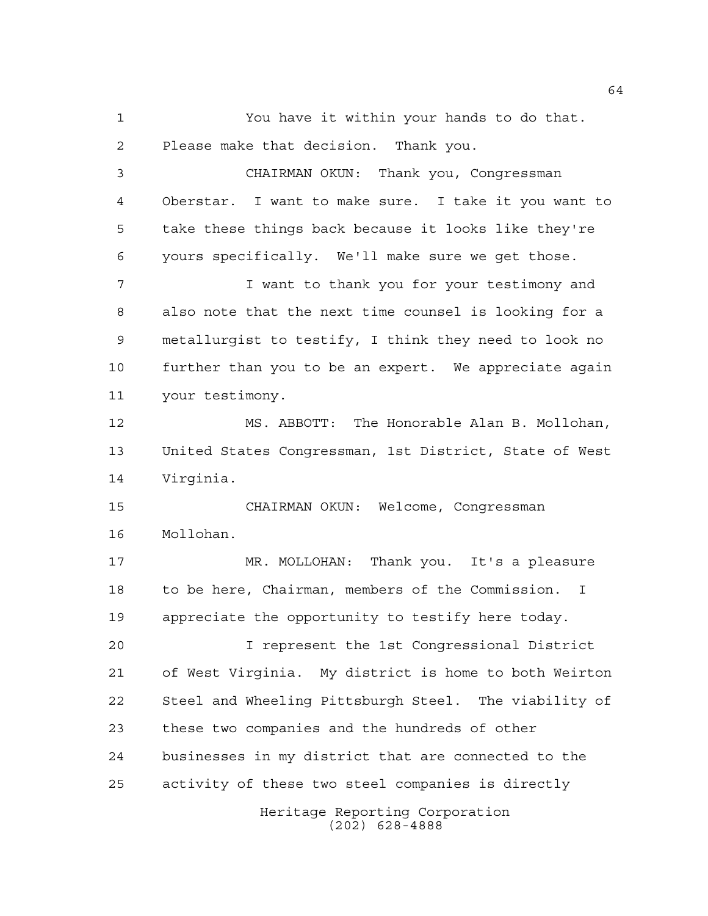Heritage Reporting Corporation You have it within your hands to do that. Please make that decision. Thank you. CHAIRMAN OKUN: Thank you, Congressman Oberstar. I want to make sure. I take it you want to take these things back because it looks like they're yours specifically. We'll make sure we get those. I want to thank you for your testimony and also note that the next time counsel is looking for a metallurgist to testify, I think they need to look no further than you to be an expert. We appreciate again your testimony. MS. ABBOTT: The Honorable Alan B. Mollohan, United States Congressman, 1st District, State of West Virginia. CHAIRMAN OKUN: Welcome, Congressman Mollohan. MR. MOLLOHAN: Thank you. It's a pleasure to be here, Chairman, members of the Commission. I appreciate the opportunity to testify here today. I represent the 1st Congressional District of West Virginia. My district is home to both Weirton Steel and Wheeling Pittsburgh Steel. The viability of these two companies and the hundreds of other businesses in my district that are connected to the activity of these two steel companies is directly

(202) 628-4888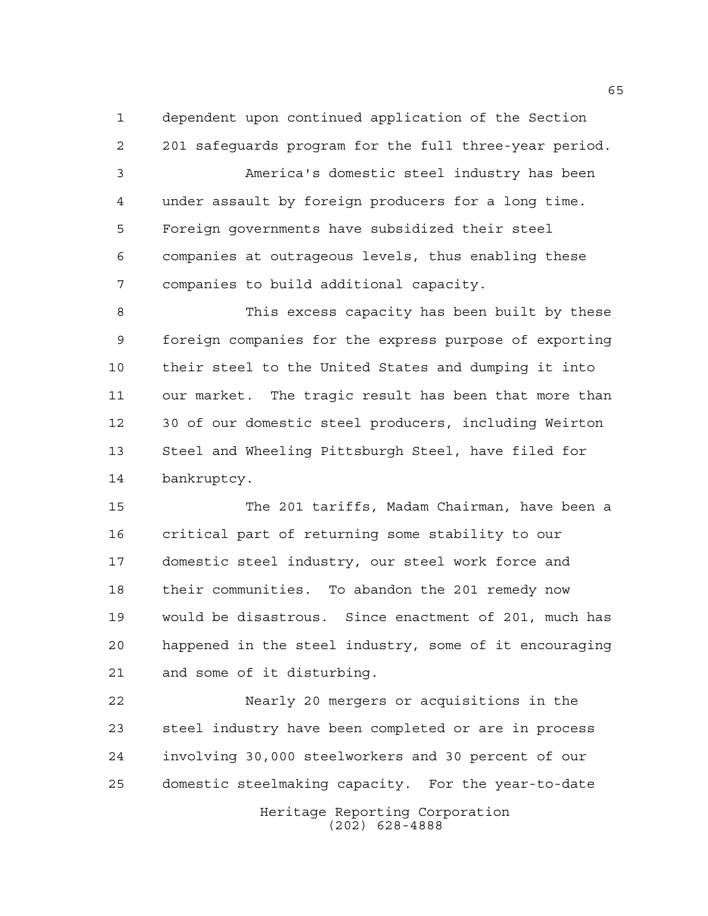dependent upon continued application of the Section

 201 safeguards program for the full three-year period. America's domestic steel industry has been under assault by foreign producers for a long time. Foreign governments have subsidized their steel companies at outrageous levels, thus enabling these companies to build additional capacity.

 This excess capacity has been built by these foreign companies for the express purpose of exporting their steel to the United States and dumping it into our market. The tragic result has been that more than 30 of our domestic steel producers, including Weirton Steel and Wheeling Pittsburgh Steel, have filed for bankruptcy.

 The 201 tariffs, Madam Chairman, have been a critical part of returning some stability to our domestic steel industry, our steel work force and their communities. To abandon the 201 remedy now would be disastrous. Since enactment of 201, much has happened in the steel industry, some of it encouraging and some of it disturbing.

Heritage Reporting Corporation Nearly 20 mergers or acquisitions in the steel industry have been completed or are in process involving 30,000 steelworkers and 30 percent of our domestic steelmaking capacity. For the year-to-date

(202) 628-4888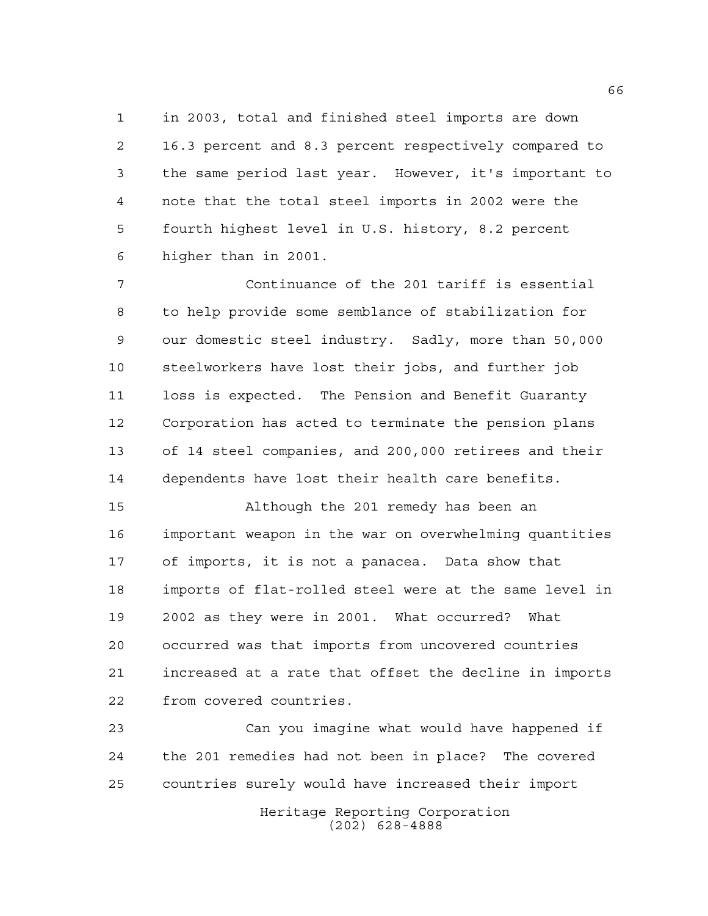in 2003, total and finished steel imports are down 16.3 percent and 8.3 percent respectively compared to the same period last year. However, it's important to note that the total steel imports in 2002 were the fourth highest level in U.S. history, 8.2 percent higher than in 2001.

 Continuance of the 201 tariff is essential to help provide some semblance of stabilization for our domestic steel industry. Sadly, more than 50,000 steelworkers have lost their jobs, and further job loss is expected. The Pension and Benefit Guaranty Corporation has acted to terminate the pension plans of 14 steel companies, and 200,000 retirees and their dependents have lost their health care benefits.

 Although the 201 remedy has been an important weapon in the war on overwhelming quantities of imports, it is not a panacea. Data show that imports of flat-rolled steel were at the same level in 2002 as they were in 2001. What occurred? What occurred was that imports from uncovered countries increased at a rate that offset the decline in imports from covered countries.

 Can you imagine what would have happened if the 201 remedies had not been in place? The covered countries surely would have increased their import

> Heritage Reporting Corporation (202) 628-4888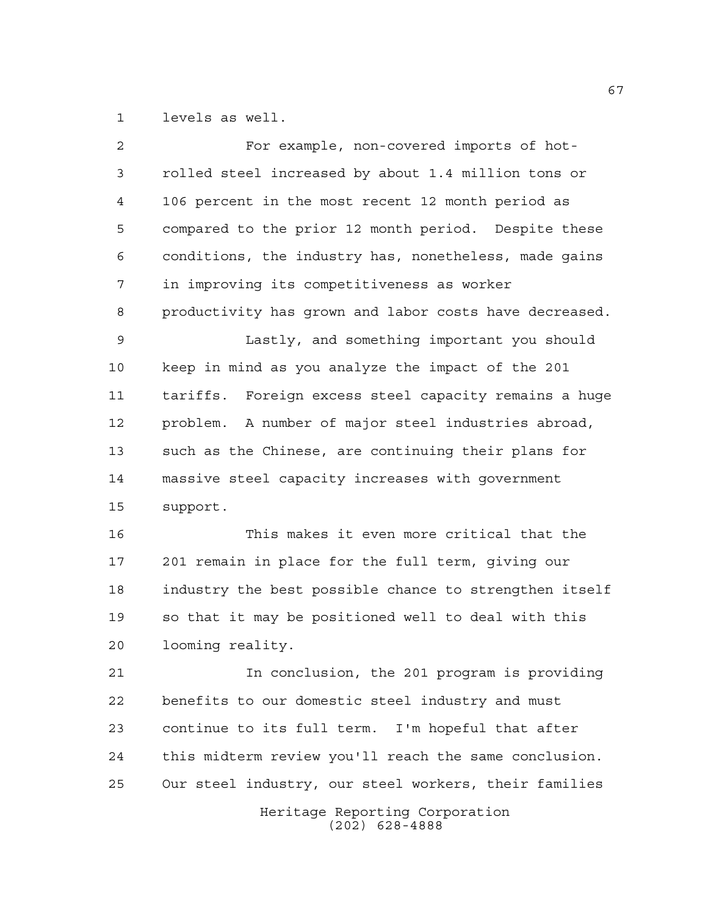levels as well.

| 2  | For example, non-covered imports of hot-                 |
|----|----------------------------------------------------------|
| 3  | rolled steel increased by about 1.4 million tons or      |
| 4  | 106 percent in the most recent 12 month period as        |
| 5  | compared to the prior 12 month period. Despite these     |
| 6  | conditions, the industry has, nonetheless, made gains    |
| 7  | in improving its competitiveness as worker               |
| 8  | productivity has grown and labor costs have decreased.   |
| 9  | Lastly, and something important you should               |
| 10 | keep in mind as you analyze the impact of the 201        |
| 11 | Foreign excess steel capacity remains a huge<br>tariffs. |
| 12 | problem. A number of major steel industries abroad,      |
| 13 | such as the Chinese, are continuing their plans for      |
| 14 | massive steel capacity increases with government         |
| 15 | support.                                                 |
| 16 | This makes it even more critical that the                |
| 17 | 201 remain in place for the full term, giving our        |
| 18 | industry the best possible chance to strengthen itself   |
| 19 | so that it may be positioned well to deal with this      |
| 20 | looming reality.                                         |
| 21 | In conclusion, the 201 program is providing              |
| 22 | benefits to our domestic steel industry and must         |
| 23 | continue to its full term. I'm hopeful that after        |
| 24 | this midterm review you'll reach the same conclusion.    |
| 25 | Our steel industry, our steel workers, their families    |
|    | Heritage Reporting Corporation<br>$(202)$ 628-4888       |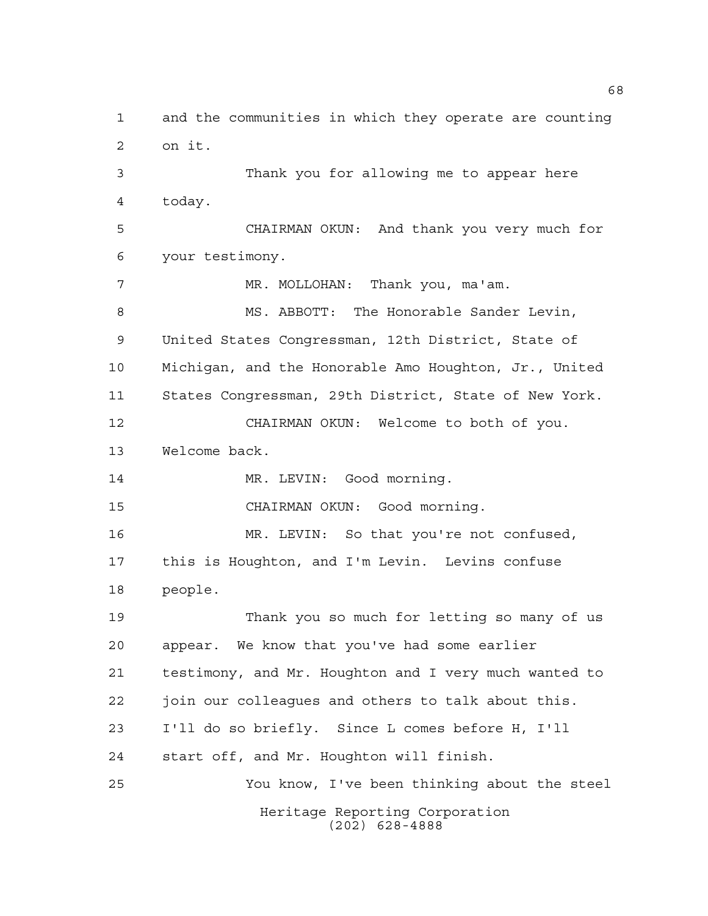Heritage Reporting Corporation (202) 628-4888 and the communities in which they operate are counting on it. Thank you for allowing me to appear here today. CHAIRMAN OKUN: And thank you very much for your testimony. MR. MOLLOHAN: Thank you, ma'am. MS. ABBOTT: The Honorable Sander Levin, United States Congressman, 12th District, State of Michigan, and the Honorable Amo Houghton, Jr., United States Congressman, 29th District, State of New York. CHAIRMAN OKUN: Welcome to both of you. Welcome back. 14 MR. LEVIN: Good morning. CHAIRMAN OKUN: Good morning. MR. LEVIN: So that you're not confused, this is Houghton, and I'm Levin. Levins confuse people. Thank you so much for letting so many of us appear. We know that you've had some earlier testimony, and Mr. Houghton and I very much wanted to join our colleagues and others to talk about this. I'll do so briefly. Since L comes before H, I'll start off, and Mr. Houghton will finish. You know, I've been thinking about the steel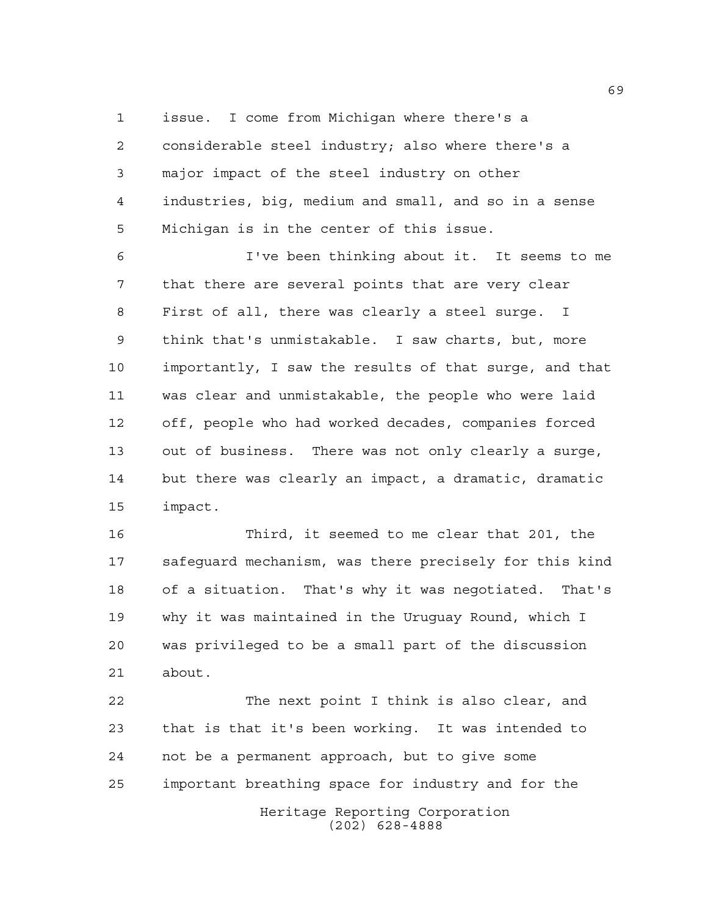issue. I come from Michigan where there's a considerable steel industry; also where there's a major impact of the steel industry on other industries, big, medium and small, and so in a sense Michigan is in the center of this issue.

 I've been thinking about it. It seems to me that there are several points that are very clear First of all, there was clearly a steel surge. I think that's unmistakable. I saw charts, but, more importantly, I saw the results of that surge, and that was clear and unmistakable, the people who were laid off, people who had worked decades, companies forced out of business. There was not only clearly a surge, but there was clearly an impact, a dramatic, dramatic impact.

 Third, it seemed to me clear that 201, the safeguard mechanism, was there precisely for this kind of a situation. That's why it was negotiated. That's why it was maintained in the Uruguay Round, which I was privileged to be a small part of the discussion about.

Heritage Reporting Corporation (202) 628-4888 The next point I think is also clear, and that is that it's been working. It was intended to not be a permanent approach, but to give some important breathing space for industry and for the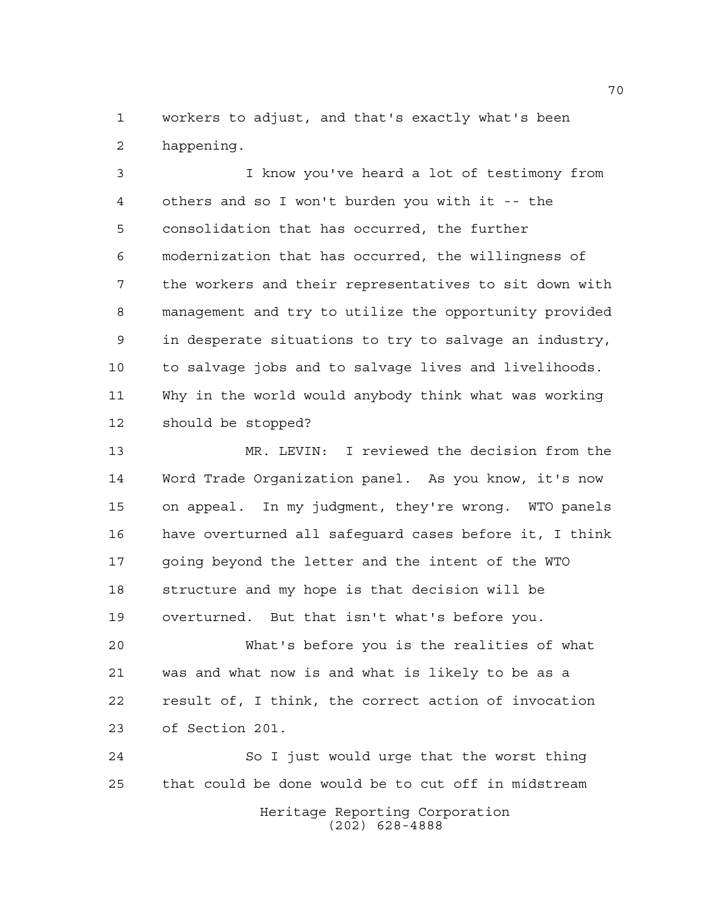workers to adjust, and that's exactly what's been happening.

 I know you've heard a lot of testimony from others and so I won't burden you with it -- the consolidation that has occurred, the further modernization that has occurred, the willingness of the workers and their representatives to sit down with management and try to utilize the opportunity provided in desperate situations to try to salvage an industry, to salvage jobs and to salvage lives and livelihoods. Why in the world would anybody think what was working should be stopped?

 MR. LEVIN: I reviewed the decision from the Word Trade Organization panel. As you know, it's now on appeal. In my judgment, they're wrong. WTO panels have overturned all safeguard cases before it, I think going beyond the letter and the intent of the WTO structure and my hope is that decision will be overturned. But that isn't what's before you.

 What's before you is the realities of what was and what now is and what is likely to be as a result of, I think, the correct action of invocation of Section 201.

Heritage Reporting Corporation (202) 628-4888 So I just would urge that the worst thing that could be done would be to cut off in midstream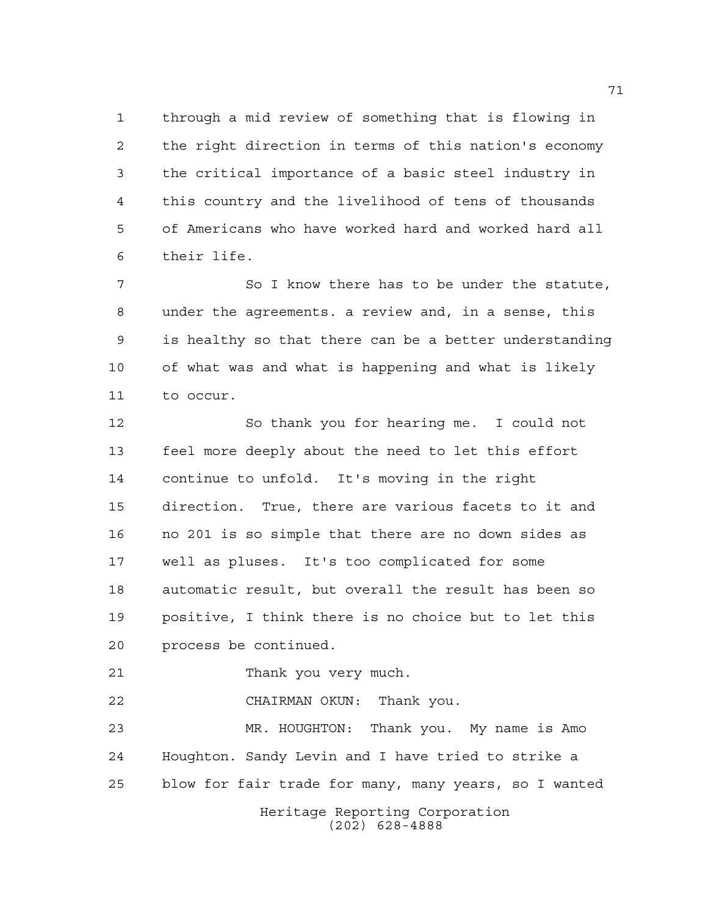through a mid review of something that is flowing in the right direction in terms of this nation's economy the critical importance of a basic steel industry in this country and the livelihood of tens of thousands of Americans who have worked hard and worked hard all their life.

7 So I know there has to be under the statute, under the agreements. a review and, in a sense, this is healthy so that there can be a better understanding of what was and what is happening and what is likely to occur.

 So thank you for hearing me. I could not feel more deeply about the need to let this effort continue to unfold. It's moving in the right direction. True, there are various facets to it and no 201 is so simple that there are no down sides as well as pluses. It's too complicated for some automatic result, but overall the result has been so positive, I think there is no choice but to let this process be continued.

Thank you very much.

CHAIRMAN OKUN: Thank you.

 MR. HOUGHTON: Thank you. My name is Amo Houghton. Sandy Levin and I have tried to strike a blow for fair trade for many, many years, so I wanted

Heritage Reporting Corporation (202) 628-4888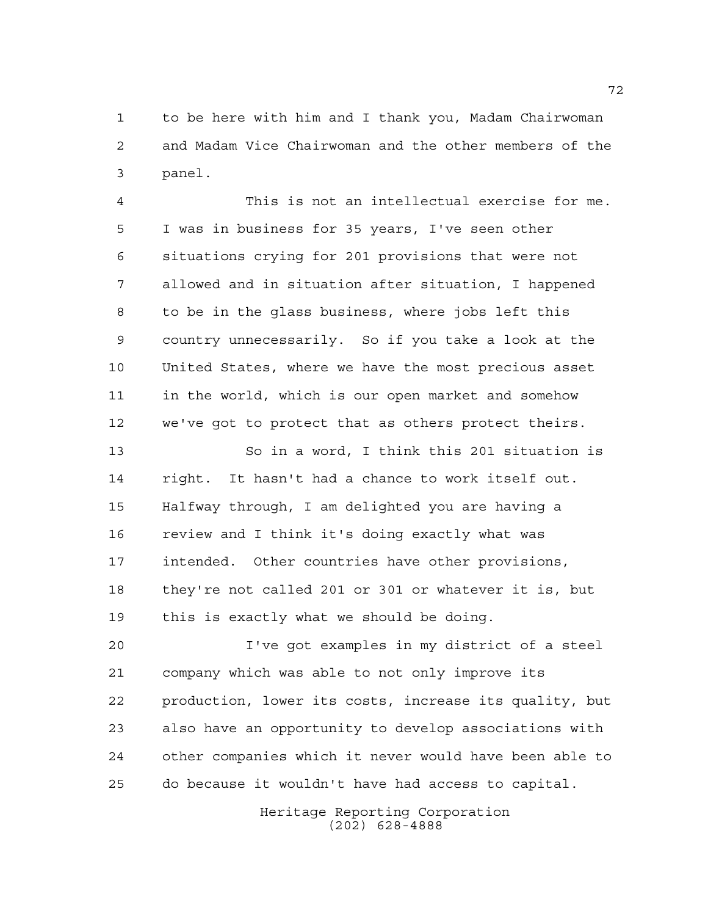to be here with him and I thank you, Madam Chairwoman and Madam Vice Chairwoman and the other members of the panel.

 This is not an intellectual exercise for me. I was in business for 35 years, I've seen other situations crying for 201 provisions that were not allowed and in situation after situation, I happened to be in the glass business, where jobs left this country unnecessarily. So if you take a look at the United States, where we have the most precious asset in the world, which is our open market and somehow we've got to protect that as others protect theirs.

 So in a word, I think this 201 situation is right. It hasn't had a chance to work itself out. Halfway through, I am delighted you are having a review and I think it's doing exactly what was intended. Other countries have other provisions, they're not called 201 or 301 or whatever it is, but this is exactly what we should be doing.

 I've got examples in my district of a steel company which was able to not only improve its production, lower its costs, increase its quality, but also have an opportunity to develop associations with other companies which it never would have been able to do because it wouldn't have had access to capital.

> Heritage Reporting Corporation (202) 628-4888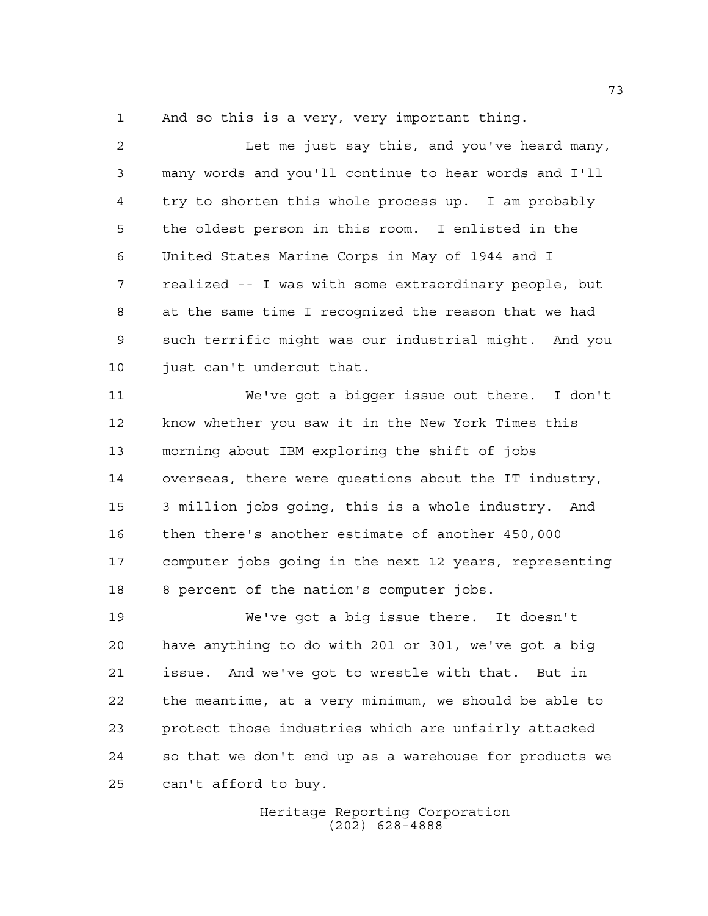And so this is a very, very important thing.

 Let me just say this, and you've heard many, many words and you'll continue to hear words and I'll try to shorten this whole process up. I am probably the oldest person in this room. I enlisted in the United States Marine Corps in May of 1944 and I realized -- I was with some extraordinary people, but at the same time I recognized the reason that we had such terrific might was our industrial might. And you just can't undercut that.

 We've got a bigger issue out there. I don't know whether you saw it in the New York Times this morning about IBM exploring the shift of jobs overseas, there were questions about the IT industry, 3 million jobs going, this is a whole industry. And then there's another estimate of another 450,000 computer jobs going in the next 12 years, representing 8 percent of the nation's computer jobs.

 We've got a big issue there. It doesn't have anything to do with 201 or 301, we've got a big issue. And we've got to wrestle with that. But in the meantime, at a very minimum, we should be able to protect those industries which are unfairly attacked so that we don't end up as a warehouse for products we can't afford to buy.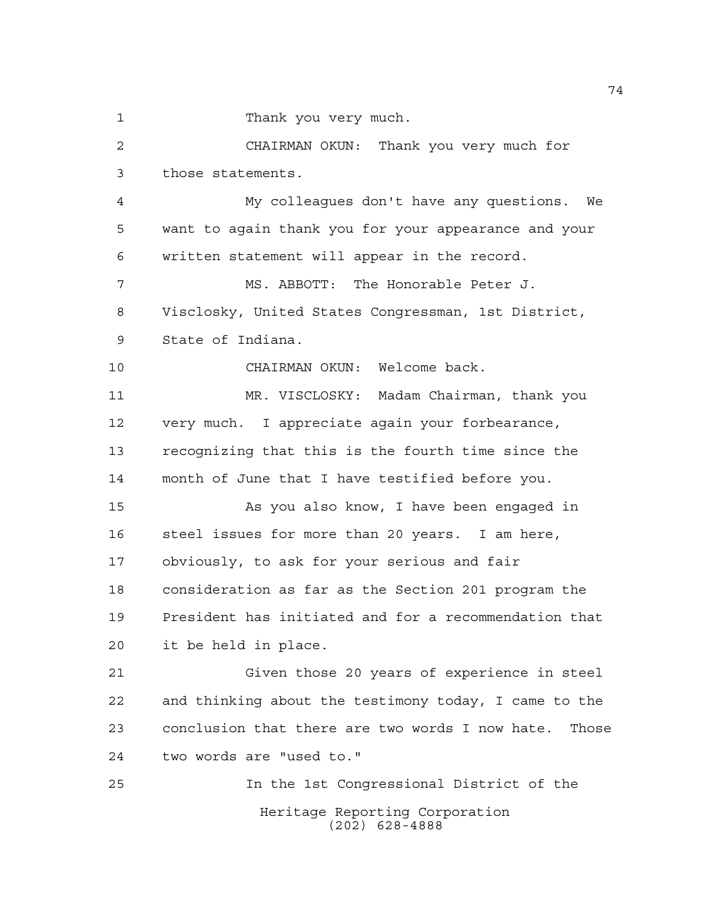Thank you very much.

Heritage Reporting Corporation CHAIRMAN OKUN: Thank you very much for those statements. My colleagues don't have any questions. We want to again thank you for your appearance and your written statement will appear in the record. MS. ABBOTT: The Honorable Peter J. Visclosky, United States Congressman, 1st District, State of Indiana. CHAIRMAN OKUN: Welcome back. MR. VISCLOSKY: Madam Chairman, thank you very much. I appreciate again your forbearance, recognizing that this is the fourth time since the month of June that I have testified before you. As you also know, I have been engaged in steel issues for more than 20 years. I am here, obviously, to ask for your serious and fair consideration as far as the Section 201 program the President has initiated and for a recommendation that it be held in place. Given those 20 years of experience in steel and thinking about the testimony today, I came to the conclusion that there are two words I now hate. Those two words are "used to." In the 1st Congressional District of the

(202) 628-4888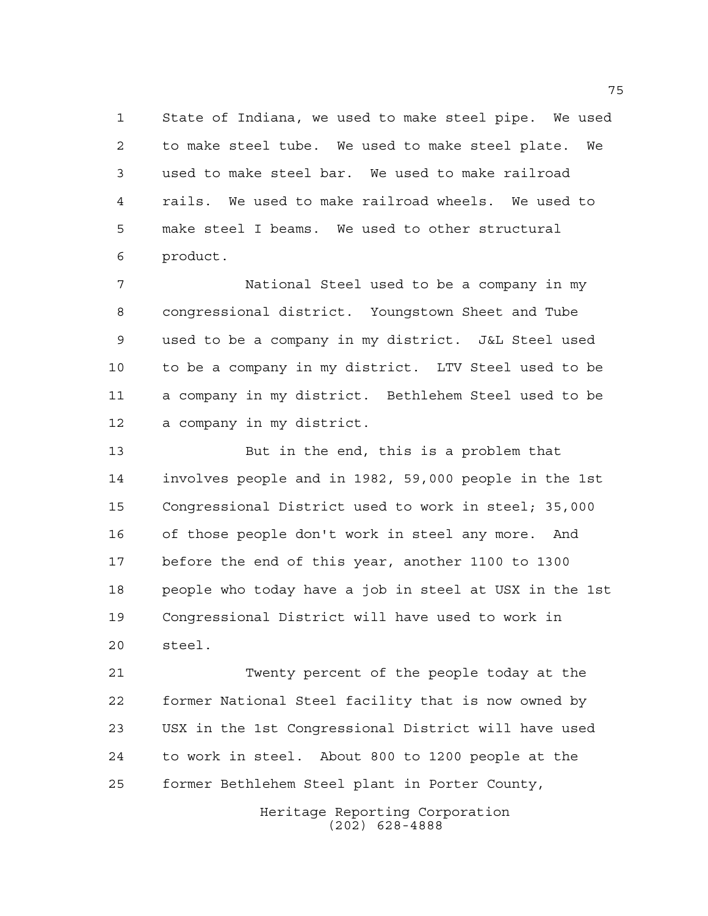State of Indiana, we used to make steel pipe. We used to make steel tube. We used to make steel plate. We used to make steel bar. We used to make railroad rails. We used to make railroad wheels. We used to make steel I beams. We used to other structural product.

 National Steel used to be a company in my congressional district. Youngstown Sheet and Tube used to be a company in my district. J&L Steel used to be a company in my district. LTV Steel used to be a company in my district. Bethlehem Steel used to be a company in my district.

 But in the end, this is a problem that involves people and in 1982, 59,000 people in the 1st Congressional District used to work in steel; 35,000 of those people don't work in steel any more. And before the end of this year, another 1100 to 1300 people who today have a job in steel at USX in the 1st Congressional District will have used to work in steel.

 Twenty percent of the people today at the former National Steel facility that is now owned by USX in the 1st Congressional District will have used to work in steel. About 800 to 1200 people at the former Bethlehem Steel plant in Porter County,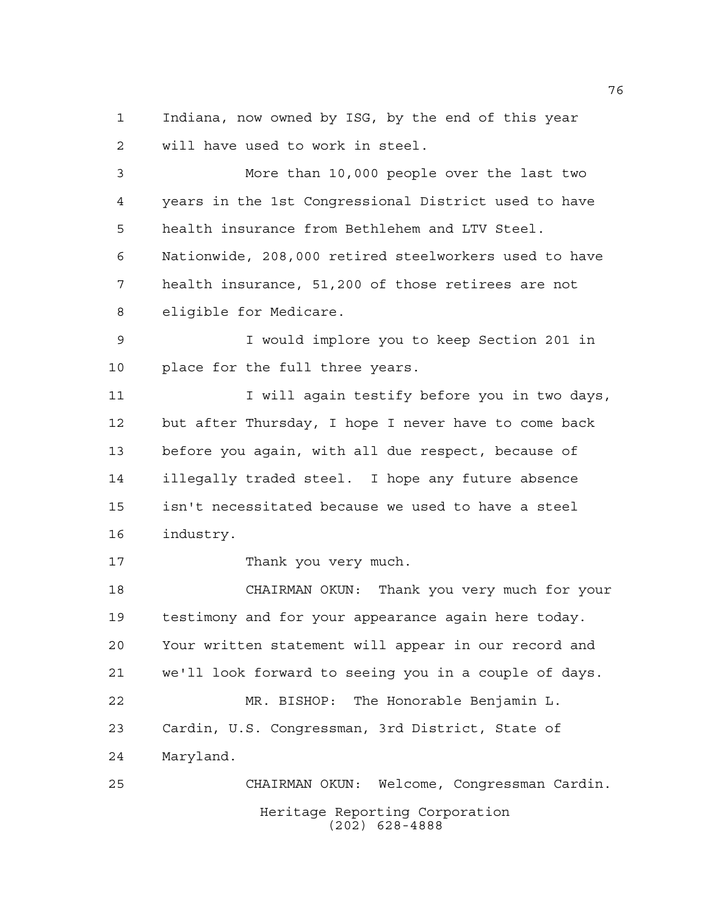Indiana, now owned by ISG, by the end of this year will have used to work in steel.

 More than 10,000 people over the last two years in the 1st Congressional District used to have health insurance from Bethlehem and LTV Steel. Nationwide, 208,000 retired steelworkers used to have health insurance, 51,200 of those retirees are not eligible for Medicare.

 I would implore you to keep Section 201 in place for the full three years.

11 I vill again testify before you in two days, but after Thursday, I hope I never have to come back before you again, with all due respect, because of illegally traded steel. I hope any future absence isn't necessitated because we used to have a steel industry.

17 Thank you very much.

 CHAIRMAN OKUN: Thank you very much for your testimony and for your appearance again here today. Your written statement will appear in our record and we'll look forward to seeing you in a couple of days. MR. BISHOP: The Honorable Benjamin L. Cardin, U.S. Congressman, 3rd District, State of Maryland. CHAIRMAN OKUN: Welcome, Congressman Cardin.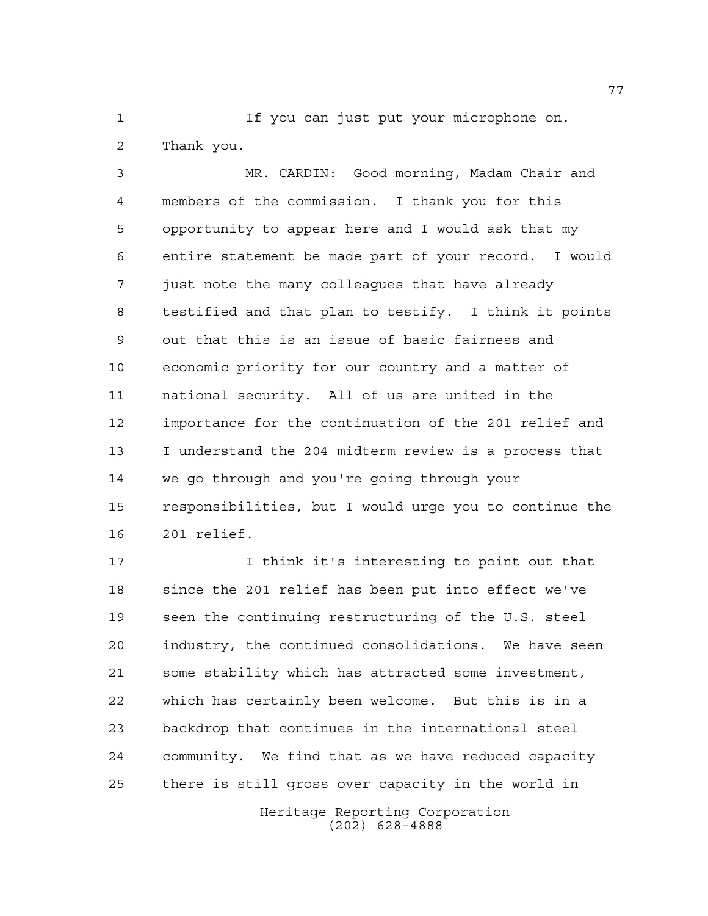If you can just put your microphone on. Thank you.

 MR. CARDIN: Good morning, Madam Chair and members of the commission. I thank you for this opportunity to appear here and I would ask that my entire statement be made part of your record. I would just note the many colleagues that have already testified and that plan to testify. I think it points out that this is an issue of basic fairness and economic priority for our country and a matter of national security. All of us are united in the importance for the continuation of the 201 relief and I understand the 204 midterm review is a process that we go through and you're going through your responsibilities, but I would urge you to continue the 201 relief.

 I think it's interesting to point out that since the 201 relief has been put into effect we've seen the continuing restructuring of the U.S. steel industry, the continued consolidations. We have seen some stability which has attracted some investment, which has certainly been welcome. But this is in a backdrop that continues in the international steel community. We find that as we have reduced capacity there is still gross over capacity in the world in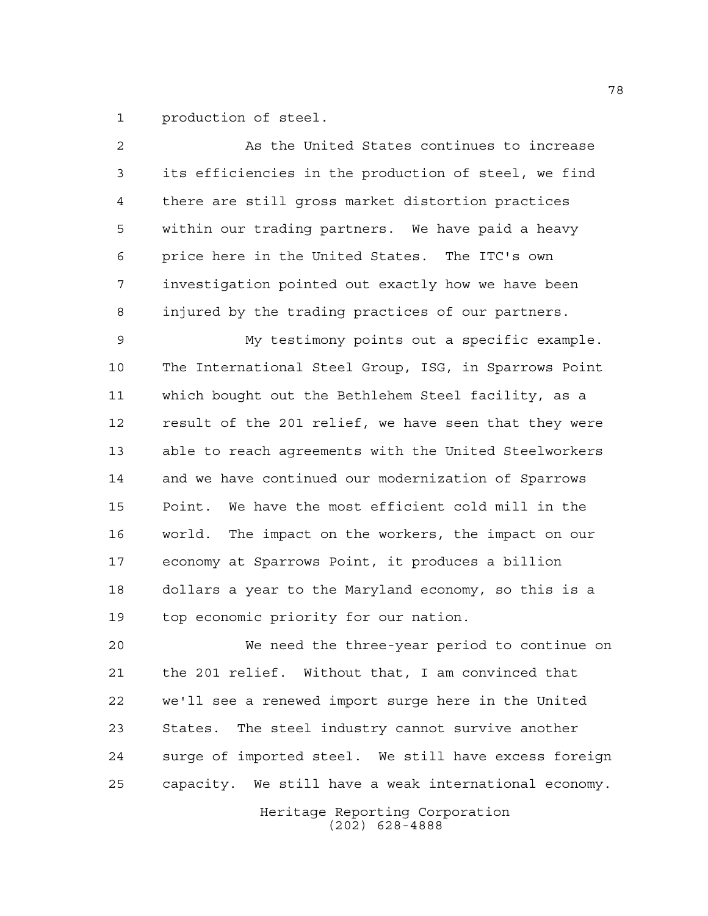production of steel.

| 2  | As the United States continues to increase            |
|----|-------------------------------------------------------|
| 3  | its efficiencies in the production of steel, we find  |
| 4  | there are still gross market distortion practices     |
| 5  | within our trading partners. We have paid a heavy     |
| 6  | price here in the United States. The ITC's own        |
| 7  | investigation pointed out exactly how we have been    |
| 8  | injured by the trading practices of our partners.     |
| 9  | My testimony points out a specific example.           |
| 10 | The International Steel Group, ISG, in Sparrows Point |
| 11 | which bought out the Bethlehem Steel facility, as a   |
| 12 | result of the 201 relief, we have seen that they were |
| 13 | able to reach agreements with the United Steelworkers |
| 14 | and we have continued our modernization of Sparrows   |
| 15 | We have the most efficient cold mill in the<br>Point. |
| 16 | world. The impact on the workers, the impact on our   |
| 17 | economy at Sparrows Point, it produces a billion      |
| 18 | dollars a year to the Maryland economy, so this is a  |
| 19 | top economic priority for our nation.                 |
| 20 | We need the three-year period to continue on          |
| 21 | the 201 relief. Without that, I am convinced that     |
| 22 | we'll see a renewed import surge here in the United   |
| 23 | States. The steel industry cannot survive another     |
| 24 | surge of imported steel. We still have excess foreign |

capacity. We still have a weak international economy.

Heritage Reporting Corporation (202) 628-4888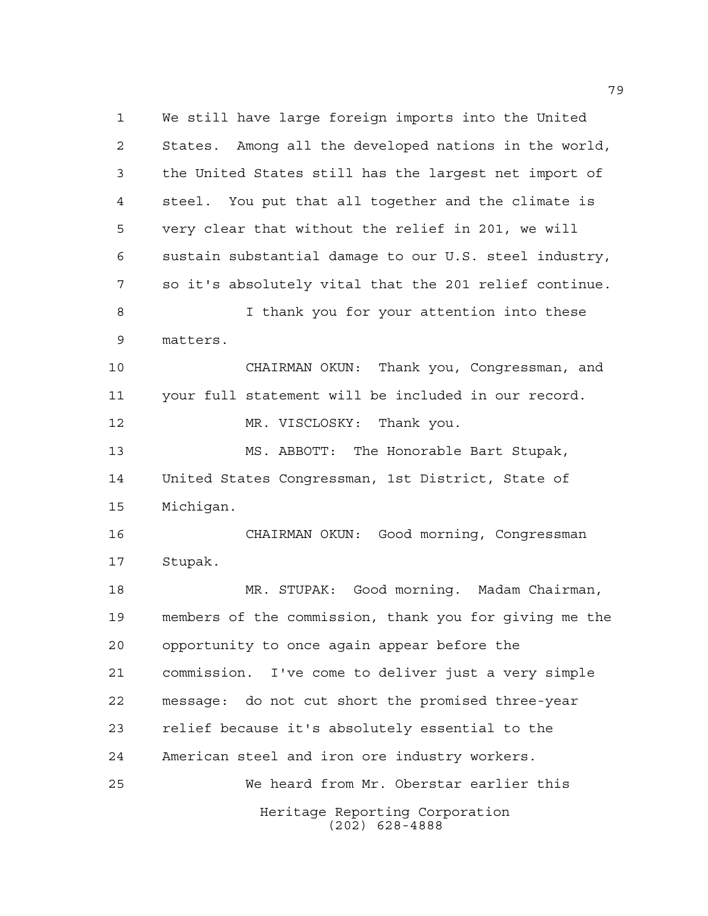Heritage Reporting Corporation (202) 628-4888 We still have large foreign imports into the United States. Among all the developed nations in the world, the United States still has the largest net import of steel. You put that all together and the climate is very clear that without the relief in 201, we will sustain substantial damage to our U.S. steel industry, so it's absolutely vital that the 201 relief continue. I thank you for your attention into these matters. CHAIRMAN OKUN: Thank you, Congressman, and your full statement will be included in our record. 12 MR. VISCLOSKY: Thank you. MS. ABBOTT: The Honorable Bart Stupak, United States Congressman, 1st District, State of Michigan. CHAIRMAN OKUN: Good morning, Congressman Stupak. MR. STUPAK: Good morning. Madam Chairman, members of the commission, thank you for giving me the opportunity to once again appear before the commission. I've come to deliver just a very simple message: do not cut short the promised three-year relief because it's absolutely essential to the American steel and iron ore industry workers. We heard from Mr. Oberstar earlier this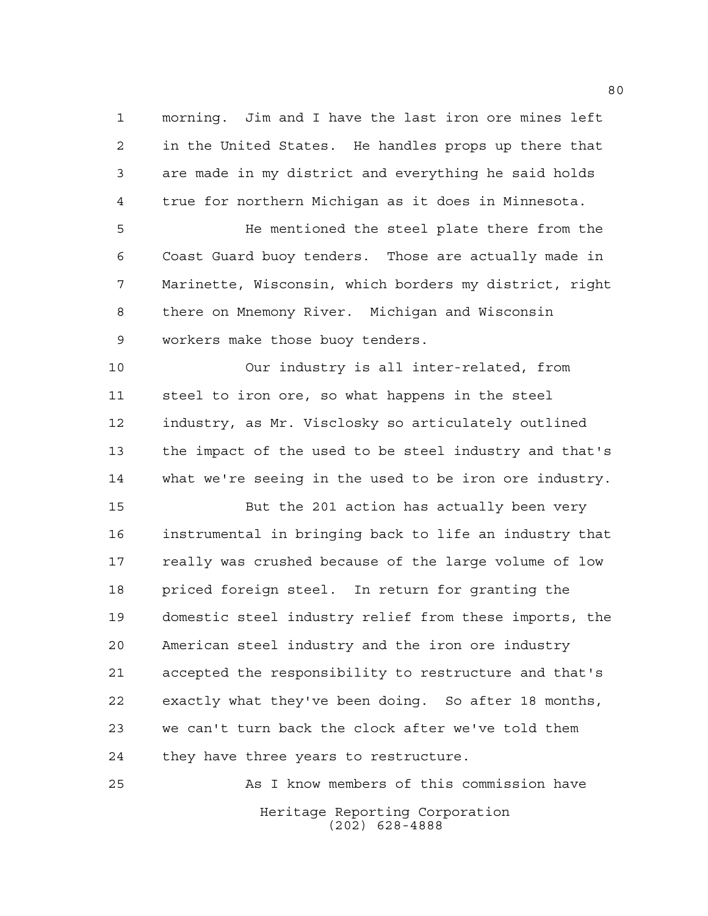morning. Jim and I have the last iron ore mines left in the United States. He handles props up there that are made in my district and everything he said holds true for northern Michigan as it does in Minnesota.

 He mentioned the steel plate there from the Coast Guard buoy tenders. Those are actually made in Marinette, Wisconsin, which borders my district, right there on Mnemony River. Michigan and Wisconsin workers make those buoy tenders.

 Our industry is all inter-related, from steel to iron ore, so what happens in the steel industry, as Mr. Visclosky so articulately outlined the impact of the used to be steel industry and that's what we're seeing in the used to be iron ore industry.

 But the 201 action has actually been very instrumental in bringing back to life an industry that really was crushed because of the large volume of low priced foreign steel. In return for granting the domestic steel industry relief from these imports, the American steel industry and the iron ore industry accepted the responsibility to restructure and that's exactly what they've been doing. So after 18 months, we can't turn back the clock after we've told them they have three years to restructure.

Heritage Reporting Corporation (202) 628-4888 As I know members of this commission have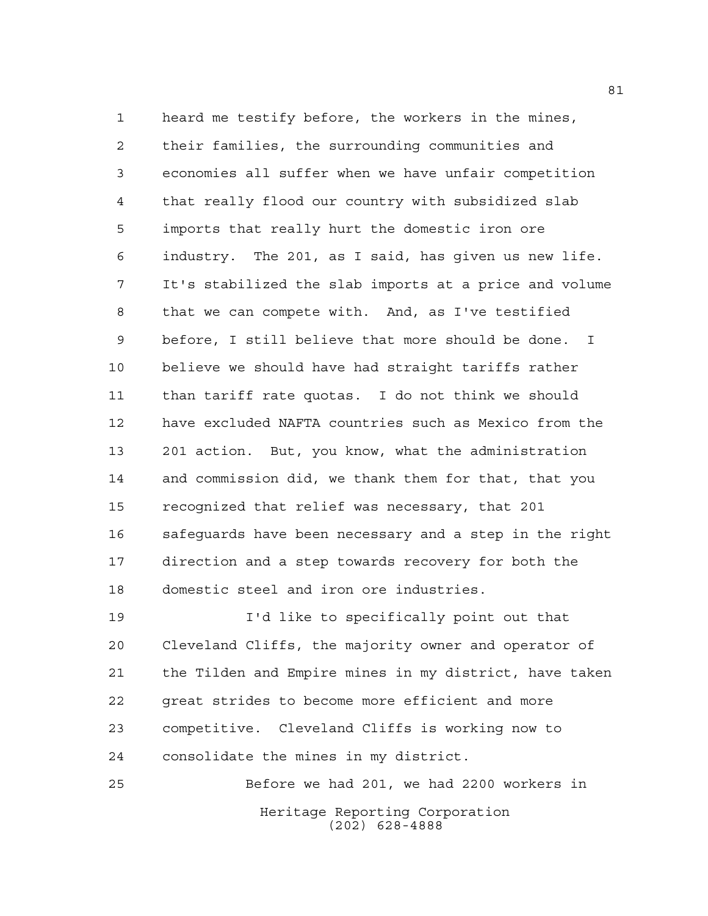heard me testify before, the workers in the mines, their families, the surrounding communities and economies all suffer when we have unfair competition that really flood our country with subsidized slab imports that really hurt the domestic iron ore industry. The 201, as I said, has given us new life. It's stabilized the slab imports at a price and volume that we can compete with. And, as I've testified before, I still believe that more should be done. I believe we should have had straight tariffs rather than tariff rate quotas. I do not think we should have excluded NAFTA countries such as Mexico from the 201 action. But, you know, what the administration and commission did, we thank them for that, that you recognized that relief was necessary, that 201 safeguards have been necessary and a step in the right direction and a step towards recovery for both the domestic steel and iron ore industries.

 I'd like to specifically point out that Cleveland Cliffs, the majority owner and operator of the Tilden and Empire mines in my district, have taken great strides to become more efficient and more competitive. Cleveland Cliffs is working now to consolidate the mines in my district.

Heritage Reporting Corporation (202) 628-4888 Before we had 201, we had 2200 workers in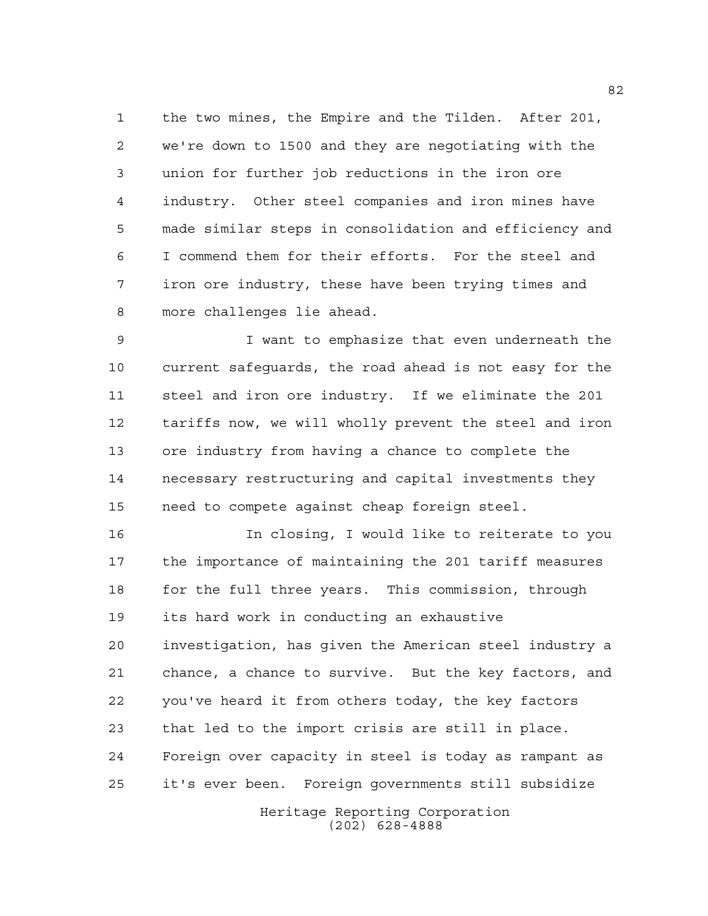the two mines, the Empire and the Tilden. After 201, we're down to 1500 and they are negotiating with the union for further job reductions in the iron ore industry. Other steel companies and iron mines have made similar steps in consolidation and efficiency and I commend them for their efforts. For the steel and iron ore industry, these have been trying times and more challenges lie ahead.

 I want to emphasize that even underneath the current safeguards, the road ahead is not easy for the steel and iron ore industry. If we eliminate the 201 tariffs now, we will wholly prevent the steel and iron ore industry from having a chance to complete the necessary restructuring and capital investments they need to compete against cheap foreign steel.

 In closing, I would like to reiterate to you the importance of maintaining the 201 tariff measures for the full three years. This commission, through its hard work in conducting an exhaustive investigation, has given the American steel industry a chance, a chance to survive. But the key factors, and you've heard it from others today, the key factors that led to the import crisis are still in place. Foreign over capacity in steel is today as rampant as it's ever been. Foreign governments still subsidize

> Heritage Reporting Corporation (202) 628-4888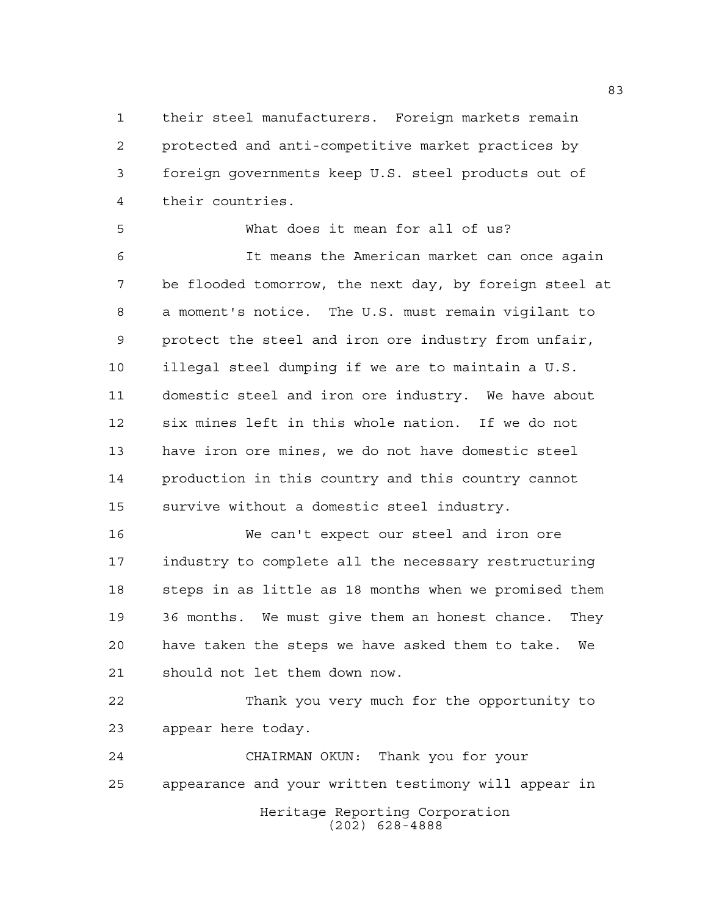their steel manufacturers. Foreign markets remain protected and anti-competitive market practices by foreign governments keep U.S. steel products out of their countries.

 What does it mean for all of us? It means the American market can once again be flooded tomorrow, the next day, by foreign steel at a moment's notice. The U.S. must remain vigilant to protect the steel and iron ore industry from unfair, illegal steel dumping if we are to maintain a U.S. domestic steel and iron ore industry. We have about six mines left in this whole nation. If we do not have iron ore mines, we do not have domestic steel production in this country and this country cannot survive without a domestic steel industry.

 We can't expect our steel and iron ore industry to complete all the necessary restructuring steps in as little as 18 months when we promised them 36 months. We must give them an honest chance. They have taken the steps we have asked them to take. We should not let them down now.

 Thank you very much for the opportunity to appear here today.

Heritage Reporting Corporation (202) 628-4888 CHAIRMAN OKUN: Thank you for your appearance and your written testimony will appear in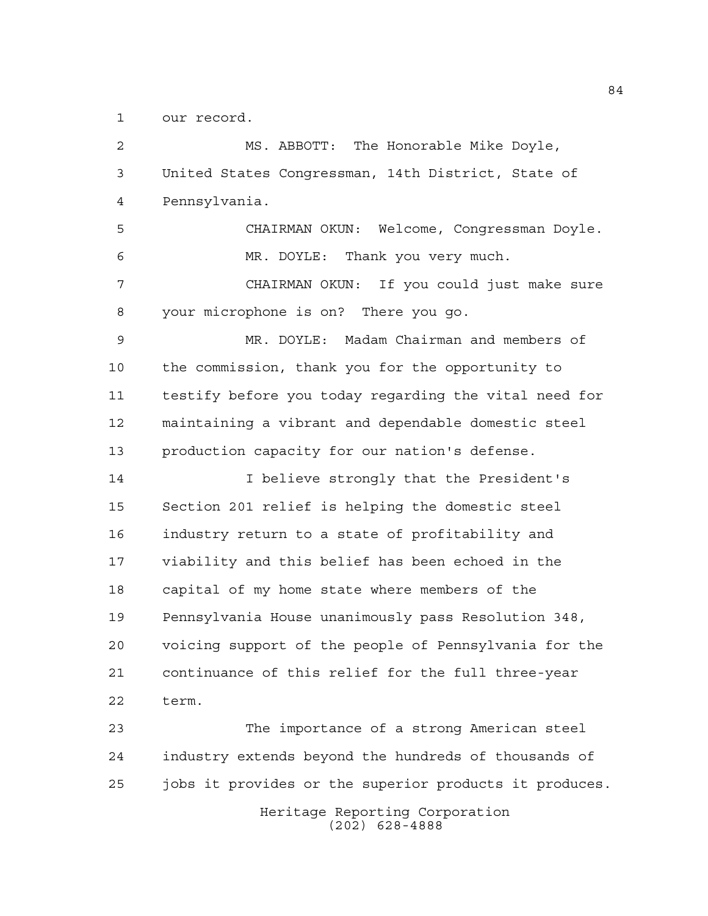our record.

 MS. ABBOTT: The Honorable Mike Doyle, United States Congressman, 14th District, State of Pennsylvania. CHAIRMAN OKUN: Welcome, Congressman Doyle. MR. DOYLE: Thank you very much. CHAIRMAN OKUN: If you could just make sure your microphone is on? There you go. MR. DOYLE: Madam Chairman and members of the commission, thank you for the opportunity to testify before you today regarding the vital need for maintaining a vibrant and dependable domestic steel production capacity for our nation's defense. I believe strongly that the President's Section 201 relief is helping the domestic steel industry return to a state of profitability and viability and this belief has been echoed in the capital of my home state where members of the Pennsylvania House unanimously pass Resolution 348, voicing support of the people of Pennsylvania for the continuance of this relief for the full three-year term. The importance of a strong American steel industry extends beyond the hundreds of thousands of jobs it provides or the superior products it produces.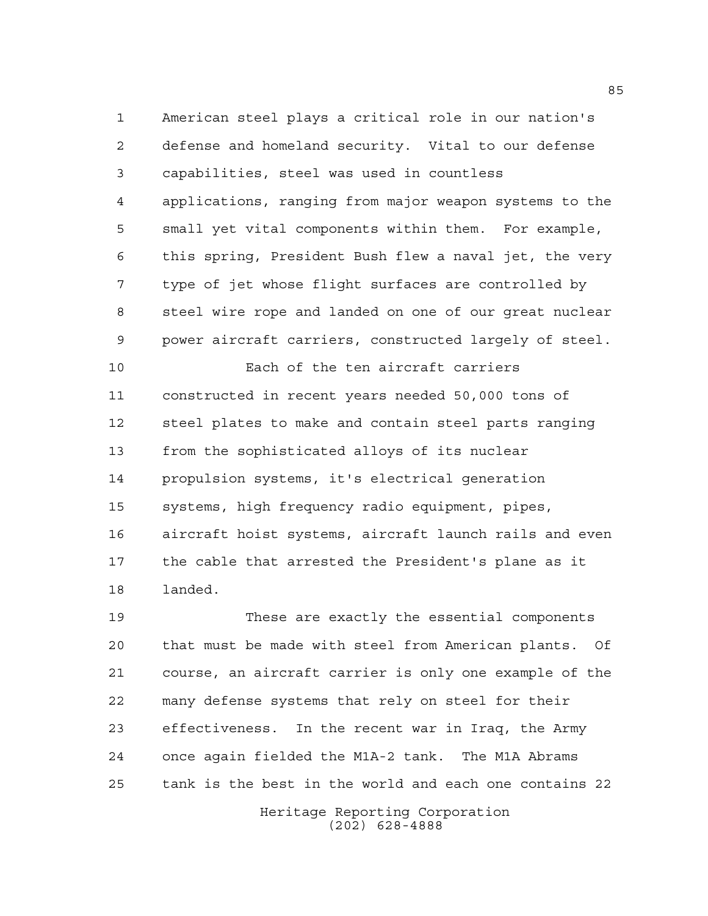American steel plays a critical role in our nation's defense and homeland security. Vital to our defense capabilities, steel was used in countless applications, ranging from major weapon systems to the small yet vital components within them. For example, this spring, President Bush flew a naval jet, the very type of jet whose flight surfaces are controlled by steel wire rope and landed on one of our great nuclear power aircraft carriers, constructed largely of steel.

 Each of the ten aircraft carriers constructed in recent years needed 50,000 tons of steel plates to make and contain steel parts ranging from the sophisticated alloys of its nuclear propulsion systems, it's electrical generation systems, high frequency radio equipment, pipes, aircraft hoist systems, aircraft launch rails and even the cable that arrested the President's plane as it landed.

 These are exactly the essential components that must be made with steel from American plants. Of course, an aircraft carrier is only one example of the many defense systems that rely on steel for their effectiveness. In the recent war in Iraq, the Army once again fielded the M1A-2 tank. The M1A Abrams tank is the best in the world and each one contains 22

Heritage Reporting Corporation (202) 628-4888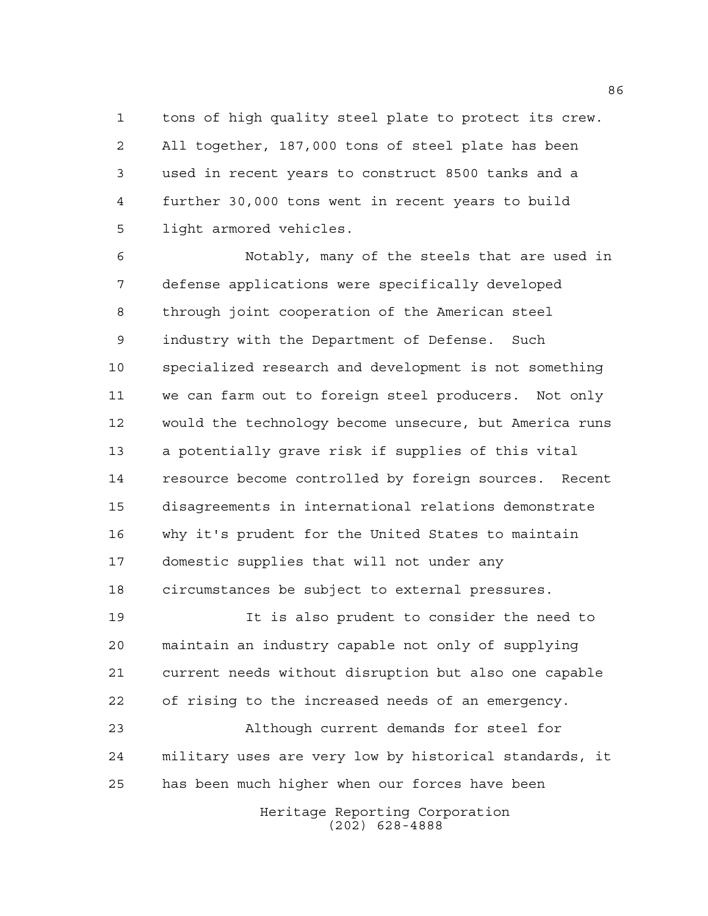tons of high quality steel plate to protect its crew. All together, 187,000 tons of steel plate has been used in recent years to construct 8500 tanks and a further 30,000 tons went in recent years to build light armored vehicles.

 Notably, many of the steels that are used in defense applications were specifically developed through joint cooperation of the American steel industry with the Department of Defense. Such specialized research and development is not something we can farm out to foreign steel producers. Not only would the technology become unsecure, but America runs a potentially grave risk if supplies of this vital resource become controlled by foreign sources. Recent disagreements in international relations demonstrate why it's prudent for the United States to maintain domestic supplies that will not under any circumstances be subject to external pressures.

 It is also prudent to consider the need to maintain an industry capable not only of supplying current needs without disruption but also one capable of rising to the increased needs of an emergency.

 Although current demands for steel for military uses are very low by historical standards, it has been much higher when our forces have been

> Heritage Reporting Corporation (202) 628-4888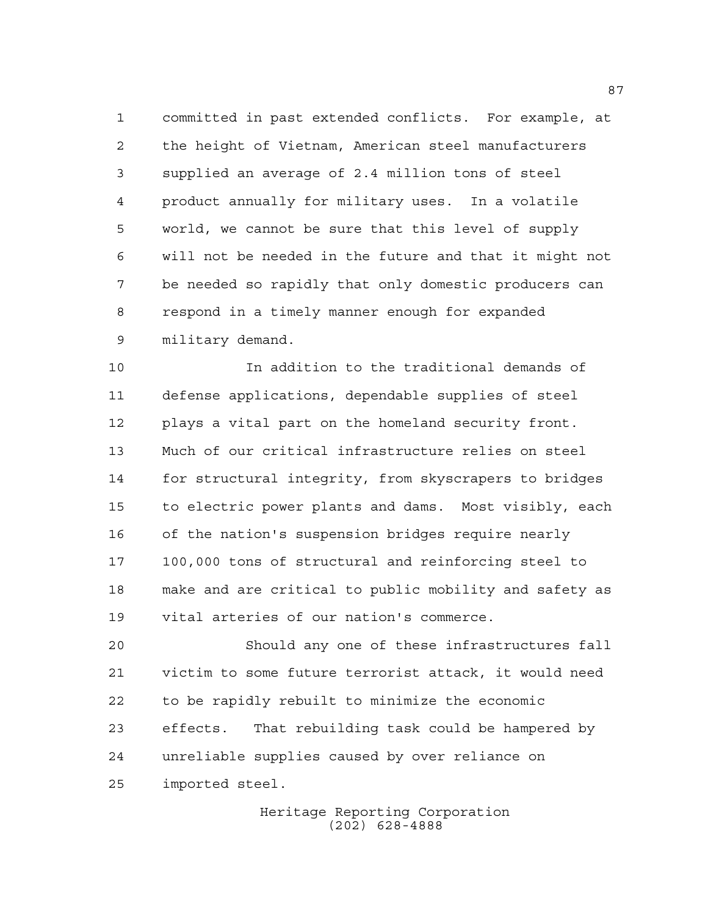committed in past extended conflicts. For example, at the height of Vietnam, American steel manufacturers supplied an average of 2.4 million tons of steel product annually for military uses. In a volatile world, we cannot be sure that this level of supply will not be needed in the future and that it might not be needed so rapidly that only domestic producers can respond in a timely manner enough for expanded military demand.

 In addition to the traditional demands of defense applications, dependable supplies of steel plays a vital part on the homeland security front. Much of our critical infrastructure relies on steel for structural integrity, from skyscrapers to bridges to electric power plants and dams. Most visibly, each of the nation's suspension bridges require nearly 100,000 tons of structural and reinforcing steel to make and are critical to public mobility and safety as vital arteries of our nation's commerce.

 Should any one of these infrastructures fall victim to some future terrorist attack, it would need to be rapidly rebuilt to minimize the economic effects. That rebuilding task could be hampered by unreliable supplies caused by over reliance on imported steel.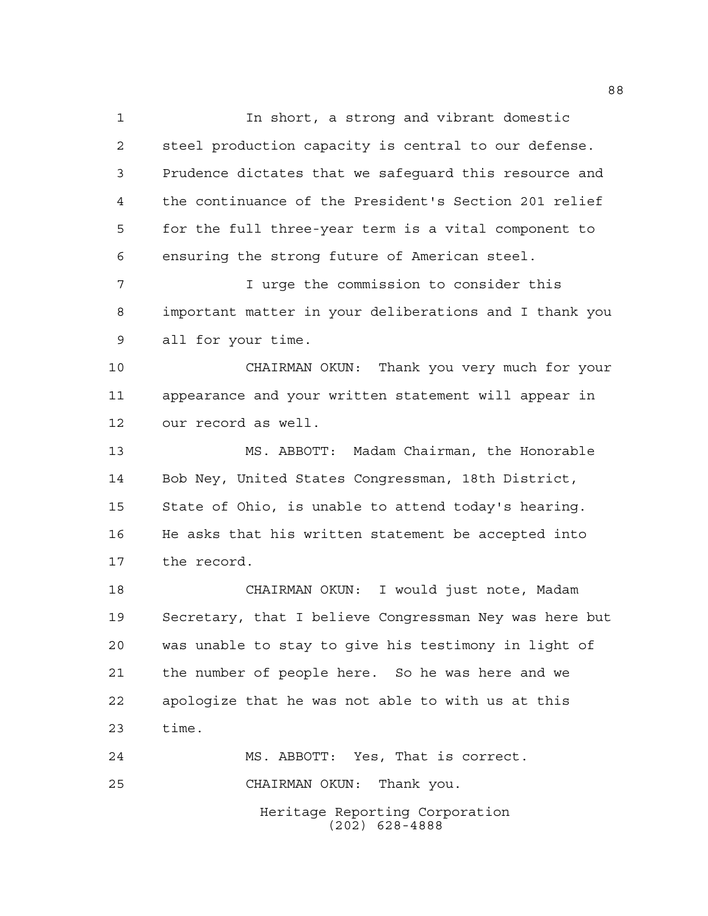In short, a strong and vibrant domestic steel production capacity is central to our defense. Prudence dictates that we safeguard this resource and the continuance of the President's Section 201 relief for the full three-year term is a vital component to ensuring the strong future of American steel.

 I urge the commission to consider this important matter in your deliberations and I thank you all for your time.

 CHAIRMAN OKUN: Thank you very much for your appearance and your written statement will appear in our record as well.

 MS. ABBOTT: Madam Chairman, the Honorable Bob Ney, United States Congressman, 18th District, State of Ohio, is unable to attend today's hearing. He asks that his written statement be accepted into the record.

 CHAIRMAN OKUN: I would just note, Madam Secretary, that I believe Congressman Ney was here but was unable to stay to give his testimony in light of the number of people here. So he was here and we apologize that he was not able to with us at this time.

Heritage Reporting Corporation (202) 628-4888 MS. ABBOTT: Yes, That is correct. CHAIRMAN OKUN: Thank you.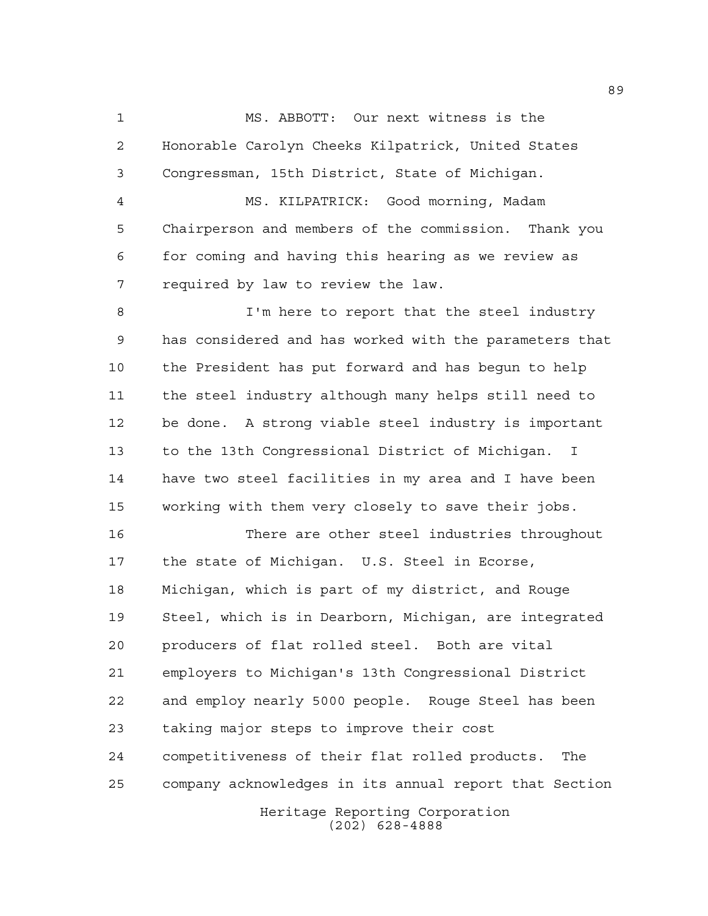MS. ABBOTT: Our next witness is the Honorable Carolyn Cheeks Kilpatrick, United States Congressman, 15th District, State of Michigan.

 MS. KILPATRICK: Good morning, Madam Chairperson and members of the commission. Thank you for coming and having this hearing as we review as required by law to review the law.

8 I'm here to report that the steel industry has considered and has worked with the parameters that the President has put forward and has begun to help the steel industry although many helps still need to be done. A strong viable steel industry is important to the 13th Congressional District of Michigan. I have two steel facilities in my area and I have been working with them very closely to save their jobs.

Heritage Reporting Corporation There are other steel industries throughout the state of Michigan. U.S. Steel in Ecorse, Michigan, which is part of my district, and Rouge Steel, which is in Dearborn, Michigan, are integrated producers of flat rolled steel. Both are vital employers to Michigan's 13th Congressional District and employ nearly 5000 people. Rouge Steel has been taking major steps to improve their cost competitiveness of their flat rolled products. The company acknowledges in its annual report that Section

(202) 628-4888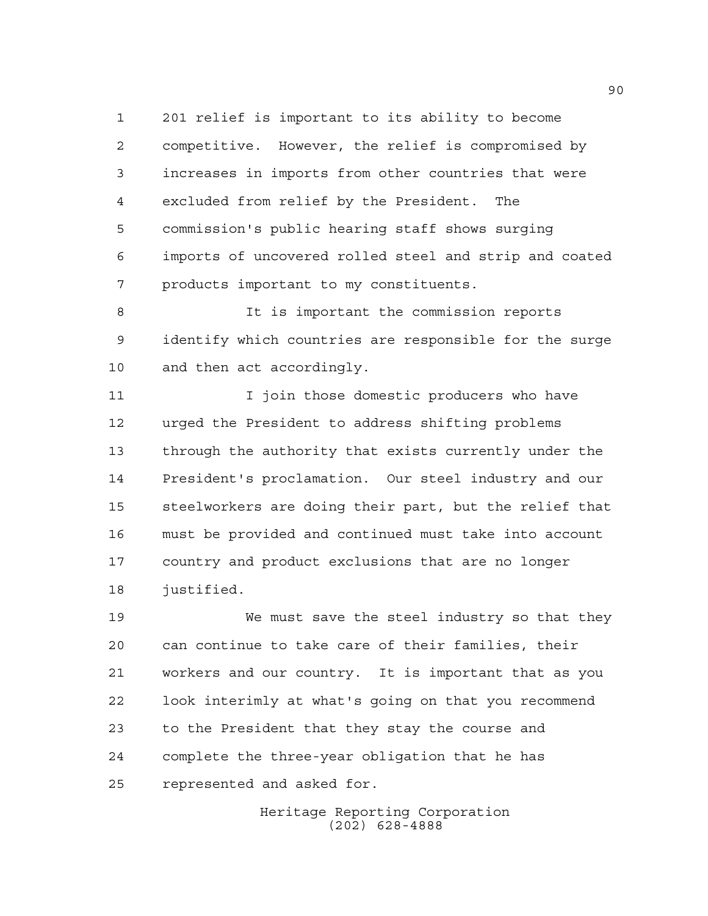201 relief is important to its ability to become competitive. However, the relief is compromised by increases in imports from other countries that were excluded from relief by the President. The commission's public hearing staff shows surging imports of uncovered rolled steel and strip and coated products important to my constituents.

 It is important the commission reports identify which countries are responsible for the surge and then act accordingly.

 I join those domestic producers who have urged the President to address shifting problems through the authority that exists currently under the President's proclamation. Our steel industry and our steelworkers are doing their part, but the relief that must be provided and continued must take into account country and product exclusions that are no longer justified.

 We must save the steel industry so that they can continue to take care of their families, their workers and our country. It is important that as you look interimly at what's going on that you recommend to the President that they stay the course and complete the three-year obligation that he has represented and asked for.

> Heritage Reporting Corporation (202) 628-4888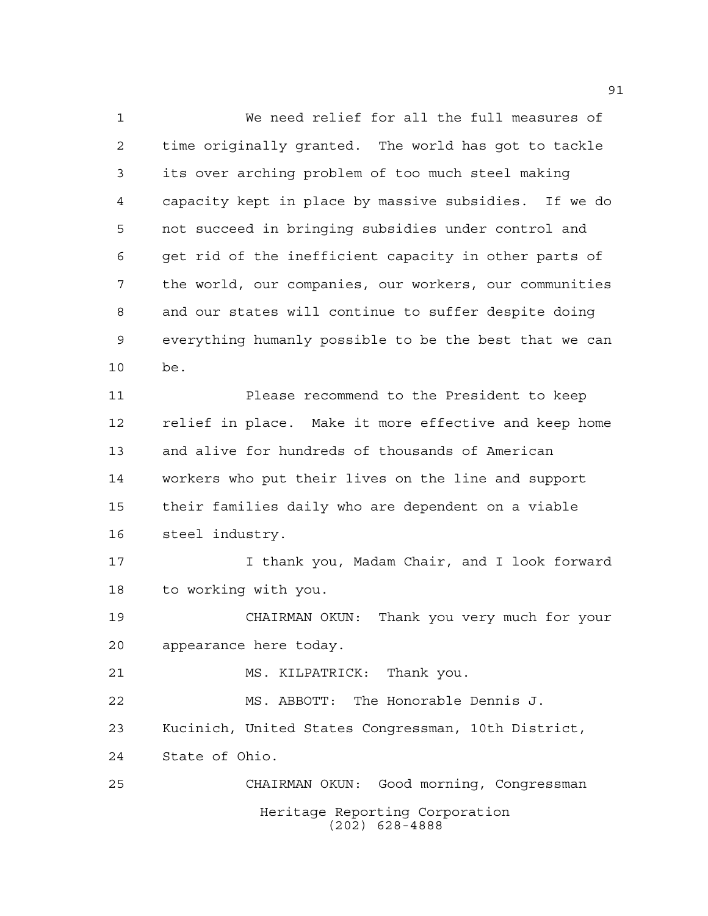Heritage Reporting Corporation (202) 628-4888 We need relief for all the full measures of time originally granted. The world has got to tackle its over arching problem of too much steel making capacity kept in place by massive subsidies. If we do not succeed in bringing subsidies under control and get rid of the inefficient capacity in other parts of the world, our companies, our workers, our communities and our states will continue to suffer despite doing everything humanly possible to be the best that we can be. Please recommend to the President to keep relief in place. Make it more effective and keep home and alive for hundreds of thousands of American workers who put their lives on the line and support their families daily who are dependent on a viable steel industry. I thank you, Madam Chair, and I look forward to working with you. CHAIRMAN OKUN: Thank you very much for your appearance here today. 21 MS. KILPATRICK: Thank you. MS. ABBOTT: The Honorable Dennis J. Kucinich, United States Congressman, 10th District, State of Ohio. CHAIRMAN OKUN: Good morning, Congressman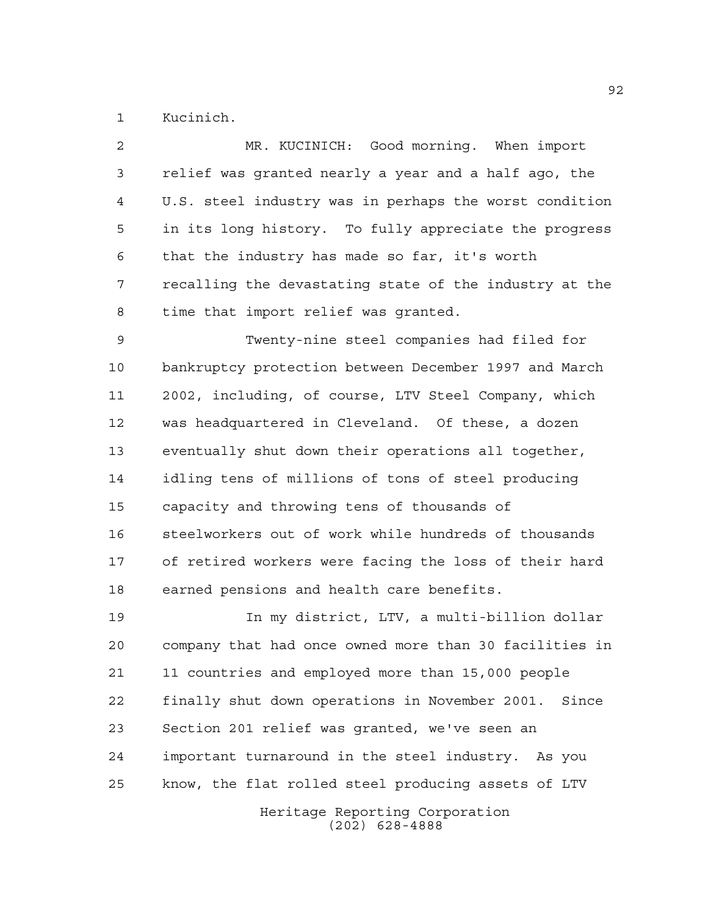Kucinich.

| $\overline{a}$ | MR. KUCINICH: Good morning. When import                |
|----------------|--------------------------------------------------------|
| $\mathbf{3}$   | relief was granted nearly a year and a half ago, the   |
| 4              | U.S. steel industry was in perhaps the worst condition |
| 5              | in its long history. To fully appreciate the progress  |
| 6              | that the industry has made so far, it's worth          |
| 7              | recalling the devastating state of the industry at the |
| 8              | time that import relief was granted.                   |
| 9              | Twenty-nine steel companies had filed for              |
| 10             | bankruptcy protection between December 1997 and March  |
| 11             | 2002, including, of course, LTV Steel Company, which   |
| 12             | was headquartered in Cleveland. Of these, a dozen      |
| 13             | eventually shut down their operations all together,    |
| 14             | idling tens of millions of tons of steel producing     |
| 15             | capacity and throwing tens of thousands of             |
| 16             | steelworkers out of work while hundreds of thousands   |
| 17             | of retired workers were facing the loss of their hard  |
| 18             | earned pensions and health care benefits.              |
|                |                                                        |

 In my district, LTV, a multi-billion dollar company that had once owned more than 30 facilities in 11 countries and employed more than 15,000 people finally shut down operations in November 2001. Since Section 201 relief was granted, we've seen an important turnaround in the steel industry. As you know, the flat rolled steel producing assets of LTV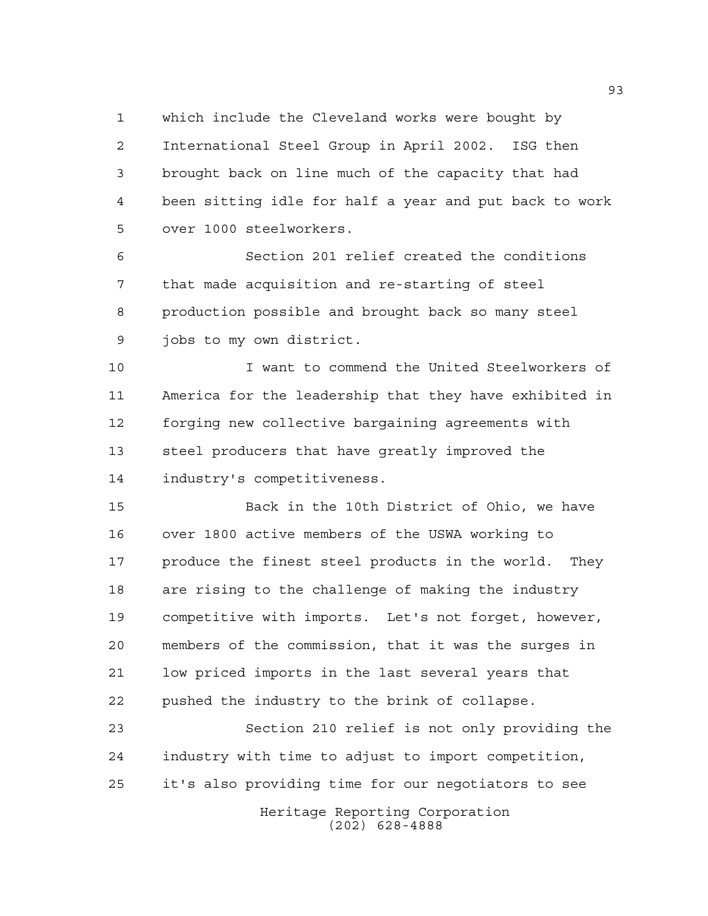which include the Cleveland works were bought by International Steel Group in April 2002. ISG then brought back on line much of the capacity that had been sitting idle for half a year and put back to work over 1000 steelworkers.

 Section 201 relief created the conditions that made acquisition and re-starting of steel production possible and brought back so many steel jobs to my own district.

 I want to commend the United Steelworkers of America for the leadership that they have exhibited in forging new collective bargaining agreements with steel producers that have greatly improved the industry's competitiveness.

 Back in the 10th District of Ohio, we have over 1800 active members of the USWA working to produce the finest steel products in the world. They are rising to the challenge of making the industry competitive with imports. Let's not forget, however, members of the commission, that it was the surges in low priced imports in the last several years that pushed the industry to the brink of collapse.

Heritage Reporting Corporation Section 210 relief is not only providing the industry with time to adjust to import competition, it's also providing time for our negotiators to see

(202) 628-4888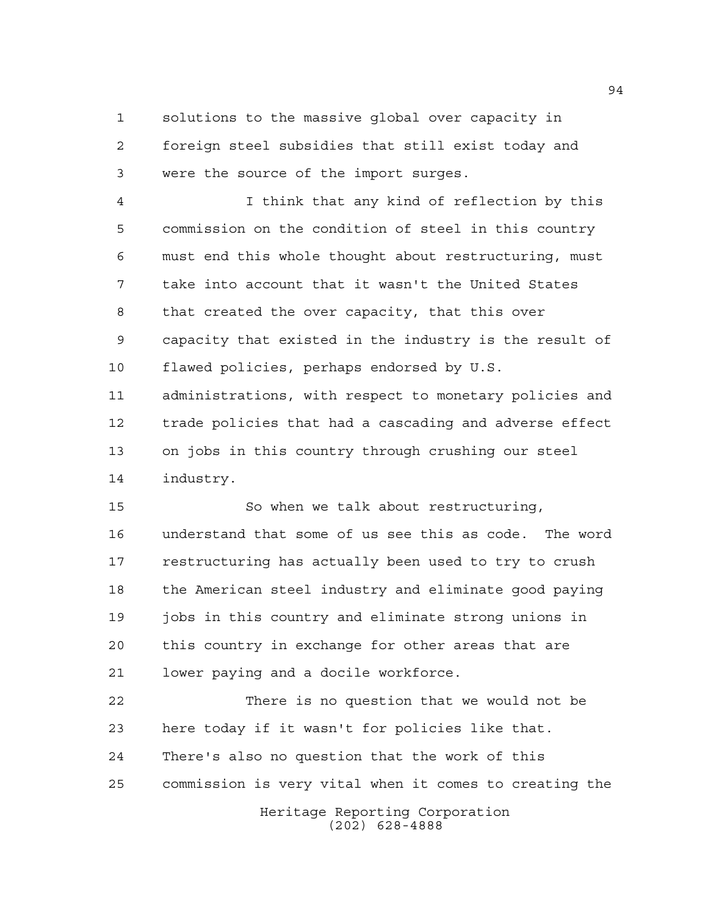solutions to the massive global over capacity in foreign steel subsidies that still exist today and were the source of the import surges.

 I think that any kind of reflection by this commission on the condition of steel in this country must end this whole thought about restructuring, must take into account that it wasn't the United States that created the over capacity, that this over capacity that existed in the industry is the result of flawed policies, perhaps endorsed by U.S. administrations, with respect to monetary policies and trade policies that had a cascading and adverse effect on jobs in this country through crushing our steel industry.

 So when we talk about restructuring, understand that some of us see this as code. The word restructuring has actually been used to try to crush the American steel industry and eliminate good paying jobs in this country and eliminate strong unions in this country in exchange for other areas that are lower paying and a docile workforce.

 There is no question that we would not be here today if it wasn't for policies like that. There's also no question that the work of this commission is very vital when it comes to creating the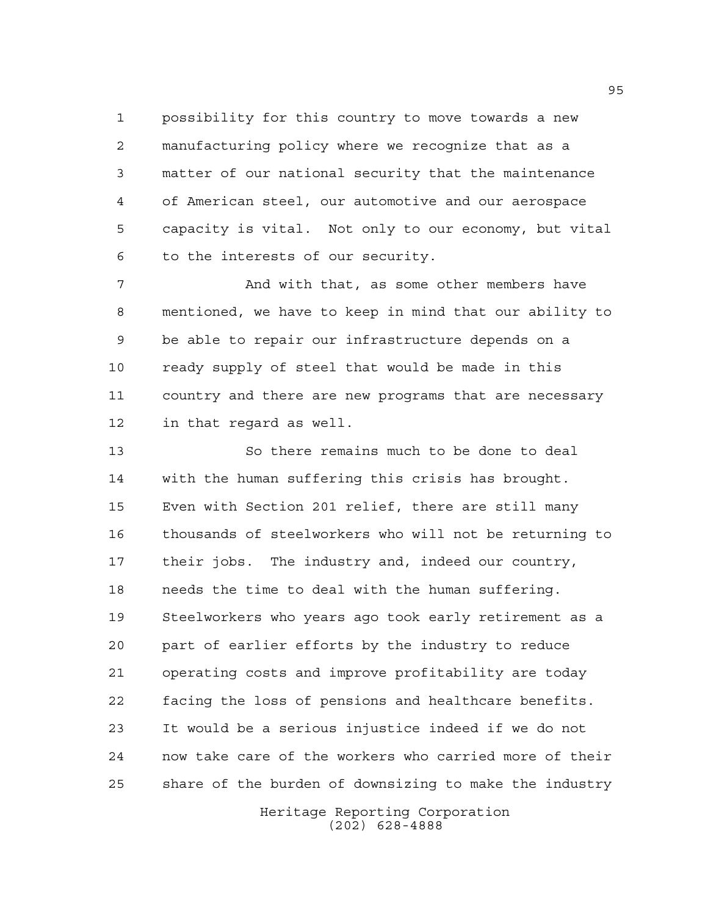possibility for this country to move towards a new manufacturing policy where we recognize that as a matter of our national security that the maintenance of American steel, our automotive and our aerospace capacity is vital. Not only to our economy, but vital to the interests of our security.

7 And with that, as some other members have mentioned, we have to keep in mind that our ability to be able to repair our infrastructure depends on a ready supply of steel that would be made in this country and there are new programs that are necessary in that regard as well.

 So there remains much to be done to deal with the human suffering this crisis has brought. Even with Section 201 relief, there are still many thousands of steelworkers who will not be returning to their jobs. The industry and, indeed our country, needs the time to deal with the human suffering. Steelworkers who years ago took early retirement as a part of earlier efforts by the industry to reduce operating costs and improve profitability are today facing the loss of pensions and healthcare benefits. It would be a serious injustice indeed if we do not now take care of the workers who carried more of their share of the burden of downsizing to make the industry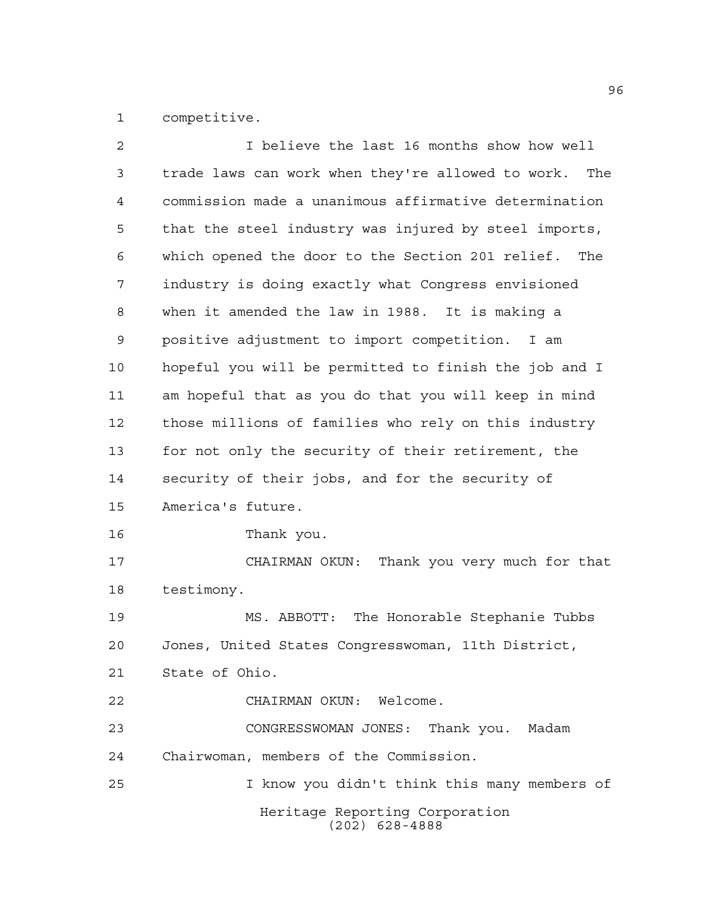competitive.

| $\overline{a}$ | I believe the last 16 months show how well            |
|----------------|-------------------------------------------------------|
| 3              | trade laws can work when they're allowed to work. The |
| 4              | commission made a unanimous affirmative determination |
| 5              | that the steel industry was injured by steel imports, |
| 6              | which opened the door to the Section 201 relief. The  |
| 7              | industry is doing exactly what Congress envisioned    |
| 8              | when it amended the law in 1988. It is making a       |
| 9              | positive adjustment to import competition.<br>I am    |
| 10             | hopeful you will be permitted to finish the job and I |
| 11             | am hopeful that as you do that you will keep in mind  |
| 12             | those millions of families who rely on this industry  |
| 13             | for not only the security of their retirement, the    |
| 14             | security of their jobs, and for the security of       |
| 15             | America's future.                                     |
| 16             | Thank you.                                            |
| 17             | Thank you very much for that<br>CHAIRMAN OKUN:        |
| 18             | testimony.                                            |
| 19             | MS. ABBOTT: The Honorable Stephanie Tubbs             |
| 20             | Jones, United States Congresswoman, 11th District,    |
| 21             | State of Ohio.                                        |
| 22             | CHAIRMAN OKUN: Welcome.                               |
| 23             | CONGRESSWOMAN JONES: Thank you. Madam                 |
| 24             | Chairwoman, members of the Commission.                |
| 25             | I know you didn't think this many members of          |
|                | Heritage Reporting Corporation<br>$(202)$ 628-4888    |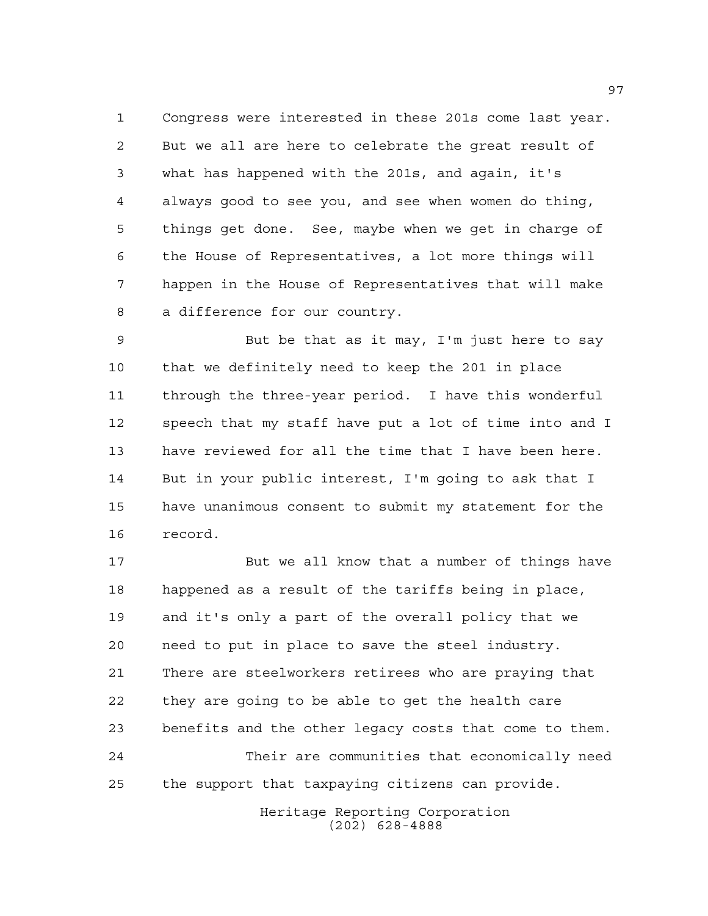Congress were interested in these 201s come last year. But we all are here to celebrate the great result of what has happened with the 201s, and again, it's always good to see you, and see when women do thing, things get done. See, maybe when we get in charge of the House of Representatives, a lot more things will happen in the House of Representatives that will make a difference for our country.

 But be that as it may, I'm just here to say that we definitely need to keep the 201 in place through the three-year period. I have this wonderful speech that my staff have put a lot of time into and I have reviewed for all the time that I have been here. But in your public interest, I'm going to ask that I have unanimous consent to submit my statement for the record.

 But we all know that a number of things have happened as a result of the tariffs being in place, and it's only a part of the overall policy that we need to put in place to save the steel industry. There are steelworkers retirees who are praying that they are going to be able to get the health care benefits and the other legacy costs that come to them. Their are communities that economically need the support that taxpaying citizens can provide.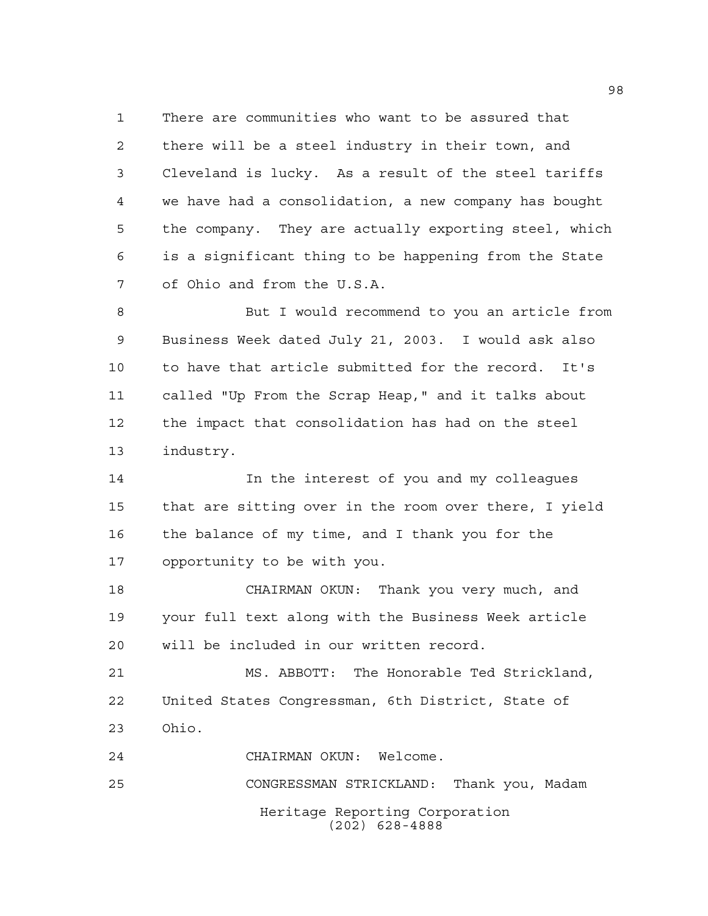There are communities who want to be assured that there will be a steel industry in their town, and Cleveland is lucky. As a result of the steel tariffs we have had a consolidation, a new company has bought the company. They are actually exporting steel, which is a significant thing to be happening from the State of Ohio and from the U.S.A.

 But I would recommend to you an article from Business Week dated July 21, 2003. I would ask also to have that article submitted for the record. It's called "Up From the Scrap Heap," and it talks about the impact that consolidation has had on the steel industry.

 In the interest of you and my colleagues that are sitting over in the room over there, I yield the balance of my time, and I thank you for the opportunity to be with you.

 CHAIRMAN OKUN: Thank you very much, and your full text along with the Business Week article will be included in our written record.

 MS. ABBOTT: The Honorable Ted Strickland, United States Congressman, 6th District, State of Ohio.

CHAIRMAN OKUN: Welcome.

Heritage Reporting Corporation (202) 628-4888 CONGRESSMAN STRICKLAND: Thank you, Madam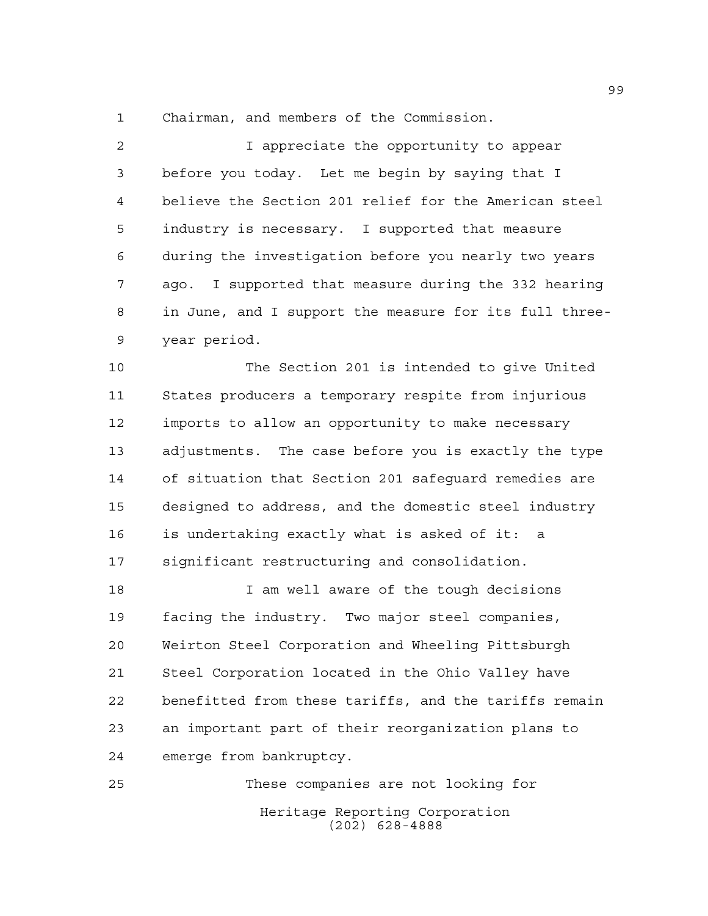Chairman, and members of the Commission.

 I appreciate the opportunity to appear before you today. Let me begin by saying that I believe the Section 201 relief for the American steel industry is necessary. I supported that measure during the investigation before you nearly two years ago. I supported that measure during the 332 hearing in June, and I support the measure for its full three-year period.

 The Section 201 is intended to give United States producers a temporary respite from injurious imports to allow an opportunity to make necessary adjustments. The case before you is exactly the type of situation that Section 201 safeguard remedies are designed to address, and the domestic steel industry is undertaking exactly what is asked of it: a significant restructuring and consolidation.

 I am well aware of the tough decisions facing the industry. Two major steel companies, Weirton Steel Corporation and Wheeling Pittsburgh Steel Corporation located in the Ohio Valley have benefitted from these tariffs, and the tariffs remain an important part of their reorganization plans to emerge from bankruptcy.

Heritage Reporting Corporation (202) 628-4888 These companies are not looking for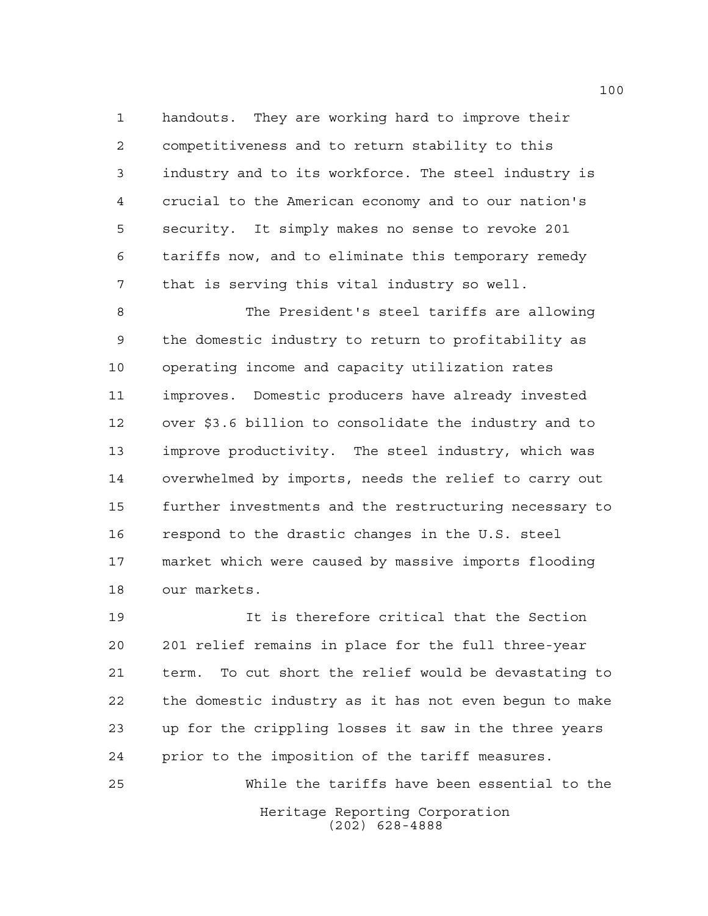handouts. They are working hard to improve their competitiveness and to return stability to this industry and to its workforce. The steel industry is crucial to the American economy and to our nation's security. It simply makes no sense to revoke 201 tariffs now, and to eliminate this temporary remedy that is serving this vital industry so well.

 The President's steel tariffs are allowing the domestic industry to return to profitability as operating income and capacity utilization rates improves. Domestic producers have already invested over \$3.6 billion to consolidate the industry and to improve productivity. The steel industry, which was overwhelmed by imports, needs the relief to carry out further investments and the restructuring necessary to respond to the drastic changes in the U.S. steel market which were caused by massive imports flooding our markets.

 It is therefore critical that the Section 201 relief remains in place for the full three-year term. To cut short the relief would be devastating to the domestic industry as it has not even begun to make up for the crippling losses it saw in the three years prior to the imposition of the tariff measures.

Heritage Reporting Corporation (202) 628-4888 While the tariffs have been essential to the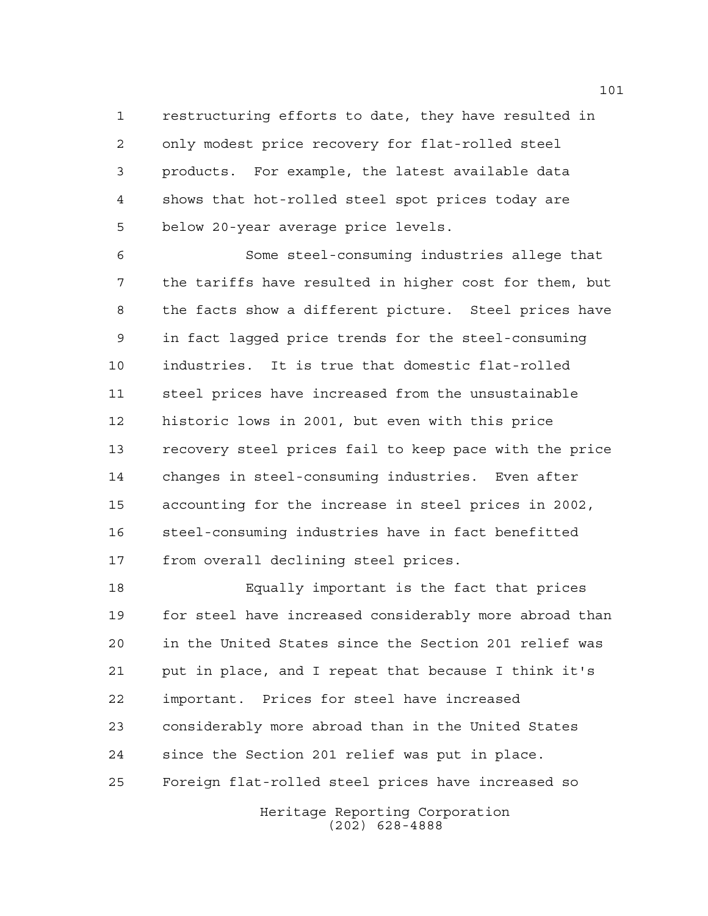restructuring efforts to date, they have resulted in only modest price recovery for flat-rolled steel products. For example, the latest available data shows that hot-rolled steel spot prices today are below 20-year average price levels.

 Some steel-consuming industries allege that the tariffs have resulted in higher cost for them, but the facts show a different picture. Steel prices have in fact lagged price trends for the steel-consuming industries. It is true that domestic flat-rolled steel prices have increased from the unsustainable historic lows in 2001, but even with this price recovery steel prices fail to keep pace with the price changes in steel-consuming industries. Even after accounting for the increase in steel prices in 2002, steel-consuming industries have in fact benefitted from overall declining steel prices.

 Equally important is the fact that prices for steel have increased considerably more abroad than in the United States since the Section 201 relief was put in place, and I repeat that because I think it's important. Prices for steel have increased considerably more abroad than in the United States since the Section 201 relief was put in place. Foreign flat-rolled steel prices have increased so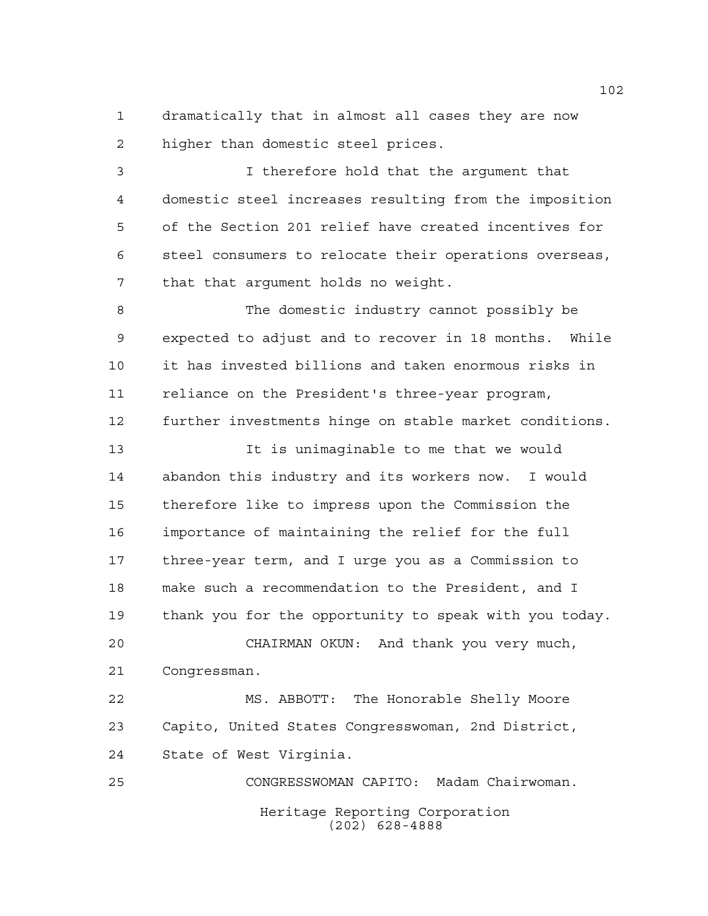dramatically that in almost all cases they are now higher than domestic steel prices.

 I therefore hold that the argument that domestic steel increases resulting from the imposition of the Section 201 relief have created incentives for steel consumers to relocate their operations overseas, that that argument holds no weight.

 The domestic industry cannot possibly be expected to adjust and to recover in 18 months. While it has invested billions and taken enormous risks in reliance on the President's three-year program, further investments hinge on stable market conditions.

 It is unimaginable to me that we would abandon this industry and its workers now. I would therefore like to impress upon the Commission the importance of maintaining the relief for the full three-year term, and I urge you as a Commission to make such a recommendation to the President, and I thank you for the opportunity to speak with you today. CHAIRMAN OKUN: And thank you very much,

Congressman.

 MS. ABBOTT: The Honorable Shelly Moore Capito, United States Congresswoman, 2nd District, State of West Virginia.

Heritage Reporting Corporation (202) 628-4888 CONGRESSWOMAN CAPITO: Madam Chairwoman.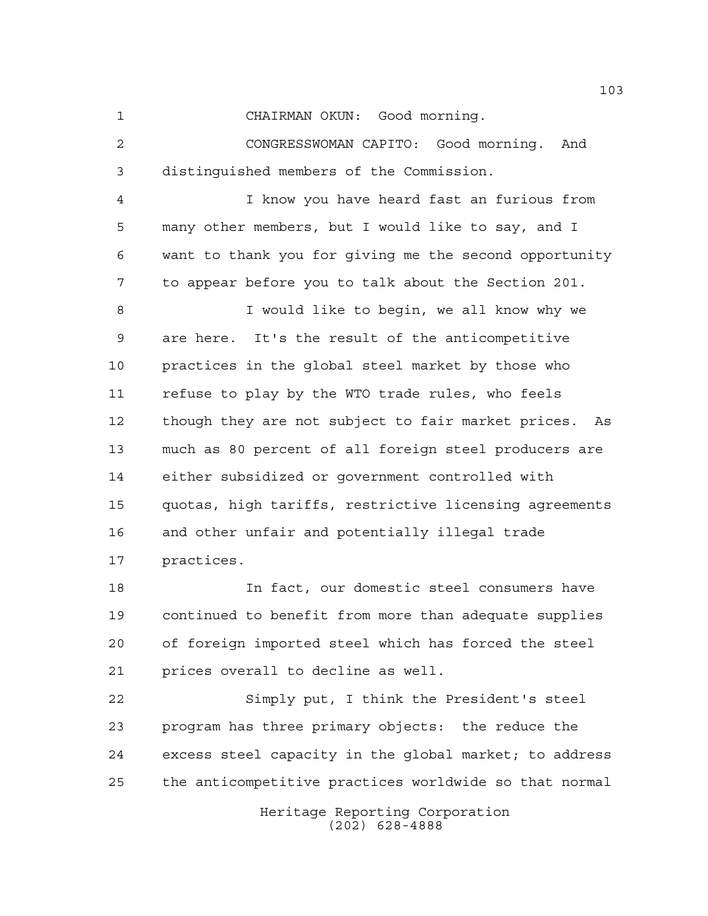CHAIRMAN OKUN: Good morning.

 CONGRESSWOMAN CAPITO: Good morning. And distinguished members of the Commission.

 I know you have heard fast an furious from many other members, but I would like to say, and I want to thank you for giving me the second opportunity to appear before you to talk about the Section 201.

 I would like to begin, we all know why we are here. It's the result of the anticompetitive practices in the global steel market by those who refuse to play by the WTO trade rules, who feels though they are not subject to fair market prices. As much as 80 percent of all foreign steel producers are either subsidized or government controlled with quotas, high tariffs, restrictive licensing agreements and other unfair and potentially illegal trade practices.

 In fact, our domestic steel consumers have continued to benefit from more than adequate supplies of foreign imported steel which has forced the steel prices overall to decline as well.

 Simply put, I think the President's steel program has three primary objects: the reduce the excess steel capacity in the global market; to address the anticompetitive practices worldwide so that normal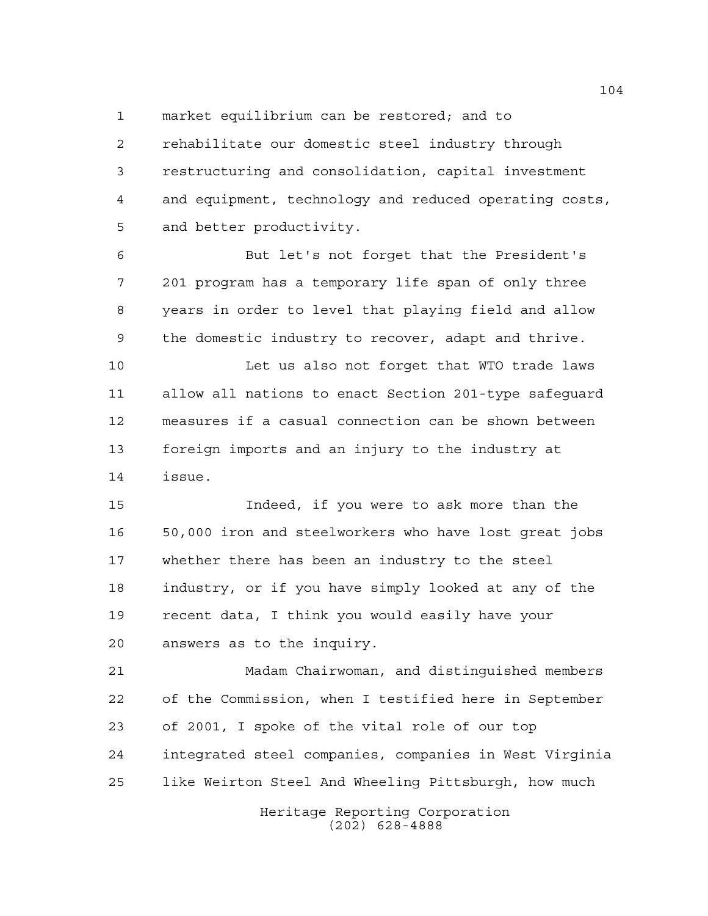market equilibrium can be restored; and to

 rehabilitate our domestic steel industry through restructuring and consolidation, capital investment and equipment, technology and reduced operating costs, and better productivity.

 But let's not forget that the President's 201 program has a temporary life span of only three years in order to level that playing field and allow the domestic industry to recover, adapt and thrive.

10 Let us also not forget that WTO trade laws allow all nations to enact Section 201-type safeguard measures if a casual connection can be shown between foreign imports and an injury to the industry at issue.

 Indeed, if you were to ask more than the 50,000 iron and steelworkers who have lost great jobs whether there has been an industry to the steel industry, or if you have simply looked at any of the recent data, I think you would easily have your answers as to the inquiry.

 Madam Chairwoman, and distinguished members of the Commission, when I testified here in September of 2001, I spoke of the vital role of our top integrated steel companies, companies in West Virginia like Weirton Steel And Wheeling Pittsburgh, how much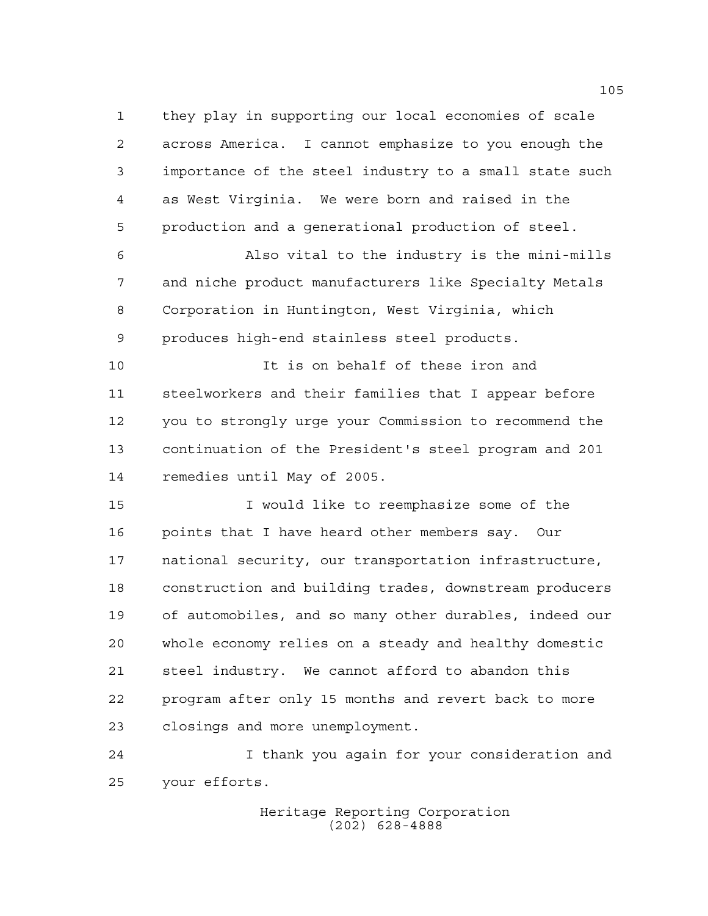they play in supporting our local economies of scale across America. I cannot emphasize to you enough the importance of the steel industry to a small state such as West Virginia. We were born and raised in the production and a generational production of steel.

 Also vital to the industry is the mini-mills and niche product manufacturers like Specialty Metals Corporation in Huntington, West Virginia, which produces high-end stainless steel products.

10 It is on behalf of these iron and steelworkers and their families that I appear before you to strongly urge your Commission to recommend the continuation of the President's steel program and 201 remedies until May of 2005.

 I would like to reemphasize some of the points that I have heard other members say. Our national security, our transportation infrastructure, construction and building trades, downstream producers of automobiles, and so many other durables, indeed our whole economy relies on a steady and healthy domestic steel industry. We cannot afford to abandon this program after only 15 months and revert back to more closings and more unemployment.

 I thank you again for your consideration and your efforts.

> Heritage Reporting Corporation (202) 628-4888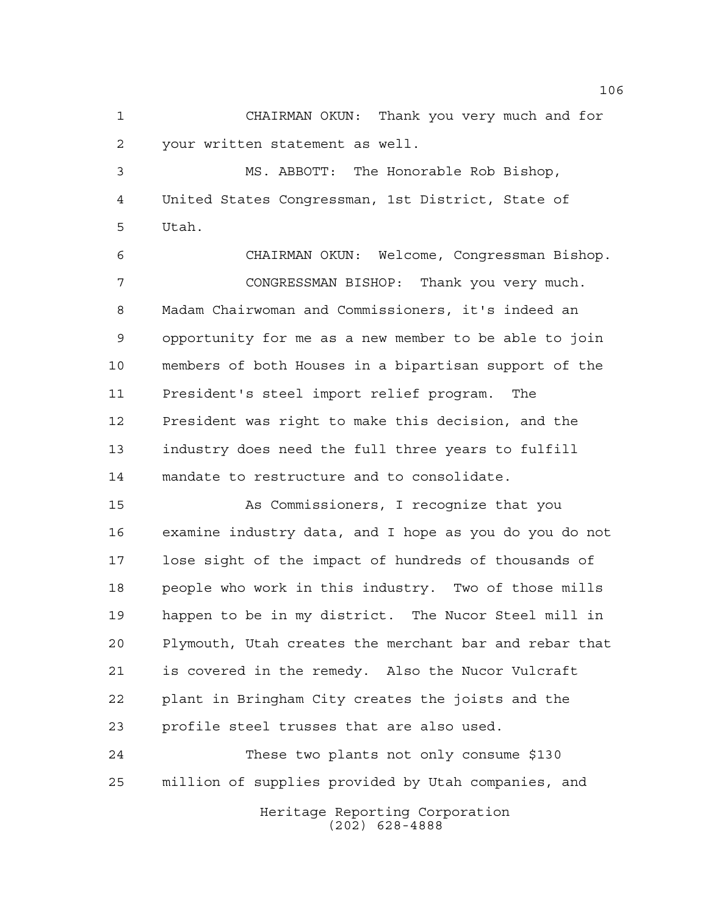CHAIRMAN OKUN: Thank you very much and for your written statement as well.

 MS. ABBOTT: The Honorable Rob Bishop, United States Congressman, 1st District, State of Utah.

 CHAIRMAN OKUN: Welcome, Congressman Bishop. CONGRESSMAN BISHOP: Thank you very much. Madam Chairwoman and Commissioners, it's indeed an opportunity for me as a new member to be able to join members of both Houses in a bipartisan support of the President's steel import relief program. The President was right to make this decision, and the industry does need the full three years to fulfill mandate to restructure and to consolidate.

 As Commissioners, I recognize that you examine industry data, and I hope as you do you do not lose sight of the impact of hundreds of thousands of people who work in this industry. Two of those mills happen to be in my district. The Nucor Steel mill in Plymouth, Utah creates the merchant bar and rebar that is covered in the remedy. Also the Nucor Vulcraft plant in Bringham City creates the joists and the profile steel trusses that are also used.

 These two plants not only consume \$130 million of supplies provided by Utah companies, and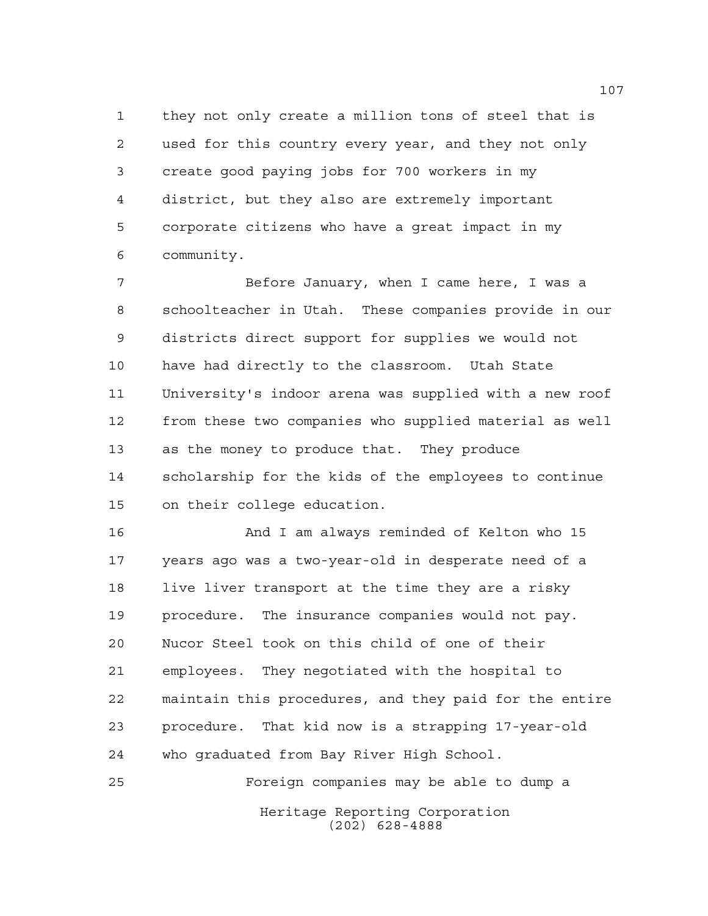they not only create a million tons of steel that is used for this country every year, and they not only create good paying jobs for 700 workers in my district, but they also are extremely important corporate citizens who have a great impact in my community.

 Before January, when I came here, I was a schoolteacher in Utah. These companies provide in our districts direct support for supplies we would not have had directly to the classroom. Utah State University's indoor arena was supplied with a new roof from these two companies who supplied material as well as the money to produce that. They produce scholarship for the kids of the employees to continue on their college education.

 And I am always reminded of Kelton who 15 years ago was a two-year-old in desperate need of a live liver transport at the time they are a risky procedure. The insurance companies would not pay. Nucor Steel took on this child of one of their employees. They negotiated with the hospital to maintain this procedures, and they paid for the entire procedure. That kid now is a strapping 17-year-old who graduated from Bay River High School.

Heritage Reporting Corporation (202) 628-4888 Foreign companies may be able to dump a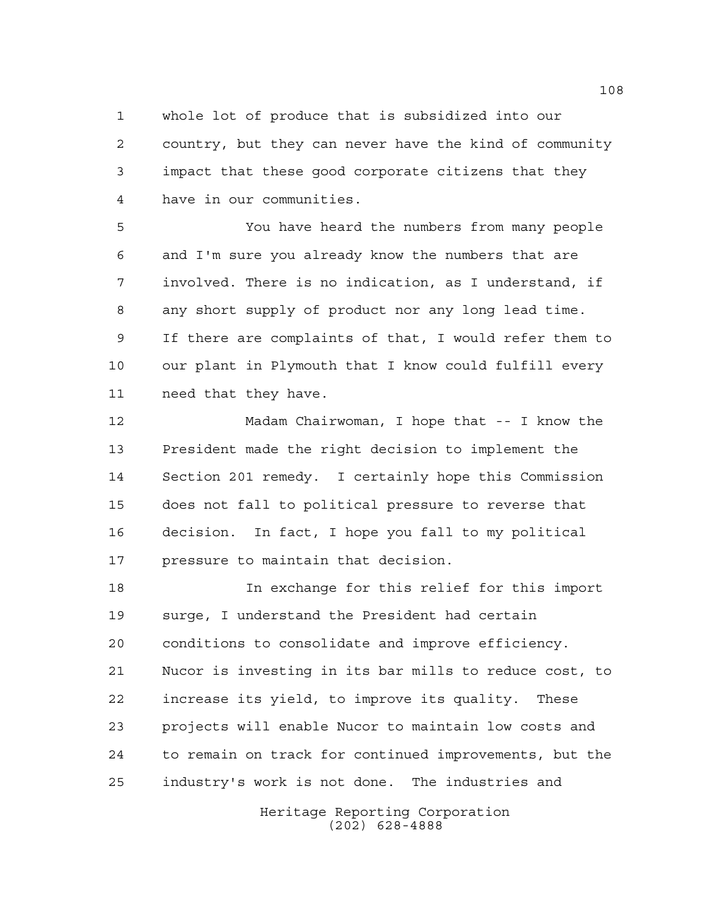whole lot of produce that is subsidized into our country, but they can never have the kind of community impact that these good corporate citizens that they have in our communities.

 You have heard the numbers from many people and I'm sure you already know the numbers that are involved. There is no indication, as I understand, if any short supply of product nor any long lead time. If there are complaints of that, I would refer them to our plant in Plymouth that I know could fulfill every need that they have.

 Madam Chairwoman, I hope that -- I know the President made the right decision to implement the Section 201 remedy. I certainly hope this Commission does not fall to political pressure to reverse that decision. In fact, I hope you fall to my political pressure to maintain that decision.

 In exchange for this relief for this import surge, I understand the President had certain conditions to consolidate and improve efficiency. Nucor is investing in its bar mills to reduce cost, to increase its yield, to improve its quality. These projects will enable Nucor to maintain low costs and to remain on track for continued improvements, but the industry's work is not done. The industries and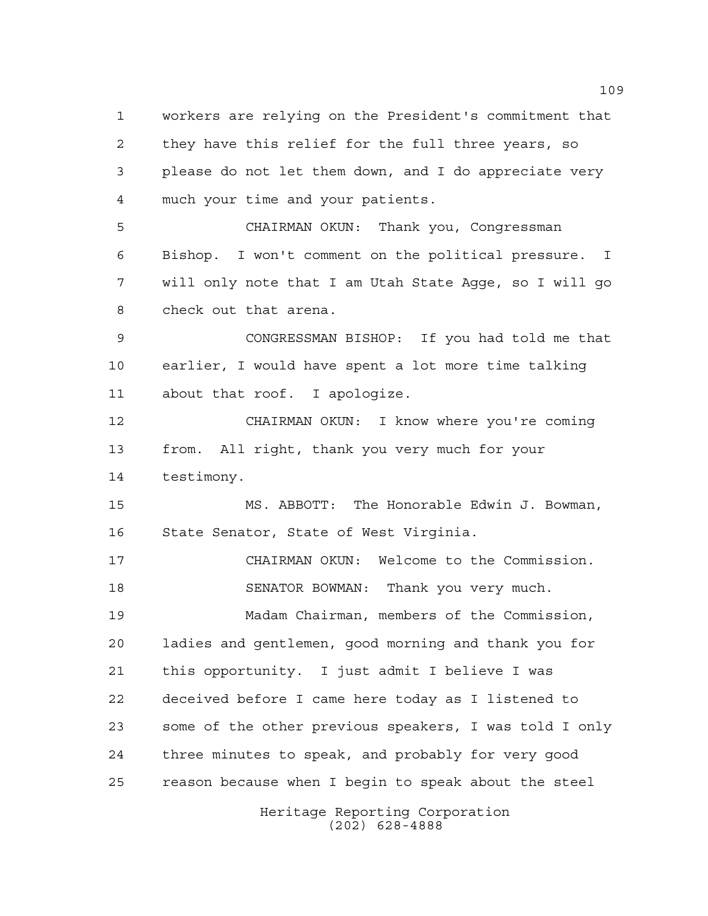workers are relying on the President's commitment that they have this relief for the full three years, so please do not let them down, and I do appreciate very much your time and your patients. CHAIRMAN OKUN: Thank you, Congressman Bishop. I won't comment on the political pressure. I will only note that I am Utah State Agge, so I will go check out that arena. CONGRESSMAN BISHOP: If you had told me that earlier, I would have spent a lot more time talking about that roof. I apologize. CHAIRMAN OKUN: I know where you're coming from. All right, thank you very much for your testimony. MS. ABBOTT: The Honorable Edwin J. Bowman, State Senator, State of West Virginia. CHAIRMAN OKUN: Welcome to the Commission. SENATOR BOWMAN: Thank you very much. Madam Chairman, members of the Commission, ladies and gentlemen, good morning and thank you for this opportunity. I just admit I believe I was deceived before I came here today as I listened to some of the other previous speakers, I was told I only three minutes to speak, and probably for very good reason because when I begin to speak about the steel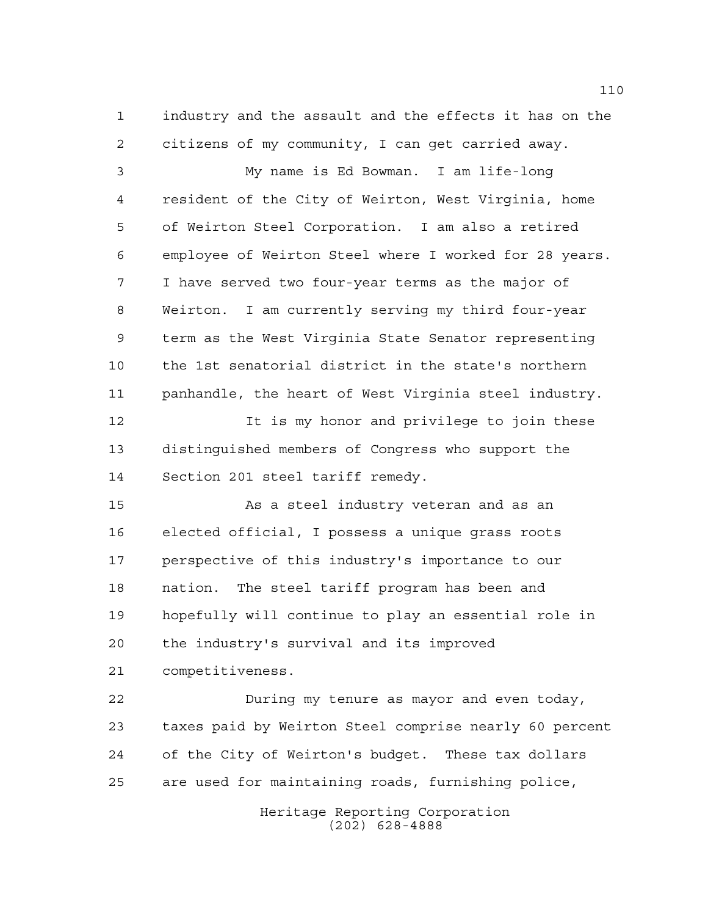industry and the assault and the effects it has on the citizens of my community, I can get carried away.

 My name is Ed Bowman. I am life-long resident of the City of Weirton, West Virginia, home of Weirton Steel Corporation. I am also a retired employee of Weirton Steel where I worked for 28 years. I have served two four-year terms as the major of Weirton. I am currently serving my third four-year term as the West Virginia State Senator representing the 1st senatorial district in the state's northern panhandle, the heart of West Virginia steel industry.

 It is my honor and privilege to join these distinguished members of Congress who support the Section 201 steel tariff remedy.

 As a steel industry veteran and as an elected official, I possess a unique grass roots perspective of this industry's importance to our nation. The steel tariff program has been and hopefully will continue to play an essential role in the industry's survival and its improved competitiveness.

 During my tenure as mayor and even today, taxes paid by Weirton Steel comprise nearly 60 percent of the City of Weirton's budget. These tax dollars are used for maintaining roads, furnishing police,

> Heritage Reporting Corporation (202) 628-4888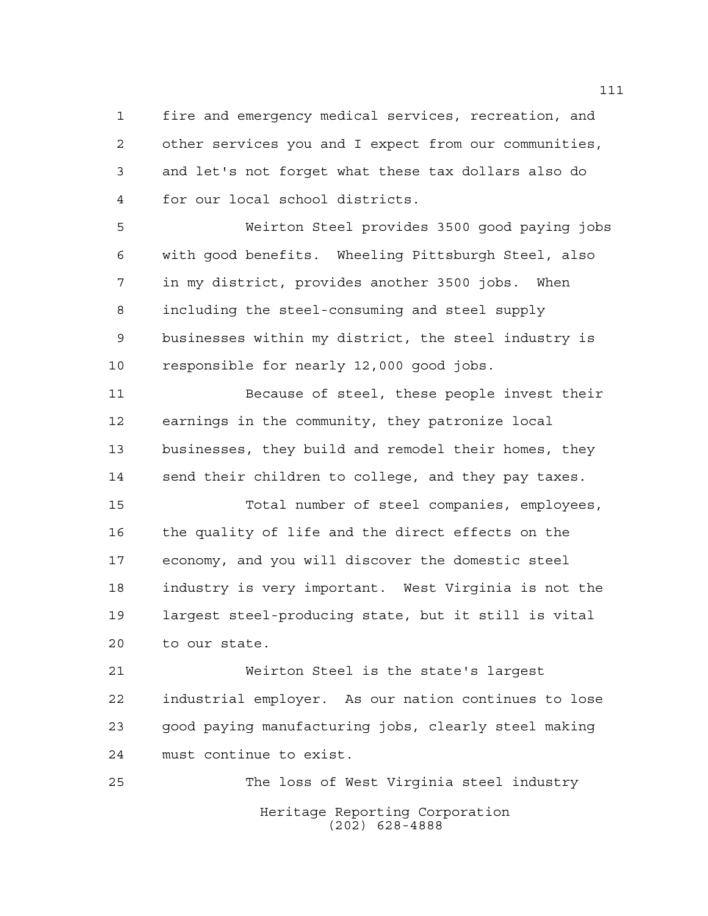fire and emergency medical services, recreation, and other services you and I expect from our communities, and let's not forget what these tax dollars also do for our local school districts.

 Weirton Steel provides 3500 good paying jobs with good benefits. Wheeling Pittsburgh Steel, also in my district, provides another 3500 jobs. When including the steel-consuming and steel supply businesses within my district, the steel industry is responsible for nearly 12,000 good jobs.

 Because of steel, these people invest their earnings in the community, they patronize local businesses, they build and remodel their homes, they send their children to college, and they pay taxes.

 Total number of steel companies, employees, the quality of life and the direct effects on the economy, and you will discover the domestic steel industry is very important. West Virginia is not the largest steel-producing state, but it still is vital to our state.

 Weirton Steel is the state's largest industrial employer. As our nation continues to lose good paying manufacturing jobs, clearly steel making must continue to exist.

Heritage Reporting Corporation (202) 628-4888 The loss of West Virginia steel industry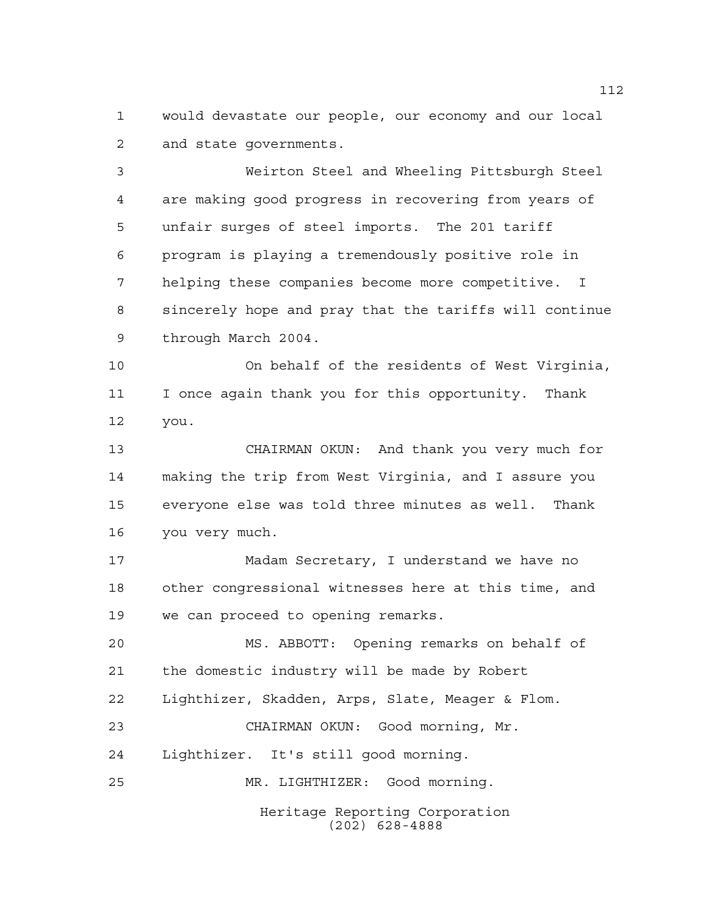would devastate our people, our economy and our local and state governments.

 Weirton Steel and Wheeling Pittsburgh Steel are making good progress in recovering from years of unfair surges of steel imports. The 201 tariff program is playing a tremendously positive role in helping these companies become more competitive. I sincerely hope and pray that the tariffs will continue through March 2004.

 On behalf of the residents of West Virginia, I once again thank you for this opportunity. Thank you.

 CHAIRMAN OKUN: And thank you very much for making the trip from West Virginia, and I assure you everyone else was told three minutes as well. Thank you very much.

 Madam Secretary, I understand we have no other congressional witnesses here at this time, and we can proceed to opening remarks.

 MS. ABBOTT: Opening remarks on behalf of the domestic industry will be made by Robert Lighthizer, Skadden, Arps, Slate, Meager & Flom. CHAIRMAN OKUN: Good morning, Mr. Lighthizer. It's still good morning. MR. LIGHTHIZER: Good morning.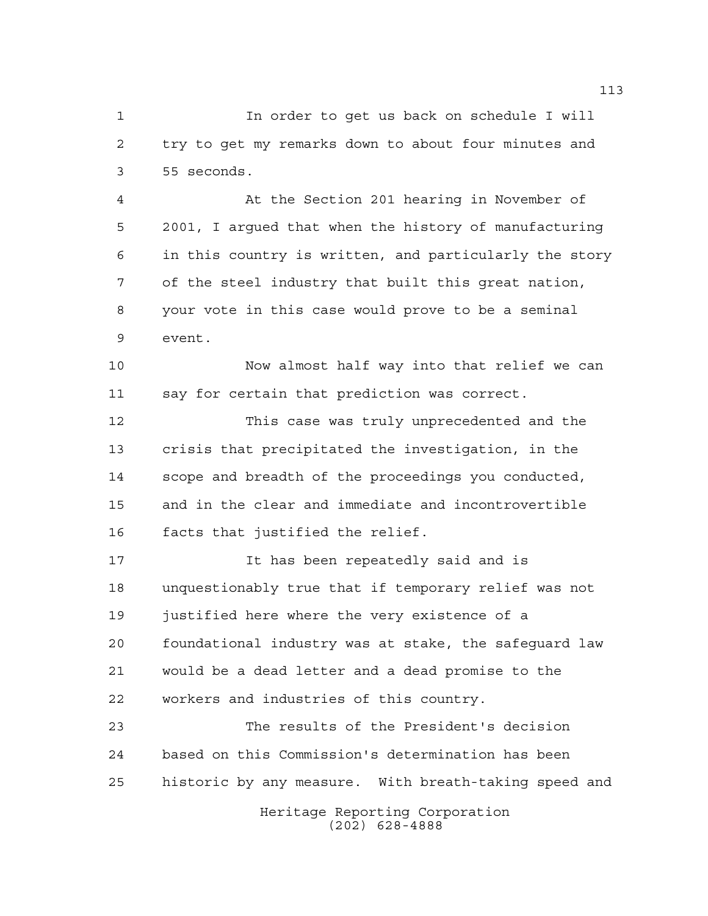In order to get us back on schedule I will try to get my remarks down to about four minutes and 55 seconds.

 At the Section 201 hearing in November of 2001, I argued that when the history of manufacturing in this country is written, and particularly the story of the steel industry that built this great nation, your vote in this case would prove to be a seminal event.

 Now almost half way into that relief we can say for certain that prediction was correct.

 This case was truly unprecedented and the crisis that precipitated the investigation, in the scope and breadth of the proceedings you conducted, and in the clear and immediate and incontrovertible facts that justified the relief.

 It has been repeatedly said and is unquestionably true that if temporary relief was not justified here where the very existence of a foundational industry was at stake, the safeguard law would be a dead letter and a dead promise to the workers and industries of this country.

 The results of the President's decision based on this Commission's determination has been historic by any measure. With breath-taking speed and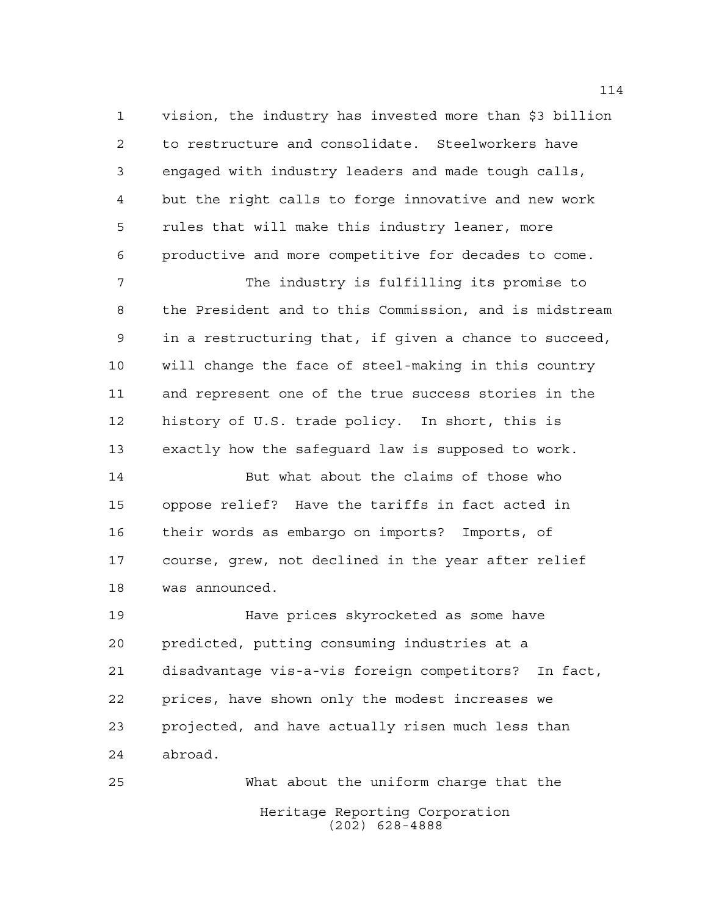vision, the industry has invested more than \$3 billion to restructure and consolidate. Steelworkers have engaged with industry leaders and made tough calls, but the right calls to forge innovative and new work rules that will make this industry leaner, more productive and more competitive for decades to come.

 The industry is fulfilling its promise to the President and to this Commission, and is midstream in a restructuring that, if given a chance to succeed, will change the face of steel-making in this country and represent one of the true success stories in the history of U.S. trade policy. In short, this is exactly how the safeguard law is supposed to work.

 But what about the claims of those who oppose relief? Have the tariffs in fact acted in their words as embargo on imports? Imports, of course, grew, not declined in the year after relief was announced.

 Have prices skyrocketed as some have predicted, putting consuming industries at a disadvantage vis-a-vis foreign competitors? In fact, prices, have shown only the modest increases we projected, and have actually risen much less than abroad.

Heritage Reporting Corporation (202) 628-4888 What about the uniform charge that the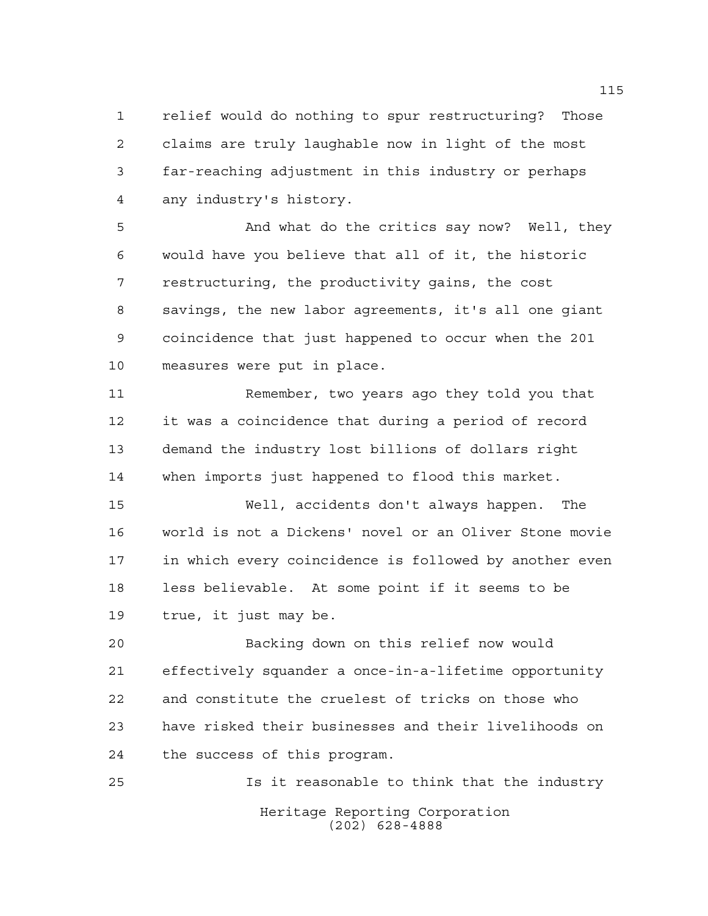relief would do nothing to spur restructuring? Those claims are truly laughable now in light of the most far-reaching adjustment in this industry or perhaps any industry's history.

 And what do the critics say now? Well, they would have you believe that all of it, the historic restructuring, the productivity gains, the cost savings, the new labor agreements, it's all one giant coincidence that just happened to occur when the 201 measures were put in place.

 Remember, two years ago they told you that it was a coincidence that during a period of record demand the industry lost billions of dollars right when imports just happened to flood this market.

 Well, accidents don't always happen. The world is not a Dickens' novel or an Oliver Stone movie in which every coincidence is followed by another even less believable. At some point if it seems to be true, it just may be.

 Backing down on this relief now would effectively squander a once-in-a-lifetime opportunity and constitute the cruelest of tricks on those who have risked their businesses and their livelihoods on the success of this program.

Heritage Reporting Corporation (202) 628-4888 Is it reasonable to think that the industry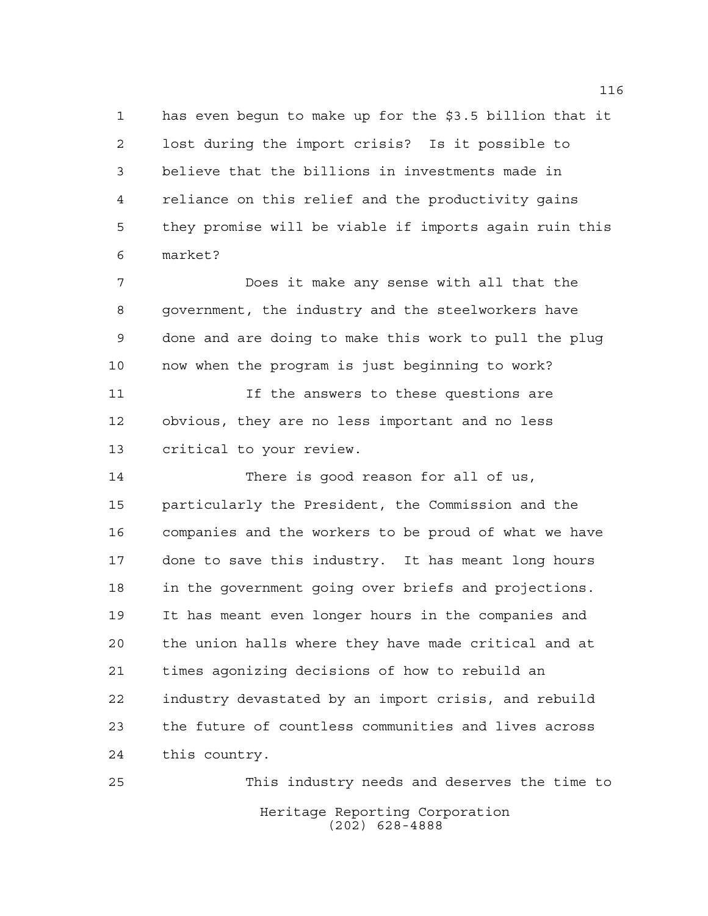has even begun to make up for the \$3.5 billion that it lost during the import crisis? Is it possible to believe that the billions in investments made in reliance on this relief and the productivity gains they promise will be viable if imports again ruin this market?

 Does it make any sense with all that the government, the industry and the steelworkers have done and are doing to make this work to pull the plug now when the program is just beginning to work?

 If the answers to these questions are obvious, they are no less important and no less critical to your review.

 There is good reason for all of us, particularly the President, the Commission and the companies and the workers to be proud of what we have done to save this industry. It has meant long hours in the government going over briefs and projections. It has meant even longer hours in the companies and the union halls where they have made critical and at times agonizing decisions of how to rebuild an industry devastated by an import crisis, and rebuild the future of countless communities and lives across this country.

Heritage Reporting Corporation (202) 628-4888 This industry needs and deserves the time to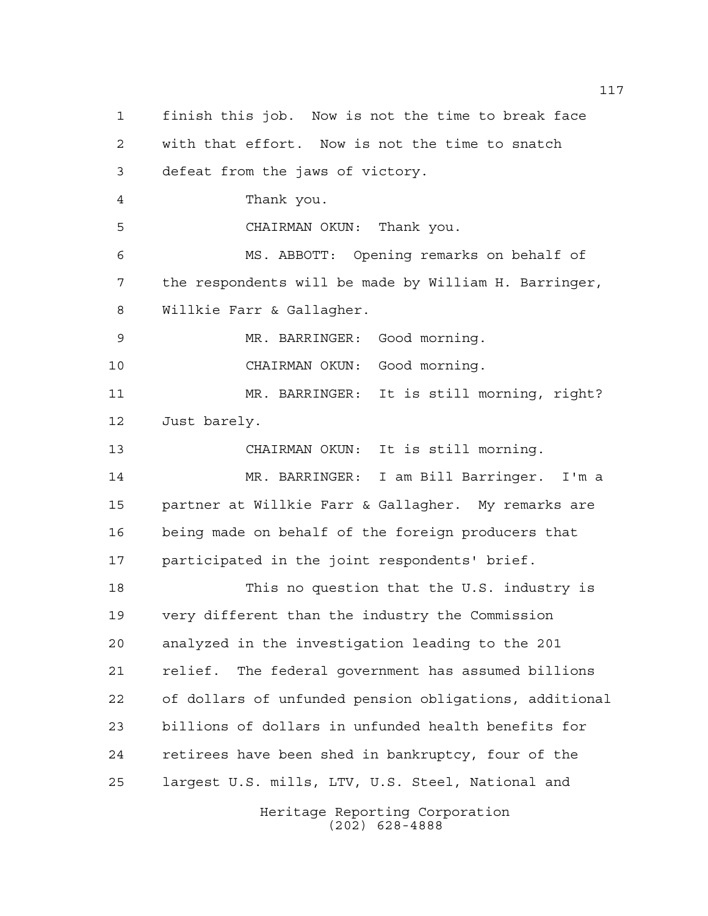finish this job. Now is not the time to break face with that effort. Now is not the time to snatch defeat from the jaws of victory. Thank you. CHAIRMAN OKUN: Thank you. MS. ABBOTT: Opening remarks on behalf of the respondents will be made by William H. Barringer, Willkie Farr & Gallagher. MR. BARRINGER: Good morning. CHAIRMAN OKUN: Good morning. MR. BARRINGER: It is still morning, right? Just barely. CHAIRMAN OKUN: It is still morning. MR. BARRINGER: I am Bill Barringer. I'm a partner at Willkie Farr & Gallagher. My remarks are being made on behalf of the foreign producers that participated in the joint respondents' brief. This no question that the U.S. industry is very different than the industry the Commission analyzed in the investigation leading to the 201 relief. The federal government has assumed billions of dollars of unfunded pension obligations, additional billions of dollars in unfunded health benefits for retirees have been shed in bankruptcy, four of the largest U.S. mills, LTV, U.S. Steel, National and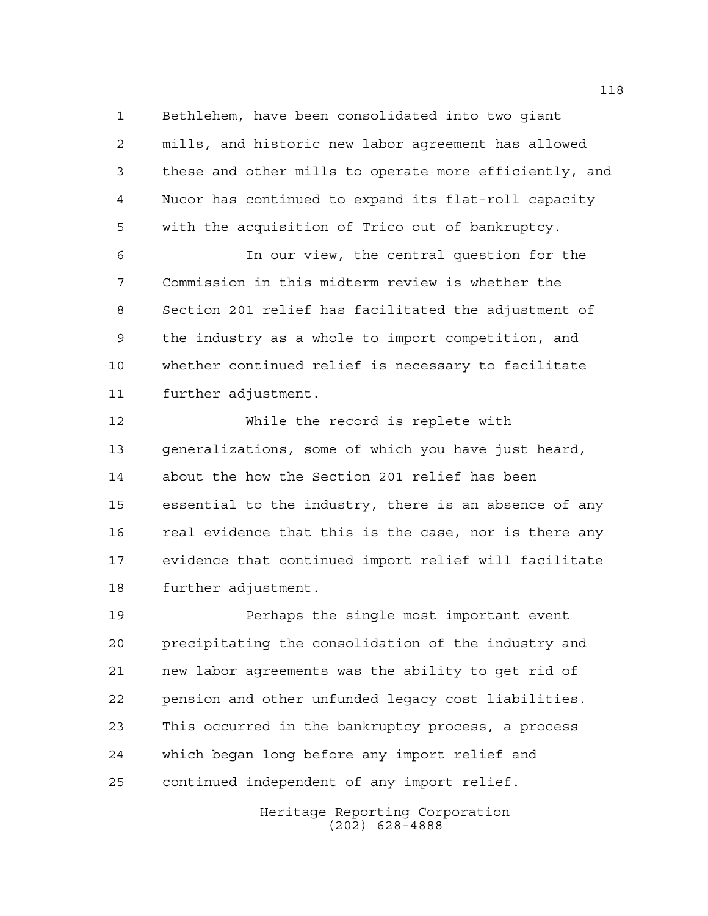Bethlehem, have been consolidated into two giant mills, and historic new labor agreement has allowed these and other mills to operate more efficiently, and Nucor has continued to expand its flat-roll capacity with the acquisition of Trico out of bankruptcy.

 In our view, the central question for the Commission in this midterm review is whether the Section 201 relief has facilitated the adjustment of the industry as a whole to import competition, and whether continued relief is necessary to facilitate further adjustment.

 While the record is replete with generalizations, some of which you have just heard, about the how the Section 201 relief has been essential to the industry, there is an absence of any 16 real evidence that this is the case, nor is there any evidence that continued import relief will facilitate further adjustment.

**Perhaps the single most important event**  precipitating the consolidation of the industry and new labor agreements was the ability to get rid of pension and other unfunded legacy cost liabilities. This occurred in the bankruptcy process, a process which began long before any import relief and continued independent of any import relief.

> Heritage Reporting Corporation (202) 628-4888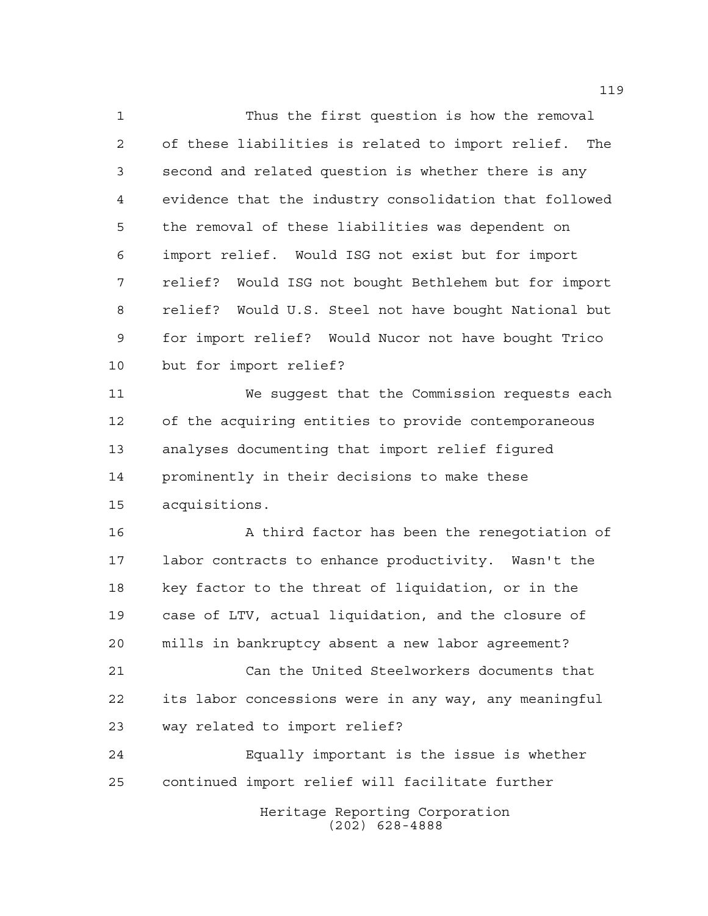Thus the first question is how the removal of these liabilities is related to import relief. The second and related question is whether there is any evidence that the industry consolidation that followed the removal of these liabilities was dependent on import relief. Would ISG not exist but for import relief? Would ISG not bought Bethlehem but for import relief? Would U.S. Steel not have bought National but for import relief? Would Nucor not have bought Trico but for import relief?

 We suggest that the Commission requests each of the acquiring entities to provide contemporaneous analyses documenting that import relief figured prominently in their decisions to make these acquisitions.

 A third factor has been the renegotiation of labor contracts to enhance productivity. Wasn't the key factor to the threat of liquidation, or in the case of LTV, actual liquidation, and the closure of mills in bankruptcy absent a new labor agreement?

 Can the United Steelworkers documents that its labor concessions were in any way, any meaningful way related to import relief?

 Equally important is the issue is whether continued import relief will facilitate further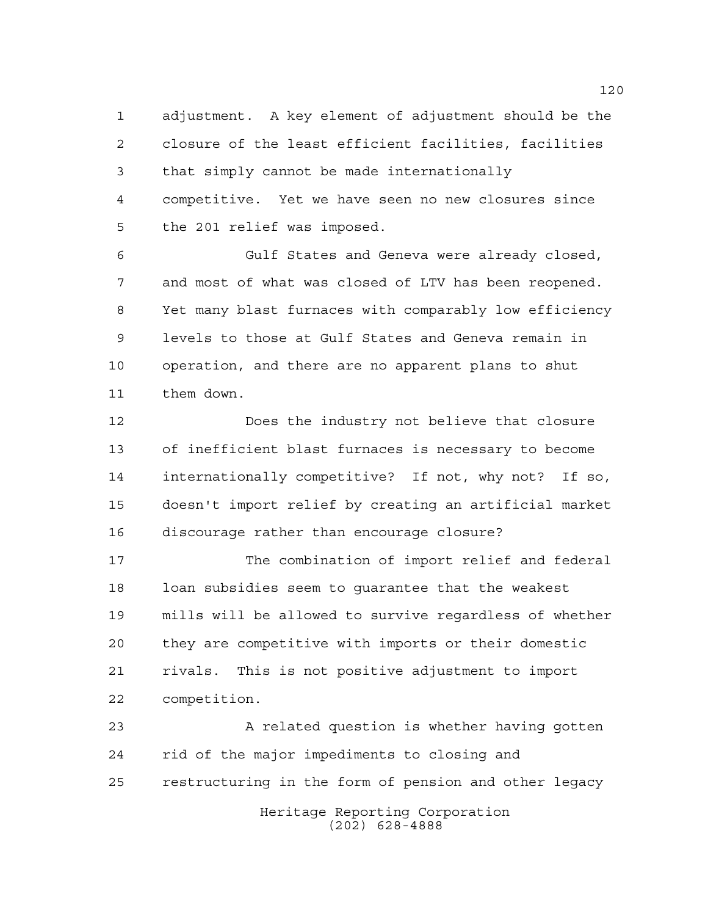adjustment. A key element of adjustment should be the closure of the least efficient facilities, facilities that simply cannot be made internationally competitive. Yet we have seen no new closures since the 201 relief was imposed.

 Gulf States and Geneva were already closed, and most of what was closed of LTV has been reopened. Yet many blast furnaces with comparably low efficiency levels to those at Gulf States and Geneva remain in operation, and there are no apparent plans to shut them down.

 Does the industry not believe that closure of inefficient blast furnaces is necessary to become internationally competitive? If not, why not? If so, doesn't import relief by creating an artificial market discourage rather than encourage closure?

 The combination of import relief and federal loan subsidies seem to guarantee that the weakest mills will be allowed to survive regardless of whether they are competitive with imports or their domestic rivals. This is not positive adjustment to import competition.

Heritage Reporting Corporation 23 A related question is whether having gotten rid of the major impediments to closing and restructuring in the form of pension and other legacy

(202) 628-4888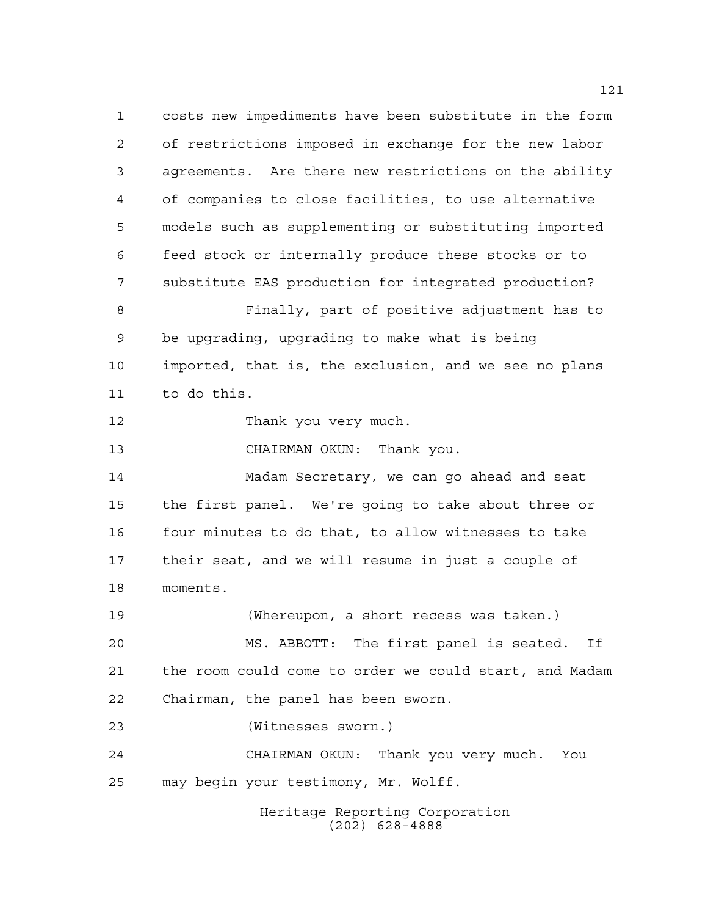costs new impediments have been substitute in the form of restrictions imposed in exchange for the new labor agreements. Are there new restrictions on the ability of companies to close facilities, to use alternative models such as supplementing or substituting imported feed stock or internally produce these stocks or to substitute EAS production for integrated production? Finally, part of positive adjustment has to be upgrading, upgrading to make what is being imported, that is, the exclusion, and we see no plans to do this. Thank you very much. CHAIRMAN OKUN: Thank you. Madam Secretary, we can go ahead and seat the first panel. We're going to take about three or four minutes to do that, to allow witnesses to take their seat, and we will resume in just a couple of

moments.

 (Whereupon, a short recess was taken.) MS. ABBOTT: The first panel is seated. If the room could come to order we could start, and Madam Chairman, the panel has been sworn.

(Witnesses sworn.)

 CHAIRMAN OKUN: Thank you very much. You may begin your testimony, Mr. Wolff.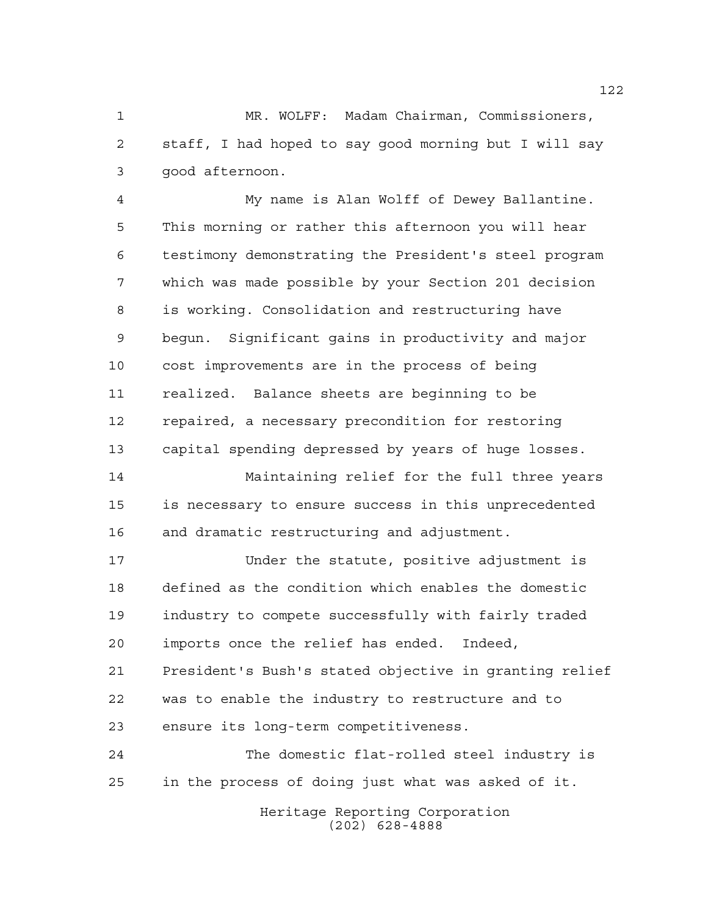MR. WOLFF: Madam Chairman, Commissioners, staff, I had hoped to say good morning but I will say good afternoon.

 My name is Alan Wolff of Dewey Ballantine. This morning or rather this afternoon you will hear testimony demonstrating the President's steel program which was made possible by your Section 201 decision is working. Consolidation and restructuring have begun. Significant gains in productivity and major cost improvements are in the process of being realized. Balance sheets are beginning to be repaired, a necessary precondition for restoring capital spending depressed by years of huge losses.

 Maintaining relief for the full three years is necessary to ensure success in this unprecedented and dramatic restructuring and adjustment.

 Under the statute, positive adjustment is defined as the condition which enables the domestic industry to compete successfully with fairly traded imports once the relief has ended. Indeed, President's Bush's stated objective in granting relief was to enable the industry to restructure and to ensure its long-term competitiveness.

 The domestic flat-rolled steel industry is in the process of doing just what was asked of it.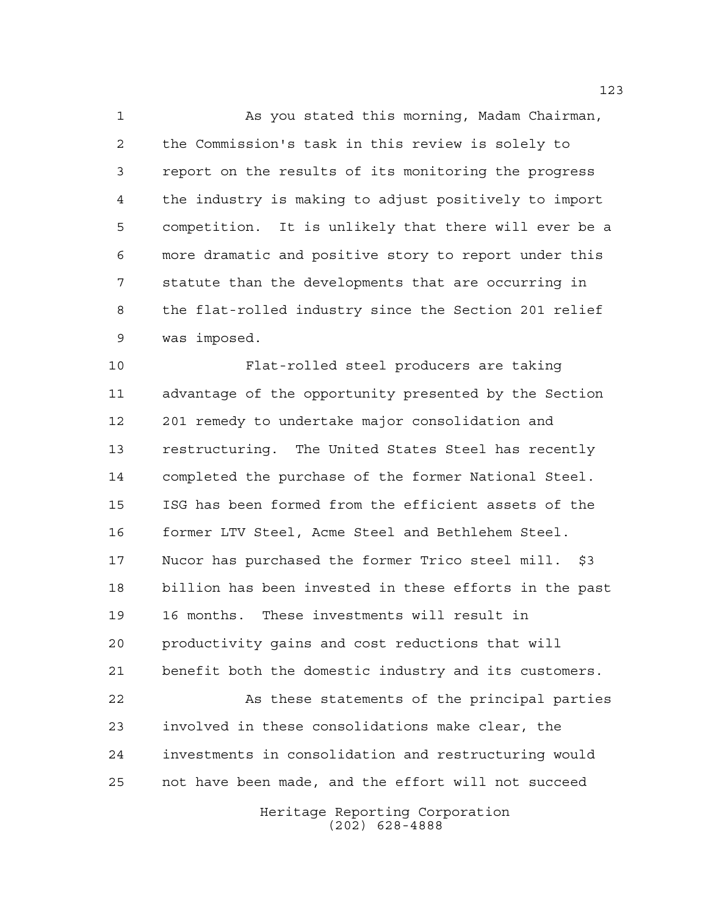As you stated this morning, Madam Chairman, the Commission's task in this review is solely to report on the results of its monitoring the progress the industry is making to adjust positively to import competition. It is unlikely that there will ever be a more dramatic and positive story to report under this statute than the developments that are occurring in the flat-rolled industry since the Section 201 relief was imposed.

 Flat-rolled steel producers are taking advantage of the opportunity presented by the Section 201 remedy to undertake major consolidation and restructuring. The United States Steel has recently completed the purchase of the former National Steel. ISG has been formed from the efficient assets of the former LTV Steel, Acme Steel and Bethlehem Steel. Nucor has purchased the former Trico steel mill. \$3 billion has been invested in these efforts in the past 16 months. These investments will result in productivity gains and cost reductions that will benefit both the domestic industry and its customers. As these statements of the principal parties involved in these consolidations make clear, the investments in consolidation and restructuring would not have been made, and the effort will not succeed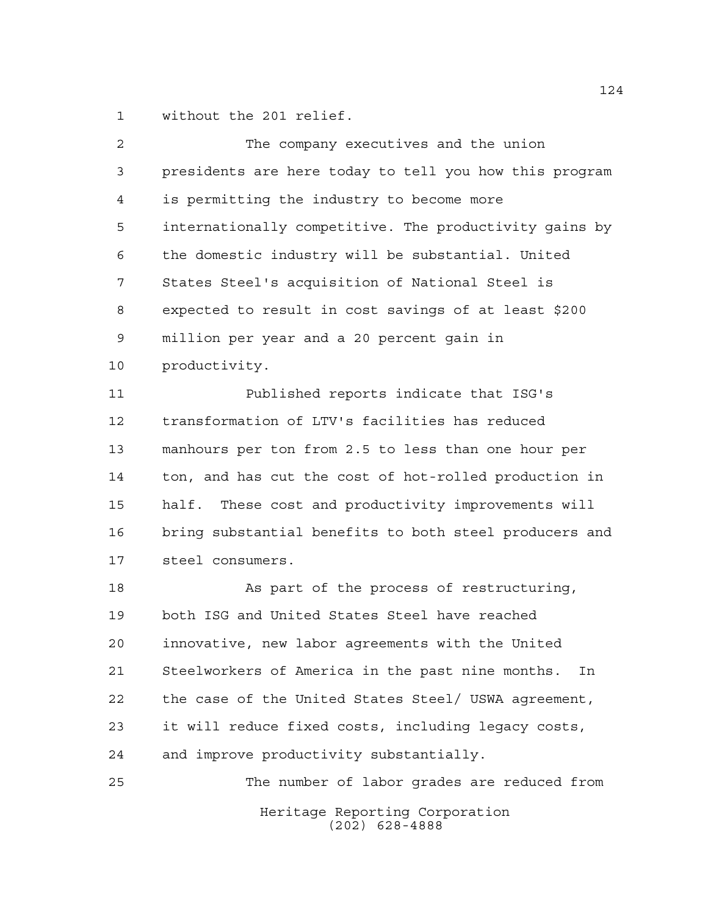without the 201 relief.

| 2  | The company executives and the union                   |
|----|--------------------------------------------------------|
| 3  | presidents are here today to tell you how this program |
| 4  | is permitting the industry to become more              |
| 5  | internationally competitive. The productivity gains by |
| 6  | the domestic industry will be substantial. United      |
| 7  | States Steel's acquisition of National Steel is        |
| 8  | expected to result in cost savings of at least \$200   |
| 9  | million per year and a 20 percent gain in              |
| 10 | productivity.                                          |
| 11 | Published reports indicate that ISG's                  |
| 12 | transformation of LTV's facilities has reduced         |
| 13 | manhours per ton from 2.5 to less than one hour per    |
| 14 | ton, and has cut the cost of hot-rolled production in  |
| 15 | half. These cost and productivity improvements will    |
| 16 | bring substantial benefits to both steel producers and |
| 17 | steel consumers.                                       |
| 18 | As part of the process of restructuring,               |
| 19 | both ISG and United States Steel have reached          |
| 20 | innovative, new labor agreements with the United       |
| 21 | Steelworkers of America in the past nine months.<br>In |
| 22 | the case of the United States Steel/ USWA agreement,   |
| 23 | it will reduce fixed costs, including legacy costs,    |
| 24 | and improve productivity substantially.                |
| 25 | The number of labor grades are reduced from            |
|    | Heritage Reporting Corporation<br>$(202)$ 628-4888     |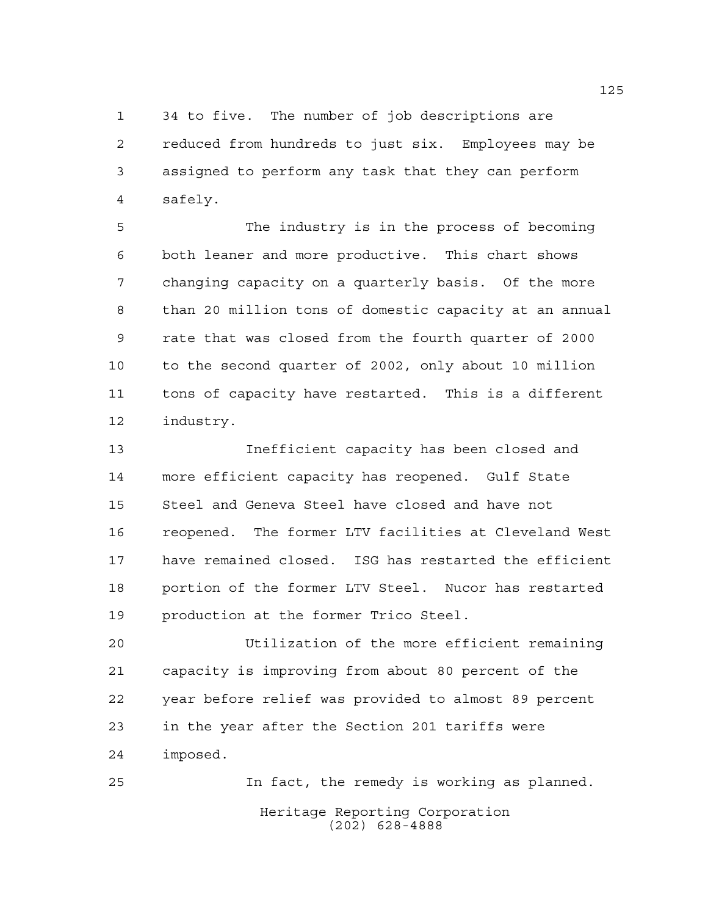34 to five. The number of job descriptions are reduced from hundreds to just six. Employees may be assigned to perform any task that they can perform safely.

 The industry is in the process of becoming both leaner and more productive. This chart shows changing capacity on a quarterly basis. Of the more than 20 million tons of domestic capacity at an annual rate that was closed from the fourth quarter of 2000 to the second quarter of 2002, only about 10 million tons of capacity have restarted. This is a different industry.

 Inefficient capacity has been closed and more efficient capacity has reopened. Gulf State Steel and Geneva Steel have closed and have not reopened. The former LTV facilities at Cleveland West have remained closed. ISG has restarted the efficient portion of the former LTV Steel. Nucor has restarted production at the former Trico Steel.

 Utilization of the more efficient remaining capacity is improving from about 80 percent of the year before relief was provided to almost 89 percent in the year after the Section 201 tariffs were imposed.

Heritage Reporting Corporation (202) 628-4888 In fact, the remedy is working as planned.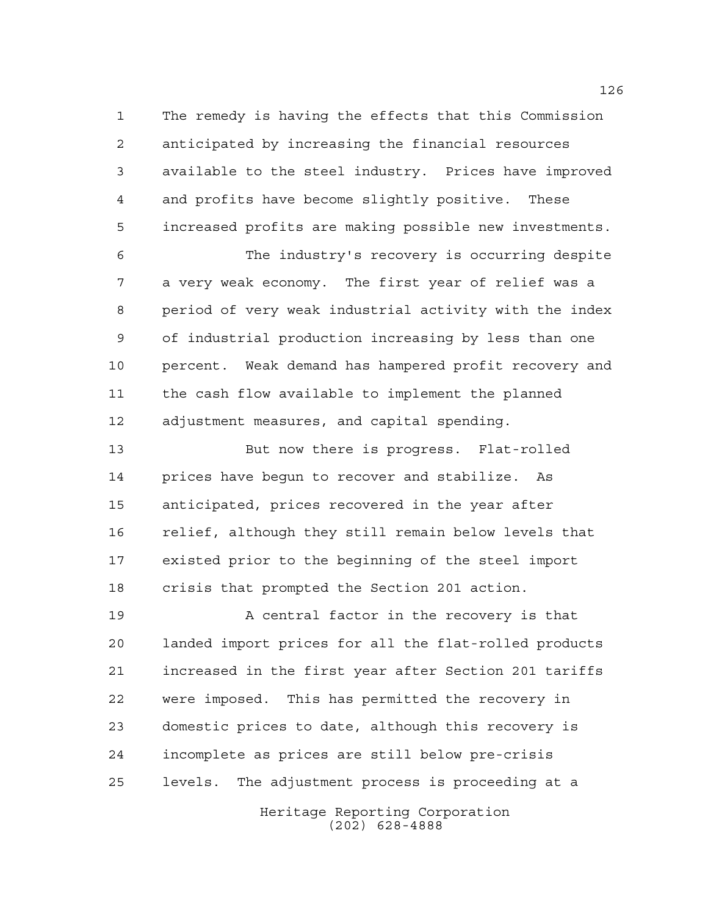The remedy is having the effects that this Commission anticipated by increasing the financial resources available to the steel industry. Prices have improved and profits have become slightly positive. These increased profits are making possible new investments.

 The industry's recovery is occurring despite a very weak economy. The first year of relief was a period of very weak industrial activity with the index of industrial production increasing by less than one percent. Weak demand has hampered profit recovery and the cash flow available to implement the planned adjustment measures, and capital spending.

 But now there is progress. Flat-rolled prices have begun to recover and stabilize. As anticipated, prices recovered in the year after relief, although they still remain below levels that existed prior to the beginning of the steel import crisis that prompted the Section 201 action.

**A** central factor in the recovery is that landed import prices for all the flat-rolled products increased in the first year after Section 201 tariffs were imposed. This has permitted the recovery in domestic prices to date, although this recovery is incomplete as prices are still below pre-crisis levels. The adjustment process is proceeding at a

> Heritage Reporting Corporation (202) 628-4888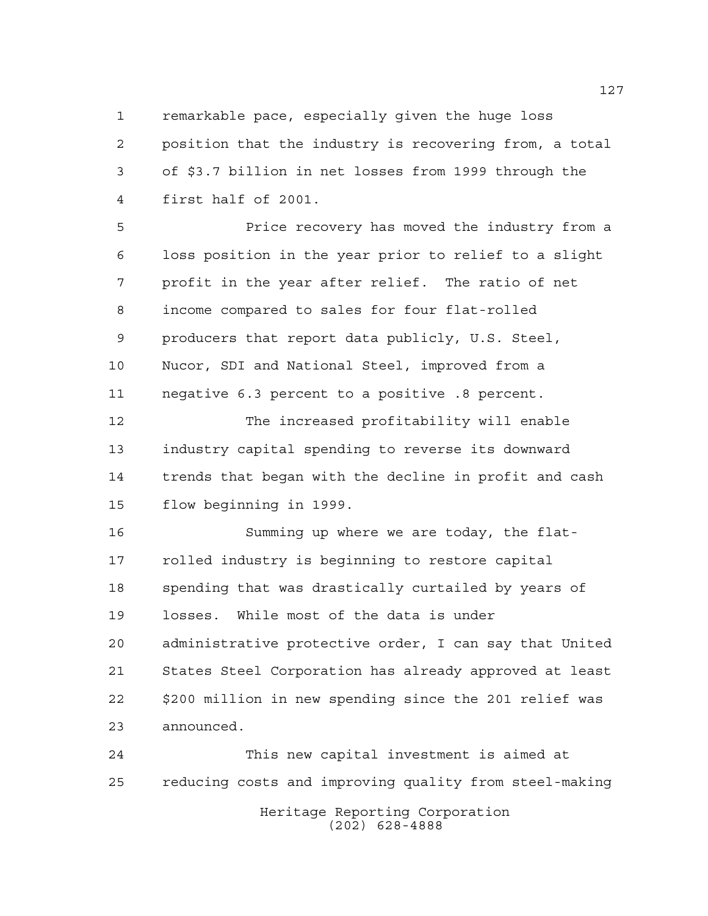remarkable pace, especially given the huge loss position that the industry is recovering from, a total of \$3.7 billion in net losses from 1999 through the first half of 2001.

 Price recovery has moved the industry from a loss position in the year prior to relief to a slight profit in the year after relief. The ratio of net income compared to sales for four flat-rolled producers that report data publicly, U.S. Steel, Nucor, SDI and National Steel, improved from a negative 6.3 percent to a positive .8 percent.

 The increased profitability will enable industry capital spending to reverse its downward trends that began with the decline in profit and cash flow beginning in 1999.

 Summing up where we are today, the flat- rolled industry is beginning to restore capital spending that was drastically curtailed by years of losses. While most of the data is under administrative protective order, I can say that United States Steel Corporation has already approved at least \$200 million in new spending since the 201 relief was announced.

 This new capital investment is aimed at reducing costs and improving quality from steel-making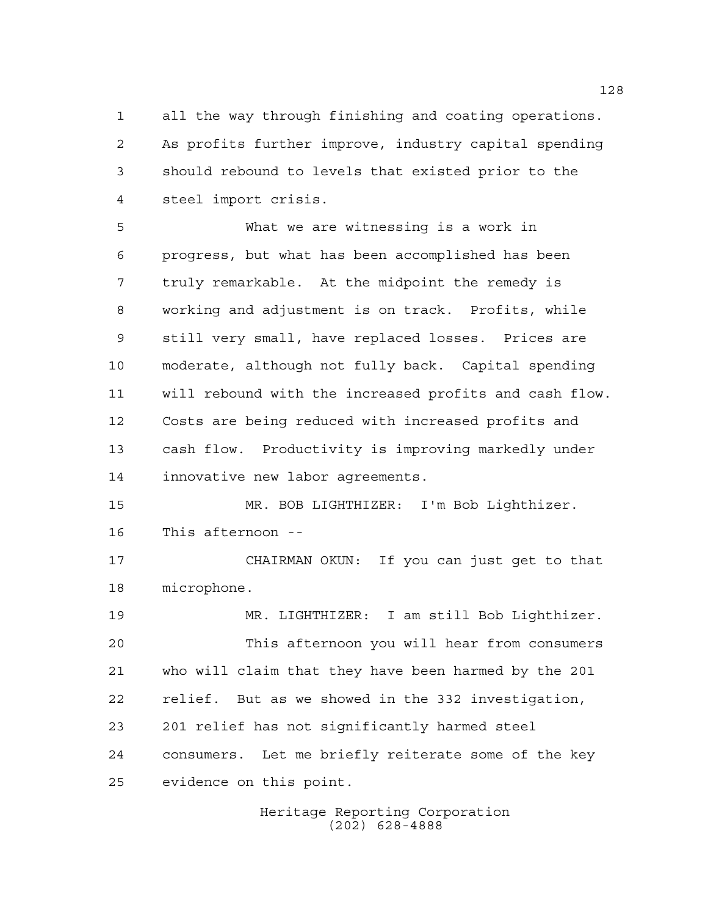all the way through finishing and coating operations. As profits further improve, industry capital spending should rebound to levels that existed prior to the steel import crisis.

 What we are witnessing is a work in progress, but what has been accomplished has been truly remarkable. At the midpoint the remedy is working and adjustment is on track. Profits, while still very small, have replaced losses. Prices are moderate, although not fully back. Capital spending will rebound with the increased profits and cash flow. Costs are being reduced with increased profits and cash flow. Productivity is improving markedly under innovative new labor agreements.

 MR. BOB LIGHTHIZER: I'm Bob Lighthizer. This afternoon --

 CHAIRMAN OKUN: If you can just get to that microphone.

 MR. LIGHTHIZER: I am still Bob Lighthizer. This afternoon you will hear from consumers who will claim that they have been harmed by the 201 relief. But as we showed in the 332 investigation, 201 relief has not significantly harmed steel consumers. Let me briefly reiterate some of the key evidence on this point.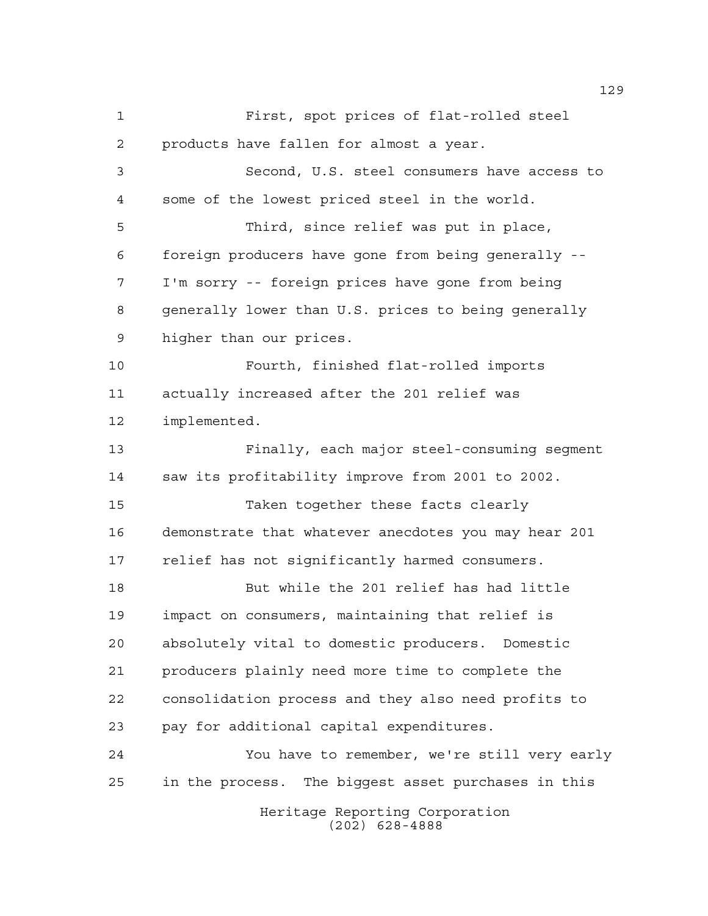Heritage Reporting Corporation First, spot prices of flat-rolled steel products have fallen for almost a year. Second, U.S. steel consumers have access to some of the lowest priced steel in the world. Third, since relief was put in place, foreign producers have gone from being generally -- I'm sorry -- foreign prices have gone from being generally lower than U.S. prices to being generally higher than our prices. Fourth, finished flat-rolled imports actually increased after the 201 relief was implemented. Finally, each major steel-consuming segment saw its profitability improve from 2001 to 2002. Taken together these facts clearly demonstrate that whatever anecdotes you may hear 201 relief has not significantly harmed consumers. But while the 201 relief has had little impact on consumers, maintaining that relief is absolutely vital to domestic producers. Domestic producers plainly need more time to complete the consolidation process and they also need profits to pay for additional capital expenditures. You have to remember, we're still very early in the process. The biggest asset purchases in this

(202) 628-4888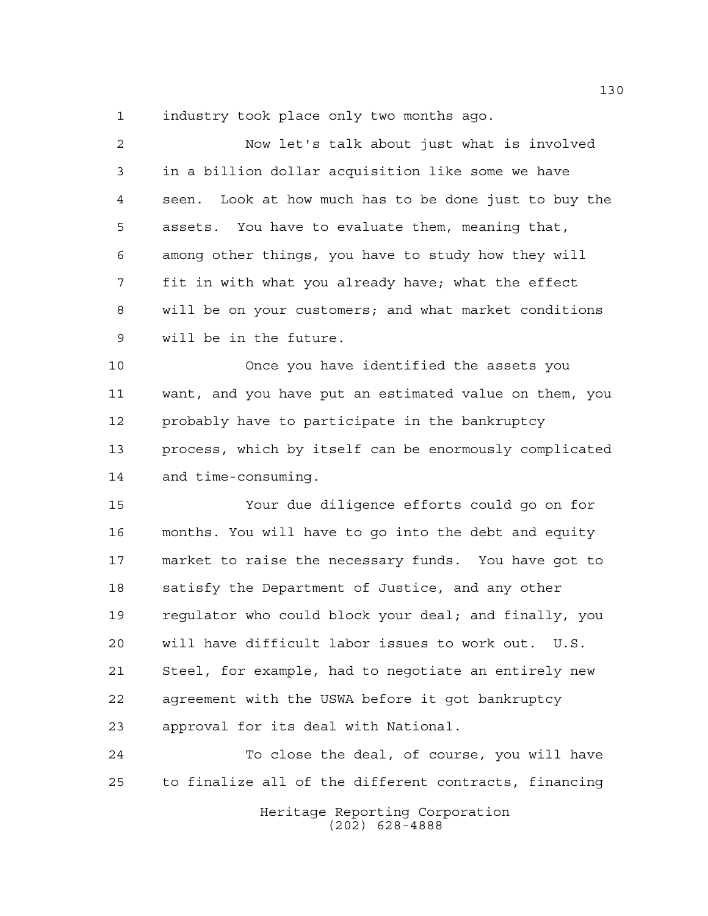industry took place only two months ago.

| $\overline{2}$ | Now let's talk about just what is involved             |
|----------------|--------------------------------------------------------|
| 3              | in a billion dollar acquisition like some we have      |
| 4              | seen. Look at how much has to be done just to buy the  |
| 5              | assets. You have to evaluate them, meaning that,       |
| 6              | among other things, you have to study how they will    |
| 7              | fit in with what you already have; what the effect     |
| 8              | will be on your customers; and what market conditions  |
| 9              | will be in the future.                                 |
| 10             | Once you have identified the assets you                |
| 11             | want, and you have put an estimated value on them, you |
| 12             | probably have to participate in the bankruptcy         |
| 13             | process, which by itself can be enormously complicated |
| 14             | and time-consuming.                                    |
| 15             | Your due diligence efforts could go on for             |
| 16             | months. You will have to go into the debt and equity   |
| 17             | market to raise the necessary funds. You have got to   |
| 18             | satisfy the Department of Justice, and any other       |
| 19             | requlator who could block your deal; and finally, you  |
| 20             | will have difficult labor issues to work out. U.S.     |
| 21             | Steel, for example, had to negotiate an entirely new   |
| 22             | agreement with the USWA before it got bankruptcy       |
| 23             | approval for its deal with National.                   |
|                |                                                        |

 To close the deal, of course, you will have to finalize all of the different contracts, financing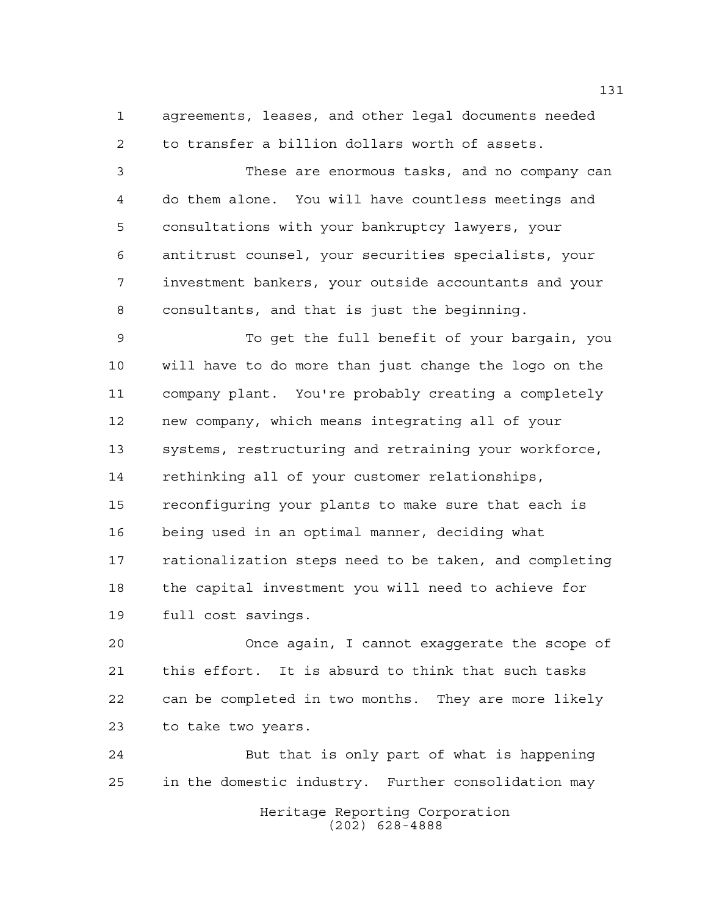agreements, leases, and other legal documents needed to transfer a billion dollars worth of assets.

 These are enormous tasks, and no company can do them alone. You will have countless meetings and consultations with your bankruptcy lawyers, your antitrust counsel, your securities specialists, your investment bankers, your outside accountants and your consultants, and that is just the beginning.

 To get the full benefit of your bargain, you will have to do more than just change the logo on the company plant. You're probably creating a completely new company, which means integrating all of your systems, restructuring and retraining your workforce, rethinking all of your customer relationships, reconfiguring your plants to make sure that each is being used in an optimal manner, deciding what rationalization steps need to be taken, and completing the capital investment you will need to achieve for full cost savings.

 Once again, I cannot exaggerate the scope of this effort. It is absurd to think that such tasks can be completed in two months. They are more likely to take two years.

 But that is only part of what is happening in the domestic industry. Further consolidation may

Heritage Reporting Corporation (202) 628-4888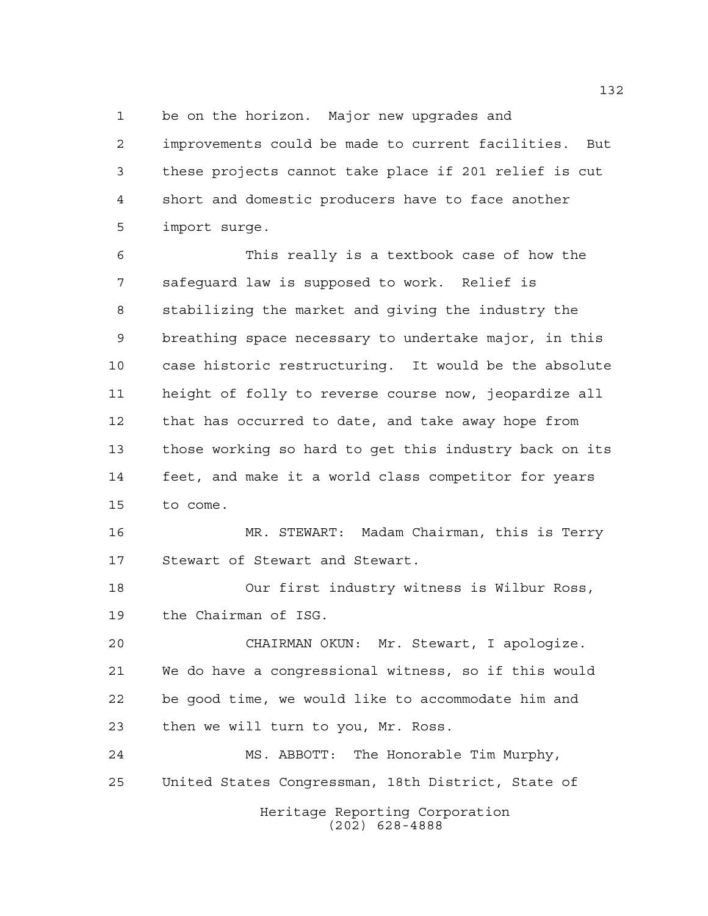be on the horizon. Major new upgrades and

 improvements could be made to current facilities. But these projects cannot take place if 201 relief is cut short and domestic producers have to face another import surge.

 This really is a textbook case of how the safeguard law is supposed to work. Relief is stabilizing the market and giving the industry the breathing space necessary to undertake major, in this case historic restructuring. It would be the absolute height of folly to reverse course now, jeopardize all that has occurred to date, and take away hope from those working so hard to get this industry back on its feet, and make it a world class competitor for years to come.

 MR. STEWART: Madam Chairman, this is Terry Stewart of Stewart and Stewart.

 Our first industry witness is Wilbur Ross, the Chairman of ISG.

 CHAIRMAN OKUN: Mr. Stewart, I apologize. We do have a congressional witness, so if this would be good time, we would like to accommodate him and then we will turn to you, Mr. Ross.

 MS. ABBOTT: The Honorable Tim Murphy, United States Congressman, 18th District, State of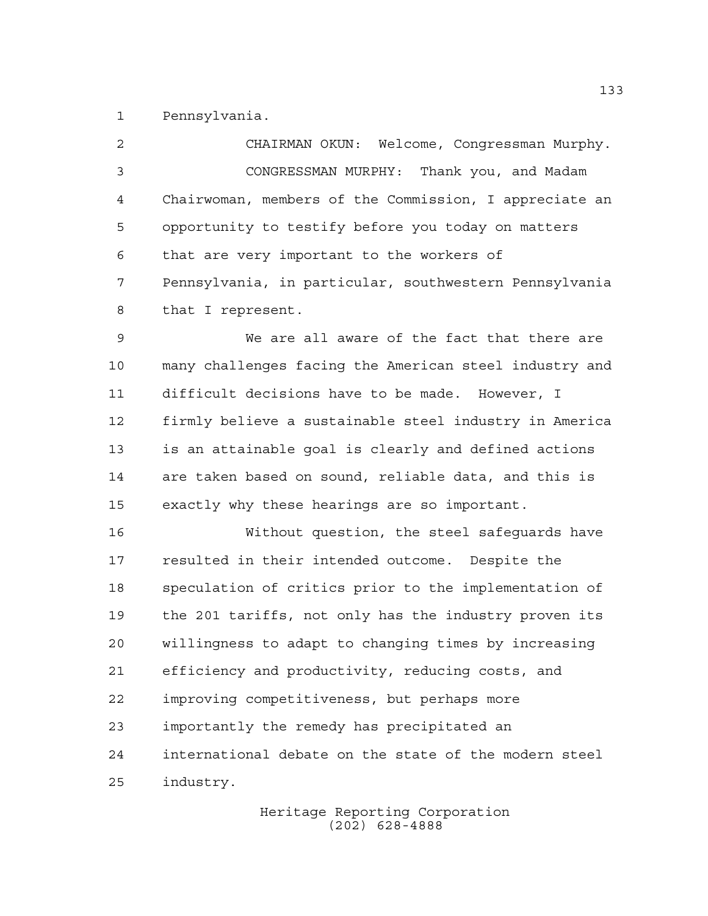Pennsylvania.

 CHAIRMAN OKUN: Welcome, Congressman Murphy. CONGRESSMAN MURPHY: Thank you, and Madam Chairwoman, members of the Commission, I appreciate an opportunity to testify before you today on matters that are very important to the workers of Pennsylvania, in particular, southwestern Pennsylvania that I represent.

 We are all aware of the fact that there are many challenges facing the American steel industry and difficult decisions have to be made. However, I firmly believe a sustainable steel industry in America is an attainable goal is clearly and defined actions are taken based on sound, reliable data, and this is exactly why these hearings are so important.

 Without question, the steel safeguards have resulted in their intended outcome. Despite the speculation of critics prior to the implementation of the 201 tariffs, not only has the industry proven its willingness to adapt to changing times by increasing efficiency and productivity, reducing costs, and improving competitiveness, but perhaps more importantly the remedy has precipitated an international debate on the state of the modern steel industry.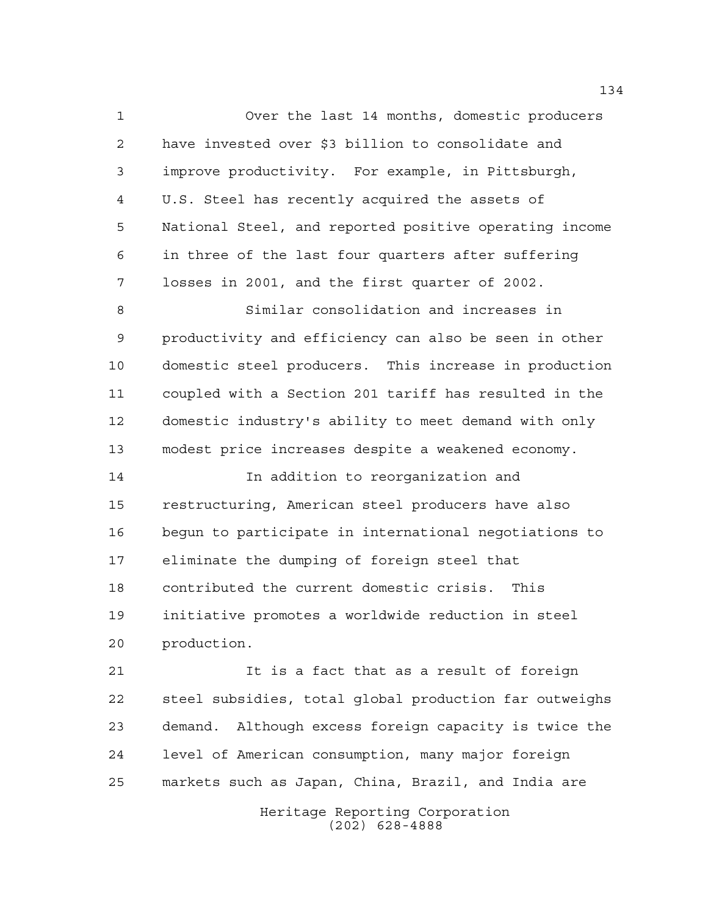Over the last 14 months, domestic producers have invested over \$3 billion to consolidate and improve productivity. For example, in Pittsburgh, U.S. Steel has recently acquired the assets of National Steel, and reported positive operating income in three of the last four quarters after suffering losses in 2001, and the first quarter of 2002.

 Similar consolidation and increases in productivity and efficiency can also be seen in other domestic steel producers. This increase in production coupled with a Section 201 tariff has resulted in the domestic industry's ability to meet demand with only modest price increases despite a weakened economy.

 In addition to reorganization and restructuring, American steel producers have also begun to participate in international negotiations to eliminate the dumping of foreign steel that contributed the current domestic crisis. This initiative promotes a worldwide reduction in steel production.

 It is a fact that as a result of foreign steel subsidies, total global production far outweighs demand. Although excess foreign capacity is twice the level of American consumption, many major foreign markets such as Japan, China, Brazil, and India are

> Heritage Reporting Corporation (202) 628-4888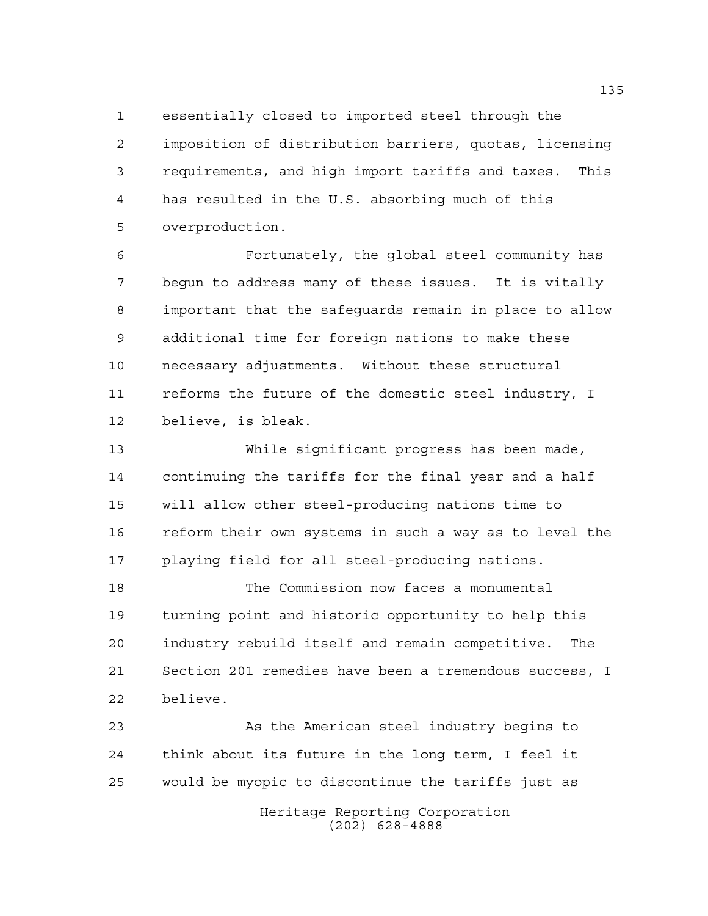essentially closed to imported steel through the imposition of distribution barriers, quotas, licensing requirements, and high import tariffs and taxes. This has resulted in the U.S. absorbing much of this overproduction.

 Fortunately, the global steel community has begun to address many of these issues. It is vitally important that the safeguards remain in place to allow additional time for foreign nations to make these necessary adjustments. Without these structural reforms the future of the domestic steel industry, I believe, is bleak.

 While significant progress has been made, continuing the tariffs for the final year and a half will allow other steel-producing nations time to reform their own systems in such a way as to level the playing field for all steel-producing nations.

 The Commission now faces a monumental turning point and historic opportunity to help this industry rebuild itself and remain competitive. The Section 201 remedies have been a tremendous success, I believe.

 As the American steel industry begins to think about its future in the long term, I feel it would be myopic to discontinue the tariffs just as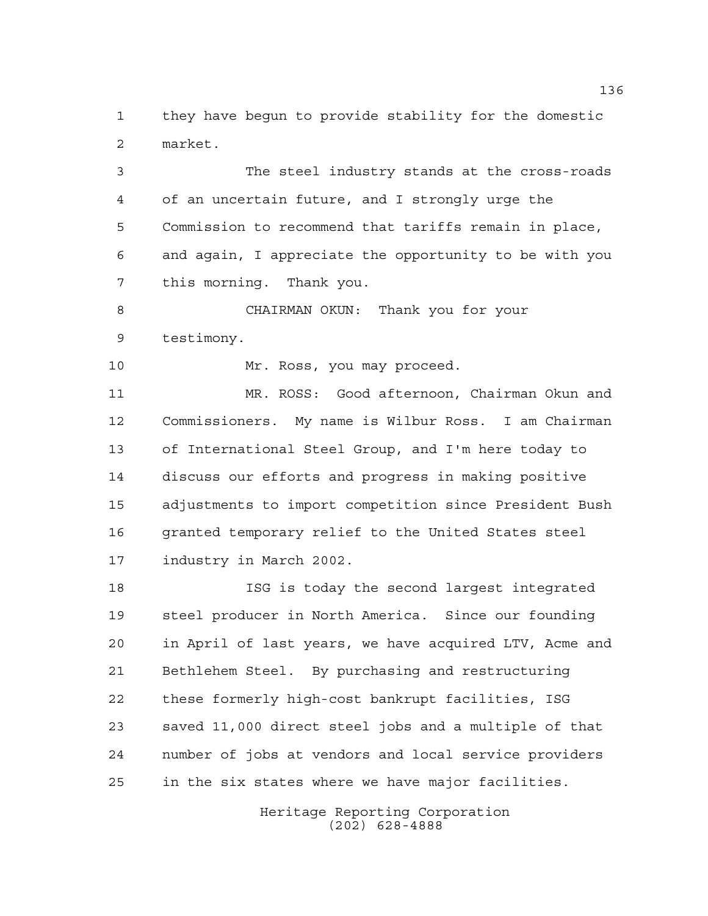they have begun to provide stability for the domestic market.

 The steel industry stands at the cross-roads of an uncertain future, and I strongly urge the Commission to recommend that tariffs remain in place, and again, I appreciate the opportunity to be with you this morning. Thank you.

 CHAIRMAN OKUN: Thank you for your testimony.

10 Mr. Ross, you may proceed.

 MR. ROSS: Good afternoon, Chairman Okun and Commissioners. My name is Wilbur Ross. I am Chairman of International Steel Group, and I'm here today to discuss our efforts and progress in making positive adjustments to import competition since President Bush granted temporary relief to the United States steel industry in March 2002.

 ISG is today the second largest integrated steel producer in North America. Since our founding in April of last years, we have acquired LTV, Acme and Bethlehem Steel. By purchasing and restructuring these formerly high-cost bankrupt facilities, ISG saved 11,000 direct steel jobs and a multiple of that number of jobs at vendors and local service providers in the six states where we have major facilities.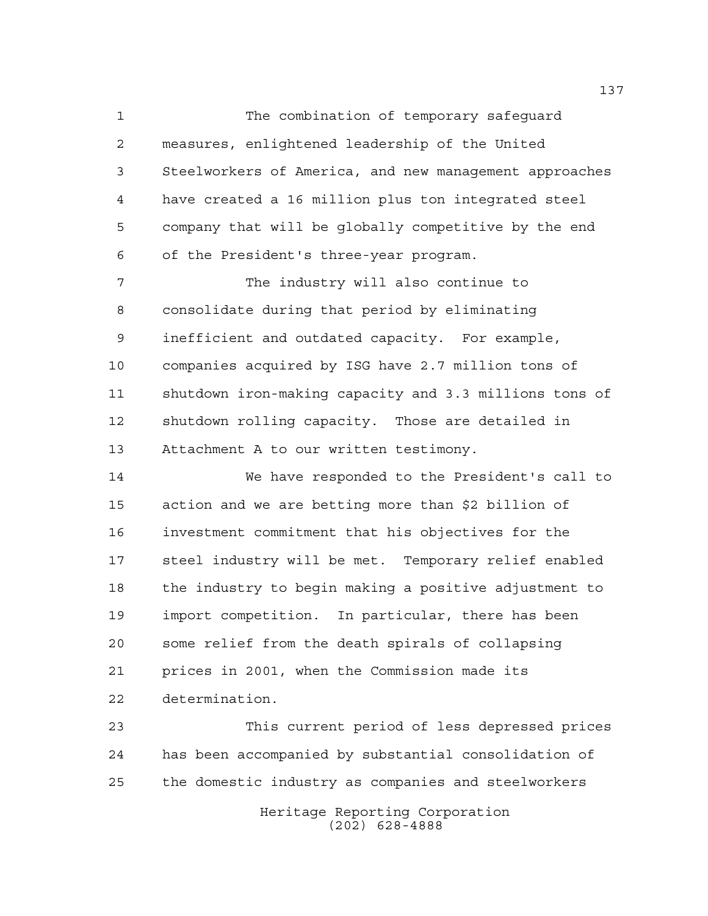The combination of temporary safeguard measures, enlightened leadership of the United Steelworkers of America, and new management approaches have created a 16 million plus ton integrated steel company that will be globally competitive by the end of the President's three-year program.

 The industry will also continue to consolidate during that period by eliminating inefficient and outdated capacity. For example, companies acquired by ISG have 2.7 million tons of shutdown iron-making capacity and 3.3 millions tons of shutdown rolling capacity. Those are detailed in Attachment A to our written testimony.

 We have responded to the President's call to action and we are betting more than \$2 billion of investment commitment that his objectives for the steel industry will be met. Temporary relief enabled the industry to begin making a positive adjustment to import competition. In particular, there has been some relief from the death spirals of collapsing prices in 2001, when the Commission made its determination.

 This current period of less depressed prices has been accompanied by substantial consolidation of the domestic industry as companies and steelworkers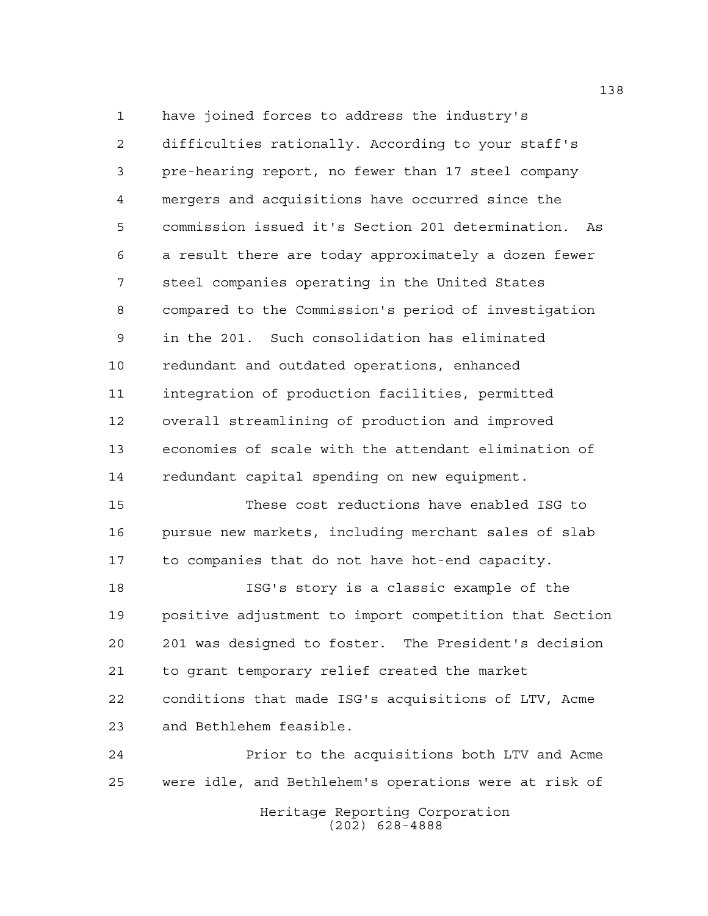have joined forces to address the industry's difficulties rationally. According to your staff's pre-hearing report, no fewer than 17 steel company mergers and acquisitions have occurred since the commission issued it's Section 201 determination. As a result there are today approximately a dozen fewer steel companies operating in the United States compared to the Commission's period of investigation in the 201. Such consolidation has eliminated redundant and outdated operations, enhanced integration of production facilities, permitted overall streamlining of production and improved economies of scale with the attendant elimination of redundant capital spending on new equipment. These cost reductions have enabled ISG to pursue new markets, including merchant sales of slab to companies that do not have hot-end capacity.

 ISG's story is a classic example of the positive adjustment to import competition that Section 201 was designed to foster. The President's decision to grant temporary relief created the market conditions that made ISG's acquisitions of LTV, Acme and Bethlehem feasible.

 Prior to the acquisitions both LTV and Acme were idle, and Bethlehem's operations were at risk of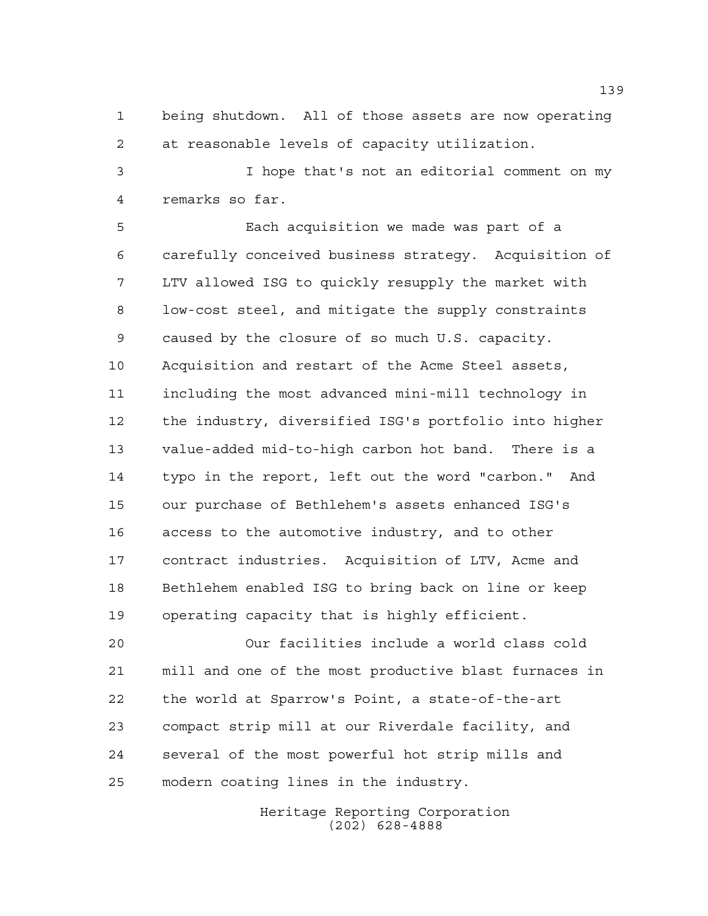being shutdown. All of those assets are now operating at reasonable levels of capacity utilization.

 I hope that's not an editorial comment on my remarks so far.

 Each acquisition we made was part of a carefully conceived business strategy. Acquisition of LTV allowed ISG to quickly resupply the market with low-cost steel, and mitigate the supply constraints caused by the closure of so much U.S. capacity. Acquisition and restart of the Acme Steel assets, including the most advanced mini-mill technology in the industry, diversified ISG's portfolio into higher value-added mid-to-high carbon hot band. There is a typo in the report, left out the word "carbon." And our purchase of Bethlehem's assets enhanced ISG's access to the automotive industry, and to other contract industries. Acquisition of LTV, Acme and Bethlehem enabled ISG to bring back on line or keep operating capacity that is highly efficient.

 Our facilities include a world class cold mill and one of the most productive blast furnaces in the world at Sparrow's Point, a state-of-the-art compact strip mill at our Riverdale facility, and several of the most powerful hot strip mills and modern coating lines in the industry.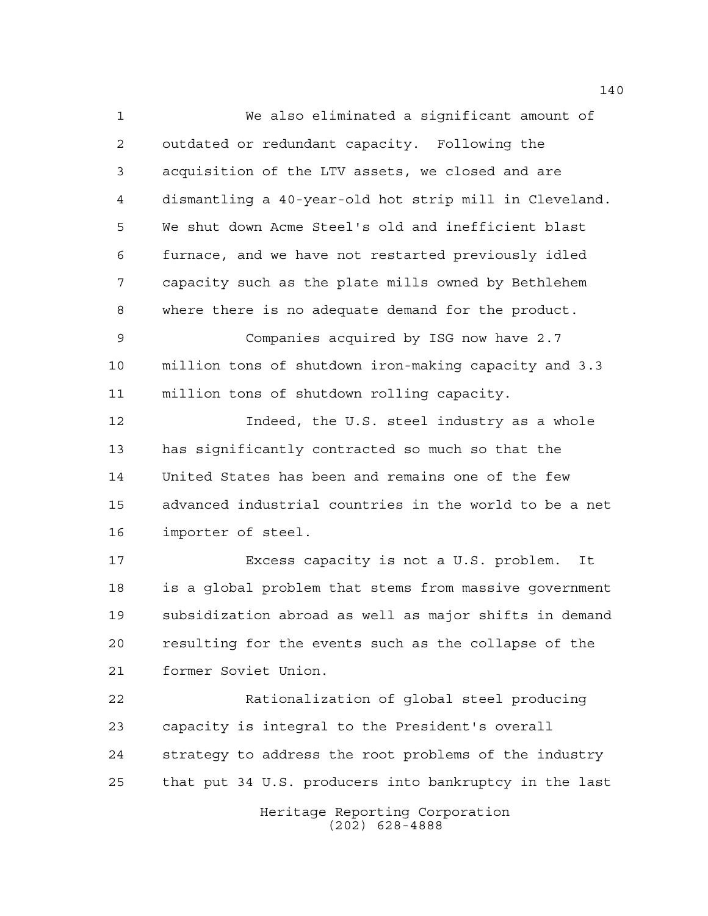We also eliminated a significant amount of outdated or redundant capacity. Following the acquisition of the LTV assets, we closed and are dismantling a 40-year-old hot strip mill in Cleveland. We shut down Acme Steel's old and inefficient blast furnace, and we have not restarted previously idled capacity such as the plate mills owned by Bethlehem where there is no adequate demand for the product. Companies acquired by ISG now have 2.7 million tons of shutdown iron-making capacity and 3.3 million tons of shutdown rolling capacity. Indeed, the U.S. steel industry as a whole has significantly contracted so much so that the United States has been and remains one of the few advanced industrial countries in the world to be a net importer of steel. Excess capacity is not a U.S. problem. It is a global problem that stems from massive government subsidization abroad as well as major shifts in demand resulting for the events such as the collapse of the former Soviet Union. Rationalization of global steel producing capacity is integral to the President's overall strategy to address the root problems of the industry that put 34 U.S. producers into bankruptcy in the last

> Heritage Reporting Corporation (202) 628-4888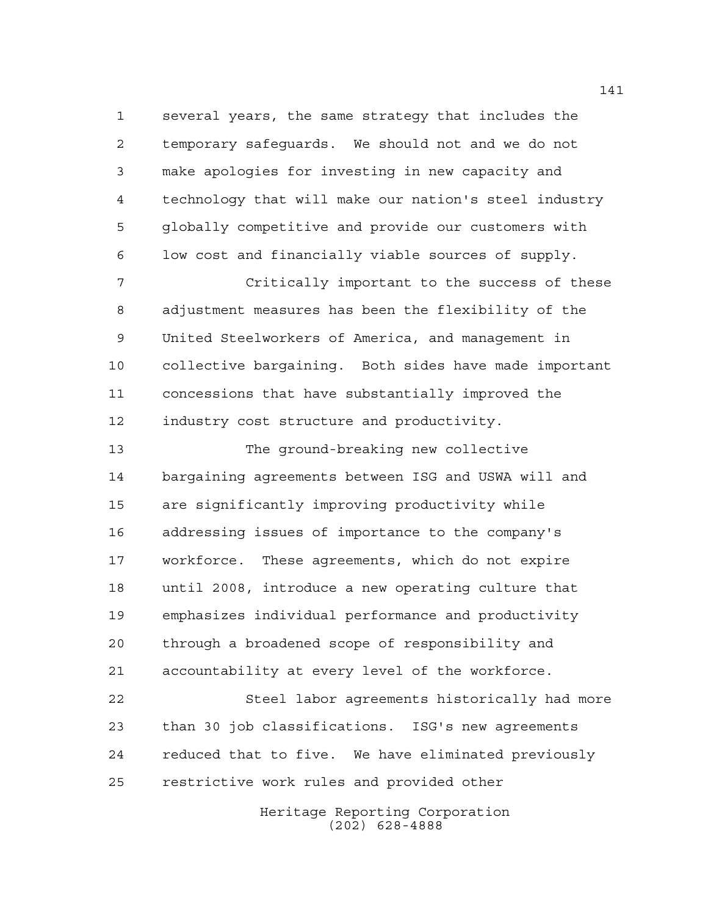several years, the same strategy that includes the temporary safeguards. We should not and we do not make apologies for investing in new capacity and technology that will make our nation's steel industry globally competitive and provide our customers with low cost and financially viable sources of supply.

 Critically important to the success of these adjustment measures has been the flexibility of the United Steelworkers of America, and management in collective bargaining. Both sides have made important concessions that have substantially improved the industry cost structure and productivity.

 The ground-breaking new collective bargaining agreements between ISG and USWA will and are significantly improving productivity while addressing issues of importance to the company's workforce. These agreements, which do not expire until 2008, introduce a new operating culture that emphasizes individual performance and productivity through a broadened scope of responsibility and accountability at every level of the workforce.

 Steel labor agreements historically had more than 30 job classifications. ISG's new agreements reduced that to five. We have eliminated previously restrictive work rules and provided other

> Heritage Reporting Corporation (202) 628-4888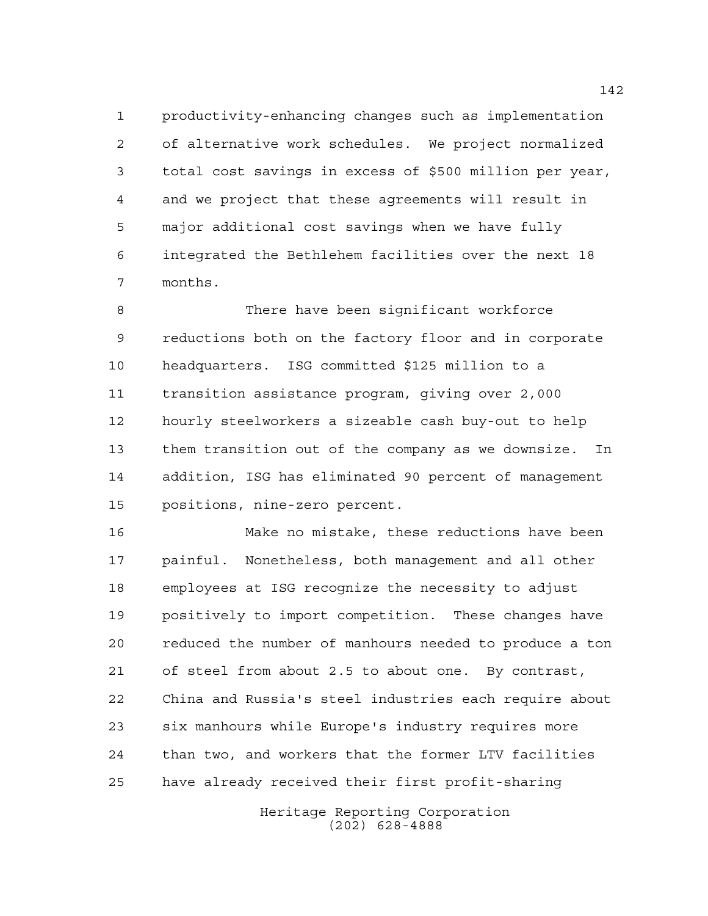productivity-enhancing changes such as implementation of alternative work schedules. We project normalized total cost savings in excess of \$500 million per year, and we project that these agreements will result in major additional cost savings when we have fully integrated the Bethlehem facilities over the next 18 months.

 There have been significant workforce reductions both on the factory floor and in corporate headquarters. ISG committed \$125 million to a transition assistance program, giving over 2,000 hourly steelworkers a sizeable cash buy-out to help them transition out of the company as we downsize. In addition, ISG has eliminated 90 percent of management positions, nine-zero percent.

 Make no mistake, these reductions have been painful. Nonetheless, both management and all other employees at ISG recognize the necessity to adjust positively to import competition. These changes have reduced the number of manhours needed to produce a ton of steel from about 2.5 to about one. By contrast, China and Russia's steel industries each require about six manhours while Europe's industry requires more than two, and workers that the former LTV facilities have already received their first profit-sharing

> Heritage Reporting Corporation (202) 628-4888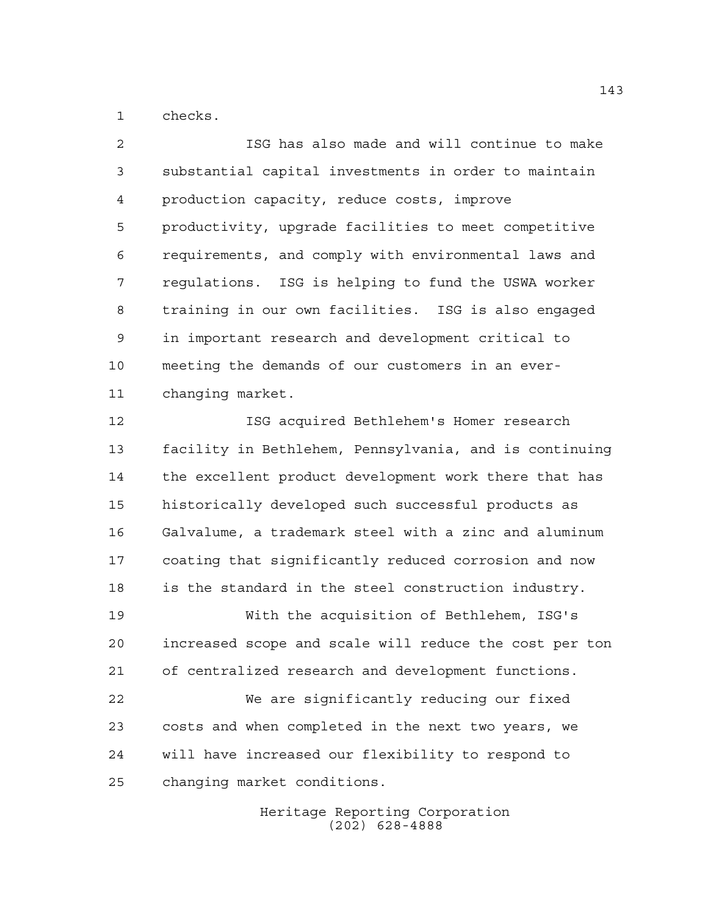checks.

 ISG has also made and will continue to make substantial capital investments in order to maintain production capacity, reduce costs, improve productivity, upgrade facilities to meet competitive requirements, and comply with environmental laws and regulations. ISG is helping to fund the USWA worker training in our own facilities. ISG is also engaged in important research and development critical to meeting the demands of our customers in an ever-changing market.

 ISG acquired Bethlehem's Homer research facility in Bethlehem, Pennsylvania, and is continuing the excellent product development work there that has historically developed such successful products as Galvalume, a trademark steel with a zinc and aluminum coating that significantly reduced corrosion and now is the standard in the steel construction industry. With the acquisition of Bethlehem, ISG's

 increased scope and scale will reduce the cost per ton of centralized research and development functions.

 We are significantly reducing our fixed costs and when completed in the next two years, we will have increased our flexibility to respond to changing market conditions.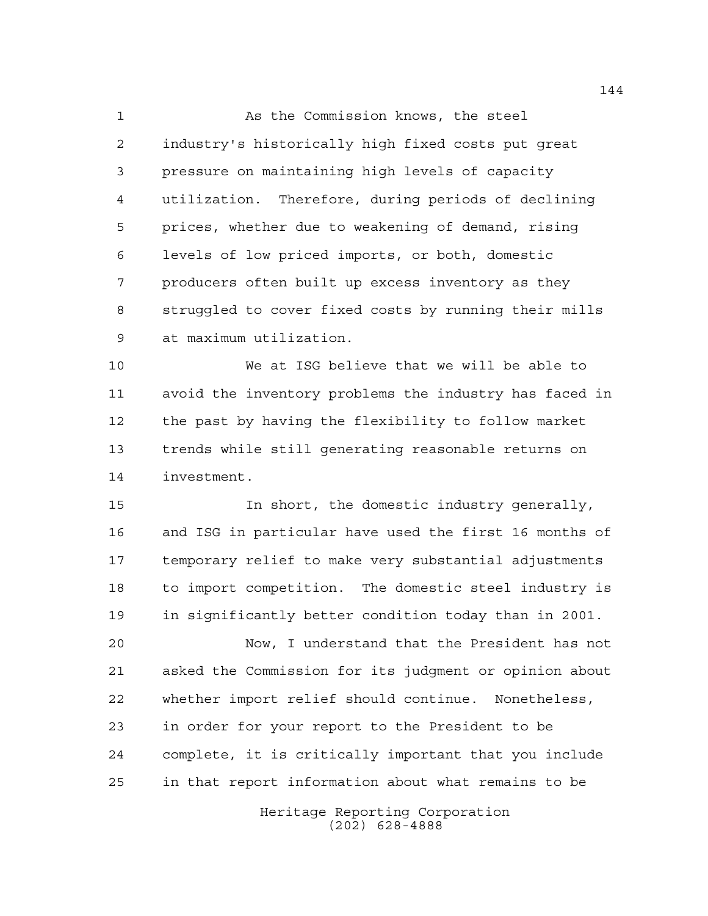1 As the Commission knows, the steel industry's historically high fixed costs put great pressure on maintaining high levels of capacity utilization. Therefore, during periods of declining prices, whether due to weakening of demand, rising levels of low priced imports, or both, domestic producers often built up excess inventory as they struggled to cover fixed costs by running their mills at maximum utilization.

 We at ISG believe that we will be able to avoid the inventory problems the industry has faced in the past by having the flexibility to follow market trends while still generating reasonable returns on investment.

 In short, the domestic industry generally, and ISG in particular have used the first 16 months of temporary relief to make very substantial adjustments to import competition. The domestic steel industry is in significantly better condition today than in 2001.

 Now, I understand that the President has not asked the Commission for its judgment or opinion about whether import relief should continue. Nonetheless, in order for your report to the President to be complete, it is critically important that you include in that report information about what remains to be

> Heritage Reporting Corporation (202) 628-4888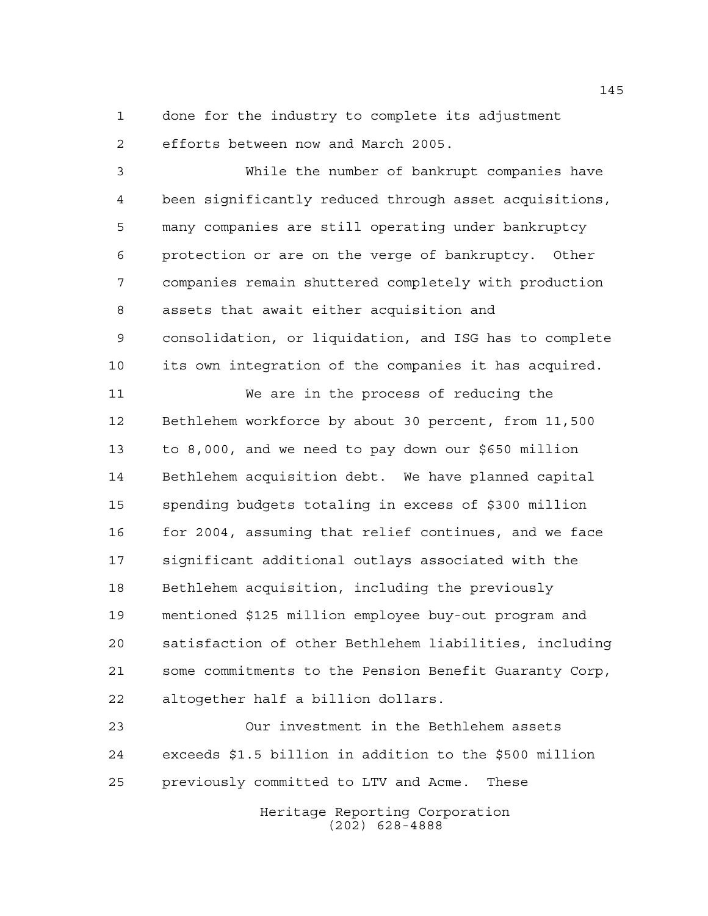done for the industry to complete its adjustment efforts between now and March 2005.

 While the number of bankrupt companies have been significantly reduced through asset acquisitions, many companies are still operating under bankruptcy protection or are on the verge of bankruptcy. Other companies remain shuttered completely with production assets that await either acquisition and consolidation, or liquidation, and ISG has to complete its own integration of the companies it has acquired.

 We are in the process of reducing the Bethlehem workforce by about 30 percent, from 11,500 to 8,000, and we need to pay down our \$650 million Bethlehem acquisition debt. We have planned capital spending budgets totaling in excess of \$300 million 16 for 2004, assuming that relief continues, and we face significant additional outlays associated with the Bethlehem acquisition, including the previously mentioned \$125 million employee buy-out program and satisfaction of other Bethlehem liabilities, including some commitments to the Pension Benefit Guaranty Corp, altogether half a billion dollars.

 Our investment in the Bethlehem assets exceeds \$1.5 billion in addition to the \$500 million previously committed to LTV and Acme. These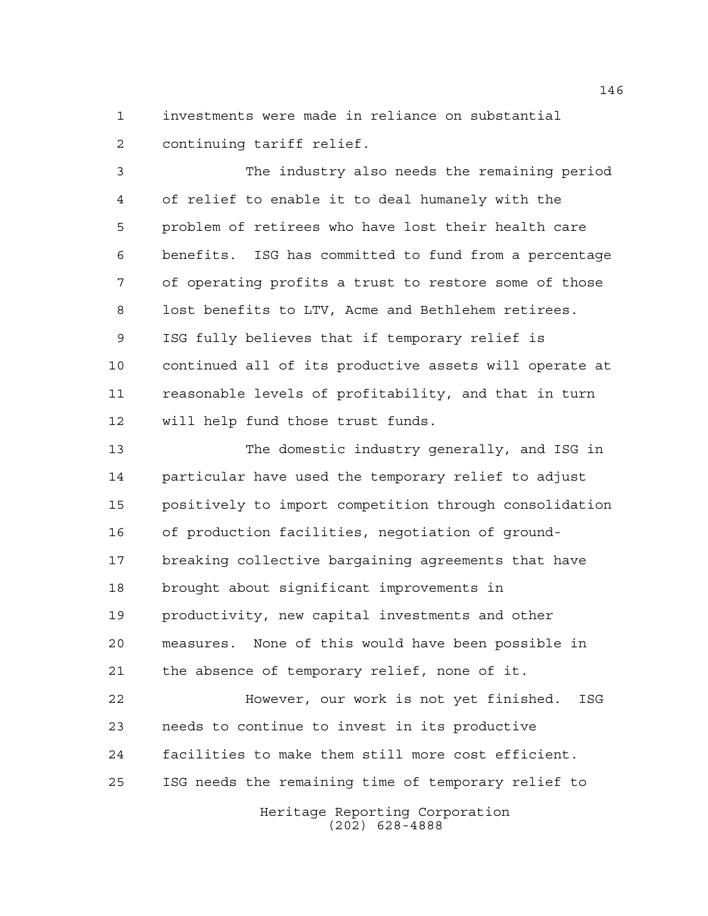investments were made in reliance on substantial continuing tariff relief.

 The industry also needs the remaining period of relief to enable it to deal humanely with the problem of retirees who have lost their health care benefits. ISG has committed to fund from a percentage of operating profits a trust to restore some of those lost benefits to LTV, Acme and Bethlehem retirees. ISG fully believes that if temporary relief is continued all of its productive assets will operate at reasonable levels of profitability, and that in turn will help fund those trust funds.

 The domestic industry generally, and ISG in particular have used the temporary relief to adjust positively to import competition through consolidation of production facilities, negotiation of ground- breaking collective bargaining agreements that have brought about significant improvements in productivity, new capital investments and other measures. None of this would have been possible in the absence of temporary relief, none of it.

 However, our work is not yet finished. ISG needs to continue to invest in its productive facilities to make them still more cost efficient. ISG needs the remaining time of temporary relief to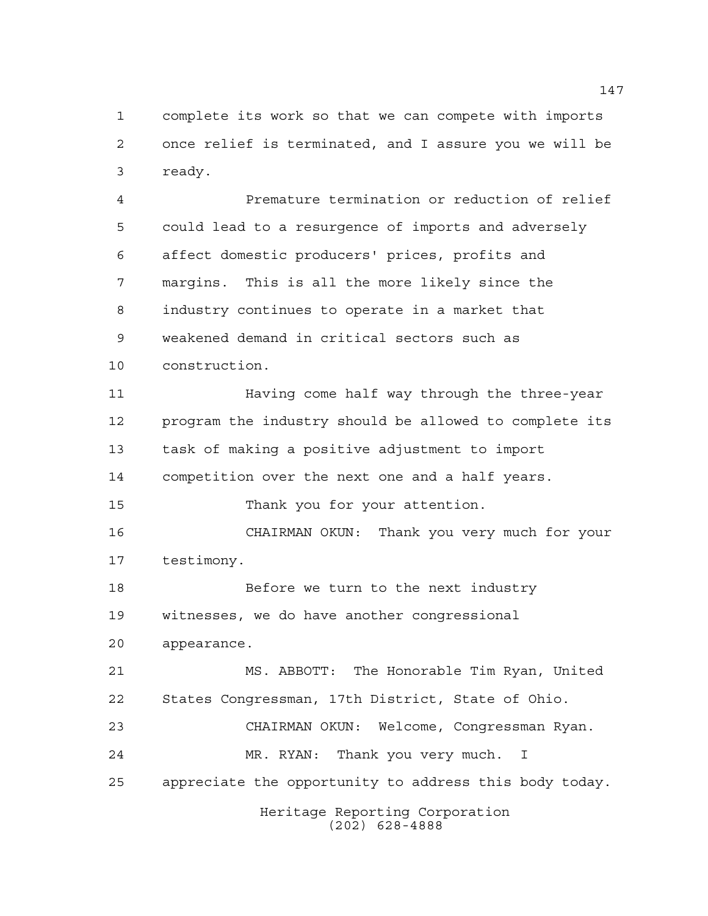complete its work so that we can compete with imports once relief is terminated, and I assure you we will be ready.

Heritage Reporting Corporation (202) 628-4888 Premature termination or reduction of relief could lead to a resurgence of imports and adversely affect domestic producers' prices, profits and margins. This is all the more likely since the industry continues to operate in a market that weakened demand in critical sectors such as construction. Having come half way through the three-year program the industry should be allowed to complete its task of making a positive adjustment to import competition over the next one and a half years. Thank you for your attention. CHAIRMAN OKUN: Thank you very much for your testimony. Before we turn to the next industry witnesses, we do have another congressional appearance. MS. ABBOTT: The Honorable Tim Ryan, United States Congressman, 17th District, State of Ohio. CHAIRMAN OKUN: Welcome, Congressman Ryan. MR. RYAN: Thank you very much. I appreciate the opportunity to address this body today.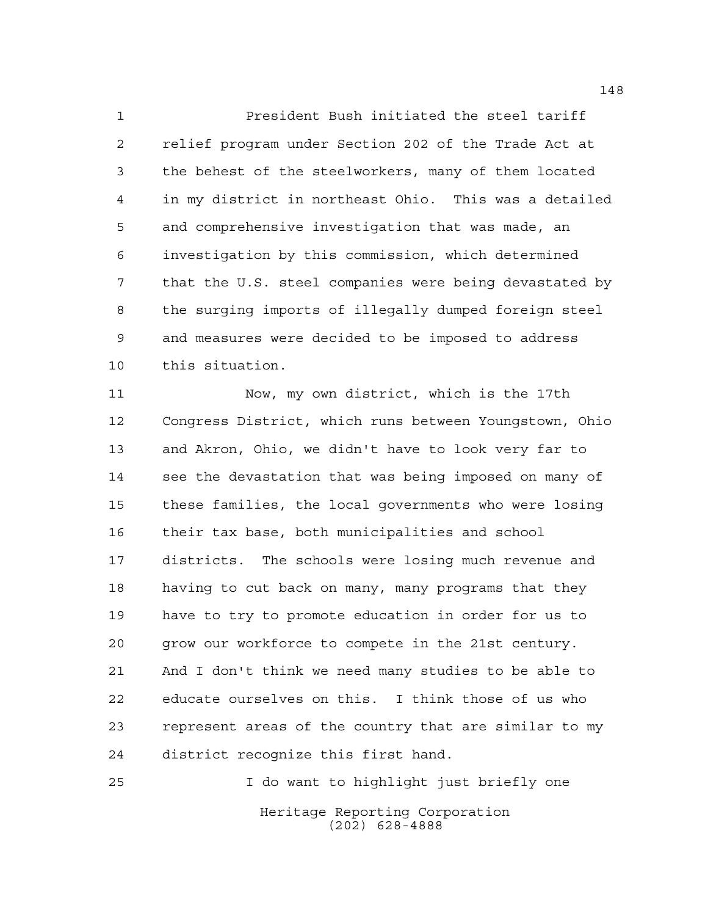President Bush initiated the steel tariff relief program under Section 202 of the Trade Act at the behest of the steelworkers, many of them located in my district in northeast Ohio. This was a detailed and comprehensive investigation that was made, an investigation by this commission, which determined that the U.S. steel companies were being devastated by the surging imports of illegally dumped foreign steel and measures were decided to be imposed to address this situation.

 Now, my own district, which is the 17th Congress District, which runs between Youngstown, Ohio and Akron, Ohio, we didn't have to look very far to see the devastation that was being imposed on many of these families, the local governments who were losing their tax base, both municipalities and school districts. The schools were losing much revenue and having to cut back on many, many programs that they have to try to promote education in order for us to grow our workforce to compete in the 21st century. And I don't think we need many studies to be able to educate ourselves on this. I think those of us who represent areas of the country that are similar to my district recognize this first hand.

Heritage Reporting Corporation (202) 628-4888 I do want to highlight just briefly one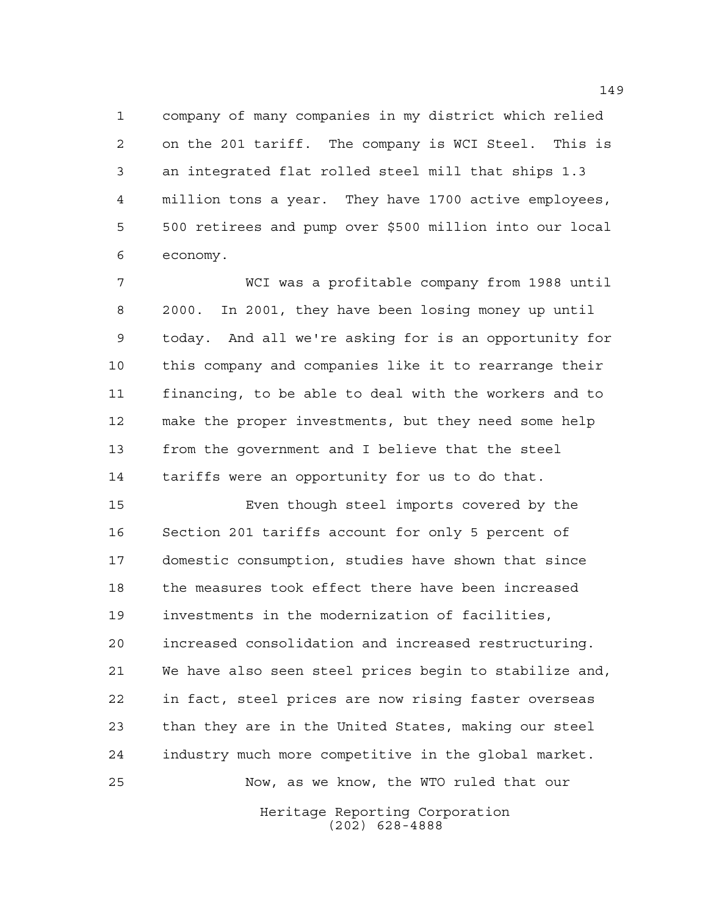company of many companies in my district which relied on the 201 tariff. The company is WCI Steel. This is an integrated flat rolled steel mill that ships 1.3 million tons a year. They have 1700 active employees, 500 retirees and pump over \$500 million into our local economy.

 WCI was a profitable company from 1988 until 2000. In 2001, they have been losing money up until today. And all we're asking for is an opportunity for this company and companies like it to rearrange their financing, to be able to deal with the workers and to make the proper investments, but they need some help from the government and I believe that the steel tariffs were an opportunity for us to do that.

 Even though steel imports covered by the Section 201 tariffs account for only 5 percent of domestic consumption, studies have shown that since the measures took effect there have been increased investments in the modernization of facilities, increased consolidation and increased restructuring. We have also seen steel prices begin to stabilize and, in fact, steel prices are now rising faster overseas than they are in the United States, making our steel industry much more competitive in the global market. Now, as we know, the WTO ruled that our

> Heritage Reporting Corporation (202) 628-4888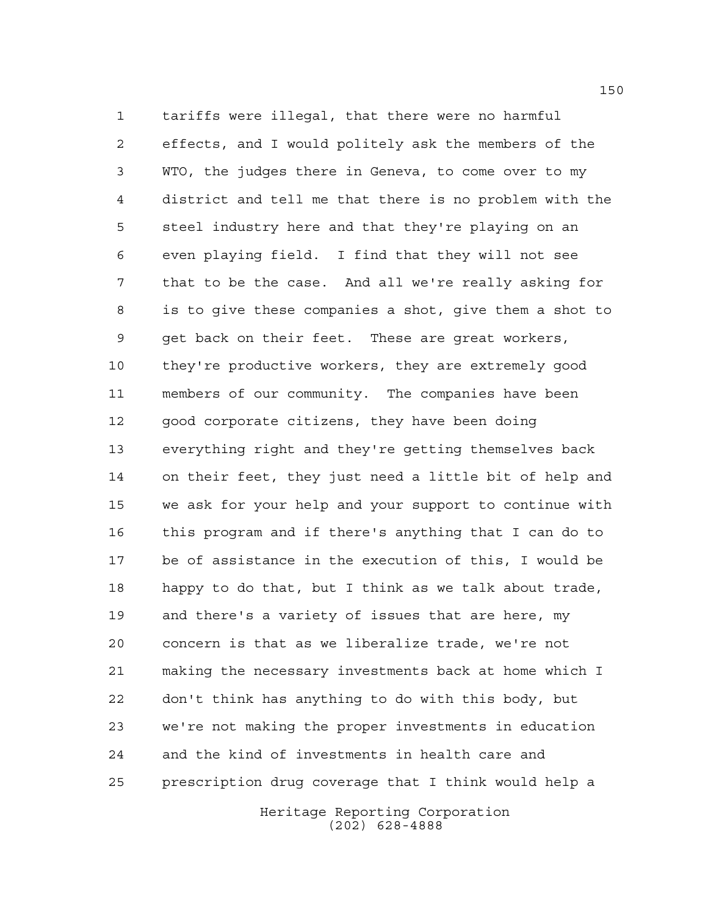tariffs were illegal, that there were no harmful effects, and I would politely ask the members of the WTO, the judges there in Geneva, to come over to my district and tell me that there is no problem with the steel industry here and that they're playing on an even playing field. I find that they will not see that to be the case. And all we're really asking for is to give these companies a shot, give them a shot to get back on their feet. These are great workers, they're productive workers, they are extremely good members of our community. The companies have been good corporate citizens, they have been doing everything right and they're getting themselves back on their feet, they just need a little bit of help and we ask for your help and your support to continue with this program and if there's anything that I can do to be of assistance in the execution of this, I would be happy to do that, but I think as we talk about trade, and there's a variety of issues that are here, my concern is that as we liberalize trade, we're not making the necessary investments back at home which I don't think has anything to do with this body, but we're not making the proper investments in education and the kind of investments in health care and prescription drug coverage that I think would help a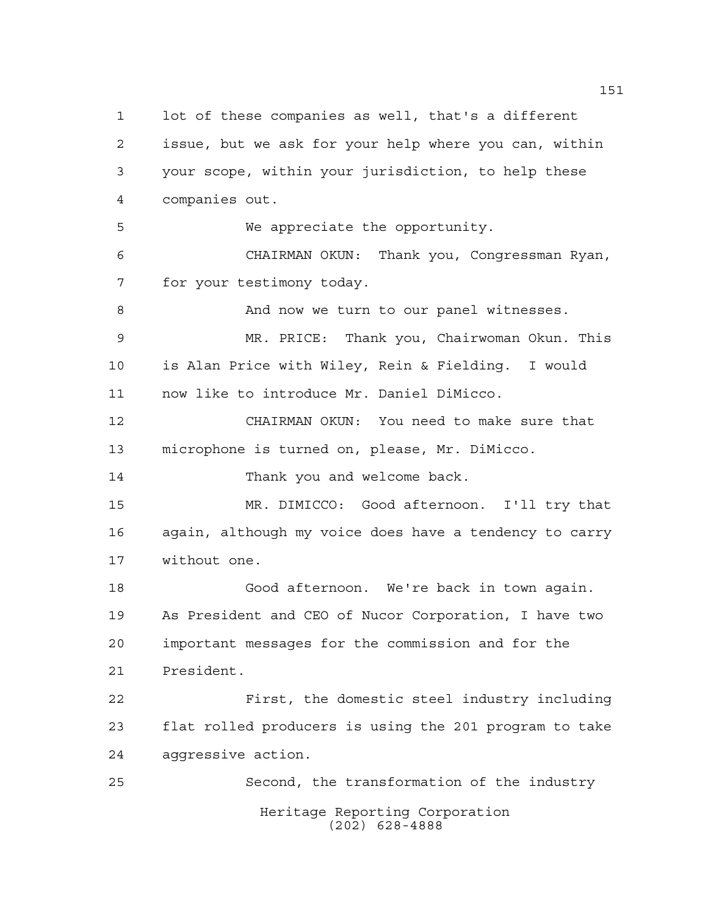Heritage Reporting Corporation (202) 628-4888 lot of these companies as well, that's a different issue, but we ask for your help where you can, within your scope, within your jurisdiction, to help these companies out. We appreciate the opportunity. CHAIRMAN OKUN: Thank you, Congressman Ryan, for your testimony today. And now we turn to our panel witnesses. MR. PRICE: Thank you, Chairwoman Okun. This is Alan Price with Wiley, Rein & Fielding. I would now like to introduce Mr. Daniel DiMicco. CHAIRMAN OKUN: You need to make sure that microphone is turned on, please, Mr. DiMicco. 14 Thank you and welcome back. MR. DIMICCO: Good afternoon. I'll try that again, although my voice does have a tendency to carry without one. Good afternoon. We're back in town again. As President and CEO of Nucor Corporation, I have two important messages for the commission and for the President. First, the domestic steel industry including flat rolled producers is using the 201 program to take aggressive action. Second, the transformation of the industry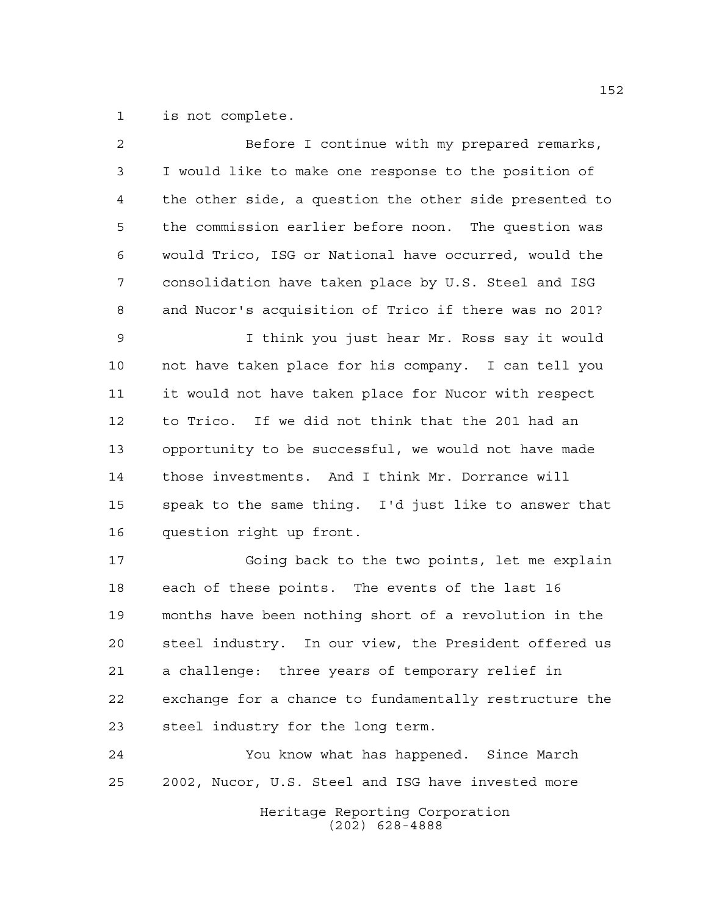is not complete.

| 2              | Before I continue with my prepared remarks,            |
|----------------|--------------------------------------------------------|
| $\mathfrak{Z}$ | I would like to make one response to the position of   |
| 4              | the other side, a question the other side presented to |
| 5              | the commission earlier before noon. The question was   |
| 6              | would Trico, ISG or National have occurred, would the  |
| 7              | consolidation have taken place by U.S. Steel and ISG   |
| 8              | and Nucor's acquisition of Trico if there was no 201?  |
| 9              | I think you just hear Mr. Ross say it would            |
| 10             | not have taken place for his company. I can tell you   |
| 11             | it would not have taken place for Nucor with respect   |
| 12             | to Trico. If we did not think that the 201 had an      |
| 13             | opportunity to be successful, we would not have made   |
| 14             | those investments. And I think Mr. Dorrance will       |
| 15             | speak to the same thing. I'd just like to answer that  |
| 16             | question right up front.                               |
| 17             | Going back to the two points, let me explain           |
| 18             | each of these points. The events of the last 16        |
| 19             | months have been nothing short of a revolution in the  |
| 20             | steel industry. In our view, the President offered us  |
| 21             | a challenge: three years of temporary relief in        |
| 22             | exchange for a chance to fundamentally restructure the |
| 23             | steel industry for the long term.                      |
| 24             | You know what has happened. Since March                |
| 25             | 2002, Nucor, U.S. Steel and ISG have invested more     |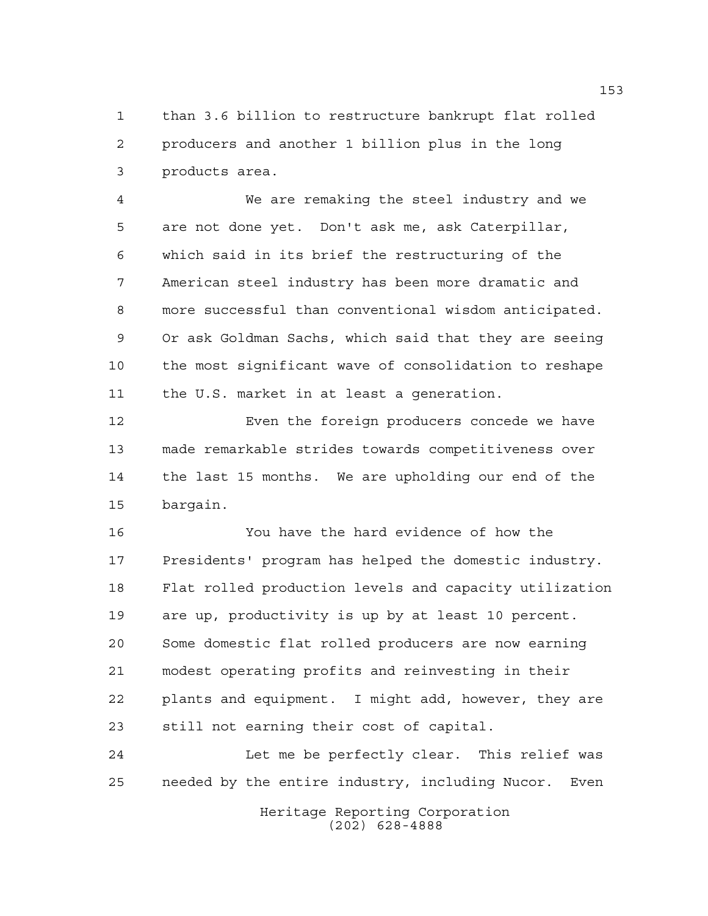than 3.6 billion to restructure bankrupt flat rolled producers and another 1 billion plus in the long products area.

 We are remaking the steel industry and we are not done yet. Don't ask me, ask Caterpillar, which said in its brief the restructuring of the American steel industry has been more dramatic and more successful than conventional wisdom anticipated. Or ask Goldman Sachs, which said that they are seeing the most significant wave of consolidation to reshape the U.S. market in at least a generation.

12 Even the foreign producers concede we have made remarkable strides towards competitiveness over the last 15 months. We are upholding our end of the bargain.

 You have the hard evidence of how the Presidents' program has helped the domestic industry. Flat rolled production levels and capacity utilization are up, productivity is up by at least 10 percent. Some domestic flat rolled producers are now earning modest operating profits and reinvesting in their plants and equipment. I might add, however, they are still not earning their cost of capital.

24 Let me be perfectly clear. This relief was needed by the entire industry, including Nucor. Even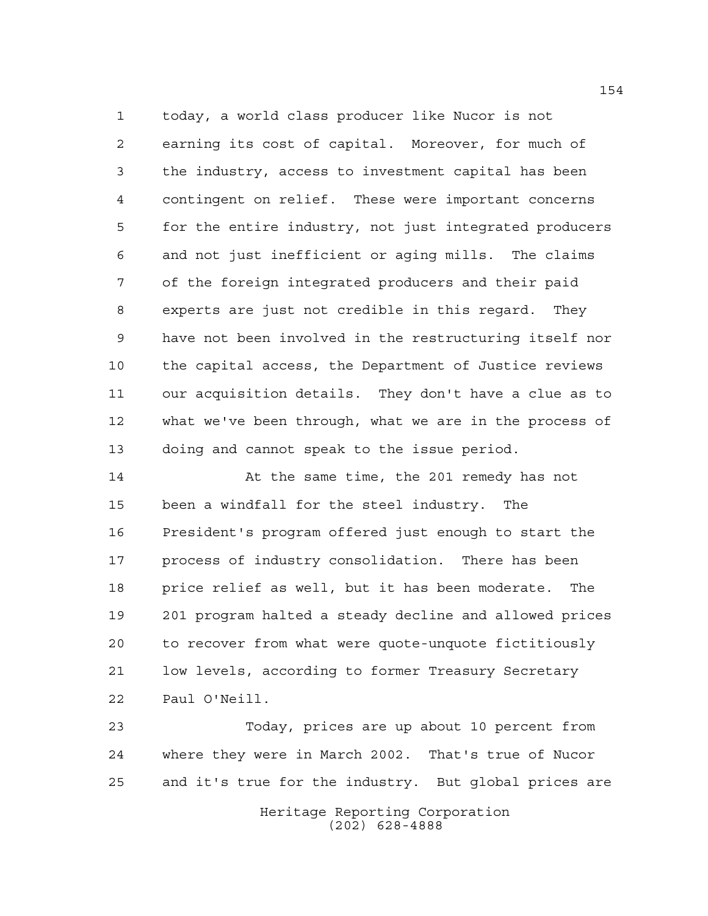today, a world class producer like Nucor is not earning its cost of capital. Moreover, for much of the industry, access to investment capital has been contingent on relief. These were important concerns for the entire industry, not just integrated producers and not just inefficient or aging mills. The claims of the foreign integrated producers and their paid experts are just not credible in this regard. They have not been involved in the restructuring itself nor the capital access, the Department of Justice reviews our acquisition details. They don't have a clue as to what we've been through, what we are in the process of doing and cannot speak to the issue period.

 At the same time, the 201 remedy has not been a windfall for the steel industry. The President's program offered just enough to start the process of industry consolidation. There has been price relief as well, but it has been moderate. The 201 program halted a steady decline and allowed prices to recover from what were quote-unquote fictitiously low levels, according to former Treasury Secretary Paul O'Neill.

 Today, prices are up about 10 percent from where they were in March 2002. That's true of Nucor and it's true for the industry. But global prices are

> Heritage Reporting Corporation (202) 628-4888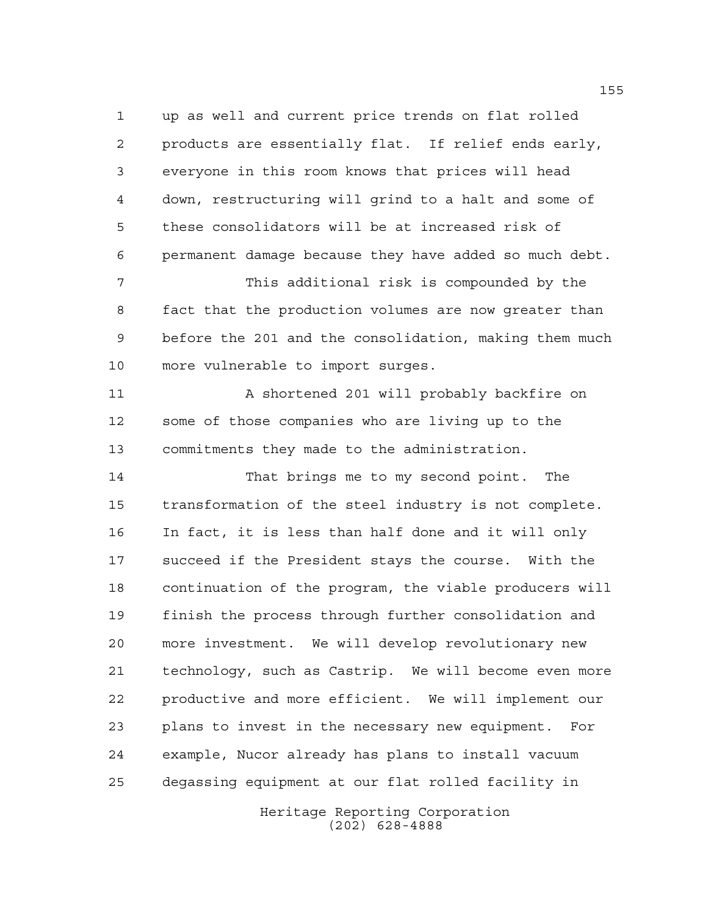up as well and current price trends on flat rolled products are essentially flat. If relief ends early, everyone in this room knows that prices will head down, restructuring will grind to a halt and some of these consolidators will be at increased risk of permanent damage because they have added so much debt.

 This additional risk is compounded by the fact that the production volumes are now greater than before the 201 and the consolidation, making them much more vulnerable to import surges.

 A shortened 201 will probably backfire on some of those companies who are living up to the commitments they made to the administration.

 That brings me to my second point. The transformation of the steel industry is not complete. In fact, it is less than half done and it will only succeed if the President stays the course. With the continuation of the program, the viable producers will finish the process through further consolidation and more investment. We will develop revolutionary new technology, such as Castrip. We will become even more productive and more efficient. We will implement our plans to invest in the necessary new equipment. For example, Nucor already has plans to install vacuum degassing equipment at our flat rolled facility in

> Heritage Reporting Corporation (202) 628-4888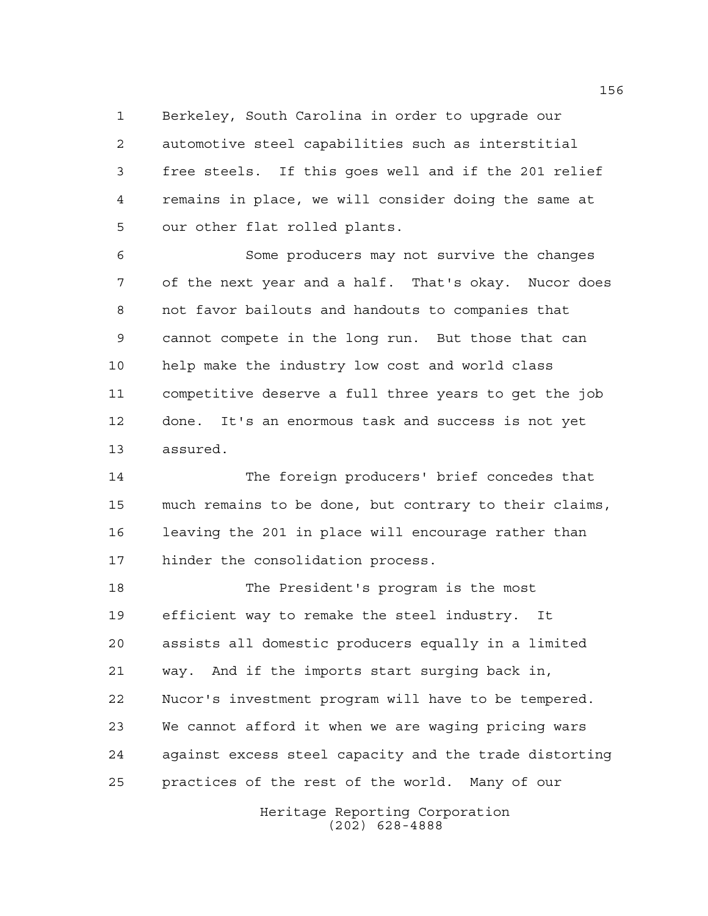Berkeley, South Carolina in order to upgrade our automotive steel capabilities such as interstitial free steels. If this goes well and if the 201 relief remains in place, we will consider doing the same at our other flat rolled plants.

 Some producers may not survive the changes of the next year and a half. That's okay. Nucor does not favor bailouts and handouts to companies that cannot compete in the long run. But those that can help make the industry low cost and world class competitive deserve a full three years to get the job done. It's an enormous task and success is not yet assured.

 The foreign producers' brief concedes that much remains to be done, but contrary to their claims, leaving the 201 in place will encourage rather than hinder the consolidation process.

 The President's program is the most efficient way to remake the steel industry. It assists all domestic producers equally in a limited way. And if the imports start surging back in, Nucor's investment program will have to be tempered. We cannot afford it when we are waging pricing wars against excess steel capacity and the trade distorting practices of the rest of the world. Many of our

> Heritage Reporting Corporation (202) 628-4888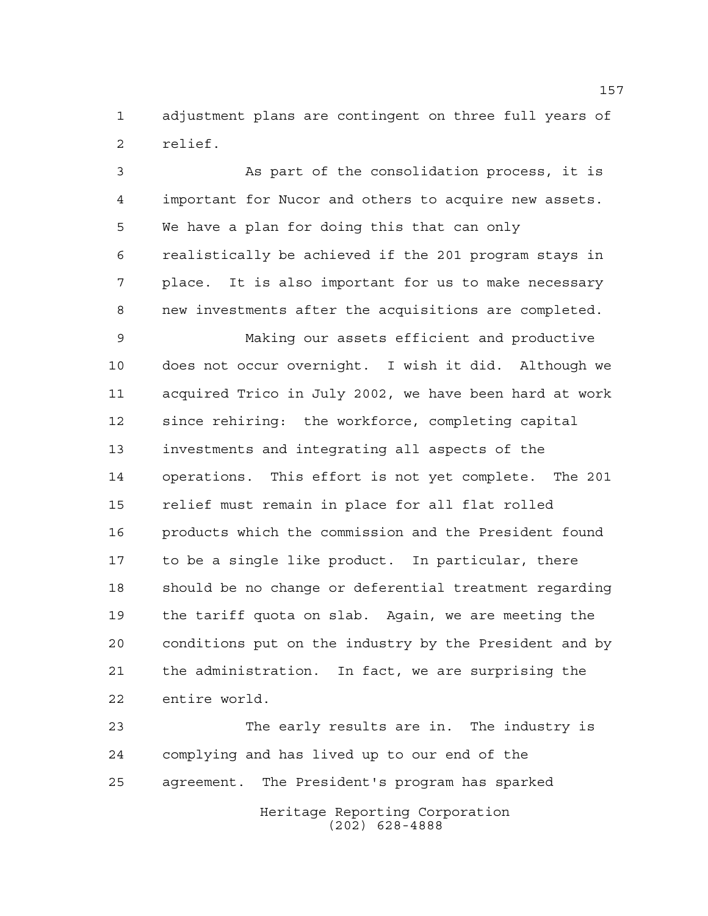adjustment plans are contingent on three full years of relief.

 As part of the consolidation process, it is important for Nucor and others to acquire new assets. We have a plan for doing this that can only realistically be achieved if the 201 program stays in place. It is also important for us to make necessary new investments after the acquisitions are completed.

 Making our assets efficient and productive does not occur overnight. I wish it did. Although we acquired Trico in July 2002, we have been hard at work since rehiring: the workforce, completing capital investments and integrating all aspects of the operations. This effort is not yet complete. The 201 relief must remain in place for all flat rolled products which the commission and the President found to be a single like product. In particular, there should be no change or deferential treatment regarding the tariff quota on slab. Again, we are meeting the conditions put on the industry by the President and by the administration. In fact, we are surprising the entire world.

Heritage Reporting Corporation The early results are in. The industry is complying and has lived up to our end of the agreement. The President's program has sparked

(202) 628-4888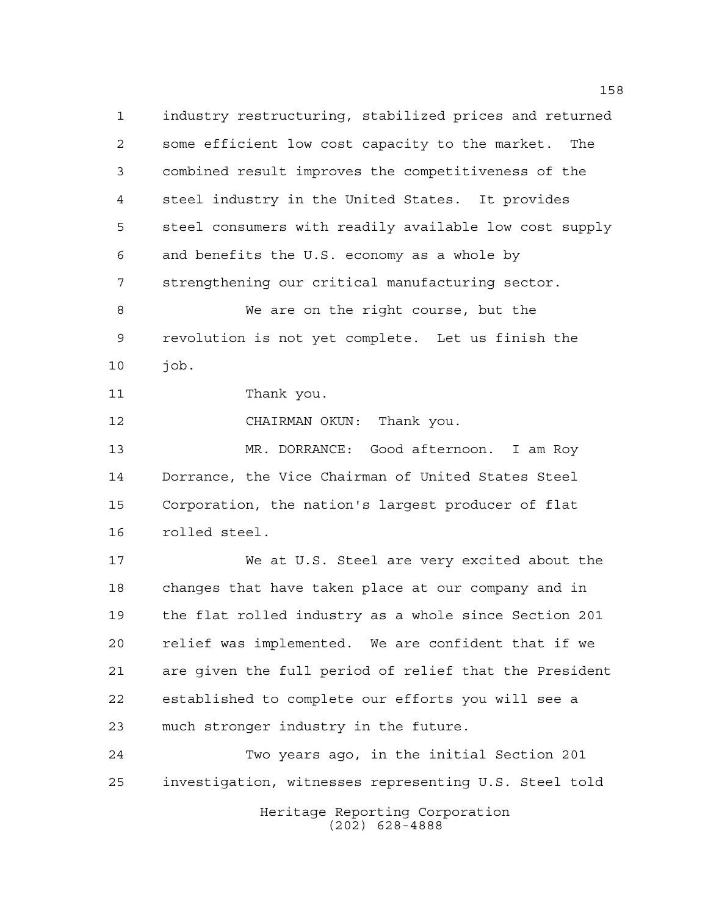industry restructuring, stabilized prices and returned some efficient low cost capacity to the market. The combined result improves the competitiveness of the steel industry in the United States. It provides steel consumers with readily available low cost supply and benefits the U.S. economy as a whole by strengthening our critical manufacturing sector. We are on the right course, but the revolution is not yet complete. Let us finish the job. Thank you. CHAIRMAN OKUN: Thank you. MR. DORRANCE: Good afternoon. I am Roy

 Dorrance, the Vice Chairman of United States Steel Corporation, the nation's largest producer of flat rolled steel.

 We at U.S. Steel are very excited about the changes that have taken place at our company and in the flat rolled industry as a whole since Section 201 relief was implemented. We are confident that if we are given the full period of relief that the President established to complete our efforts you will see a much stronger industry in the future.

 Two years ago, in the initial Section 201 investigation, witnesses representing U.S. Steel told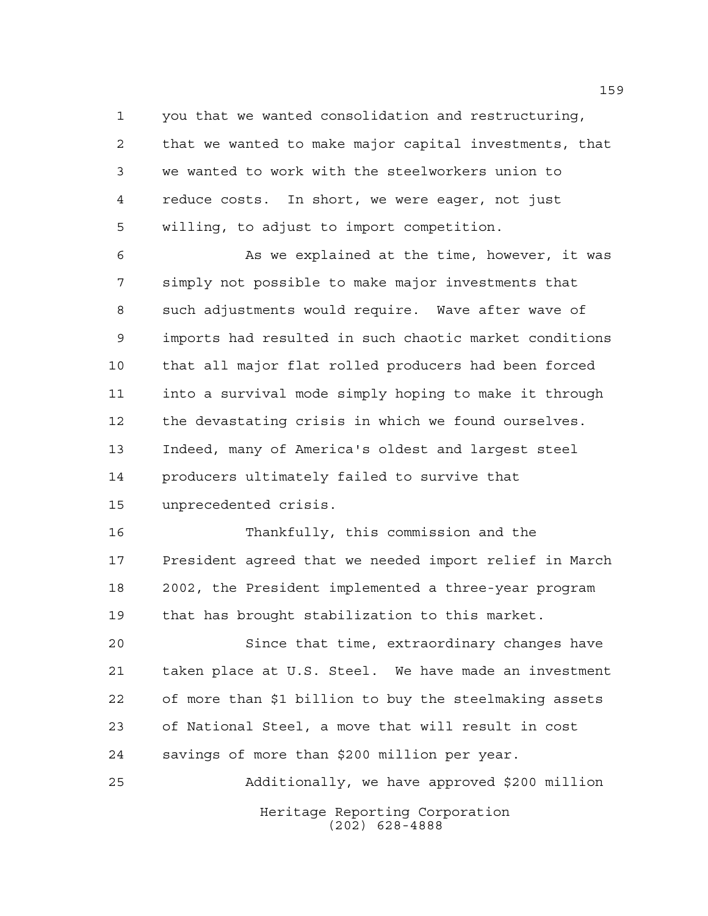you that we wanted consolidation and restructuring, that we wanted to make major capital investments, that we wanted to work with the steelworkers union to reduce costs. In short, we were eager, not just willing, to adjust to import competition.

 As we explained at the time, however, it was simply not possible to make major investments that such adjustments would require. Wave after wave of imports had resulted in such chaotic market conditions that all major flat rolled producers had been forced into a survival mode simply hoping to make it through the devastating crisis in which we found ourselves. Indeed, many of America's oldest and largest steel producers ultimately failed to survive that unprecedented crisis.

 Thankfully, this commission and the President agreed that we needed import relief in March 2002, the President implemented a three-year program that has brought stabilization to this market.

 Since that time, extraordinary changes have taken place at U.S. Steel. We have made an investment of more than \$1 billion to buy the steelmaking assets of National Steel, a move that will result in cost savings of more than \$200 million per year.

Heritage Reporting Corporation (202) 628-4888 Additionally, we have approved \$200 million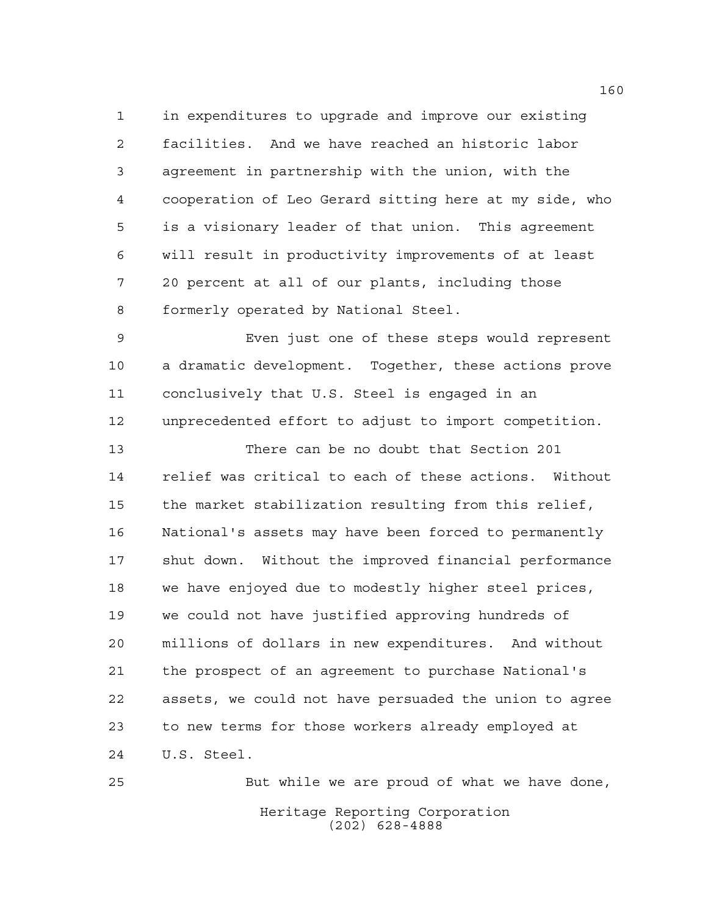in expenditures to upgrade and improve our existing facilities. And we have reached an historic labor agreement in partnership with the union, with the cooperation of Leo Gerard sitting here at my side, who is a visionary leader of that union. This agreement will result in productivity improvements of at least 20 percent at all of our plants, including those formerly operated by National Steel.

 Even just one of these steps would represent a dramatic development. Together, these actions prove conclusively that U.S. Steel is engaged in an unprecedented effort to adjust to import competition.

 There can be no doubt that Section 201 relief was critical to each of these actions. Without the market stabilization resulting from this relief, National's assets may have been forced to permanently shut down. Without the improved financial performance we have enjoyed due to modestly higher steel prices, we could not have justified approving hundreds of millions of dollars in new expenditures. And without the prospect of an agreement to purchase National's assets, we could not have persuaded the union to agree to new terms for those workers already employed at U.S. Steel.

Heritage Reporting Corporation (202) 628-4888 But while we are proud of what we have done,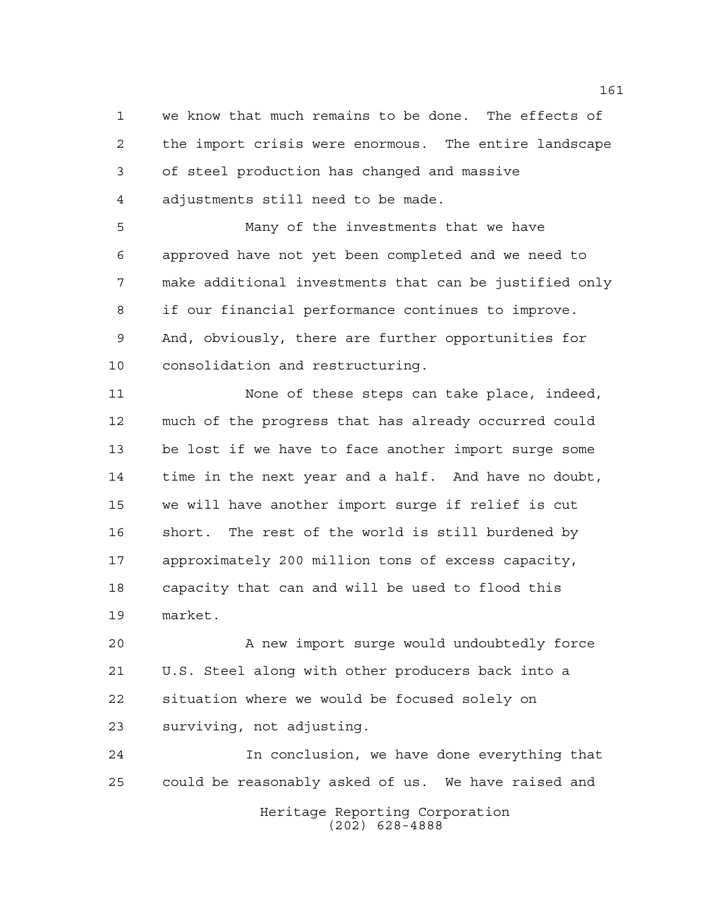we know that much remains to be done. The effects of the import crisis were enormous. The entire landscape of steel production has changed and massive adjustments still need to be made.

 Many of the investments that we have approved have not yet been completed and we need to make additional investments that can be justified only if our financial performance continues to improve. And, obviously, there are further opportunities for consolidation and restructuring.

 None of these steps can take place, indeed, much of the progress that has already occurred could be lost if we have to face another import surge some time in the next year and a half. And have no doubt, we will have another import surge if relief is cut short. The rest of the world is still burdened by approximately 200 million tons of excess capacity, capacity that can and will be used to flood this market.

 A new import surge would undoubtedly force U.S. Steel along with other producers back into a situation where we would be focused solely on surviving, not adjusting.

 In conclusion, we have done everything that could be reasonably asked of us. We have raised and

Heritage Reporting Corporation (202) 628-4888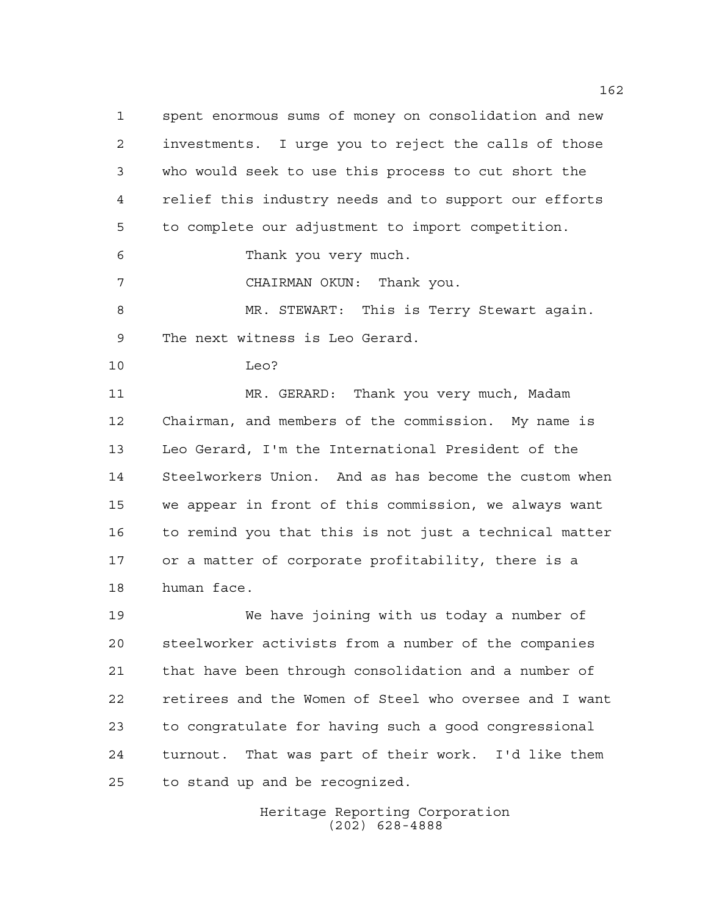spent enormous sums of money on consolidation and new investments. I urge you to reject the calls of those who would seek to use this process to cut short the relief this industry needs and to support our efforts to complete our adjustment to import competition.

Thank you very much.

CHAIRMAN OKUN: Thank you.

 MR. STEWART: This is Terry Stewart again. The next witness is Leo Gerard.

Leo?

 MR. GERARD: Thank you very much, Madam Chairman, and members of the commission. My name is Leo Gerard, I'm the International President of the Steelworkers Union. And as has become the custom when we appear in front of this commission, we always want to remind you that this is not just a technical matter or a matter of corporate profitability, there is a human face.

 We have joining with us today a number of steelworker activists from a number of the companies that have been through consolidation and a number of retirees and the Women of Steel who oversee and I want to congratulate for having such a good congressional turnout. That was part of their work. I'd like them to stand up and be recognized.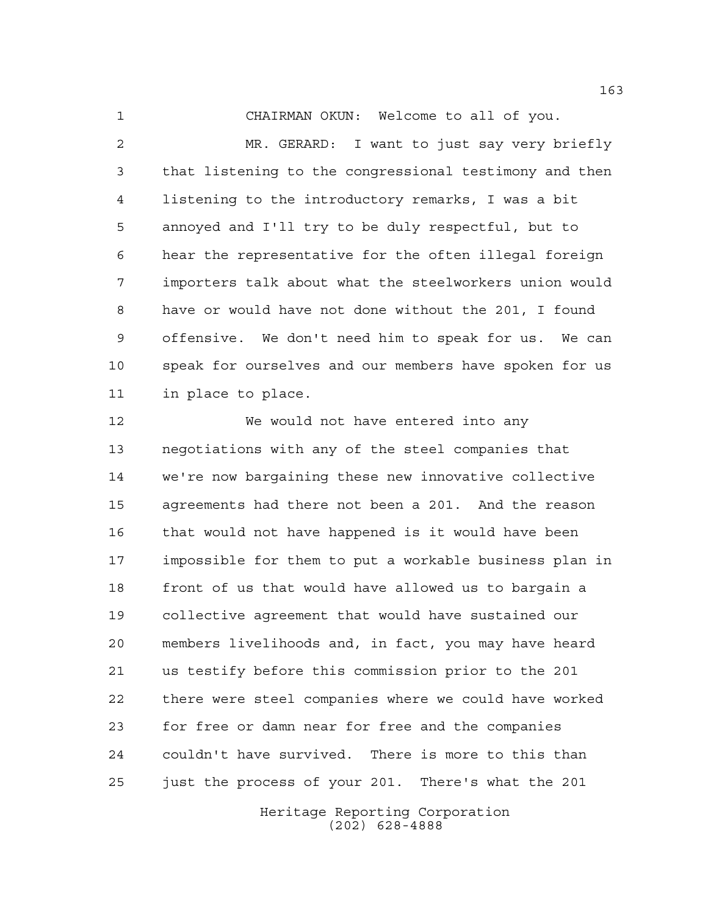CHAIRMAN OKUN: Welcome to all of you.

 MR. GERARD: I want to just say very briefly that listening to the congressional testimony and then listening to the introductory remarks, I was a bit annoyed and I'll try to be duly respectful, but to hear the representative for the often illegal foreign importers talk about what the steelworkers union would have or would have not done without the 201, I found offensive. We don't need him to speak for us. We can speak for ourselves and our members have spoken for us in place to place.

 We would not have entered into any negotiations with any of the steel companies that we're now bargaining these new innovative collective agreements had there not been a 201. And the reason that would not have happened is it would have been impossible for them to put a workable business plan in front of us that would have allowed us to bargain a collective agreement that would have sustained our members livelihoods and, in fact, you may have heard us testify before this commission prior to the 201 there were steel companies where we could have worked for free or damn near for free and the companies couldn't have survived. There is more to this than just the process of your 201. There's what the 201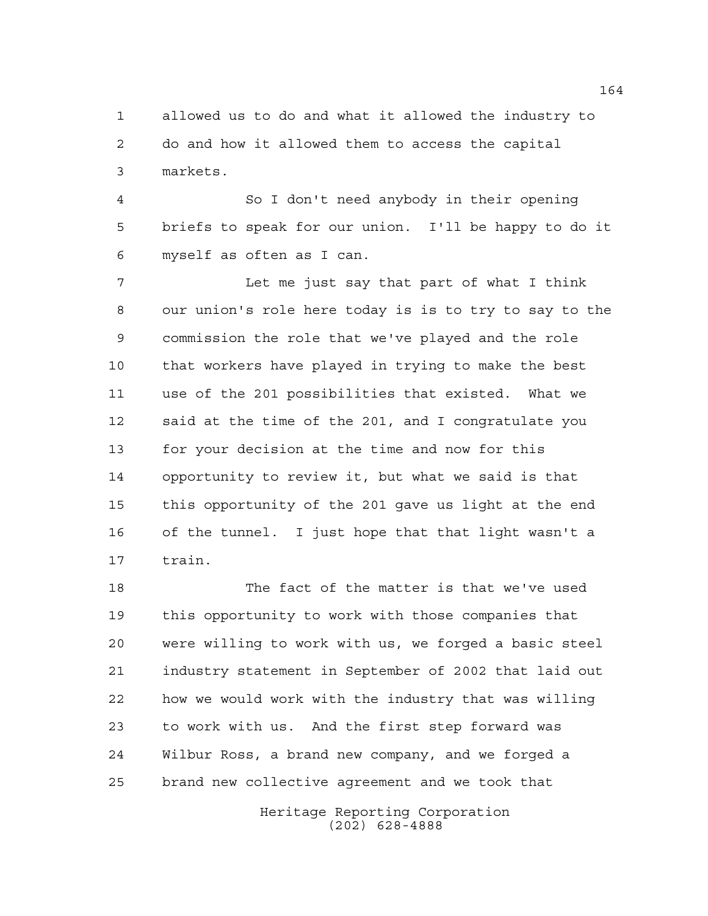allowed us to do and what it allowed the industry to do and how it allowed them to access the capital markets.

 So I don't need anybody in their opening briefs to speak for our union. I'll be happy to do it myself as often as I can.

 Let me just say that part of what I think our union's role here today is is to try to say to the commission the role that we've played and the role that workers have played in trying to make the best use of the 201 possibilities that existed. What we said at the time of the 201, and I congratulate you for your decision at the time and now for this opportunity to review it, but what we said is that this opportunity of the 201 gave us light at the end of the tunnel. I just hope that that light wasn't a train.

 The fact of the matter is that we've used this opportunity to work with those companies that were willing to work with us, we forged a basic steel industry statement in September of 2002 that laid out how we would work with the industry that was willing to work with us. And the first step forward was Wilbur Ross, a brand new company, and we forged a brand new collective agreement and we took that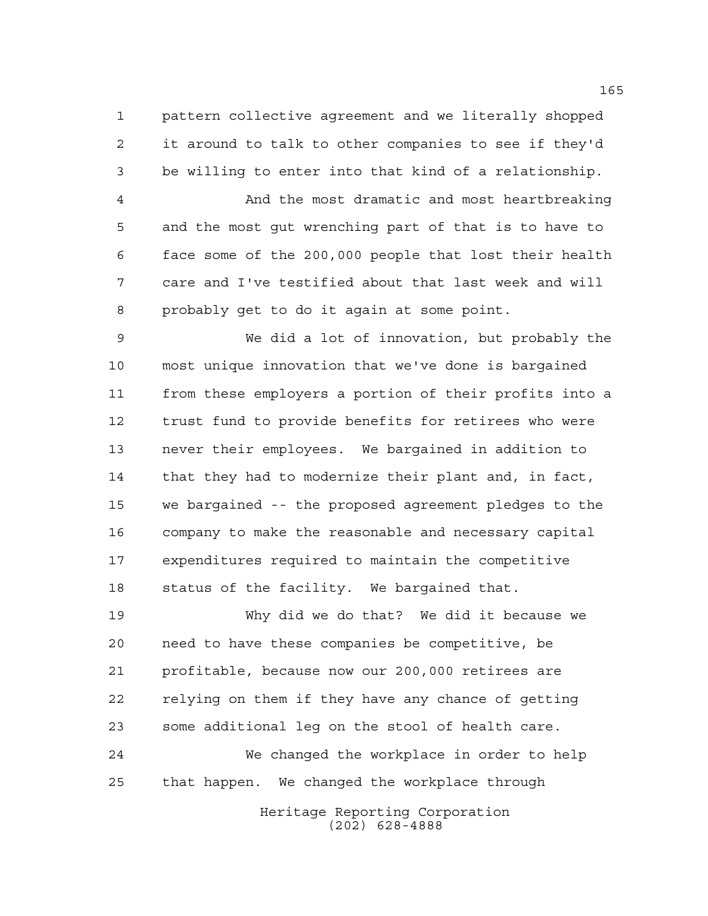pattern collective agreement and we literally shopped it around to talk to other companies to see if they'd be willing to enter into that kind of a relationship.

 And the most dramatic and most heartbreaking and the most gut wrenching part of that is to have to face some of the 200,000 people that lost their health care and I've testified about that last week and will probably get to do it again at some point.

 We did a lot of innovation, but probably the most unique innovation that we've done is bargained from these employers a portion of their profits into a trust fund to provide benefits for retirees who were never their employees. We bargained in addition to that they had to modernize their plant and, in fact, we bargained -- the proposed agreement pledges to the company to make the reasonable and necessary capital expenditures required to maintain the competitive status of the facility. We bargained that.

 Why did we do that? We did it because we need to have these companies be competitive, be profitable, because now our 200,000 retirees are relying on them if they have any chance of getting some additional leg on the stool of health care. We changed the workplace in order to help that happen. We changed the workplace through

> Heritage Reporting Corporation (202) 628-4888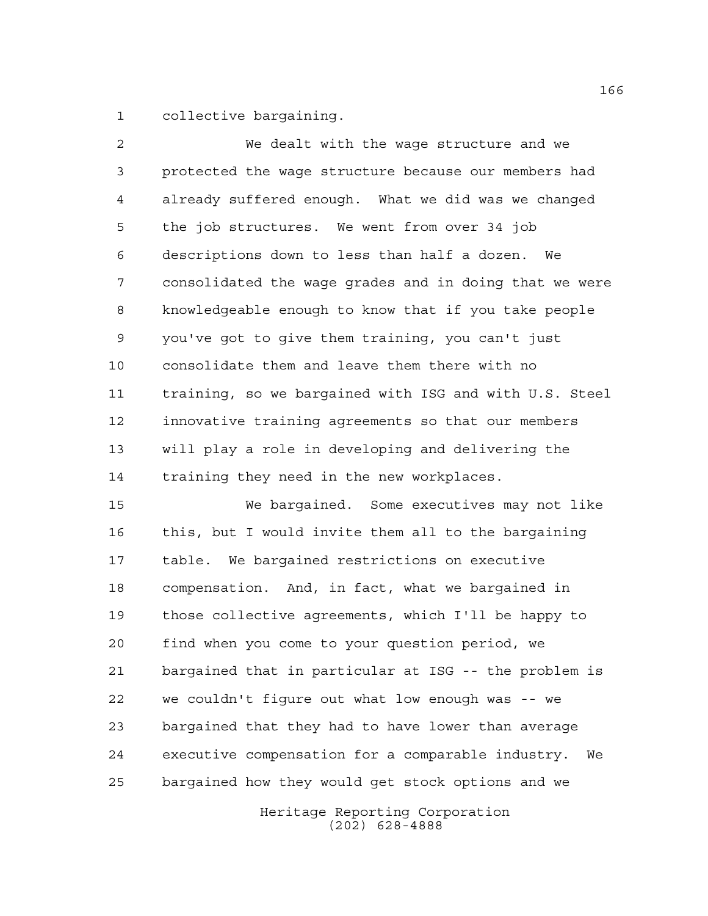collective bargaining.

 We dealt with the wage structure and we protected the wage structure because our members had already suffered enough. What we did was we changed the job structures. We went from over 34 job descriptions down to less than half a dozen. We consolidated the wage grades and in doing that we were knowledgeable enough to know that if you take people you've got to give them training, you can't just consolidate them and leave them there with no training, so we bargained with ISG and with U.S. Steel innovative training agreements so that our members will play a role in developing and delivering the training they need in the new workplaces. We bargained. Some executives may not like

 this, but I would invite them all to the bargaining table. We bargained restrictions on executive compensation. And, in fact, what we bargained in those collective agreements, which I'll be happy to find when you come to your question period, we bargained that in particular at ISG -- the problem is we couldn't figure out what low enough was -- we bargained that they had to have lower than average executive compensation for a comparable industry. We bargained how they would get stock options and we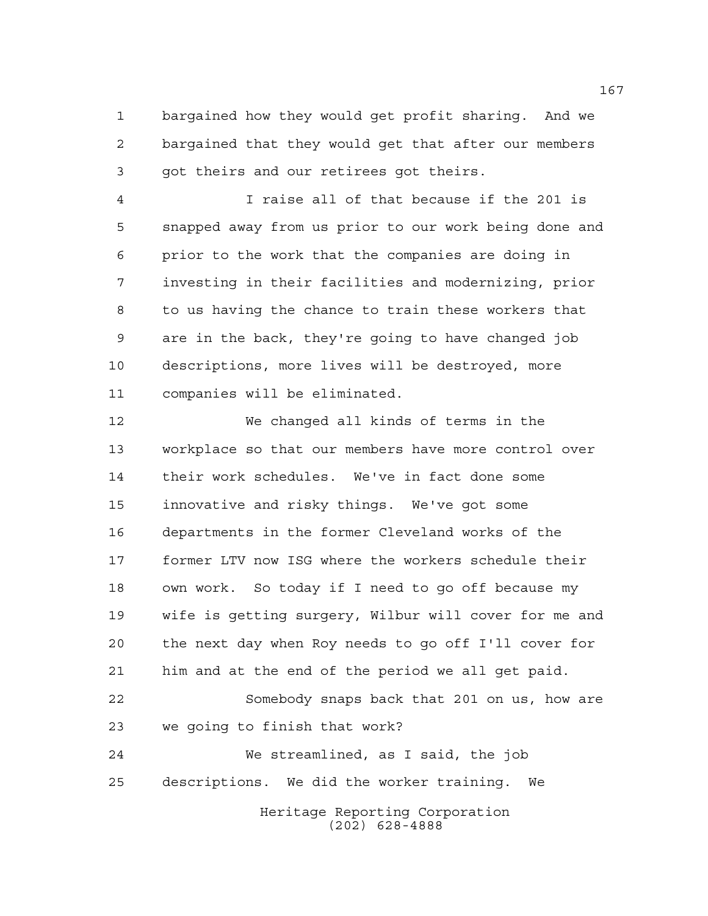bargained how they would get profit sharing. And we bargained that they would get that after our members got theirs and our retirees got theirs.

 I raise all of that because if the 201 is snapped away from us prior to our work being done and prior to the work that the companies are doing in investing in their facilities and modernizing, prior to us having the chance to train these workers that are in the back, they're going to have changed job descriptions, more lives will be destroyed, more companies will be eliminated.

Heritage Reporting Corporation We changed all kinds of terms in the workplace so that our members have more control over their work schedules. We've in fact done some innovative and risky things. We've got some departments in the former Cleveland works of the former LTV now ISG where the workers schedule their own work. So today if I need to go off because my wife is getting surgery, Wilbur will cover for me and the next day when Roy needs to go off I'll cover for him and at the end of the period we all get paid. Somebody snaps back that 201 on us, how are we going to finish that work? We streamlined, as I said, the job descriptions. We did the worker training. We

(202) 628-4888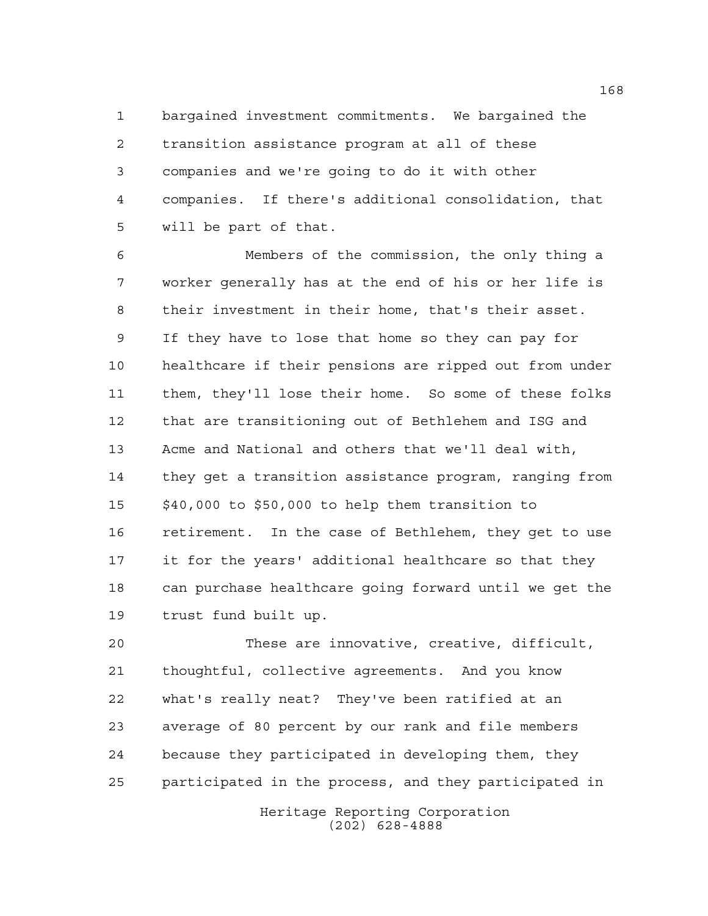bargained investment commitments. We bargained the transition assistance program at all of these companies and we're going to do it with other companies. If there's additional consolidation, that will be part of that.

 Members of the commission, the only thing a worker generally has at the end of his or her life is their investment in their home, that's their asset. If they have to lose that home so they can pay for healthcare if their pensions are ripped out from under them, they'll lose their home. So some of these folks that are transitioning out of Bethlehem and ISG and Acme and National and others that we'll deal with, they get a transition assistance program, ranging from \$40,000 to \$50,000 to help them transition to retirement. In the case of Bethlehem, they get to use it for the years' additional healthcare so that they can purchase healthcare going forward until we get the trust fund built up.

 These are innovative, creative, difficult, thoughtful, collective agreements. And you know what's really neat? They've been ratified at an average of 80 percent by our rank and file members because they participated in developing them, they participated in the process, and they participated in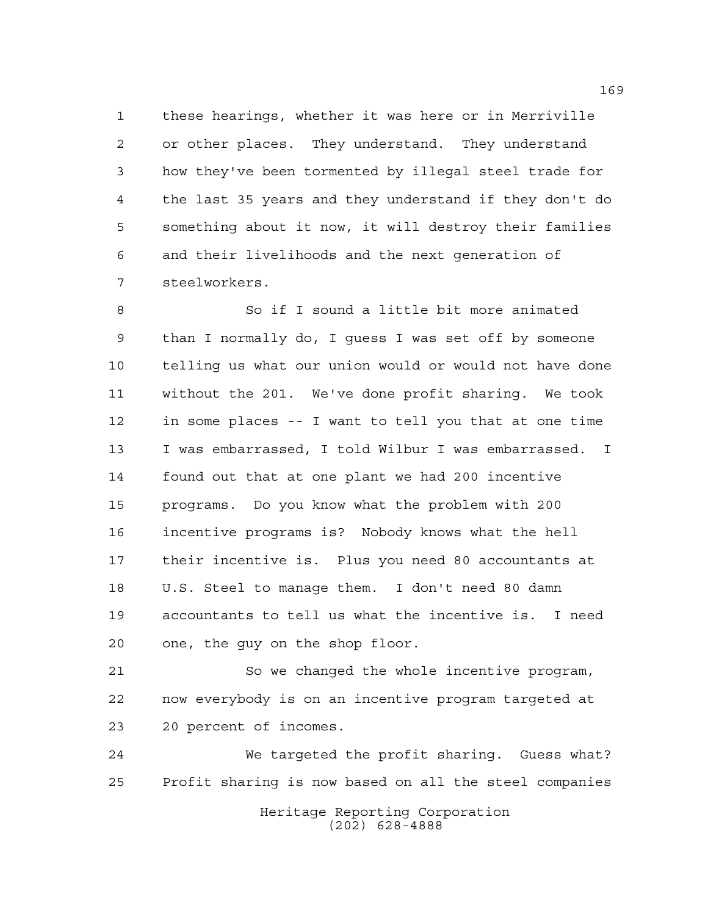these hearings, whether it was here or in Merriville or other places. They understand. They understand how they've been tormented by illegal steel trade for the last 35 years and they understand if they don't do something about it now, it will destroy their families and their livelihoods and the next generation of steelworkers.

 So if I sound a little bit more animated than I normally do, I guess I was set off by someone telling us what our union would or would not have done without the 201. We've done profit sharing. We took in some places -- I want to tell you that at one time I was embarrassed, I told Wilbur I was embarrassed. I found out that at one plant we had 200 incentive programs. Do you know what the problem with 200 incentive programs is? Nobody knows what the hell their incentive is. Plus you need 80 accountants at U.S. Steel to manage them. I don't need 80 damn accountants to tell us what the incentive is. I need one, the guy on the shop floor.

 So we changed the whole incentive program, now everybody is on an incentive program targeted at 20 percent of incomes.

 We targeted the profit sharing. Guess what? Profit sharing is now based on all the steel companies

> Heritage Reporting Corporation (202) 628-4888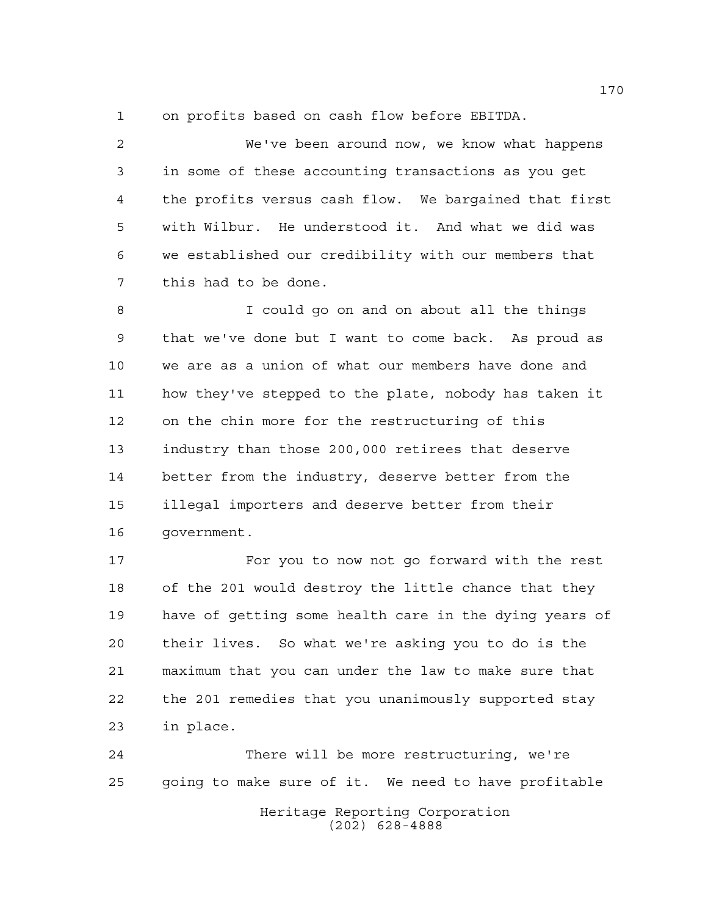on profits based on cash flow before EBITDA.

 We've been around now, we know what happens in some of these accounting transactions as you get the profits versus cash flow. We bargained that first with Wilbur. He understood it. And what we did was we established our credibility with our members that this had to be done.

 I could go on and on about all the things that we've done but I want to come back. As proud as we are as a union of what our members have done and how they've stepped to the plate, nobody has taken it on the chin more for the restructuring of this industry than those 200,000 retirees that deserve better from the industry, deserve better from the illegal importers and deserve better from their government.

 For you to now not go forward with the rest of the 201 would destroy the little chance that they have of getting some health care in the dying years of their lives. So what we're asking you to do is the maximum that you can under the law to make sure that the 201 remedies that you unanimously supported stay in place.

Heritage Reporting Corporation There will be more restructuring, we're going to make sure of it. We need to have profitable

(202) 628-4888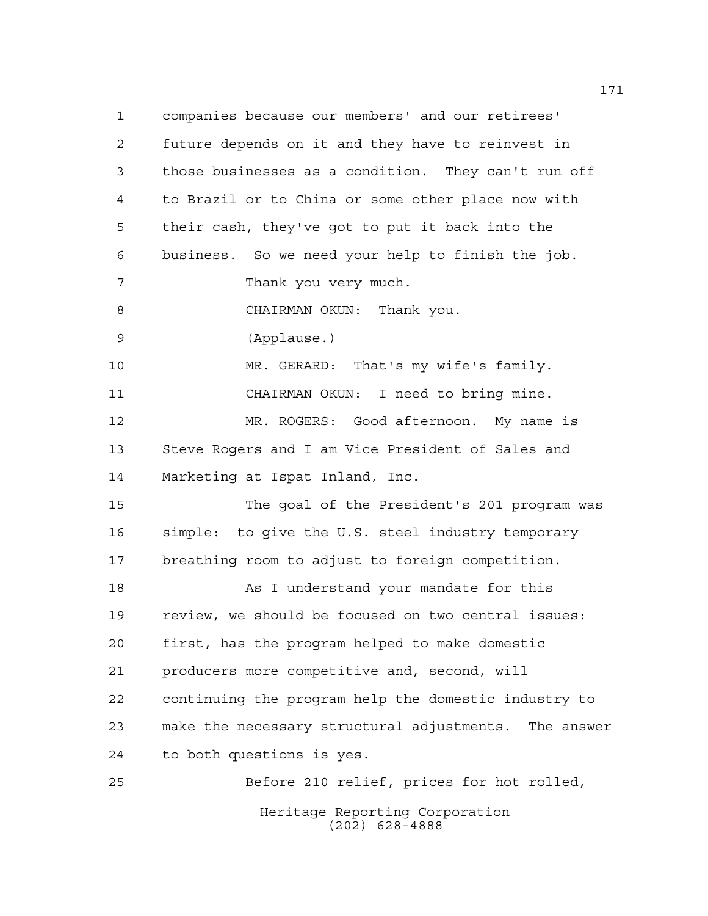Heritage Reporting Corporation (202) 628-4888 companies because our members' and our retirees' future depends on it and they have to reinvest in those businesses as a condition. They can't run off to Brazil or to China or some other place now with their cash, they've got to put it back into the business. So we need your help to finish the job. Thank you very much. CHAIRMAN OKUN: Thank you. (Applause.) MR. GERARD: That's my wife's family. CHAIRMAN OKUN: I need to bring mine. MR. ROGERS: Good afternoon. My name is Steve Rogers and I am Vice President of Sales and Marketing at Ispat Inland, Inc. The goal of the President's 201 program was simple: to give the U.S. steel industry temporary breathing room to adjust to foreign competition. As I understand your mandate for this review, we should be focused on two central issues: first, has the program helped to make domestic producers more competitive and, second, will continuing the program help the domestic industry to make the necessary structural adjustments. The answer to both questions is yes. Before 210 relief, prices for hot rolled,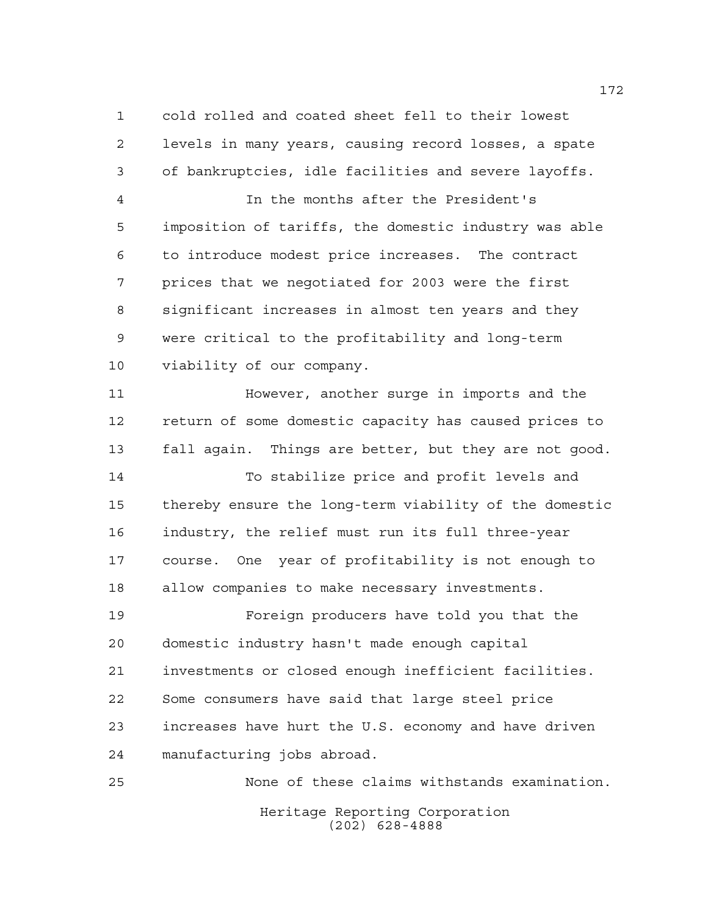cold rolled and coated sheet fell to their lowest levels in many years, causing record losses, a spate of bankruptcies, idle facilities and severe layoffs. In the months after the President's imposition of tariffs, the domestic industry was able

 to introduce modest price increases. The contract prices that we negotiated for 2003 were the first significant increases in almost ten years and they were critical to the profitability and long-term viability of our company.

 However, another surge in imports and the return of some domestic capacity has caused prices to fall again. Things are better, but they are not good.

 To stabilize price and profit levels and thereby ensure the long-term viability of the domestic industry, the relief must run its full three-year course. One year of profitability is not enough to allow companies to make necessary investments.

 Foreign producers have told you that the domestic industry hasn't made enough capital investments or closed enough inefficient facilities. Some consumers have said that large steel price increases have hurt the U.S. economy and have driven manufacturing jobs abroad.

Heritage Reporting Corporation (202) 628-4888 None of these claims withstands examination.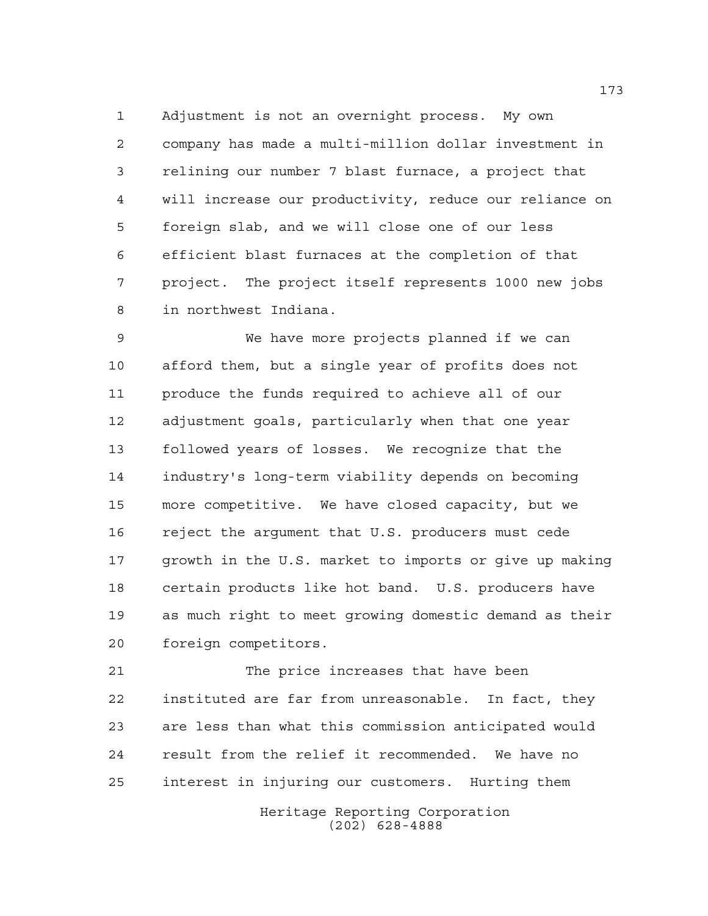Adjustment is not an overnight process. My own company has made a multi-million dollar investment in relining our number 7 blast furnace, a project that will increase our productivity, reduce our reliance on foreign slab, and we will close one of our less efficient blast furnaces at the completion of that project. The project itself represents 1000 new jobs in northwest Indiana.

 We have more projects planned if we can afford them, but a single year of profits does not produce the funds required to achieve all of our adjustment goals, particularly when that one year followed years of losses. We recognize that the industry's long-term viability depends on becoming more competitive. We have closed capacity, but we reject the argument that U.S. producers must cede growth in the U.S. market to imports or give up making certain products like hot band. U.S. producers have as much right to meet growing domestic demand as their foreign competitors.

 The price increases that have been instituted are far from unreasonable. In fact, they are less than what this commission anticipated would result from the relief it recommended. We have no interest in injuring our customers. Hurting them

> Heritage Reporting Corporation (202) 628-4888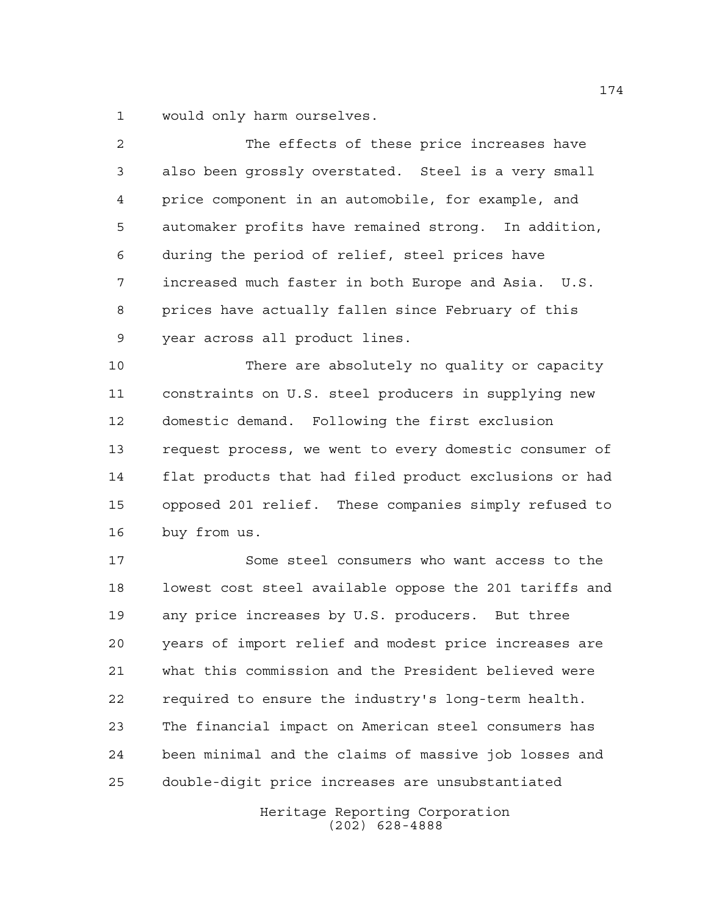would only harm ourselves.

| $\overline{2}$ | The effects of these price increases have              |
|----------------|--------------------------------------------------------|
| 3              | also been grossly overstated. Steel is a very small    |
| 4              | price component in an automobile, for example, and     |
| 5              | automaker profits have remained strong. In addition,   |
| 6              | during the period of relief, steel prices have         |
| 7              | increased much faster in both Europe and Asia. U.S.    |
| 8              | prices have actually fallen since February of this     |
| 9              | year across all product lines.                         |
| 10             | There are absolutely no quality or capacity            |
| 11             | constraints on U.S. steel producers in supplying new   |
| 12             | domestic demand. Following the first exclusion         |
| 13             | request process, we went to every domestic consumer of |
| 14             | flat products that had filed product exclusions or had |
| 15             | opposed 201 relief. These companies simply refused to  |
| 16             | buy from us.                                           |

 Some steel consumers who want access to the lowest cost steel available oppose the 201 tariffs and any price increases by U.S. producers. But three years of import relief and modest price increases are what this commission and the President believed were required to ensure the industry's long-term health. The financial impact on American steel consumers has been minimal and the claims of massive job losses and double-digit price increases are unsubstantiated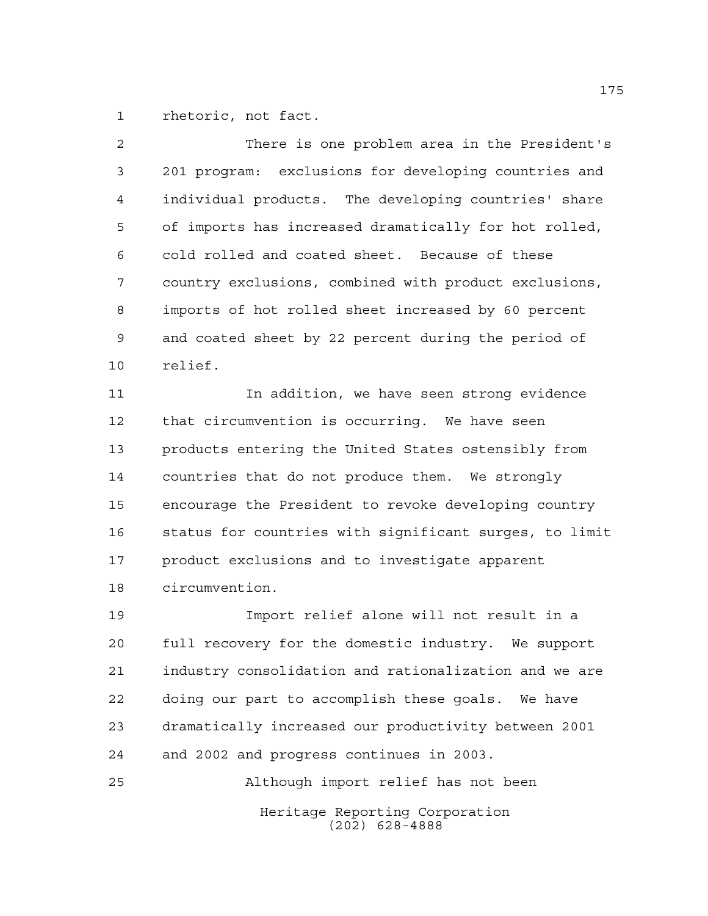rhetoric, not fact.

| 2              | There is one problem area in the President's          |
|----------------|-------------------------------------------------------|
| $\mathfrak{Z}$ | 201 program: exclusions for developing countries and  |
| 4              | individual products. The developing countries' share  |
| 5              | of imports has increased dramatically for hot rolled, |
| 6              | cold rolled and coated sheet. Because of these        |
| 7              | country exclusions, combined with product exclusions, |
| 8              | imports of hot rolled sheet increased by 60 percent   |
| 9              | and coated sheet by 22 percent during the period of   |
| 10             | relief.                                               |
| 11             | In addition, we have seen strong evidence             |

 that circumvention is occurring. We have seen products entering the United States ostensibly from countries that do not produce them. We strongly encourage the President to revoke developing country status for countries with significant surges, to limit product exclusions and to investigate apparent circumvention.

 Import relief alone will not result in a full recovery for the domestic industry. We support industry consolidation and rationalization and we are doing our part to accomplish these goals. We have dramatically increased our productivity between 2001 and 2002 and progress continues in 2003.

Heritage Reporting Corporation (202) 628-4888 Although import relief has not been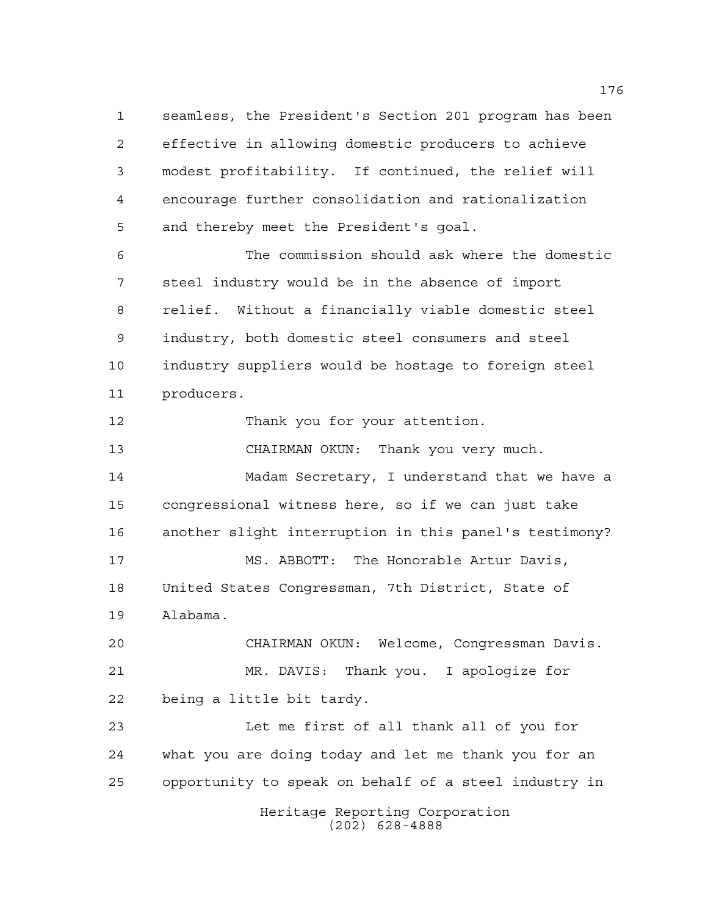seamless, the President's Section 201 program has been effective in allowing domestic producers to achieve modest profitability. If continued, the relief will encourage further consolidation and rationalization and thereby meet the President's goal. The commission should ask where the domestic steel industry would be in the absence of import

 relief. Without a financially viable domestic steel industry, both domestic steel consumers and steel industry suppliers would be hostage to foreign steel producers.

12 Thank you for your attention.

 CHAIRMAN OKUN: Thank you very much. Madam Secretary, I understand that we have a congressional witness here, so if we can just take another slight interruption in this panel's testimony? MS. ABBOTT: The Honorable Artur Davis, United States Congressman, 7th District, State of Alabama.

 CHAIRMAN OKUN: Welcome, Congressman Davis. MR. DAVIS: Thank you. I apologize for being a little bit tardy.

 Let me first of all thank all of you for what you are doing today and let me thank you for an opportunity to speak on behalf of a steel industry in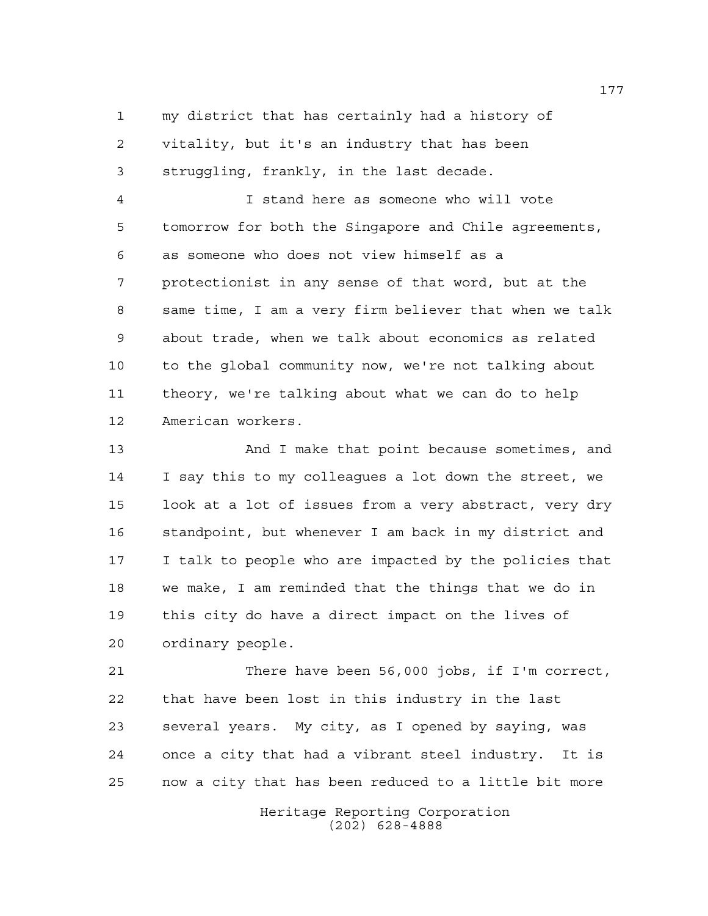my district that has certainly had a history of vitality, but it's an industry that has been struggling, frankly, in the last decade.

 I stand here as someone who will vote tomorrow for both the Singapore and Chile agreements, as someone who does not view himself as a protectionist in any sense of that word, but at the same time, I am a very firm believer that when we talk about trade, when we talk about economics as related to the global community now, we're not talking about theory, we're talking about what we can do to help American workers.

 And I make that point because sometimes, and I say this to my colleagues a lot down the street, we look at a lot of issues from a very abstract, very dry standpoint, but whenever I am back in my district and I talk to people who are impacted by the policies that we make, I am reminded that the things that we do in this city do have a direct impact on the lives of ordinary people.

 There have been 56,000 jobs, if I'm correct, that have been lost in this industry in the last several years. My city, as I opened by saying, was once a city that had a vibrant steel industry. It is now a city that has been reduced to a little bit more

> Heritage Reporting Corporation (202) 628-4888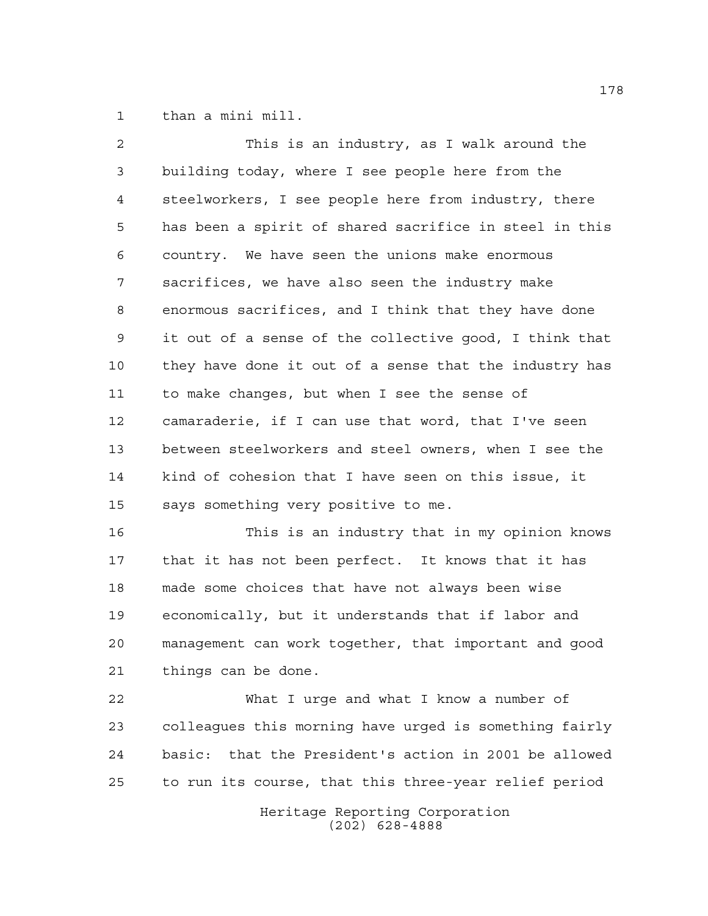than a mini mill.

| 2              | This is an industry, as I walk around the              |
|----------------|--------------------------------------------------------|
| $\mathfrak{Z}$ | building today, where I see people here from the       |
| 4              | steelworkers, I see people here from industry, there   |
| 5              | has been a spirit of shared sacrifice in steel in this |
| 6              | country. We have seen the unions make enormous         |
| 7              | sacrifices, we have also seen the industry make        |
| 8              | enormous sacrifices, and I think that they have done   |
| 9              | it out of a sense of the collective good, I think that |
| 10             | they have done it out of a sense that the industry has |
| 11             | to make changes, but when I see the sense of           |
| 12             | camaraderie, if I can use that word, that I've seen    |
| 13             | between steelworkers and steel owners, when I see the  |
| 14             | kind of cohesion that I have seen on this issue, it    |
| 15             | says something very positive to me.                    |

 This is an industry that in my opinion knows that it has not been perfect. It knows that it has made some choices that have not always been wise economically, but it understands that if labor and management can work together, that important and good things can be done.

 What I urge and what I know a number of colleagues this morning have urged is something fairly basic: that the President's action in 2001 be allowed to run its course, that this three-year relief period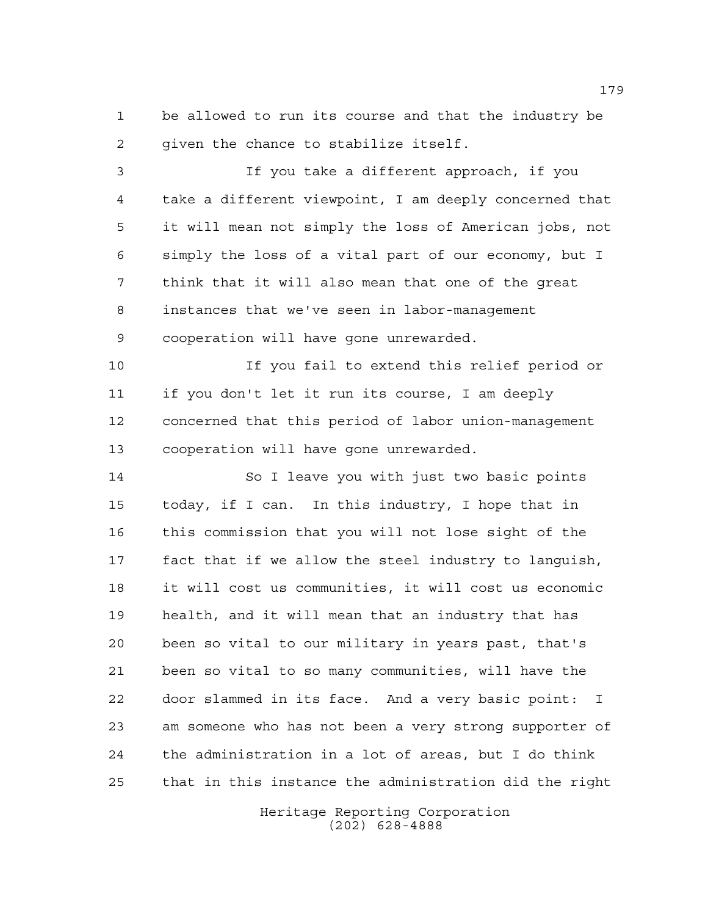be allowed to run its course and that the industry be given the chance to stabilize itself.

 If you take a different approach, if you take a different viewpoint, I am deeply concerned that it will mean not simply the loss of American jobs, not simply the loss of a vital part of our economy, but I think that it will also mean that one of the great instances that we've seen in labor-management cooperation will have gone unrewarded.

 If you fail to extend this relief period or if you don't let it run its course, I am deeply concerned that this period of labor union-management cooperation will have gone unrewarded.

 So I leave you with just two basic points today, if I can. In this industry, I hope that in this commission that you will not lose sight of the fact that if we allow the steel industry to languish, it will cost us communities, it will cost us economic health, and it will mean that an industry that has been so vital to our military in years past, that's been so vital to so many communities, will have the door slammed in its face. And a very basic point: I am someone who has not been a very strong supporter of the administration in a lot of areas, but I do think that in this instance the administration did the right

> Heritage Reporting Corporation (202) 628-4888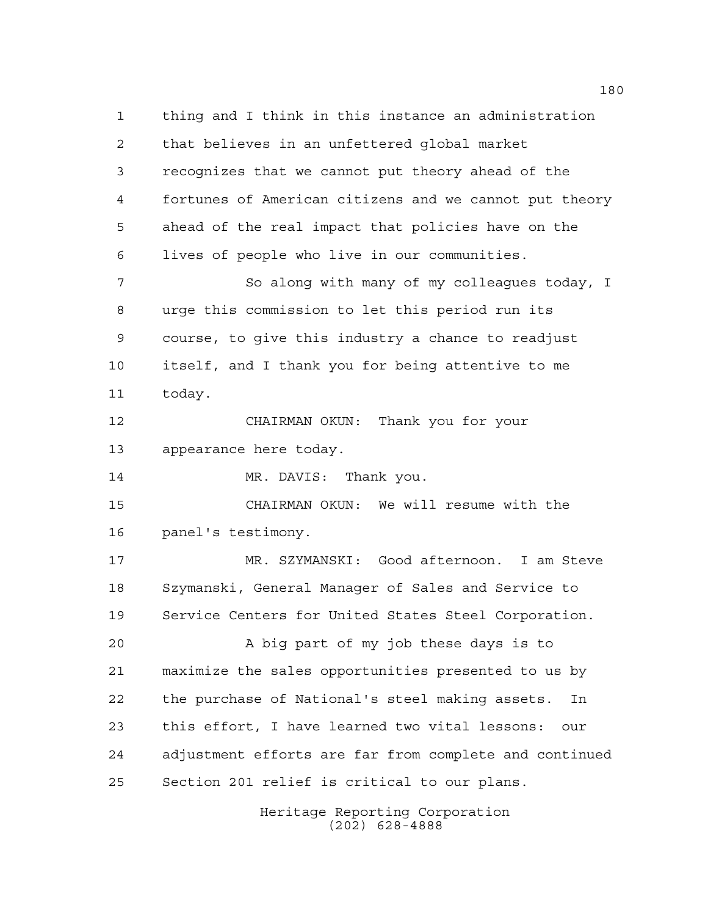thing and I think in this instance an administration that believes in an unfettered global market recognizes that we cannot put theory ahead of the fortunes of American citizens and we cannot put theory ahead of the real impact that policies have on the lives of people who live in our communities. 7 So along with many of my colleagues today, I urge this commission to let this period run its course, to give this industry a chance to readjust itself, and I thank you for being attentive to me today. CHAIRMAN OKUN: Thank you for your appearance here today. MR. DAVIS: Thank you. CHAIRMAN OKUN: We will resume with the panel's testimony. MR. SZYMANSKI: Good afternoon. I am Steve Szymanski, General Manager of Sales and Service to Service Centers for United States Steel Corporation. A big part of my job these days is to maximize the sales opportunities presented to us by the purchase of National's steel making assets. In this effort, I have learned two vital lessons: our adjustment efforts are far from complete and continued Section 201 relief is critical to our plans.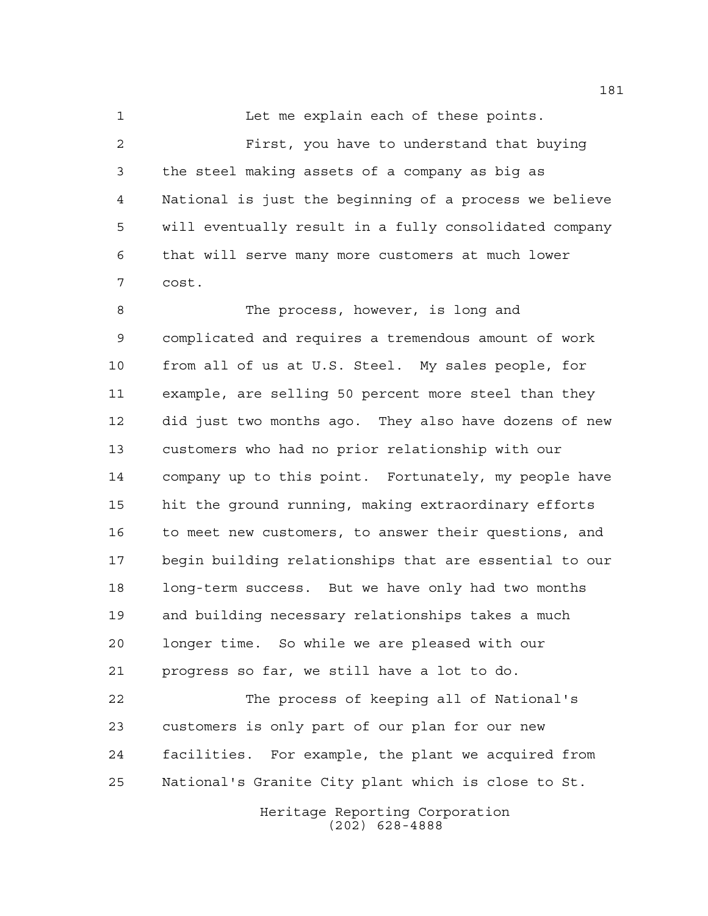1 Let me explain each of these points. First, you have to understand that buying the steel making assets of a company as big as National is just the beginning of a process we believe will eventually result in a fully consolidated company that will serve many more customers at much lower cost.

8 The process, however, is long and complicated and requires a tremendous amount of work from all of us at U.S. Steel. My sales people, for example, are selling 50 percent more steel than they did just two months ago. They also have dozens of new customers who had no prior relationship with our company up to this point. Fortunately, my people have hit the ground running, making extraordinary efforts 16 to meet new customers, to answer their questions, and begin building relationships that are essential to our long-term success. But we have only had two months and building necessary relationships takes a much longer time. So while we are pleased with our progress so far, we still have a lot to do.

 The process of keeping all of National's customers is only part of our plan for our new facilities. For example, the plant we acquired from National's Granite City plant which is close to St.

> Heritage Reporting Corporation (202) 628-4888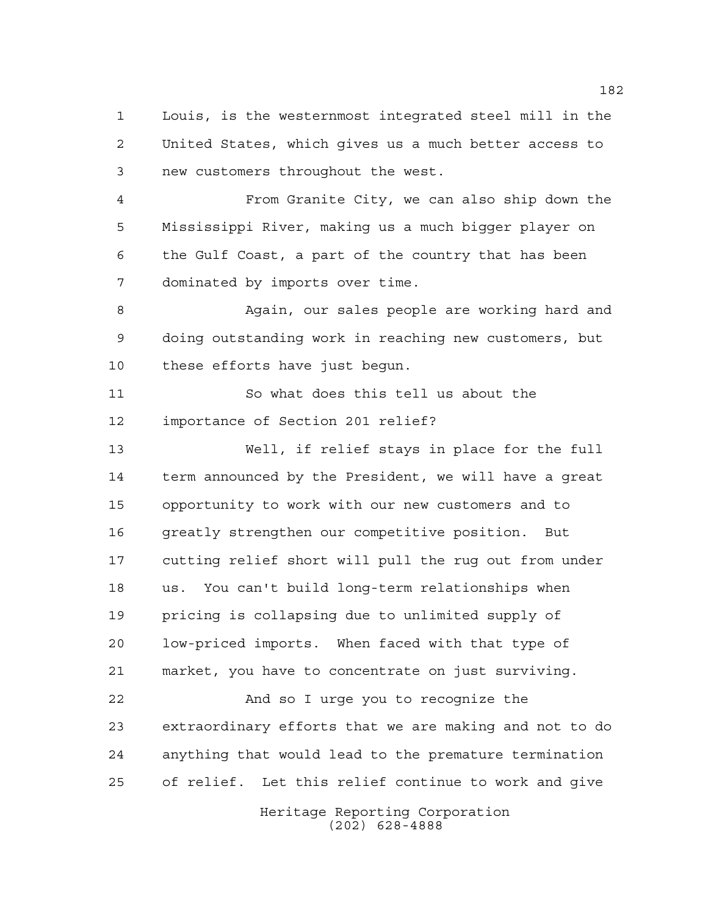Louis, is the westernmost integrated steel mill in the United States, which gives us a much better access to new customers throughout the west.

 From Granite City, we can also ship down the Mississippi River, making us a much bigger player on the Gulf Coast, a part of the country that has been dominated by imports over time.

 Again, our sales people are working hard and doing outstanding work in reaching new customers, but these efforts have just begun.

 So what does this tell us about the importance of Section 201 relief?

 Well, if relief stays in place for the full term announced by the President, we will have a great opportunity to work with our new customers and to greatly strengthen our competitive position. But cutting relief short will pull the rug out from under us. You can't build long-term relationships when pricing is collapsing due to unlimited supply of low-priced imports. When faced with that type of market, you have to concentrate on just surviving.

 And so I urge you to recognize the extraordinary efforts that we are making and not to do anything that would lead to the premature termination of relief. Let this relief continue to work and give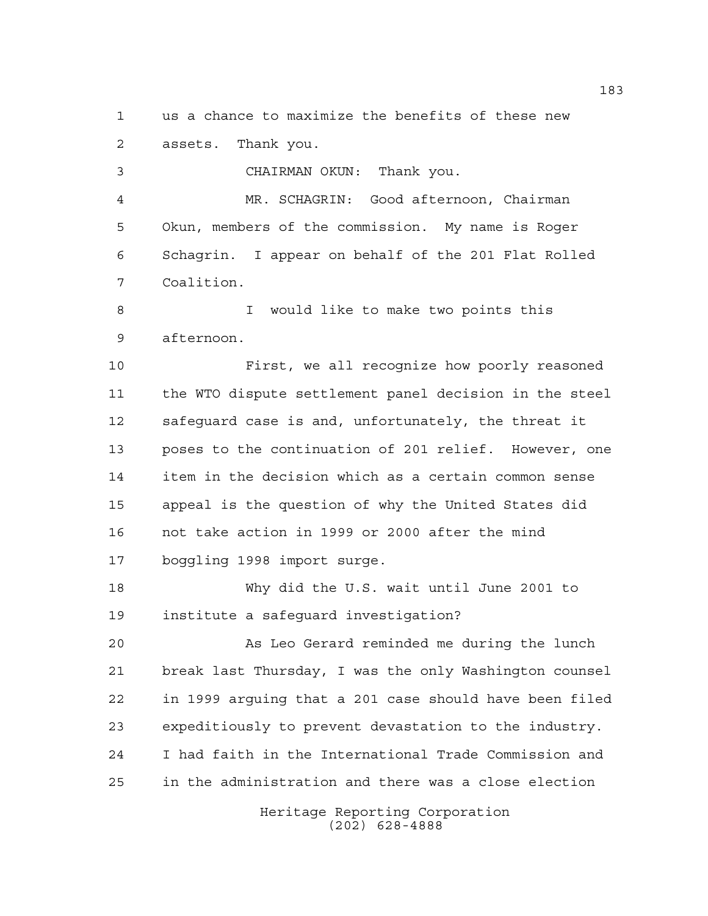us a chance to maximize the benefits of these new assets. Thank you.

 CHAIRMAN OKUN: Thank you. MR. SCHAGRIN: Good afternoon, Chairman Okun, members of the commission. My name is Roger Schagrin. I appear on behalf of the 201 Flat Rolled Coalition.

 I would like to make two points this afternoon.

 First, we all recognize how poorly reasoned the WTO dispute settlement panel decision in the steel safeguard case is and, unfortunately, the threat it poses to the continuation of 201 relief. However, one item in the decision which as a certain common sense appeal is the question of why the United States did not take action in 1999 or 2000 after the mind boggling 1998 import surge.

 Why did the U.S. wait until June 2001 to institute a safeguard investigation?

 As Leo Gerard reminded me during the lunch break last Thursday, I was the only Washington counsel in 1999 arguing that a 201 case should have been filed expeditiously to prevent devastation to the industry. I had faith in the International Trade Commission and in the administration and there was a close election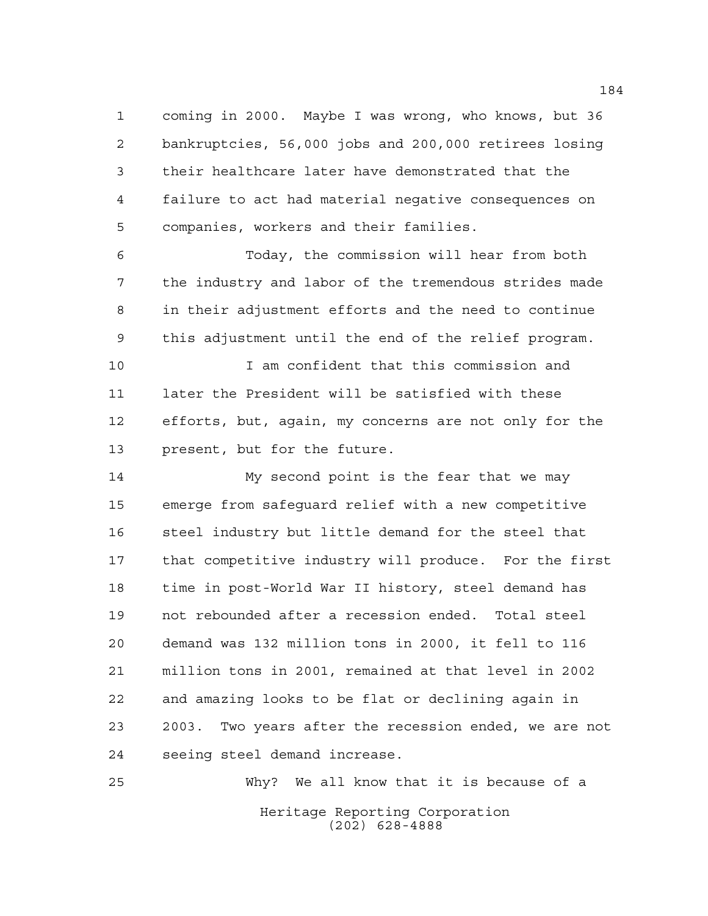coming in 2000. Maybe I was wrong, who knows, but 36 bankruptcies, 56,000 jobs and 200,000 retirees losing their healthcare later have demonstrated that the failure to act had material negative consequences on companies, workers and their families.

 Today, the commission will hear from both the industry and labor of the tremendous strides made in their adjustment efforts and the need to continue this adjustment until the end of the relief program.

 I am confident that this commission and later the President will be satisfied with these efforts, but, again, my concerns are not only for the present, but for the future.

 My second point is the fear that we may emerge from safeguard relief with a new competitive steel industry but little demand for the steel that that competitive industry will produce. For the first time in post-World War II history, steel demand has not rebounded after a recession ended. Total steel demand was 132 million tons in 2000, it fell to 116 million tons in 2001, remained at that level in 2002 and amazing looks to be flat or declining again in 2003. Two years after the recession ended, we are not seeing steel demand increase.

Heritage Reporting Corporation (202) 628-4888 Why? We all know that it is because of a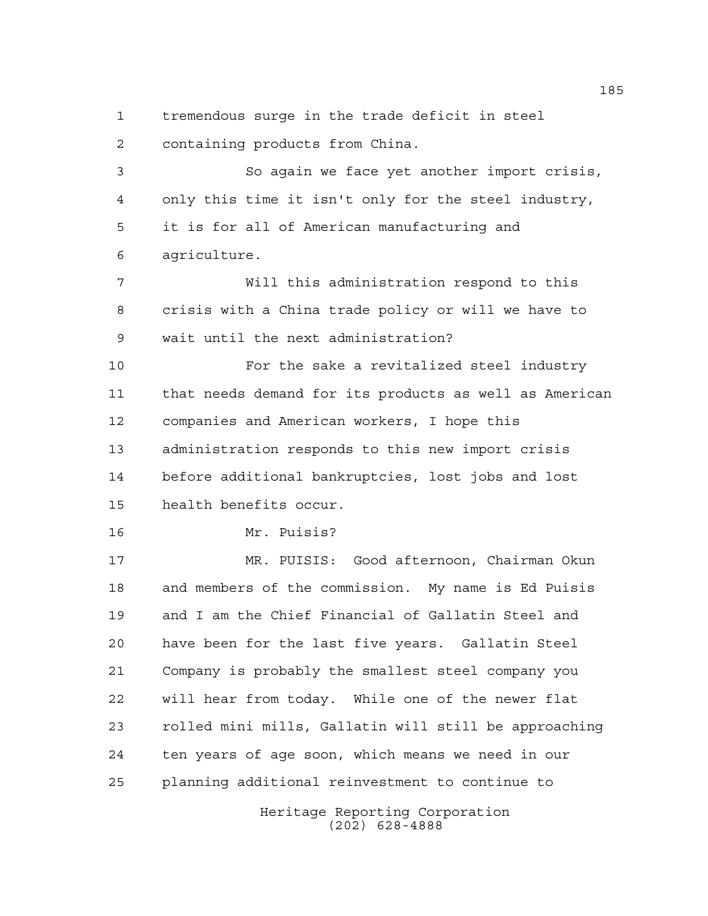tremendous surge in the trade deficit in steel containing products from China.

 So again we face yet another import crisis, only this time it isn't only for the steel industry, it is for all of American manufacturing and agriculture.

 Will this administration respond to this crisis with a China trade policy or will we have to wait until the next administration?

**For the sake a revitalized steel industry**  that needs demand for its products as well as American companies and American workers, I hope this administration responds to this new import crisis before additional bankruptcies, lost jobs and lost health benefits occur.

```
16 Mr. Puisis?
```
 MR. PUISIS: Good afternoon, Chairman Okun and members of the commission. My name is Ed Puisis and I am the Chief Financial of Gallatin Steel and have been for the last five years. Gallatin Steel Company is probably the smallest steel company you will hear from today. While one of the newer flat rolled mini mills, Gallatin will still be approaching ten years of age soon, which means we need in our planning additional reinvestment to continue to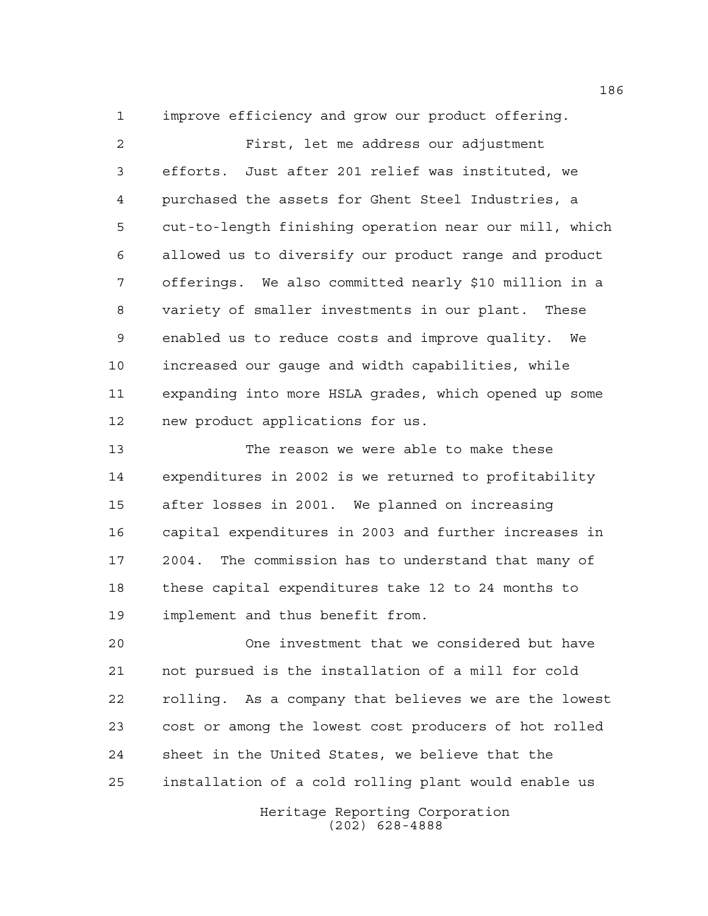improve efficiency and grow our product offering.

 First, let me address our adjustment efforts. Just after 201 relief was instituted, we purchased the assets for Ghent Steel Industries, a cut-to-length finishing operation near our mill, which allowed us to diversify our product range and product offerings. We also committed nearly \$10 million in a variety of smaller investments in our plant. These enabled us to reduce costs and improve quality. We increased our gauge and width capabilities, while expanding into more HSLA grades, which opened up some new product applications for us.

 The reason we were able to make these expenditures in 2002 is we returned to profitability after losses in 2001. We planned on increasing capital expenditures in 2003 and further increases in 2004. The commission has to understand that many of these capital expenditures take 12 to 24 months to implement and thus benefit from.

 One investment that we considered but have not pursued is the installation of a mill for cold rolling. As a company that believes we are the lowest cost or among the lowest cost producers of hot rolled sheet in the United States, we believe that the installation of a cold rolling plant would enable us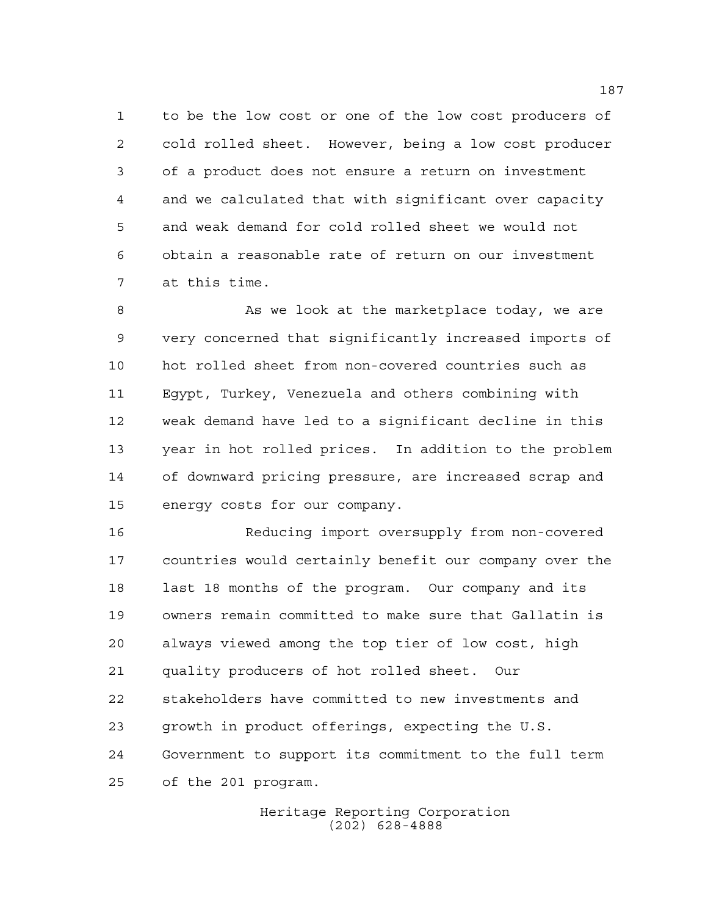to be the low cost or one of the low cost producers of cold rolled sheet. However, being a low cost producer of a product does not ensure a return on investment and we calculated that with significant over capacity and weak demand for cold rolled sheet we would not obtain a reasonable rate of return on our investment at this time.

8 As we look at the marketplace today, we are very concerned that significantly increased imports of hot rolled sheet from non-covered countries such as Egypt, Turkey, Venezuela and others combining with weak demand have led to a significant decline in this year in hot rolled prices. In addition to the problem of downward pricing pressure, are increased scrap and energy costs for our company.

 Reducing import oversupply from non-covered countries would certainly benefit our company over the last 18 months of the program. Our company and its owners remain committed to make sure that Gallatin is always viewed among the top tier of low cost, high quality producers of hot rolled sheet. Our stakeholders have committed to new investments and growth in product offerings, expecting the U.S. Government to support its commitment to the full term of the 201 program.

> Heritage Reporting Corporation (202) 628-4888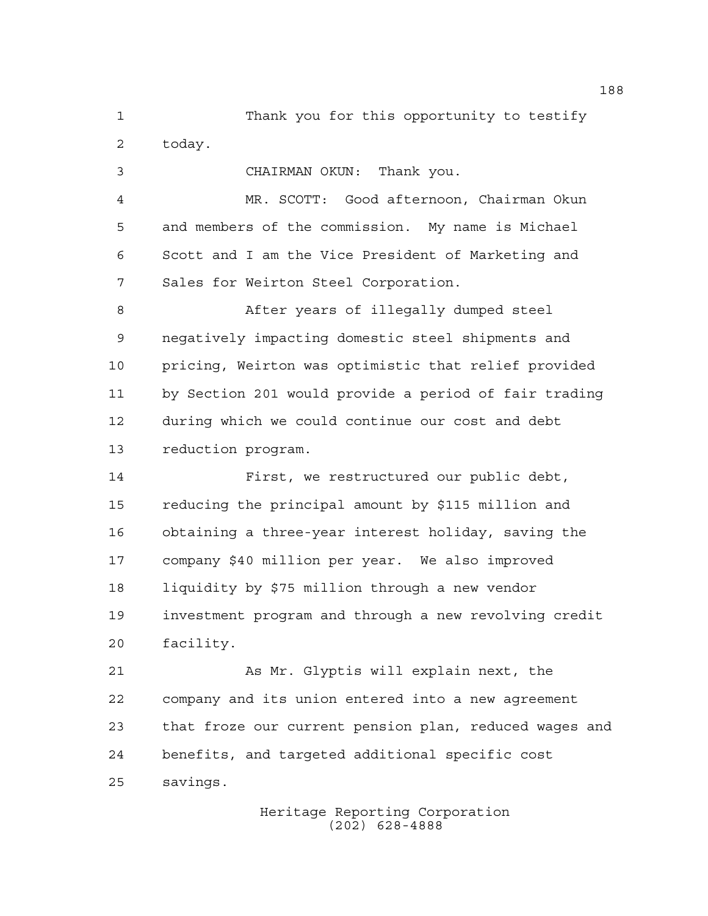Thank you for this opportunity to testify today.

CHAIRMAN OKUN: Thank you.

 MR. SCOTT: Good afternoon, Chairman Okun and members of the commission. My name is Michael Scott and I am the Vice President of Marketing and Sales for Weirton Steel Corporation.

 After years of illegally dumped steel negatively impacting domestic steel shipments and pricing, Weirton was optimistic that relief provided by Section 201 would provide a period of fair trading during which we could continue our cost and debt reduction program.

 First, we restructured our public debt, reducing the principal amount by \$115 million and obtaining a three-year interest holiday, saving the company \$40 million per year. We also improved liquidity by \$75 million through a new vendor investment program and through a new revolving credit facility.

 As Mr. Glyptis will explain next, the company and its union entered into a new agreement that froze our current pension plan, reduced wages and benefits, and targeted additional specific cost savings.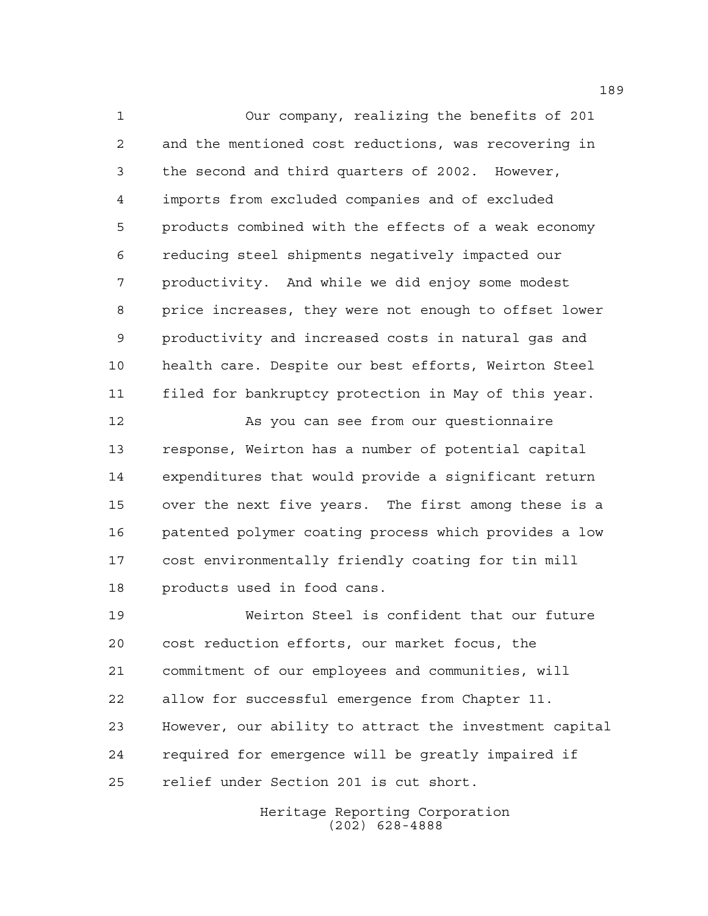Our company, realizing the benefits of 201 and the mentioned cost reductions, was recovering in the second and third quarters of 2002. However, imports from excluded companies and of excluded products combined with the effects of a weak economy reducing steel shipments negatively impacted our productivity. And while we did enjoy some modest price increases, they were not enough to offset lower productivity and increased costs in natural gas and health care. Despite our best efforts, Weirton Steel filed for bankruptcy protection in May of this year.

 As you can see from our questionnaire response, Weirton has a number of potential capital expenditures that would provide a significant return over the next five years. The first among these is a patented polymer coating process which provides a low cost environmentally friendly coating for tin mill products used in food cans.

 Weirton Steel is confident that our future cost reduction efforts, our market focus, the commitment of our employees and communities, will allow for successful emergence from Chapter 11. However, our ability to attract the investment capital required for emergence will be greatly impaired if relief under Section 201 is cut short.

> Heritage Reporting Corporation (202) 628-4888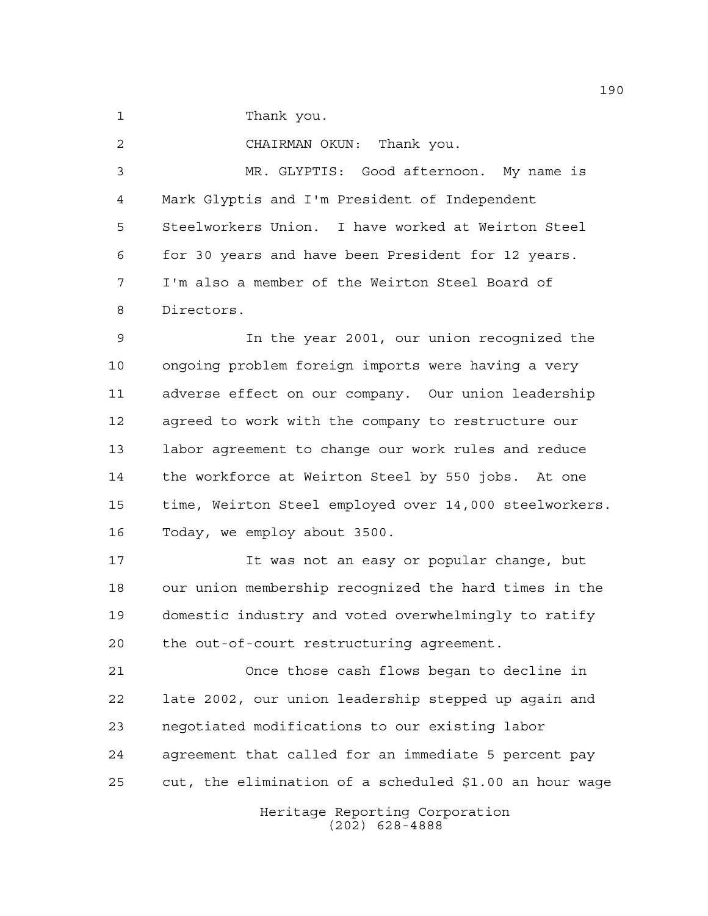1 Thank you.

 CHAIRMAN OKUN: Thank you. MR. GLYPTIS: Good afternoon. My name is Mark Glyptis and I'm President of Independent Steelworkers Union. I have worked at Weirton Steel for 30 years and have been President for 12 years. I'm also a member of the Weirton Steel Board of Directors.

 In the year 2001, our union recognized the ongoing problem foreign imports were having a very adverse effect on our company. Our union leadership agreed to work with the company to restructure our labor agreement to change our work rules and reduce the workforce at Weirton Steel by 550 jobs. At one time, Weirton Steel employed over 14,000 steelworkers. Today, we employ about 3500.

 It was not an easy or popular change, but our union membership recognized the hard times in the domestic industry and voted overwhelmingly to ratify the out-of-court restructuring agreement.

 Once those cash flows began to decline in late 2002, our union leadership stepped up again and negotiated modifications to our existing labor agreement that called for an immediate 5 percent pay cut, the elimination of a scheduled \$1.00 an hour wage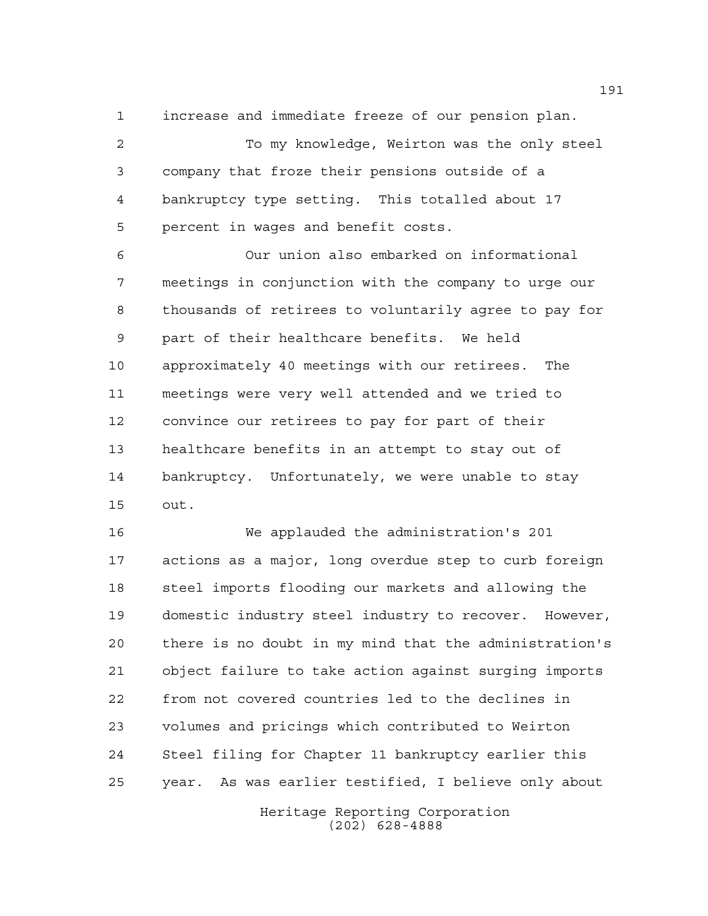increase and immediate freeze of our pension plan.

 To my knowledge, Weirton was the only steel company that froze their pensions outside of a bankruptcy type setting. This totalled about 17 percent in wages and benefit costs.

 Our union also embarked on informational meetings in conjunction with the company to urge our thousands of retirees to voluntarily agree to pay for part of their healthcare benefits. We held approximately 40 meetings with our retirees. The meetings were very well attended and we tried to convince our retirees to pay for part of their healthcare benefits in an attempt to stay out of bankruptcy. Unfortunately, we were unable to stay out.

 We applauded the administration's 201 actions as a major, long overdue step to curb foreign steel imports flooding our markets and allowing the domestic industry steel industry to recover. However, there is no doubt in my mind that the administration's object failure to take action against surging imports from not covered countries led to the declines in volumes and pricings which contributed to Weirton Steel filing for Chapter 11 bankruptcy earlier this year. As was earlier testified, I believe only about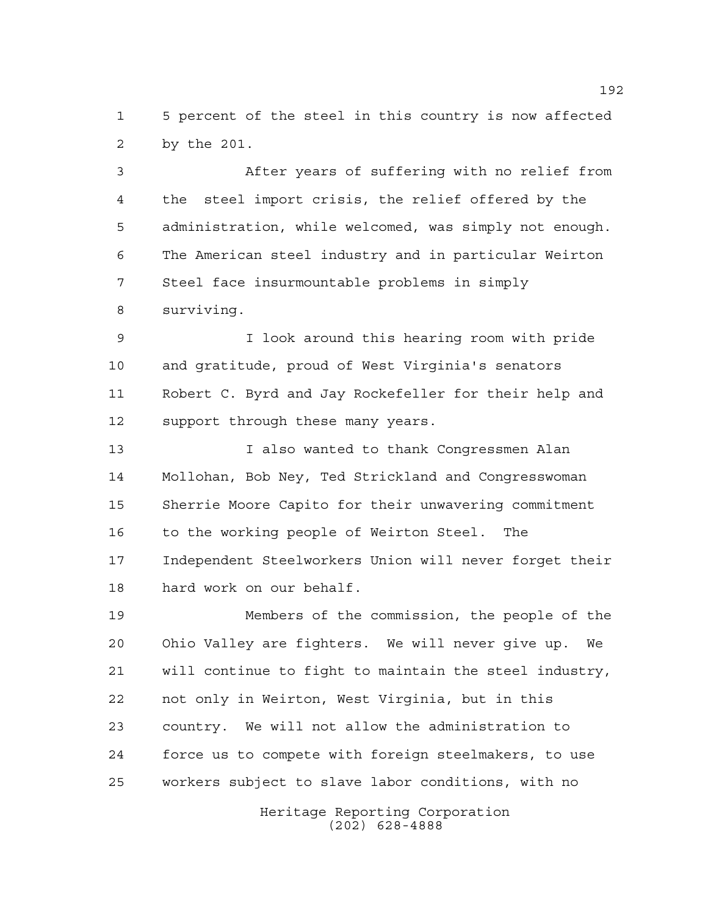5 percent of the steel in this country is now affected by the 201.

 After years of suffering with no relief from the steel import crisis, the relief offered by the administration, while welcomed, was simply not enough. The American steel industry and in particular Weirton Steel face insurmountable problems in simply surviving.

 I look around this hearing room with pride and gratitude, proud of West Virginia's senators Robert C. Byrd and Jay Rockefeller for their help and 12 support through these many years.

 I also wanted to thank Congressmen Alan Mollohan, Bob Ney, Ted Strickland and Congresswoman Sherrie Moore Capito for their unwavering commitment to the working people of Weirton Steel. The Independent Steelworkers Union will never forget their hard work on our behalf.

 Members of the commission, the people of the Ohio Valley are fighters. We will never give up. We will continue to fight to maintain the steel industry, not only in Weirton, West Virginia, but in this country. We will not allow the administration to force us to compete with foreign steelmakers, to use workers subject to slave labor conditions, with no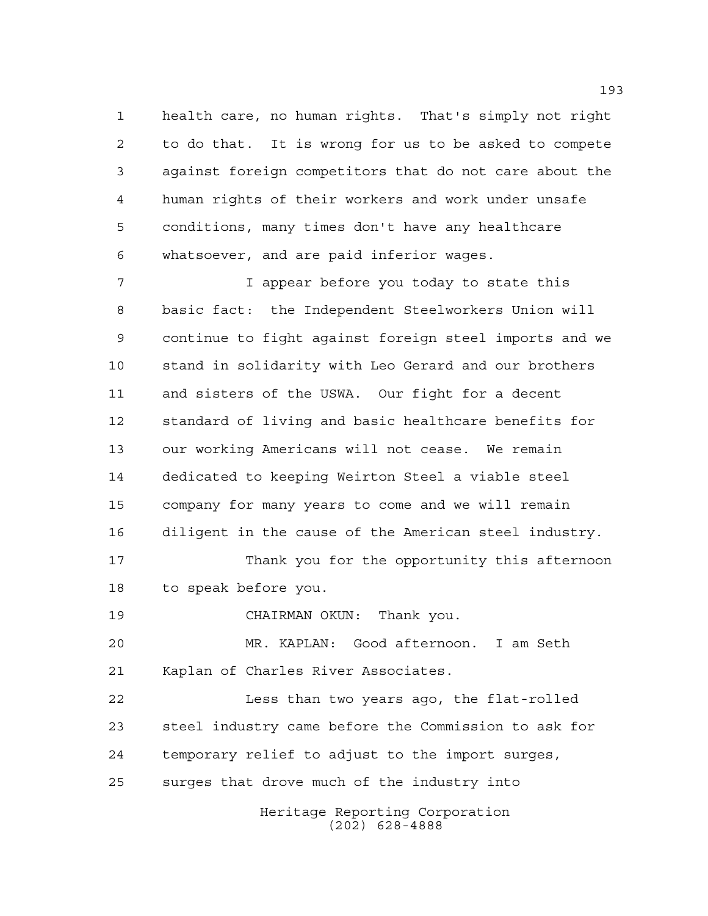health care, no human rights. That's simply not right to do that. It is wrong for us to be asked to compete against foreign competitors that do not care about the human rights of their workers and work under unsafe conditions, many times don't have any healthcare whatsoever, and are paid inferior wages.

 I appear before you today to state this basic fact: the Independent Steelworkers Union will continue to fight against foreign steel imports and we stand in solidarity with Leo Gerard and our brothers and sisters of the USWA. Our fight for a decent standard of living and basic healthcare benefits for our working Americans will not cease. We remain dedicated to keeping Weirton Steel a viable steel company for many years to come and we will remain diligent in the cause of the American steel industry.

 Thank you for the opportunity this afternoon to speak before you.

CHAIRMAN OKUN: Thank you.

 MR. KAPLAN: Good afternoon. I am Seth Kaplan of Charles River Associates.

 Less than two years ago, the flat-rolled steel industry came before the Commission to ask for temporary relief to adjust to the import surges, surges that drove much of the industry into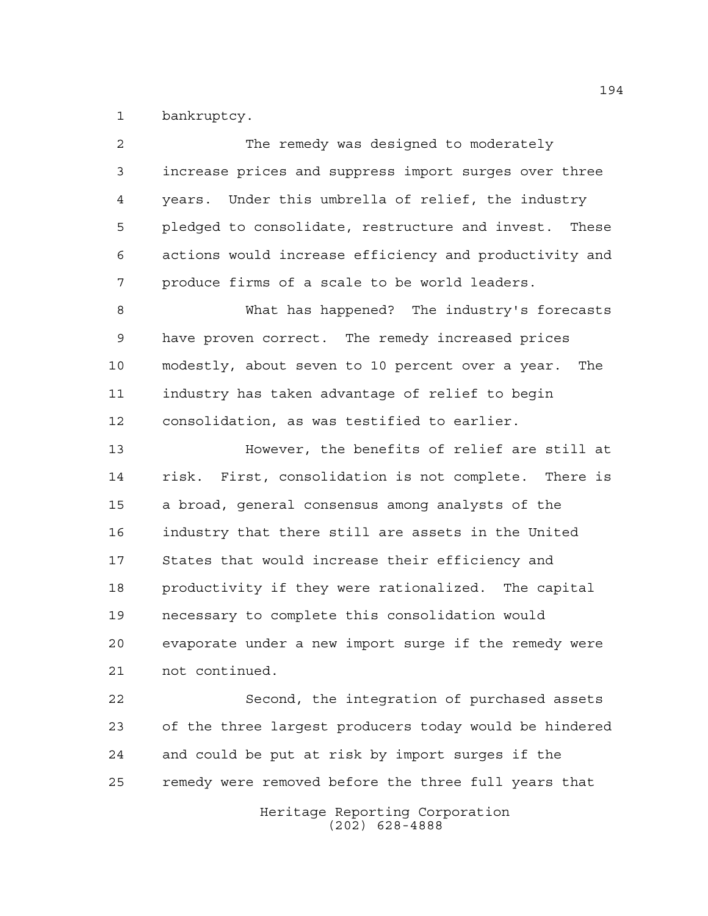bankruptcy.

| 2  | The remedy was designed to moderately                  |
|----|--------------------------------------------------------|
| 3  | increase prices and suppress import surges over three  |
| 4  | years. Under this umbrella of relief, the industry     |
| 5  | pledged to consolidate, restructure and invest. These  |
| 6  | actions would increase efficiency and productivity and |
| 7  | produce firms of a scale to be world leaders.          |
| 8  | What has happened? The industry's forecasts            |
| 9  | have proven correct. The remedy increased prices       |
| 10 | modestly, about seven to 10 percent over a year. The   |
| 11 | industry has taken advantage of relief to begin        |
| 12 | consolidation, as was testified to earlier.            |
| 13 | However, the benefits of relief are still at           |
| 14 | risk. First, consolidation is not complete. There is   |
| 15 | a broad, general consensus among analysts of the       |
| 16 | industry that there still are assets in the United     |
| 17 | States that would increase their efficiency and        |
| 18 | productivity if they were rationalized. The capital    |
| 19 | necessary to complete this consolidation would         |
| 20 | evaporate under a new import surge if the remedy were  |
| 21 | not continued.                                         |
| 22 | Second, the integration of purchased assets            |
| 23 | of the three largest producers today would be hindered |
| 24 | and could be put at risk by import surges if the       |
| 25 | remedy were removed before the three full years that   |
|    | Heritage Reporting Corporation<br>$(202)$ 628-4888     |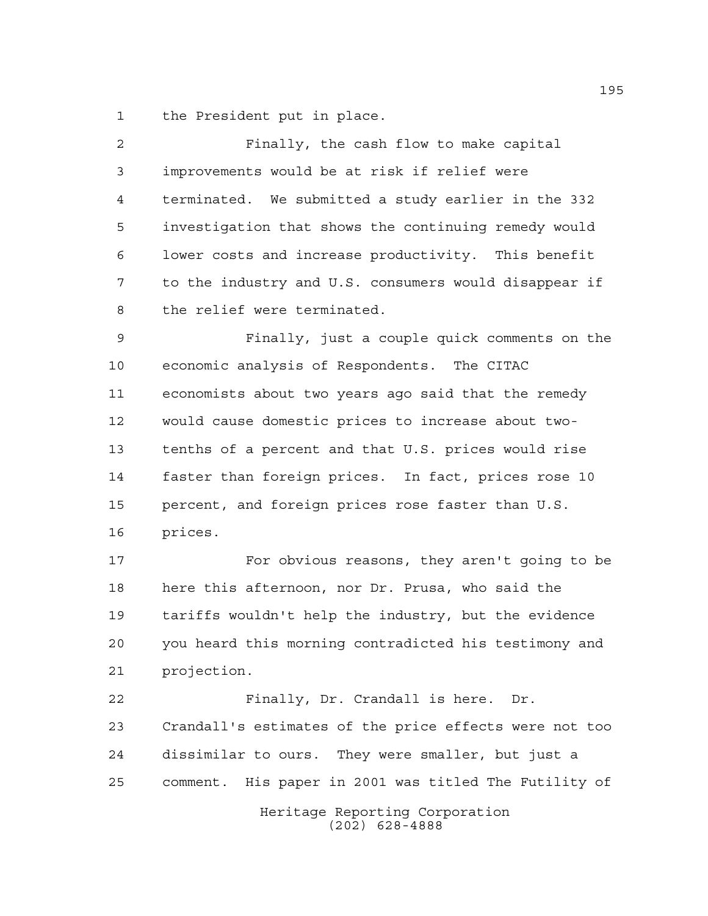the President put in place.

| $\overline{2}$ | Finally, the cash flow to make capital                 |
|----------------|--------------------------------------------------------|
| 3              | improvements would be at risk if relief were           |
| $\overline{4}$ | terminated. We submitted a study earlier in the 332    |
| 5              | investigation that shows the continuing remedy would   |
| 6              | lower costs and increase productivity. This benefit    |
| 7              | to the industry and U.S. consumers would disappear if  |
| 8              | the relief were terminated.                            |
| 9              | Finally, just a couple quick comments on the           |
| 10             | economic analysis of Respondents. The CITAC            |
| 11             | economists about two years ago said that the remedy    |
| 12             | would cause domestic prices to increase about two-     |
| 13             | tenths of a percent and that U.S. prices would rise    |
| 14             | faster than foreign prices. In fact, prices rose 10    |
| 15             | percent, and foreign prices rose faster than U.S.      |
| 16             | prices.                                                |
| 17             | For obvious reasons, they aren't going to be           |
| 18             | here this afternoon, nor Dr. Prusa, who said the       |
| 19             | tariffs wouldn't help the industry, but the evidence   |
| 20             | you heard this morning contradicted his testimony and  |
| 21             | projection.                                            |
| 22             | Finally, Dr. Crandall is here. Dr.                     |
| 23             | Crandall's estimates of the price effects were not too |
| 24             | dissimilar to ours. They were smaller, but just a      |
| 25             | comment. His paper in 2001 was titled The Futility of  |
|                | Heritage Reporting Corporation<br>$(202)$ 628-4888     |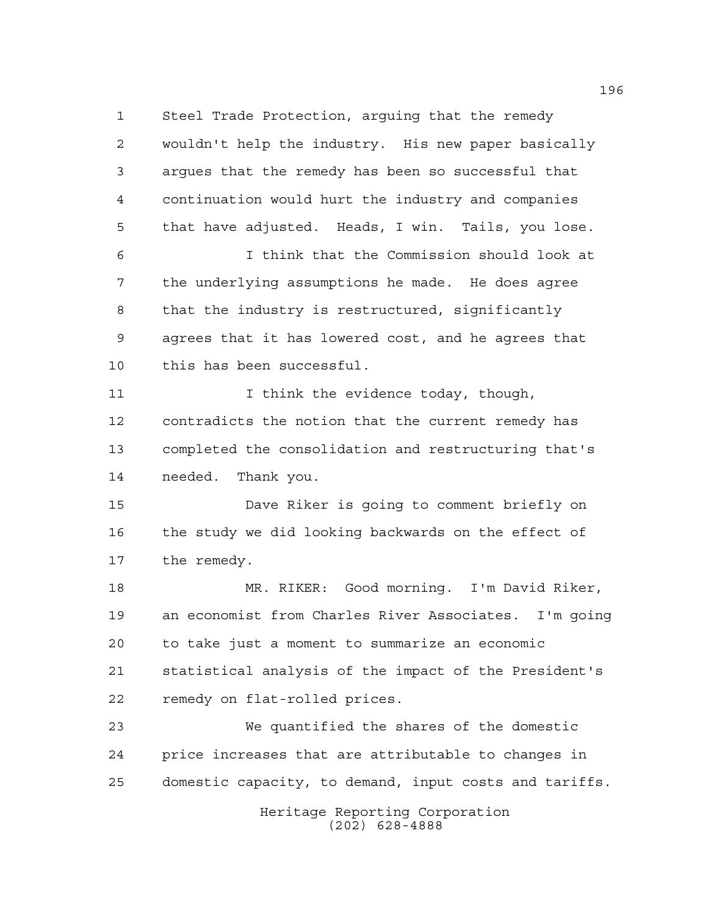Steel Trade Protection, arguing that the remedy wouldn't help the industry. His new paper basically argues that the remedy has been so successful that continuation would hurt the industry and companies that have adjusted. Heads, I win. Tails, you lose. I think that the Commission should look at the underlying assumptions he made. He does agree that the industry is restructured, significantly agrees that it has lowered cost, and he agrees that this has been successful. 11 11 I think the evidence today, though, contradicts the notion that the current remedy has completed the consolidation and restructuring that's needed. Thank you. Dave Riker is going to comment briefly on the study we did looking backwards on the effect of the remedy. MR. RIKER: Good morning. I'm David Riker, an economist from Charles River Associates. I'm going to take just a moment to summarize an economic statistical analysis of the impact of the President's remedy on flat-rolled prices. We quantified the shares of the domestic price increases that are attributable to changes in domestic capacity, to demand, input costs and tariffs.

Heritage Reporting Corporation (202) 628-4888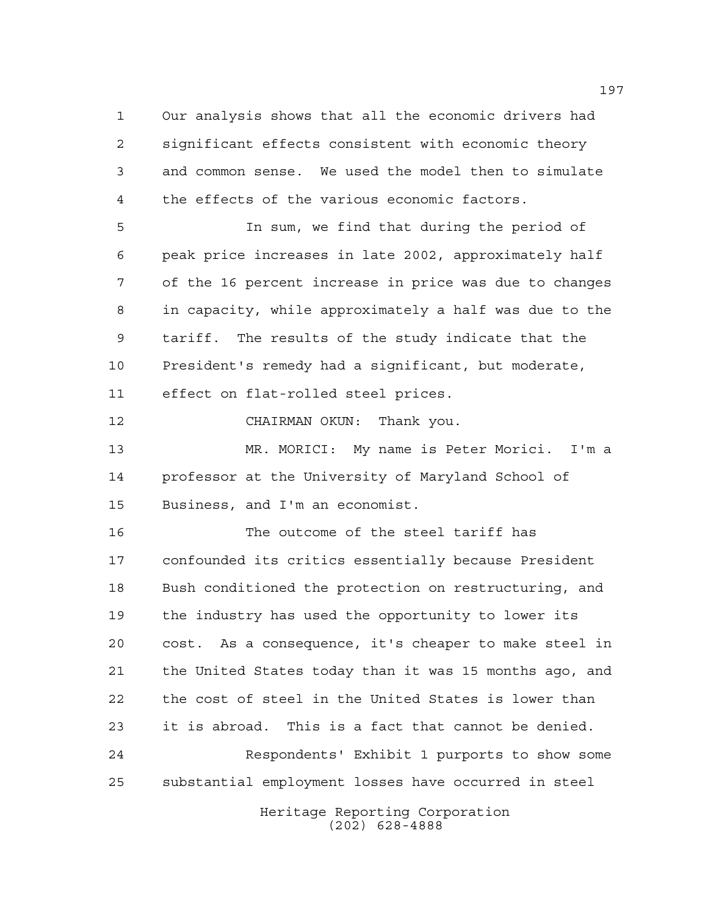Our analysis shows that all the economic drivers had significant effects consistent with economic theory and common sense. We used the model then to simulate the effects of the various economic factors.

 In sum, we find that during the period of peak price increases in late 2002, approximately half of the 16 percent increase in price was due to changes in capacity, while approximately a half was due to the tariff. The results of the study indicate that the President's remedy had a significant, but moderate, effect on flat-rolled steel prices.

CHAIRMAN OKUN: Thank you.

 MR. MORICI: My name is Peter Morici. I'm a professor at the University of Maryland School of Business, and I'm an economist.

 The outcome of the steel tariff has confounded its critics essentially because President Bush conditioned the protection on restructuring, and the industry has used the opportunity to lower its cost. As a consequence, it's cheaper to make steel in the United States today than it was 15 months ago, and the cost of steel in the United States is lower than it is abroad. This is a fact that cannot be denied. Respondents' Exhibit 1 purports to show some substantial employment losses have occurred in steel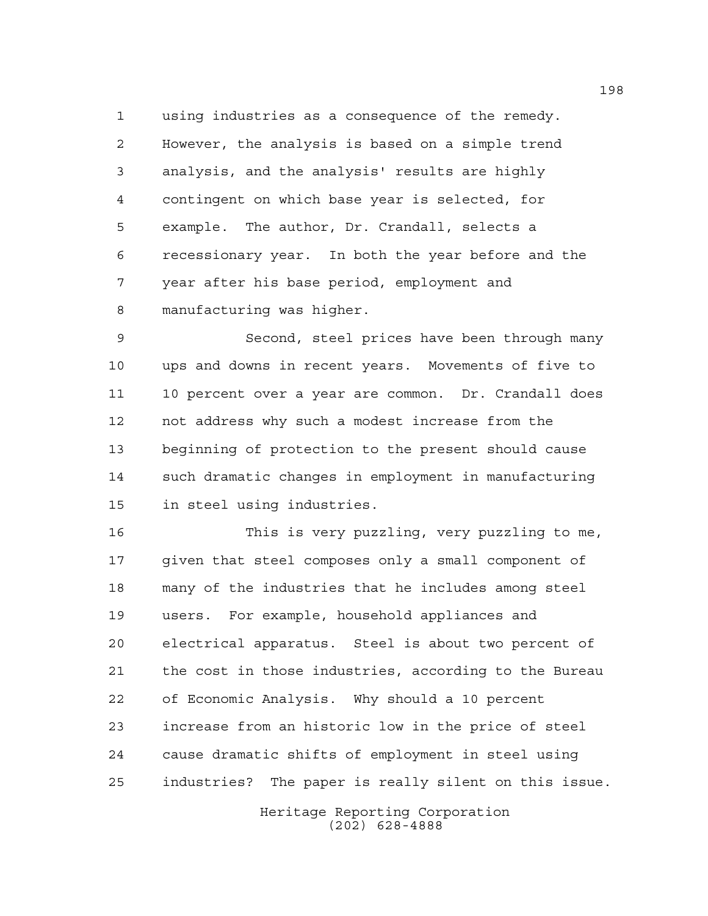using industries as a consequence of the remedy. However, the analysis is based on a simple trend analysis, and the analysis' results are highly contingent on which base year is selected, for example. The author, Dr. Crandall, selects a recessionary year. In both the year before and the year after his base period, employment and manufacturing was higher.

 Second, steel prices have been through many ups and downs in recent years. Movements of five to 10 percent over a year are common. Dr. Crandall does not address why such a modest increase from the beginning of protection to the present should cause such dramatic changes in employment in manufacturing in steel using industries.

 This is very puzzling, very puzzling to me, given that steel composes only a small component of many of the industries that he includes among steel users. For example, household appliances and electrical apparatus. Steel is about two percent of the cost in those industries, according to the Bureau of Economic Analysis. Why should a 10 percent increase from an historic low in the price of steel cause dramatic shifts of employment in steel using industries? The paper is really silent on this issue.

> Heritage Reporting Corporation (202) 628-4888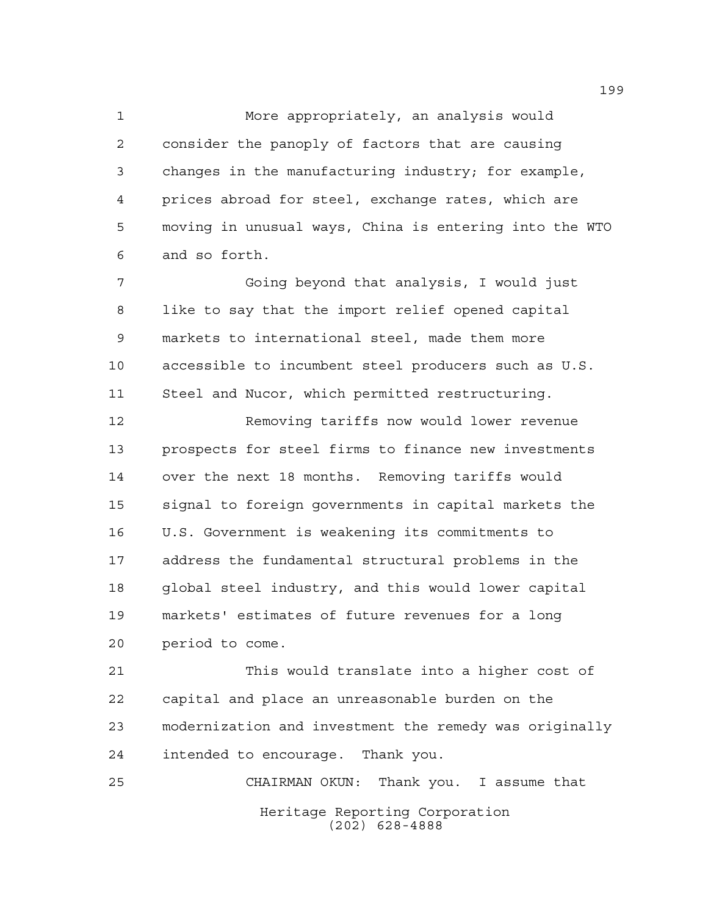More appropriately, an analysis would consider the panoply of factors that are causing changes in the manufacturing industry; for example, prices abroad for steel, exchange rates, which are moving in unusual ways, China is entering into the WTO and so forth.

 Going beyond that analysis, I would just like to say that the import relief opened capital markets to international steel, made them more accessible to incumbent steel producers such as U.S. Steel and Nucor, which permitted restructuring.

 Removing tariffs now would lower revenue prospects for steel firms to finance new investments over the next 18 months. Removing tariffs would signal to foreign governments in capital markets the U.S. Government is weakening its commitments to address the fundamental structural problems in the global steel industry, and this would lower capital markets' estimates of future revenues for a long period to come.

 This would translate into a higher cost of capital and place an unreasonable burden on the modernization and investment the remedy was originally intended to encourage. Thank you.

Heritage Reporting Corporation (202) 628-4888 CHAIRMAN OKUN: Thank you. I assume that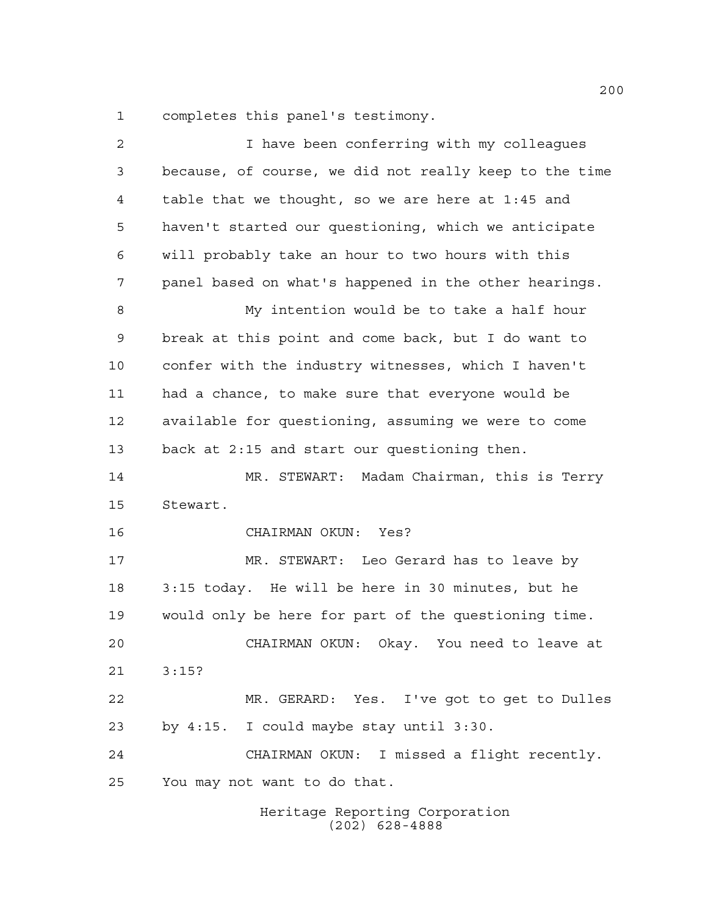completes this panel's testimony.

| $\overline{2}$ | I have been conferring with my colleagues              |
|----------------|--------------------------------------------------------|
| 3              | because, of course, we did not really keep to the time |
| 4              | table that we thought, so we are here at 1:45 and      |
| 5              | haven't started our questioning, which we anticipate   |
| 6              | will probably take an hour to two hours with this      |
| 7              | panel based on what's happened in the other hearings.  |
| 8              | My intention would be to take a half hour              |
| 9              | break at this point and come back, but I do want to    |
| 10             | confer with the industry witnesses, which I haven't    |
| 11             | had a chance, to make sure that everyone would be      |
| 12             | available for questioning, assuming we were to come    |
| 13             | back at 2:15 and start our questioning then.           |
| 14             | MR. STEWART: Madam Chairman, this is Terry             |
| 15             | Stewart.                                               |
| 16             | CHAIRMAN OKUN: Yes?                                    |
| 17             | MR. STEWART: Leo Gerard has to leave by                |
| 18             | 3:15 today. He will be here in 30 minutes, but he      |
| 19             | would only be here for part of the questioning time.   |
| 20             | CHAIRMAN OKUN:<br>Okay.<br>You need to leave at        |
| 21             | 3:15?                                                  |
| 22             | MR. GERARD: Yes. I've got to get to Dulles             |
| 23             | by $4:15$ . I could maybe stay until $3:30$ .          |
| 24             | I missed a flight recently.<br>CHAIRMAN OKUN:          |
| 25             | You may not want to do that.                           |
|                | Heritage Reporting Corporation<br>$(202)$ 628-4888     |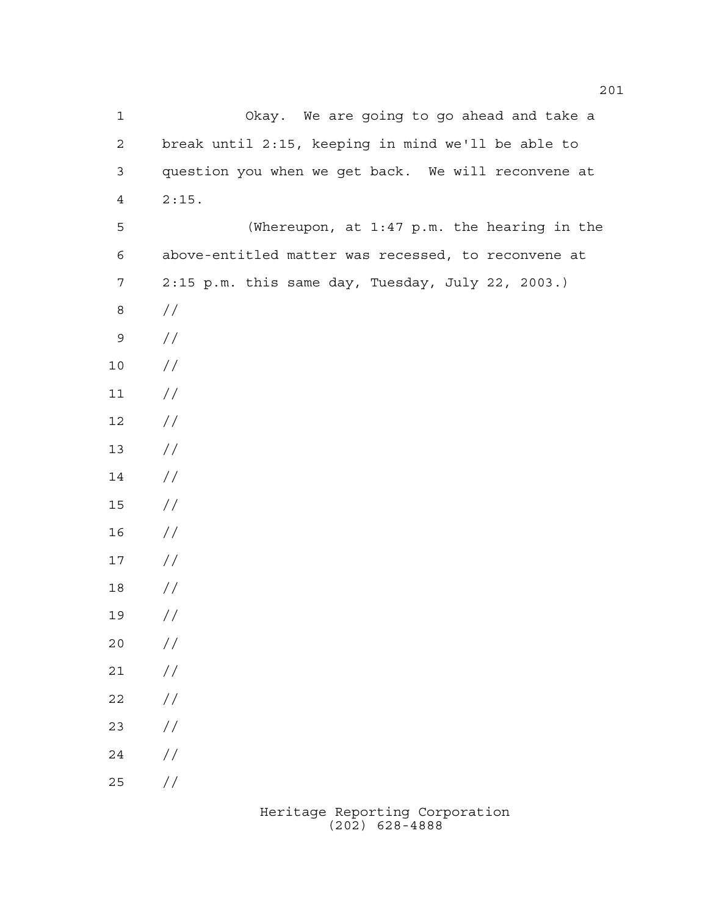Okay. We are going to go ahead and take a break until 2:15, keeping in mind we'll be able to question you when we get back. We will reconvene at 2:15. (Whereupon, at 1:47 p.m. the hearing in the above-entitled matter was recessed, to reconvene at 2:15 p.m. this same day, Tuesday, July 22, 2003.) // //  $10 /$  $11 /$  $12 /$  // // // // // // //  $20 /$  $21 /$  $22 / /$  //  $24 /$ //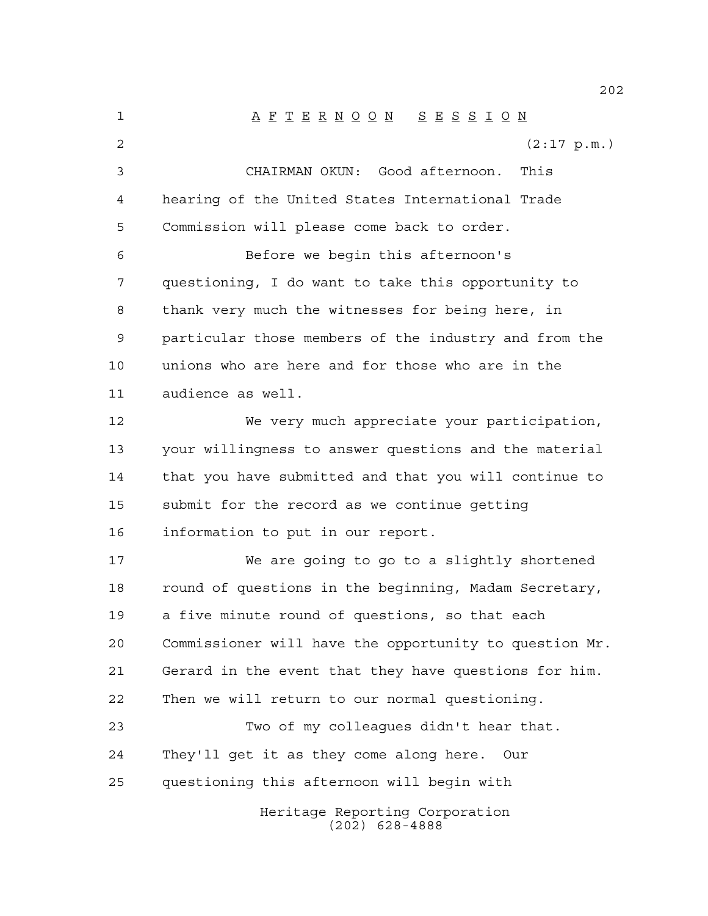Heritage Reporting Corporation (202) 628-4888 A F T E R N O O N S E S S I O N  $(2:17 \text{ p.m.})$  CHAIRMAN OKUN: Good afternoon. This hearing of the United States International Trade Commission will please come back to order. Before we begin this afternoon's questioning, I do want to take this opportunity to thank very much the witnesses for being here, in particular those members of the industry and from the unions who are here and for those who are in the audience as well. We very much appreciate your participation, your willingness to answer questions and the material that you have submitted and that you will continue to submit for the record as we continue getting information to put in our report. We are going to go to a slightly shortened 18 round of questions in the beginning, Madam Secretary, a five minute round of questions, so that each Commissioner will have the opportunity to question Mr. Gerard in the event that they have questions for him. Then we will return to our normal questioning. Two of my colleagues didn't hear that. They'll get it as they come along here. Our questioning this afternoon will begin with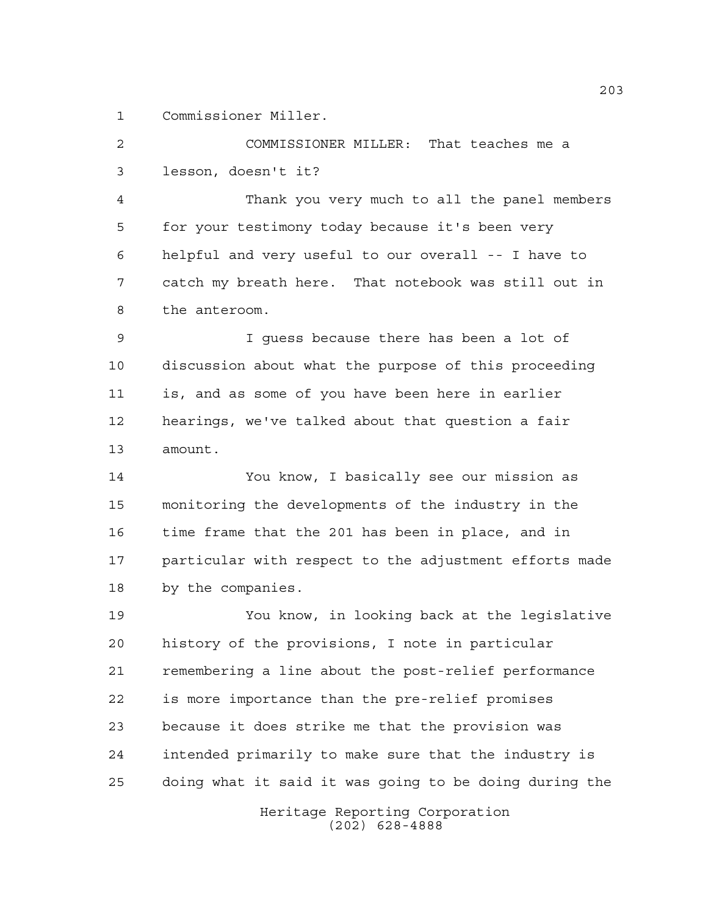Commissioner Miller.

 COMMISSIONER MILLER: That teaches me a lesson, doesn't it?

 Thank you very much to all the panel members for your testimony today because it's been very helpful and very useful to our overall -- I have to catch my breath here. That notebook was still out in the anteroom.

 I guess because there has been a lot of discussion about what the purpose of this proceeding is, and as some of you have been here in earlier hearings, we've talked about that question a fair amount.

 You know, I basically see our mission as monitoring the developments of the industry in the time frame that the 201 has been in place, and in particular with respect to the adjustment efforts made by the companies.

 You know, in looking back at the legislative history of the provisions, I note in particular remembering a line about the post-relief performance is more importance than the pre-relief promises because it does strike me that the provision was intended primarily to make sure that the industry is doing what it said it was going to be doing during the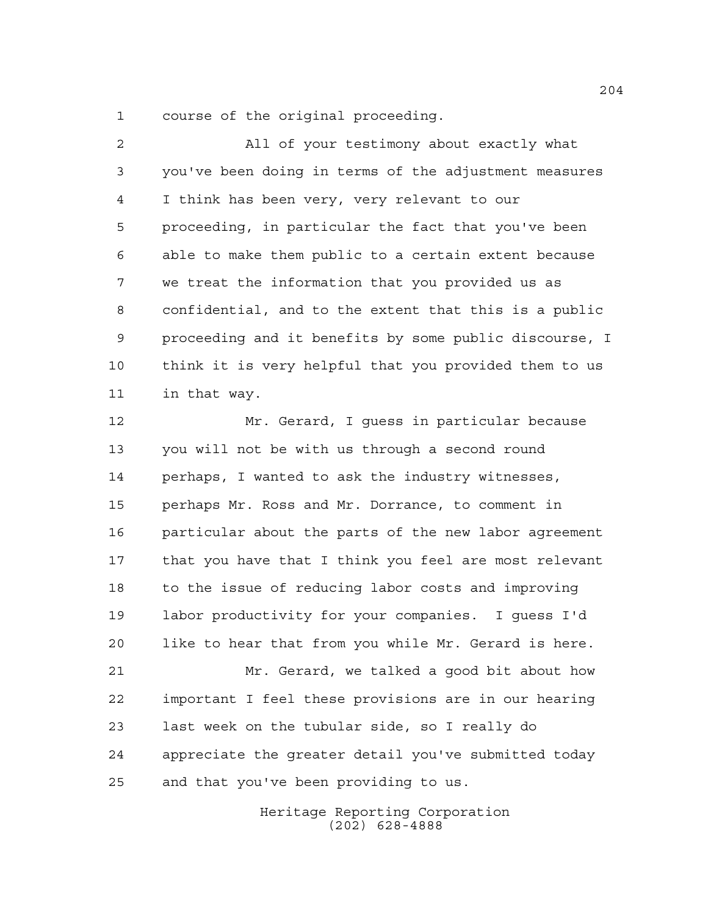course of the original proceeding.

 All of your testimony about exactly what you've been doing in terms of the adjustment measures I think has been very, very relevant to our proceeding, in particular the fact that you've been able to make them public to a certain extent because we treat the information that you provided us as confidential, and to the extent that this is a public proceeding and it benefits by some public discourse, I think it is very helpful that you provided them to us in that way.

 Mr. Gerard, I guess in particular because you will not be with us through a second round perhaps, I wanted to ask the industry witnesses, perhaps Mr. Ross and Mr. Dorrance, to comment in particular about the parts of the new labor agreement that you have that I think you feel are most relevant to the issue of reducing labor costs and improving labor productivity for your companies. I guess I'd like to hear that from you while Mr. Gerard is here. Mr. Gerard, we talked a good bit about how important I feel these provisions are in our hearing last week on the tubular side, so I really do

 appreciate the greater detail you've submitted today and that you've been providing to us.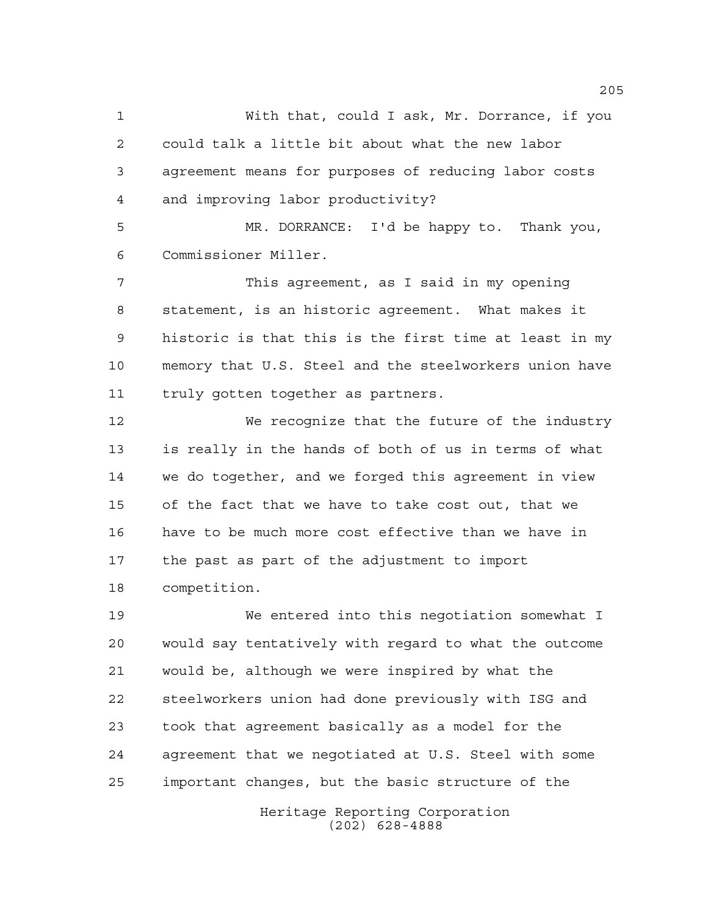With that, could I ask, Mr. Dorrance, if you could talk a little bit about what the new labor agreement means for purposes of reducing labor costs and improving labor productivity?

 MR. DORRANCE: I'd be happy to. Thank you, Commissioner Miller.

 This agreement, as I said in my opening statement, is an historic agreement. What makes it historic is that this is the first time at least in my memory that U.S. Steel and the steelworkers union have truly gotten together as partners.

 We recognize that the future of the industry is really in the hands of both of us in terms of what we do together, and we forged this agreement in view of the fact that we have to take cost out, that we have to be much more cost effective than we have in the past as part of the adjustment to import competition.

 We entered into this negotiation somewhat I would say tentatively with regard to what the outcome would be, although we were inspired by what the steelworkers union had done previously with ISG and took that agreement basically as a model for the agreement that we negotiated at U.S. Steel with some important changes, but the basic structure of the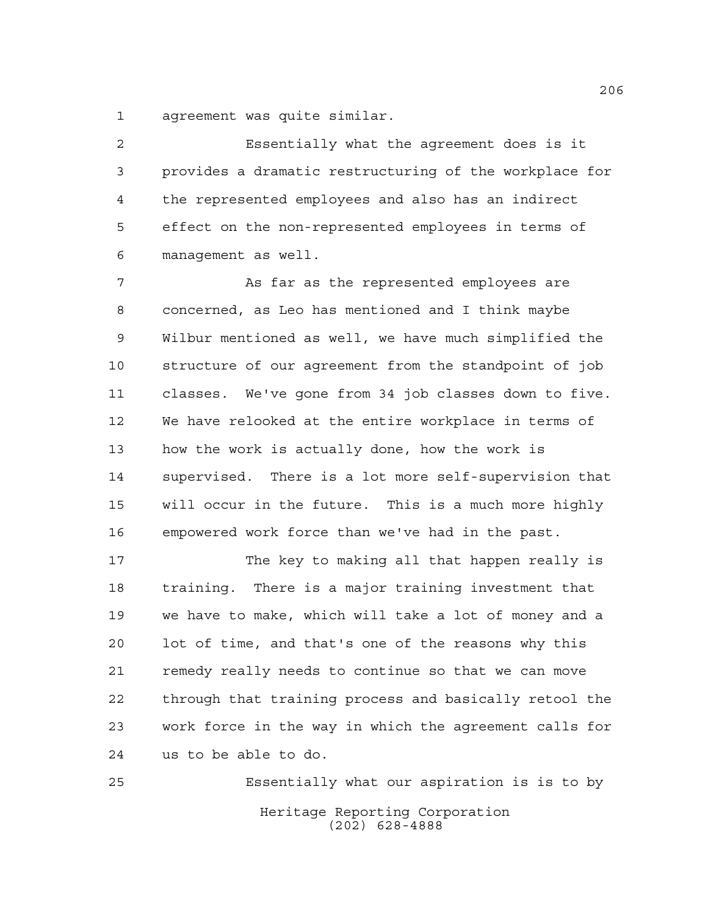agreement was quite similar.

 Essentially what the agreement does is it provides a dramatic restructuring of the workplace for the represented employees and also has an indirect effect on the non-represented employees in terms of management as well.

 As far as the represented employees are concerned, as Leo has mentioned and I think maybe Wilbur mentioned as well, we have much simplified the structure of our agreement from the standpoint of job classes. We've gone from 34 job classes down to five. We have relooked at the entire workplace in terms of how the work is actually done, how the work is supervised. There is a lot more self-supervision that will occur in the future. This is a much more highly empowered work force than we've had in the past.

 The key to making all that happen really is training. There is a major training investment that we have to make, which will take a lot of money and a lot of time, and that's one of the reasons why this remedy really needs to continue so that we can move through that training process and basically retool the work force in the way in which the agreement calls for us to be able to do.

Heritage Reporting Corporation (202) 628-4888 Essentially what our aspiration is is to by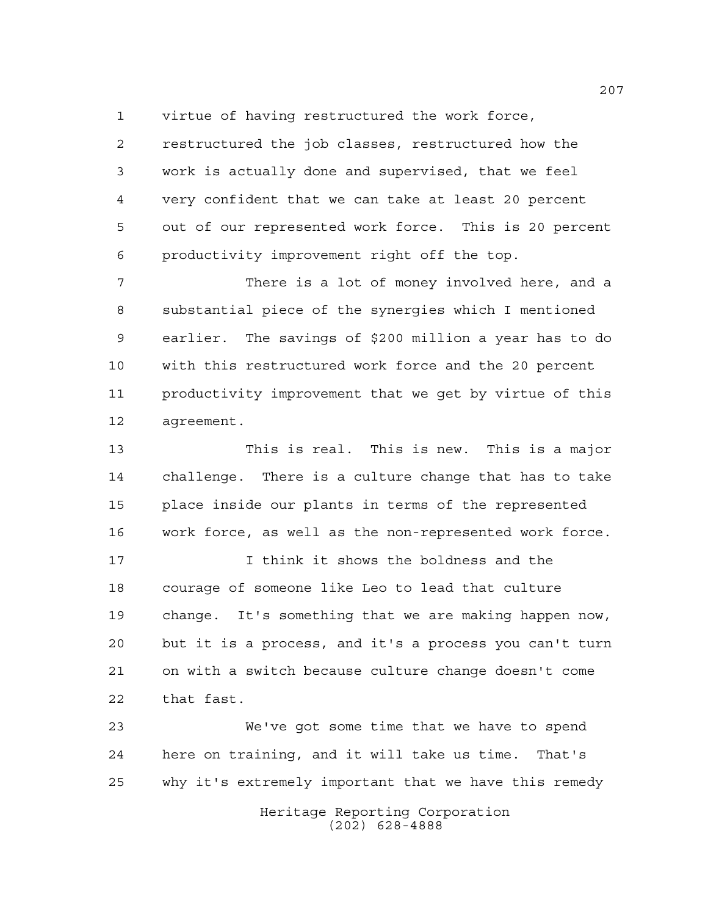virtue of having restructured the work force,

 restructured the job classes, restructured how the work is actually done and supervised, that we feel very confident that we can take at least 20 percent out of our represented work force. This is 20 percent productivity improvement right off the top.

 There is a lot of money involved here, and a substantial piece of the synergies which I mentioned earlier. The savings of \$200 million a year has to do with this restructured work force and the 20 percent productivity improvement that we get by virtue of this agreement.

 This is real. This is new. This is a major challenge. There is a culture change that has to take place inside our plants in terms of the represented work force, as well as the non-represented work force.

 I think it shows the boldness and the courage of someone like Leo to lead that culture change. It's something that we are making happen now, but it is a process, and it's a process you can't turn on with a switch because culture change doesn't come that fast.

 We've got some time that we have to spend here on training, and it will take us time. That's why it's extremely important that we have this remedy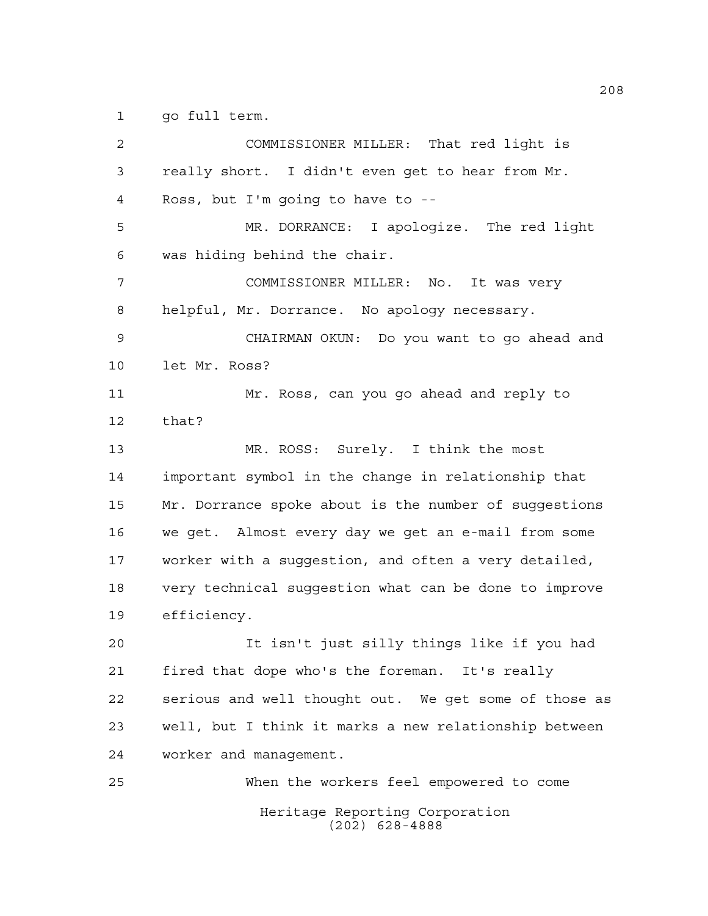go full term.

Heritage Reporting Corporation (202) 628-4888 COMMISSIONER MILLER: That red light is really short. I didn't even get to hear from Mr. Ross, but I'm going to have to -- MR. DORRANCE: I apologize. The red light was hiding behind the chair. COMMISSIONER MILLER: No. It was very helpful, Mr. Dorrance. No apology necessary. CHAIRMAN OKUN: Do you want to go ahead and let Mr. Ross? Mr. Ross, can you go ahead and reply to that? MR. ROSS: Surely. I think the most important symbol in the change in relationship that Mr. Dorrance spoke about is the number of suggestions we get. Almost every day we get an e-mail from some worker with a suggestion, and often a very detailed, very technical suggestion what can be done to improve efficiency. It isn't just silly things like if you had fired that dope who's the foreman. It's really serious and well thought out. We get some of those as well, but I think it marks a new relationship between worker and management. When the workers feel empowered to come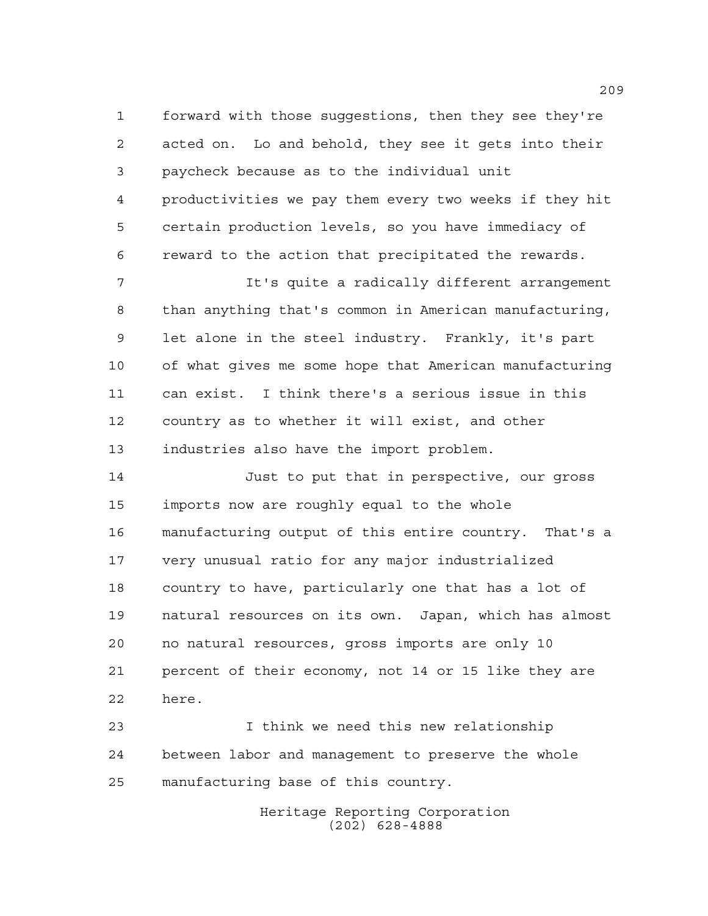forward with those suggestions, then they see they're acted on. Lo and behold, they see it gets into their paycheck because as to the individual unit productivities we pay them every two weeks if they hit certain production levels, so you have immediacy of reward to the action that precipitated the rewards.

 It's quite a radically different arrangement than anything that's common in American manufacturing, let alone in the steel industry. Frankly, it's part of what gives me some hope that American manufacturing can exist. I think there's a serious issue in this country as to whether it will exist, and other industries also have the import problem.

 Just to put that in perspective, our gross imports now are roughly equal to the whole manufacturing output of this entire country. That's a very unusual ratio for any major industrialized country to have, particularly one that has a lot of natural resources on its own. Japan, which has almost no natural resources, gross imports are only 10 percent of their economy, not 14 or 15 like they are here.

 I think we need this new relationship between labor and management to preserve the whole manufacturing base of this country.

> Heritage Reporting Corporation (202) 628-4888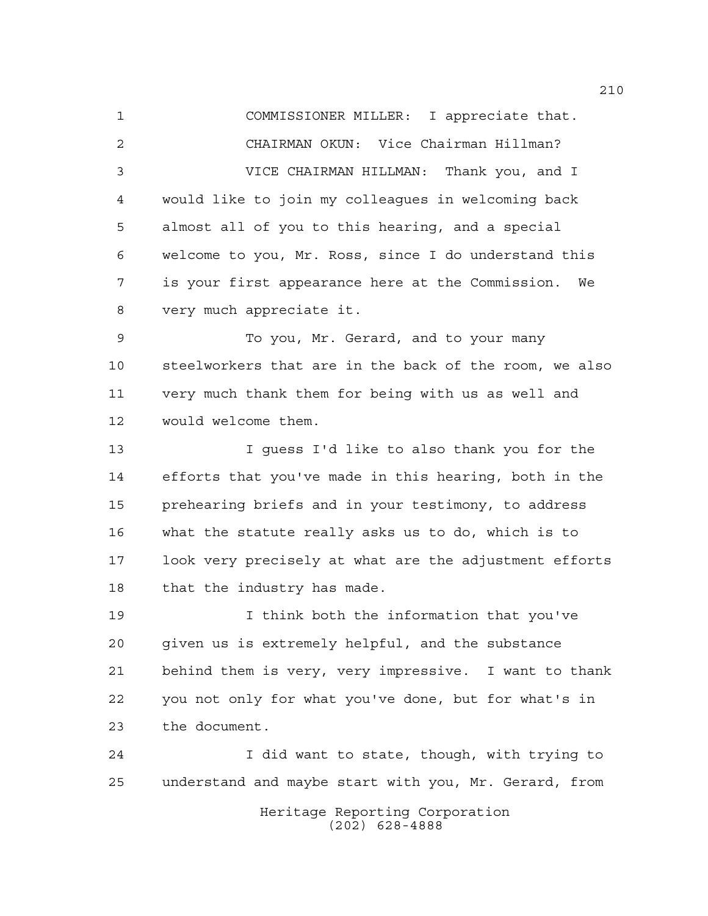COMMISSIONER MILLER: I appreciate that. CHAIRMAN OKUN: Vice Chairman Hillman? VICE CHAIRMAN HILLMAN: Thank you, and I would like to join my colleagues in welcoming back almost all of you to this hearing, and a special welcome to you, Mr. Ross, since I do understand this is your first appearance here at the Commission. We very much appreciate it. To you, Mr. Gerard, and to your many steelworkers that are in the back of the room, we also very much thank them for being with us as well and would welcome them. I guess I'd like to also thank you for the efforts that you've made in this hearing, both in the prehearing briefs and in your testimony, to address what the statute really asks us to do, which is to look very precisely at what are the adjustment efforts that the industry has made. I think both the information that you've given us is extremely helpful, and the substance behind them is very, very impressive. I want to thank you not only for what you've done, but for what's in the document. I did want to state, though, with trying to

> Heritage Reporting Corporation (202) 628-4888

understand and maybe start with you, Mr. Gerard, from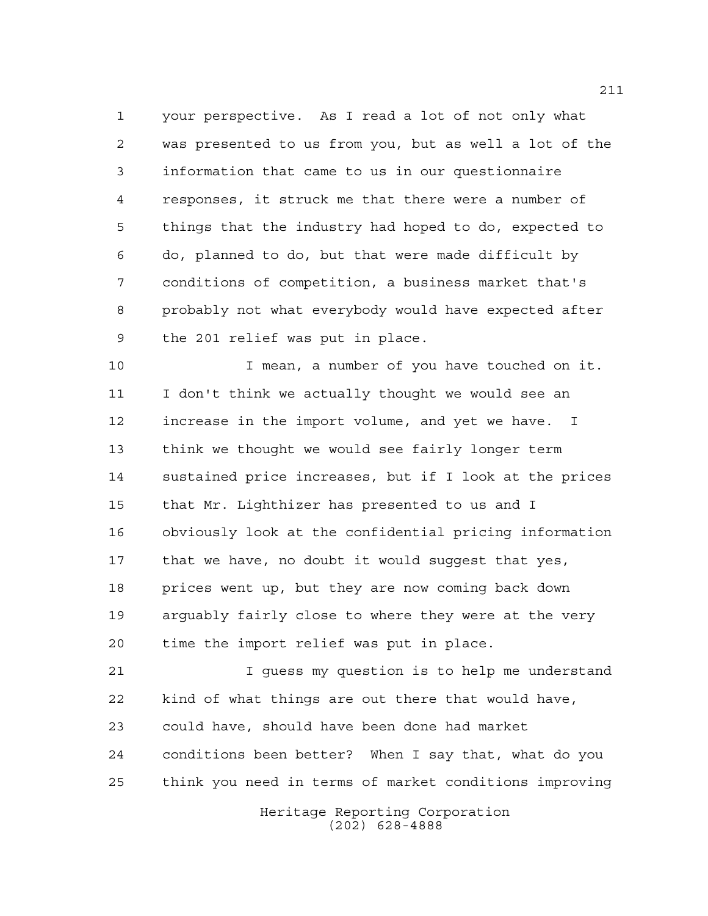your perspective. As I read a lot of not only what was presented to us from you, but as well a lot of the information that came to us in our questionnaire responses, it struck me that there were a number of things that the industry had hoped to do, expected to do, planned to do, but that were made difficult by conditions of competition, a business market that's probably not what everybody would have expected after the 201 relief was put in place.

 I mean, a number of you have touched on it. I don't think we actually thought we would see an increase in the import volume, and yet we have. I think we thought we would see fairly longer term sustained price increases, but if I look at the prices that Mr. Lighthizer has presented to us and I obviously look at the confidential pricing information that we have, no doubt it would suggest that yes, prices went up, but they are now coming back down arguably fairly close to where they were at the very time the import relief was put in place.

 I guess my question is to help me understand kind of what things are out there that would have, could have, should have been done had market conditions been better? When I say that, what do you think you need in terms of market conditions improving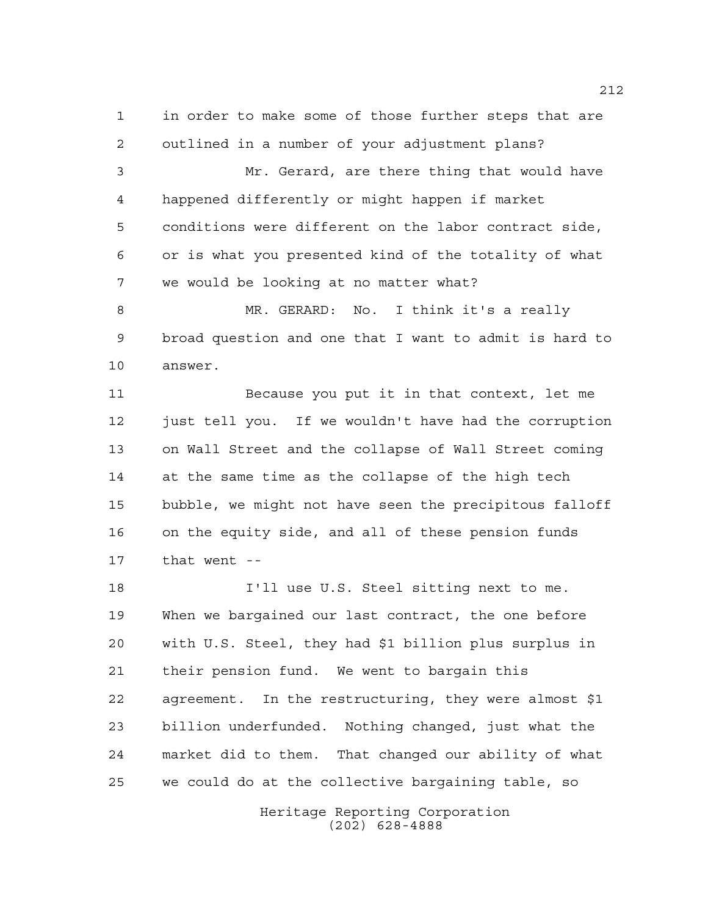in order to make some of those further steps that are outlined in a number of your adjustment plans?

 Mr. Gerard, are there thing that would have happened differently or might happen if market conditions were different on the labor contract side, or is what you presented kind of the totality of what we would be looking at no matter what?

 MR. GERARD: No. I think it's a really broad question and one that I want to admit is hard to answer.

 Because you put it in that context, let me just tell you. If we wouldn't have had the corruption on Wall Street and the collapse of Wall Street coming at the same time as the collapse of the high tech bubble, we might not have seen the precipitous falloff on the equity side, and all of these pension funds that went --

 I'll use U.S. Steel sitting next to me. When we bargained our last contract, the one before with U.S. Steel, they had \$1 billion plus surplus in their pension fund. We went to bargain this agreement. In the restructuring, they were almost \$1 billion underfunded. Nothing changed, just what the market did to them. That changed our ability of what we could do at the collective bargaining table, so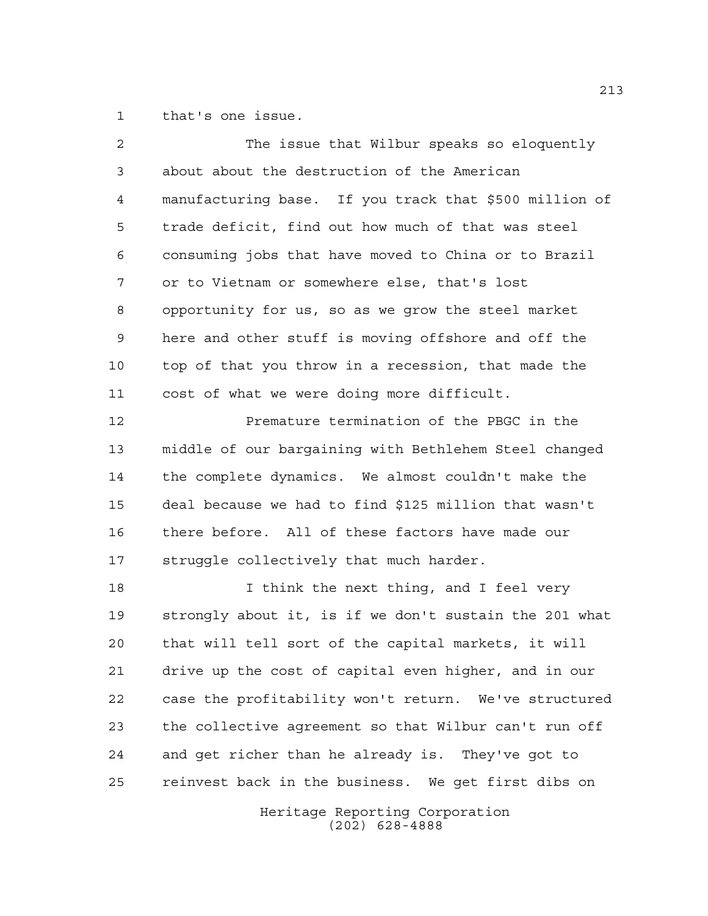that's one issue.

| 2  | The issue that Wilbur speaks so eloquently             |
|----|--------------------------------------------------------|
| 3  | about about the destruction of the American            |
| 4  | manufacturing base. If you track that \$500 million of |
| 5  | trade deficit, find out how much of that was steel     |
| 6  | consuming jobs that have moved to China or to Brazil   |
| 7  | or to Vietnam or somewhere else, that's lost           |
| 8  | opportunity for us, so as we grow the steel market     |
| 9  | here and other stuff is moving offshore and off the    |
| 10 | top of that you throw in a recession, that made the    |
| 11 | cost of what we were doing more difficult.             |
| 12 | Premature termination of the PBGC in the               |
| 13 | middle of our bargaining with Bethlehem Steel changed  |
| 14 | the complete dynamics. We almost couldn't make the     |
| 15 | deal because we had to find \$125 million that wasn't  |
| 16 | there before. All of these factors have made our       |
| 17 | struggle collectively that much harder.                |
| 18 | I think the next thing, and I feel very                |
| 19 | strongly about it, is if we don't sustain the 201 what |
| 20 | that will tell sort of the capital markets, it will    |
| 21 | drive up the cost of capital even higher, and in our   |
| 22 | case the profitability won't return. We've structured  |
| 23 | the collective agreement so that Wilbur can't run off  |
| 24 | and get richer than he already is.<br>They've got to   |

Heritage Reporting Corporation (202) 628-4888

reinvest back in the business. We get first dibs on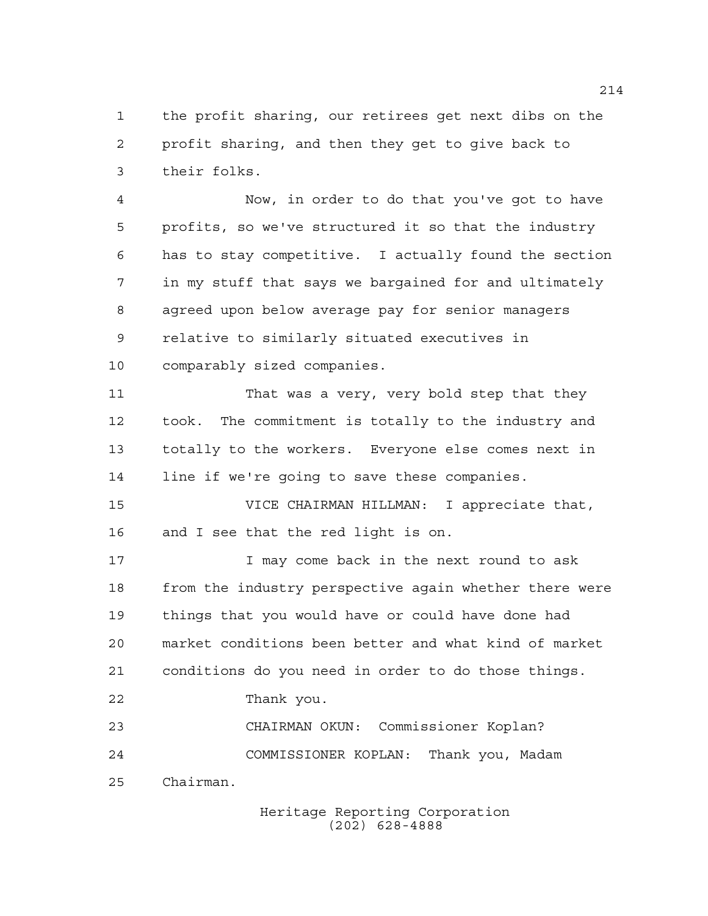the profit sharing, our retirees get next dibs on the profit sharing, and then they get to give back to their folks.

 Now, in order to do that you've got to have profits, so we've structured it so that the industry has to stay competitive. I actually found the section in my stuff that says we bargained for and ultimately agreed upon below average pay for senior managers relative to similarly situated executives in comparably sized companies.

 That was a very, very bold step that they took. The commitment is totally to the industry and totally to the workers. Everyone else comes next in line if we're going to save these companies.

 VICE CHAIRMAN HILLMAN: I appreciate that, and I see that the red light is on.

**I** may come back in the next round to ask from the industry perspective again whether there were things that you would have or could have done had market conditions been better and what kind of market conditions do you need in order to do those things. Thank you. CHAIRMAN OKUN: Commissioner Koplan? COMMISSIONER KOPLAN: Thank you, Madam

Chairman.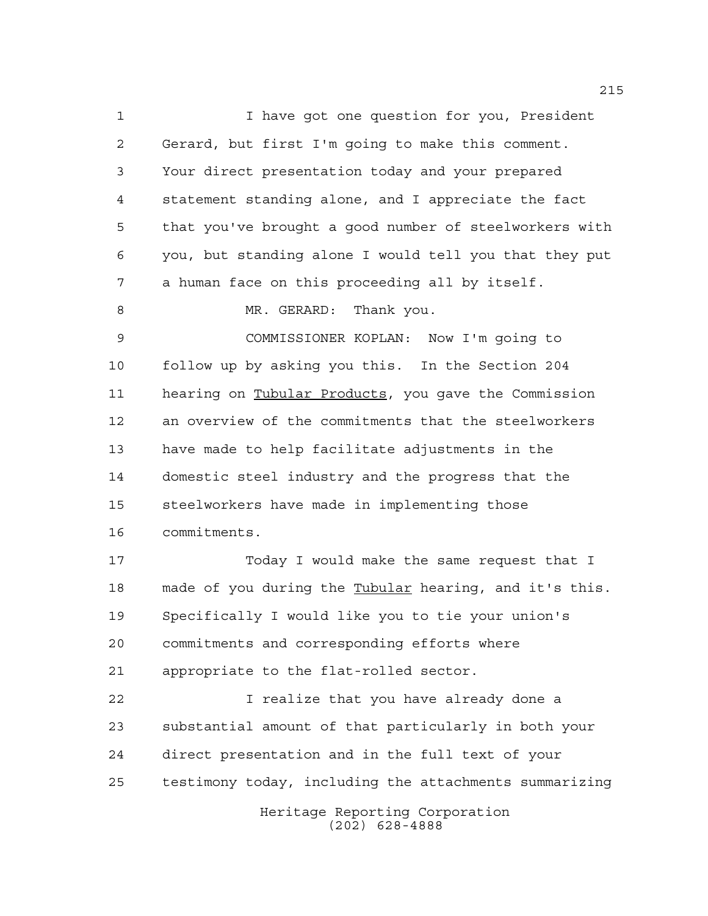1 1 I have got one question for you, President Gerard, but first I'm going to make this comment. Your direct presentation today and your prepared statement standing alone, and I appreciate the fact that you've brought a good number of steelworkers with you, but standing alone I would tell you that they put a human face on this proceeding all by itself. 8 MR. GERARD: Thank you. COMMISSIONER KOPLAN: Now I'm going to follow up by asking you this. In the Section 204 11 hearing on Tubular Products, you gave the Commission an overview of the commitments that the steelworkers have made to help facilitate adjustments in the domestic steel industry and the progress that the steelworkers have made in implementing those commitments. 17 Today I would make the same request that I made of you during the Tubular hearing, and it's this. Specifically I would like you to tie your union's commitments and corresponding efforts where appropriate to the flat-rolled sector. I realize that you have already done a substantial amount of that particularly in both your direct presentation and in the full text of your testimony today, including the attachments summarizing

> Heritage Reporting Corporation (202) 628-4888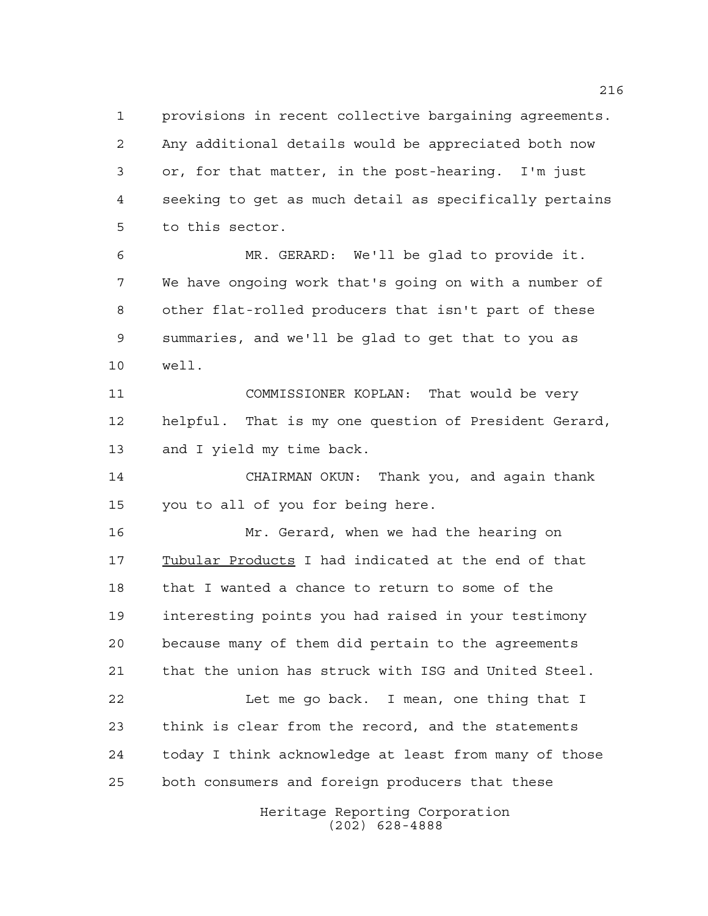provisions in recent collective bargaining agreements. Any additional details would be appreciated both now or, for that matter, in the post-hearing. I'm just seeking to get as much detail as specifically pertains to this sector.

 MR. GERARD: We'll be glad to provide it. We have ongoing work that's going on with a number of other flat-rolled producers that isn't part of these summaries, and we'll be glad to get that to you as well.

 COMMISSIONER KOPLAN: That would be very helpful. That is my one question of President Gerard, and I yield my time back.

 CHAIRMAN OKUN: Thank you, and again thank you to all of you for being here.

 Mr. Gerard, when we had the hearing on Tubular Products I had indicated at the end of that that I wanted a chance to return to some of the interesting points you had raised in your testimony because many of them did pertain to the agreements that the union has struck with ISG and United Steel.

 Let me go back. I mean, one thing that I think is clear from the record, and the statements today I think acknowledge at least from many of those both consumers and foreign producers that these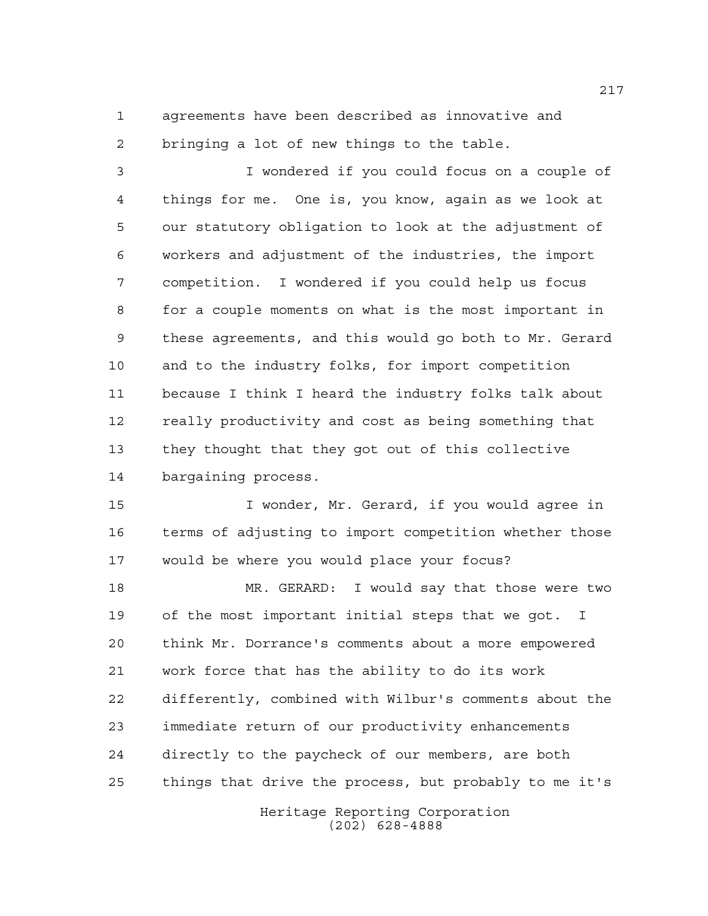agreements have been described as innovative and bringing a lot of new things to the table.

 I wondered if you could focus on a couple of things for me. One is, you know, again as we look at our statutory obligation to look at the adjustment of workers and adjustment of the industries, the import competition. I wondered if you could help us focus for a couple moments on what is the most important in these agreements, and this would go both to Mr. Gerard and to the industry folks, for import competition because I think I heard the industry folks talk about really productivity and cost as being something that they thought that they got out of this collective bargaining process.

 I wonder, Mr. Gerard, if you would agree in terms of adjusting to import competition whether those would be where you would place your focus?

 MR. GERARD: I would say that those were two of the most important initial steps that we got. I think Mr. Dorrance's comments about a more empowered work force that has the ability to do its work differently, combined with Wilbur's comments about the immediate return of our productivity enhancements directly to the paycheck of our members, are both things that drive the process, but probably to me it's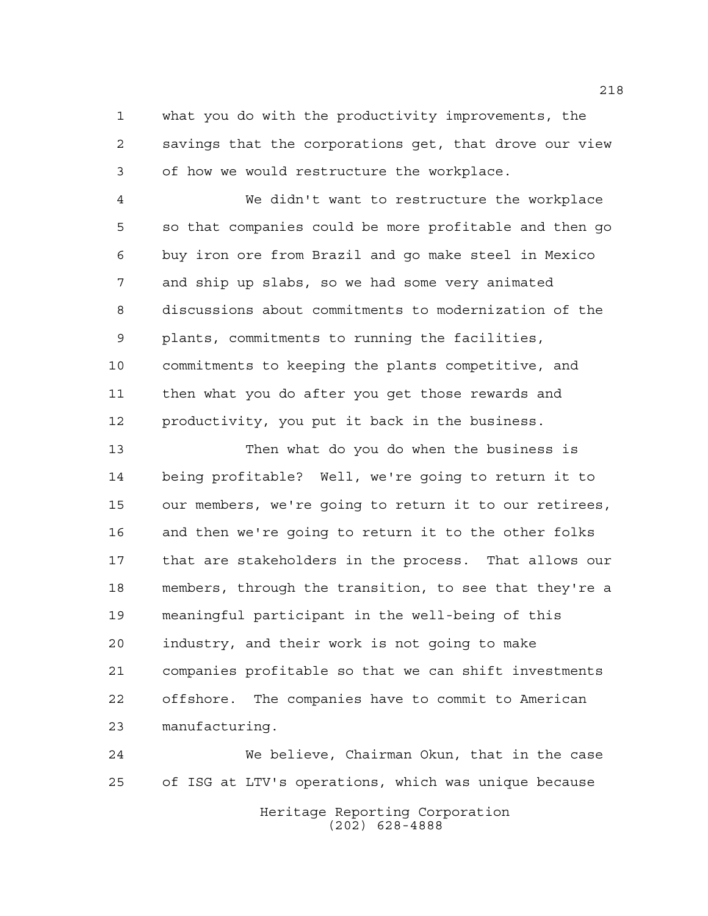what you do with the productivity improvements, the savings that the corporations get, that drove our view of how we would restructure the workplace.

 We didn't want to restructure the workplace so that companies could be more profitable and then go buy iron ore from Brazil and go make steel in Mexico and ship up slabs, so we had some very animated discussions about commitments to modernization of the plants, commitments to running the facilities, commitments to keeping the plants competitive, and then what you do after you get those rewards and productivity, you put it back in the business.

 Then what do you do when the business is being profitable? Well, we're going to return it to our members, we're going to return it to our retirees, and then we're going to return it to the other folks that are stakeholders in the process. That allows our members, through the transition, to see that they're a meaningful participant in the well-being of this industry, and their work is not going to make companies profitable so that we can shift investments offshore. The companies have to commit to American manufacturing.

 We believe, Chairman Okun, that in the case of ISG at LTV's operations, which was unique because

> Heritage Reporting Corporation (202) 628-4888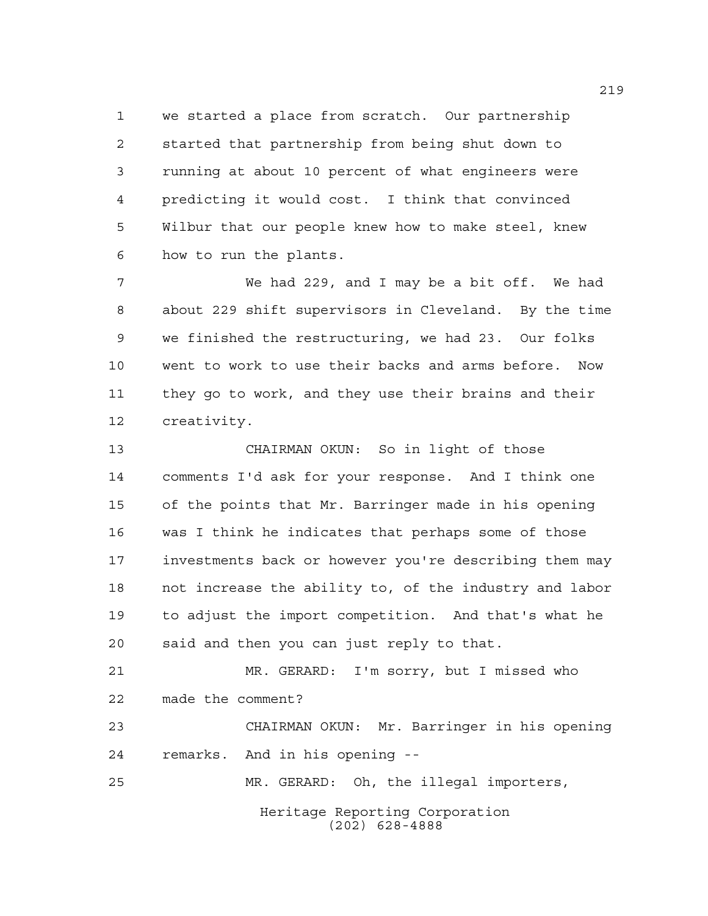we started a place from scratch. Our partnership started that partnership from being shut down to running at about 10 percent of what engineers were predicting it would cost. I think that convinced Wilbur that our people knew how to make steel, knew how to run the plants.

 We had 229, and I may be a bit off. We had about 229 shift supervisors in Cleveland. By the time we finished the restructuring, we had 23. Our folks went to work to use their backs and arms before. Now they go to work, and they use their brains and their creativity.

 CHAIRMAN OKUN: So in light of those comments I'd ask for your response. And I think one of the points that Mr. Barringer made in his opening was I think he indicates that perhaps some of those investments back or however you're describing them may not increase the ability to, of the industry and labor to adjust the import competition. And that's what he said and then you can just reply to that.

 MR. GERARD: I'm sorry, but I missed who made the comment?

 CHAIRMAN OKUN: Mr. Barringer in his opening remarks. And in his opening --

MR. GERARD: Oh, the illegal importers,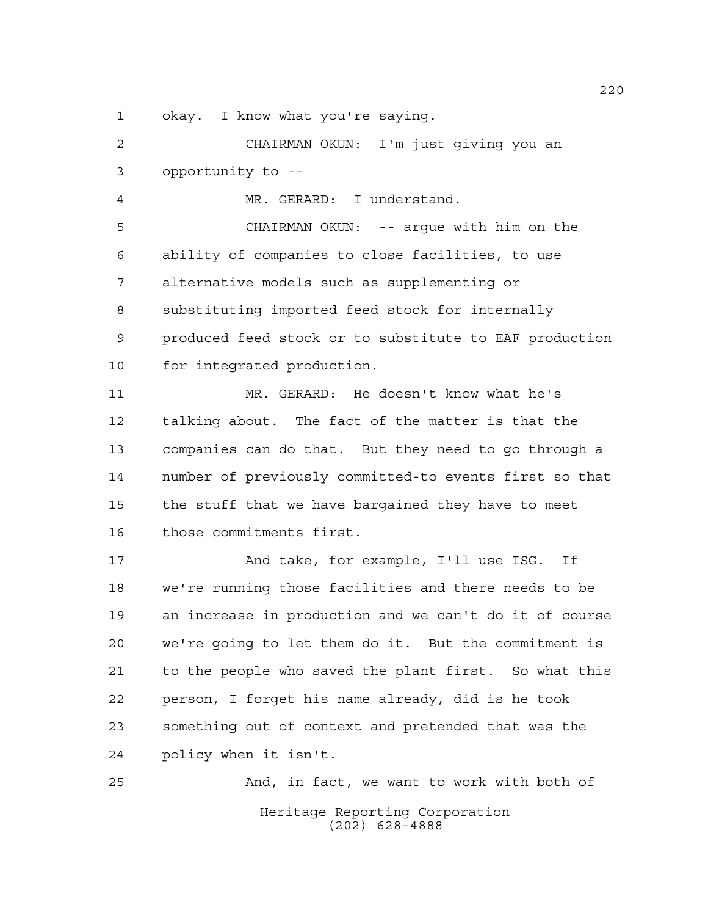okay. I know what you're saying.

 CHAIRMAN OKUN: I'm just giving you an opportunity to --

MR. GERARD: I understand.

 CHAIRMAN OKUN: -- argue with him on the ability of companies to close facilities, to use alternative models such as supplementing or substituting imported feed stock for internally produced feed stock or to substitute to EAF production for integrated production.

 MR. GERARD: He doesn't know what he's talking about. The fact of the matter is that the companies can do that. But they need to go through a number of previously committed-to events first so that the stuff that we have bargained they have to meet those commitments first.

 And take, for example, I'll use ISG. If we're running those facilities and there needs to be an increase in production and we can't do it of course we're going to let them do it. But the commitment is to the people who saved the plant first. So what this person, I forget his name already, did is he took something out of context and pretended that was the policy when it isn't.

Heritage Reporting Corporation (202) 628-4888 And, in fact, we want to work with both of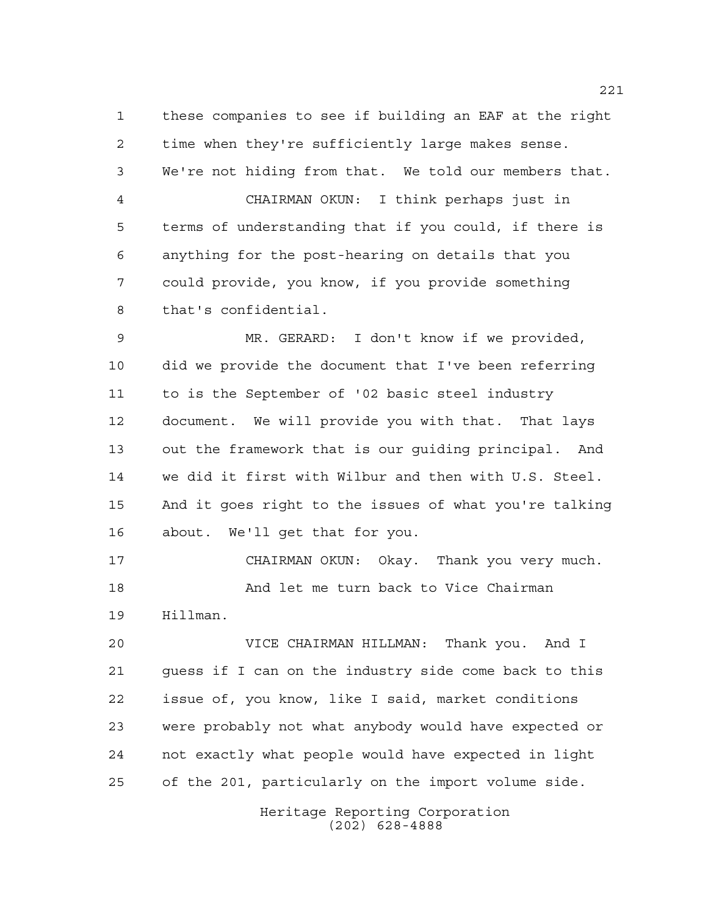these companies to see if building an EAF at the right time when they're sufficiently large makes sense. We're not hiding from that. We told our members that. CHAIRMAN OKUN: I think perhaps just in terms of understanding that if you could, if there is anything for the post-hearing on details that you could provide, you know, if you provide something that's confidential.

 MR. GERARD: I don't know if we provided, did we provide the document that I've been referring to is the September of '02 basic steel industry document. We will provide you with that. That lays out the framework that is our guiding principal. And we did it first with Wilbur and then with U.S. Steel. And it goes right to the issues of what you're talking about. We'll get that for you.

 CHAIRMAN OKUN: Okay. Thank you very much. And let me turn back to Vice Chairman Hillman.

 VICE CHAIRMAN HILLMAN: Thank you. And I guess if I can on the industry side come back to this issue of, you know, like I said, market conditions were probably not what anybody would have expected or not exactly what people would have expected in light of the 201, particularly on the import volume side.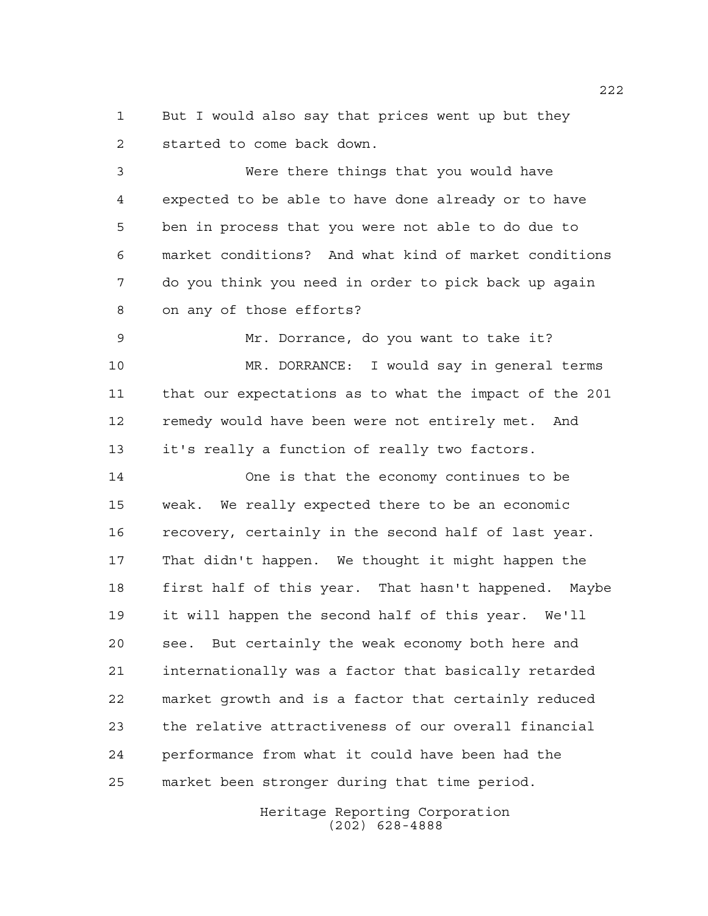But I would also say that prices went up but they started to come back down.

 Were there things that you would have expected to be able to have done already or to have ben in process that you were not able to do due to market conditions? And what kind of market conditions do you think you need in order to pick back up again on any of those efforts?

 Mr. Dorrance, do you want to take it? MR. DORRANCE: I would say in general terms that our expectations as to what the impact of the 201 remedy would have been were not entirely met. And it's really a function of really two factors.

 One is that the economy continues to be weak. We really expected there to be an economic recovery, certainly in the second half of last year. That didn't happen. We thought it might happen the first half of this year. That hasn't happened. Maybe it will happen the second half of this year. We'll see. But certainly the weak economy both here and internationally was a factor that basically retarded market growth and is a factor that certainly reduced the relative attractiveness of our overall financial performance from what it could have been had the market been stronger during that time period.

> Heritage Reporting Corporation (202) 628-4888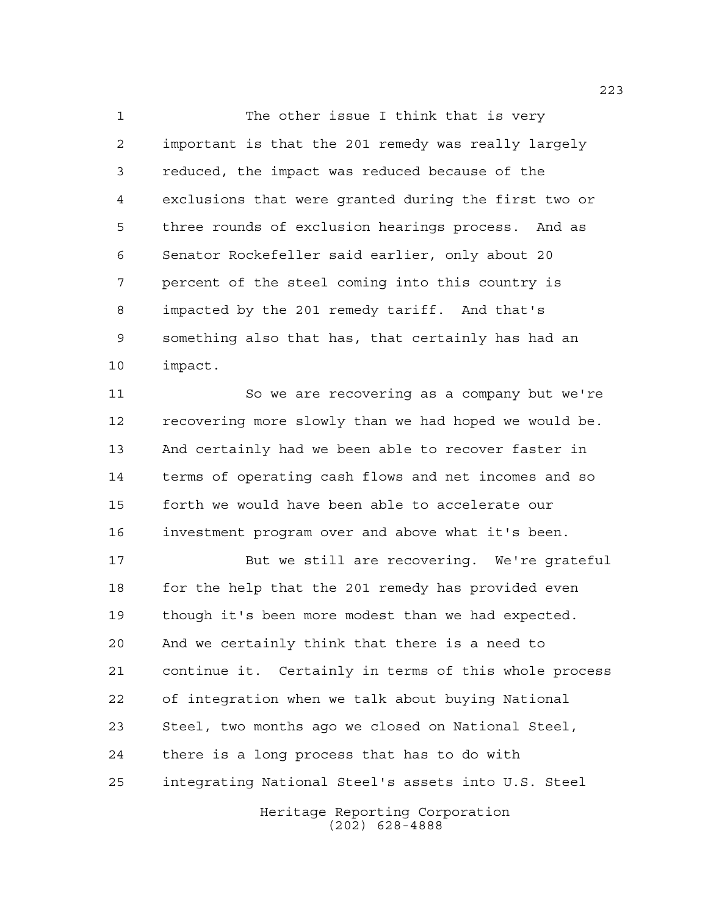1 The other issue I think that is very important is that the 201 remedy was really largely reduced, the impact was reduced because of the exclusions that were granted during the first two or three rounds of exclusion hearings process. And as Senator Rockefeller said earlier, only about 20 percent of the steel coming into this country is impacted by the 201 remedy tariff. And that's something also that has, that certainly has had an impact.

 So we are recovering as a company but we're recovering more slowly than we had hoped we would be. And certainly had we been able to recover faster in terms of operating cash flows and net incomes and so forth we would have been able to accelerate our investment program over and above what it's been.

 But we still are recovering. We're grateful 18 for the help that the 201 remedy has provided even though it's been more modest than we had expected. And we certainly think that there is a need to continue it. Certainly in terms of this whole process of integration when we talk about buying National Steel, two months ago we closed on National Steel, there is a long process that has to do with integrating National Steel's assets into U.S. Steel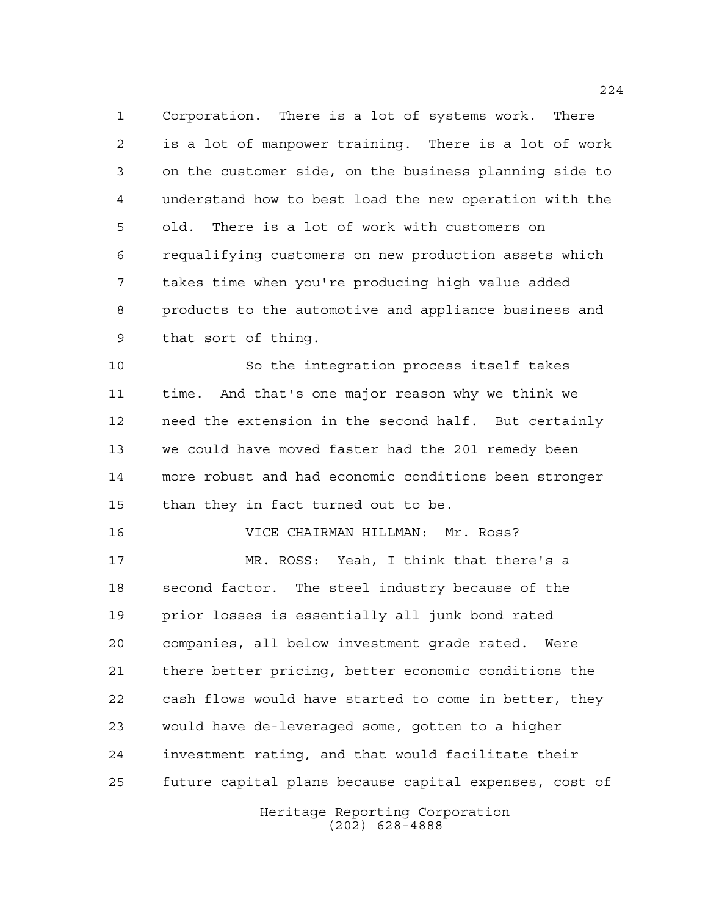Corporation. There is a lot of systems work. There is a lot of manpower training. There is a lot of work on the customer side, on the business planning side to understand how to best load the new operation with the old. There is a lot of work with customers on requalifying customers on new production assets which takes time when you're producing high value added products to the automotive and appliance business and that sort of thing.

 So the integration process itself takes time. And that's one major reason why we think we need the extension in the second half. But certainly we could have moved faster had the 201 remedy been more robust and had economic conditions been stronger than they in fact turned out to be.

VICE CHAIRMAN HILLMAN: Mr. Ross?

 MR. ROSS: Yeah, I think that there's a second factor. The steel industry because of the prior losses is essentially all junk bond rated companies, all below investment grade rated. Were there better pricing, better economic conditions the cash flows would have started to come in better, they would have de-leveraged some, gotten to a higher investment rating, and that would facilitate their future capital plans because capital expenses, cost of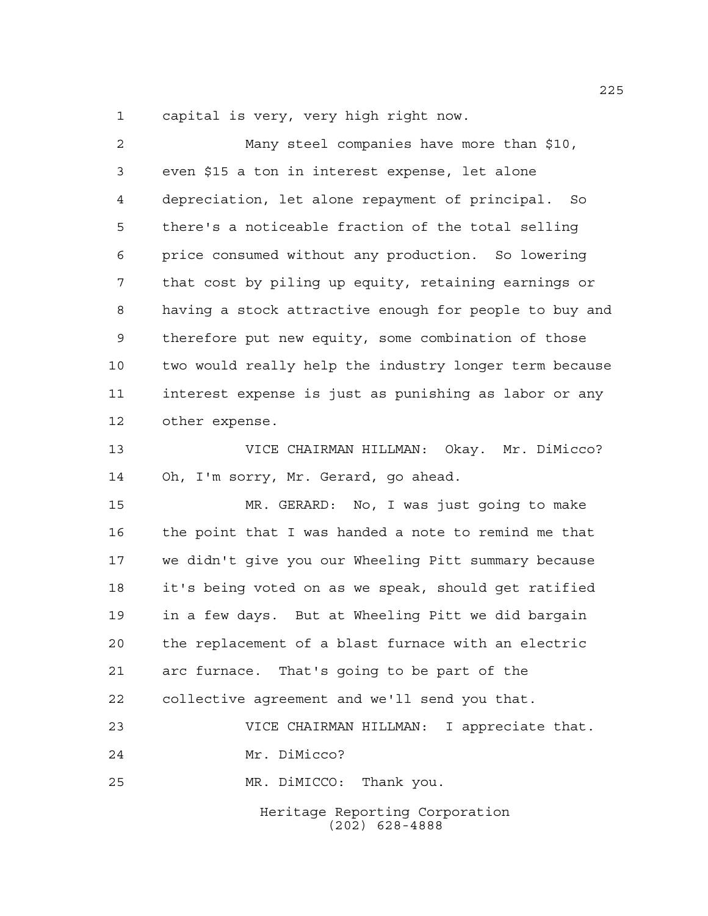capital is very, very high right now.

| 2  | Many steel companies have more than \$10,              |
|----|--------------------------------------------------------|
| 3  | even \$15 a ton in interest expense, let alone         |
| 4  | depreciation, let alone repayment of principal. So     |
| 5  | there's a noticeable fraction of the total selling     |
| 6  | price consumed without any production. So lowering     |
| 7  | that cost by piling up equity, retaining earnings or   |
| 8  | having a stock attractive enough for people to buy and |
| 9  | therefore put new equity, some combination of those    |
| 10 | two would really help the industry longer term because |
| 11 | interest expense is just as punishing as labor or any  |
| 12 | other expense.                                         |
| 13 | VICE CHAIRMAN HILLMAN: Okay. Mr. DiMicco?              |
| 14 | Oh, I'm sorry, Mr. Gerard, go ahead.                   |
| 15 | MR. GERARD: No, I was just going to make               |
| 16 | the point that I was handed a note to remind me that   |
| 17 | we didn't give you our Wheeling Pitt summary because   |
| 18 | it's being voted on as we speak, should get ratified   |
| 19 | in a few days. But at Wheeling Pitt we did bargain     |
| 20 | the replacement of a blast furnace with an electric    |
| 21 | arc furnace. That's going to be part of the            |
| 22 | collective agreement and we'll send you that.          |
| 23 | VICE CHAIRMAN HILLMAN: I appreciate that.              |
| 24 | Mr. DiMicco?                                           |
| 25 | MR. DiMICCO: Thank you.                                |
|    | Heritage Reporting Corporation<br>$(202)$ 628-4888     |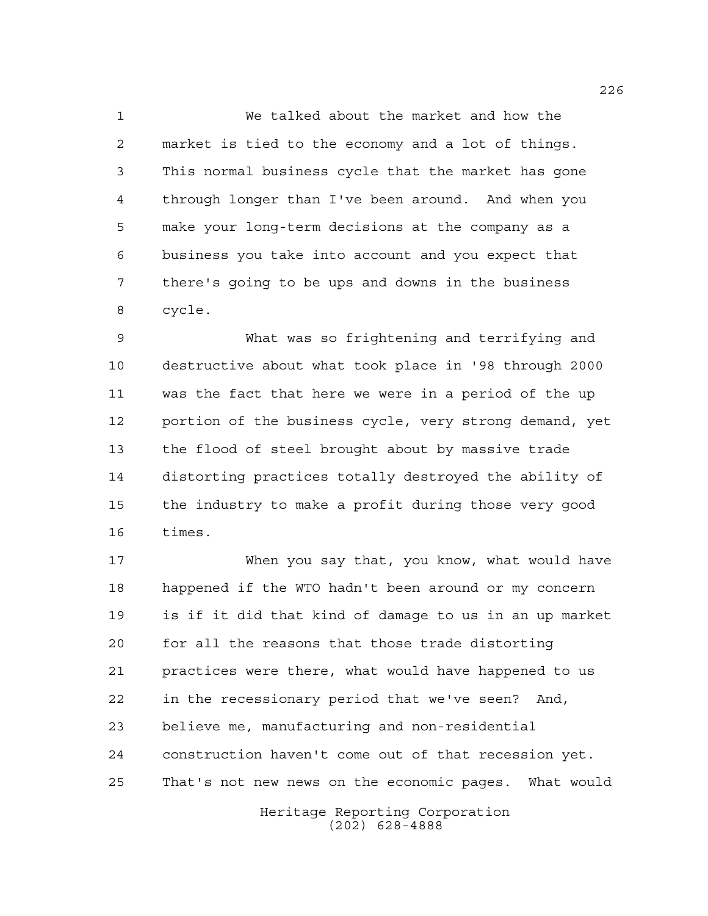We talked about the market and how the market is tied to the economy and a lot of things. This normal business cycle that the market has gone through longer than I've been around. And when you make your long-term decisions at the company as a business you take into account and you expect that there's going to be ups and downs in the business cycle.

 What was so frightening and terrifying and destructive about what took place in '98 through 2000 was the fact that here we were in a period of the up portion of the business cycle, very strong demand, yet the flood of steel brought about by massive trade distorting practices totally destroyed the ability of the industry to make a profit during those very good times.

 When you say that, you know, what would have happened if the WTO hadn't been around or my concern is if it did that kind of damage to us in an up market for all the reasons that those trade distorting practices were there, what would have happened to us in the recessionary period that we've seen? And, believe me, manufacturing and non-residential construction haven't come out of that recession yet. That's not new news on the economic pages. What would

> Heritage Reporting Corporation (202) 628-4888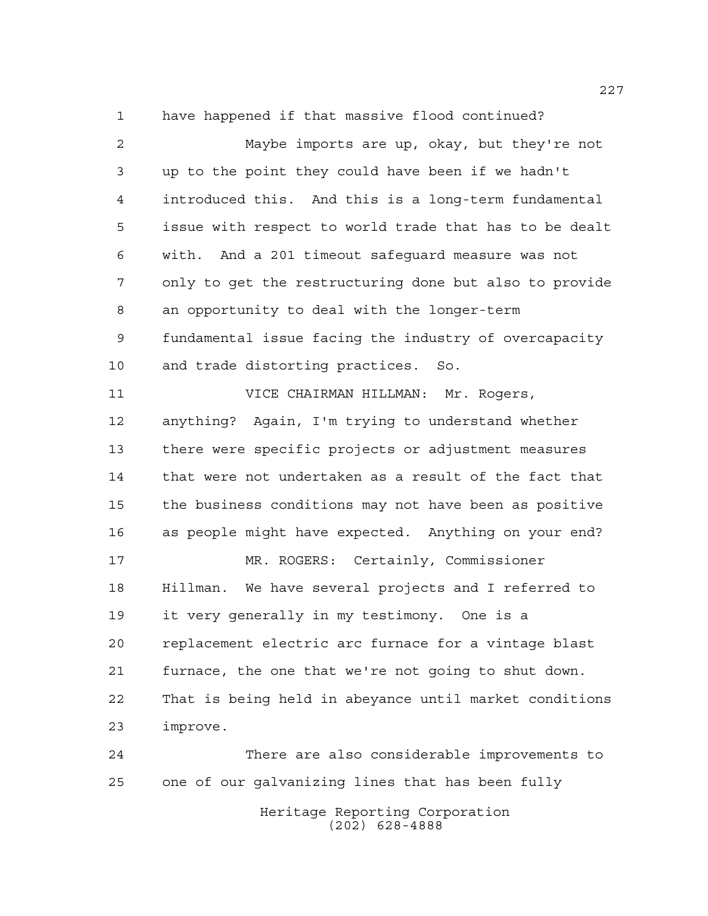have happened if that massive flood continued?

| $\overline{a}$ | Maybe imports are up, okay, but they're not            |
|----------------|--------------------------------------------------------|
| 3              | up to the point they could have been if we hadn't      |
| 4              | introduced this. And this is a long-term fundamental   |
| 5              | issue with respect to world trade that has to be dealt |
| 6              | with. And a 201 timeout safeguard measure was not      |
| 7              | only to get the restructuring done but also to provide |
| 8              | an opportunity to deal with the longer-term            |
| 9              | fundamental issue facing the industry of overcapacity  |
| 10             | and trade distorting practices. So.                    |
| 11             | VICE CHAIRMAN HILLMAN: Mr. Rogers,                     |
| 12             | anything? Again, I'm trying to understand whether      |
| 13             | there were specific projects or adjustment measures    |
| 14             | that were not undertaken as a result of the fact that  |
| 15             | the business conditions may not have been as positive  |
| 16             | as people might have expected. Anything on your end?   |
| 17             | MR. ROGERS: Certainly, Commissioner                    |
| 18             | Hillman. We have several projects and I referred to    |
| 19             | it very generally in my testimony. One is a            |
| 20             | replacement electric arc furnace for a vintage blast   |
| 21             | furnace, the one that we're not going to shut down.    |
| 22             | That is being held in abeyance until market conditions |
| 23             | improve.                                               |
| 24             | There are also considerable improvements to            |
| 25             | one of our galvanizing lines that has been fully       |
|                | Heritage Reporting Corporation                         |

(202) 628-4888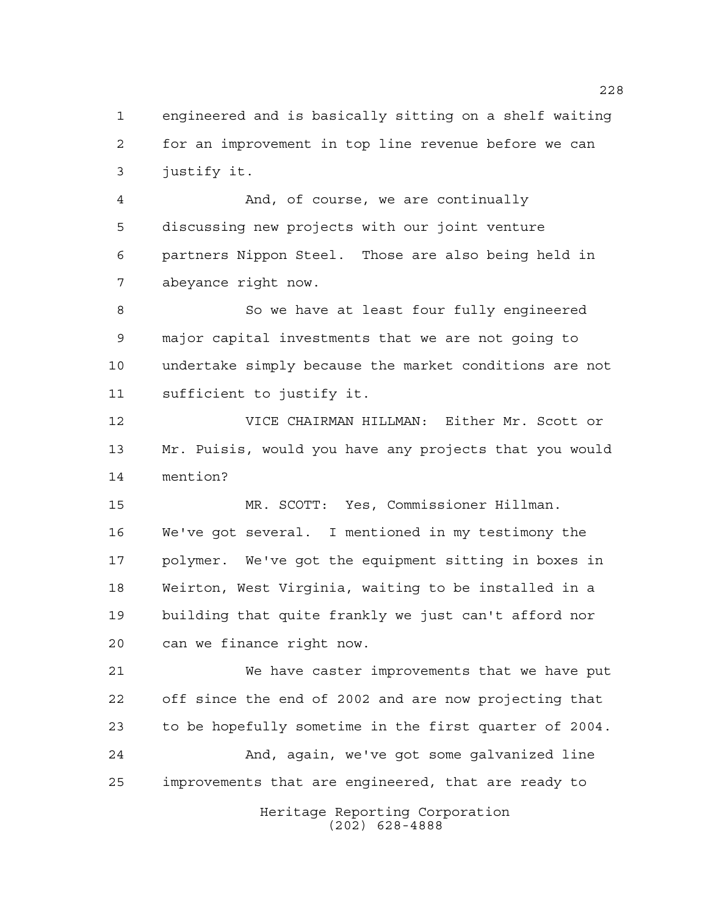engineered and is basically sitting on a shelf waiting for an improvement in top line revenue before we can justify it.

 And, of course, we are continually discussing new projects with our joint venture partners Nippon Steel. Those are also being held in abeyance right now.

 So we have at least four fully engineered major capital investments that we are not going to undertake simply because the market conditions are not sufficient to justify it.

 VICE CHAIRMAN HILLMAN: Either Mr. Scott or Mr. Puisis, would you have any projects that you would mention?

 MR. SCOTT: Yes, Commissioner Hillman. We've got several. I mentioned in my testimony the polymer. We've got the equipment sitting in boxes in Weirton, West Virginia, waiting to be installed in a building that quite frankly we just can't afford nor can we finance right now.

 We have caster improvements that we have put off since the end of 2002 and are now projecting that to be hopefully sometime in the first quarter of 2004. And, again, we've got some galvanized line improvements that are engineered, that are ready to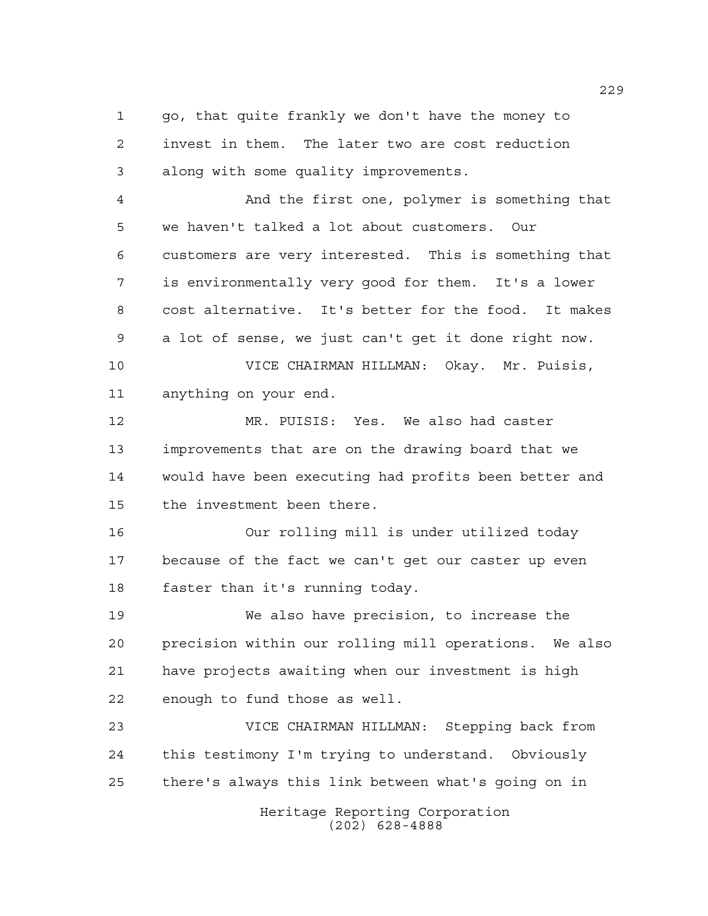go, that quite frankly we don't have the money to invest in them. The later two are cost reduction along with some quality improvements.

 And the first one, polymer is something that we haven't talked a lot about customers. Our customers are very interested. This is something that is environmentally very good for them. It's a lower cost alternative. It's better for the food. It makes a lot of sense, we just can't get it done right now.

 VICE CHAIRMAN HILLMAN: Okay. Mr. Puisis, anything on your end.

 MR. PUISIS: Yes. We also had caster improvements that are on the drawing board that we would have been executing had profits been better and the investment been there.

 Our rolling mill is under utilized today because of the fact we can't get our caster up even faster than it's running today.

 We also have precision, to increase the precision within our rolling mill operations. We also have projects awaiting when our investment is high enough to fund those as well.

 VICE CHAIRMAN HILLMAN: Stepping back from this testimony I'm trying to understand. Obviously there's always this link between what's going on in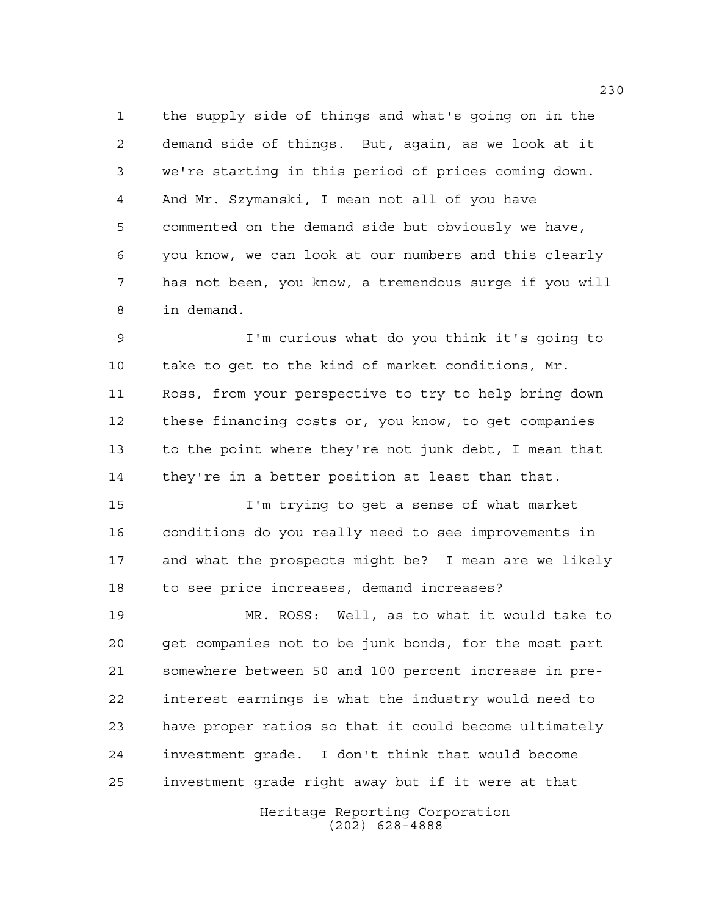the supply side of things and what's going on in the demand side of things. But, again, as we look at it we're starting in this period of prices coming down. And Mr. Szymanski, I mean not all of you have commented on the demand side but obviously we have, you know, we can look at our numbers and this clearly has not been, you know, a tremendous surge if you will in demand.

 I'm curious what do you think it's going to take to get to the kind of market conditions, Mr. Ross, from your perspective to try to help bring down these financing costs or, you know, to get companies to the point where they're not junk debt, I mean that they're in a better position at least than that.

 I'm trying to get a sense of what market conditions do you really need to see improvements in and what the prospects might be? I mean are we likely to see price increases, demand increases?

 MR. ROSS: Well, as to what it would take to get companies not to be junk bonds, for the most part somewhere between 50 and 100 percent increase in pre- interest earnings is what the industry would need to have proper ratios so that it could become ultimately investment grade. I don't think that would become investment grade right away but if it were at that

> Heritage Reporting Corporation (202) 628-4888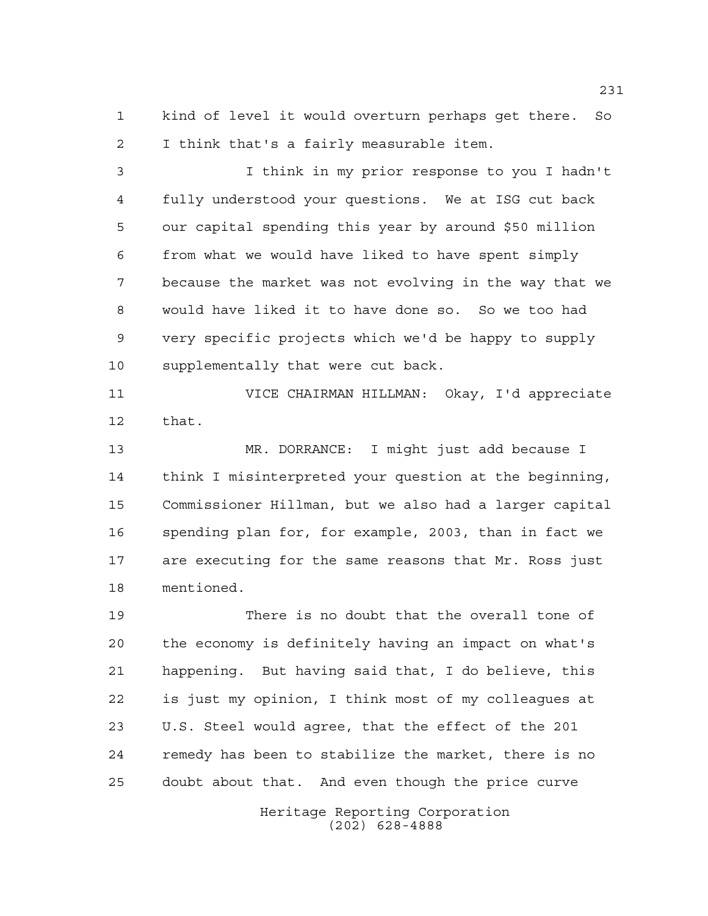kind of level it would overturn perhaps get there. So I think that's a fairly measurable item.

 I think in my prior response to you I hadn't fully understood your questions. We at ISG cut back our capital spending this year by around \$50 million from what we would have liked to have spent simply because the market was not evolving in the way that we would have liked it to have done so. So we too had very specific projects which we'd be happy to supply supplementally that were cut back.

 VICE CHAIRMAN HILLMAN: Okay, I'd appreciate that.

 MR. DORRANCE: I might just add because I think I misinterpreted your question at the beginning, Commissioner Hillman, but we also had a larger capital spending plan for, for example, 2003, than in fact we are executing for the same reasons that Mr. Ross just mentioned.

 There is no doubt that the overall tone of the economy is definitely having an impact on what's happening. But having said that, I do believe, this is just my opinion, I think most of my colleagues at U.S. Steel would agree, that the effect of the 201 remedy has been to stabilize the market, there is no doubt about that. And even though the price curve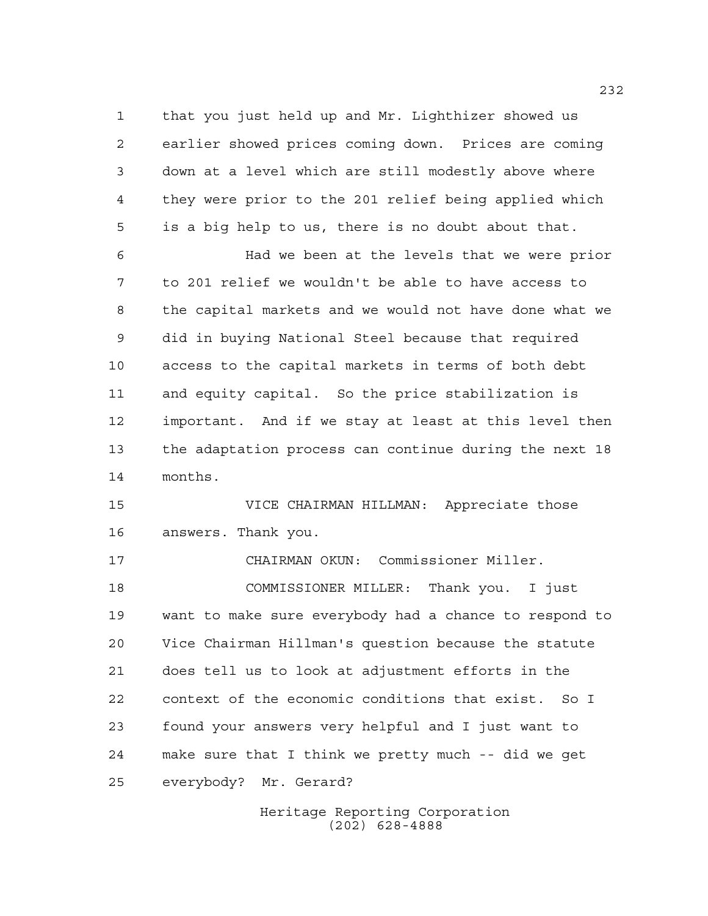that you just held up and Mr. Lighthizer showed us earlier showed prices coming down. Prices are coming down at a level which are still modestly above where they were prior to the 201 relief being applied which is a big help to us, there is no doubt about that.

 Had we been at the levels that we were prior to 201 relief we wouldn't be able to have access to the capital markets and we would not have done what we did in buying National Steel because that required access to the capital markets in terms of both debt and equity capital. So the price stabilization is important. And if we stay at least at this level then the adaptation process can continue during the next 18 months.

 VICE CHAIRMAN HILLMAN: Appreciate those answers. Thank you.

 CHAIRMAN OKUN: Commissioner Miller. COMMISSIONER MILLER: Thank you. I just want to make sure everybody had a chance to respond to Vice Chairman Hillman's question because the statute does tell us to look at adjustment efforts in the context of the economic conditions that exist. So I found your answers very helpful and I just want to make sure that I think we pretty much -- did we get everybody? Mr. Gerard?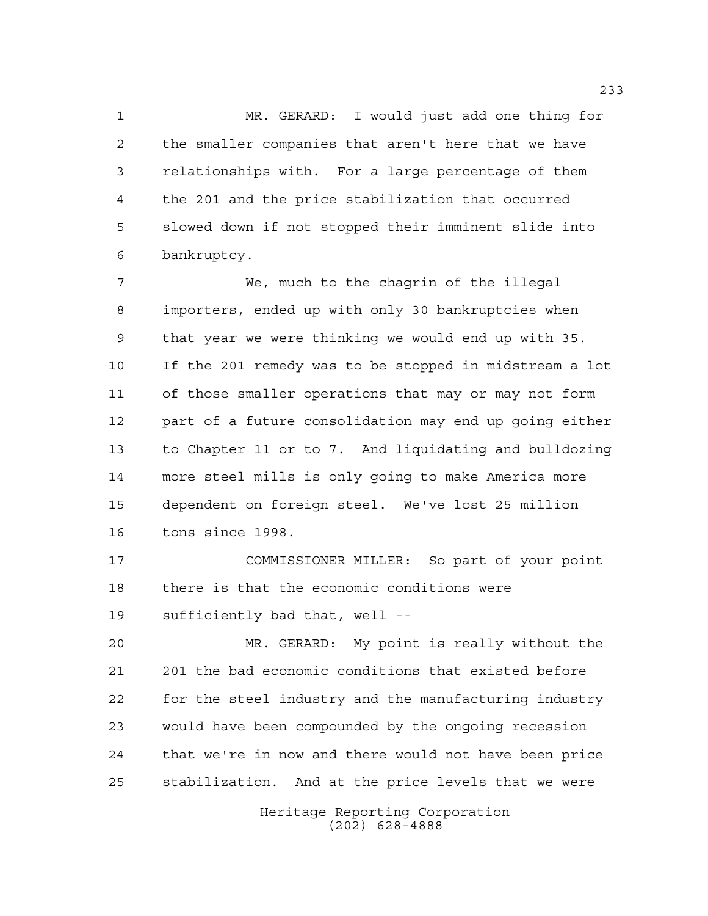MR. GERARD: I would just add one thing for the smaller companies that aren't here that we have relationships with. For a large percentage of them the 201 and the price stabilization that occurred slowed down if not stopped their imminent slide into bankruptcy.

 We, much to the chagrin of the illegal importers, ended up with only 30 bankruptcies when that year we were thinking we would end up with 35. If the 201 remedy was to be stopped in midstream a lot of those smaller operations that may or may not form part of a future consolidation may end up going either to Chapter 11 or to 7. And liquidating and bulldozing more steel mills is only going to make America more dependent on foreign steel. We've lost 25 million tons since 1998.

 COMMISSIONER MILLER: So part of your point there is that the economic conditions were sufficiently bad that, well --

 MR. GERARD: My point is really without the 201 the bad economic conditions that existed before for the steel industry and the manufacturing industry would have been compounded by the ongoing recession that we're in now and there would not have been price stabilization. And at the price levels that we were

> Heritage Reporting Corporation (202) 628-4888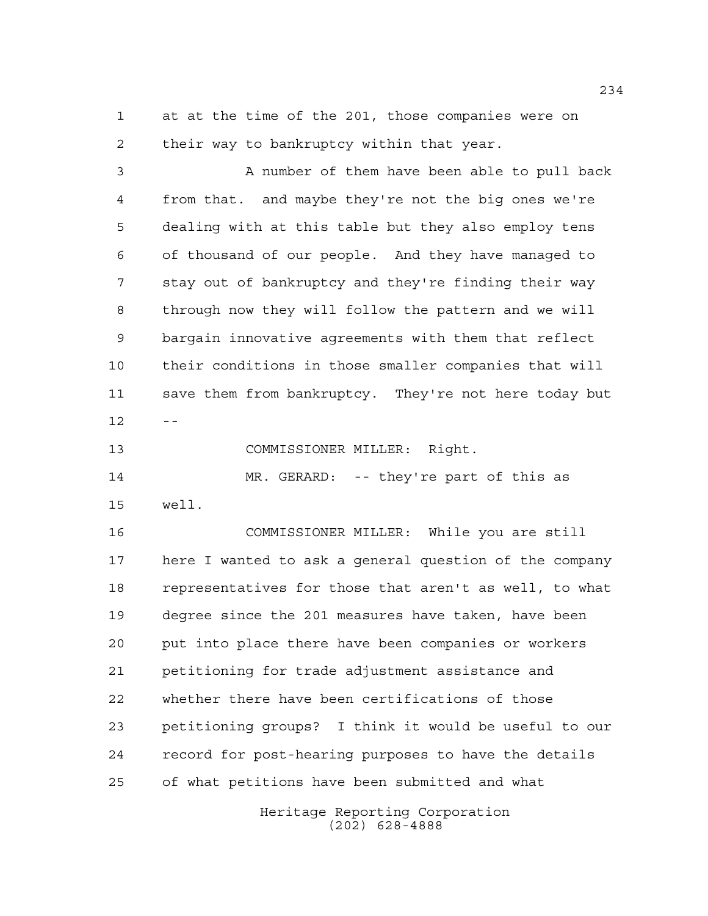at at the time of the 201, those companies were on their way to bankruptcy within that year.

 A number of them have been able to pull back from that. and maybe they're not the big ones we're dealing with at this table but they also employ tens of thousand of our people. And they have managed to stay out of bankruptcy and they're finding their way through now they will follow the pattern and we will bargain innovative agreements with them that reflect their conditions in those smaller companies that will save them from bankruptcy. They're not here today but 

COMMISSIONER MILLER: Right.

 MR. GERARD: -- they're part of this as well.

 COMMISSIONER MILLER: While you are still here I wanted to ask a general question of the company representatives for those that aren't as well, to what degree since the 201 measures have taken, have been put into place there have been companies or workers petitioning for trade adjustment assistance and whether there have been certifications of those petitioning groups? I think it would be useful to our record for post-hearing purposes to have the details of what petitions have been submitted and what

> Heritage Reporting Corporation (202) 628-4888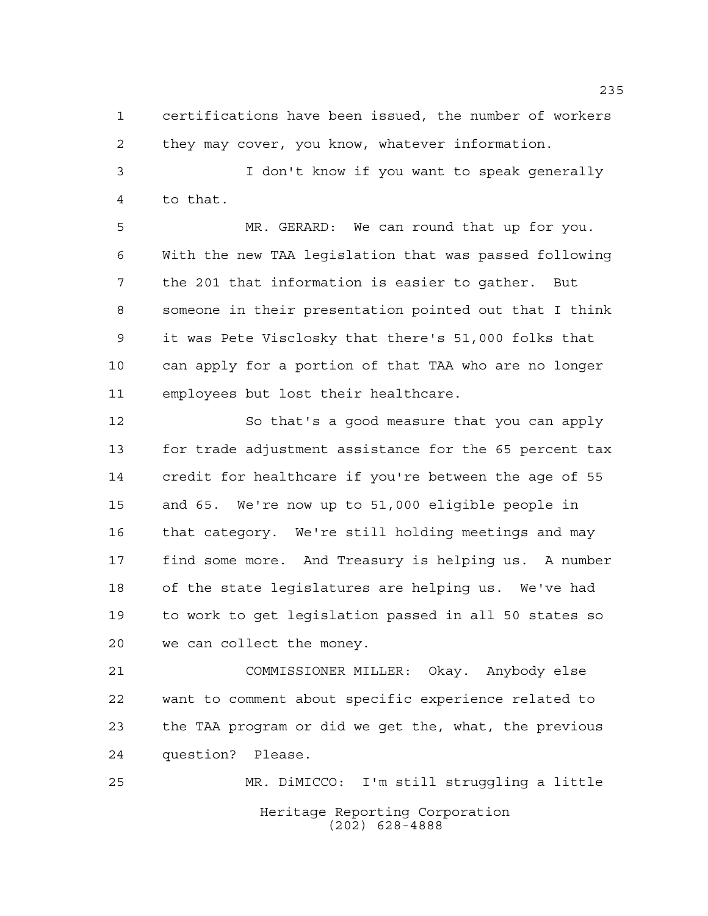certifications have been issued, the number of workers they may cover, you know, whatever information.

 I don't know if you want to speak generally to that.

 MR. GERARD: We can round that up for you. With the new TAA legislation that was passed following the 201 that information is easier to gather. But someone in their presentation pointed out that I think it was Pete Visclosky that there's 51,000 folks that can apply for a portion of that TAA who are no longer employees but lost their healthcare.

 So that's a good measure that you can apply for trade adjustment assistance for the 65 percent tax credit for healthcare if you're between the age of 55 and 65. We're now up to 51,000 eligible people in that category. We're still holding meetings and may find some more. And Treasury is helping us. A number of the state legislatures are helping us. We've had to work to get legislation passed in all 50 states so we can collect the money.

 COMMISSIONER MILLER: Okay. Anybody else want to comment about specific experience related to the TAA program or did we get the, what, the previous question? Please.

Heritage Reporting Corporation (202) 628-4888 MR. DiMICCO: I'm still struggling a little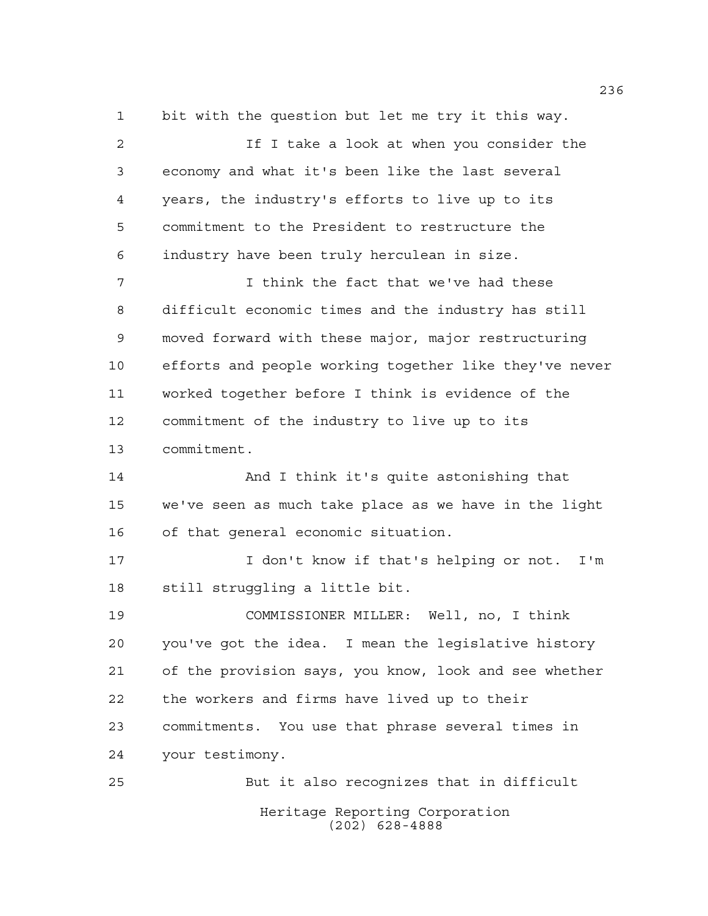bit with the question but let me try it this way.

 If I take a look at when you consider the economy and what it's been like the last several years, the industry's efforts to live up to its commitment to the President to restructure the industry have been truly herculean in size. I think the fact that we've had these difficult economic times and the industry has still moved forward with these major, major restructuring efforts and people working together like they've never worked together before I think is evidence of the commitment of the industry to live up to its commitment. And I think it's quite astonishing that we've seen as much take place as we have in the light of that general economic situation. I don't know if that's helping or not. I'm still struggling a little bit. COMMISSIONER MILLER: Well, no, I think you've got the idea. I mean the legislative history of the provision says, you know, look and see whether the workers and firms have lived up to their commitments. You use that phrase several times in your testimony. But it also recognizes that in difficult

Heritage Reporting Corporation (202) 628-4888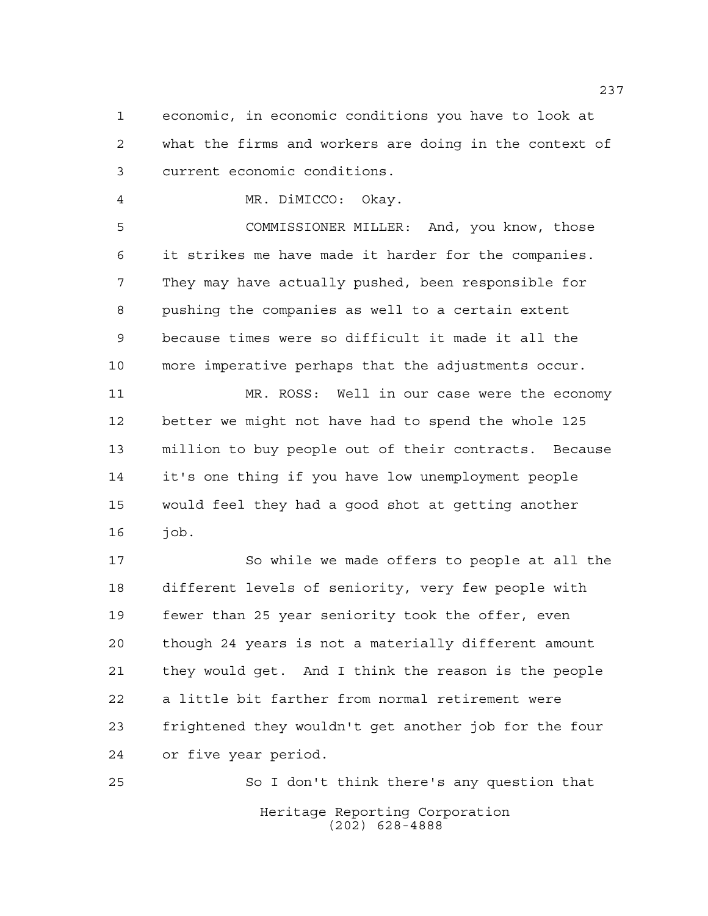economic, in economic conditions you have to look at what the firms and workers are doing in the context of current economic conditions.

MR. DiMICCO: Okay.

 COMMISSIONER MILLER: And, you know, those it strikes me have made it harder for the companies. They may have actually pushed, been responsible for pushing the companies as well to a certain extent because times were so difficult it made it all the more imperative perhaps that the adjustments occur.

 MR. ROSS: Well in our case were the economy better we might not have had to spend the whole 125 million to buy people out of their contracts. Because it's one thing if you have low unemployment people would feel they had a good shot at getting another job.

 So while we made offers to people at all the different levels of seniority, very few people with fewer than 25 year seniority took the offer, even though 24 years is not a materially different amount they would get. And I think the reason is the people a little bit farther from normal retirement were frightened they wouldn't get another job for the four or five year period.

Heritage Reporting Corporation (202) 628-4888 So I don't think there's any question that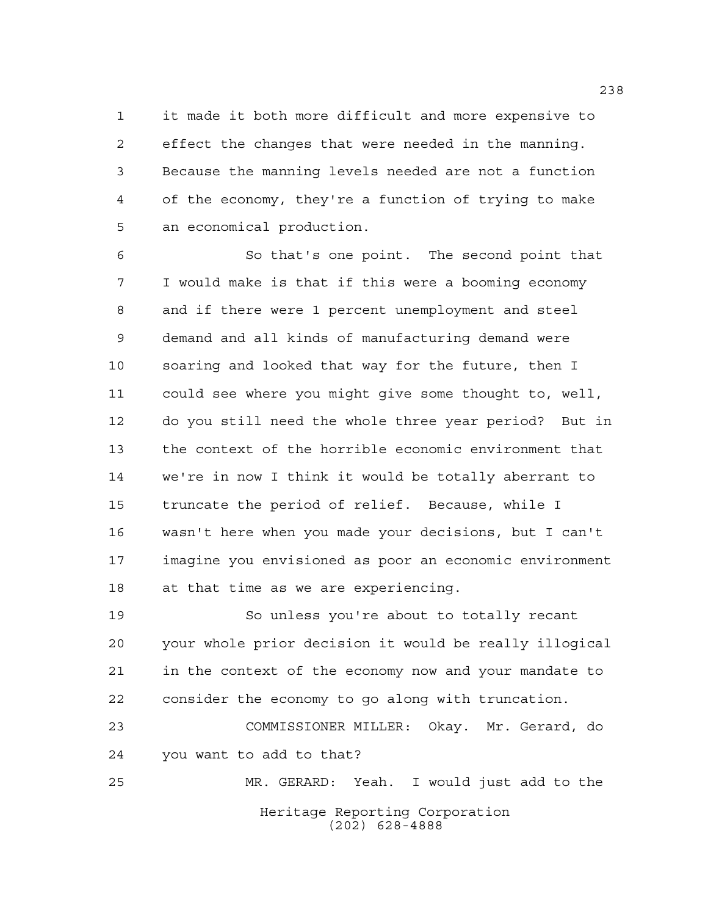it made it both more difficult and more expensive to effect the changes that were needed in the manning. Because the manning levels needed are not a function of the economy, they're a function of trying to make an economical production.

 So that's one point. The second point that I would make is that if this were a booming economy and if there were 1 percent unemployment and steel demand and all kinds of manufacturing demand were soaring and looked that way for the future, then I could see where you might give some thought to, well, do you still need the whole three year period? But in the context of the horrible economic environment that we're in now I think it would be totally aberrant to truncate the period of relief. Because, while I wasn't here when you made your decisions, but I can't imagine you envisioned as poor an economic environment at that time as we are experiencing.

 So unless you're about to totally recant your whole prior decision it would be really illogical in the context of the economy now and your mandate to consider the economy to go along with truncation.

 COMMISSIONER MILLER: Okay. Mr. Gerard, do you want to add to that?

Heritage Reporting Corporation (202) 628-4888 MR. GERARD: Yeah. I would just add to the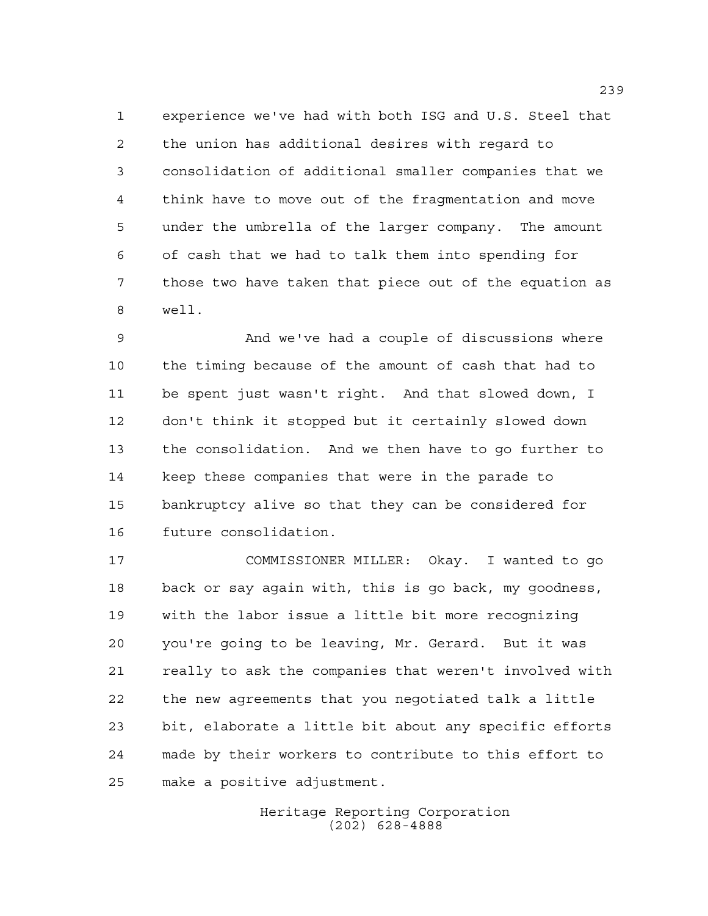experience we've had with both ISG and U.S. Steel that the union has additional desires with regard to consolidation of additional smaller companies that we think have to move out of the fragmentation and move under the umbrella of the larger company. The amount of cash that we had to talk them into spending for those two have taken that piece out of the equation as well.

 And we've had a couple of discussions where the timing because of the amount of cash that had to be spent just wasn't right. And that slowed down, I don't think it stopped but it certainly slowed down the consolidation. And we then have to go further to keep these companies that were in the parade to bankruptcy alive so that they can be considered for future consolidation.

 COMMISSIONER MILLER: Okay. I wanted to go back or say again with, this is go back, my goodness, with the labor issue a little bit more recognizing you're going to be leaving, Mr. Gerard. But it was really to ask the companies that weren't involved with the new agreements that you negotiated talk a little bit, elaborate a little bit about any specific efforts made by their workers to contribute to this effort to make a positive adjustment.

> Heritage Reporting Corporation (202) 628-4888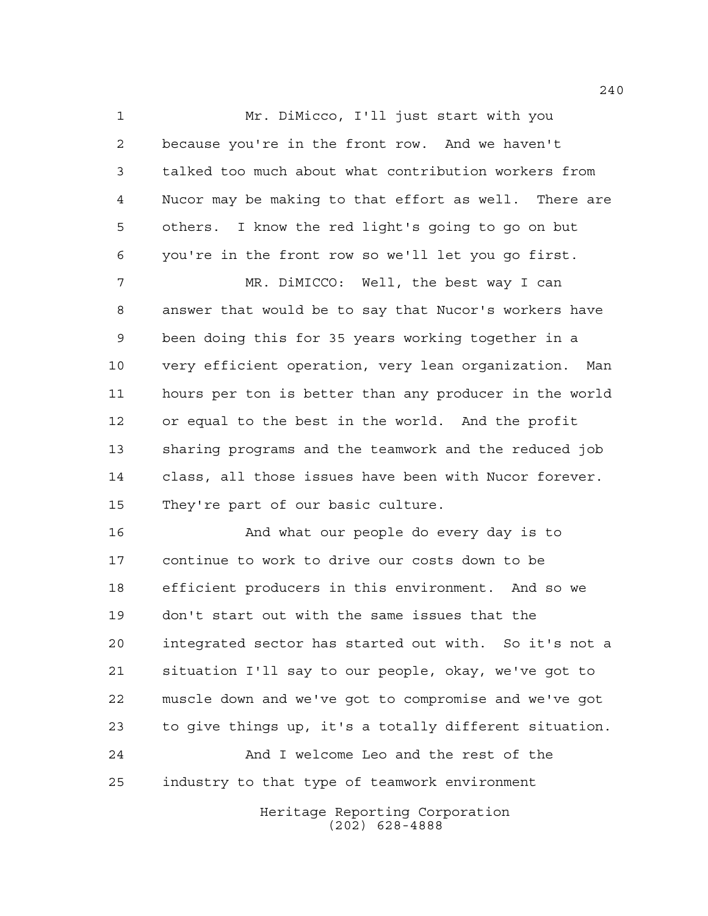Mr. DiMicco, I'll just start with you because you're in the front row. And we haven't talked too much about what contribution workers from Nucor may be making to that effort as well. There are others. I know the red light's going to go on but you're in the front row so we'll let you go first.

 MR. DiMICCO: Well, the best way I can answer that would be to say that Nucor's workers have been doing this for 35 years working together in a very efficient operation, very lean organization. Man hours per ton is better than any producer in the world or equal to the best in the world. And the profit sharing programs and the teamwork and the reduced job class, all those issues have been with Nucor forever. They're part of our basic culture.

 And what our people do every day is to continue to work to drive our costs down to be efficient producers in this environment. And so we don't start out with the same issues that the integrated sector has started out with. So it's not a situation I'll say to our people, okay, we've got to muscle down and we've got to compromise and we've got to give things up, it's a totally different situation. And I welcome Leo and the rest of the industry to that type of teamwork environment

> Heritage Reporting Corporation (202) 628-4888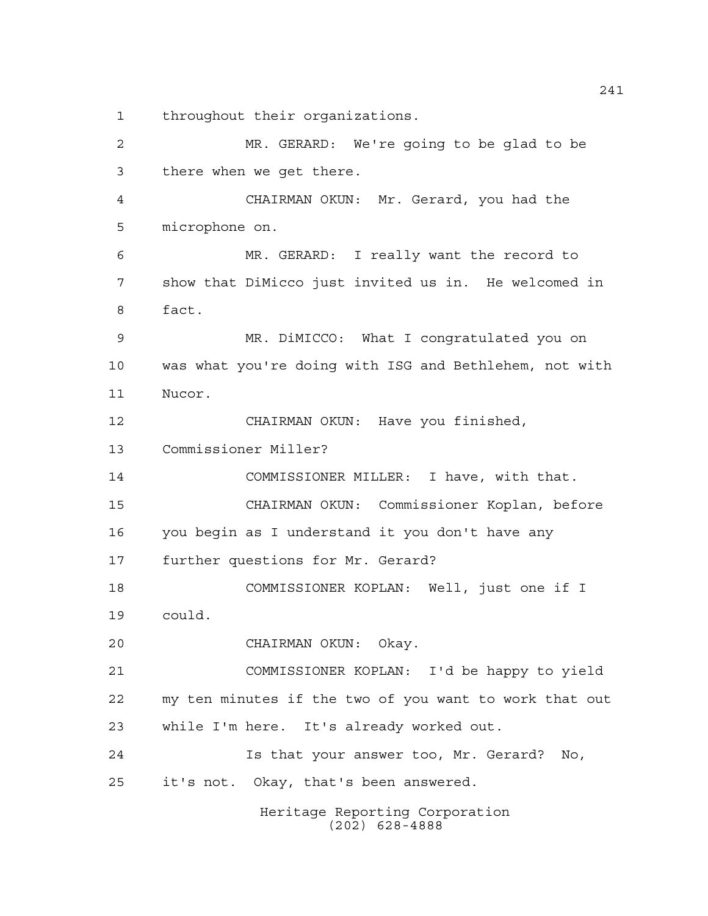throughout their organizations.

Heritage Reporting Corporation (202) 628-4888 MR. GERARD: We're going to be glad to be there when we get there. CHAIRMAN OKUN: Mr. Gerard, you had the microphone on. MR. GERARD: I really want the record to show that DiMicco just invited us in. He welcomed in fact. MR. DiMICCO: What I congratulated you on was what you're doing with ISG and Bethlehem, not with Nucor. CHAIRMAN OKUN: Have you finished, Commissioner Miller? COMMISSIONER MILLER: I have, with that. CHAIRMAN OKUN: Commissioner Koplan, before you begin as I understand it you don't have any further questions for Mr. Gerard? COMMISSIONER KOPLAN: Well, just one if I could. CHAIRMAN OKUN: Okay. COMMISSIONER KOPLAN: I'd be happy to yield my ten minutes if the two of you want to work that out while I'm here. It's already worked out. Is that your answer too, Mr. Gerard? No, it's not. Okay, that's been answered.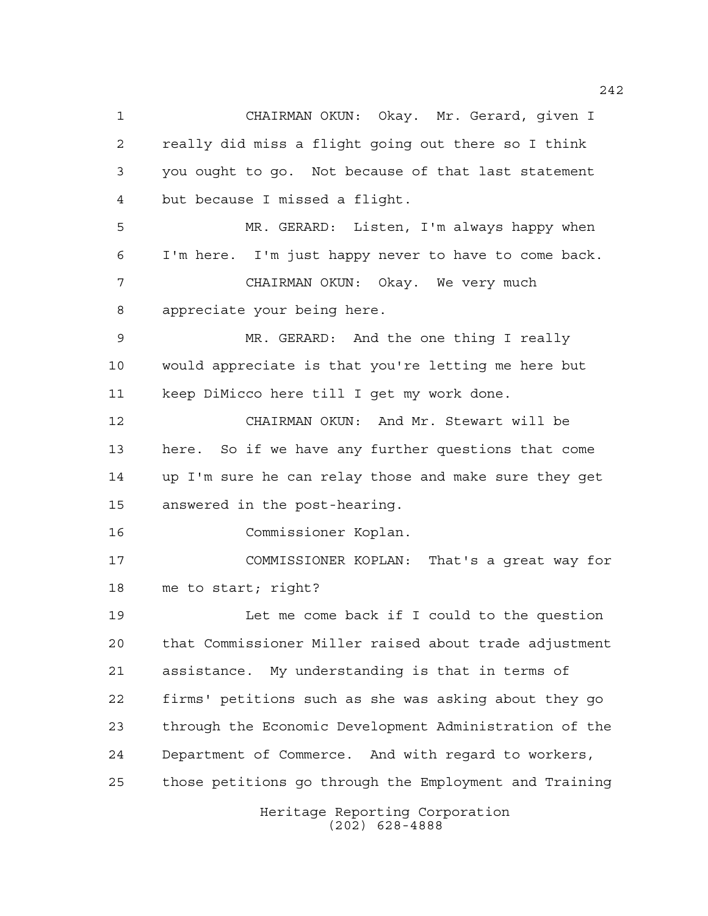Heritage Reporting Corporation CHAIRMAN OKUN: Okay. Mr. Gerard, given I really did miss a flight going out there so I think you ought to go. Not because of that last statement but because I missed a flight. MR. GERARD: Listen, I'm always happy when I'm here. I'm just happy never to have to come back. CHAIRMAN OKUN: Okay. We very much appreciate your being here. MR. GERARD: And the one thing I really would appreciate is that you're letting me here but keep DiMicco here till I get my work done. CHAIRMAN OKUN: And Mr. Stewart will be here. So if we have any further questions that come up I'm sure he can relay those and make sure they get answered in the post-hearing. Commissioner Koplan. COMMISSIONER KOPLAN: That's a great way for me to start; right? Let me come back if I could to the question that Commissioner Miller raised about trade adjustment assistance. My understanding is that in terms of firms' petitions such as she was asking about they go through the Economic Development Administration of the Department of Commerce. And with regard to workers, those petitions go through the Employment and Training

(202) 628-4888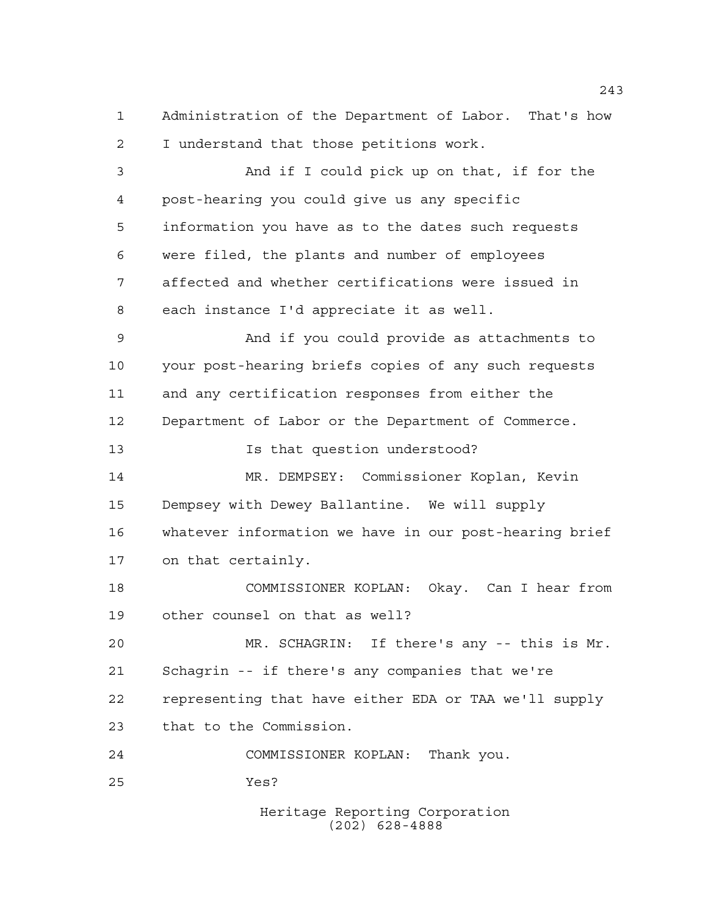Administration of the Department of Labor. That's how I understand that those petitions work. And if I could pick up on that, if for the post-hearing you could give us any specific

 information you have as to the dates such requests were filed, the plants and number of employees affected and whether certifications were issued in each instance I'd appreciate it as well.

 And if you could provide as attachments to your post-hearing briefs copies of any such requests and any certification responses from either the Department of Labor or the Department of Commerce.

Is that question understood?

 MR. DEMPSEY: Commissioner Koplan, Kevin Dempsey with Dewey Ballantine. We will supply whatever information we have in our post-hearing brief on that certainly.

 COMMISSIONER KOPLAN: Okay. Can I hear from other counsel on that as well?

 MR. SCHAGRIN: If there's any -- this is Mr. Schagrin -- if there's any companies that we're representing that have either EDA or TAA we'll supply that to the Commission.

COMMISSIONER KOPLAN: Thank you.

Yes?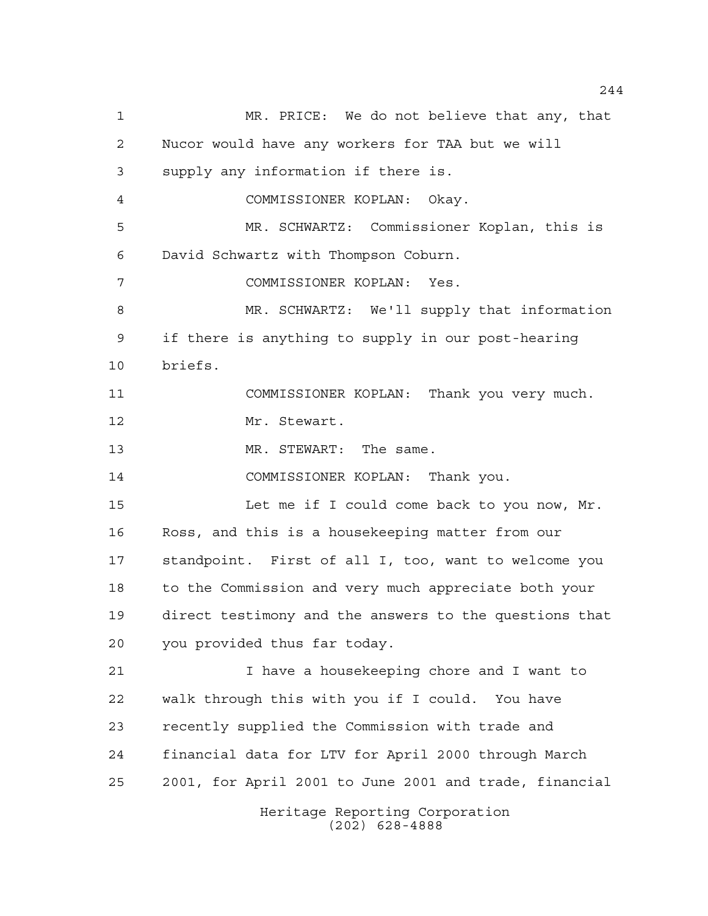Heritage Reporting Corporation (202) 628-4888 MR. PRICE: We do not believe that any, that Nucor would have any workers for TAA but we will supply any information if there is. COMMISSIONER KOPLAN: Okay. MR. SCHWARTZ: Commissioner Koplan, this is David Schwartz with Thompson Coburn. COMMISSIONER KOPLAN: Yes. MR. SCHWARTZ: We'll supply that information if there is anything to supply in our post-hearing briefs. COMMISSIONER KOPLAN: Thank you very much. Mr. Stewart. 13 MR. STEWART: The same. COMMISSIONER KOPLAN: Thank you. Let me if I could come back to you now, Mr. Ross, and this is a housekeeping matter from our standpoint. First of all I, too, want to welcome you to the Commission and very much appreciate both your direct testimony and the answers to the questions that you provided thus far today. I have a housekeeping chore and I want to walk through this with you if I could. You have recently supplied the Commission with trade and financial data for LTV for April 2000 through March 2001, for April 2001 to June 2001 and trade, financial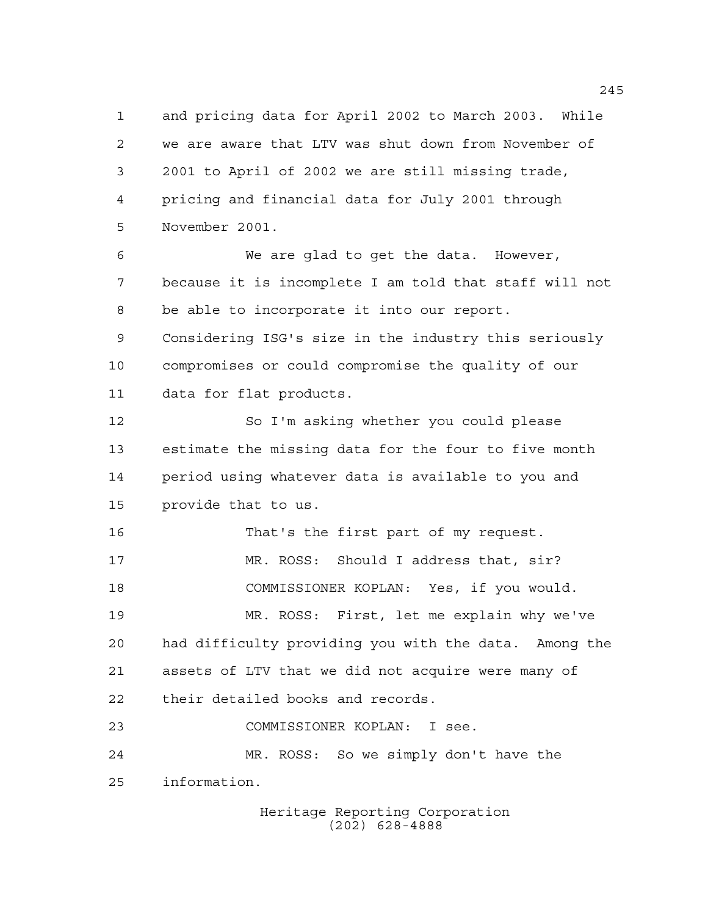and pricing data for April 2002 to March 2003. While we are aware that LTV was shut down from November of 2001 to April of 2002 we are still missing trade, pricing and financial data for July 2001 through November 2001.

 We are glad to get the data. However, because it is incomplete I am told that staff will not be able to incorporate it into our report. Considering ISG's size in the industry this seriously compromises or could compromise the quality of our data for flat products.

 So I'm asking whether you could please estimate the missing data for the four to five month period using whatever data is available to you and provide that to us.

 That's the first part of my request. 17 MR. ROSS: Should I address that, sir? COMMISSIONER KOPLAN: Yes, if you would. MR. ROSS: First, let me explain why we've had difficulty providing you with the data. Among the assets of LTV that we did not acquire were many of their detailed books and records. COMMISSIONER KOPLAN: I see.

 MR. ROSS: So we simply don't have the information.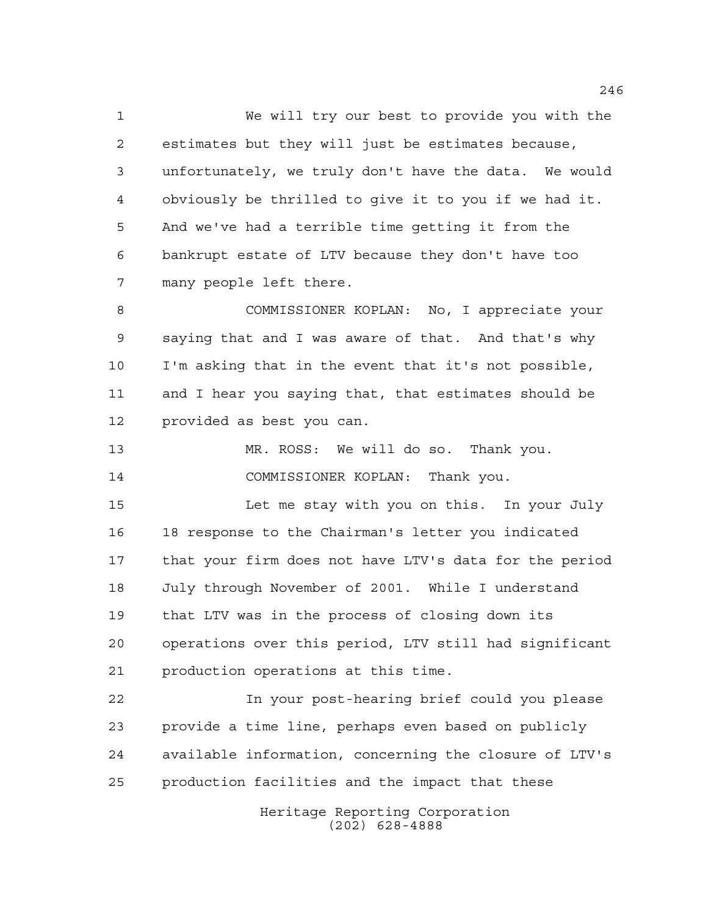We will try our best to provide you with the estimates but they will just be estimates because, unfortunately, we truly don't have the data. We would obviously be thrilled to give it to you if we had it. And we've had a terrible time getting it from the bankrupt estate of LTV because they don't have too many people left there.

 COMMISSIONER KOPLAN: No, I appreciate your saying that and I was aware of that. And that's why I'm asking that in the event that it's not possible, and I hear you saying that, that estimates should be provided as best you can.

 MR. ROSS: We will do so. Thank you. COMMISSIONER KOPLAN: Thank you.

 Let me stay with you on this. In your July 18 response to the Chairman's letter you indicated that your firm does not have LTV's data for the period July through November of 2001. While I understand that LTV was in the process of closing down its operations over this period, LTV still had significant production operations at this time.

 In your post-hearing brief could you please provide a time line, perhaps even based on publicly available information, concerning the closure of LTV's production facilities and the impact that these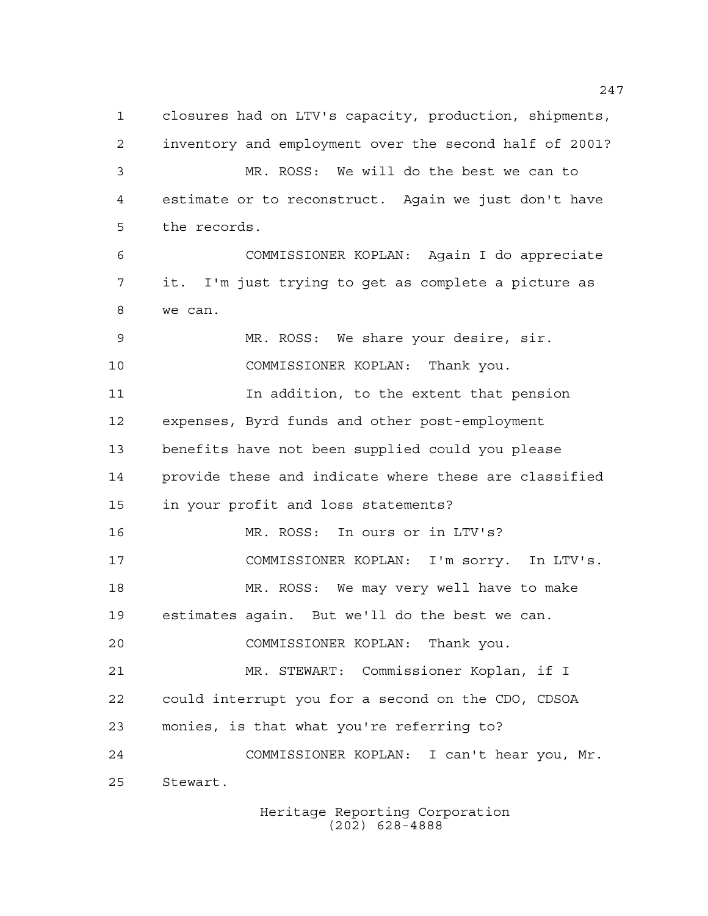closures had on LTV's capacity, production, shipments, inventory and employment over the second half of 2001? MR. ROSS: We will do the best we can to estimate or to reconstruct. Again we just don't have the records. COMMISSIONER KOPLAN: Again I do appreciate it. I'm just trying to get as complete a picture as we can. MR. ROSS: We share your desire, sir. COMMISSIONER KOPLAN: Thank you. In addition, to the extent that pension expenses, Byrd funds and other post-employment benefits have not been supplied could you please provide these and indicate where these are classified in your profit and loss statements? MR. ROSS: In ours or in LTV's? COMMISSIONER KOPLAN: I'm sorry. In LTV's. MR. ROSS: We may very well have to make estimates again. But we'll do the best we can. COMMISSIONER KOPLAN: Thank you. MR. STEWART: Commissioner Koplan, if I could interrupt you for a second on the CDO, CDSOA monies, is that what you're referring to? COMMISSIONER KOPLAN: I can't hear you, Mr. Stewart.

Heritage Reporting Corporation (202) 628-4888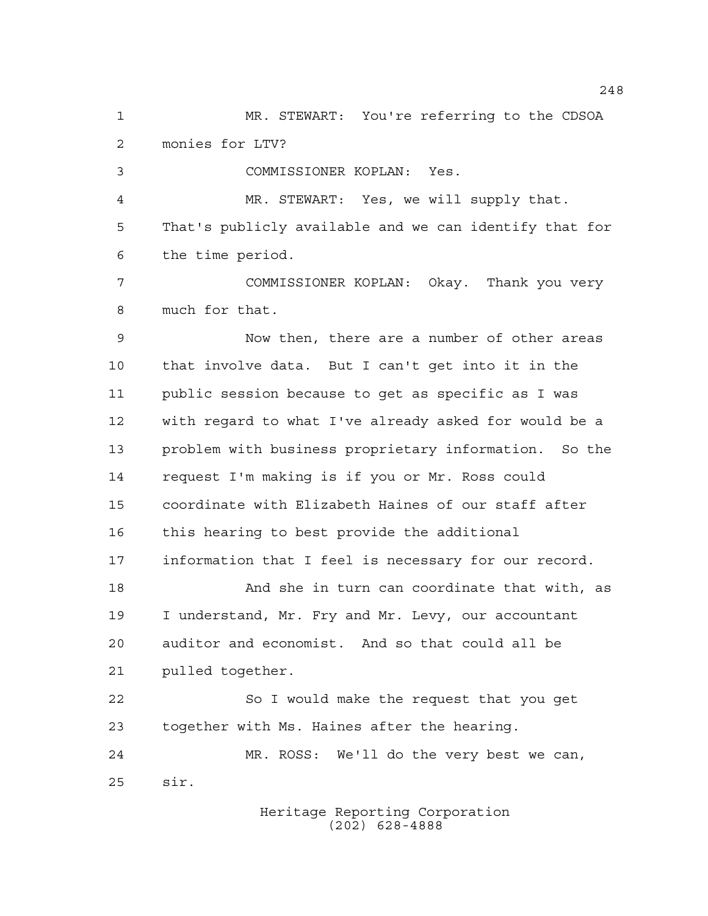MR. STEWART: You're referring to the CDSOA monies for LTV? COMMISSIONER KOPLAN: Yes. MR. STEWART: Yes, we will supply that. That's publicly available and we can identify that for the time period. COMMISSIONER KOPLAN: Okay. Thank you very much for that. Now then, there are a number of other areas that involve data. But I can't get into it in the public session because to get as specific as I was with regard to what I've already asked for would be a problem with business proprietary information. So the request I'm making is if you or Mr. Ross could coordinate with Elizabeth Haines of our staff after this hearing to best provide the additional information that I feel is necessary for our record. And she in turn can coordinate that with, as I understand, Mr. Fry and Mr. Levy, our accountant auditor and economist. And so that could all be pulled together. So I would make the request that you get together with Ms. Haines after the hearing. MR. ROSS: We'll do the very best we can, sir.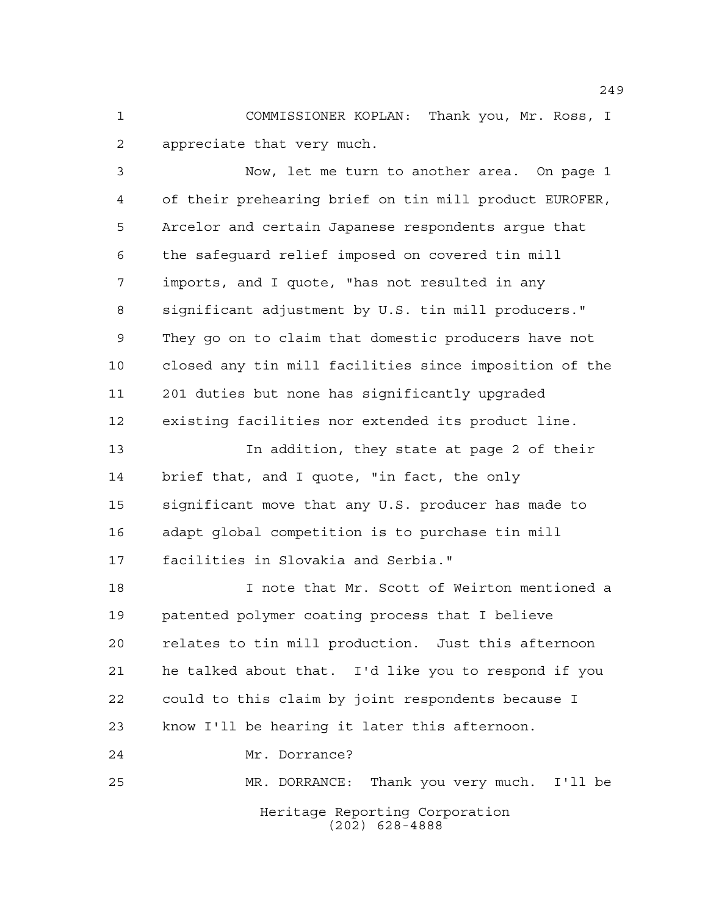COMMISSIONER KOPLAN: Thank you, Mr. Ross, I appreciate that very much.

 Now, let me turn to another area. On page 1 of their prehearing brief on tin mill product EUROFER, Arcelor and certain Japanese respondents argue that the safeguard relief imposed on covered tin mill imports, and I quote, "has not resulted in any significant adjustment by U.S. tin mill producers." They go on to claim that domestic producers have not closed any tin mill facilities since imposition of the 201 duties but none has significantly upgraded existing facilities nor extended its product line. In addition, they state at page 2 of their brief that, and I quote, "in fact, the only significant move that any U.S. producer has made to adapt global competition is to purchase tin mill facilities in Slovakia and Serbia." I note that Mr. Scott of Weirton mentioned a patented polymer coating process that I believe relates to tin mill production. Just this afternoon he talked about that. I'd like you to respond if you could to this claim by joint respondents because I

Mr. Dorrance?

Heritage Reporting Corporation (202) 628-4888 MR. DORRANCE: Thank you very much. I'll be

know I'll be hearing it later this afternoon.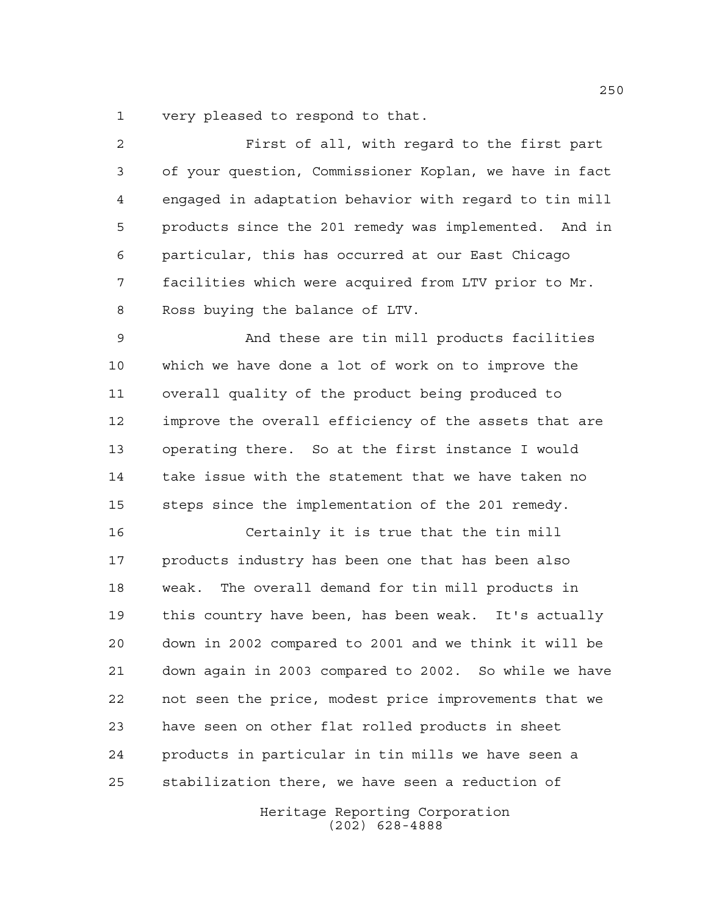very pleased to respond to that.

| $\overline{a}$ | First of all, with regard to the first part            |
|----------------|--------------------------------------------------------|
| 3              | of your question, Commissioner Koplan, we have in fact |
| 4              | engaged in adaptation behavior with regard to tin mill |
| 5              | products since the 201 remedy was implemented. And in  |
| 6              | particular, this has occurred at our East Chicago      |
| 7              | facilities which were acquired from LTV prior to Mr.   |
| 8              | Ross buying the balance of LTV.                        |
| $\mathsf 9$    | And these are tin mill products facilities             |
| 10             | which we have done a lot of work on to improve the     |
| 11             | overall quality of the product being produced to       |
| 12             | improve the overall efficiency of the assets that are  |
| 13             | operating there. So at the first instance I would      |
| 14             | take issue with the statement that we have taken no    |
| 15             | steps since the implementation of the 201 remedy.      |
| 16             | Certainly it is true that the tin mill                 |
| 17             | products industry has been one that has been also      |
| 18             | The overall demand for tin mill products in<br>weak.   |
| 19             | this country have been, has been weak. It's actually   |
| 20             | down in 2002 compared to 2001 and we think it will be  |
| 21             | down again in 2003 compared to 2002. So while we have  |
| 22             | not seen the price, modest price improvements that we  |
| 23             | have seen on other flat rolled products in sheet       |
| 24             | products in particular in tin mills we have seen a     |
|                |                                                        |

stabilization there, we have seen a reduction of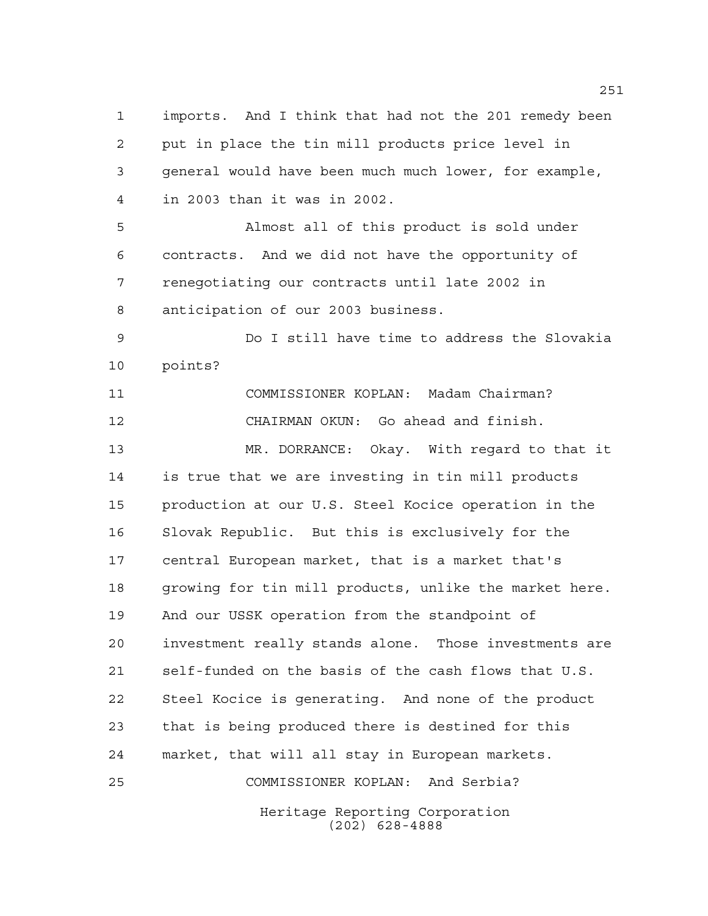imports. And I think that had not the 201 remedy been put in place the tin mill products price level in general would have been much much lower, for example, in 2003 than it was in 2002.

 Almost all of this product is sold under contracts. And we did not have the opportunity of renegotiating our contracts until late 2002 in anticipation of our 2003 business.

 Do I still have time to address the Slovakia points?

 COMMISSIONER KOPLAN: Madam Chairman? CHAIRMAN OKUN: Go ahead and finish. MR. DORRANCE: Okay. With regard to that it is true that we are investing in tin mill products production at our U.S. Steel Kocice operation in the Slovak Republic. But this is exclusively for the central European market, that is a market that's growing for tin mill products, unlike the market here. And our USSK operation from the standpoint of investment really stands alone. Those investments are self-funded on the basis of the cash flows that U.S. Steel Kocice is generating. And none of the product that is being produced there is destined for this market, that will all stay in European markets. COMMISSIONER KOPLAN: And Serbia?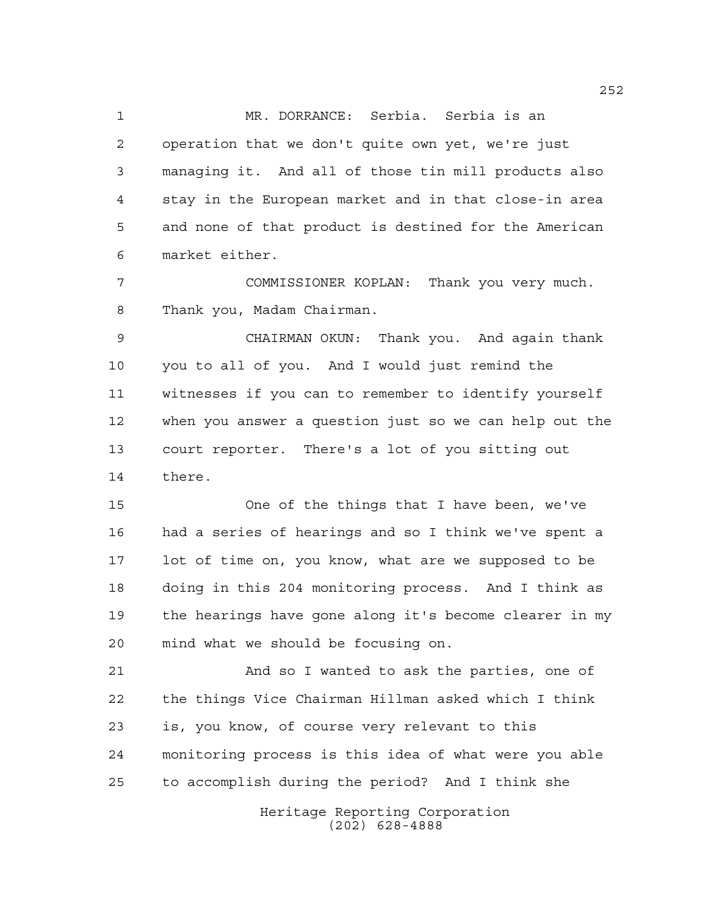MR. DORRANCE: Serbia. Serbia is an operation that we don't quite own yet, we're just managing it. And all of those tin mill products also stay in the European market and in that close-in area and none of that product is destined for the American market either.

 COMMISSIONER KOPLAN: Thank you very much. Thank you, Madam Chairman.

 CHAIRMAN OKUN: Thank you. And again thank you to all of you. And I would just remind the witnesses if you can to remember to identify yourself when you answer a question just so we can help out the court reporter. There's a lot of you sitting out there.

 One of the things that I have been, we've had a series of hearings and so I think we've spent a lot of time on, you know, what are we supposed to be doing in this 204 monitoring process. And I think as the hearings have gone along it's become clearer in my mind what we should be focusing on.

 And so I wanted to ask the parties, one of the things Vice Chairman Hillman asked which I think is, you know, of course very relevant to this monitoring process is this idea of what were you able to accomplish during the period? And I think she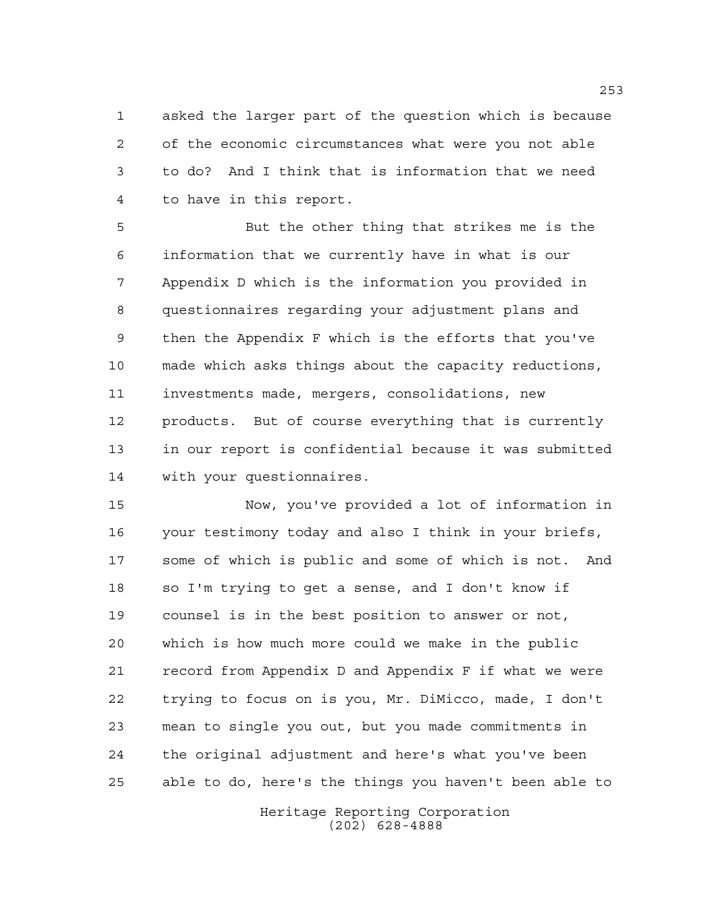asked the larger part of the question which is because of the economic circumstances what were you not able to do? And I think that is information that we need to have in this report.

 But the other thing that strikes me is the information that we currently have in what is our Appendix D which is the information you provided in questionnaires regarding your adjustment plans and then the Appendix F which is the efforts that you've made which asks things about the capacity reductions, investments made, mergers, consolidations, new products. But of course everything that is currently in our report is confidential because it was submitted with your questionnaires.

 Now, you've provided a lot of information in your testimony today and also I think in your briefs, some of which is public and some of which is not. And so I'm trying to get a sense, and I don't know if counsel is in the best position to answer or not, which is how much more could we make in the public record from Appendix D and Appendix F if what we were trying to focus on is you, Mr. DiMicco, made, I don't mean to single you out, but you made commitments in the original adjustment and here's what you've been able to do, here's the things you haven't been able to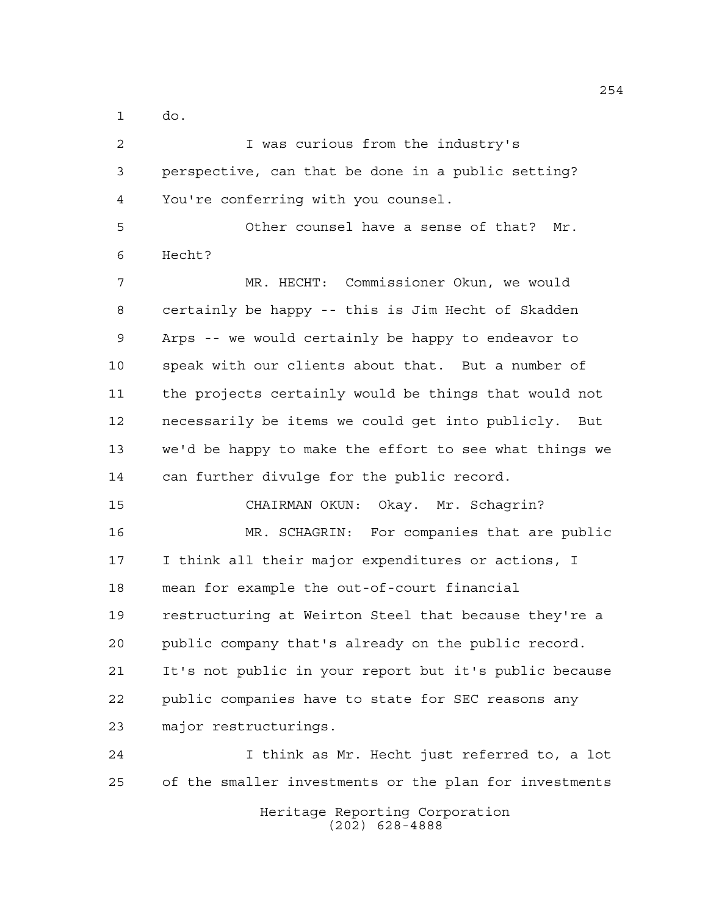do.

 I was curious from the industry's perspective, can that be done in a public setting? You're conferring with you counsel. Other counsel have a sense of that? Mr. Hecht? MR. HECHT: Commissioner Okun, we would certainly be happy -- this is Jim Hecht of Skadden Arps -- we would certainly be happy to endeavor to speak with our clients about that. But a number of the projects certainly would be things that would not necessarily be items we could get into publicly. But we'd be happy to make the effort to see what things we can further divulge for the public record. CHAIRMAN OKUN: Okay. Mr. Schagrin? MR. SCHAGRIN: For companies that are public I think all their major expenditures or actions, I mean for example the out-of-court financial restructuring at Weirton Steel that because they're a public company that's already on the public record. It's not public in your report but it's public because public companies have to state for SEC reasons any major restructurings. I think as Mr. Hecht just referred to, a lot of the smaller investments or the plan for investments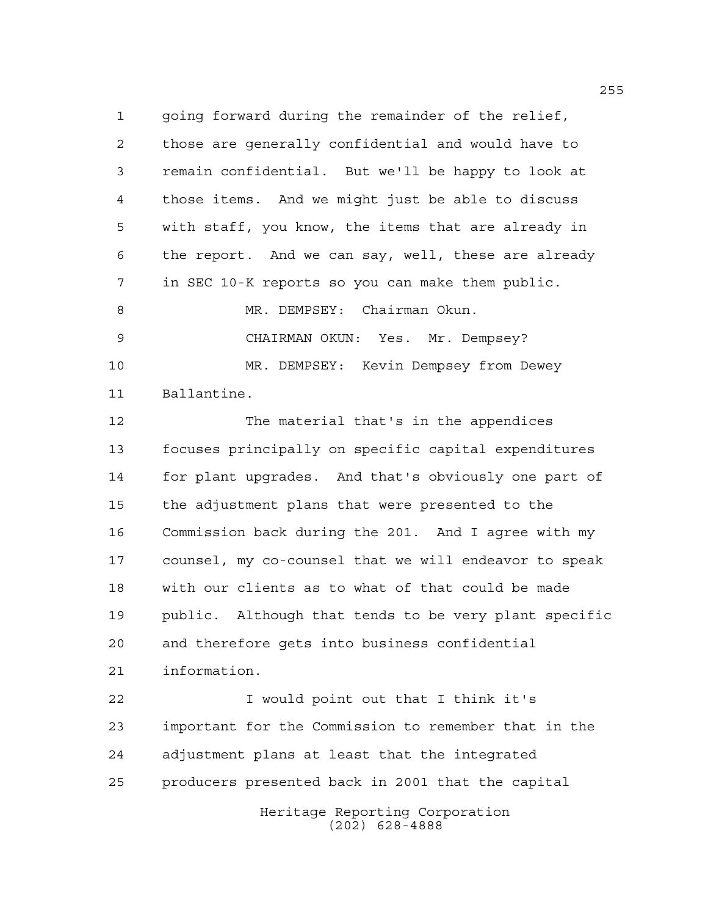going forward during the remainder of the relief, those are generally confidential and would have to remain confidential. But we'll be happy to look at those items. And we might just be able to discuss with staff, you know, the items that are already in the report. And we can say, well, these are already in SEC 10-K reports so you can make them public. 8 MR. DEMPSEY: Chairman Okun. CHAIRMAN OKUN: Yes. Mr. Dempsey? MR. DEMPSEY: Kevin Dempsey from Dewey Ballantine. The material that's in the appendices focuses principally on specific capital expenditures for plant upgrades. And that's obviously one part of the adjustment plans that were presented to the Commission back during the 201. And I agree with my counsel, my co-counsel that we will endeavor to speak

 and therefore gets into business confidential information. I would point out that I think it's

public. Although that tends to be very plant specific

with our clients as to what of that could be made

 important for the Commission to remember that in the adjustment plans at least that the integrated producers presented back in 2001 that the capital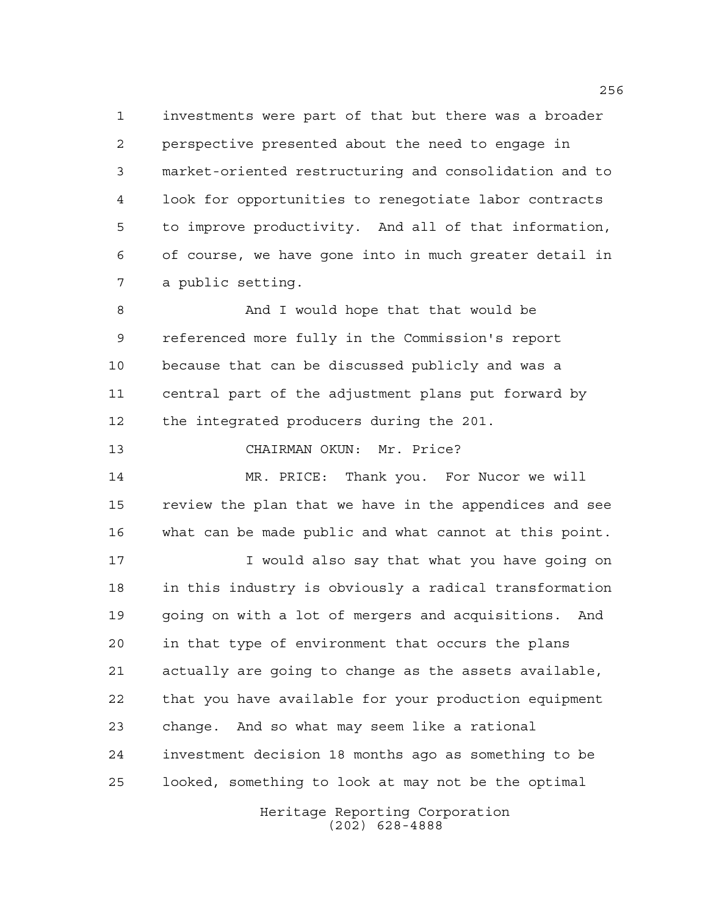investments were part of that but there was a broader perspective presented about the need to engage in market-oriented restructuring and consolidation and to look for opportunities to renegotiate labor contracts to improve productivity. And all of that information, of course, we have gone into in much greater detail in a public setting.

 And I would hope that that would be referenced more fully in the Commission's report because that can be discussed publicly and was a central part of the adjustment plans put forward by the integrated producers during the 201.

CHAIRMAN OKUN: Mr. Price?

 MR. PRICE: Thank you. For Nucor we will review the plan that we have in the appendices and see what can be made public and what cannot at this point.

 I would also say that what you have going on in this industry is obviously a radical transformation going on with a lot of mergers and acquisitions. And in that type of environment that occurs the plans actually are going to change as the assets available, that you have available for your production equipment change. And so what may seem like a rational investment decision 18 months ago as something to be looked, something to look at may not be the optimal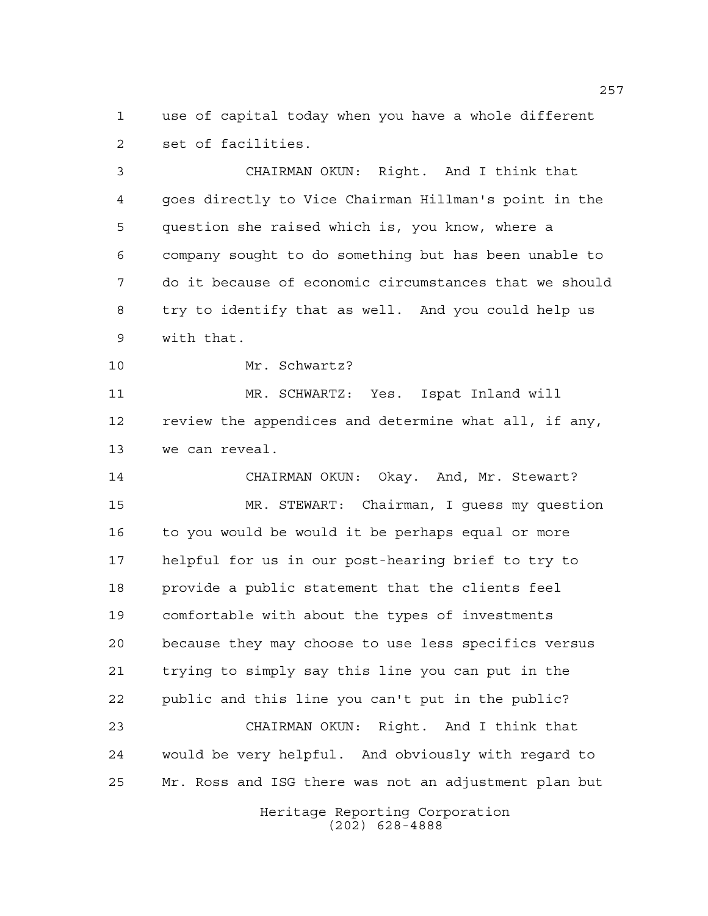use of capital today when you have a whole different set of facilities.

 CHAIRMAN OKUN: Right. And I think that goes directly to Vice Chairman Hillman's point in the question she raised which is, you know, where a company sought to do something but has been unable to do it because of economic circumstances that we should try to identify that as well. And you could help us with that.

Mr. Schwartz?

 MR. SCHWARTZ: Yes. Ispat Inland will review the appendices and determine what all, if any, we can reveal.

 CHAIRMAN OKUN: Okay. And, Mr. Stewart? MR. STEWART: Chairman, I guess my question to you would be would it be perhaps equal or more helpful for us in our post-hearing brief to try to provide a public statement that the clients feel comfortable with about the types of investments because they may choose to use less specifics versus trying to simply say this line you can put in the public and this line you can't put in the public? CHAIRMAN OKUN: Right. And I think that

 would be very helpful. And obviously with regard to Mr. Ross and ISG there was not an adjustment plan but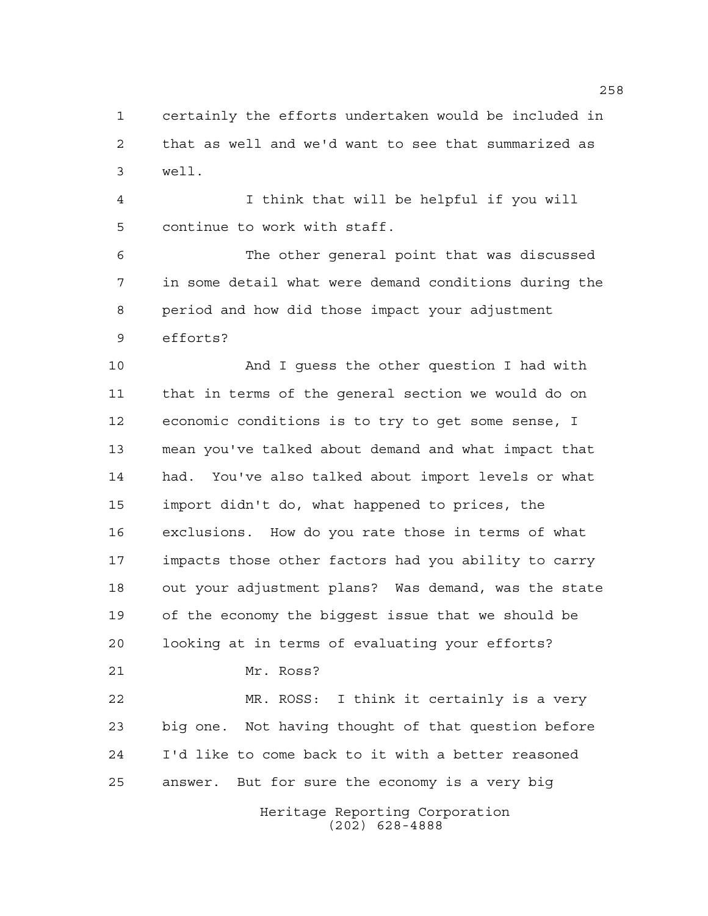certainly the efforts undertaken would be included in that as well and we'd want to see that summarized as well.

 I think that will be helpful if you will continue to work with staff.

 The other general point that was discussed in some detail what were demand conditions during the period and how did those impact your adjustment efforts?

 And I guess the other question I had with that in terms of the general section we would do on economic conditions is to try to get some sense, I mean you've talked about demand and what impact that had. You've also talked about import levels or what import didn't do, what happened to prices, the exclusions. How do you rate those in terms of what impacts those other factors had you ability to carry out your adjustment plans? Was demand, was the state of the economy the biggest issue that we should be looking at in terms of evaluating your efforts? Mr. Ross? MR. ROSS: I think it certainly is a very big one. Not having thought of that question before I'd like to come back to it with a better reasoned answer. But for sure the economy is a very big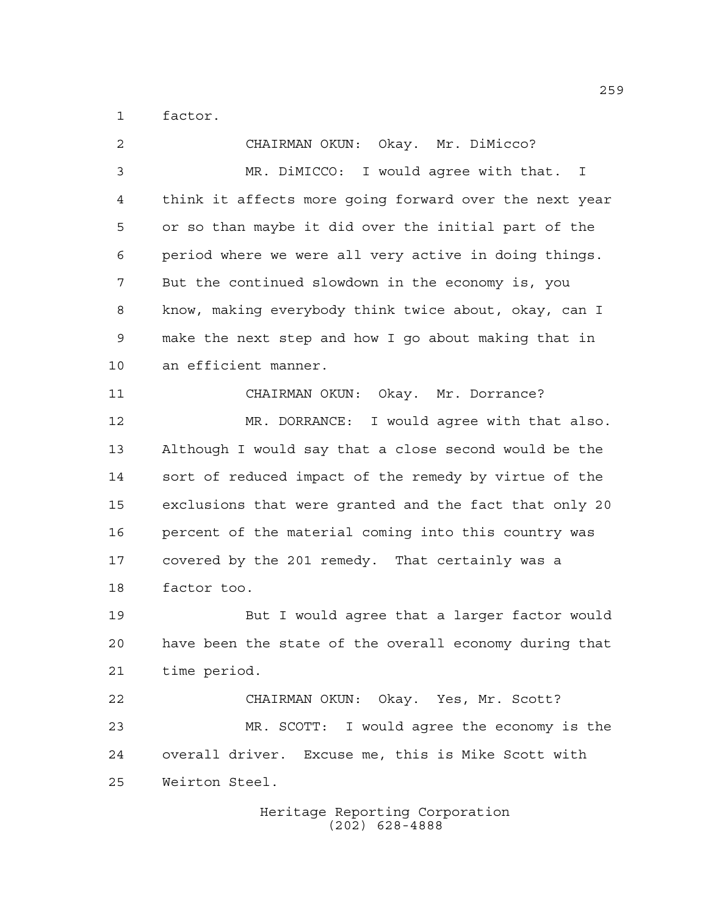factor.

 CHAIRMAN OKUN: Okay. Mr. DiMicco? MR. DiMICCO: I would agree with that. I think it affects more going forward over the next year or so than maybe it did over the initial part of the period where we were all very active in doing things. But the continued slowdown in the economy is, you know, making everybody think twice about, okay, can I make the next step and how I go about making that in an efficient manner. CHAIRMAN OKUN: Okay. Mr. Dorrance? MR. DORRANCE: I would agree with that also. Although I would say that a close second would be the sort of reduced impact of the remedy by virtue of the exclusions that were granted and the fact that only 20 percent of the material coming into this country was covered by the 201 remedy. That certainly was a factor too. But I would agree that a larger factor would have been the state of the overall economy during that time period. CHAIRMAN OKUN: Okay. Yes, Mr. Scott? MR. SCOTT: I would agree the economy is the overall driver. Excuse me, this is Mike Scott with Weirton Steel.

Heritage Reporting Corporation (202) 628-4888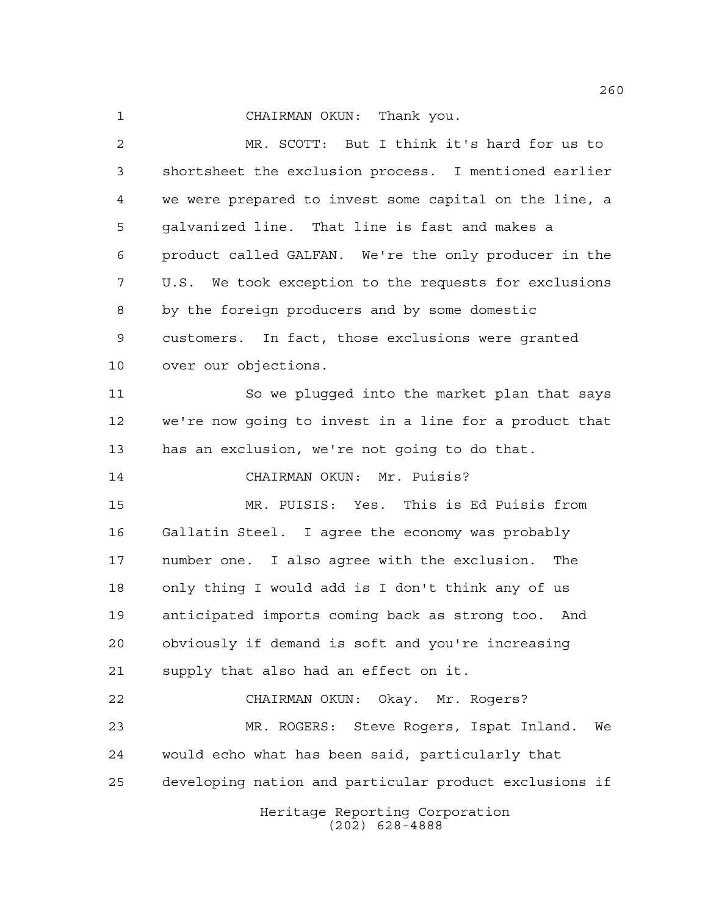## CHAIRMAN OKUN: Thank you.

Heritage Reporting Corporation MR. SCOTT: But I think it's hard for us to shortsheet the exclusion process. I mentioned earlier we were prepared to invest some capital on the line, a galvanized line. That line is fast and makes a product called GALFAN. We're the only producer in the U.S. We took exception to the requests for exclusions by the foreign producers and by some domestic customers. In fact, those exclusions were granted over our objections. So we plugged into the market plan that says we're now going to invest in a line for a product that has an exclusion, we're not going to do that. CHAIRMAN OKUN: Mr. Puisis? MR. PUISIS: Yes. This is Ed Puisis from Gallatin Steel. I agree the economy was probably number one. I also agree with the exclusion. The only thing I would add is I don't think any of us anticipated imports coming back as strong too. And obviously if demand is soft and you're increasing supply that also had an effect on it. CHAIRMAN OKUN: Okay. Mr. Rogers? MR. ROGERS: Steve Rogers, Ispat Inland. We would echo what has been said, particularly that developing nation and particular product exclusions if

(202) 628-4888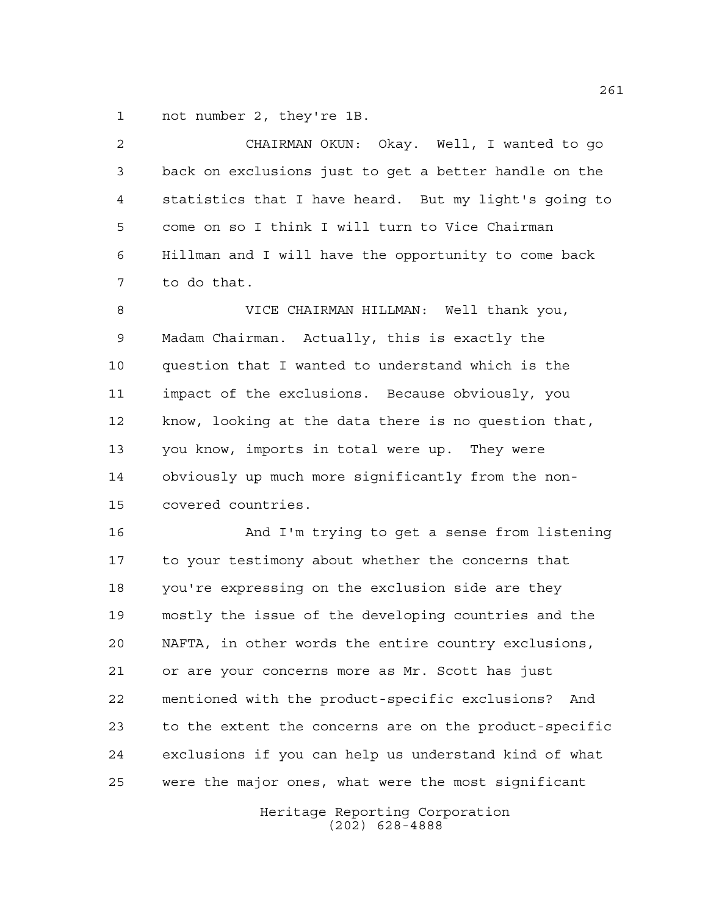not number 2, they're 1B.

| $\overline{2}$ | CHAIRMAN OKUN: Okay. Well, I wanted to go             |
|----------------|-------------------------------------------------------|
| 3              | back on exclusions just to get a better handle on the |
| $\overline{4}$ | statistics that I have heard. But my light's going to |
| 5              | come on so I think I will turn to Vice Chairman       |
| 6              | Hillman and I will have the opportunity to come back  |
| 7              | to do that.                                           |
| 8              | VICE CHAIRMAN HILLMAN: Well thank you,                |
| 9              | Madam Chairman. Actually, this is exactly the         |
| 10             | question that I wanted to understand which is the     |
| 11             | impact of the exclusions. Because obviously, you      |
| 12             | know, looking at the data there is no question that,  |
| 13             | you know, imports in total were up. They were         |
| 14             | obviously up much more significantly from the non-    |
| 15             | covered countries.                                    |
| 16             | And I'm trying to get a sense from listening          |

 And I'm trying to get a sense from listening to your testimony about whether the concerns that you're expressing on the exclusion side are they mostly the issue of the developing countries and the NAFTA, in other words the entire country exclusions, or are your concerns more as Mr. Scott has just mentioned with the product-specific exclusions? And to the extent the concerns are on the product-specific exclusions if you can help us understand kind of what were the major ones, what were the most significant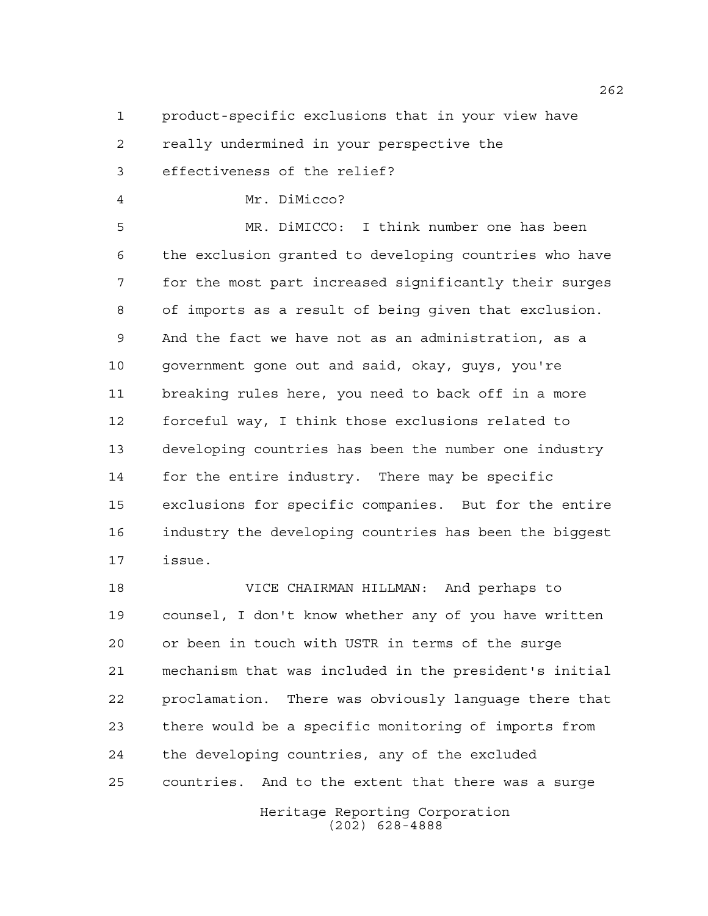product-specific exclusions that in your view have

really undermined in your perspective the

effectiveness of the relief?

Mr. DiMicco?

 MR. DiMICCO: I think number one has been the exclusion granted to developing countries who have for the most part increased significantly their surges of imports as a result of being given that exclusion. And the fact we have not as an administration, as a government gone out and said, okay, guys, you're breaking rules here, you need to back off in a more forceful way, I think those exclusions related to developing countries has been the number one industry for the entire industry. There may be specific exclusions for specific companies. But for the entire industry the developing countries has been the biggest issue.

 VICE CHAIRMAN HILLMAN: And perhaps to counsel, I don't know whether any of you have written or been in touch with USTR in terms of the surge mechanism that was included in the president's initial proclamation. There was obviously language there that there would be a specific monitoring of imports from the developing countries, any of the excluded countries. And to the extent that there was a surge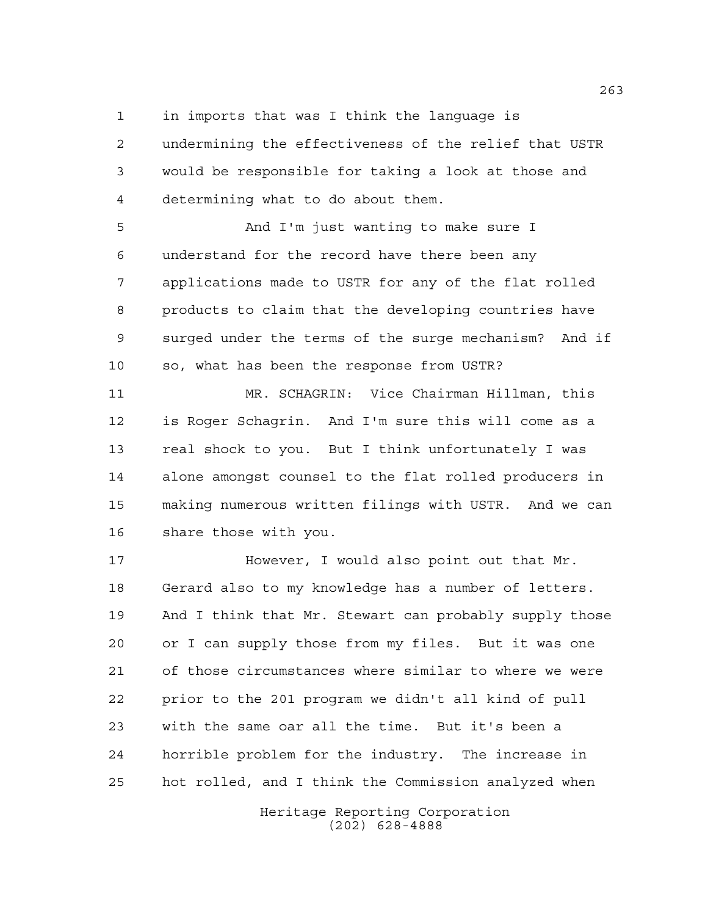in imports that was I think the language is

 undermining the effectiveness of the relief that USTR would be responsible for taking a look at those and determining what to do about them.

 And I'm just wanting to make sure I understand for the record have there been any applications made to USTR for any of the flat rolled products to claim that the developing countries have surged under the terms of the surge mechanism? And if so, what has been the response from USTR?

 MR. SCHAGRIN: Vice Chairman Hillman, this is Roger Schagrin. And I'm sure this will come as a real shock to you. But I think unfortunately I was alone amongst counsel to the flat rolled producers in making numerous written filings with USTR. And we can share those with you.

**However, I would also point out that Mr.**  Gerard also to my knowledge has a number of letters. And I think that Mr. Stewart can probably supply those or I can supply those from my files. But it was one of those circumstances where similar to where we were prior to the 201 program we didn't all kind of pull with the same oar all the time. But it's been a horrible problem for the industry. The increase in hot rolled, and I think the Commission analyzed when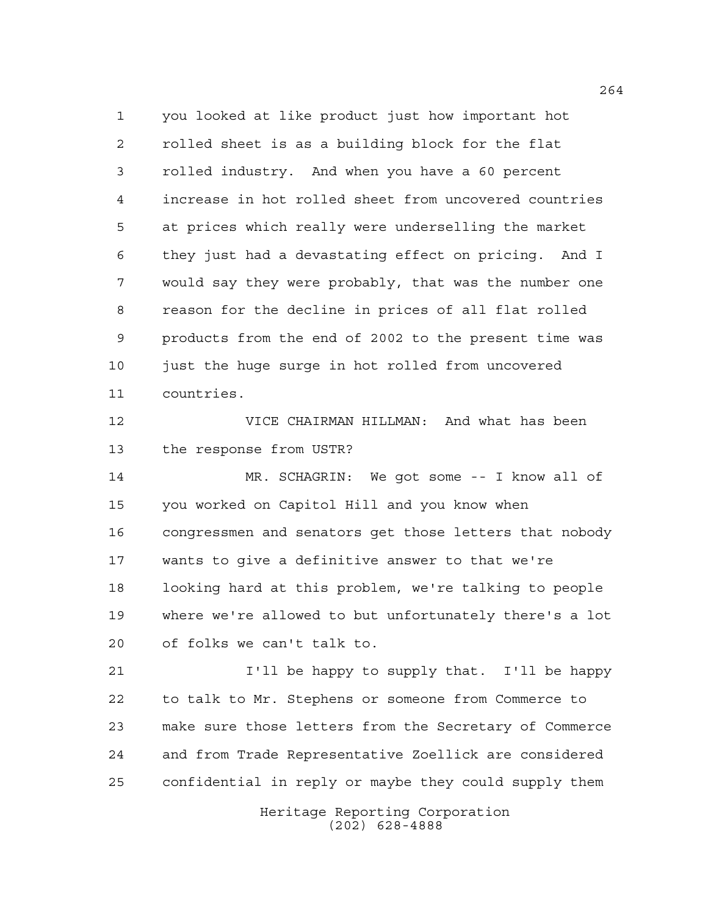you looked at like product just how important hot rolled sheet is as a building block for the flat rolled industry. And when you have a 60 percent increase in hot rolled sheet from uncovered countries at prices which really were underselling the market they just had a devastating effect on pricing. And I would say they were probably, that was the number one reason for the decline in prices of all flat rolled products from the end of 2002 to the present time was just the huge surge in hot rolled from uncovered countries.

 VICE CHAIRMAN HILLMAN: And what has been the response from USTR?

 MR. SCHAGRIN: We got some -- I know all of you worked on Capitol Hill and you know when congressmen and senators get those letters that nobody wants to give a definitive answer to that we're looking hard at this problem, we're talking to people where we're allowed to but unfortunately there's a lot of folks we can't talk to.

 I'll be happy to supply that. I'll be happy to talk to Mr. Stephens or someone from Commerce to make sure those letters from the Secretary of Commerce and from Trade Representative Zoellick are considered confidential in reply or maybe they could supply them

> Heritage Reporting Corporation (202) 628-4888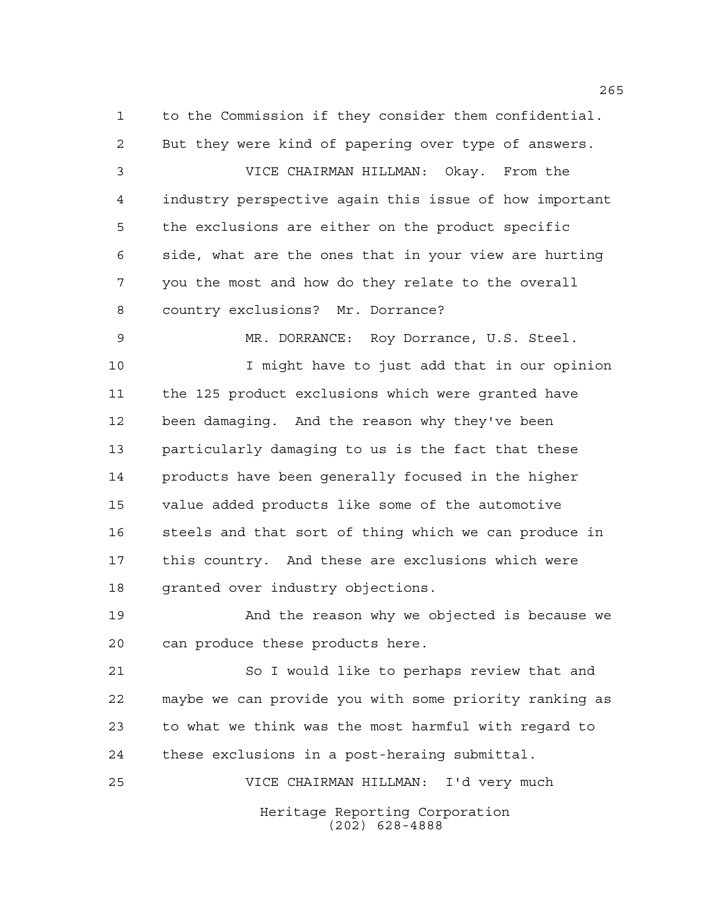to the Commission if they consider them confidential. But they were kind of papering over type of answers. VICE CHAIRMAN HILLMAN: Okay. From the industry perspective again this issue of how important the exclusions are either on the product specific side, what are the ones that in your view are hurting you the most and how do they relate to the overall country exclusions? Mr. Dorrance? MR. DORRANCE: Roy Dorrance, U.S. Steel. I might have to just add that in our opinion the 125 product exclusions which were granted have been damaging. And the reason why they've been particularly damaging to us is the fact that these products have been generally focused in the higher value added products like some of the automotive 16 steels and that sort of thing which we can produce in this country. And these are exclusions which were granted over industry objections.

 And the reason why we objected is because we can produce these products here.

 So I would like to perhaps review that and maybe we can provide you with some priority ranking as to what we think was the most harmful with regard to these exclusions in a post-heraing submittal.

VICE CHAIRMAN HILLMAN: I'd very much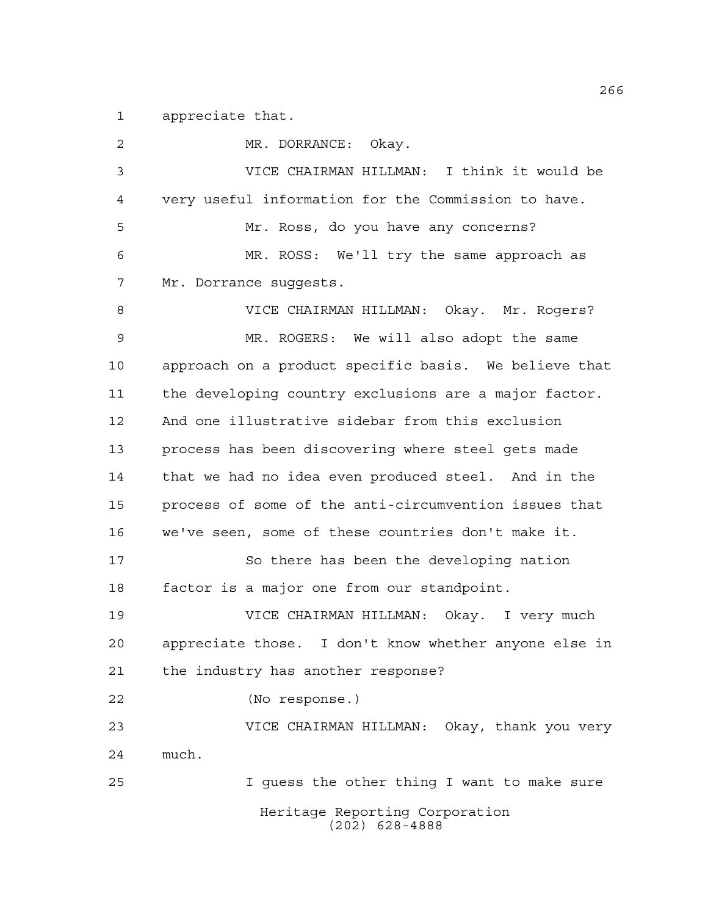appreciate that.

Heritage Reporting Corporation (202) 628-4888 MR. DORRANCE: Okay. VICE CHAIRMAN HILLMAN: I think it would be very useful information for the Commission to have. Mr. Ross, do you have any concerns? MR. ROSS: We'll try the same approach as Mr. Dorrance suggests. VICE CHAIRMAN HILLMAN: Okay. Mr. Rogers? MR. ROGERS: We will also adopt the same approach on a product specific basis. We believe that the developing country exclusions are a major factor. And one illustrative sidebar from this exclusion process has been discovering where steel gets made that we had no idea even produced steel. And in the process of some of the anti-circumvention issues that we've seen, some of these countries don't make it. 17 So there has been the developing nation factor is a major one from our standpoint. VICE CHAIRMAN HILLMAN: Okay. I very much appreciate those. I don't know whether anyone else in the industry has another response? (No response.) VICE CHAIRMAN HILLMAN: Okay, thank you very much. I guess the other thing I want to make sure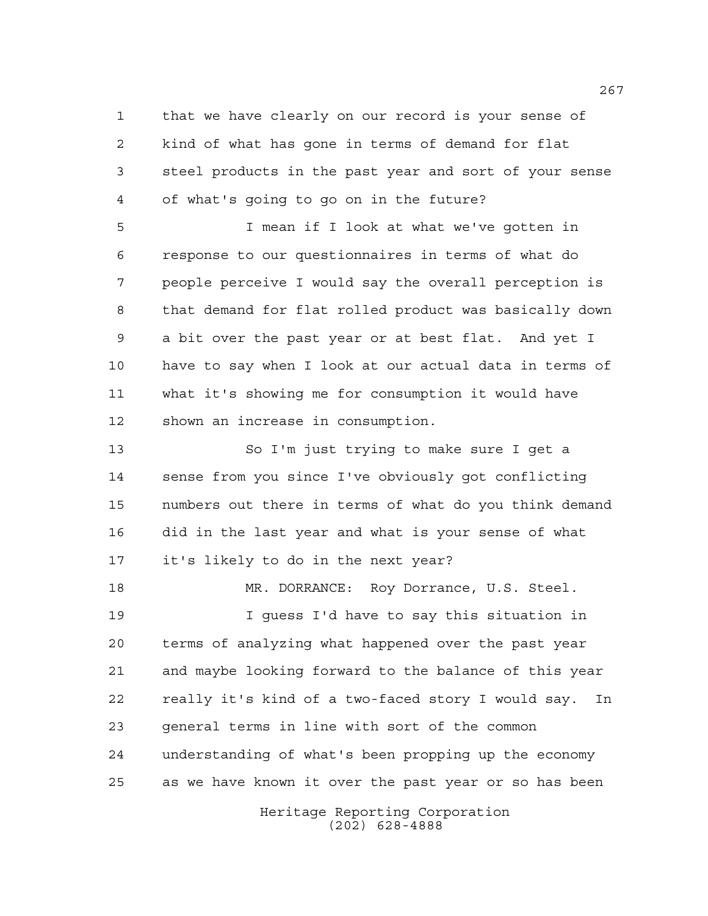that we have clearly on our record is your sense of kind of what has gone in terms of demand for flat steel products in the past year and sort of your sense of what's going to go on in the future?

 I mean if I look at what we've gotten in response to our questionnaires in terms of what do people perceive I would say the overall perception is that demand for flat rolled product was basically down a bit over the past year or at best flat. And yet I have to say when I look at our actual data in terms of what it's showing me for consumption it would have shown an increase in consumption.

 So I'm just trying to make sure I get a sense from you since I've obviously got conflicting numbers out there in terms of what do you think demand did in the last year and what is your sense of what it's likely to do in the next year?

 MR. DORRANCE: Roy Dorrance, U.S. Steel. I guess I'd have to say this situation in terms of analyzing what happened over the past year and maybe looking forward to the balance of this year really it's kind of a two-faced story I would say. In general terms in line with sort of the common understanding of what's been propping up the economy as we have known it over the past year or so has been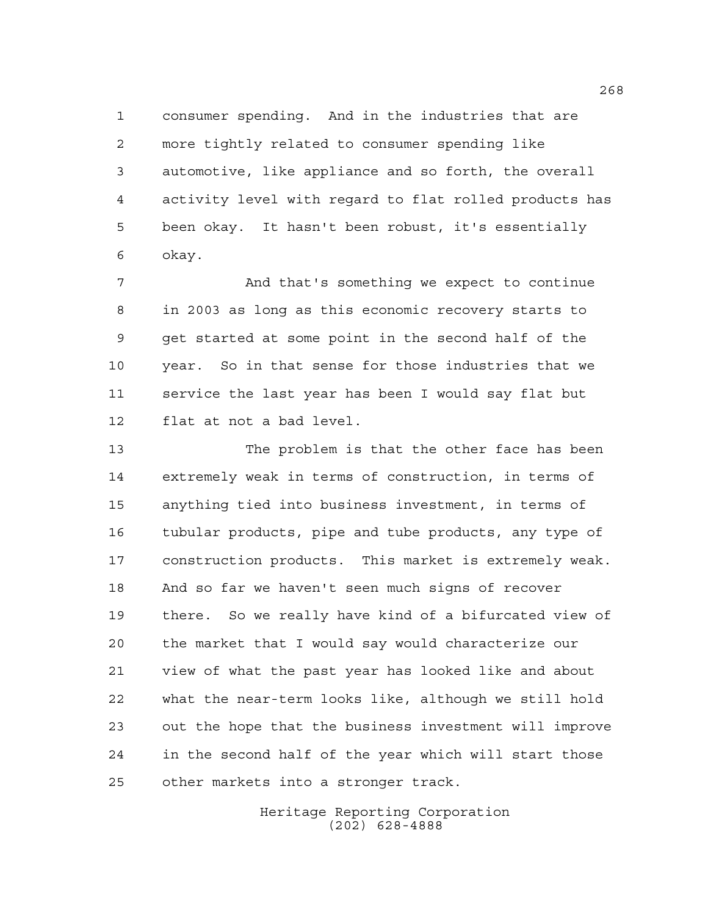consumer spending. And in the industries that are more tightly related to consumer spending like automotive, like appliance and so forth, the overall activity level with regard to flat rolled products has been okay. It hasn't been robust, it's essentially okay.

 And that's something we expect to continue in 2003 as long as this economic recovery starts to get started at some point in the second half of the year. So in that sense for those industries that we service the last year has been I would say flat but flat at not a bad level.

 The problem is that the other face has been extremely weak in terms of construction, in terms of anything tied into business investment, in terms of tubular products, pipe and tube products, any type of construction products. This market is extremely weak. And so far we haven't seen much signs of recover there. So we really have kind of a bifurcated view of the market that I would say would characterize our view of what the past year has looked like and about what the near-term looks like, although we still hold out the hope that the business investment will improve in the second half of the year which will start those other markets into a stronger track.

> Heritage Reporting Corporation (202) 628-4888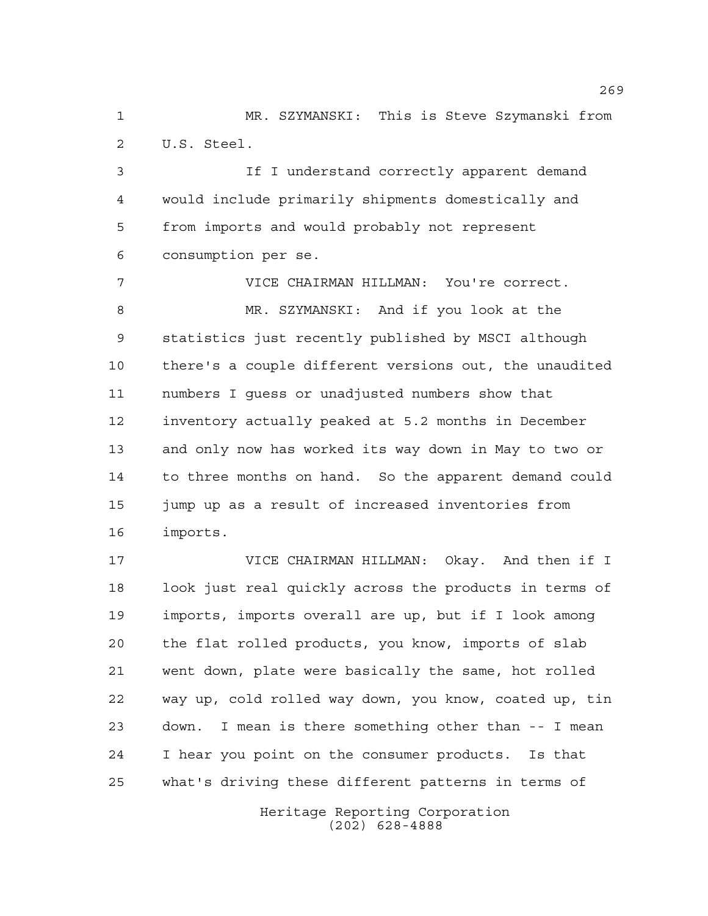MR. SZYMANSKI: This is Steve Szymanski from U.S. Steel.

 If I understand correctly apparent demand would include primarily shipments domestically and from imports and would probably not represent consumption per se.

 VICE CHAIRMAN HILLMAN: You're correct. MR. SZYMANSKI: And if you look at the statistics just recently published by MSCI although there's a couple different versions out, the unaudited numbers I guess or unadjusted numbers show that inventory actually peaked at 5.2 months in December and only now has worked its way down in May to two or to three months on hand. So the apparent demand could jump up as a result of increased inventories from imports.

 VICE CHAIRMAN HILLMAN: Okay. And then if I 18 look just real quickly across the products in terms of imports, imports overall are up, but if I look among the flat rolled products, you know, imports of slab went down, plate were basically the same, hot rolled way up, cold rolled way down, you know, coated up, tin down. I mean is there something other than -- I mean I hear you point on the consumer products. Is that what's driving these different patterns in terms of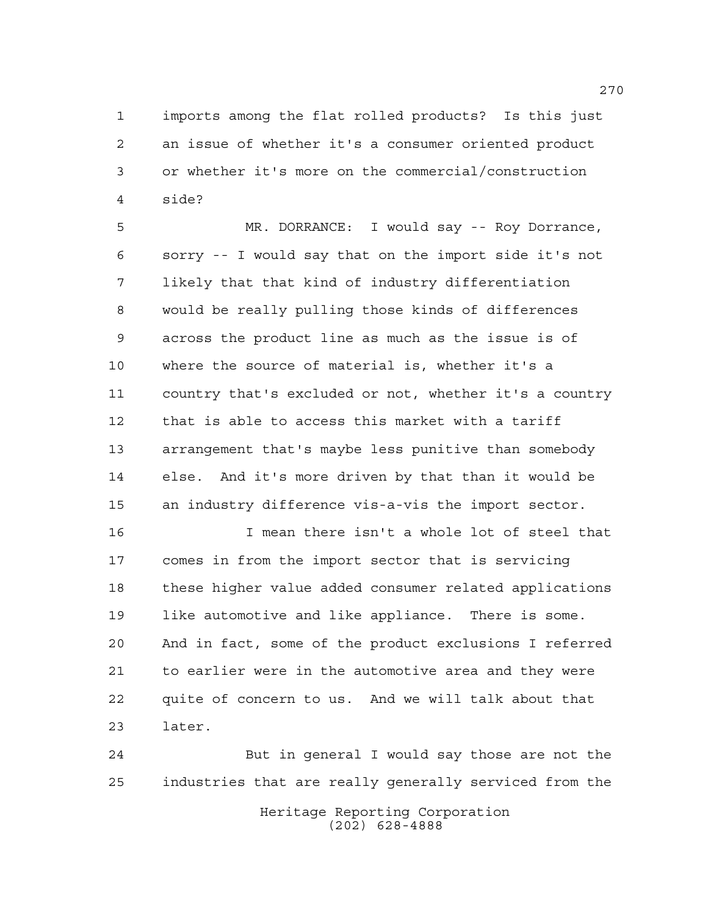imports among the flat rolled products? Is this just an issue of whether it's a consumer oriented product or whether it's more on the commercial/construction side?

 MR. DORRANCE: I would say -- Roy Dorrance, sorry -- I would say that on the import side it's not likely that that kind of industry differentiation would be really pulling those kinds of differences across the product line as much as the issue is of where the source of material is, whether it's a country that's excluded or not, whether it's a country that is able to access this market with a tariff arrangement that's maybe less punitive than somebody else. And it's more driven by that than it would be an industry difference vis-a-vis the import sector.

 I mean there isn't a whole lot of steel that comes in from the import sector that is servicing these higher value added consumer related applications like automotive and like appliance. There is some. And in fact, some of the product exclusions I referred to earlier were in the automotive area and they were quite of concern to us. And we will talk about that later.

 But in general I would say those are not the industries that are really generally serviced from the

> Heritage Reporting Corporation (202) 628-4888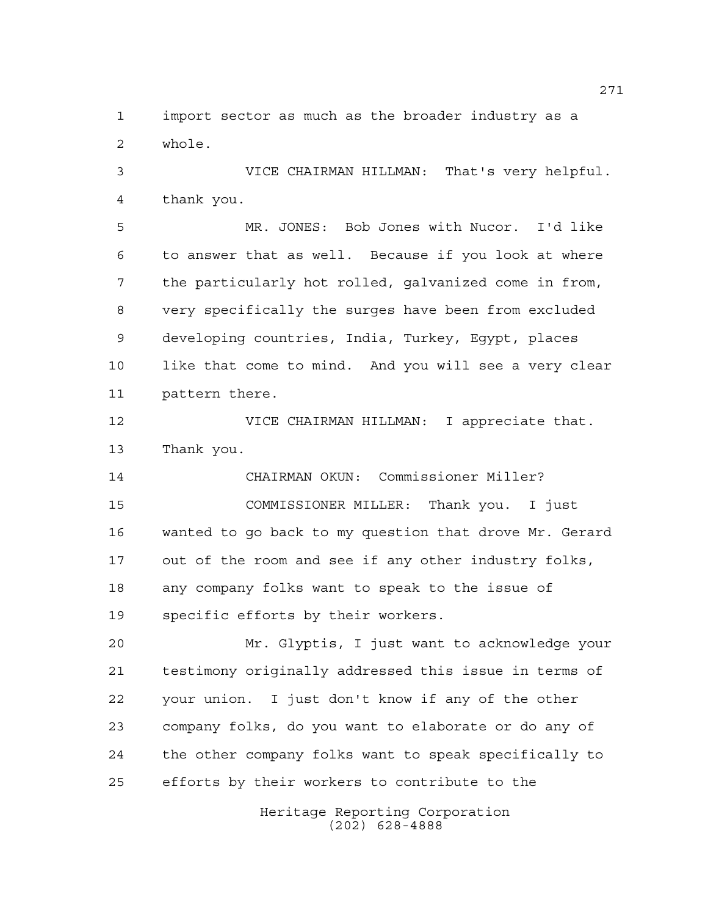import sector as much as the broader industry as a whole.

 VICE CHAIRMAN HILLMAN: That's very helpful. thank you.

 MR. JONES: Bob Jones with Nucor. I'd like to answer that as well. Because if you look at where the particularly hot rolled, galvanized come in from, very specifically the surges have been from excluded developing countries, India, Turkey, Egypt, places like that come to mind. And you will see a very clear pattern there.

 VICE CHAIRMAN HILLMAN: I appreciate that. Thank you.

 CHAIRMAN OKUN: Commissioner Miller? COMMISSIONER MILLER: Thank you. I just wanted to go back to my question that drove Mr. Gerard out of the room and see if any other industry folks, any company folks want to speak to the issue of specific efforts by their workers.

 Mr. Glyptis, I just want to acknowledge your testimony originally addressed this issue in terms of your union. I just don't know if any of the other company folks, do you want to elaborate or do any of the other company folks want to speak specifically to efforts by their workers to contribute to the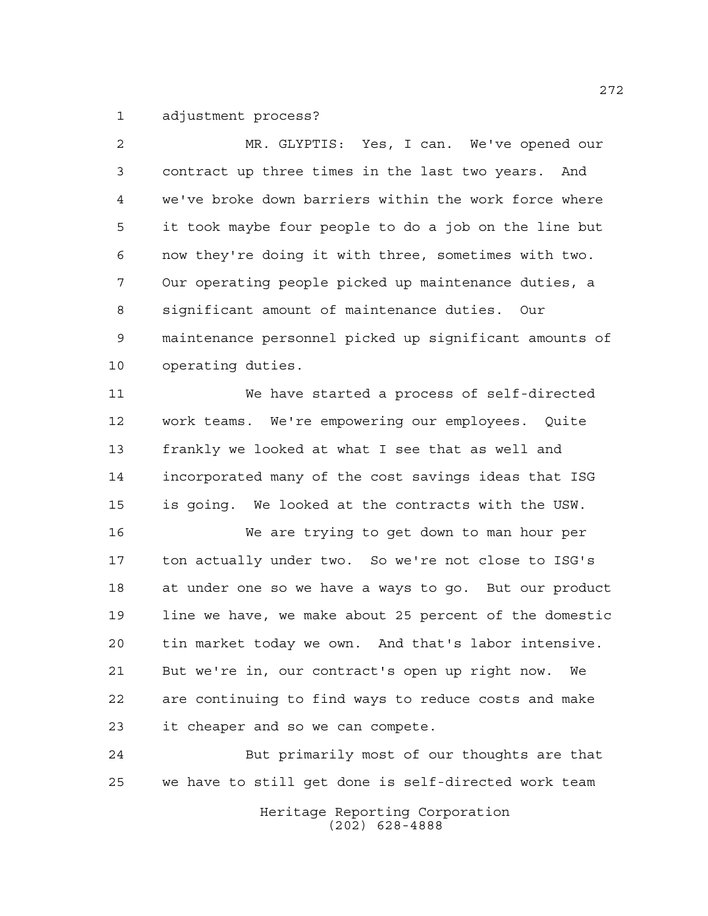adjustment process?

 MR. GLYPTIS: Yes, I can. We've opened our contract up three times in the last two years. And we've broke down barriers within the work force where it took maybe four people to do a job on the line but now they're doing it with three, sometimes with two. Our operating people picked up maintenance duties, a significant amount of maintenance duties. Our maintenance personnel picked up significant amounts of operating duties. We have started a process of self-directed work teams. We're empowering our employees. Quite frankly we looked at what I see that as well and incorporated many of the cost savings ideas that ISG is going. We looked at the contracts with the USW. We are trying to get down to man hour per ton actually under two. So we're not close to ISG's at under one so we have a ways to go. But our product

 line we have, we make about 25 percent of the domestic tin market today we own. And that's labor intensive. But we're in, our contract's open up right now. We are continuing to find ways to reduce costs and make it cheaper and so we can compete.

 But primarily most of our thoughts are that we have to still get done is self-directed work team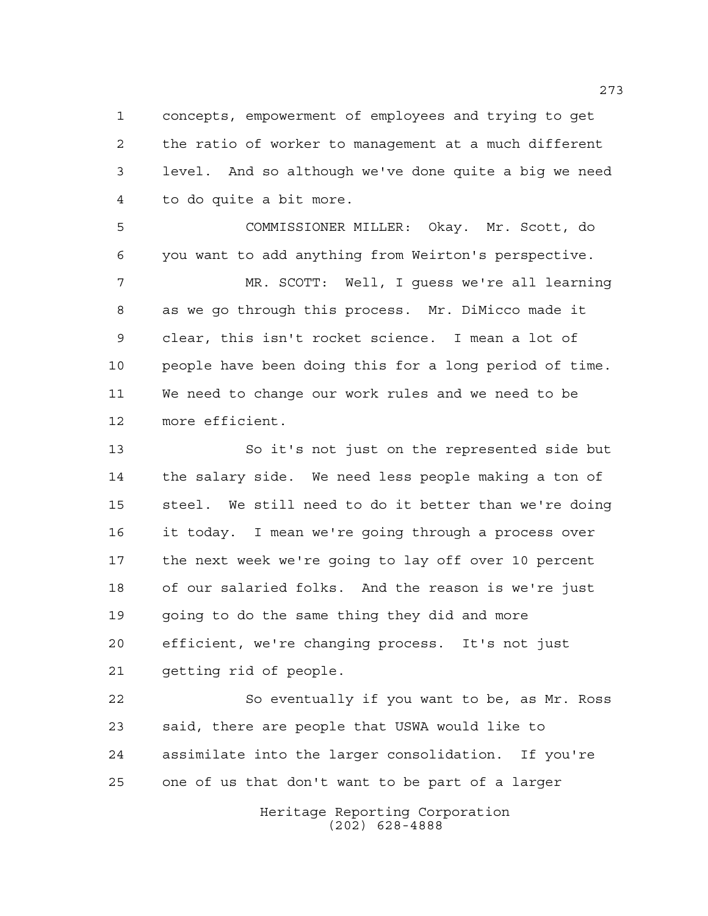concepts, empowerment of employees and trying to get the ratio of worker to management at a much different level. And so although we've done quite a big we need to do quite a bit more.

 COMMISSIONER MILLER: Okay. Mr. Scott, do you want to add anything from Weirton's perspective.

 MR. SCOTT: Well, I guess we're all learning as we go through this process. Mr. DiMicco made it clear, this isn't rocket science. I mean a lot of people have been doing this for a long period of time. We need to change our work rules and we need to be more efficient.

 So it's not just on the represented side but the salary side. We need less people making a ton of steel. We still need to do it better than we're doing it today. I mean we're going through a process over the next week we're going to lay off over 10 percent of our salaried folks. And the reason is we're just going to do the same thing they did and more efficient, we're changing process. It's not just getting rid of people.

 So eventually if you want to be, as Mr. Ross said, there are people that USWA would like to assimilate into the larger consolidation. If you're one of us that don't want to be part of a larger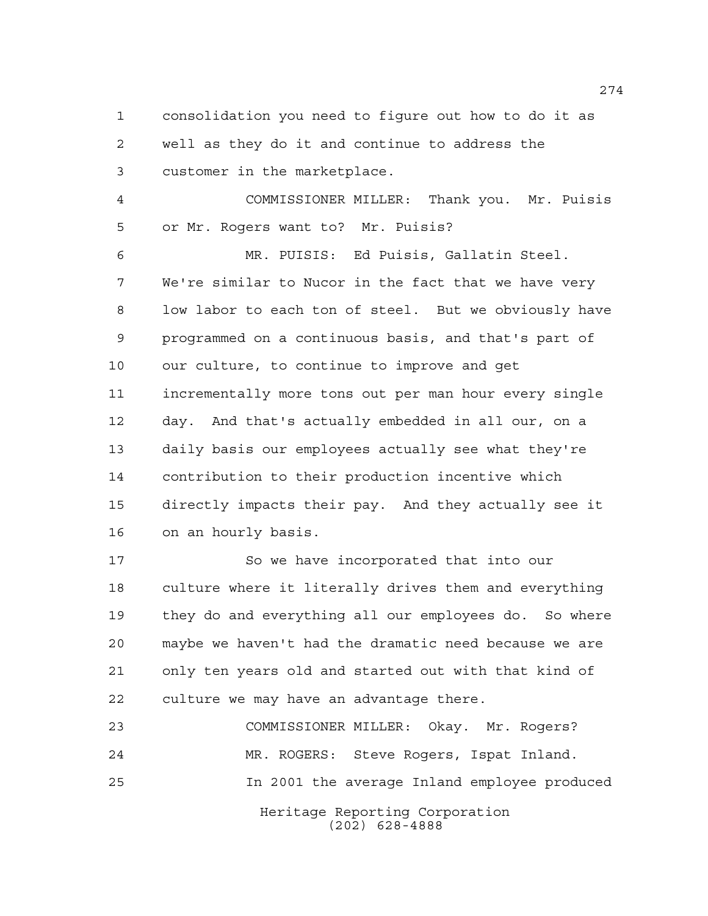consolidation you need to figure out how to do it as well as they do it and continue to address the customer in the marketplace.

 COMMISSIONER MILLER: Thank you. Mr. Puisis or Mr. Rogers want to? Mr. Puisis?

 MR. PUISIS: Ed Puisis, Gallatin Steel. We're similar to Nucor in the fact that we have very low labor to each ton of steel. But we obviously have programmed on a continuous basis, and that's part of our culture, to continue to improve and get incrementally more tons out per man hour every single day. And that's actually embedded in all our, on a daily basis our employees actually see what they're contribution to their production incentive which directly impacts their pay. And they actually see it on an hourly basis.

 So we have incorporated that into our culture where it literally drives them and everything they do and everything all our employees do. So where maybe we haven't had the dramatic need because we are only ten years old and started out with that kind of culture we may have an advantage there.

Heritage Reporting Corporation (202) 628-4888 COMMISSIONER MILLER: Okay. Mr. Rogers? MR. ROGERS: Steve Rogers, Ispat Inland. In 2001 the average Inland employee produced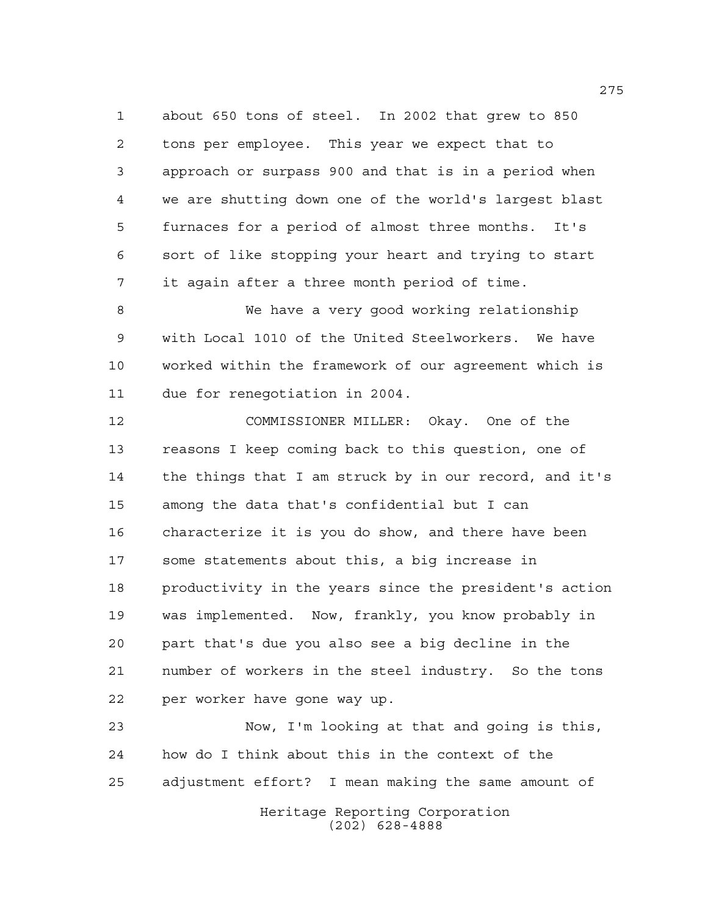about 650 tons of steel. In 2002 that grew to 850 tons per employee. This year we expect that to approach or surpass 900 and that is in a period when we are shutting down one of the world's largest blast furnaces for a period of almost three months. It's sort of like stopping your heart and trying to start it again after a three month period of time.

 We have a very good working relationship with Local 1010 of the United Steelworkers. We have worked within the framework of our agreement which is due for renegotiation in 2004.

 COMMISSIONER MILLER: Okay. One of the reasons I keep coming back to this question, one of the things that I am struck by in our record, and it's among the data that's confidential but I can characterize it is you do show, and there have been some statements about this, a big increase in productivity in the years since the president's action was implemented. Now, frankly, you know probably in part that's due you also see a big decline in the number of workers in the steel industry. So the tons per worker have gone way up.

 Now, I'm looking at that and going is this, how do I think about this in the context of the adjustment effort? I mean making the same amount of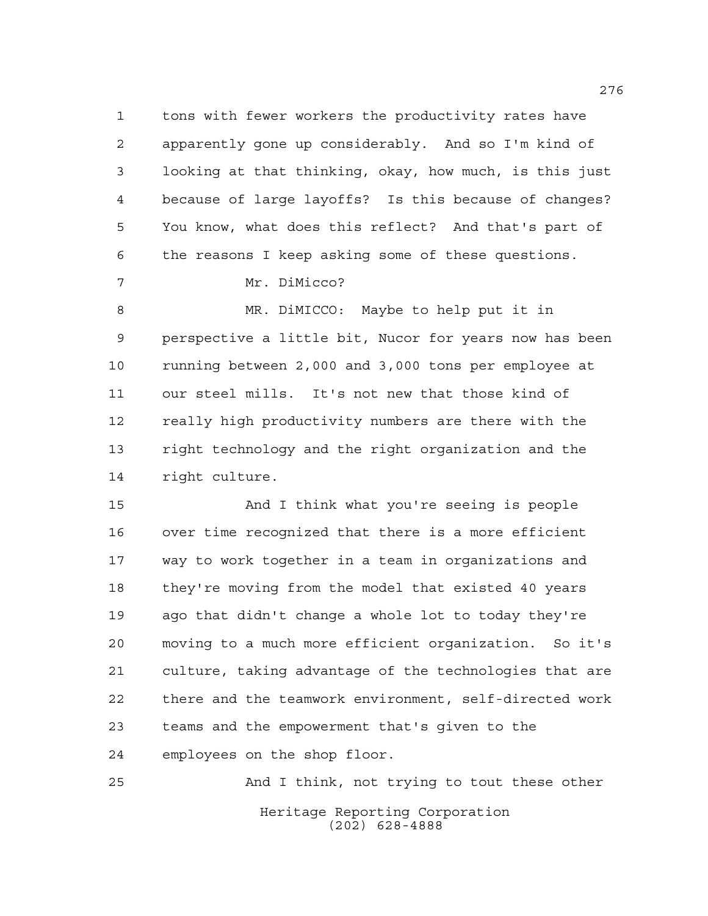tons with fewer workers the productivity rates have apparently gone up considerably. And so I'm kind of looking at that thinking, okay, how much, is this just because of large layoffs? Is this because of changes? You know, what does this reflect? And that's part of the reasons I keep asking some of these questions.

Mr. DiMicco?

 MR. DiMICCO: Maybe to help put it in perspective a little bit, Nucor for years now has been running between 2,000 and 3,000 tons per employee at our steel mills. It's not new that those kind of really high productivity numbers are there with the right technology and the right organization and the right culture.

 And I think what you're seeing is people over time recognized that there is a more efficient way to work together in a team in organizations and they're moving from the model that existed 40 years ago that didn't change a whole lot to today they're moving to a much more efficient organization. So it's culture, taking advantage of the technologies that are there and the teamwork environment, self-directed work teams and the empowerment that's given to the employees on the shop floor.

Heritage Reporting Corporation (202) 628-4888 And I think, not trying to tout these other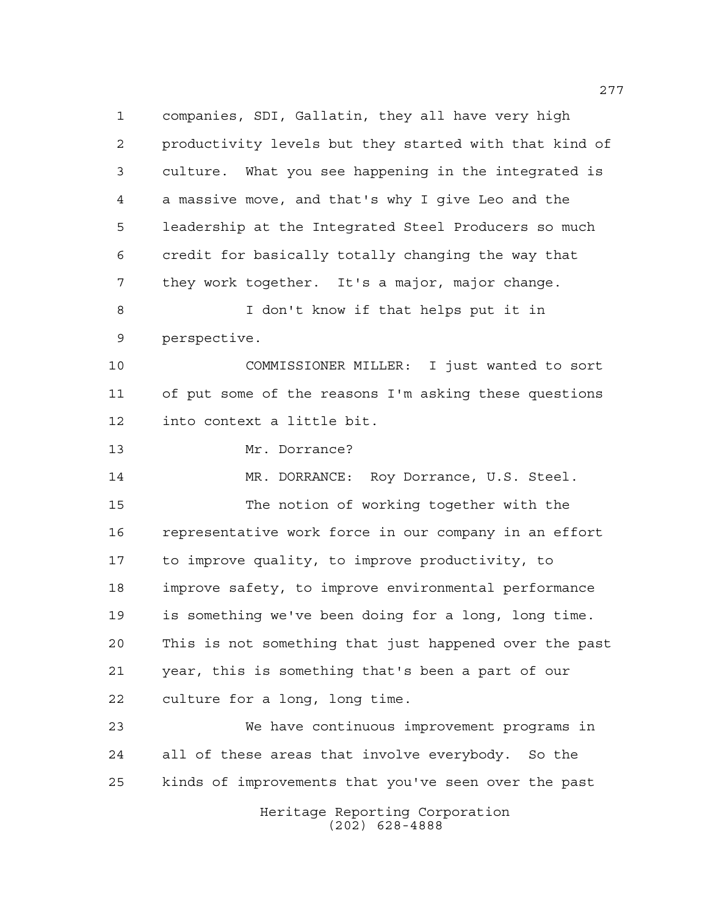companies, SDI, Gallatin, they all have very high productivity levels but they started with that kind of culture. What you see happening in the integrated is a massive move, and that's why I give Leo and the leadership at the Integrated Steel Producers so much credit for basically totally changing the way that they work together. It's a major, major change. I don't know if that helps put it in perspective. COMMISSIONER MILLER: I just wanted to sort of put some of the reasons I'm asking these questions into context a little bit. Mr. Dorrance? MR. DORRANCE: Roy Dorrance, U.S. Steel. The notion of working together with the representative work force in our company in an effort to improve quality, to improve productivity, to improve safety, to improve environmental performance is something we've been doing for a long, long time. This is not something that just happened over the past year, this is something that's been a part of our culture for a long, long time. We have continuous improvement programs in all of these areas that involve everybody. So the kinds of improvements that you've seen over the past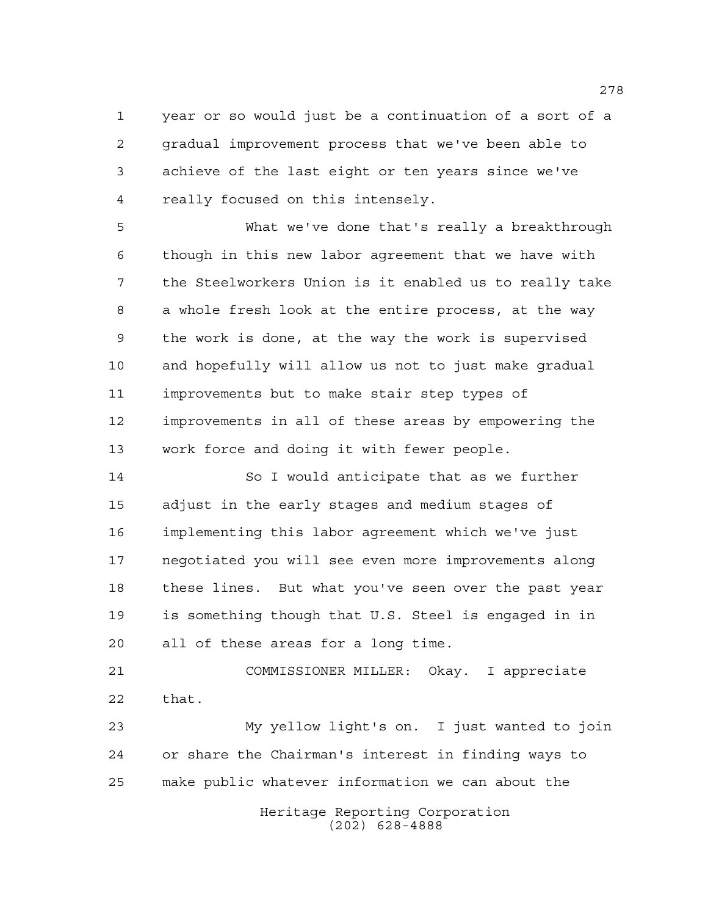year or so would just be a continuation of a sort of a gradual improvement process that we've been able to achieve of the last eight or ten years since we've really focused on this intensely.

 What we've done that's really a breakthrough though in this new labor agreement that we have with the Steelworkers Union is it enabled us to really take a whole fresh look at the entire process, at the way the work is done, at the way the work is supervised and hopefully will allow us not to just make gradual improvements but to make stair step types of improvements in all of these areas by empowering the work force and doing it with fewer people.

 So I would anticipate that as we further adjust in the early stages and medium stages of implementing this labor agreement which we've just negotiated you will see even more improvements along these lines. But what you've seen over the past year is something though that U.S. Steel is engaged in in all of these areas for a long time.

 COMMISSIONER MILLER: Okay. I appreciate that.

 My yellow light's on. I just wanted to join or share the Chairman's interest in finding ways to make public whatever information we can about the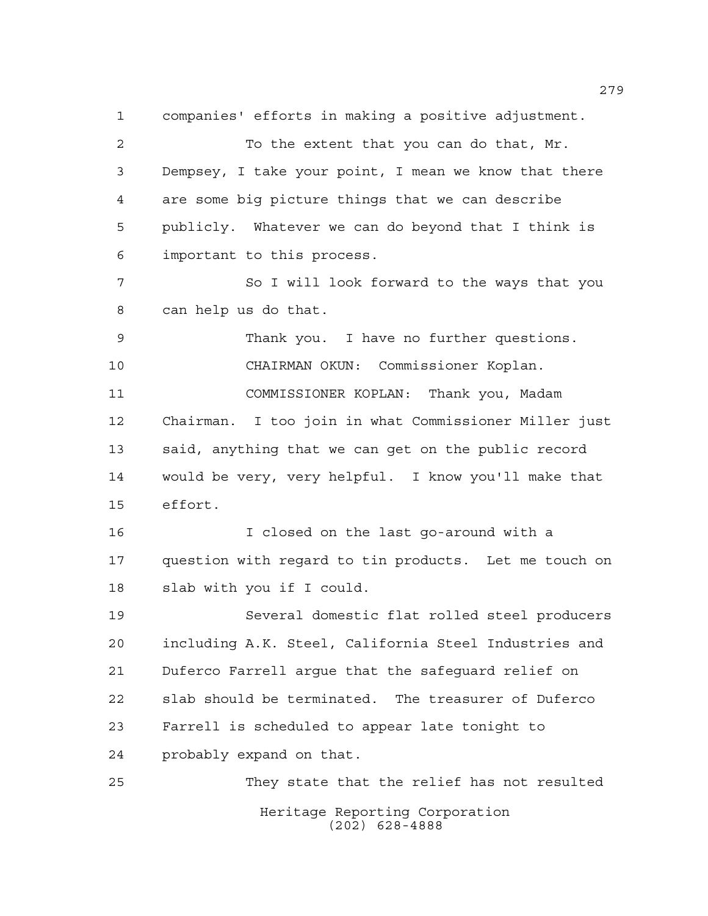Heritage Reporting Corporation companies' efforts in making a positive adjustment. To the extent that you can do that, Mr. Dempsey, I take your point, I mean we know that there are some big picture things that we can describe publicly. Whatever we can do beyond that I think is important to this process. So I will look forward to the ways that you can help us do that. Thank you. I have no further questions. CHAIRMAN OKUN: Commissioner Koplan. COMMISSIONER KOPLAN: Thank you, Madam Chairman. I too join in what Commissioner Miller just said, anything that we can get on the public record would be very, very helpful. I know you'll make that effort. I closed on the last go-around with a question with regard to tin products. Let me touch on slab with you if I could. Several domestic flat rolled steel producers including A.K. Steel, California Steel Industries and Duferco Farrell argue that the safeguard relief on slab should be terminated. The treasurer of Duferco Farrell is scheduled to appear late tonight to probably expand on that. They state that the relief has not resulted

(202) 628-4888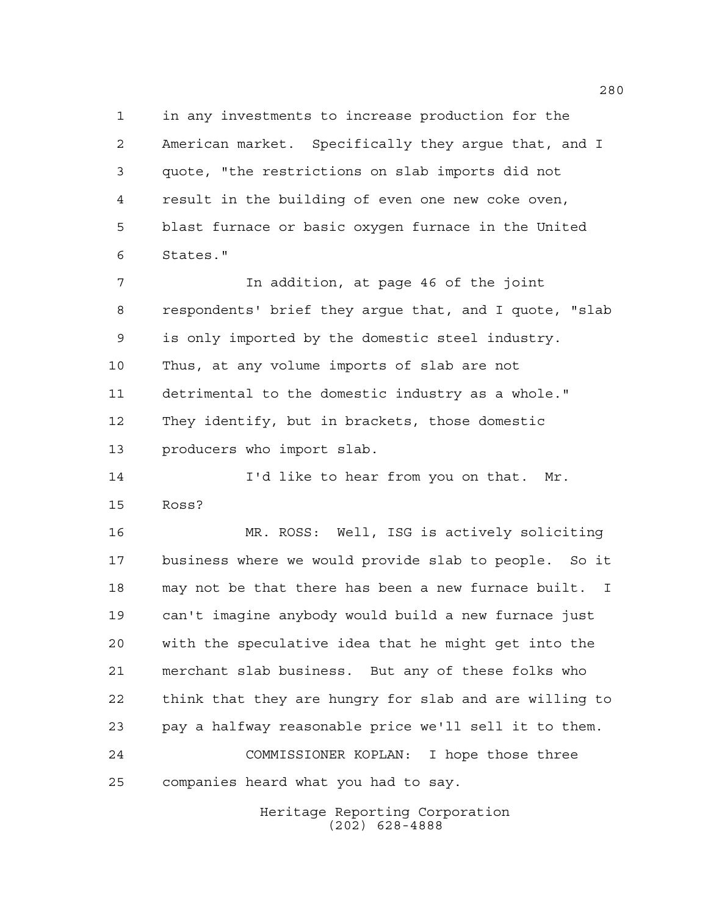in any investments to increase production for the American market. Specifically they argue that, and I quote, "the restrictions on slab imports did not result in the building of even one new coke oven, blast furnace or basic oxygen furnace in the United States."

 In addition, at page 46 of the joint respondents' brief they argue that, and I quote, "slab is only imported by the domestic steel industry. Thus, at any volume imports of slab are not detrimental to the domestic industry as a whole." They identify, but in brackets, those domestic producers who import slab.

**I'd like to hear from you on that.** Mr. Ross?

 MR. ROSS: Well, ISG is actively soliciting business where we would provide slab to people. So it may not be that there has been a new furnace built. I can't imagine anybody would build a new furnace just with the speculative idea that he might get into the merchant slab business. But any of these folks who think that they are hungry for slab and are willing to pay a halfway reasonable price we'll sell it to them. COMMISSIONER KOPLAN: I hope those three companies heard what you had to say.

> Heritage Reporting Corporation (202) 628-4888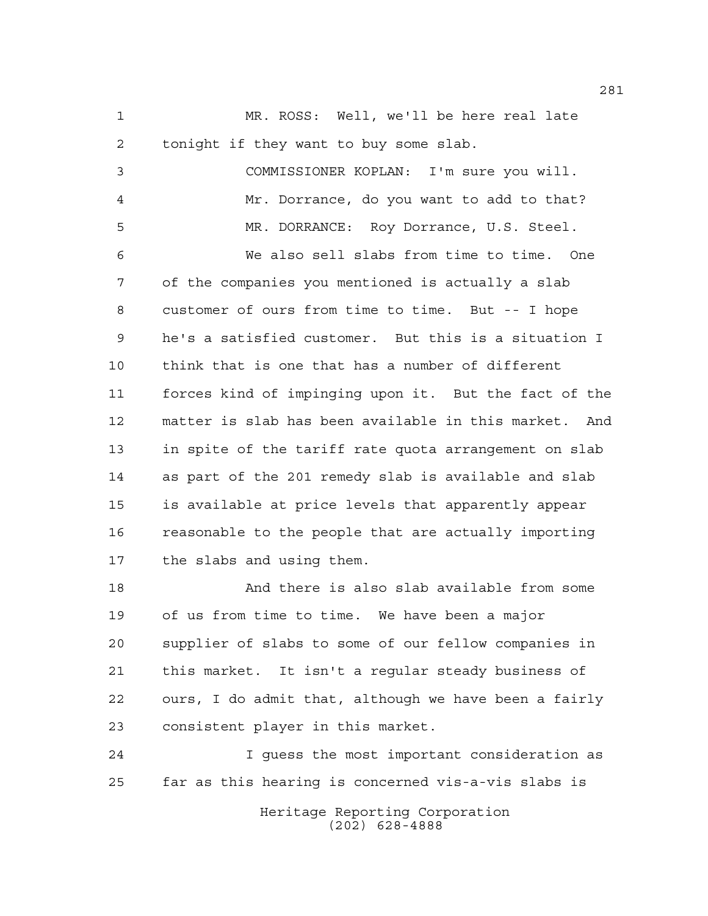MR. ROSS: Well, we'll be here real late tonight if they want to buy some slab.

 COMMISSIONER KOPLAN: I'm sure you will. Mr. Dorrance, do you want to add to that? MR. DORRANCE: Roy Dorrance, U.S. Steel. We also sell slabs from time to time. One of the companies you mentioned is actually a slab customer of ours from time to time. But -- I hope he's a satisfied customer. But this is a situation I think that is one that has a number of different forces kind of impinging upon it. But the fact of the matter is slab has been available in this market. And in spite of the tariff rate quota arrangement on slab as part of the 201 remedy slab is available and slab is available at price levels that apparently appear reasonable to the people that are actually importing the slabs and using them. And there is also slab available from some

 of us from time to time. We have been a major supplier of slabs to some of our fellow companies in this market. It isn't a regular steady business of ours, I do admit that, although we have been a fairly consistent player in this market.

 I guess the most important consideration as far as this hearing is concerned vis-a-vis slabs is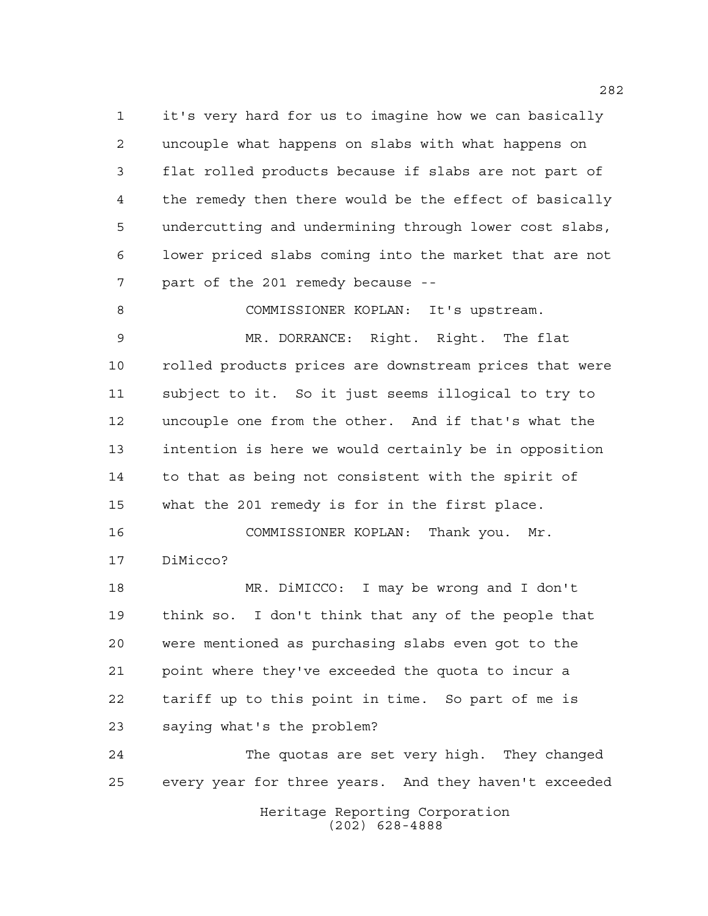it's very hard for us to imagine how we can basically uncouple what happens on slabs with what happens on flat rolled products because if slabs are not part of the remedy then there would be the effect of basically undercutting and undermining through lower cost slabs, lower priced slabs coming into the market that are not part of the 201 remedy because --

COMMISSIONER KOPLAN: It's upstream.

 MR. DORRANCE: Right. Right. The flat rolled products prices are downstream prices that were subject to it. So it just seems illogical to try to uncouple one from the other. And if that's what the intention is here we would certainly be in opposition to that as being not consistent with the spirit of what the 201 remedy is for in the first place.

 COMMISSIONER KOPLAN: Thank you. Mr. DiMicco?

 MR. DiMICCO: I may be wrong and I don't think so. I don't think that any of the people that were mentioned as purchasing slabs even got to the point where they've exceeded the quota to incur a tariff up to this point in time. So part of me is saying what's the problem?

 The quotas are set very high. They changed every year for three years. And they haven't exceeded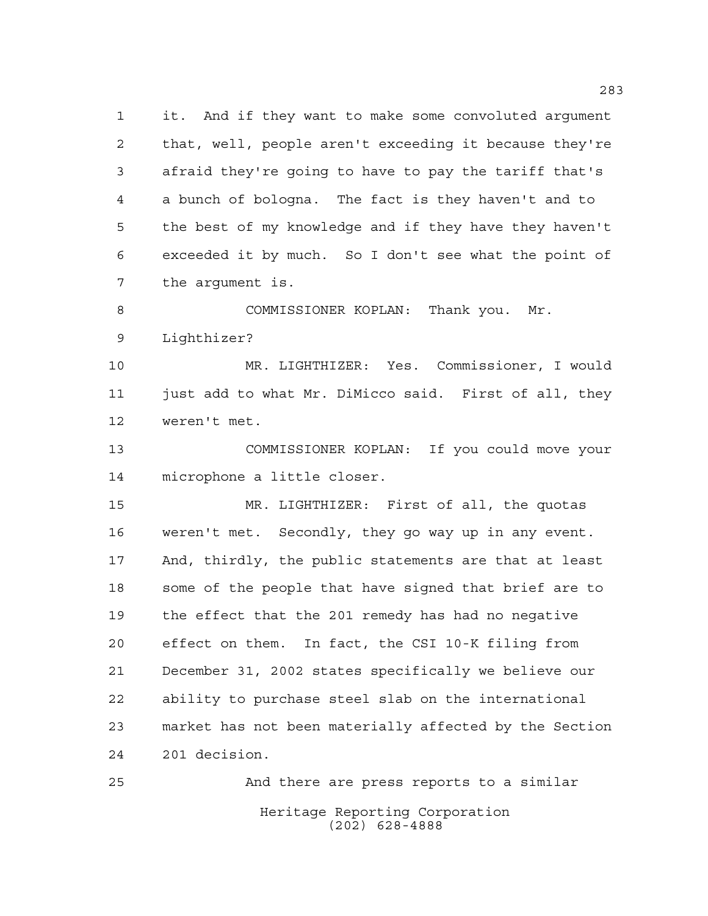it. And if they want to make some convoluted argument that, well, people aren't exceeding it because they're afraid they're going to have to pay the tariff that's a bunch of bologna. The fact is they haven't and to the best of my knowledge and if they have they haven't exceeded it by much. So I don't see what the point of the argument is.

 COMMISSIONER KOPLAN: Thank you. Mr. Lighthizer?

 MR. LIGHTHIZER: Yes. Commissioner, I would just add to what Mr. DiMicco said. First of all, they weren't met.

 COMMISSIONER KOPLAN: If you could move your microphone a little closer.

 MR. LIGHTHIZER: First of all, the quotas weren't met. Secondly, they go way up in any event. And, thirdly, the public statements are that at least some of the people that have signed that brief are to the effect that the 201 remedy has had no negative effect on them. In fact, the CSI 10-K filing from December 31, 2002 states specifically we believe our ability to purchase steel slab on the international market has not been materially affected by the Section 201 decision.

Heritage Reporting Corporation (202) 628-4888 And there are press reports to a similar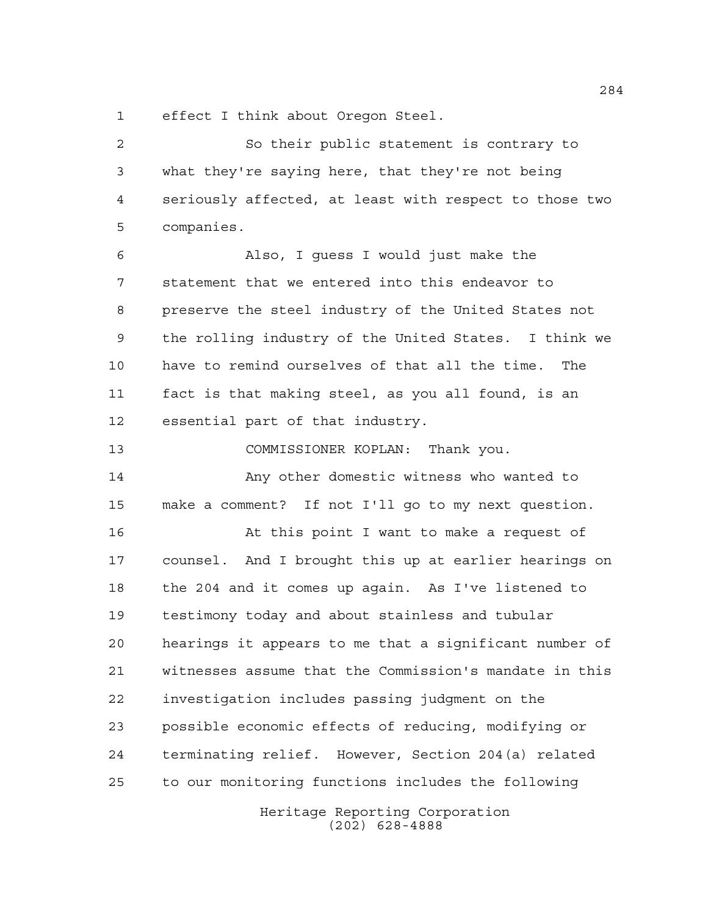effect I think about Oregon Steel.

Heritage Reporting Corporation So their public statement is contrary to what they're saying here, that they're not being seriously affected, at least with respect to those two companies. Also, I guess I would just make the statement that we entered into this endeavor to preserve the steel industry of the United States not the rolling industry of the United States. I think we have to remind ourselves of that all the time. The fact is that making steel, as you all found, is an essential part of that industry. COMMISSIONER KOPLAN: Thank you. Any other domestic witness who wanted to make a comment? If not I'll go to my next question. At this point I want to make a request of counsel. And I brought this up at earlier hearings on the 204 and it comes up again. As I've listened to testimony today and about stainless and tubular hearings it appears to me that a significant number of witnesses assume that the Commission's mandate in this investigation includes passing judgment on the possible economic effects of reducing, modifying or terminating relief. However, Section 204(a) related to our monitoring functions includes the following

(202) 628-4888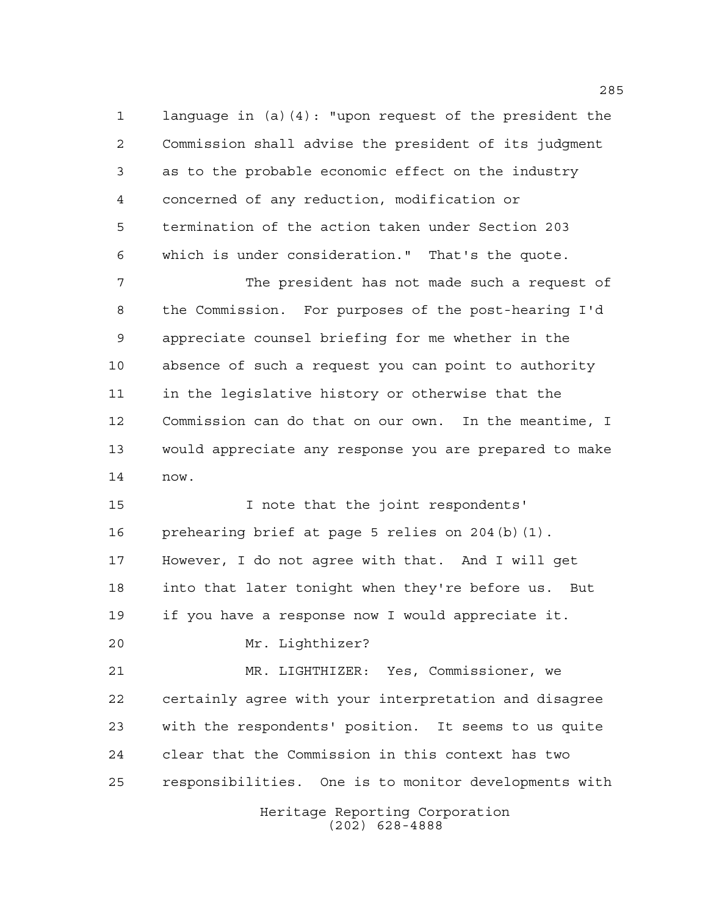language in (a)(4): "upon request of the president the Commission shall advise the president of its judgment as to the probable economic effect on the industry concerned of any reduction, modification or termination of the action taken under Section 203 which is under consideration." That's the quote.

 The president has not made such a request of the Commission. For purposes of the post-hearing I'd appreciate counsel briefing for me whether in the absence of such a request you can point to authority in the legislative history or otherwise that the Commission can do that on our own. In the meantime, I would appreciate any response you are prepared to make now.

15 15 I note that the joint respondents' prehearing brief at page 5 relies on 204(b)(1). However, I do not agree with that. And I will get into that later tonight when they're before us. But if you have a response now I would appreciate it.

Mr. Lighthizer?

 MR. LIGHTHIZER: Yes, Commissioner, we certainly agree with your interpretation and disagree with the respondents' position. It seems to us quite clear that the Commission in this context has two responsibilities. One is to monitor developments with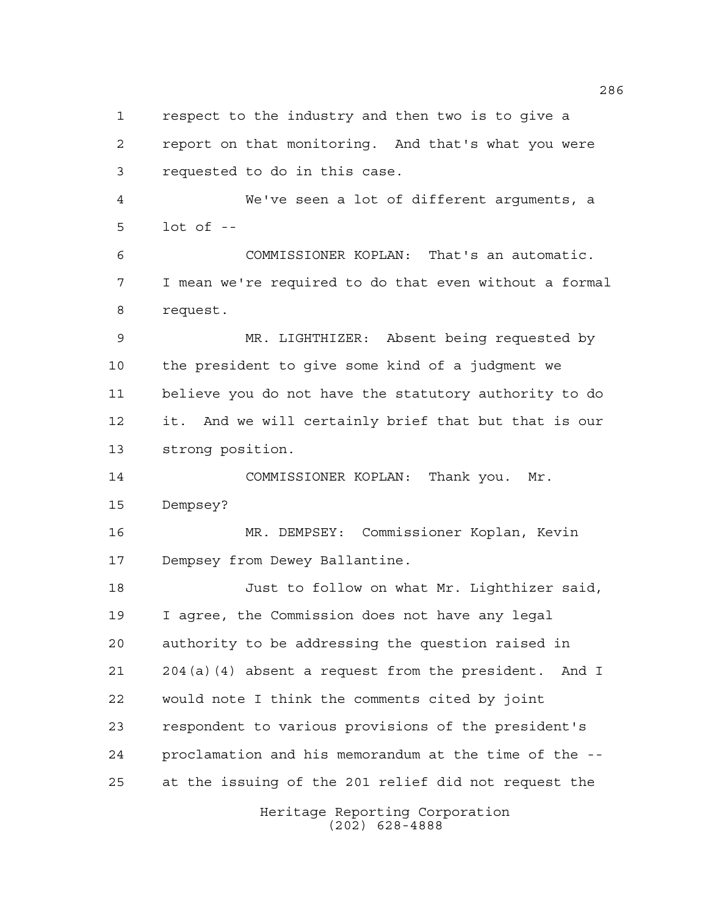respect to the industry and then two is to give a report on that monitoring. And that's what you were requested to do in this case. We've seen a lot of different arguments, a

lot of --

 COMMISSIONER KOPLAN: That's an automatic. I mean we're required to do that even without a formal request.

 MR. LIGHTHIZER: Absent being requested by the president to give some kind of a judgment we believe you do not have the statutory authority to do it. And we will certainly brief that but that is our strong position.

 COMMISSIONER KOPLAN: Thank you. Mr. Dempsey?

 MR. DEMPSEY: Commissioner Koplan, Kevin Dempsey from Dewey Ballantine.

 Just to follow on what Mr. Lighthizer said, I agree, the Commission does not have any legal authority to be addressing the question raised in 204(a)(4) absent a request from the president. And I would note I think the comments cited by joint respondent to various provisions of the president's proclamation and his memorandum at the time of the -- at the issuing of the 201 relief did not request the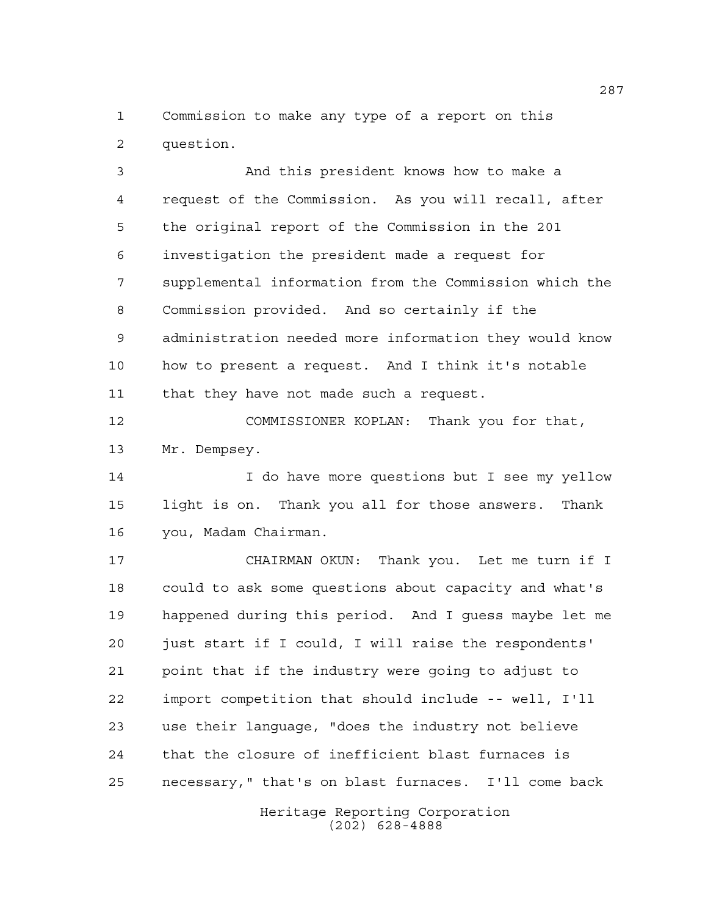Commission to make any type of a report on this question.

 And this president knows how to make a request of the Commission. As you will recall, after the original report of the Commission in the 201 investigation the president made a request for supplemental information from the Commission which the Commission provided. And so certainly if the administration needed more information they would know how to present a request. And I think it's notable that they have not made such a request.

 COMMISSIONER KOPLAN: Thank you for that, Mr. Dempsey.

14 I do have more questions but I see my yellow light is on. Thank you all for those answers. Thank you, Madam Chairman.

 CHAIRMAN OKUN: Thank you. Let me turn if I could to ask some questions about capacity and what's happened during this period. And I guess maybe let me just start if I could, I will raise the respondents' point that if the industry were going to adjust to import competition that should include -- well, I'll use their language, "does the industry not believe that the closure of inefficient blast furnaces is necessary," that's on blast furnaces. I'll come back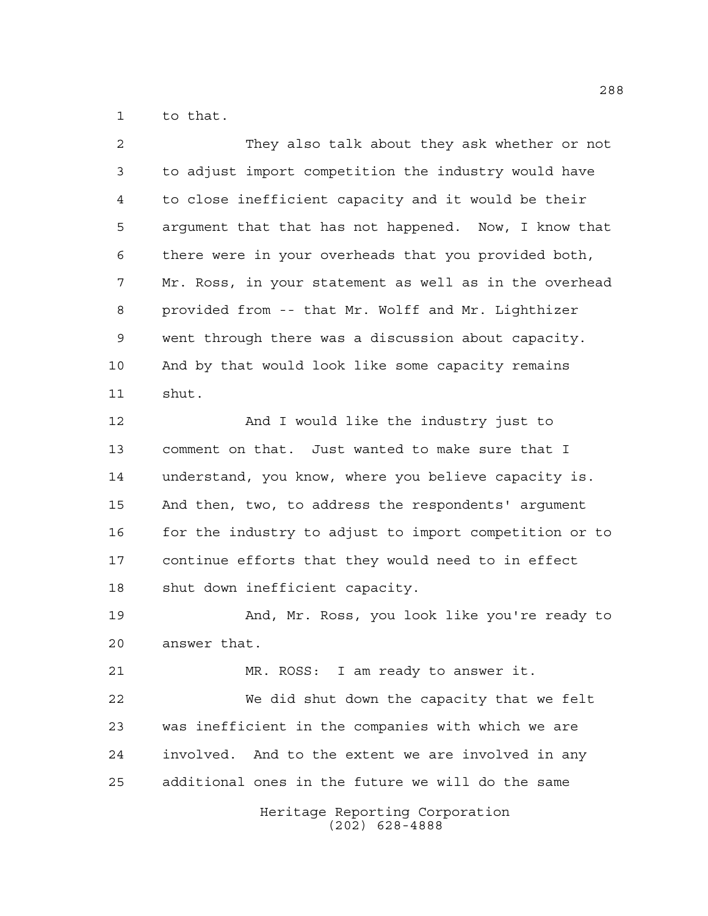to that.

| $\overline{a}$ | They also talk about they ask whether or not           |
|----------------|--------------------------------------------------------|
| 3              | to adjust import competition the industry would have   |
| 4              | to close inefficient capacity and it would be their    |
| 5              | argument that that has not happened. Now, I know that  |
| 6              | there were in your overheads that you provided both,   |
| 7              | Mr. Ross, in your statement as well as in the overhead |
| 8              | provided from -- that Mr. Wolff and Mr. Lighthizer     |
| 9              | went through there was a discussion about capacity.    |
| 10             | And by that would look like some capacity remains      |
| 11             | shut.                                                  |
| 12             | And I would like the industry just to                  |
| 13             | comment on that. Just wanted to make sure that I       |
| 14             | understand, you know, where you believe capacity is.   |
| 15             | And then, two, to address the respondents' argument    |
| 16             | for the industry to adjust to import competition or to |
| 17             | continue efforts that they would need to in effect     |
| 18             | shut down inefficient capacity.                        |
| 19             | And, Mr. Ross, you look like you're ready to           |
| 20             | answer that.                                           |
| 21             | MR. ROSS: I am ready to answer it.                     |
| 22             | We did shut down the capacity that we felt             |
| 23             | was inefficient in the companies with which we are     |
| 24             | involved. And to the extent we are involved in any     |
| 25             | additional ones in the future we will do the same      |
|                | Heritage Reporting Corporation<br>$(202)$ 628-4888     |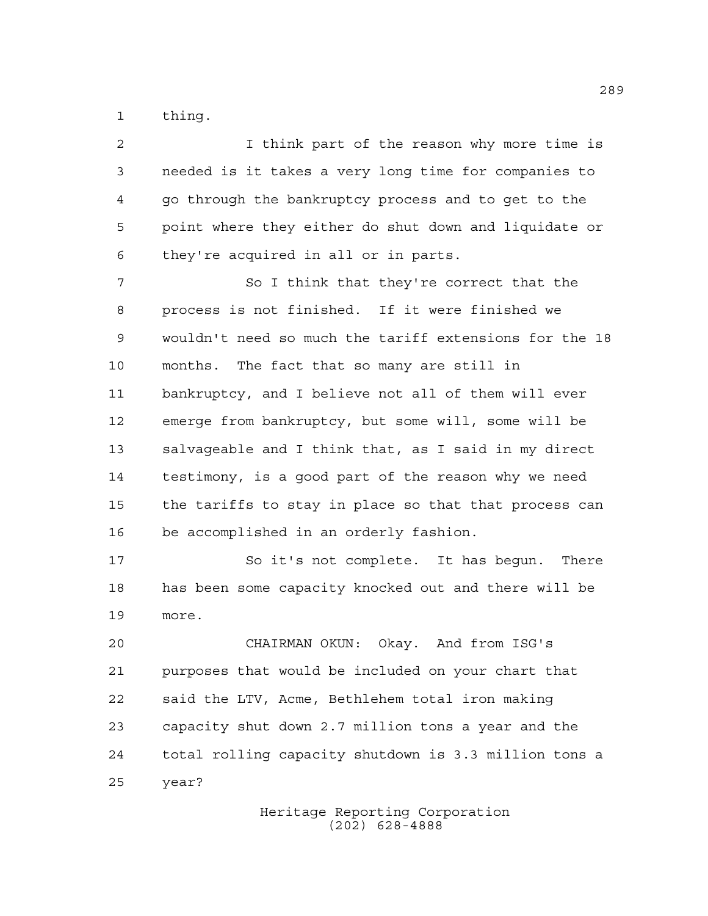thing.

 I think part of the reason why more time is needed is it takes a very long time for companies to go through the bankruptcy process and to get to the point where they either do shut down and liquidate or they're acquired in all or in parts. So I think that they're correct that the process is not finished. If it were finished we wouldn't need so much the tariff extensions for the 18 months. The fact that so many are still in bankruptcy, and I believe not all of them will ever emerge from bankruptcy, but some will, some will be salvageable and I think that, as I said in my direct testimony, is a good part of the reason why we need the tariffs to stay in place so that that process can be accomplished in an orderly fashion. 17 So it's not complete. It has begun. There has been some capacity knocked out and there will be more. CHAIRMAN OKUN: Okay. And from ISG's purposes that would be included on your chart that said the LTV, Acme, Bethlehem total iron making capacity shut down 2.7 million tons a year and the

 total rolling capacity shutdown is 3.3 million tons a year?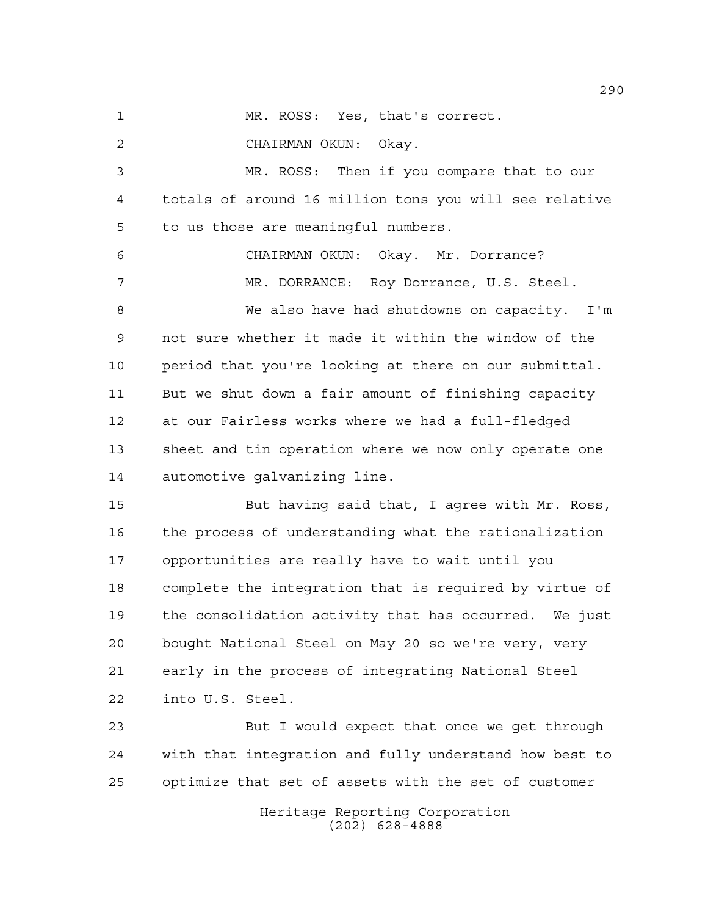MR. ROSS: Yes, that's correct.

CHAIRMAN OKUN: Okay.

 MR. ROSS: Then if you compare that to our totals of around 16 million tons you will see relative to us those are meaningful numbers.

 CHAIRMAN OKUN: Okay. Mr. Dorrance? MR. DORRANCE: Roy Dorrance, U.S. Steel.

 We also have had shutdowns on capacity. I'm not sure whether it made it within the window of the period that you're looking at there on our submittal. But we shut down a fair amount of finishing capacity at our Fairless works where we had a full-fledged sheet and tin operation where we now only operate one automotive galvanizing line.

 But having said that, I agree with Mr. Ross, the process of understanding what the rationalization opportunities are really have to wait until you complete the integration that is required by virtue of the consolidation activity that has occurred. We just bought National Steel on May 20 so we're very, very early in the process of integrating National Steel into U.S. Steel.

 But I would expect that once we get through with that integration and fully understand how best to optimize that set of assets with the set of customer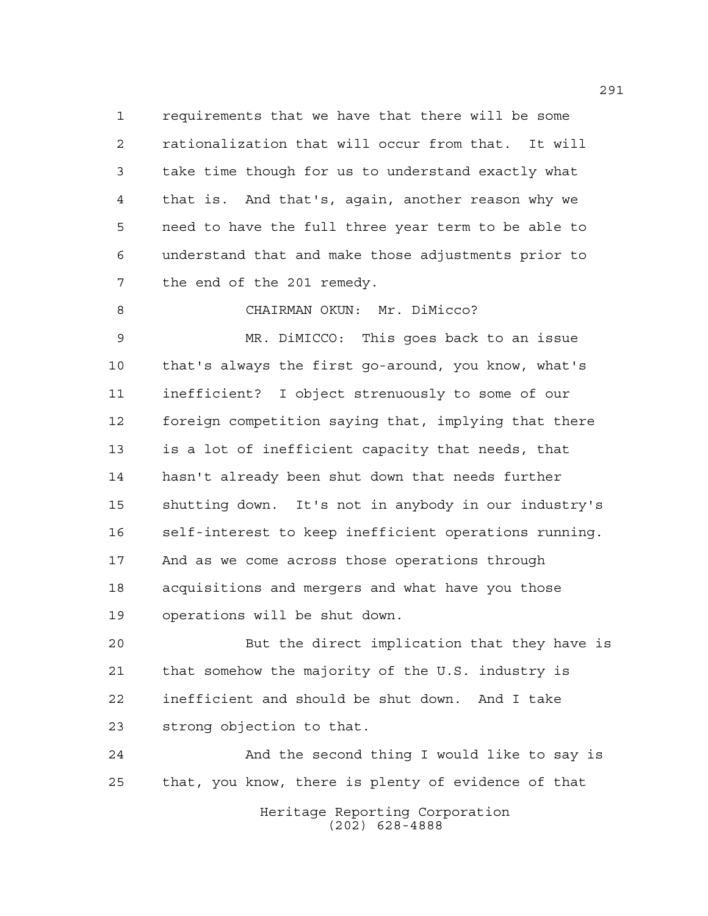requirements that we have that there will be some rationalization that will occur from that. It will take time though for us to understand exactly what that is. And that's, again, another reason why we need to have the full three year term to be able to understand that and make those adjustments prior to the end of the 201 remedy.

CHAIRMAN OKUN: Mr. DiMicco?

 MR. DiMICCO: This goes back to an issue that's always the first go-around, you know, what's inefficient? I object strenuously to some of our foreign competition saying that, implying that there is a lot of inefficient capacity that needs, that hasn't already been shut down that needs further shutting down. It's not in anybody in our industry's self-interest to keep inefficient operations running. And as we come across those operations through acquisitions and mergers and what have you those operations will be shut down.

 But the direct implication that they have is that somehow the majority of the U.S. industry is inefficient and should be shut down. And I take strong objection to that.

 And the second thing I would like to say is that, you know, there is plenty of evidence of that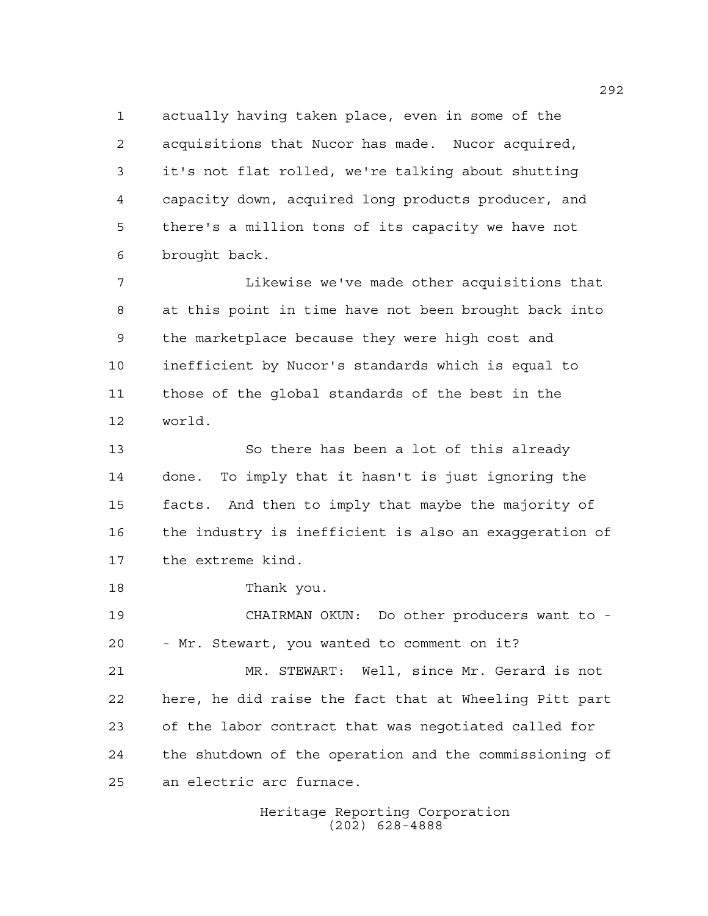actually having taken place, even in some of the acquisitions that Nucor has made. Nucor acquired, it's not flat rolled, we're talking about shutting capacity down, acquired long products producer, and there's a million tons of its capacity we have not brought back.

 Likewise we've made other acquisitions that at this point in time have not been brought back into the marketplace because they were high cost and inefficient by Nucor's standards which is equal to those of the global standards of the best in the world.

 So there has been a lot of this already done. To imply that it hasn't is just ignoring the facts. And then to imply that maybe the majority of the industry is inefficient is also an exaggeration of the extreme kind.

Thank you.

 CHAIRMAN OKUN: Do other producers want to - - Mr. Stewart, you wanted to comment on it?

 MR. STEWART: Well, since Mr. Gerard is not here, he did raise the fact that at Wheeling Pitt part of the labor contract that was negotiated called for the shutdown of the operation and the commissioning of an electric arc furnace.

> Heritage Reporting Corporation (202) 628-4888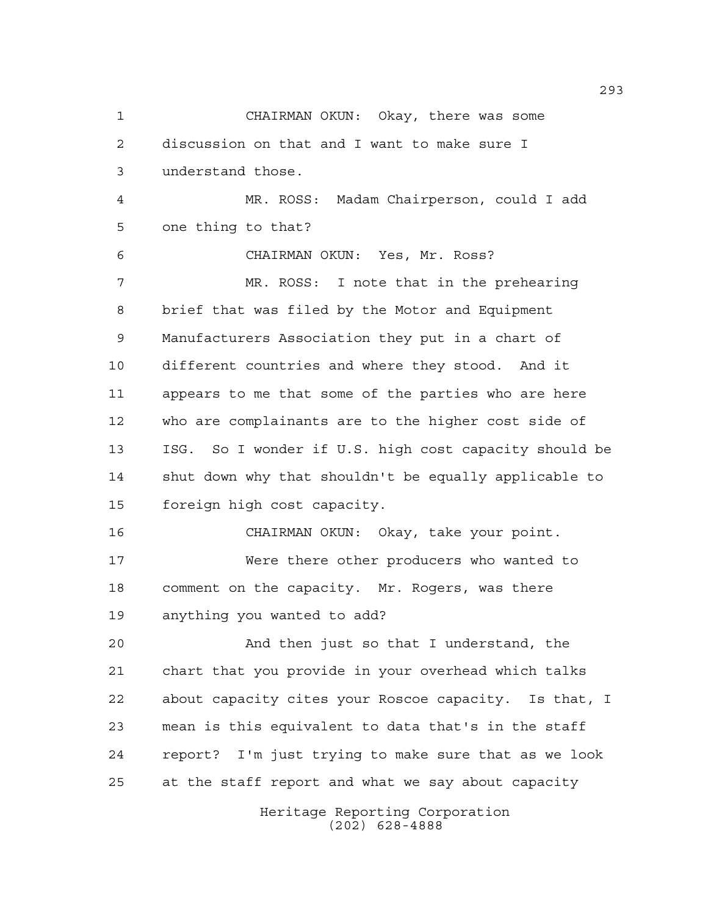Heritage Reporting Corporation (202) 628-4888 CHAIRMAN OKUN: Okay, there was some discussion on that and I want to make sure I understand those. MR. ROSS: Madam Chairperson, could I add one thing to that? CHAIRMAN OKUN: Yes, Mr. Ross? MR. ROSS: I note that in the prehearing brief that was filed by the Motor and Equipment Manufacturers Association they put in a chart of different countries and where they stood. And it appears to me that some of the parties who are here who are complainants are to the higher cost side of ISG. So I wonder if U.S. high cost capacity should be shut down why that shouldn't be equally applicable to foreign high cost capacity. CHAIRMAN OKUN: Okay, take your point. Were there other producers who wanted to comment on the capacity. Mr. Rogers, was there anything you wanted to add? And then just so that I understand, the chart that you provide in your overhead which talks about capacity cites your Roscoe capacity. Is that, I mean is this equivalent to data that's in the staff report? I'm just trying to make sure that as we look at the staff report and what we say about capacity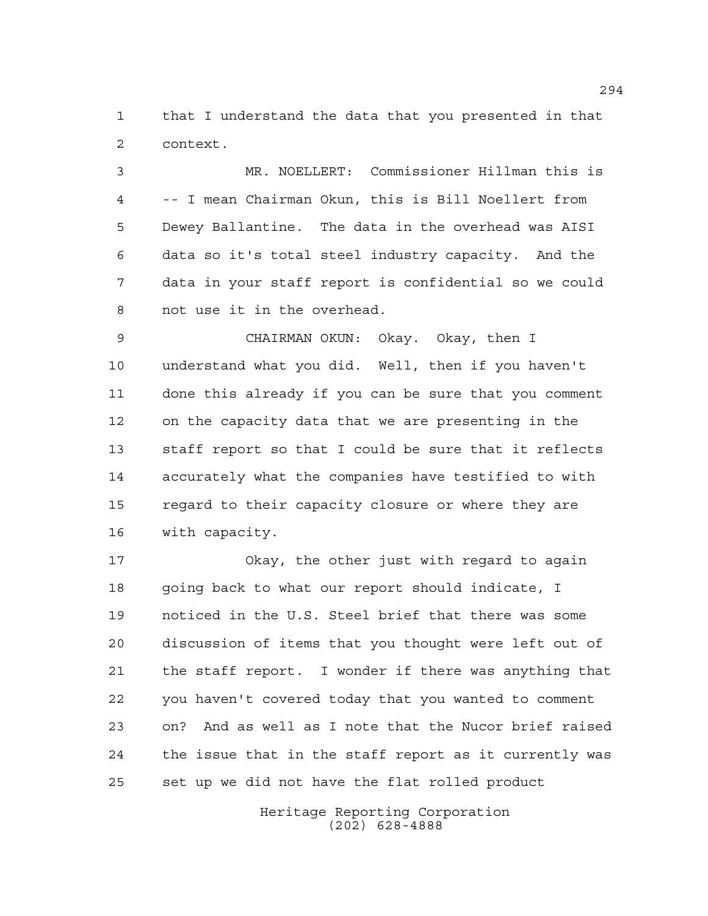that I understand the data that you presented in that context.

 MR. NOELLERT: Commissioner Hillman this is -- I mean Chairman Okun, this is Bill Noellert from Dewey Ballantine. The data in the overhead was AISI data so it's total steel industry capacity. And the data in your staff report is confidential so we could not use it in the overhead.

 CHAIRMAN OKUN: Okay. Okay, then I understand what you did. Well, then if you haven't done this already if you can be sure that you comment on the capacity data that we are presenting in the staff report so that I could be sure that it reflects accurately what the companies have testified to with regard to their capacity closure or where they are with capacity.

 Okay, the other just with regard to again 18 going back to what our report should indicate, I noticed in the U.S. Steel brief that there was some discussion of items that you thought were left out of the staff report. I wonder if there was anything that you haven't covered today that you wanted to comment on? And as well as I note that the Nucor brief raised the issue that in the staff report as it currently was set up we did not have the flat rolled product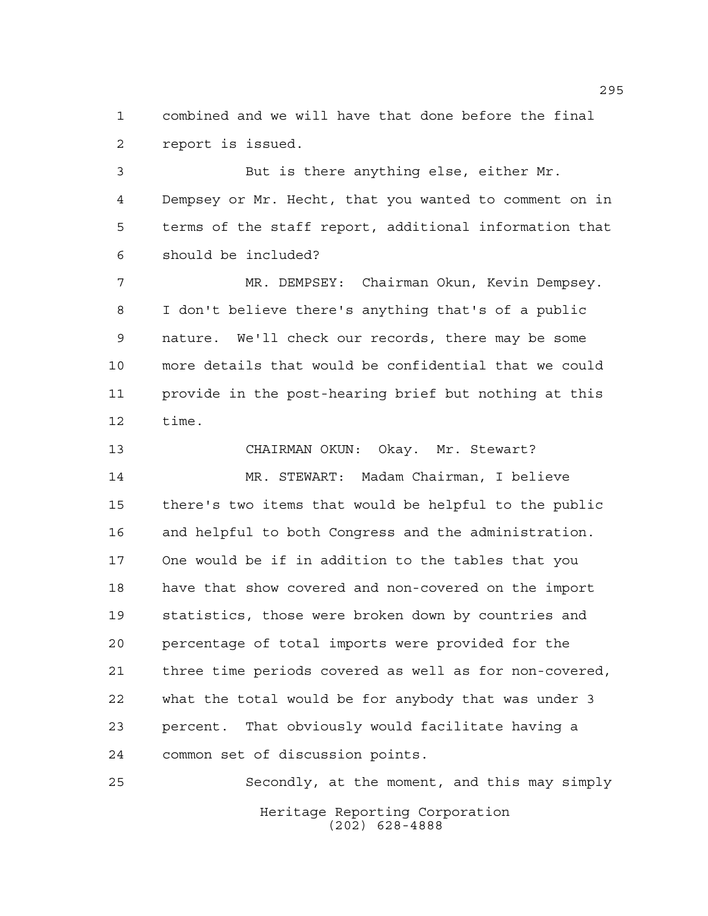combined and we will have that done before the final report is issued.

 But is there anything else, either Mr. Dempsey or Mr. Hecht, that you wanted to comment on in terms of the staff report, additional information that should be included?

 MR. DEMPSEY: Chairman Okun, Kevin Dempsey. I don't believe there's anything that's of a public nature. We'll check our records, there may be some more details that would be confidential that we could provide in the post-hearing brief but nothing at this time.

 CHAIRMAN OKUN: Okay. Mr. Stewart? MR. STEWART: Madam Chairman, I believe there's two items that would be helpful to the public and helpful to both Congress and the administration. One would be if in addition to the tables that you have that show covered and non-covered on the import statistics, those were broken down by countries and percentage of total imports were provided for the three time periods covered as well as for non-covered, what the total would be for anybody that was under 3 percent. That obviously would facilitate having a common set of discussion points.

Heritage Reporting Corporation (202) 628-4888 Secondly, at the moment, and this may simply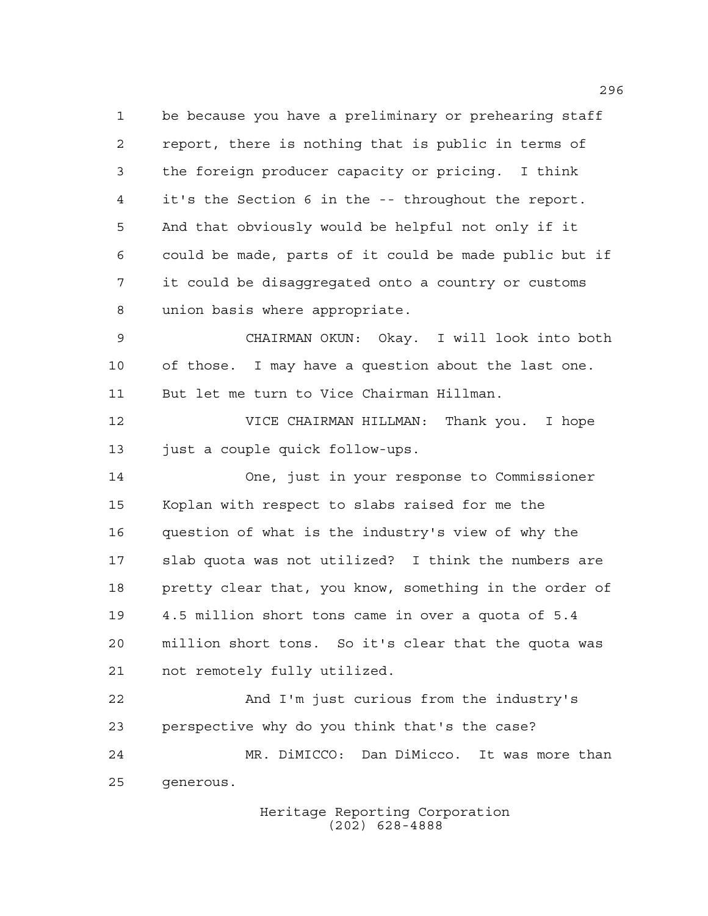be because you have a preliminary or prehearing staff report, there is nothing that is public in terms of the foreign producer capacity or pricing. I think it's the Section 6 in the -- throughout the report. And that obviously would be helpful not only if it could be made, parts of it could be made public but if it could be disaggregated onto a country or customs union basis where appropriate.

 CHAIRMAN OKUN: Okay. I will look into both of those. I may have a question about the last one. But let me turn to Vice Chairman Hillman.

 VICE CHAIRMAN HILLMAN: Thank you. I hope just a couple quick follow-ups.

 One, just in your response to Commissioner Koplan with respect to slabs raised for me the question of what is the industry's view of why the slab quota was not utilized? I think the numbers are pretty clear that, you know, something in the order of 4.5 million short tons came in over a quota of 5.4 million short tons. So it's clear that the quota was not remotely fully utilized.

 And I'm just curious from the industry's perspective why do you think that's the case? MR. DiMICCO: Dan DiMicco. It was more than generous.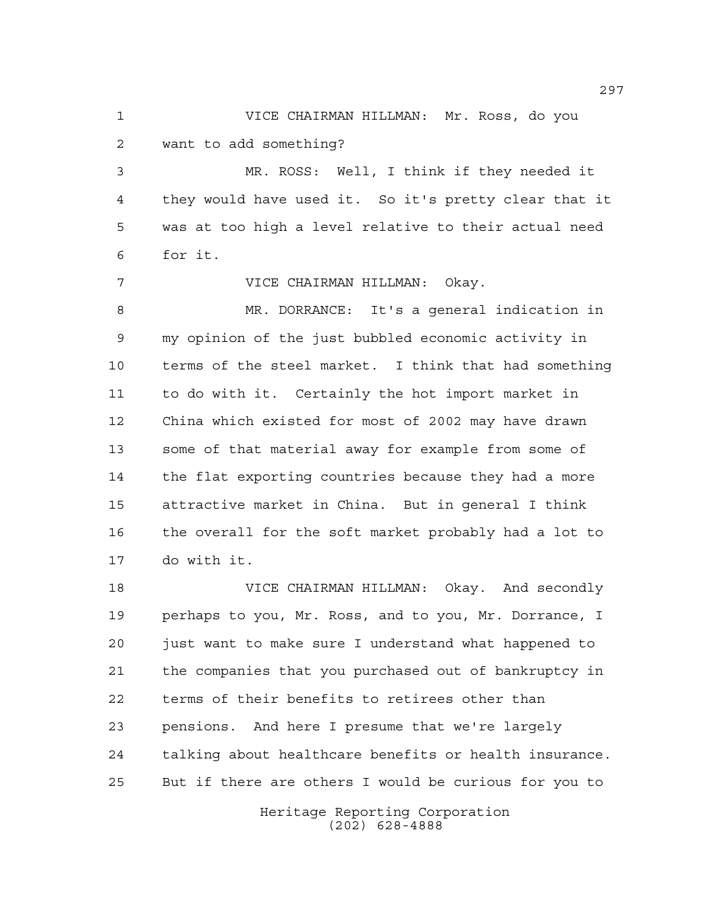VICE CHAIRMAN HILLMAN: Mr. Ross, do you want to add something?

 MR. ROSS: Well, I think if they needed it they would have used it. So it's pretty clear that it was at too high a level relative to their actual need for it.

 VICE CHAIRMAN HILLMAN: Okay. MR. DORRANCE: It's a general indication in my opinion of the just bubbled economic activity in terms of the steel market. I think that had something to do with it. Certainly the hot import market in China which existed for most of 2002 may have drawn some of that material away for example from some of the flat exporting countries because they had a more attractive market in China. But in general I think the overall for the soft market probably had a lot to do with it.

 VICE CHAIRMAN HILLMAN: Okay. And secondly perhaps to you, Mr. Ross, and to you, Mr. Dorrance, I just want to make sure I understand what happened to the companies that you purchased out of bankruptcy in terms of their benefits to retirees other than pensions. And here I presume that we're largely talking about healthcare benefits or health insurance. But if there are others I would be curious for you to

> Heritage Reporting Corporation (202) 628-4888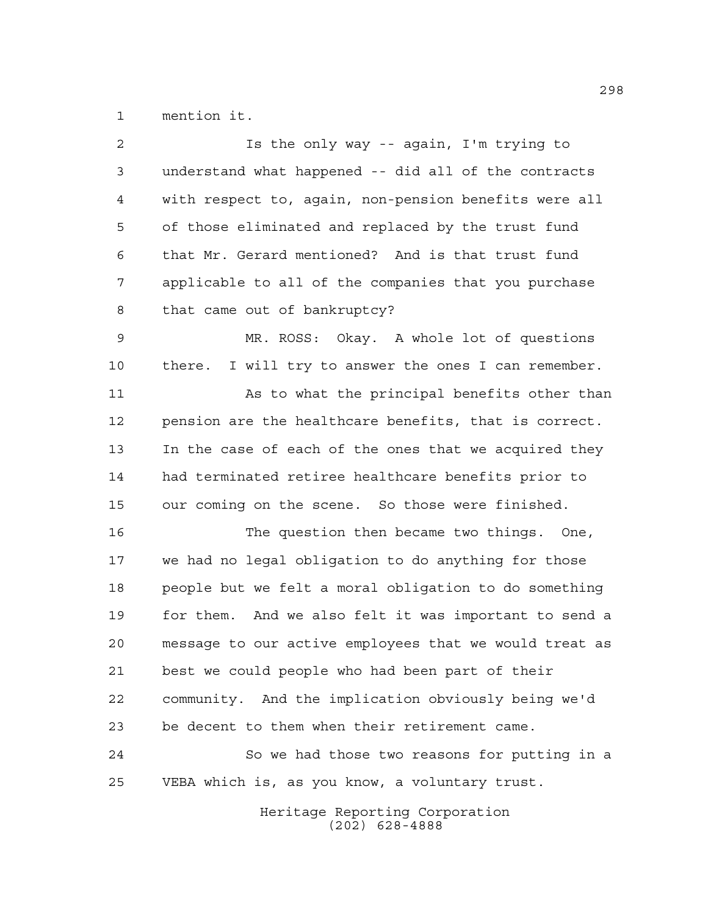mention it.

| $\overline{2}$ | Is the only way -- again, I'm trying to                 |
|----------------|---------------------------------------------------------|
| 3              | understand what happened -- did all of the contracts    |
| 4              | with respect to, again, non-pension benefits were all   |
| 5              | of those eliminated and replaced by the trust fund      |
| 6              | that Mr. Gerard mentioned? And is that trust fund       |
| 7              | applicable to all of the companies that you purchase    |
| 8              | that came out of bankruptcy?                            |
| 9              | MR. ROSS: Okay. A whole lot of questions                |
| 10             | I will try to answer the ones I can remember.<br>there. |
| 11             | As to what the principal benefits other than            |
| 12             | pension are the healthcare benefits, that is correct.   |
| 13             | In the case of each of the ones that we acquired they   |
| 14             | had terminated retiree healthcare benefits prior to     |
| 15             | our coming on the scene. So those were finished.        |
| 16             | The question then became two things. One,               |
| 17             | we had no legal obligation to do anything for those     |
| 18             | people but we felt a moral obligation to do something   |
| 19             | for them. And we also felt it was important to send a   |
| 20             | message to our active employees that we would treat as  |
| 21             | best we could people who had been part of their         |
| 22             | community. And the implication obviously being we'd     |
| 23             | be decent to them when their retirement came.           |
| 24             | So we had those two reasons for putting in a            |
| 25             | VEBA which is, as you know, a voluntary trust.          |
|                |                                                         |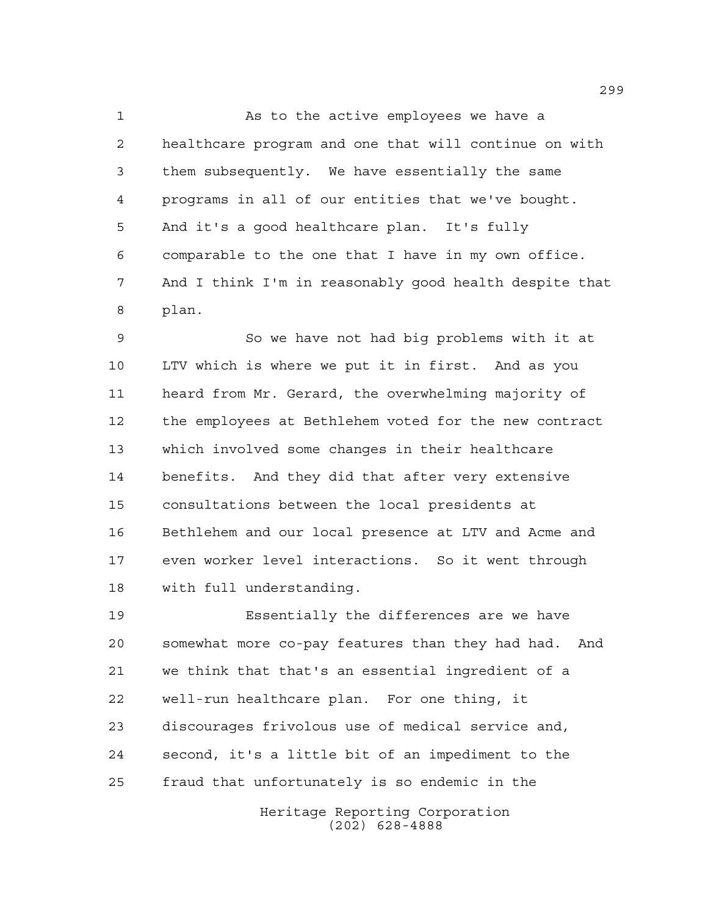As to the active employees we have a healthcare program and one that will continue on with them subsequently. We have essentially the same programs in all of our entities that we've bought. And it's a good healthcare plan. It's fully comparable to the one that I have in my own office. And I think I'm in reasonably good health despite that plan.

 So we have not had big problems with it at LTV which is where we put it in first. And as you heard from Mr. Gerard, the overwhelming majority of the employees at Bethlehem voted for the new contract which involved some changes in their healthcare benefits. And they did that after very extensive consultations between the local presidents at Bethlehem and our local presence at LTV and Acme and even worker level interactions. So it went through with full understanding.

 Essentially the differences are we have somewhat more co-pay features than they had had. And we think that that's an essential ingredient of a well-run healthcare plan. For one thing, it discourages frivolous use of medical service and, second, it's a little bit of an impediment to the fraud that unfortunately is so endemic in the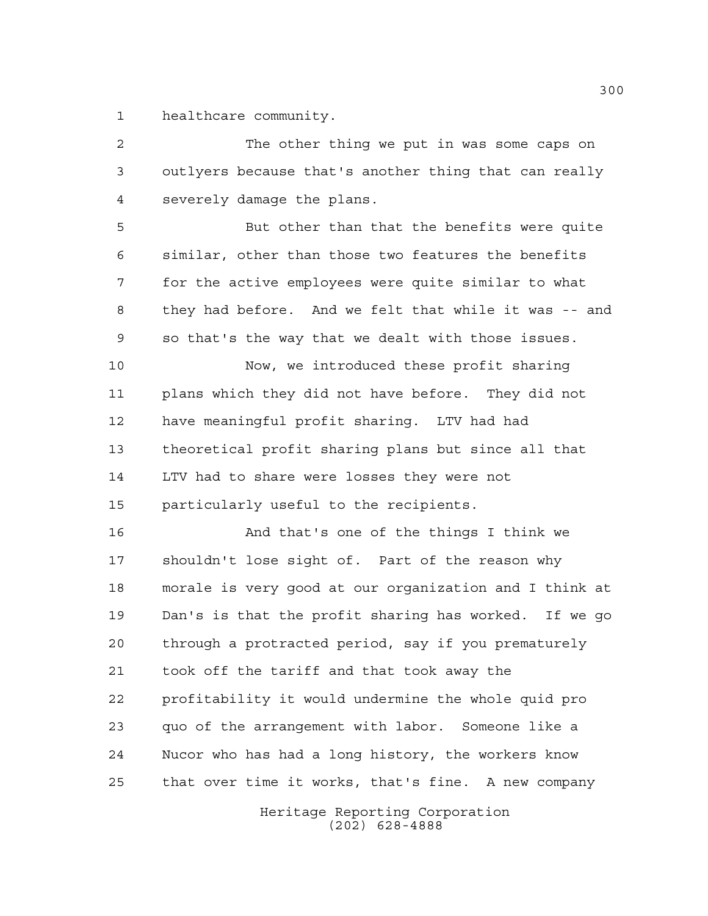healthcare community.

 The other thing we put in was some caps on outlyers because that's another thing that can really severely damage the plans. But other than that the benefits were quite similar, other than those two features the benefits for the active employees were quite similar to what

 they had before. And we felt that while it was -- and so that's the way that we dealt with those issues.

 Now, we introduced these profit sharing plans which they did not have before. They did not have meaningful profit sharing. LTV had had theoretical profit sharing plans but since all that LTV had to share were losses they were not particularly useful to the recipients.

 And that's one of the things I think we shouldn't lose sight of. Part of the reason why morale is very good at our organization and I think at Dan's is that the profit sharing has worked. If we go through a protracted period, say if you prematurely took off the tariff and that took away the profitability it would undermine the whole quid pro quo of the arrangement with labor. Someone like a Nucor who has had a long history, the workers know that over time it works, that's fine. A new company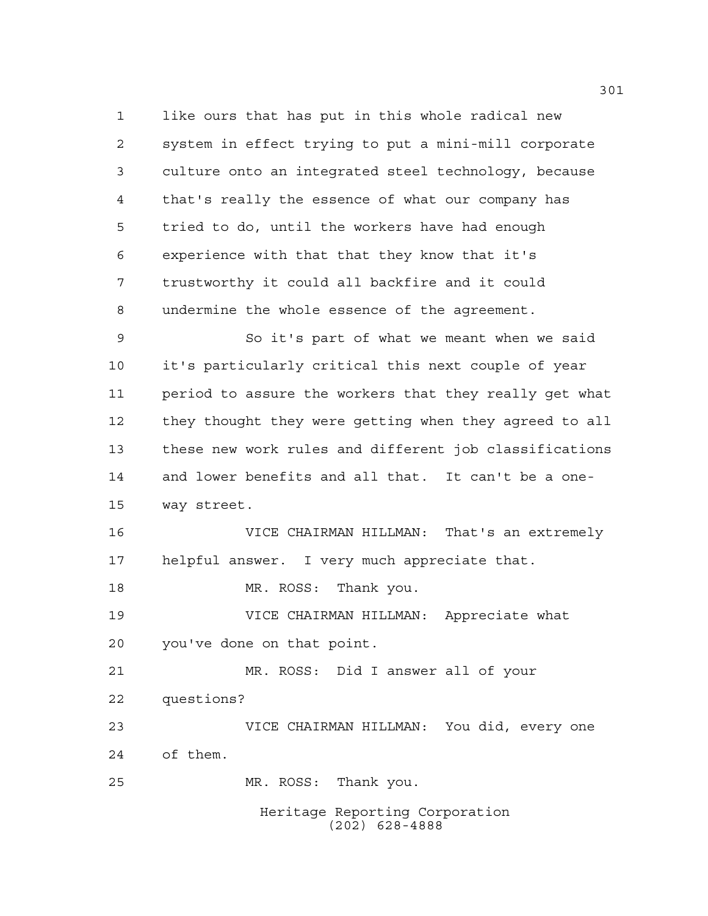like ours that has put in this whole radical new system in effect trying to put a mini-mill corporate culture onto an integrated steel technology, because that's really the essence of what our company has tried to do, until the workers have had enough experience with that that they know that it's trustworthy it could all backfire and it could undermine the whole essence of the agreement.

 So it's part of what we meant when we said it's particularly critical this next couple of year period to assure the workers that they really get what they thought they were getting when they agreed to all these new work rules and different job classifications and lower benefits and all that. It can't be a one-way street.

 VICE CHAIRMAN HILLMAN: That's an extremely helpful answer. I very much appreciate that.

18 MR. ROSS: Thank you.

 VICE CHAIRMAN HILLMAN: Appreciate what you've done on that point.

 MR. ROSS: Did I answer all of your questions? VICE CHAIRMAN HILLMAN: You did, every one

of them.

MR. ROSS: Thank you.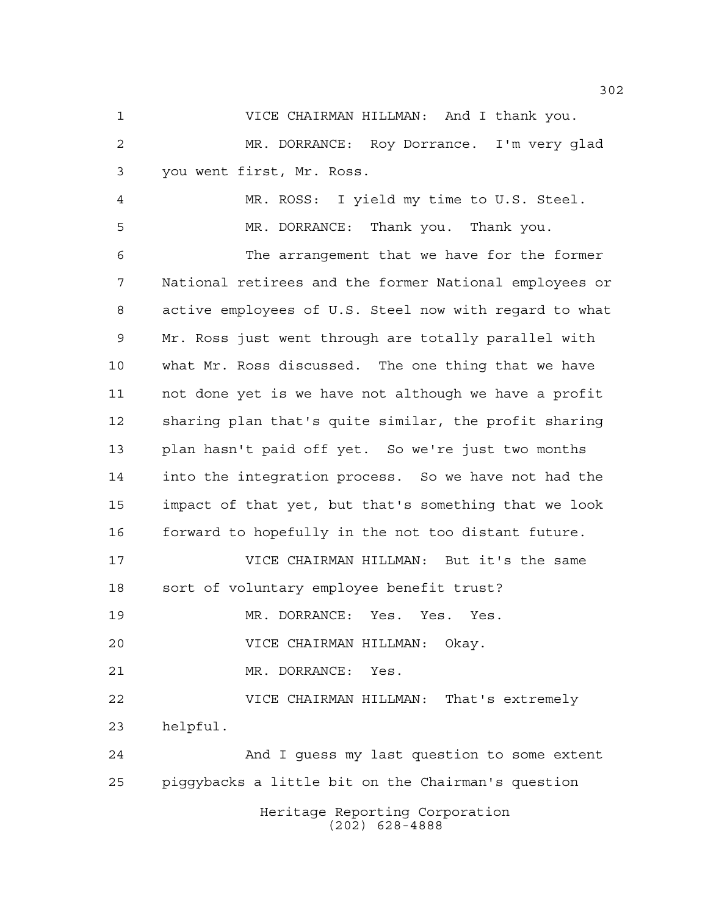VICE CHAIRMAN HILLMAN: And I thank you. MR. DORRANCE: Roy Dorrance. I'm very glad you went first, Mr. Ross.

 MR. ROSS: I yield my time to U.S. Steel. MR. DORRANCE: Thank you. Thank you. The arrangement that we have for the former National retirees and the former National employees or active employees of U.S. Steel now with regard to what Mr. Ross just went through are totally parallel with what Mr. Ross discussed. The one thing that we have not done yet is we have not although we have a profit sharing plan that's quite similar, the profit sharing plan hasn't paid off yet. So we're just two months into the integration process. So we have not had the impact of that yet, but that's something that we look forward to hopefully in the not too distant future. VICE CHAIRMAN HILLMAN: But it's the same

sort of voluntary employee benefit trust?

MR. DORRANCE: Yes. Yes. Yes.

VICE CHAIRMAN HILLMAN: Okay.

MR. DORRANCE: Yes.

 VICE CHAIRMAN HILLMAN: That's extremely helpful.

 And I guess my last question to some extent piggybacks a little bit on the Chairman's question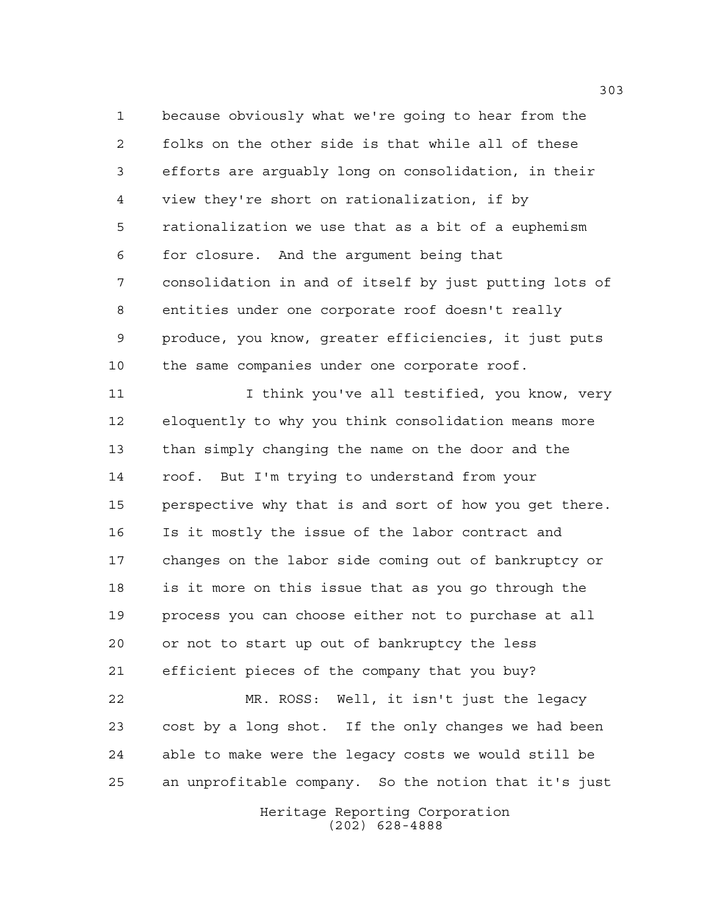because obviously what we're going to hear from the folks on the other side is that while all of these efforts are arguably long on consolidation, in their view they're short on rationalization, if by rationalization we use that as a bit of a euphemism for closure. And the argument being that consolidation in and of itself by just putting lots of entities under one corporate roof doesn't really produce, you know, greater efficiencies, it just puts the same companies under one corporate roof.

11 11 I think you've all testified, you know, very eloquently to why you think consolidation means more than simply changing the name on the door and the roof. But I'm trying to understand from your perspective why that is and sort of how you get there. Is it mostly the issue of the labor contract and changes on the labor side coming out of bankruptcy or is it more on this issue that as you go through the process you can choose either not to purchase at all or not to start up out of bankruptcy the less efficient pieces of the company that you buy? MR. ROSS: Well, it isn't just the legacy cost by a long shot. If the only changes we had been able to make were the legacy costs we would still be an unprofitable company. So the notion that it's just

> Heritage Reporting Corporation (202) 628-4888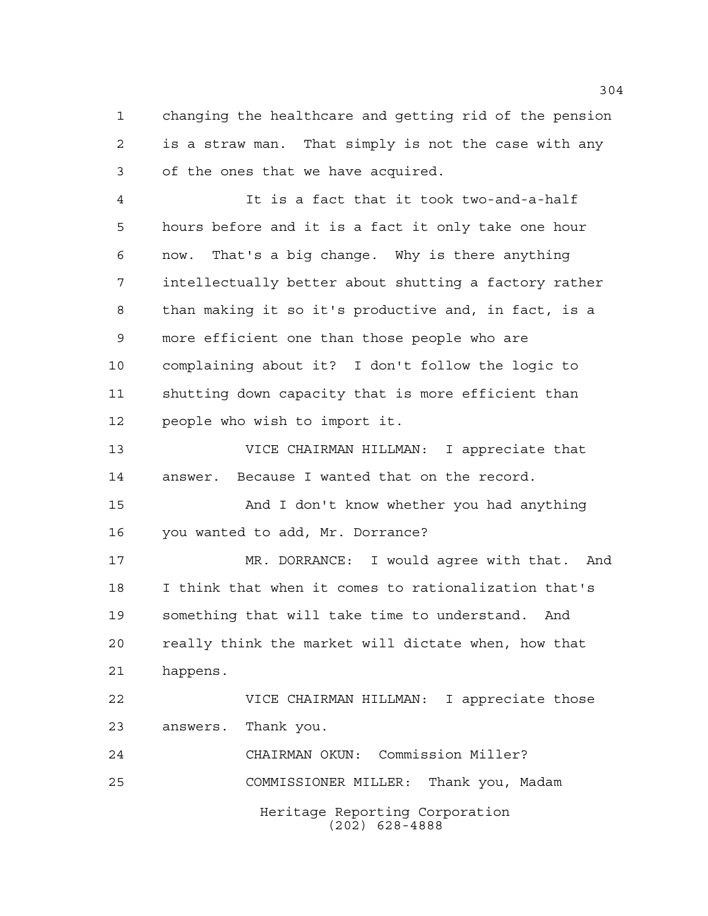changing the healthcare and getting rid of the pension is a straw man. That simply is not the case with any of the ones that we have acquired.

 It is a fact that it took two-and-a-half hours before and it is a fact it only take one hour now. That's a big change. Why is there anything intellectually better about shutting a factory rather than making it so it's productive and, in fact, is a more efficient one than those people who are complaining about it? I don't follow the logic to shutting down capacity that is more efficient than people who wish to import it.

 VICE CHAIRMAN HILLMAN: I appreciate that answer. Because I wanted that on the record.

 And I don't know whether you had anything you wanted to add, Mr. Dorrance?

 MR. DORRANCE: I would agree with that. And I think that when it comes to rationalization that's something that will take time to understand. And really think the market will dictate when, how that happens.

 VICE CHAIRMAN HILLMAN: I appreciate those answers. Thank you.

Heritage Reporting Corporation (202) 628-4888 CHAIRMAN OKUN: Commission Miller? COMMISSIONER MILLER: Thank you, Madam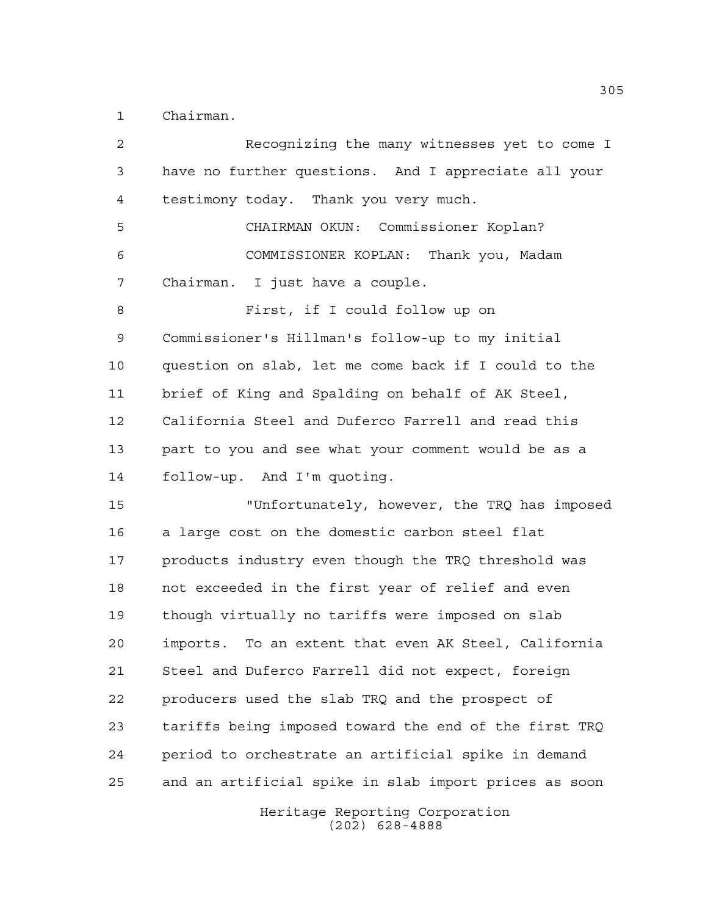Chairman.

 Recognizing the many witnesses yet to come I have no further questions. And I appreciate all your testimony today. Thank you very much. CHAIRMAN OKUN: Commissioner Koplan? COMMISSIONER KOPLAN: Thank you, Madam Chairman. I just have a couple. First, if I could follow up on Commissioner's Hillman's follow-up to my initial question on slab, let me come back if I could to the brief of King and Spalding on behalf of AK Steel, California Steel and Duferco Farrell and read this part to you and see what your comment would be as a follow-up. And I'm quoting. "Unfortunately, however, the TRQ has imposed a large cost on the domestic carbon steel flat products industry even though the TRQ threshold was not exceeded in the first year of relief and even though virtually no tariffs were imposed on slab imports. To an extent that even AK Steel, California Steel and Duferco Farrell did not expect, foreign producers used the slab TRQ and the prospect of tariffs being imposed toward the end of the first TRQ period to orchestrate an artificial spike in demand and an artificial spike in slab import prices as soon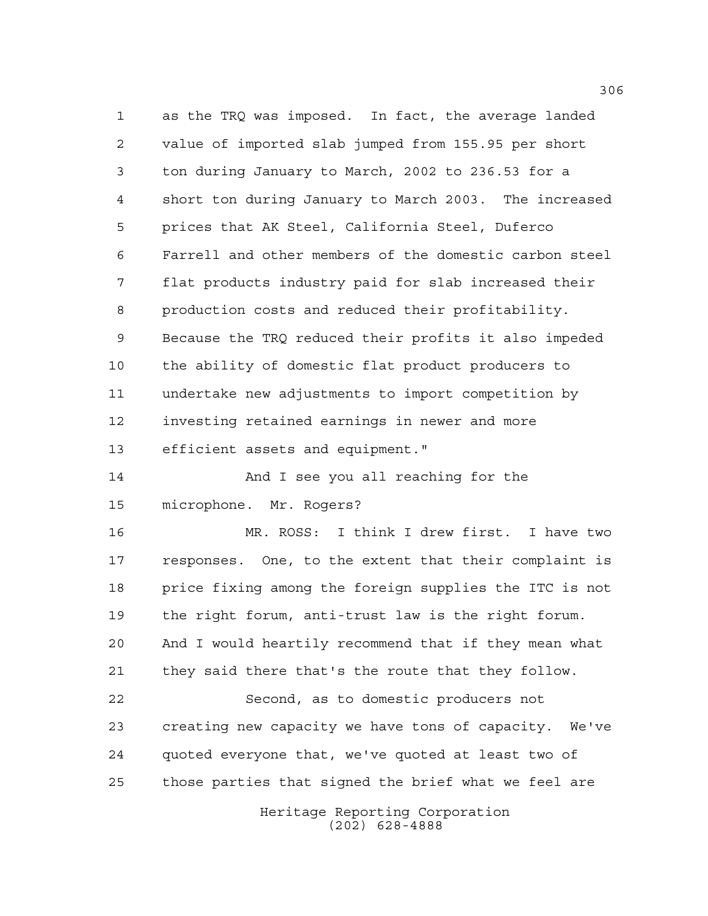as the TRQ was imposed. In fact, the average landed value of imported slab jumped from 155.95 per short ton during January to March, 2002 to 236.53 for a short ton during January to March 2003. The increased prices that AK Steel, California Steel, Duferco Farrell and other members of the domestic carbon steel flat products industry paid for slab increased their production costs and reduced their profitability. Because the TRQ reduced their profits it also impeded the ability of domestic flat product producers to undertake new adjustments to import competition by investing retained earnings in newer and more efficient assets and equipment."

 And I see you all reaching for the microphone. Mr. Rogers?

 MR. ROSS: I think I drew first. I have two responses. One, to the extent that their complaint is price fixing among the foreign supplies the ITC is not the right forum, anti-trust law is the right forum. And I would heartily recommend that if they mean what they said there that's the route that they follow.

 Second, as to domestic producers not creating new capacity we have tons of capacity. We've quoted everyone that, we've quoted at least two of those parties that signed the brief what we feel are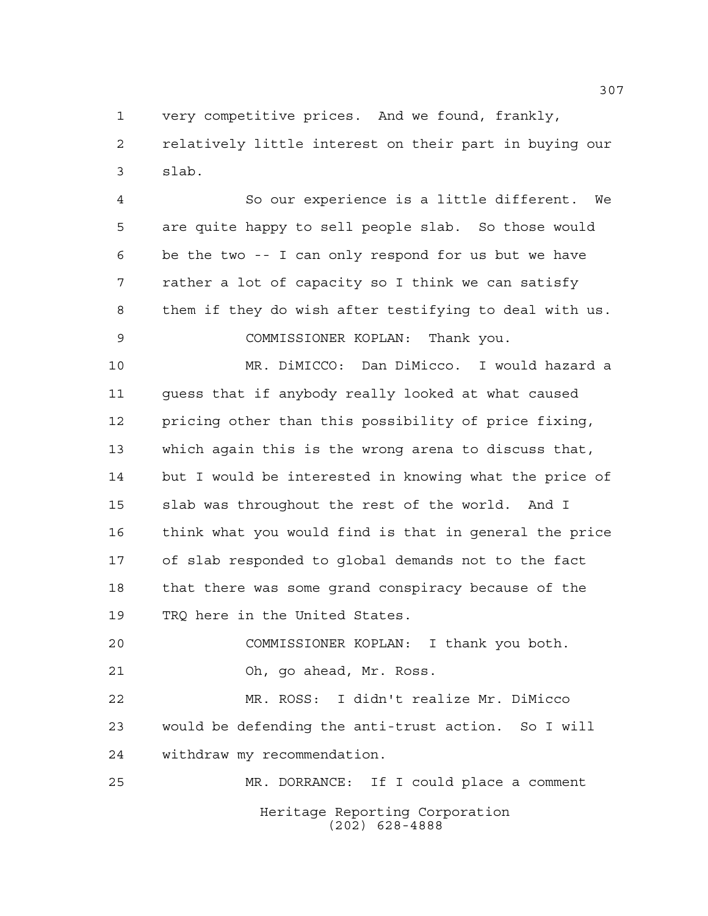very competitive prices. And we found, frankly, relatively little interest on their part in buying our slab.

 So our experience is a little different. We are quite happy to sell people slab. So those would be the two -- I can only respond for us but we have rather a lot of capacity so I think we can satisfy them if they do wish after testifying to deal with us. COMMISSIONER KOPLAN: Thank you.

 MR. DiMICCO: Dan DiMicco. I would hazard a guess that if anybody really looked at what caused pricing other than this possibility of price fixing, which again this is the wrong arena to discuss that, but I would be interested in knowing what the price of slab was throughout the rest of the world. And I think what you would find is that in general the price of slab responded to global demands not to the fact that there was some grand conspiracy because of the TRQ here in the United States.

 COMMISSIONER KOPLAN: I thank you both. Oh, go ahead, Mr. Ross.

 MR. ROSS: I didn't realize Mr. DiMicco would be defending the anti-trust action. So I will withdraw my recommendation.

Heritage Reporting Corporation (202) 628-4888 MR. DORRANCE: If I could place a comment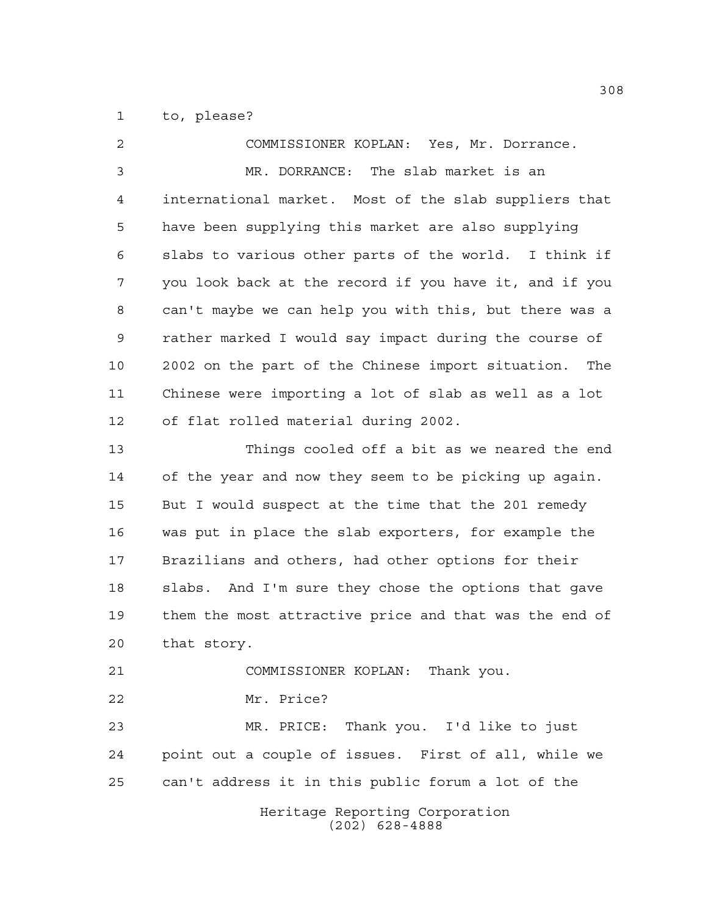to, please?

Heritage Reporting Corporation (202) 628-4888 COMMISSIONER KOPLAN: Yes, Mr. Dorrance. MR. DORRANCE: The slab market is an international market. Most of the slab suppliers that have been supplying this market are also supplying slabs to various other parts of the world. I think if you look back at the record if you have it, and if you can't maybe we can help you with this, but there was a rather marked I would say impact during the course of 2002 on the part of the Chinese import situation. The Chinese were importing a lot of slab as well as a lot of flat rolled material during 2002. Things cooled off a bit as we neared the end of the year and now they seem to be picking up again. But I would suspect at the time that the 201 remedy was put in place the slab exporters, for example the Brazilians and others, had other options for their slabs. And I'm sure they chose the options that gave them the most attractive price and that was the end of that story. COMMISSIONER KOPLAN: Thank you. Mr. Price? MR. PRICE: Thank you. I'd like to just point out a couple of issues. First of all, while we can't address it in this public forum a lot of the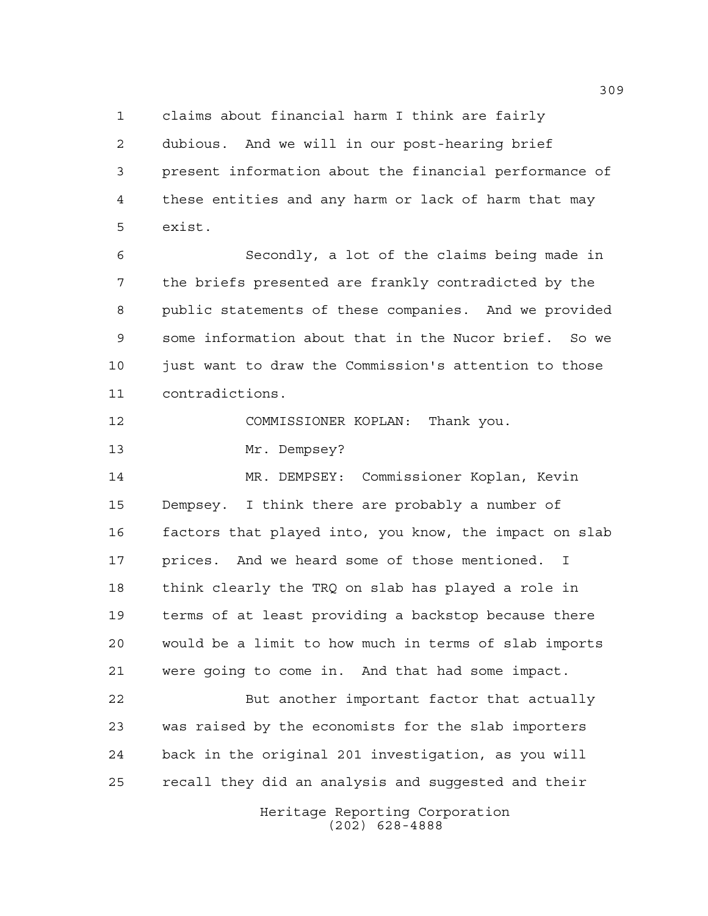claims about financial harm I think are fairly dubious. And we will in our post-hearing brief present information about the financial performance of these entities and any harm or lack of harm that may exist.

 Secondly, a lot of the claims being made in the briefs presented are frankly contradicted by the public statements of these companies. And we provided some information about that in the Nucor brief. So we just want to draw the Commission's attention to those contradictions.

COMMISSIONER KOPLAN: Thank you.

Mr. Dempsey?

 MR. DEMPSEY: Commissioner Koplan, Kevin Dempsey. I think there are probably a number of factors that played into, you know, the impact on slab prices. And we heard some of those mentioned. I think clearly the TRQ on slab has played a role in terms of at least providing a backstop because there would be a limit to how much in terms of slab imports were going to come in. And that had some impact.

22 But another important factor that actually was raised by the economists for the slab importers back in the original 201 investigation, as you will recall they did an analysis and suggested and their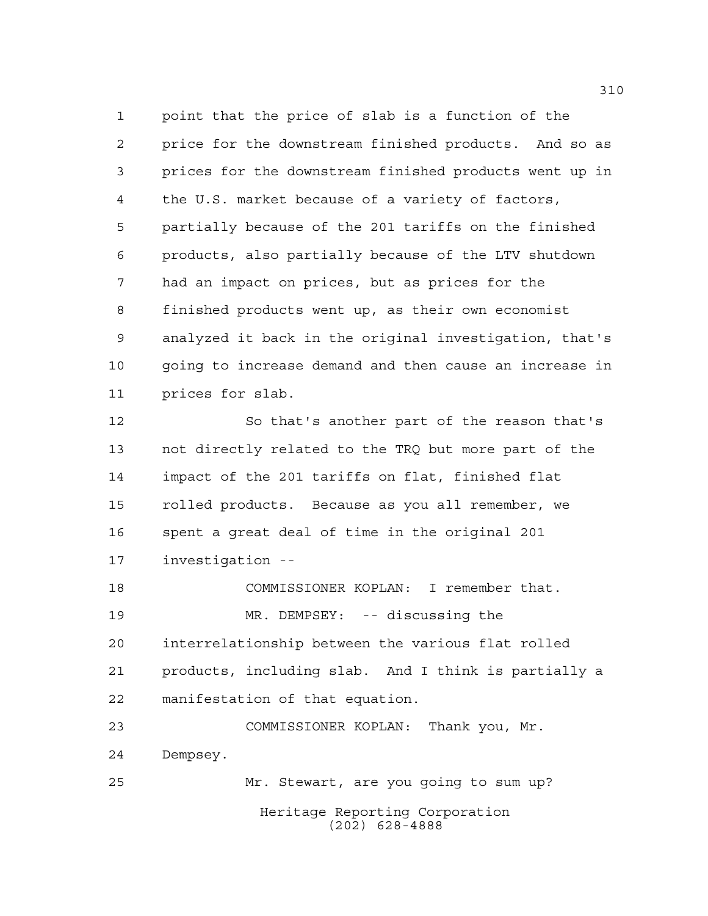point that the price of slab is a function of the price for the downstream finished products. And so as prices for the downstream finished products went up in the U.S. market because of a variety of factors, partially because of the 201 tariffs on the finished products, also partially because of the LTV shutdown had an impact on prices, but as prices for the finished products went up, as their own economist analyzed it back in the original investigation, that's going to increase demand and then cause an increase in prices for slab.

 So that's another part of the reason that's not directly related to the TRQ but more part of the impact of the 201 tariffs on flat, finished flat rolled products. Because as you all remember, we spent a great deal of time in the original 201 investigation --

 COMMISSIONER KOPLAN: I remember that. MR. DEMPSEY: -- discussing the interrelationship between the various flat rolled products, including slab. And I think is partially a manifestation of that equation.

Heritage Reporting Corporation (202) 628-4888 COMMISSIONER KOPLAN: Thank you, Mr. Dempsey. Mr. Stewart, are you going to sum up?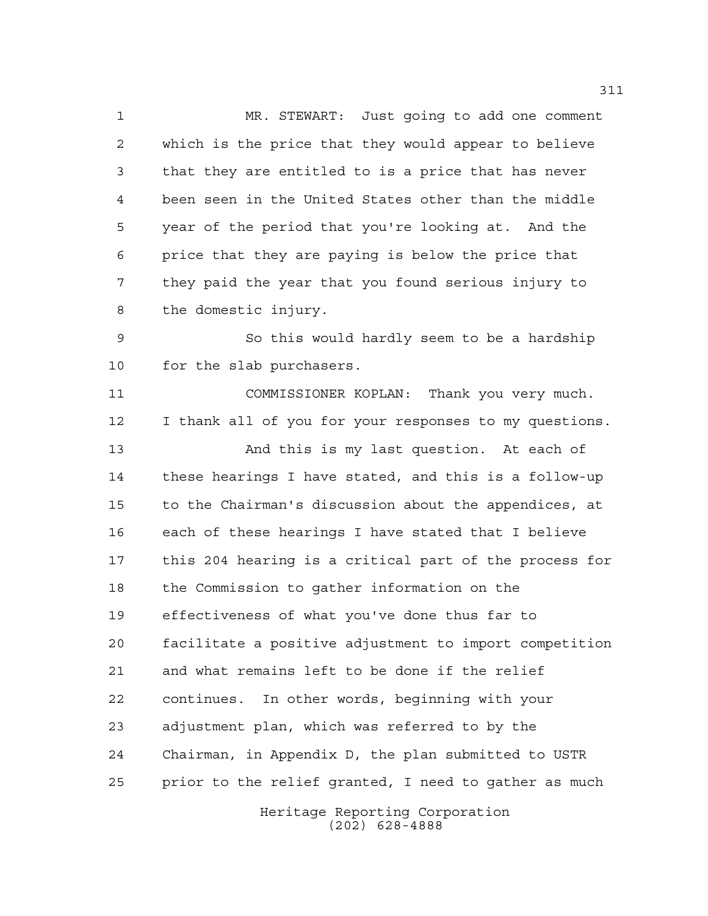MR. STEWART: Just going to add one comment which is the price that they would appear to believe that they are entitled to is a price that has never been seen in the United States other than the middle year of the period that you're looking at. And the price that they are paying is below the price that they paid the year that you found serious injury to the domestic injury.

 So this would hardly seem to be a hardship for the slab purchasers.

 COMMISSIONER KOPLAN: Thank you very much. I thank all of you for your responses to my questions. And this is my last question. At each of these hearings I have stated, and this is a follow-up to the Chairman's discussion about the appendices, at each of these hearings I have stated that I believe this 204 hearing is a critical part of the process for the Commission to gather information on the effectiveness of what you've done thus far to facilitate a positive adjustment to import competition and what remains left to be done if the relief continues. In other words, beginning with your adjustment plan, which was referred to by the Chairman, in Appendix D, the plan submitted to USTR prior to the relief granted, I need to gather as much

> Heritage Reporting Corporation (202) 628-4888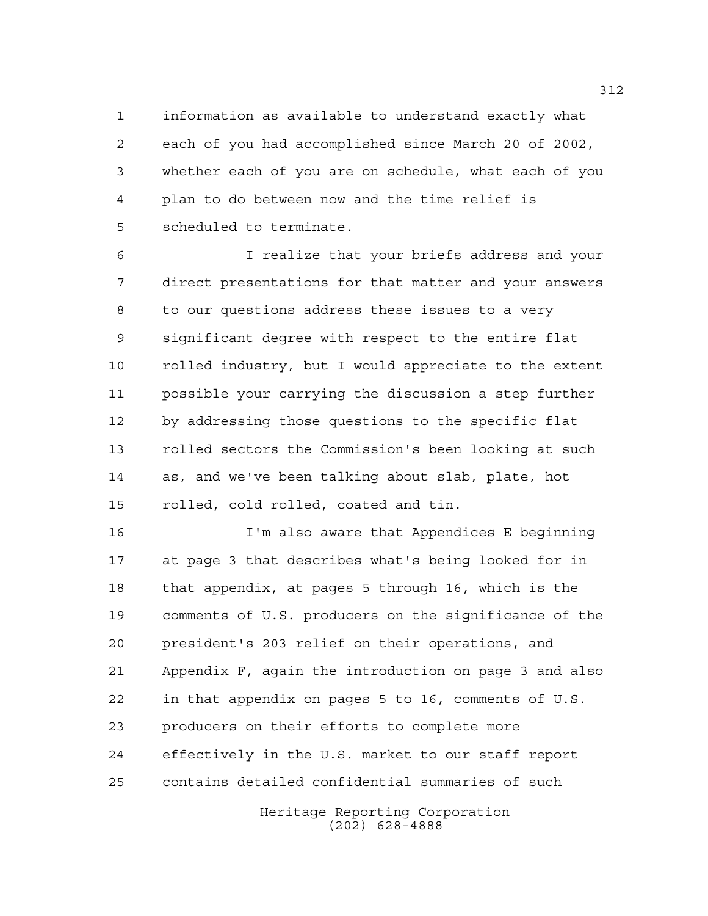information as available to understand exactly what each of you had accomplished since March 20 of 2002, whether each of you are on schedule, what each of you plan to do between now and the time relief is scheduled to terminate.

 I realize that your briefs address and your direct presentations for that matter and your answers to our questions address these issues to a very significant degree with respect to the entire flat rolled industry, but I would appreciate to the extent possible your carrying the discussion a step further by addressing those questions to the specific flat rolled sectors the Commission's been looking at such as, and we've been talking about slab, plate, hot rolled, cold rolled, coated and tin.

 I'm also aware that Appendices E beginning at page 3 that describes what's being looked for in that appendix, at pages 5 through 16, which is the comments of U.S. producers on the significance of the president's 203 relief on their operations, and Appendix F, again the introduction on page 3 and also in that appendix on pages 5 to 16, comments of U.S. producers on their efforts to complete more effectively in the U.S. market to our staff report contains detailed confidential summaries of such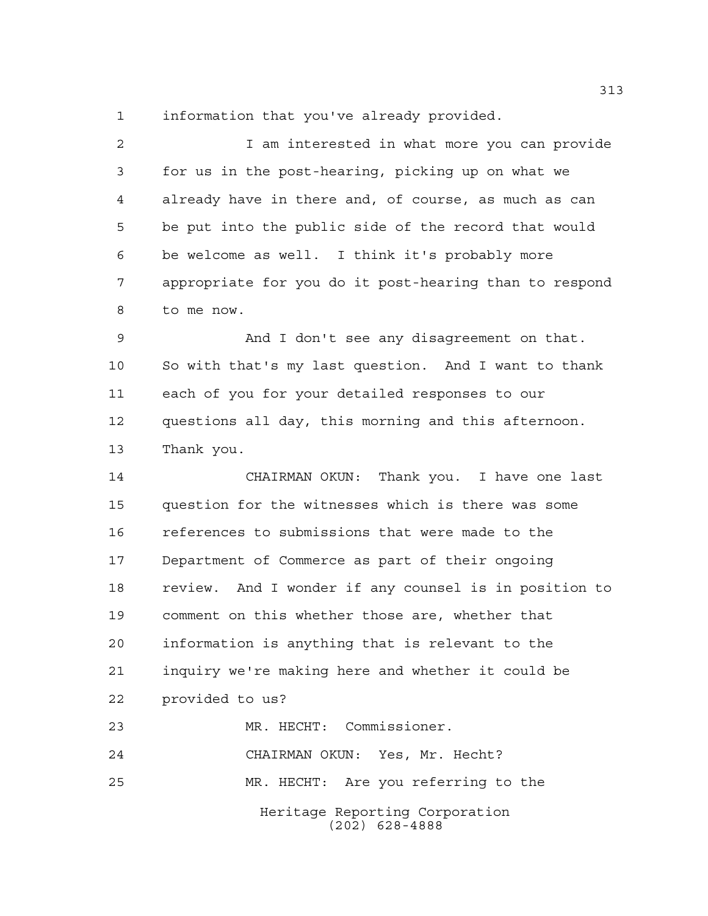information that you've already provided.

 I am interested in what more you can provide for us in the post-hearing, picking up on what we already have in there and, of course, as much as can be put into the public side of the record that would be welcome as well. I think it's probably more appropriate for you do it post-hearing than to respond to me now.

 And I don't see any disagreement on that. So with that's my last question. And I want to thank each of you for your detailed responses to our questions all day, this morning and this afternoon. Thank you.

 CHAIRMAN OKUN: Thank you. I have one last question for the witnesses which is there was some references to submissions that were made to the Department of Commerce as part of their ongoing review. And I wonder if any counsel is in position to comment on this whether those are, whether that information is anything that is relevant to the inquiry we're making here and whether it could be provided to us? MR. HECHT: Commissioner. CHAIRMAN OKUN: Yes, Mr. Hecht?

MR. HECHT: Are you referring to the

Heritage Reporting Corporation (202) 628-4888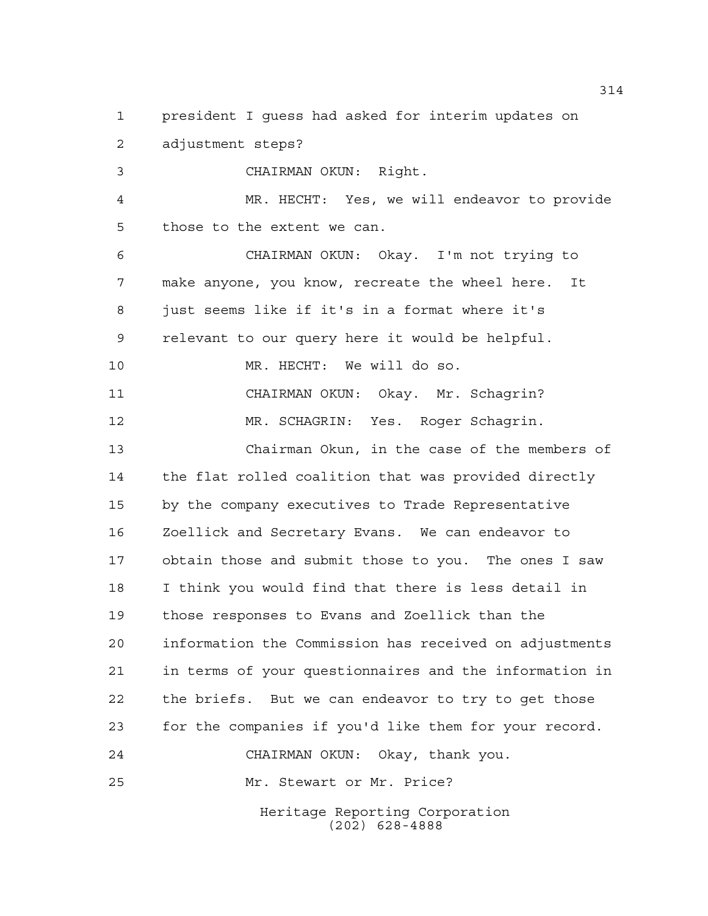Heritage Reporting Corporation president I guess had asked for interim updates on adjustment steps? CHAIRMAN OKUN: Right. MR. HECHT: Yes, we will endeavor to provide those to the extent we can. CHAIRMAN OKUN: Okay. I'm not trying to make anyone, you know, recreate the wheel here. It just seems like if it's in a format where it's relevant to our query here it would be helpful. MR. HECHT: We will do so. CHAIRMAN OKUN: Okay. Mr. Schagrin? MR. SCHAGRIN: Yes. Roger Schagrin. Chairman Okun, in the case of the members of the flat rolled coalition that was provided directly by the company executives to Trade Representative Zoellick and Secretary Evans. We can endeavor to obtain those and submit those to you. The ones I saw I think you would find that there is less detail in those responses to Evans and Zoellick than the information the Commission has received on adjustments in terms of your questionnaires and the information in the briefs. But we can endeavor to try to get those for the companies if you'd like them for your record. CHAIRMAN OKUN: Okay, thank you. Mr. Stewart or Mr. Price?

(202) 628-4888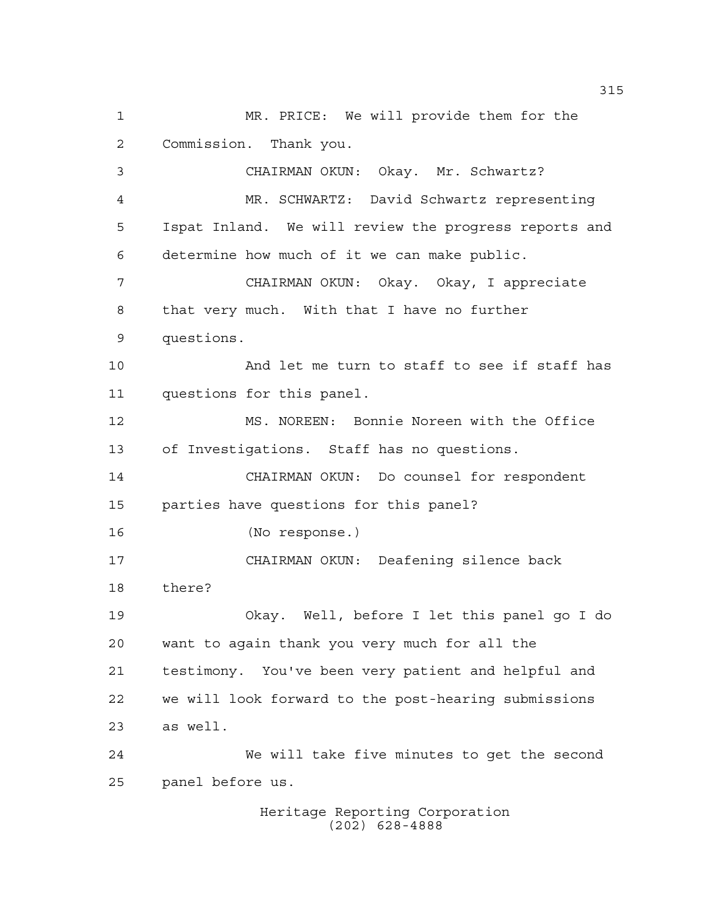MR. PRICE: We will provide them for the Commission. Thank you. CHAIRMAN OKUN: Okay. Mr. Schwartz? MR. SCHWARTZ: David Schwartz representing Ispat Inland. We will review the progress reports and determine how much of it we can make public. CHAIRMAN OKUN: Okay. Okay, I appreciate that very much. With that I have no further questions. And let me turn to staff to see if staff has questions for this panel. MS. NOREEN: Bonnie Noreen with the Office of Investigations. Staff has no questions. CHAIRMAN OKUN: Do counsel for respondent parties have questions for this panel? (No response.) CHAIRMAN OKUN: Deafening silence back there? Okay. Well, before I let this panel go I do want to again thank you very much for all the testimony. You've been very patient and helpful and we will look forward to the post-hearing submissions as well. We will take five minutes to get the second panel before us.

Heritage Reporting Corporation (202) 628-4888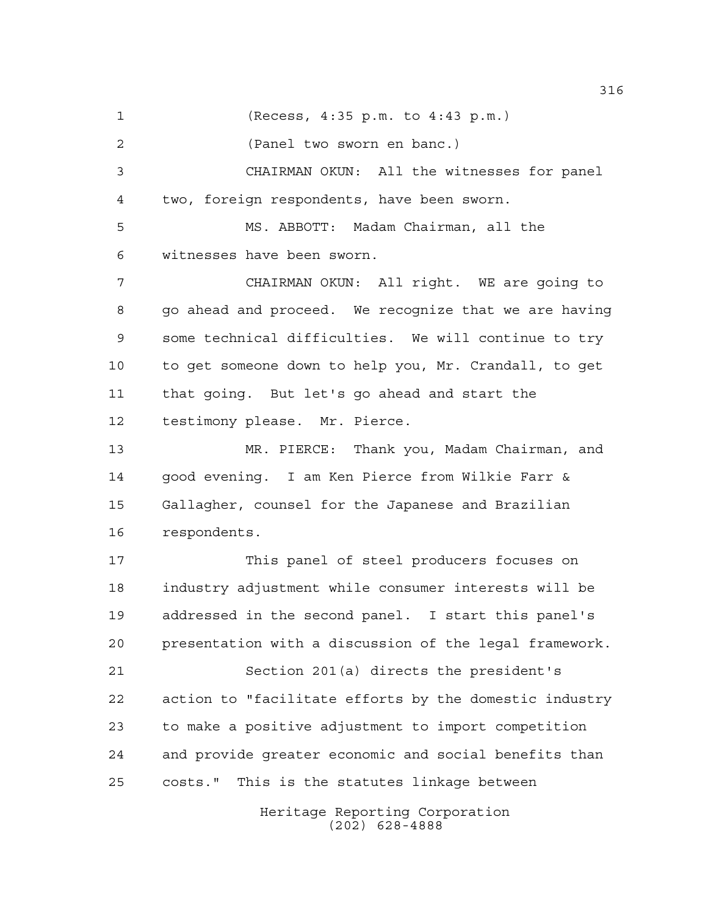(Recess, 4:35 p.m. to 4:43 p.m.) (Panel two sworn en banc.) CHAIRMAN OKUN: All the witnesses for panel two, foreign respondents, have been sworn. MS. ABBOTT: Madam Chairman, all the witnesses have been sworn. CHAIRMAN OKUN: All right. WE are going to go ahead and proceed. We recognize that we are having some technical difficulties. We will continue to try to get someone down to help you, Mr. Crandall, to get that going. But let's go ahead and start the testimony please. Mr. Pierce. MR. PIERCE: Thank you, Madam Chairman, and good evening. I am Ken Pierce from Wilkie Farr & Gallagher, counsel for the Japanese and Brazilian respondents. This panel of steel producers focuses on industry adjustment while consumer interests will be addressed in the second panel. I start this panel's presentation with a discussion of the legal framework. Section 201(a) directs the president's action to "facilitate efforts by the domestic industry

> Heritage Reporting Corporation (202) 628-4888

to make a positive adjustment to import competition

costs." This is the statutes linkage between

and provide greater economic and social benefits than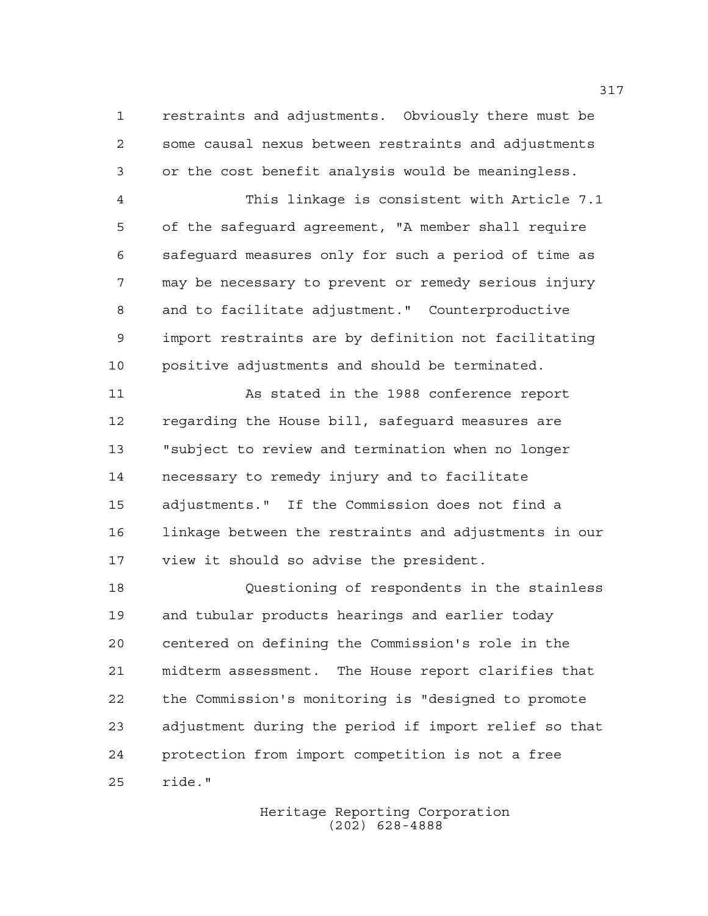restraints and adjustments. Obviously there must be some causal nexus between restraints and adjustments or the cost benefit analysis would be meaningless.

 This linkage is consistent with Article 7.1 of the safeguard agreement, "A member shall require safeguard measures only for such a period of time as may be necessary to prevent or remedy serious injury and to facilitate adjustment." Counterproductive import restraints are by definition not facilitating positive adjustments and should be terminated.

 As stated in the 1988 conference report regarding the House bill, safeguard measures are "subject to review and termination when no longer necessary to remedy injury and to facilitate adjustments." If the Commission does not find a linkage between the restraints and adjustments in our view it should so advise the president.

 Questioning of respondents in the stainless and tubular products hearings and earlier today centered on defining the Commission's role in the midterm assessment. The House report clarifies that the Commission's monitoring is "designed to promote adjustment during the period if import relief so that protection from import competition is not a free ride."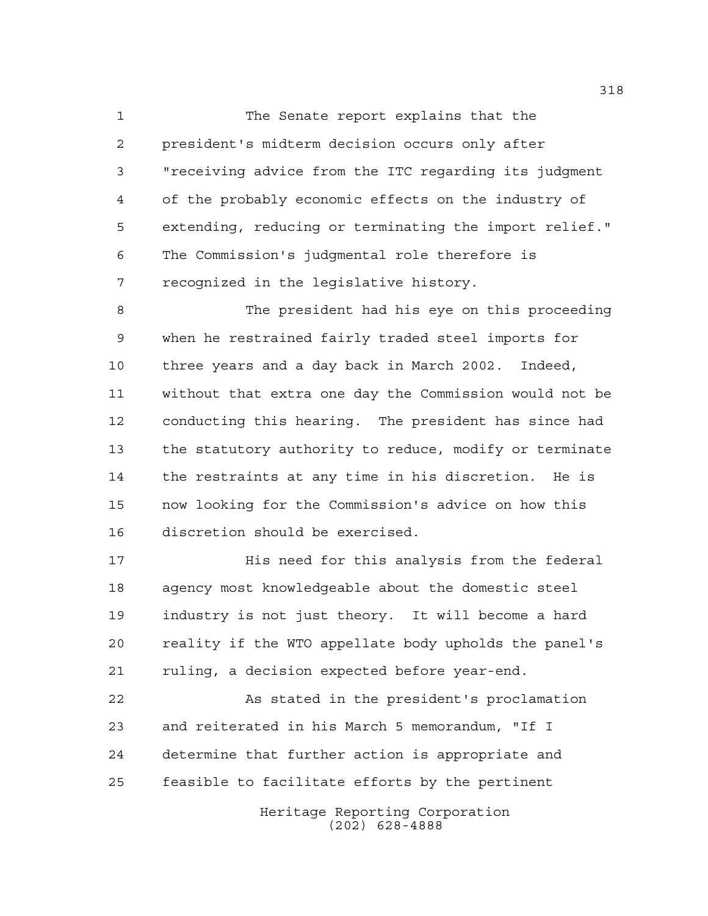The Senate report explains that the president's midterm decision occurs only after "receiving advice from the ITC regarding its judgment of the probably economic effects on the industry of extending, reducing or terminating the import relief." The Commission's judgmental role therefore is recognized in the legislative history.

 The president had his eye on this proceeding when he restrained fairly traded steel imports for three years and a day back in March 2002. Indeed, without that extra one day the Commission would not be conducting this hearing. The president has since had the statutory authority to reduce, modify or terminate the restraints at any time in his discretion. He is now looking for the Commission's advice on how this discretion should be exercised.

 His need for this analysis from the federal agency most knowledgeable about the domestic steel industry is not just theory. It will become a hard reality if the WTO appellate body upholds the panel's ruling, a decision expected before year-end.

 As stated in the president's proclamation and reiterated in his March 5 memorandum, "If I determine that further action is appropriate and feasible to facilitate efforts by the pertinent

> Heritage Reporting Corporation (202) 628-4888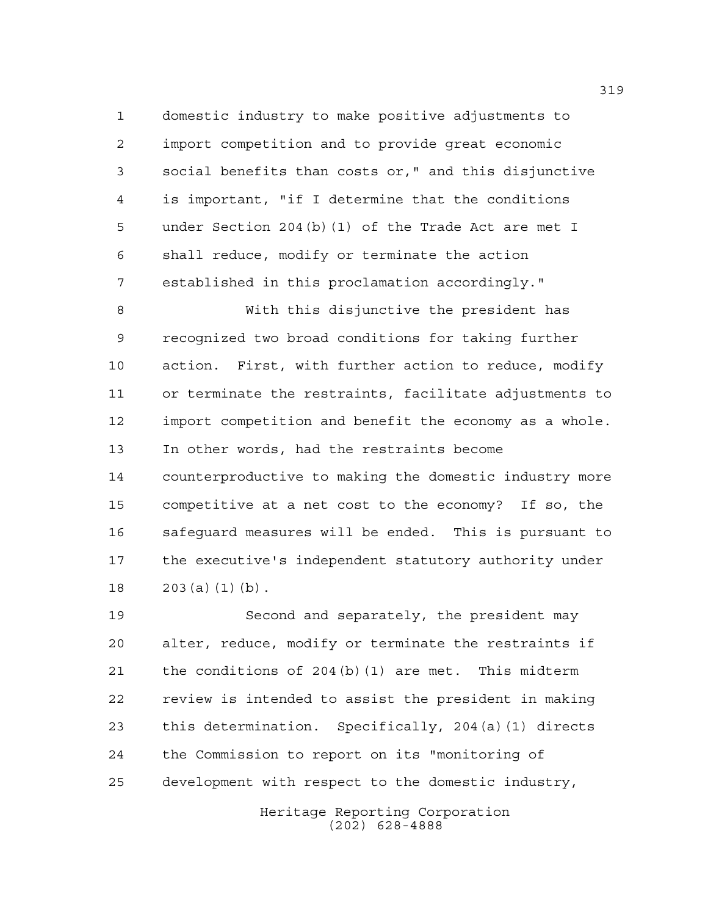domestic industry to make positive adjustments to import competition and to provide great economic social benefits than costs or," and this disjunctive is important, "if I determine that the conditions under Section 204(b)(1) of the Trade Act are met I shall reduce, modify or terminate the action established in this proclamation accordingly."

 With this disjunctive the president has recognized two broad conditions for taking further action. First, with further action to reduce, modify or terminate the restraints, facilitate adjustments to import competition and benefit the economy as a whole. In other words, had the restraints become counterproductive to making the domestic industry more competitive at a net cost to the economy? If so, the safeguard measures will be ended. This is pursuant to the executive's independent statutory authority under 203(a)(1)(b).

 Second and separately, the president may alter, reduce, modify or terminate the restraints if the conditions of 204(b)(1) are met. This midterm review is intended to assist the president in making this determination. Specifically, 204(a)(1) directs the Commission to report on its "monitoring of development with respect to the domestic industry,

> Heritage Reporting Corporation (202) 628-4888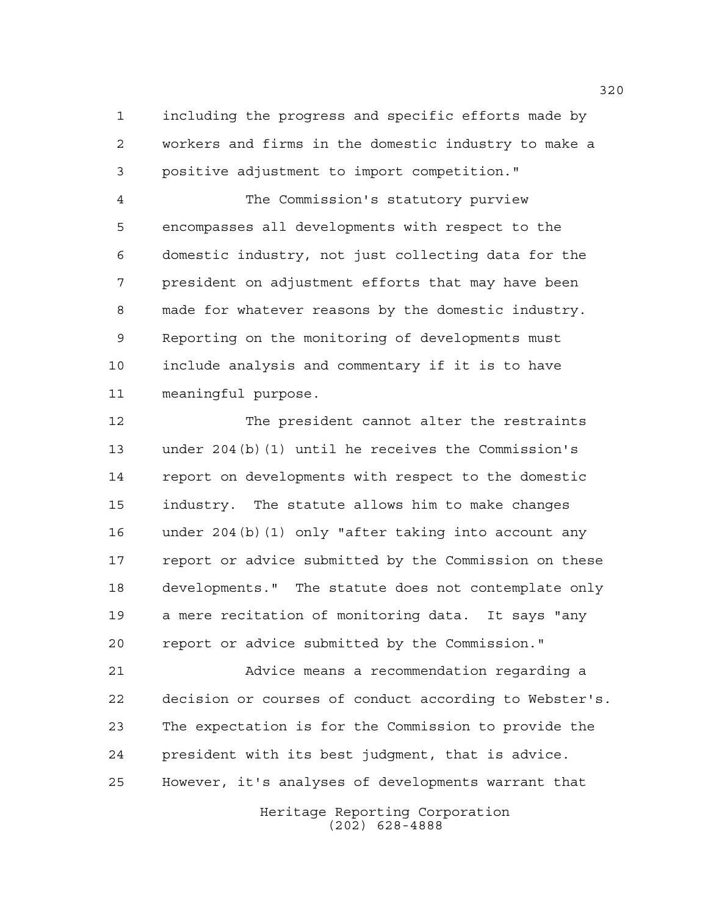including the progress and specific efforts made by workers and firms in the domestic industry to make a positive adjustment to import competition."

 The Commission's statutory purview encompasses all developments with respect to the domestic industry, not just collecting data for the president on adjustment efforts that may have been made for whatever reasons by the domestic industry. Reporting on the monitoring of developments must include analysis and commentary if it is to have meaningful purpose.

 The president cannot alter the restraints under 204(b)(1) until he receives the Commission's report on developments with respect to the domestic industry. The statute allows him to make changes under 204(b)(1) only "after taking into account any report or advice submitted by the Commission on these developments." The statute does not contemplate only a mere recitation of monitoring data. It says "any report or advice submitted by the Commission."

 Advice means a recommendation regarding a decision or courses of conduct according to Webster's. The expectation is for the Commission to provide the president with its best judgment, that is advice. However, it's analyses of developments warrant that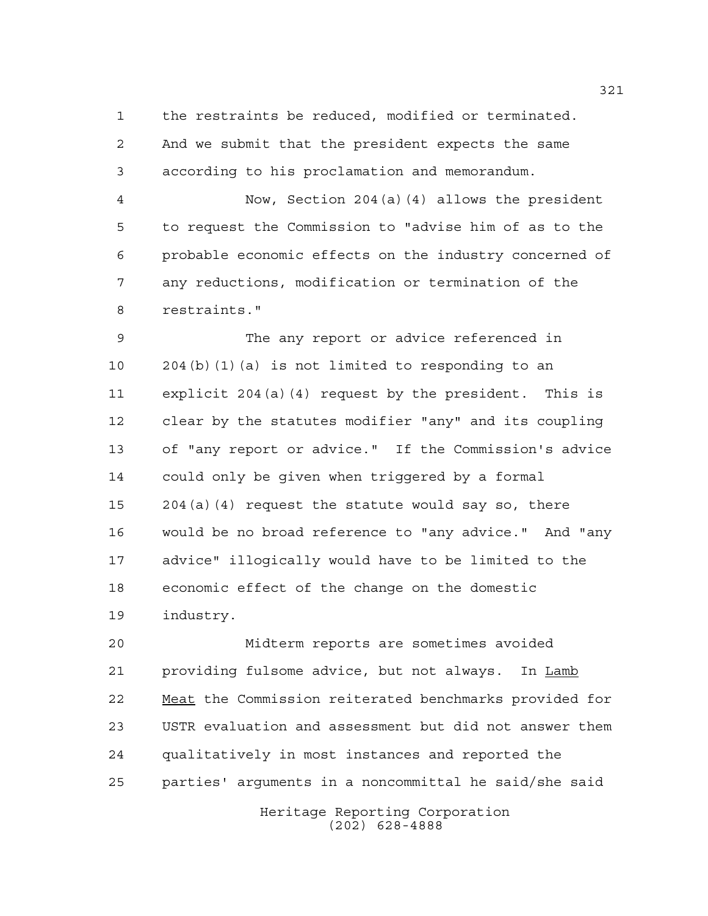the restraints be reduced, modified or terminated. And we submit that the president expects the same according to his proclamation and memorandum.

 Now, Section 204(a)(4) allows the president to request the Commission to "advise him of as to the probable economic effects on the industry concerned of any reductions, modification or termination of the restraints."

 The any report or advice referenced in 204(b)(1)(a) is not limited to responding to an explicit 204(a)(4) request by the president. This is clear by the statutes modifier "any" and its coupling of "any report or advice." If the Commission's advice could only be given when triggered by a formal 204(a)(4) request the statute would say so, there would be no broad reference to "any advice." And "any advice" illogically would have to be limited to the economic effect of the change on the domestic industry.

 Midterm reports are sometimes avoided providing fulsome advice, but not always. In Lamb Meat the Commission reiterated benchmarks provided for USTR evaluation and assessment but did not answer them qualitatively in most instances and reported the parties' arguments in a noncommittal he said/she said

> Heritage Reporting Corporation (202) 628-4888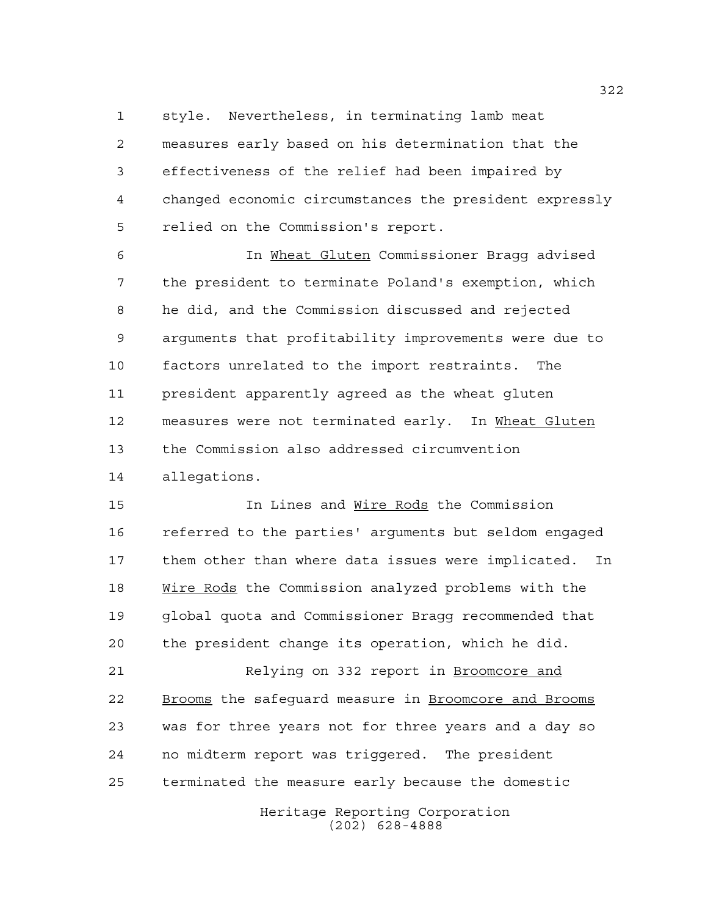style. Nevertheless, in terminating lamb meat measures early based on his determination that the effectiveness of the relief had been impaired by changed economic circumstances the president expressly relied on the Commission's report.

 In Wheat Gluten Commissioner Bragg advised the president to terminate Poland's exemption, which he did, and the Commission discussed and rejected arguments that profitability improvements were due to factors unrelated to the import restraints. The president apparently agreed as the wheat gluten measures were not terminated early. In Wheat Gluten the Commission also addressed circumvention allegations.

 In Lines and Wire Rods the Commission referred to the parties' arguments but seldom engaged them other than where data issues were implicated. In Wire Rods the Commission analyzed problems with the global quota and Commissioner Bragg recommended that the president change its operation, which he did.

21 Relying on 332 report in Broomcore and 22 Brooms the safeguard measure in Broomcore and Brooms was for three years not for three years and a day so no midterm report was triggered. The president terminated the measure early because the domestic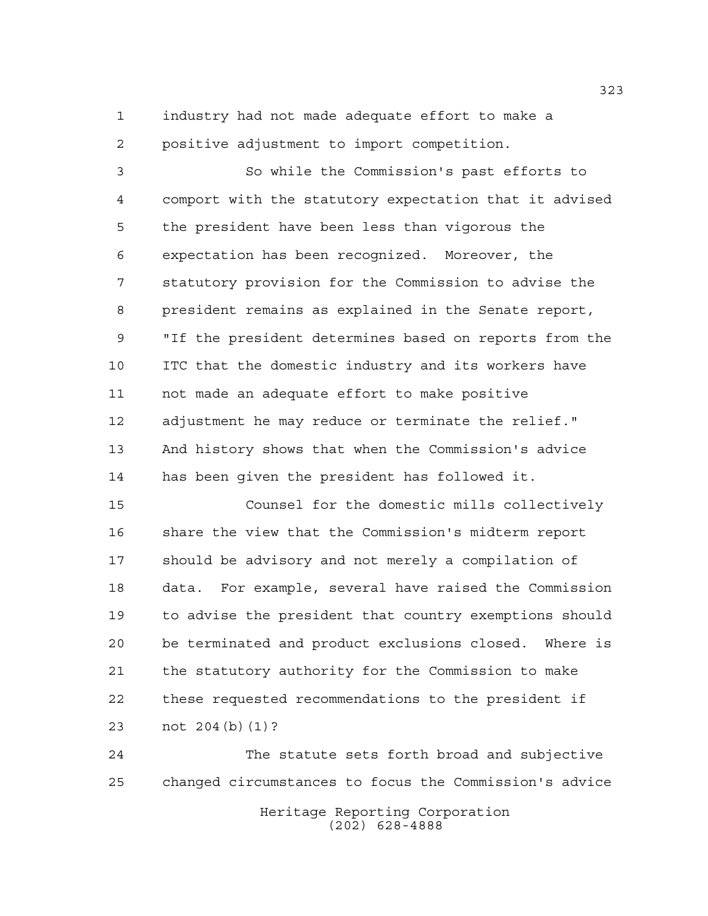industry had not made adequate effort to make a positive adjustment to import competition.

 So while the Commission's past efforts to comport with the statutory expectation that it advised the president have been less than vigorous the expectation has been recognized. Moreover, the statutory provision for the Commission to advise the president remains as explained in the Senate report, "If the president determines based on reports from the ITC that the domestic industry and its workers have not made an adequate effort to make positive adjustment he may reduce or terminate the relief." And history shows that when the Commission's advice has been given the president has followed it.

 Counsel for the domestic mills collectively share the view that the Commission's midterm report should be advisory and not merely a compilation of data. For example, several have raised the Commission to advise the president that country exemptions should be terminated and product exclusions closed. Where is the statutory authority for the Commission to make these requested recommendations to the president if not 204(b)(1)?

Heritage Reporting Corporation (202) 628-4888 The statute sets forth broad and subjective changed circumstances to focus the Commission's advice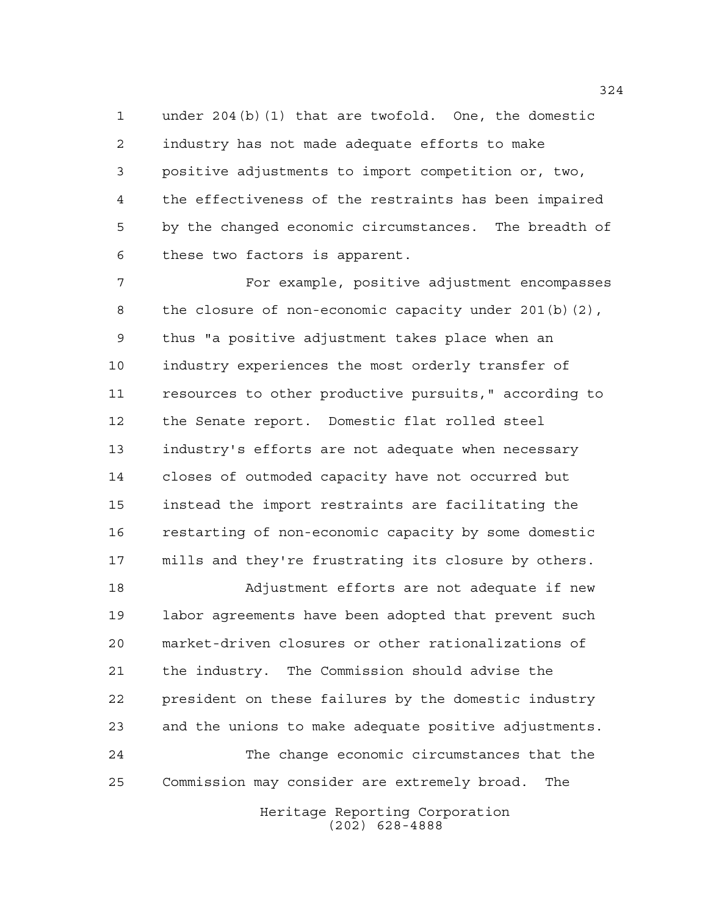under 204(b)(1) that are twofold. One, the domestic industry has not made adequate efforts to make positive adjustments to import competition or, two, the effectiveness of the restraints has been impaired by the changed economic circumstances. The breadth of these two factors is apparent.

 For example, positive adjustment encompasses the closure of non-economic capacity under 201(b)(2), thus "a positive adjustment takes place when an industry experiences the most orderly transfer of resources to other productive pursuits," according to the Senate report. Domestic flat rolled steel industry's efforts are not adequate when necessary closes of outmoded capacity have not occurred but instead the import restraints are facilitating the restarting of non-economic capacity by some domestic mills and they're frustrating its closure by others.

 Adjustment efforts are not adequate if new labor agreements have been adopted that prevent such market-driven closures or other rationalizations of the industry. The Commission should advise the president on these failures by the domestic industry and the unions to make adequate positive adjustments. The change economic circumstances that the Commission may consider are extremely broad. The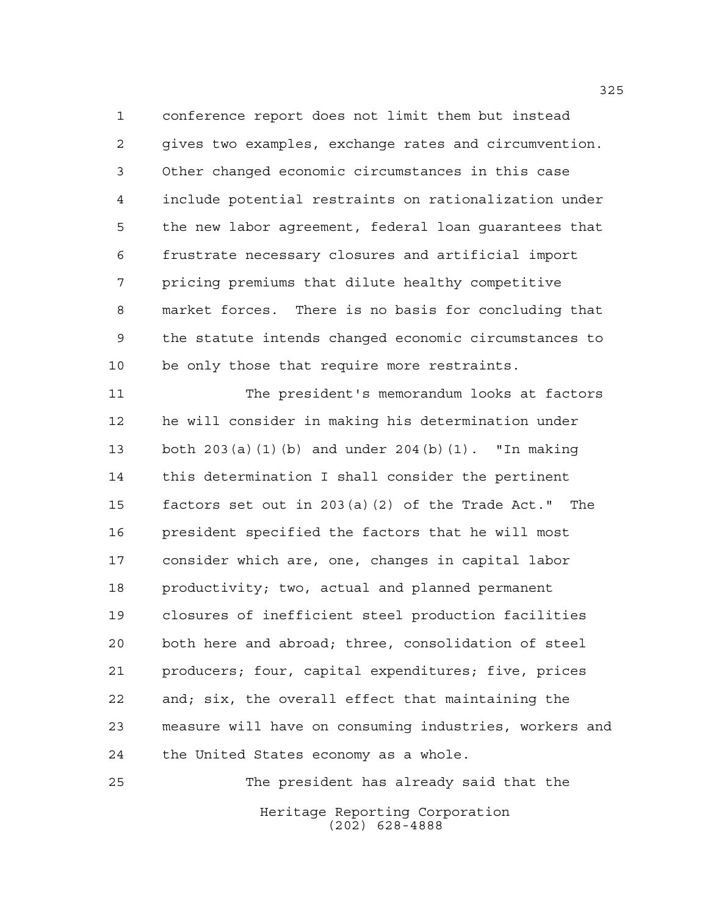conference report does not limit them but instead gives two examples, exchange rates and circumvention. Other changed economic circumstances in this case include potential restraints on rationalization under the new labor agreement, federal loan guarantees that frustrate necessary closures and artificial import pricing premiums that dilute healthy competitive market forces. There is no basis for concluding that the statute intends changed economic circumstances to be only those that require more restraints.

 The president's memorandum looks at factors he will consider in making his determination under both 203(a)(1)(b) and under 204(b)(1). "In making this determination I shall consider the pertinent factors set out in 203(a)(2) of the Trade Act." The president specified the factors that he will most consider which are, one, changes in capital labor productivity; two, actual and planned permanent closures of inefficient steel production facilities both here and abroad; three, consolidation of steel producers; four, capital expenditures; five, prices and; six, the overall effect that maintaining the measure will have on consuming industries, workers and the United States economy as a whole.

Heritage Reporting Corporation (202) 628-4888 The president has already said that the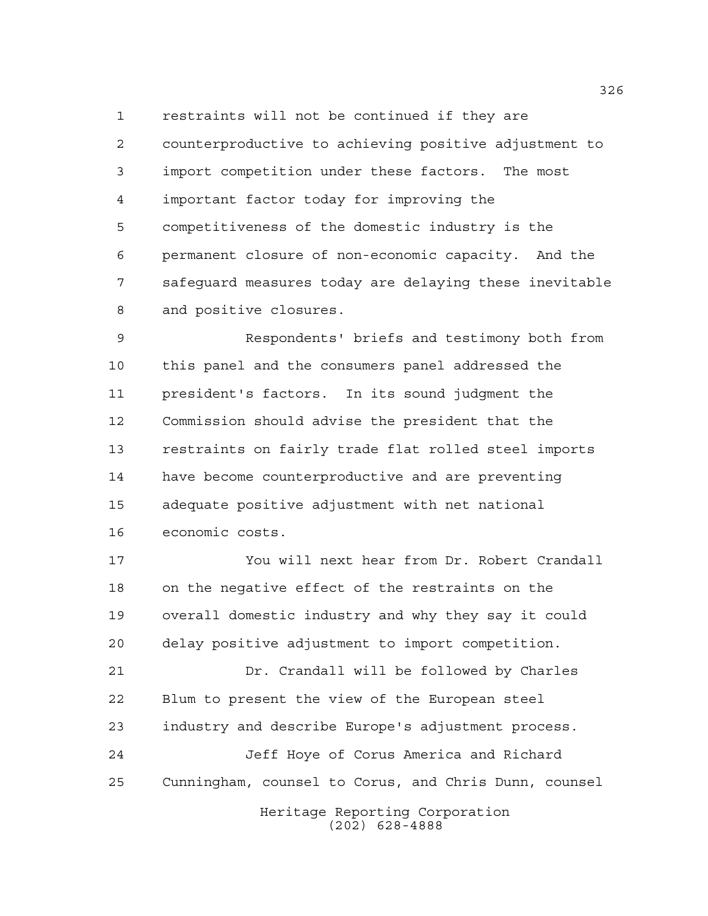restraints will not be continued if they are counterproductive to achieving positive adjustment to import competition under these factors. The most important factor today for improving the competitiveness of the domestic industry is the permanent closure of non-economic capacity. And the safeguard measures today are delaying these inevitable and positive closures.

 Respondents' briefs and testimony both from this panel and the consumers panel addressed the president's factors. In its sound judgment the Commission should advise the president that the restraints on fairly trade flat rolled steel imports have become counterproductive and are preventing adequate positive adjustment with net national economic costs.

 You will next hear from Dr. Robert Crandall on the negative effect of the restraints on the overall domestic industry and why they say it could delay positive adjustment to import competition. Dr. Crandall will be followed by Charles Blum to present the view of the European steel industry and describe Europe's adjustment process.

 Jeff Hoye of Corus America and Richard Cunningham, counsel to Corus, and Chris Dunn, counsel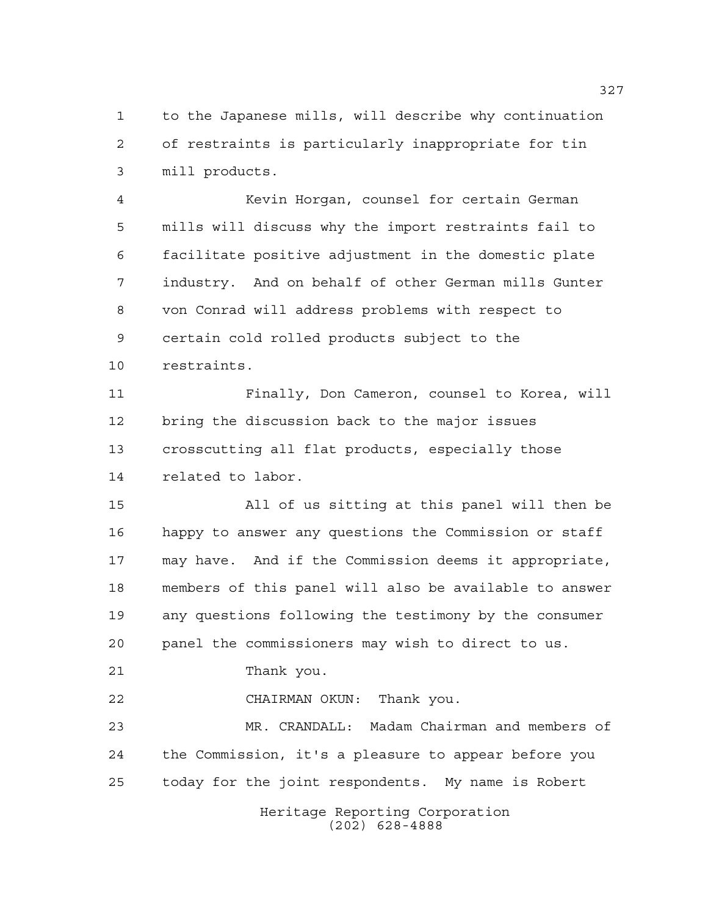to the Japanese mills, will describe why continuation of restraints is particularly inappropriate for tin mill products.

 Kevin Horgan, counsel for certain German mills will discuss why the import restraints fail to facilitate positive adjustment in the domestic plate industry. And on behalf of other German mills Gunter von Conrad will address problems with respect to certain cold rolled products subject to the restraints.

 Finally, Don Cameron, counsel to Korea, will bring the discussion back to the major issues crosscutting all flat products, especially those related to labor.

 All of us sitting at this panel will then be happy to answer any questions the Commission or staff may have. And if the Commission deems it appropriate, members of this panel will also be available to answer any questions following the testimony by the consumer panel the commissioners may wish to direct to us.

Thank you.

CHAIRMAN OKUN: Thank you.

 MR. CRANDALL: Madam Chairman and members of the Commission, it's a pleasure to appear before you today for the joint respondents. My name is Robert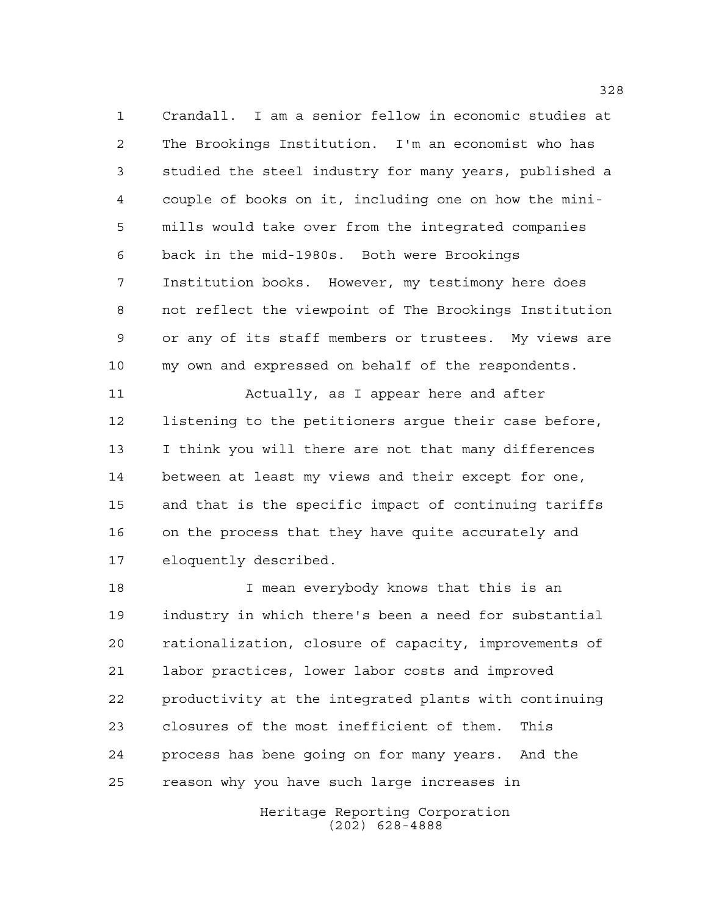Crandall. I am a senior fellow in economic studies at The Brookings Institution. I'm an economist who has studied the steel industry for many years, published a couple of books on it, including one on how the mini- mills would take over from the integrated companies back in the mid-1980s. Both were Brookings Institution books. However, my testimony here does not reflect the viewpoint of The Brookings Institution or any of its staff members or trustees. My views are my own and expressed on behalf of the respondents.

 Actually, as I appear here and after listening to the petitioners argue their case before, I think you will there are not that many differences between at least my views and their except for one, and that is the specific impact of continuing tariffs on the process that they have quite accurately and eloquently described.

 I mean everybody knows that this is an industry in which there's been a need for substantial rationalization, closure of capacity, improvements of labor practices, lower labor costs and improved productivity at the integrated plants with continuing closures of the most inefficient of them. This process has bene going on for many years. And the reason why you have such large increases in

> Heritage Reporting Corporation (202) 628-4888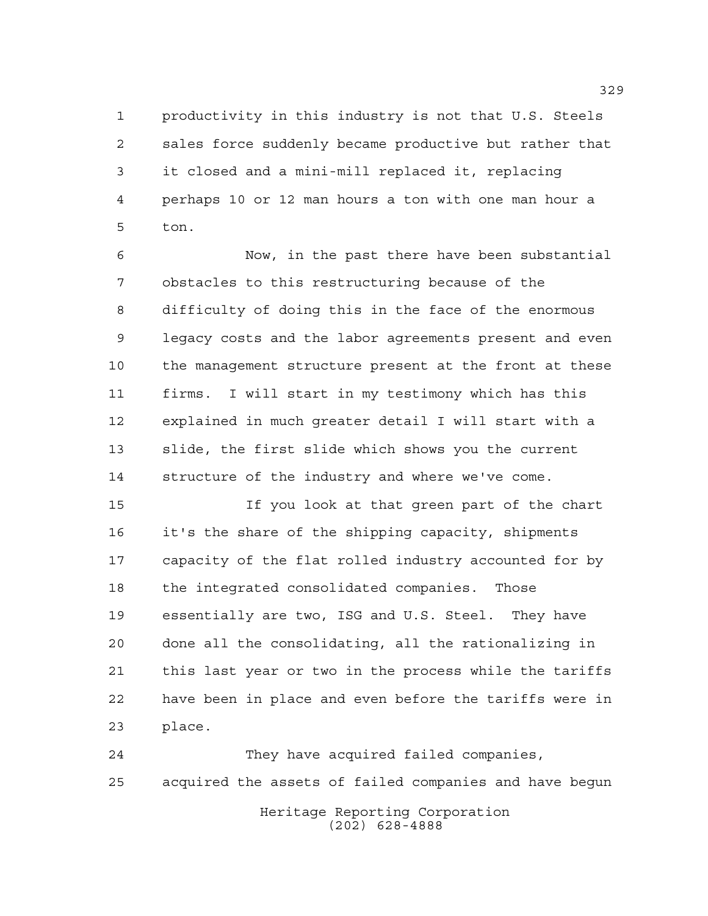productivity in this industry is not that U.S. Steels sales force suddenly became productive but rather that it closed and a mini-mill replaced it, replacing perhaps 10 or 12 man hours a ton with one man hour a ton.

 Now, in the past there have been substantial obstacles to this restructuring because of the difficulty of doing this in the face of the enormous legacy costs and the labor agreements present and even the management structure present at the front at these firms. I will start in my testimony which has this explained in much greater detail I will start with a slide, the first slide which shows you the current structure of the industry and where we've come.

 If you look at that green part of the chart it's the share of the shipping capacity, shipments capacity of the flat rolled industry accounted for by the integrated consolidated companies. Those essentially are two, ISG and U.S. Steel. They have done all the consolidating, all the rationalizing in this last year or two in the process while the tariffs have been in place and even before the tariffs were in place.

Heritage Reporting Corporation They have acquired failed companies, acquired the assets of failed companies and have begun

(202) 628-4888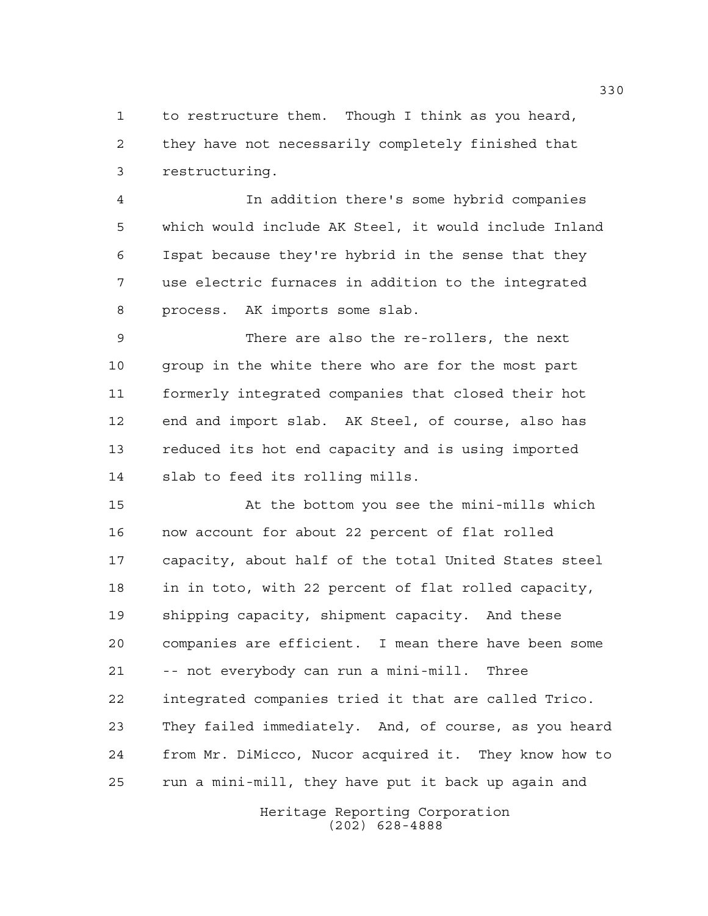to restructure them. Though I think as you heard, they have not necessarily completely finished that restructuring.

 In addition there's some hybrid companies which would include AK Steel, it would include Inland Ispat because they're hybrid in the sense that they use electric furnaces in addition to the integrated process. AK imports some slab.

 There are also the re-rollers, the next 10 group in the white there who are for the most part formerly integrated companies that closed their hot end and import slab. AK Steel, of course, also has reduced its hot end capacity and is using imported slab to feed its rolling mills.

 At the bottom you see the mini-mills which now account for about 22 percent of flat rolled capacity, about half of the total United States steel in in toto, with 22 percent of flat rolled capacity, shipping capacity, shipment capacity. And these companies are efficient. I mean there have been some -- not everybody can run a mini-mill. Three integrated companies tried it that are called Trico. They failed immediately. And, of course, as you heard from Mr. DiMicco, Nucor acquired it. They know how to run a mini-mill, they have put it back up again and

> Heritage Reporting Corporation (202) 628-4888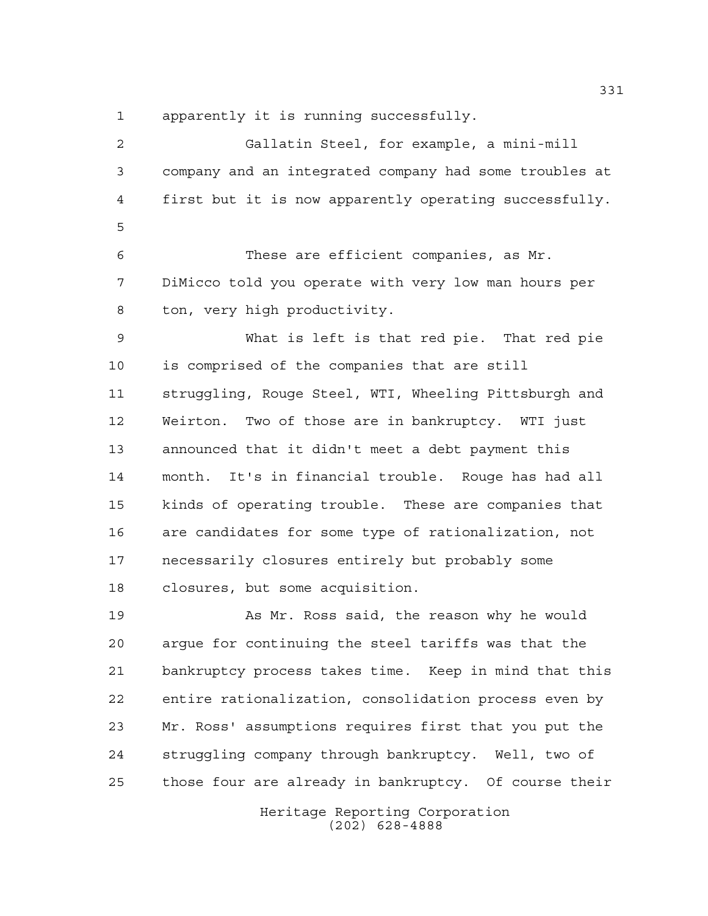apparently it is running successfully.

Heritage Reporting Corporation (202) 628-4888 Gallatin Steel, for example, a mini-mill company and an integrated company had some troubles at first but it is now apparently operating successfully. These are efficient companies, as Mr. DiMicco told you operate with very low man hours per ton, very high productivity. What is left is that red pie. That red pie is comprised of the companies that are still struggling, Rouge Steel, WTI, Wheeling Pittsburgh and Weirton. Two of those are in bankruptcy. WTI just announced that it didn't meet a debt payment this month. It's in financial trouble. Rouge has had all kinds of operating trouble. These are companies that are candidates for some type of rationalization, not necessarily closures entirely but probably some closures, but some acquisition. As Mr. Ross said, the reason why he would argue for continuing the steel tariffs was that the bankruptcy process takes time. Keep in mind that this entire rationalization, consolidation process even by Mr. Ross' assumptions requires first that you put the struggling company through bankruptcy. Well, two of those four are already in bankruptcy. Of course their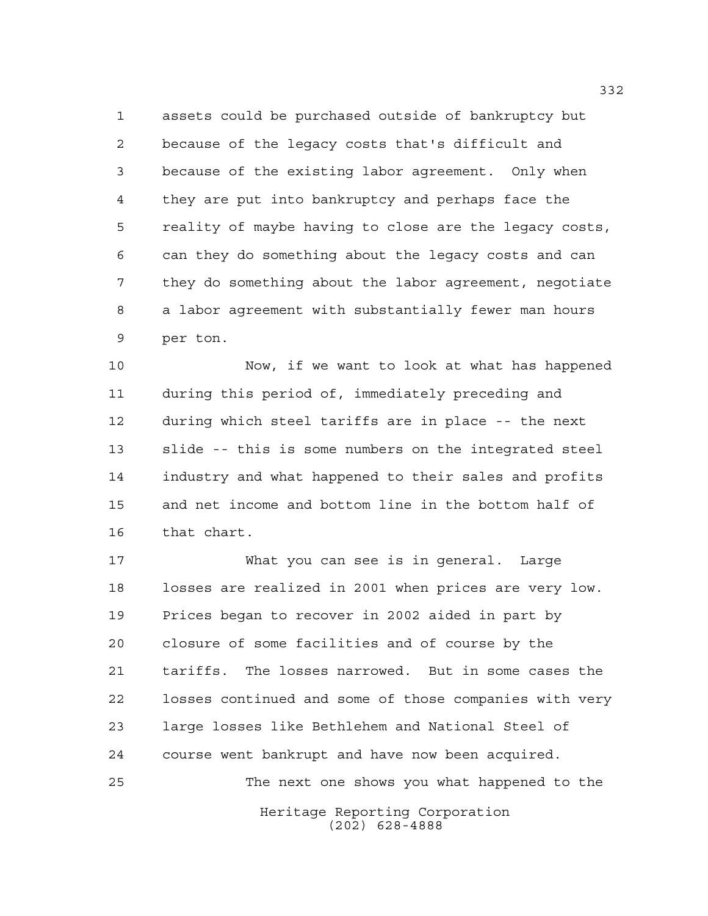assets could be purchased outside of bankruptcy but because of the legacy costs that's difficult and because of the existing labor agreement. Only when they are put into bankruptcy and perhaps face the reality of maybe having to close are the legacy costs, can they do something about the legacy costs and can they do something about the labor agreement, negotiate a labor agreement with substantially fewer man hours per ton.

 Now, if we want to look at what has happened during this period of, immediately preceding and during which steel tariffs are in place -- the next slide -- this is some numbers on the integrated steel industry and what happened to their sales and profits and net income and bottom line in the bottom half of that chart.

 What you can see is in general. Large losses are realized in 2001 when prices are very low. Prices began to recover in 2002 aided in part by closure of some facilities and of course by the tariffs. The losses narrowed. But in some cases the losses continued and some of those companies with very large losses like Bethlehem and National Steel of course went bankrupt and have now been acquired. The next one shows you what happened to the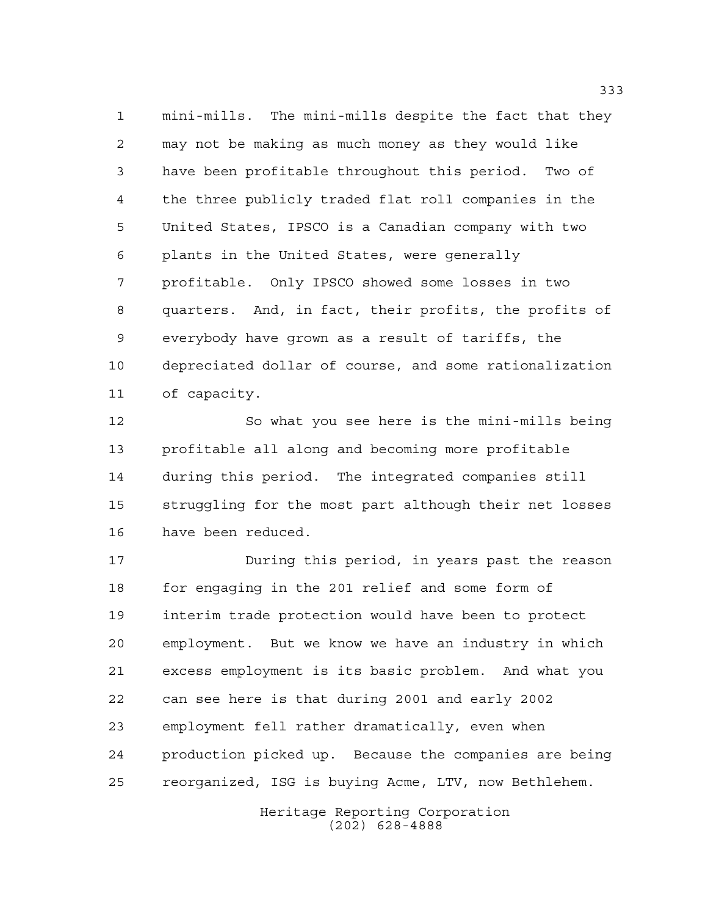mini-mills. The mini-mills despite the fact that they may not be making as much money as they would like have been profitable throughout this period. Two of the three publicly traded flat roll companies in the United States, IPSCO is a Canadian company with two plants in the United States, were generally profitable. Only IPSCO showed some losses in two quarters. And, in fact, their profits, the profits of everybody have grown as a result of tariffs, the depreciated dollar of course, and some rationalization of capacity.

 So what you see here is the mini-mills being profitable all along and becoming more profitable during this period. The integrated companies still struggling for the most part although their net losses have been reduced.

 During this period, in years past the reason for engaging in the 201 relief and some form of interim trade protection would have been to protect employment. But we know we have an industry in which excess employment is its basic problem. And what you can see here is that during 2001 and early 2002 employment fell rather dramatically, even when production picked up. Because the companies are being reorganized, ISG is buying Acme, LTV, now Bethlehem.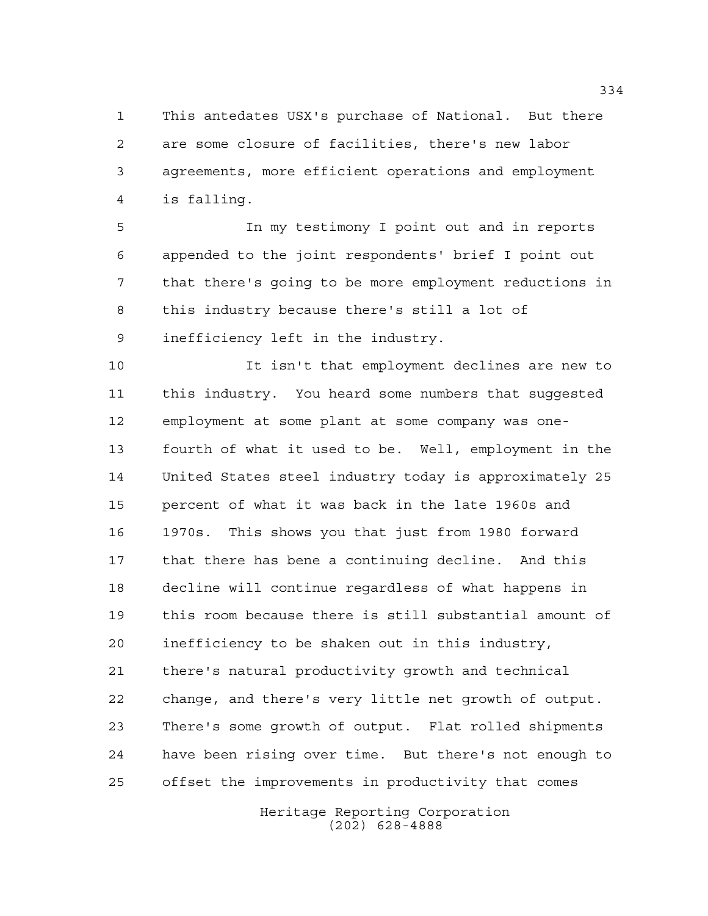This antedates USX's purchase of National. But there are some closure of facilities, there's new labor agreements, more efficient operations and employment is falling.

 In my testimony I point out and in reports appended to the joint respondents' brief I point out that there's going to be more employment reductions in this industry because there's still a lot of inefficiency left in the industry.

 It isn't that employment declines are new to this industry. You heard some numbers that suggested employment at some plant at some company was one- fourth of what it used to be. Well, employment in the United States steel industry today is approximately 25 percent of what it was back in the late 1960s and 1970s. This shows you that just from 1980 forward that there has bene a continuing decline. And this decline will continue regardless of what happens in this room because there is still substantial amount of inefficiency to be shaken out in this industry, there's natural productivity growth and technical change, and there's very little net growth of output. There's some growth of output. Flat rolled shipments have been rising over time. But there's not enough to offset the improvements in productivity that comes

> Heritage Reporting Corporation (202) 628-4888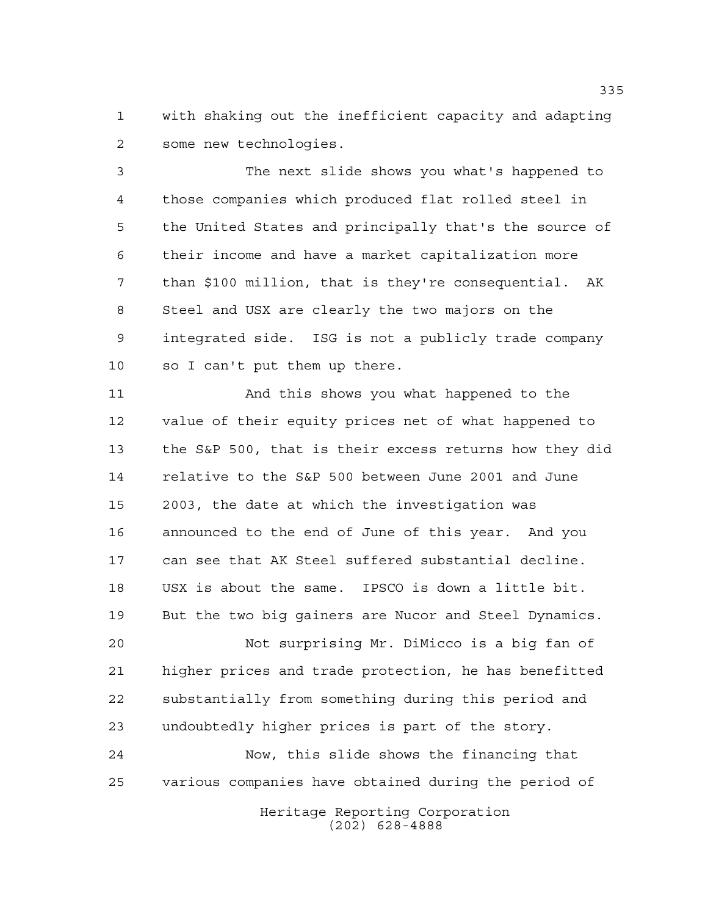with shaking out the inefficient capacity and adapting some new technologies.

 The next slide shows you what's happened to those companies which produced flat rolled steel in the United States and principally that's the source of their income and have a market capitalization more than \$100 million, that is they're consequential. AK Steel and USX are clearly the two majors on the integrated side. ISG is not a publicly trade company so I can't put them up there.

 And this shows you what happened to the value of their equity prices net of what happened to the S&P 500, that is their excess returns how they did relative to the S&P 500 between June 2001 and June 2003, the date at which the investigation was announced to the end of June of this year. And you can see that AK Steel suffered substantial decline. USX is about the same. IPSCO is down a little bit. But the two big gainers are Nucor and Steel Dynamics.

 Not surprising Mr. DiMicco is a big fan of higher prices and trade protection, he has benefitted substantially from something during this period and undoubtedly higher prices is part of the story.

 Now, this slide shows the financing that various companies have obtained during the period of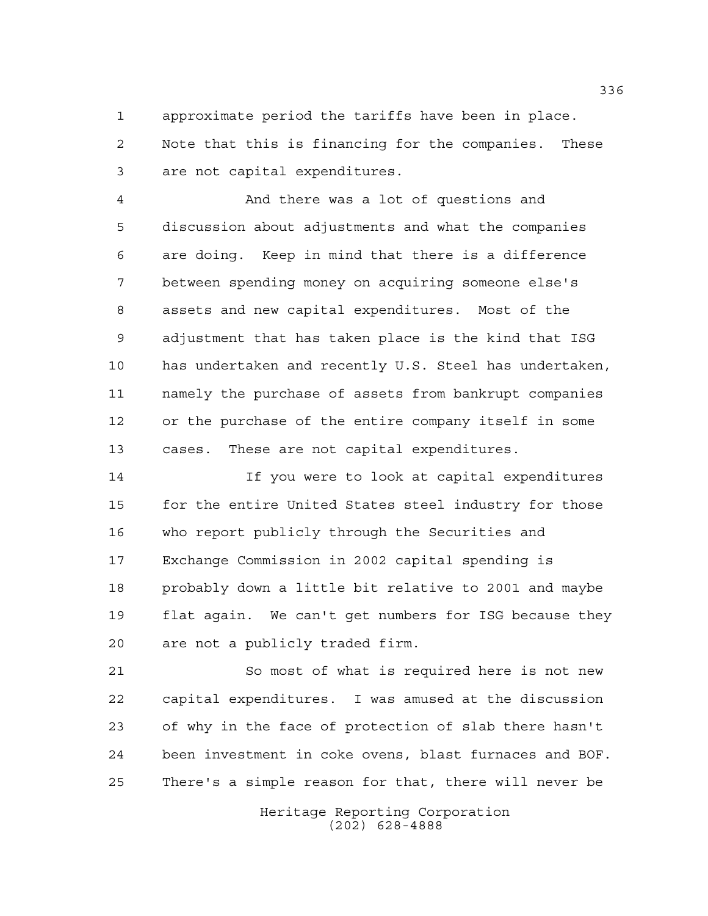approximate period the tariffs have been in place. Note that this is financing for the companies. These are not capital expenditures.

 And there was a lot of questions and discussion about adjustments and what the companies are doing. Keep in mind that there is a difference between spending money on acquiring someone else's assets and new capital expenditures. Most of the adjustment that has taken place is the kind that ISG has undertaken and recently U.S. Steel has undertaken, namely the purchase of assets from bankrupt companies or the purchase of the entire company itself in some cases. These are not capital expenditures.

 If you were to look at capital expenditures for the entire United States steel industry for those who report publicly through the Securities and Exchange Commission in 2002 capital spending is probably down a little bit relative to 2001 and maybe flat again. We can't get numbers for ISG because they are not a publicly traded firm.

 So most of what is required here is not new capital expenditures. I was amused at the discussion of why in the face of protection of slab there hasn't been investment in coke ovens, blast furnaces and BOF. There's a simple reason for that, there will never be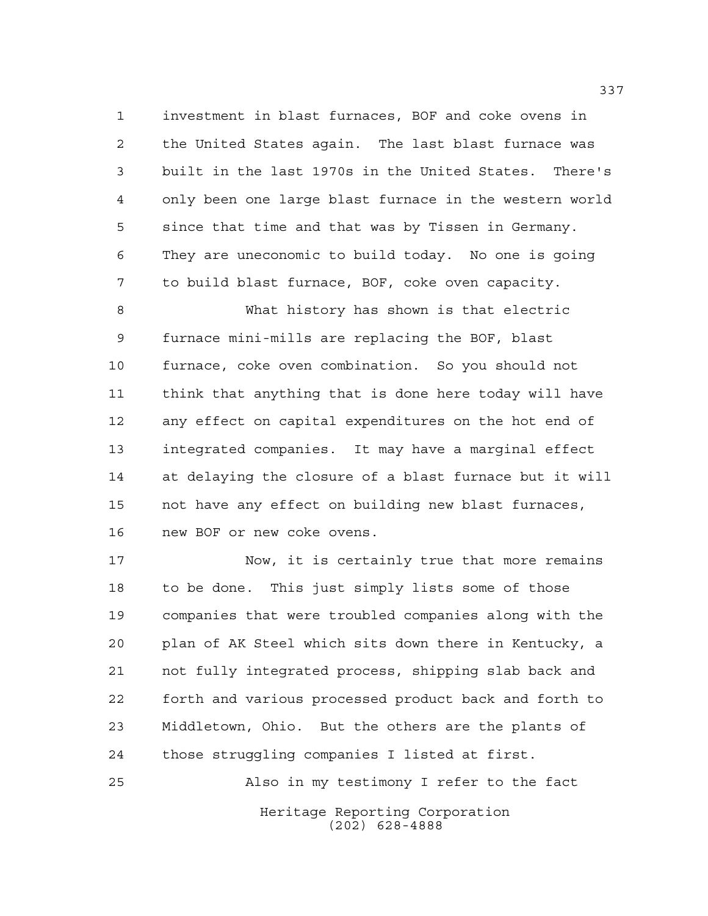investment in blast furnaces, BOF and coke ovens in the United States again. The last blast furnace was built in the last 1970s in the United States. There's only been one large blast furnace in the western world since that time and that was by Tissen in Germany. They are uneconomic to build today. No one is going to build blast furnace, BOF, coke oven capacity.

 What history has shown is that electric furnace mini-mills are replacing the BOF, blast furnace, coke oven combination. So you should not think that anything that is done here today will have any effect on capital expenditures on the hot end of integrated companies. It may have a marginal effect at delaying the closure of a blast furnace but it will not have any effect on building new blast furnaces, new BOF or new coke ovens.

 Now, it is certainly true that more remains to be done. This just simply lists some of those companies that were troubled companies along with the plan of AK Steel which sits down there in Kentucky, a not fully integrated process, shipping slab back and forth and various processed product back and forth to Middletown, Ohio. But the others are the plants of those struggling companies I listed at first.

Also in my testimony I refer to the fact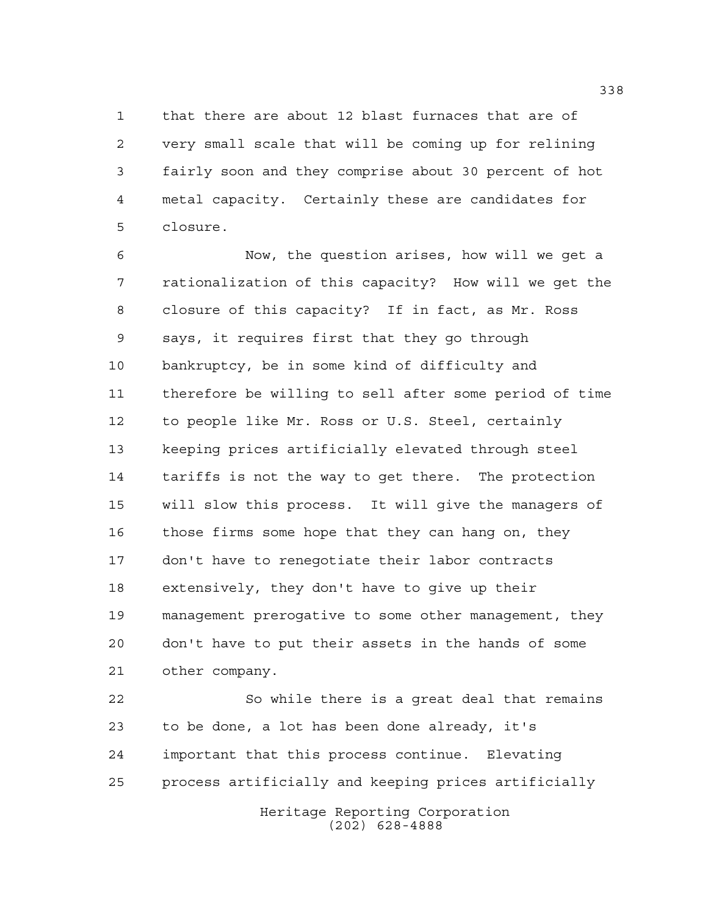that there are about 12 blast furnaces that are of very small scale that will be coming up for relining fairly soon and they comprise about 30 percent of hot metal capacity. Certainly these are candidates for closure.

 Now, the question arises, how will we get a rationalization of this capacity? How will we get the closure of this capacity? If in fact, as Mr. Ross says, it requires first that they go through bankruptcy, be in some kind of difficulty and therefore be willing to sell after some period of time to people like Mr. Ross or U.S. Steel, certainly keeping prices artificially elevated through steel tariffs is not the way to get there. The protection will slow this process. It will give the managers of those firms some hope that they can hang on, they don't have to renegotiate their labor contracts extensively, they don't have to give up their management prerogative to some other management, they don't have to put their assets in the hands of some other company.

 So while there is a great deal that remains to be done, a lot has been done already, it's important that this process continue. Elevating process artificially and keeping prices artificially

Heritage Reporting Corporation (202) 628-4888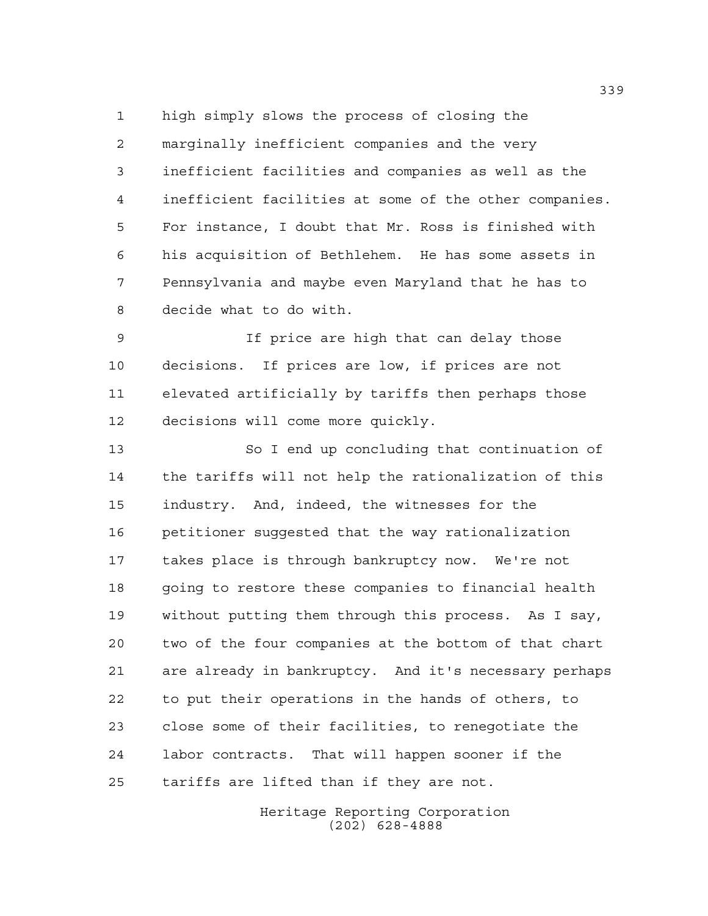high simply slows the process of closing the marginally inefficient companies and the very inefficient facilities and companies as well as the inefficient facilities at some of the other companies. For instance, I doubt that Mr. Ross is finished with his acquisition of Bethlehem. He has some assets in Pennsylvania and maybe even Maryland that he has to decide what to do with.

 If price are high that can delay those decisions. If prices are low, if prices are not elevated artificially by tariffs then perhaps those decisions will come more quickly.

 So I end up concluding that continuation of the tariffs will not help the rationalization of this industry. And, indeed, the witnesses for the petitioner suggested that the way rationalization takes place is through bankruptcy now. We're not going to restore these companies to financial health without putting them through this process. As I say, two of the four companies at the bottom of that chart are already in bankruptcy. And it's necessary perhaps to put their operations in the hands of others, to close some of their facilities, to renegotiate the labor contracts. That will happen sooner if the tariffs are lifted than if they are not.

> Heritage Reporting Corporation (202) 628-4888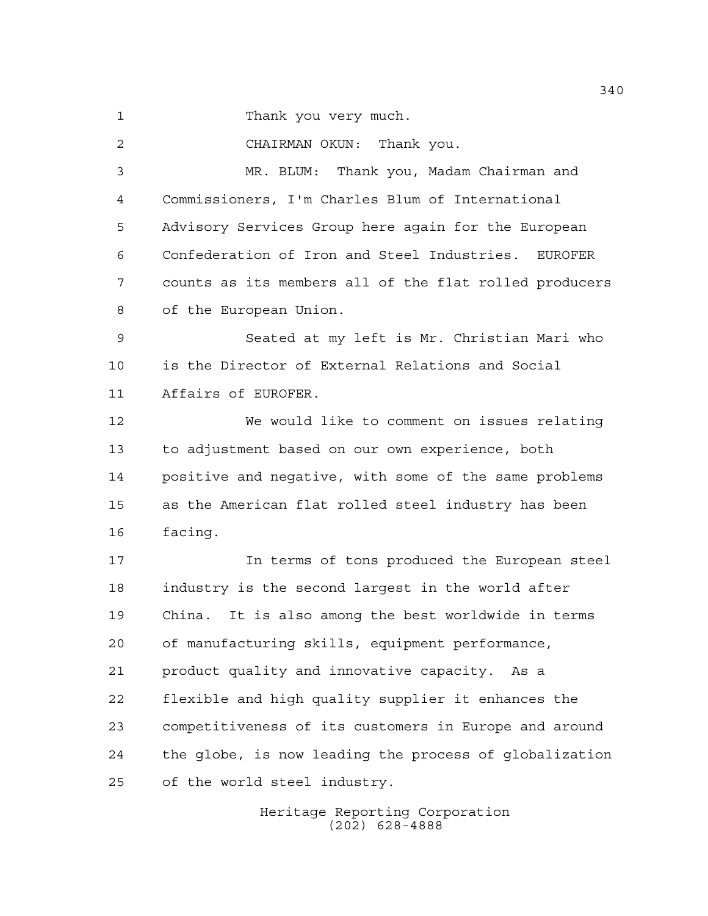Thank you very much.

CHAIRMAN OKUN: Thank you.

 MR. BLUM: Thank you, Madam Chairman and Commissioners, I'm Charles Blum of International Advisory Services Group here again for the European Confederation of Iron and Steel Industries. EUROFER counts as its members all of the flat rolled producers of the European Union.

 Seated at my left is Mr. Christian Mari who is the Director of External Relations and Social Affairs of EUROFER.

 We would like to comment on issues relating to adjustment based on our own experience, both positive and negative, with some of the same problems as the American flat rolled steel industry has been facing.

 In terms of tons produced the European steel industry is the second largest in the world after China. It is also among the best worldwide in terms of manufacturing skills, equipment performance, product quality and innovative capacity. As a flexible and high quality supplier it enhances the competitiveness of its customers in Europe and around the globe, is now leading the process of globalization of the world steel industry.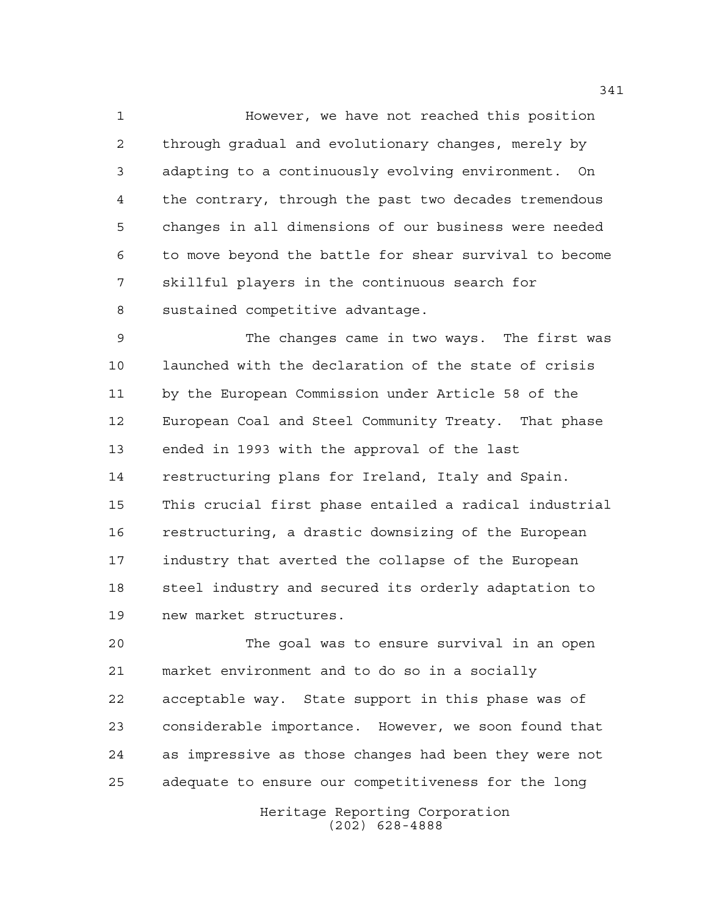However, we have not reached this position through gradual and evolutionary changes, merely by adapting to a continuously evolving environment. On the contrary, through the past two decades tremendous changes in all dimensions of our business were needed to move beyond the battle for shear survival to become skillful players in the continuous search for sustained competitive advantage.

 The changes came in two ways. The first was launched with the declaration of the state of crisis by the European Commission under Article 58 of the European Coal and Steel Community Treaty. That phase ended in 1993 with the approval of the last restructuring plans for Ireland, Italy and Spain. This crucial first phase entailed a radical industrial restructuring, a drastic downsizing of the European industry that averted the collapse of the European steel industry and secured its orderly adaptation to new market structures.

 The goal was to ensure survival in an open market environment and to do so in a socially acceptable way. State support in this phase was of considerable importance. However, we soon found that as impressive as those changes had been they were not adequate to ensure our competitiveness for the long

> Heritage Reporting Corporation (202) 628-4888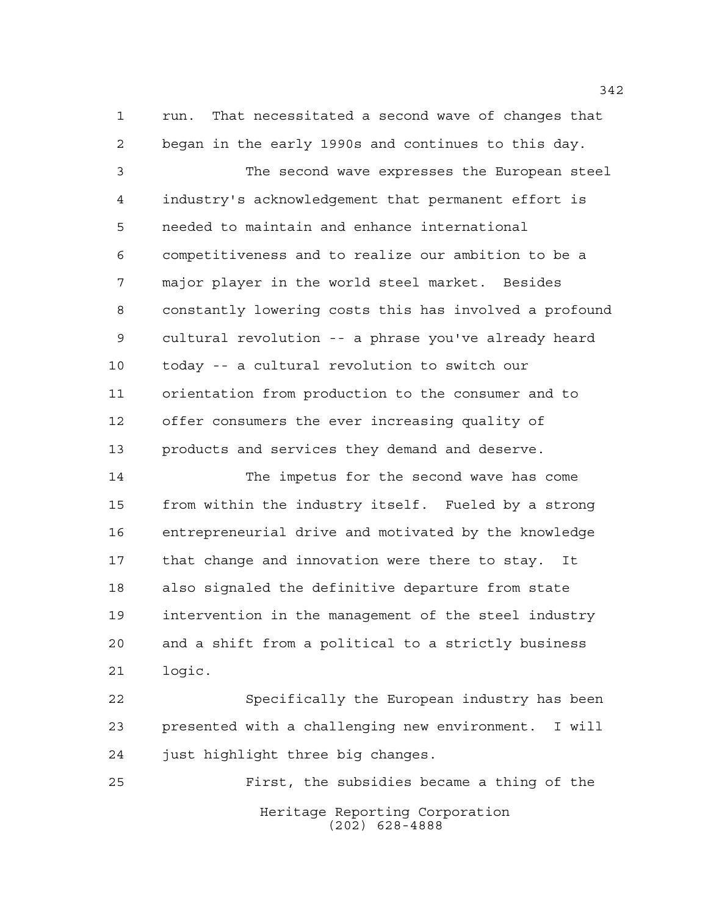run. That necessitated a second wave of changes that began in the early 1990s and continues to this day.

 The second wave expresses the European steel industry's acknowledgement that permanent effort is needed to maintain and enhance international competitiveness and to realize our ambition to be a major player in the world steel market. Besides constantly lowering costs this has involved a profound cultural revolution -- a phrase you've already heard today -- a cultural revolution to switch our orientation from production to the consumer and to offer consumers the ever increasing quality of products and services they demand and deserve.

 The impetus for the second wave has come from within the industry itself. Fueled by a strong entrepreneurial drive and motivated by the knowledge that change and innovation were there to stay. It also signaled the definitive departure from state intervention in the management of the steel industry and a shift from a political to a strictly business logic.

 Specifically the European industry has been presented with a challenging new environment. I will just highlight three big changes.

Heritage Reporting Corporation (202) 628-4888 First, the subsidies became a thing of the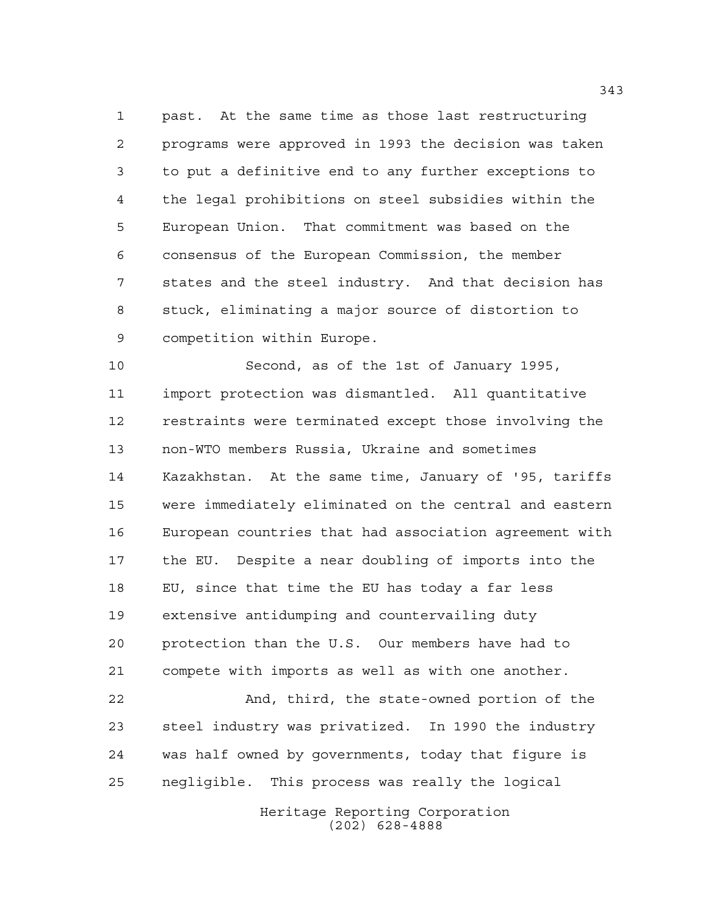past. At the same time as those last restructuring programs were approved in 1993 the decision was taken to put a definitive end to any further exceptions to the legal prohibitions on steel subsidies within the European Union. That commitment was based on the consensus of the European Commission, the member states and the steel industry. And that decision has stuck, eliminating a major source of distortion to competition within Europe.

 Second, as of the 1st of January 1995, import protection was dismantled. All quantitative restraints were terminated except those involving the non-WTO members Russia, Ukraine and sometimes Kazakhstan. At the same time, January of '95, tariffs were immediately eliminated on the central and eastern European countries that had association agreement with the EU. Despite a near doubling of imports into the EU, since that time the EU has today a far less extensive antidumping and countervailing duty protection than the U.S. Our members have had to compete with imports as well as with one another.

 And, third, the state-owned portion of the steel industry was privatized. In 1990 the industry was half owned by governments, today that figure is negligible. This process was really the logical

> Heritage Reporting Corporation (202) 628-4888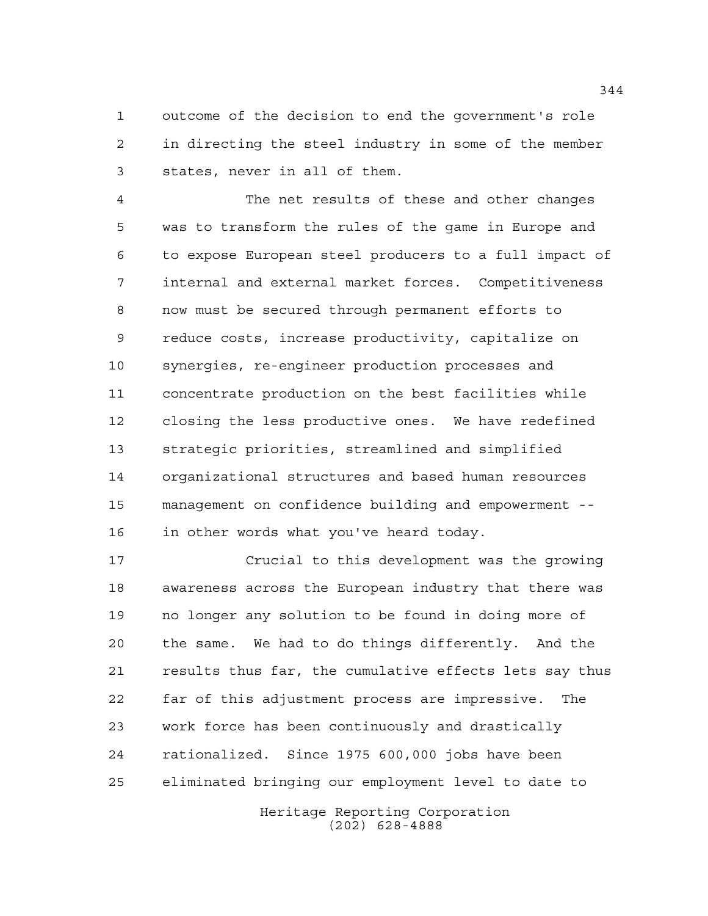outcome of the decision to end the government's role in directing the steel industry in some of the member states, never in all of them.

 The net results of these and other changes was to transform the rules of the game in Europe and to expose European steel producers to a full impact of internal and external market forces. Competitiveness now must be secured through permanent efforts to reduce costs, increase productivity, capitalize on synergies, re-engineer production processes and concentrate production on the best facilities while closing the less productive ones. We have redefined strategic priorities, streamlined and simplified organizational structures and based human resources management on confidence building and empowerment -- in other words what you've heard today.

 Crucial to this development was the growing awareness across the European industry that there was no longer any solution to be found in doing more of the same. We had to do things differently. And the results thus far, the cumulative effects lets say thus far of this adjustment process are impressive. The work force has been continuously and drastically rationalized. Since 1975 600,000 jobs have been eliminated bringing our employment level to date to

> Heritage Reporting Corporation (202) 628-4888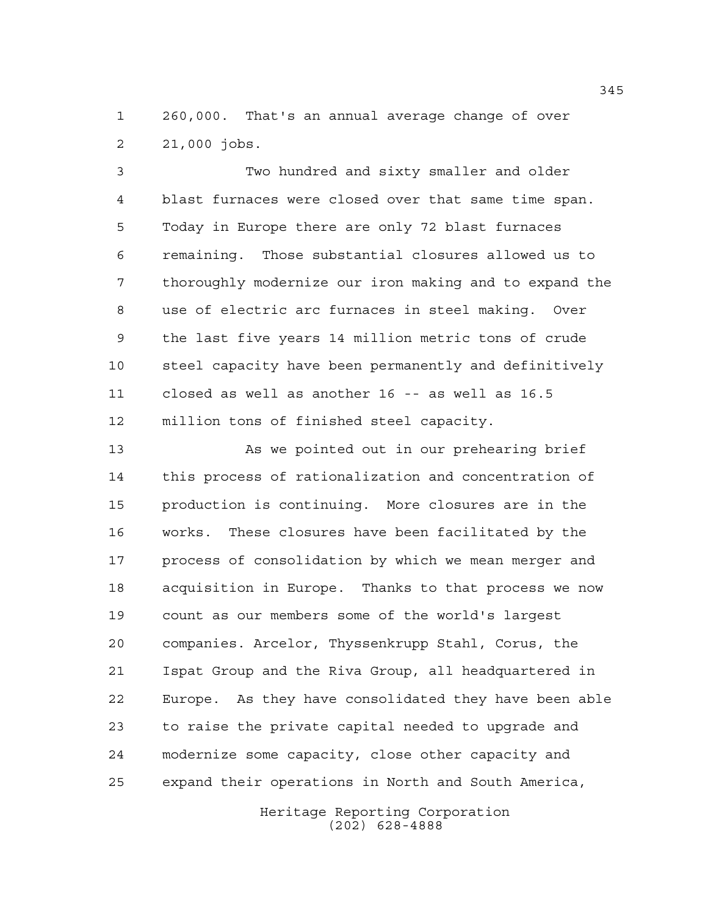260,000. That's an annual average change of over 21,000 jobs.

 Two hundred and sixty smaller and older blast furnaces were closed over that same time span. Today in Europe there are only 72 blast furnaces remaining. Those substantial closures allowed us to thoroughly modernize our iron making and to expand the use of electric arc furnaces in steel making. Over the last five years 14 million metric tons of crude steel capacity have been permanently and definitively closed as well as another 16 -- as well as 16.5 million tons of finished steel capacity.

 As we pointed out in our prehearing brief this process of rationalization and concentration of production is continuing. More closures are in the works. These closures have been facilitated by the process of consolidation by which we mean merger and acquisition in Europe. Thanks to that process we now count as our members some of the world's largest companies. Arcelor, Thyssenkrupp Stahl, Corus, the Ispat Group and the Riva Group, all headquartered in Europe. As they have consolidated they have been able to raise the private capital needed to upgrade and modernize some capacity, close other capacity and expand their operations in North and South America,

> Heritage Reporting Corporation (202) 628-4888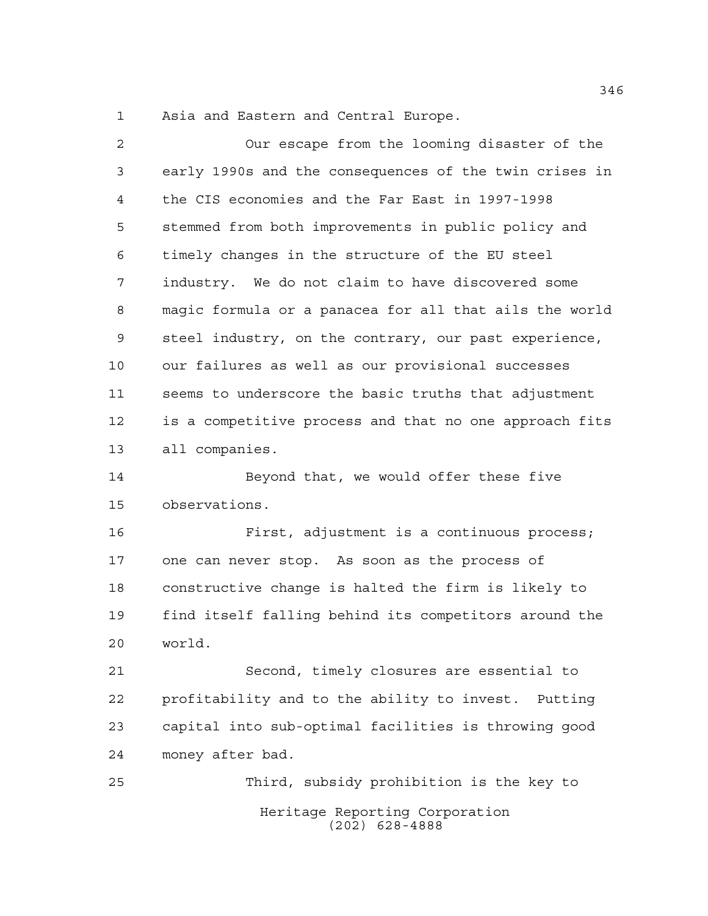Asia and Eastern and Central Europe.

| 2  | Our escape from the looming disaster of the            |
|----|--------------------------------------------------------|
| 3  | early 1990s and the consequences of the twin crises in |
| 4  | the CIS economies and the Far East in 1997-1998        |
| 5  | stemmed from both improvements in public policy and    |
| 6  | timely changes in the structure of the EU steel        |
| 7  | industry. We do not claim to have discovered some      |
| 8  | magic formula or a panacea for all that ails the world |
| 9  | steel industry, on the contrary, our past experience,  |
| 10 | our failures as well as our provisional successes      |
| 11 | seems to underscore the basic truths that adjustment   |
| 12 | is a competitive process and that no one approach fits |
| 13 | all companies.                                         |
| 14 | Beyond that, we would offer these five                 |
| 15 | observations.                                          |
| 16 | First, adjustment is a continuous process;             |
| 17 | one can never stop. As soon as the process of          |
| 18 | constructive change is halted the firm is likely to    |
| 19 | find itself falling behind its competitors around the  |
| 20 | world.                                                 |
| 21 | Second, timely closures are essential to               |
| 22 | profitability and to the ability to invest. Putting    |
| 23 | capital into sub-optimal facilities is throwing good   |
| 24 | money after bad.                                       |
| 25 | Third, subsidy prohibition is the key to               |
|    | Heritage Reporting Corporation                         |

(202) 628-4888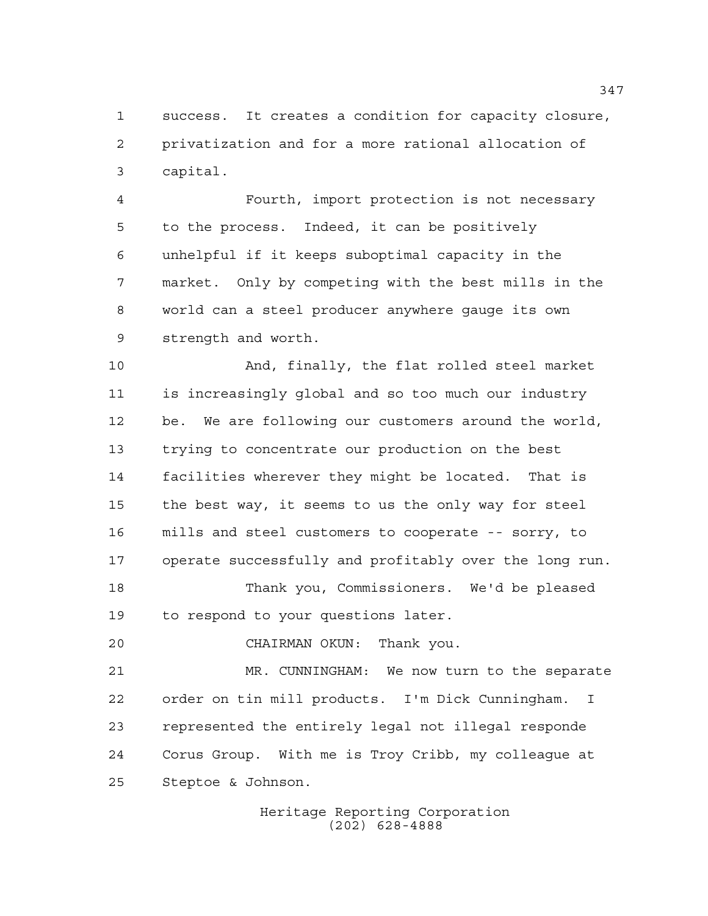success. It creates a condition for capacity closure, privatization and for a more rational allocation of capital.

 Fourth, import protection is not necessary to the process. Indeed, it can be positively unhelpful if it keeps suboptimal capacity in the market. Only by competing with the best mills in the world can a steel producer anywhere gauge its own strength and worth.

 And, finally, the flat rolled steel market is increasingly global and so too much our industry be. We are following our customers around the world, trying to concentrate our production on the best facilities wherever they might be located. That is the best way, it seems to us the only way for steel mills and steel customers to cooperate -- sorry, to operate successfully and profitably over the long run.

 Thank you, Commissioners. We'd be pleased to respond to your questions later.

CHAIRMAN OKUN: Thank you.

 MR. CUNNINGHAM: We now turn to the separate order on tin mill products. I'm Dick Cunningham. I represented the entirely legal not illegal responde Corus Group. With me is Troy Cribb, my colleague at Steptoe & Johnson.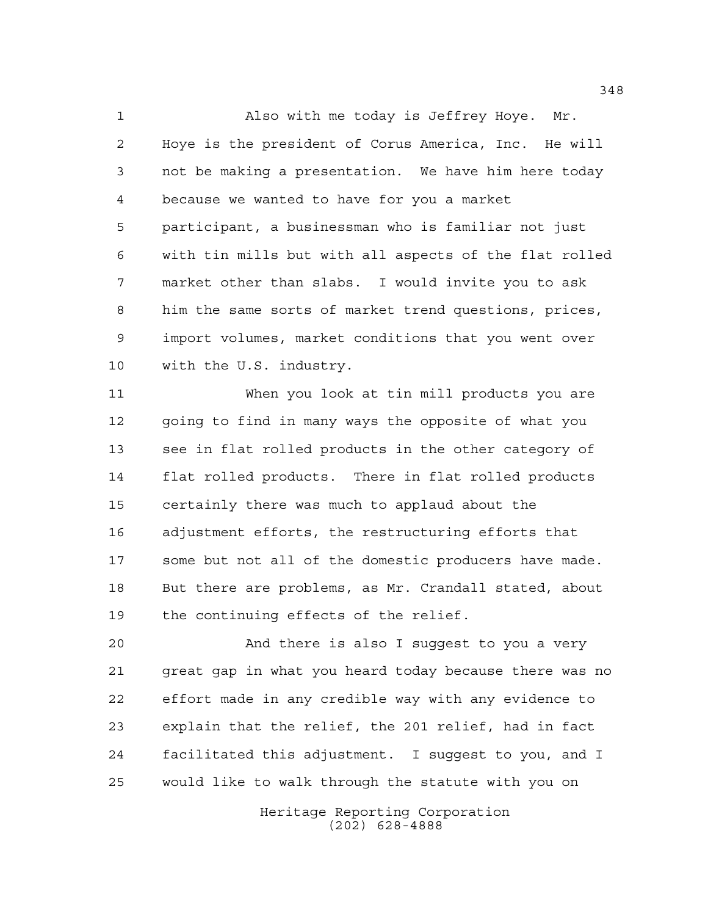Also with me today is Jeffrey Hoye. Mr. Hoye is the president of Corus America, Inc. He will not be making a presentation. We have him here today because we wanted to have for you a market participant, a businessman who is familiar not just with tin mills but with all aspects of the flat rolled market other than slabs. I would invite you to ask him the same sorts of market trend questions, prices, import volumes, market conditions that you went over with the U.S. industry.

 When you look at tin mill products you are going to find in many ways the opposite of what you see in flat rolled products in the other category of flat rolled products. There in flat rolled products certainly there was much to applaud about the adjustment efforts, the restructuring efforts that some but not all of the domestic producers have made. But there are problems, as Mr. Crandall stated, about the continuing effects of the relief.

 And there is also I suggest to you a very great gap in what you heard today because there was no effort made in any credible way with any evidence to explain that the relief, the 201 relief, had in fact facilitated this adjustment. I suggest to you, and I would like to walk through the statute with you on

> Heritage Reporting Corporation (202) 628-4888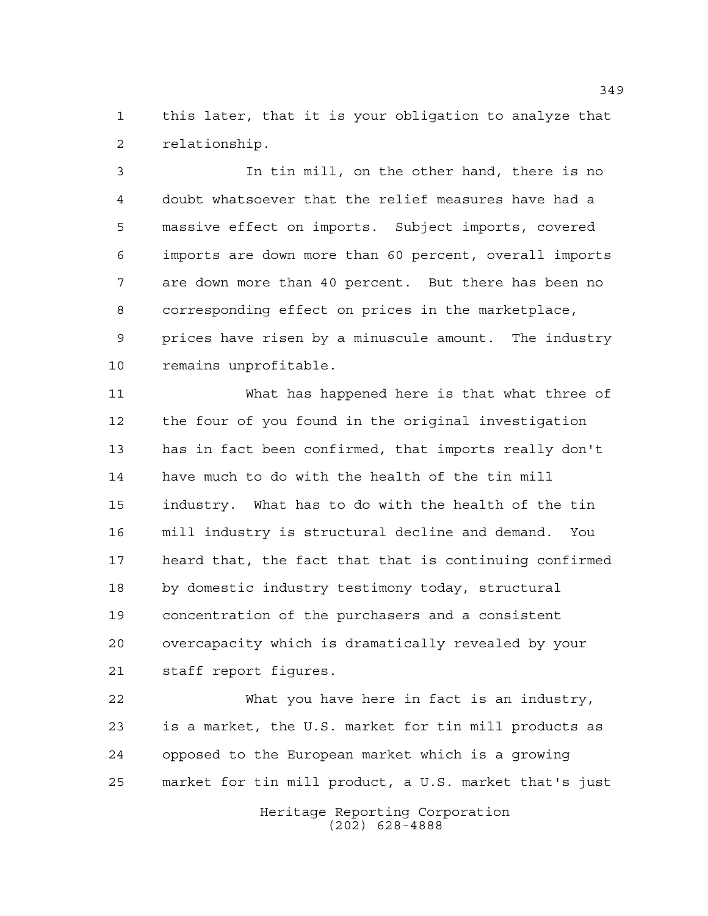this later, that it is your obligation to analyze that relationship.

 In tin mill, on the other hand, there is no doubt whatsoever that the relief measures have had a massive effect on imports. Subject imports, covered imports are down more than 60 percent, overall imports are down more than 40 percent. But there has been no corresponding effect on prices in the marketplace, prices have risen by a minuscule amount. The industry remains unprofitable.

 What has happened here is that what three of the four of you found in the original investigation has in fact been confirmed, that imports really don't have much to do with the health of the tin mill industry. What has to do with the health of the tin mill industry is structural decline and demand. You heard that, the fact that that is continuing confirmed by domestic industry testimony today, structural concentration of the purchasers and a consistent overcapacity which is dramatically revealed by your staff report figures.

 What you have here in fact is an industry, is a market, the U.S. market for tin mill products as opposed to the European market which is a growing market for tin mill product, a U.S. market that's just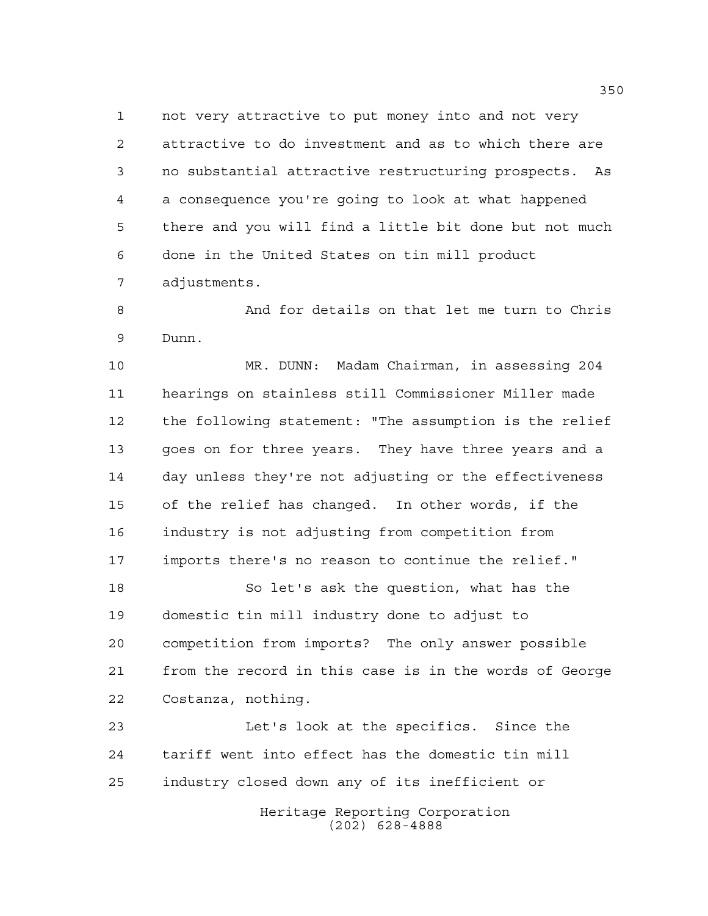not very attractive to put money into and not very attractive to do investment and as to which there are no substantial attractive restructuring prospects. As a consequence you're going to look at what happened there and you will find a little bit done but not much done in the United States on tin mill product adjustments.

8 And for details on that let me turn to Chris Dunn.

 MR. DUNN: Madam Chairman, in assessing 204 hearings on stainless still Commissioner Miller made the following statement: "The assumption is the relief goes on for three years. They have three years and a day unless they're not adjusting or the effectiveness of the relief has changed. In other words, if the industry is not adjusting from competition from imports there's no reason to continue the relief."

 So let's ask the question, what has the domestic tin mill industry done to adjust to competition from imports? The only answer possible from the record in this case is in the words of George Costanza, nothing.

 Let's look at the specifics. Since the tariff went into effect has the domestic tin mill industry closed down any of its inefficient or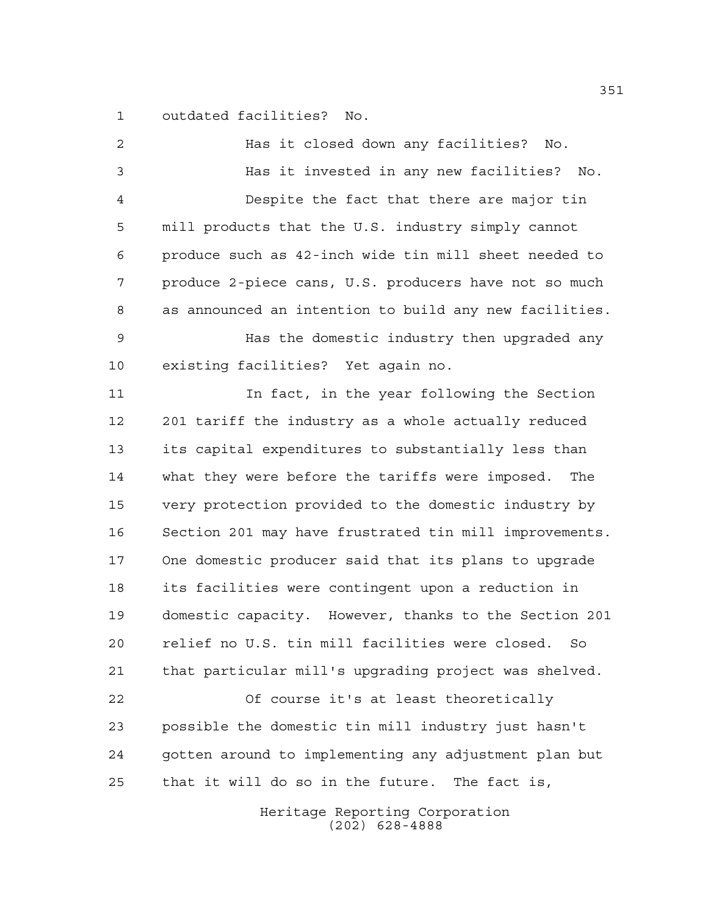outdated facilities? No.

| $\overline{2}$ | Has it closed down any facilities?<br>No.              |
|----------------|--------------------------------------------------------|
| 3              | Has it invested in any new facilities? No.             |
| 4              | Despite the fact that there are major tin              |
| 5              | mill products that the U.S. industry simply cannot     |
| 6              | produce such as 42-inch wide tin mill sheet needed to  |
| 7              | produce 2-piece cans, U.S. producers have not so much  |
| 8              | as announced an intention to build any new facilities. |
| 9              | Has the domestic industry then upgraded any            |
| 10             | existing facilities? Yet again no.                     |
| 11             | In fact, in the year following the Section             |
| 12             | 201 tariff the industry as a whole actually reduced    |
| 13             | its capital expenditures to substantially less than    |
| 14             | what they were before the tariffs were imposed.<br>The |
| 15             | very protection provided to the domestic industry by   |
| 16             | Section 201 may have frustrated tin mill improvements. |
| 17             | One domestic producer said that its plans to upgrade   |
| 18             | its facilities were contingent upon a reduction in     |
| 19             | domestic capacity. However, thanks to the Section 201  |
| 20             | relief no U.S. tin mill facilities were closed.<br>So  |
| 21             | that particular mill's upgrading project was shelved.  |
| 22             | Of course it's at least theoretically                  |
| 23             | possible the domestic tin mill industry just hasn't    |
| 24             | gotten around to implementing any adjustment plan but  |
| 25             | that it will do so in the future. The fact is,         |
|                | Heritage Reporting Corporation                         |

(202) 628-4888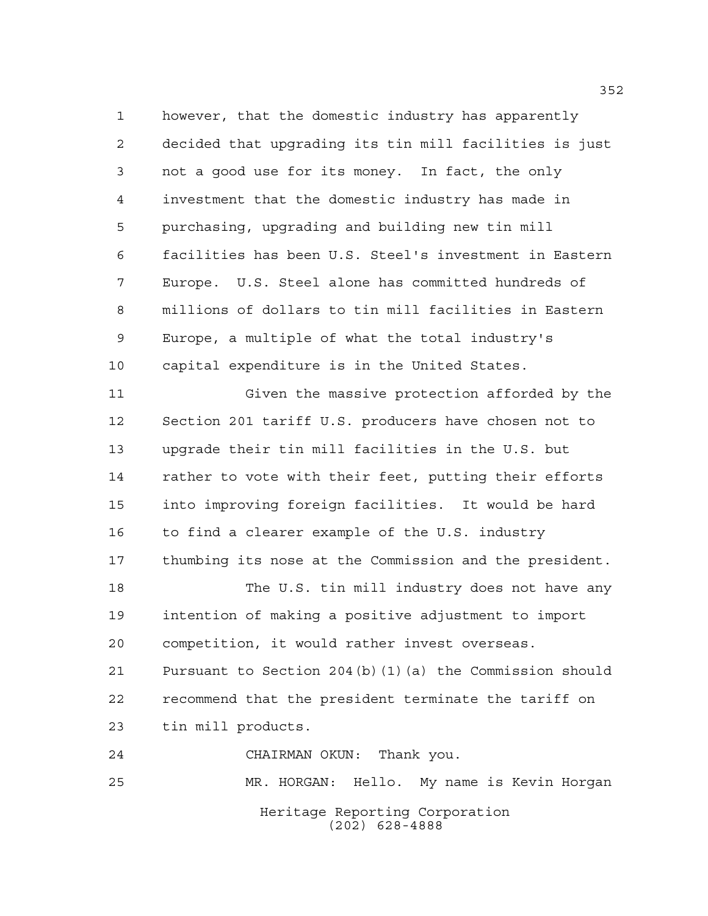however, that the domestic industry has apparently decided that upgrading its tin mill facilities is just not a good use for its money. In fact, the only investment that the domestic industry has made in purchasing, upgrading and building new tin mill facilities has been U.S. Steel's investment in Eastern Europe. U.S. Steel alone has committed hundreds of millions of dollars to tin mill facilities in Eastern Europe, a multiple of what the total industry's capital expenditure is in the United States. Given the massive protection afforded by the Section 201 tariff U.S. producers have chosen not to upgrade their tin mill facilities in the U.S. but rather to vote with their feet, putting their efforts into improving foreign facilities. It would be hard to find a clearer example of the U.S. industry thumbing its nose at the Commission and the president. The U.S. tin mill industry does not have any intention of making a positive adjustment to import competition, it would rather invest overseas. Pursuant to Section 204(b)(1)(a) the Commission should recommend that the president terminate the tariff on tin mill products.

Heritage Reporting Corporation (202) 628-4888 CHAIRMAN OKUN: Thank you. MR. HORGAN: Hello. My name is Kevin Horgan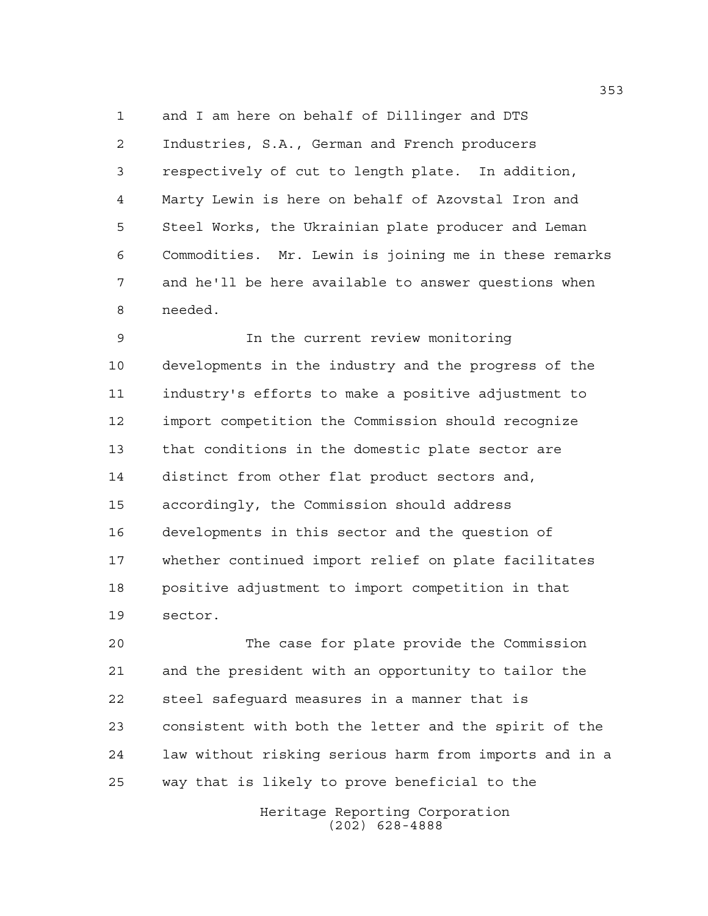and I am here on behalf of Dillinger and DTS Industries, S.A., German and French producers respectively of cut to length plate. In addition, Marty Lewin is here on behalf of Azovstal Iron and Steel Works, the Ukrainian plate producer and Leman Commodities. Mr. Lewin is joining me in these remarks and he'll be here available to answer questions when needed.

 In the current review monitoring developments in the industry and the progress of the industry's efforts to make a positive adjustment to import competition the Commission should recognize that conditions in the domestic plate sector are distinct from other flat product sectors and, accordingly, the Commission should address developments in this sector and the question of whether continued import relief on plate facilitates positive adjustment to import competition in that sector.

 The case for plate provide the Commission and the president with an opportunity to tailor the steel safeguard measures in a manner that is consistent with both the letter and the spirit of the law without risking serious harm from imports and in a way that is likely to prove beneficial to the

> Heritage Reporting Corporation (202) 628-4888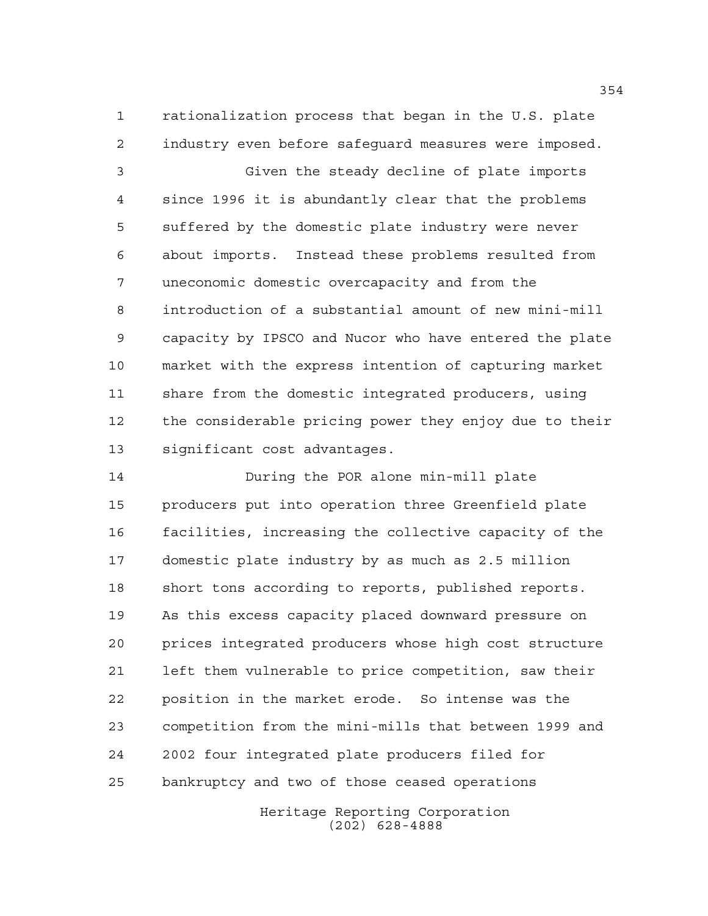rationalization process that began in the U.S. plate industry even before safeguard measures were imposed.

 Given the steady decline of plate imports since 1996 it is abundantly clear that the problems suffered by the domestic plate industry were never about imports. Instead these problems resulted from uneconomic domestic overcapacity and from the introduction of a substantial amount of new mini-mill capacity by IPSCO and Nucor who have entered the plate market with the express intention of capturing market share from the domestic integrated producers, using the considerable pricing power they enjoy due to their significant cost advantages.

 During the POR alone min-mill plate producers put into operation three Greenfield plate facilities, increasing the collective capacity of the domestic plate industry by as much as 2.5 million short tons according to reports, published reports. As this excess capacity placed downward pressure on prices integrated producers whose high cost structure left them vulnerable to price competition, saw their position in the market erode. So intense was the competition from the mini-mills that between 1999 and 2002 four integrated plate producers filed for bankruptcy and two of those ceased operations

> Heritage Reporting Corporation (202) 628-4888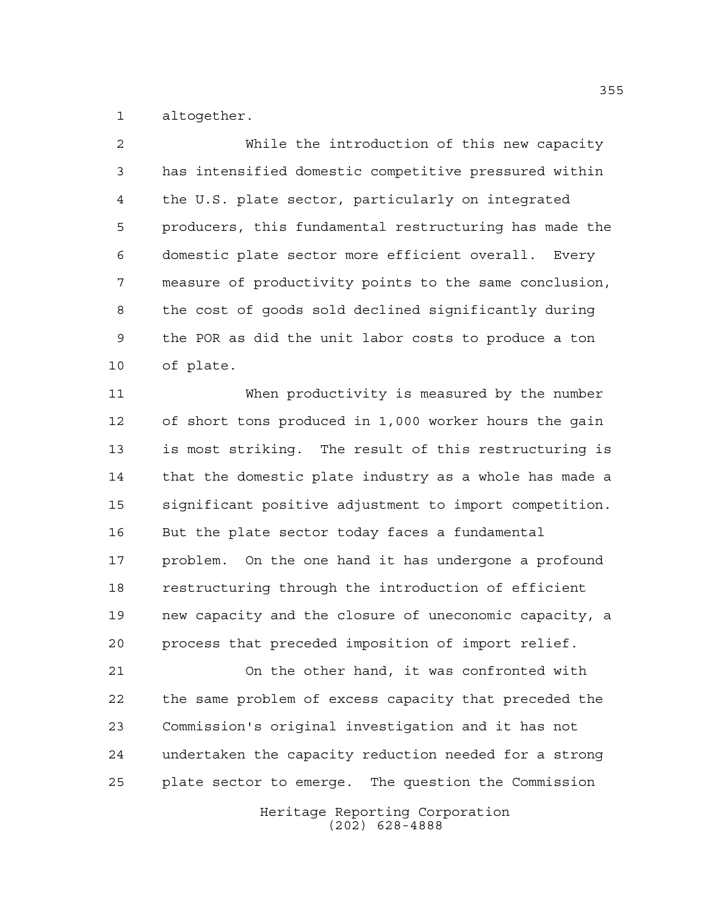altogether.

 While the introduction of this new capacity has intensified domestic competitive pressured within the U.S. plate sector, particularly on integrated producers, this fundamental restructuring has made the domestic plate sector more efficient overall. Every measure of productivity points to the same conclusion, the cost of goods sold declined significantly during the POR as did the unit labor costs to produce a ton of plate.

 When productivity is measured by the number of short tons produced in 1,000 worker hours the gain is most striking. The result of this restructuring is that the domestic plate industry as a whole has made a significant positive adjustment to import competition. But the plate sector today faces a fundamental problem. On the one hand it has undergone a profound restructuring through the introduction of efficient new capacity and the closure of uneconomic capacity, a process that preceded imposition of import relief.

 On the other hand, it was confronted with the same problem of excess capacity that preceded the Commission's original investigation and it has not undertaken the capacity reduction needed for a strong plate sector to emerge. The question the Commission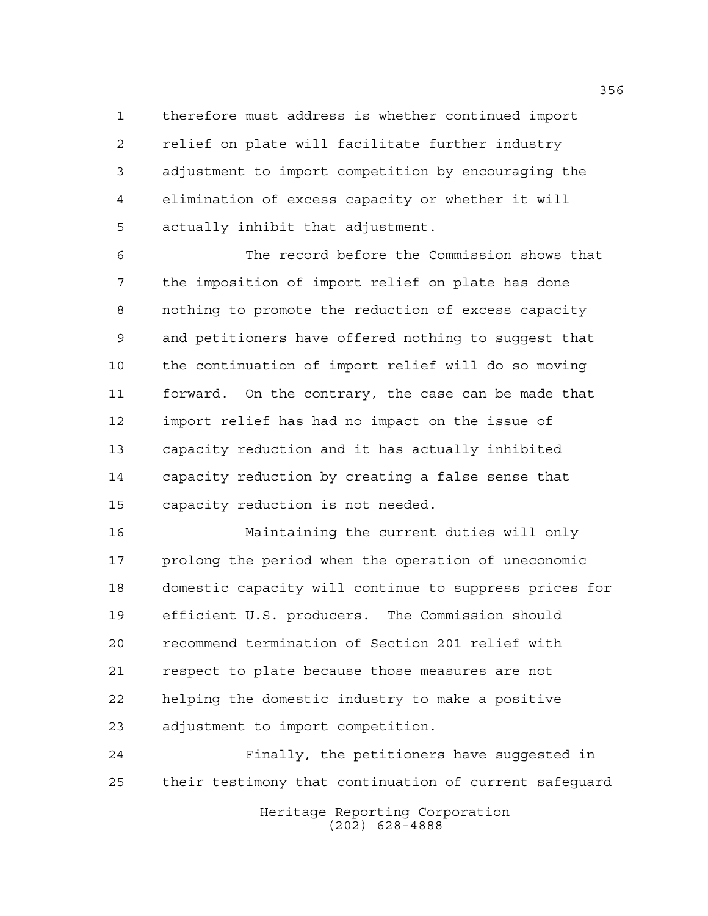therefore must address is whether continued import relief on plate will facilitate further industry adjustment to import competition by encouraging the elimination of excess capacity or whether it will actually inhibit that adjustment.

 The record before the Commission shows that the imposition of import relief on plate has done nothing to promote the reduction of excess capacity and petitioners have offered nothing to suggest that the continuation of import relief will do so moving forward. On the contrary, the case can be made that import relief has had no impact on the issue of capacity reduction and it has actually inhibited capacity reduction by creating a false sense that capacity reduction is not needed.

 Maintaining the current duties will only prolong the period when the operation of uneconomic domestic capacity will continue to suppress prices for efficient U.S. producers. The Commission should recommend termination of Section 201 relief with respect to plate because those measures are not helping the domestic industry to make a positive adjustment to import competition.

 Finally, the petitioners have suggested in their testimony that continuation of current safeguard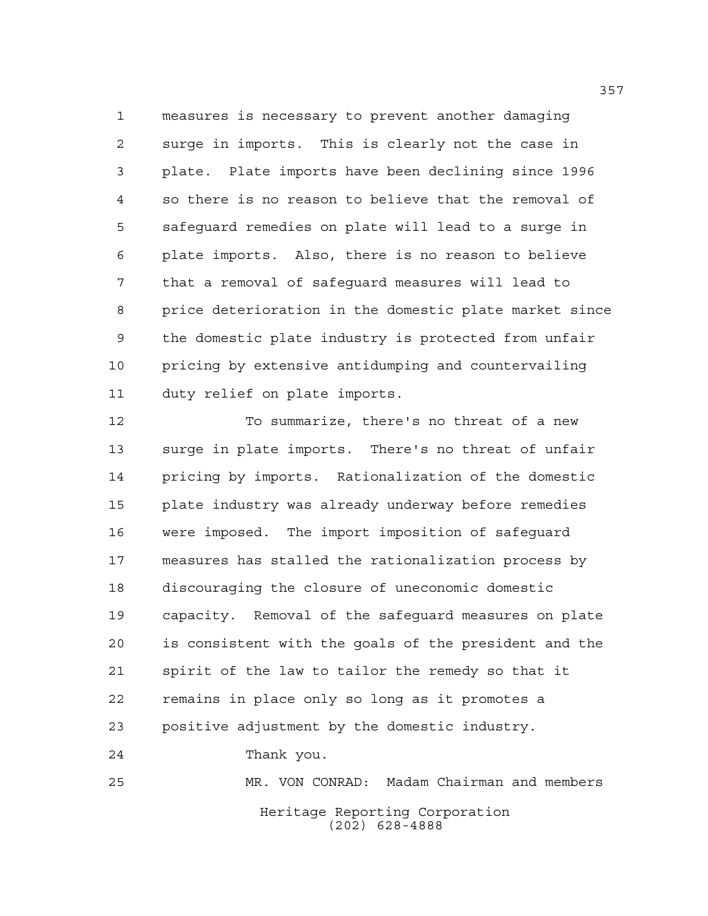measures is necessary to prevent another damaging surge in imports. This is clearly not the case in plate. Plate imports have been declining since 1996 so there is no reason to believe that the removal of safeguard remedies on plate will lead to a surge in plate imports. Also, there is no reason to believe that a removal of safeguard measures will lead to price deterioration in the domestic plate market since the domestic plate industry is protected from unfair pricing by extensive antidumping and countervailing duty relief on plate imports.

 To summarize, there's no threat of a new surge in plate imports. There's no threat of unfair pricing by imports. Rationalization of the domestic plate industry was already underway before remedies were imposed. The import imposition of safeguard measures has stalled the rationalization process by discouraging the closure of uneconomic domestic capacity. Removal of the safeguard measures on plate is consistent with the goals of the president and the spirit of the law to tailor the remedy so that it remains in place only so long as it promotes a positive adjustment by the domestic industry. Thank you. MR. VON CONRAD: Madam Chairman and members

> Heritage Reporting Corporation (202) 628-4888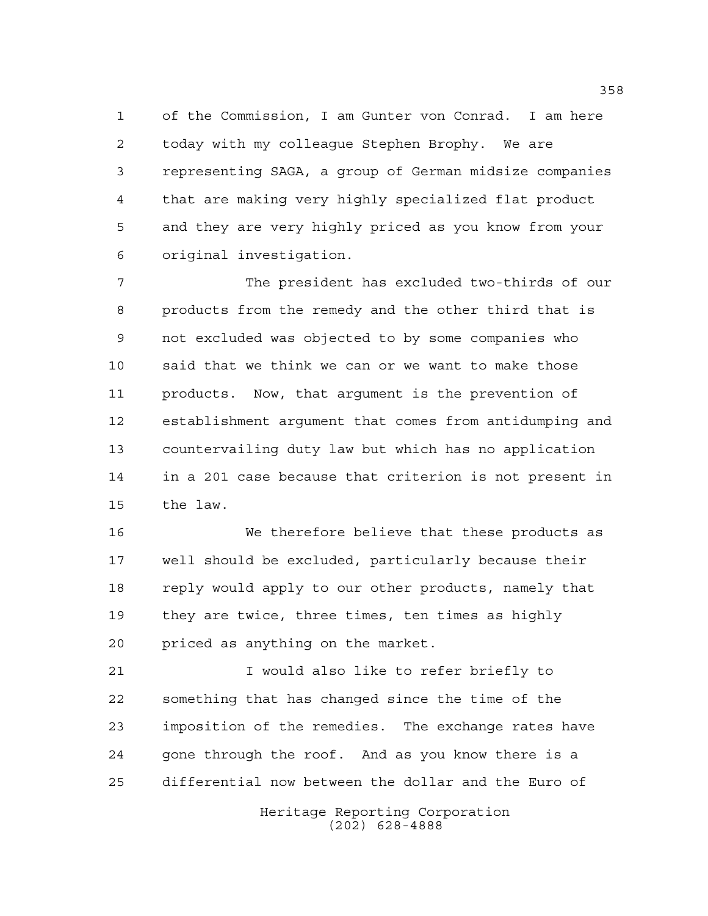of the Commission, I am Gunter von Conrad. I am here today with my colleague Stephen Brophy. We are representing SAGA, a group of German midsize companies that are making very highly specialized flat product and they are very highly priced as you know from your original investigation.

 The president has excluded two-thirds of our products from the remedy and the other third that is not excluded was objected to by some companies who said that we think we can or we want to make those products. Now, that argument is the prevention of establishment argument that comes from antidumping and countervailing duty law but which has no application in a 201 case because that criterion is not present in the law.

 We therefore believe that these products as well should be excluded, particularly because their reply would apply to our other products, namely that they are twice, three times, ten times as highly priced as anything on the market.

 I would also like to refer briefly to something that has changed since the time of the imposition of the remedies. The exchange rates have gone through the roof. And as you know there is a differential now between the dollar and the Euro of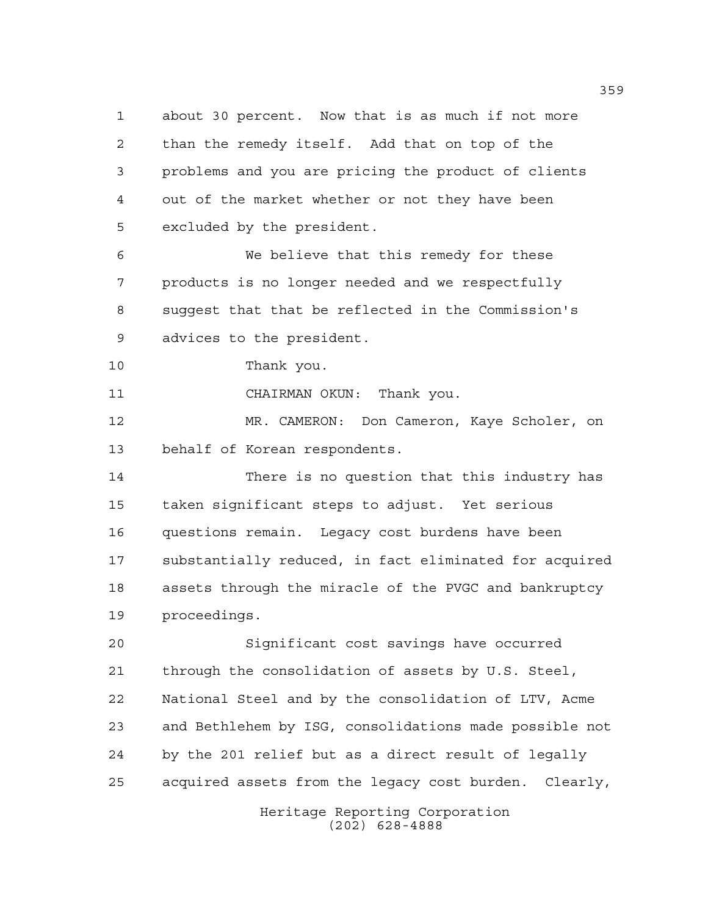about 30 percent. Now that is as much if not more than the remedy itself. Add that on top of the problems and you are pricing the product of clients out of the market whether or not they have been excluded by the president. We believe that this remedy for these

 products is no longer needed and we respectfully suggest that that be reflected in the Commission's advices to the president.

Thank you.

CHAIRMAN OKUN: Thank you.

 MR. CAMERON: Don Cameron, Kaye Scholer, on behalf of Korean respondents.

 There is no question that this industry has taken significant steps to adjust. Yet serious questions remain. Legacy cost burdens have been substantially reduced, in fact eliminated for acquired assets through the miracle of the PVGC and bankruptcy proceedings.

 Significant cost savings have occurred through the consolidation of assets by U.S. Steel, National Steel and by the consolidation of LTV, Acme and Bethlehem by ISG, consolidations made possible not by the 201 relief but as a direct result of legally acquired assets from the legacy cost burden. Clearly,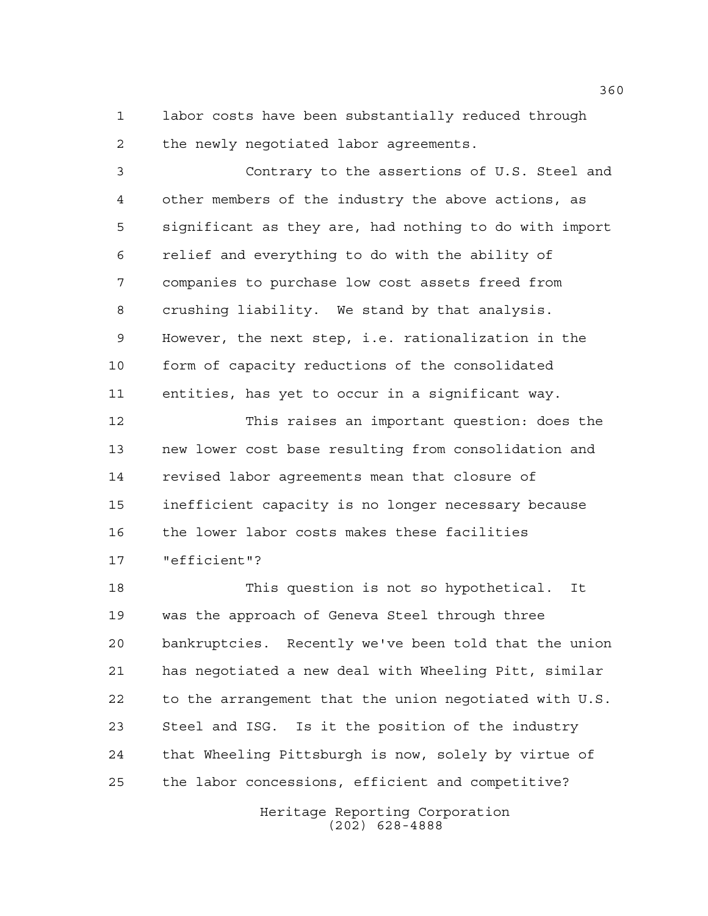labor costs have been substantially reduced through the newly negotiated labor agreements.

 Contrary to the assertions of U.S. Steel and other members of the industry the above actions, as significant as they are, had nothing to do with import relief and everything to do with the ability of companies to purchase low cost assets freed from crushing liability. We stand by that analysis. However, the next step, i.e. rationalization in the form of capacity reductions of the consolidated entities, has yet to occur in a significant way.

 This raises an important question: does the new lower cost base resulting from consolidation and revised labor agreements mean that closure of inefficient capacity is no longer necessary because the lower labor costs makes these facilities "efficient"?

 This question is not so hypothetical. It was the approach of Geneva Steel through three bankruptcies. Recently we've been told that the union has negotiated a new deal with Wheeling Pitt, similar to the arrangement that the union negotiated with U.S. Steel and ISG. Is it the position of the industry that Wheeling Pittsburgh is now, solely by virtue of the labor concessions, efficient and competitive?

> Heritage Reporting Corporation (202) 628-4888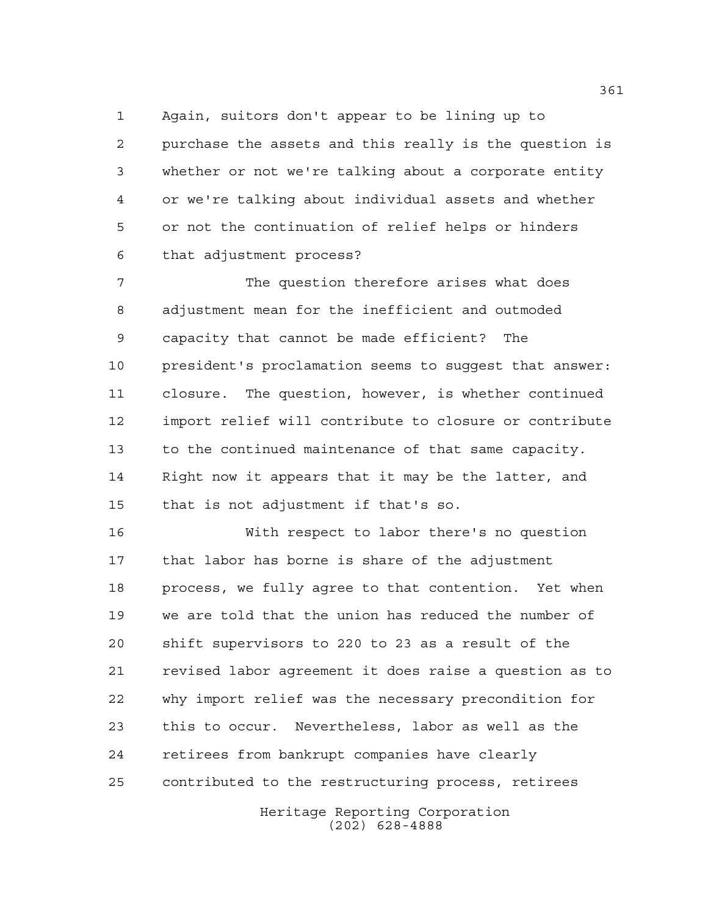Again, suitors don't appear to be lining up to purchase the assets and this really is the question is whether or not we're talking about a corporate entity or we're talking about individual assets and whether or not the continuation of relief helps or hinders that adjustment process?

 The question therefore arises what does adjustment mean for the inefficient and outmoded capacity that cannot be made efficient? The president's proclamation seems to suggest that answer: closure. The question, however, is whether continued import relief will contribute to closure or contribute to the continued maintenance of that same capacity. Right now it appears that it may be the latter, and that is not adjustment if that's so.

 With respect to labor there's no question that labor has borne is share of the adjustment process, we fully agree to that contention. Yet when we are told that the union has reduced the number of shift supervisors to 220 to 23 as a result of the revised labor agreement it does raise a question as to why import relief was the necessary precondition for this to occur. Nevertheless, labor as well as the retirees from bankrupt companies have clearly contributed to the restructuring process, retirees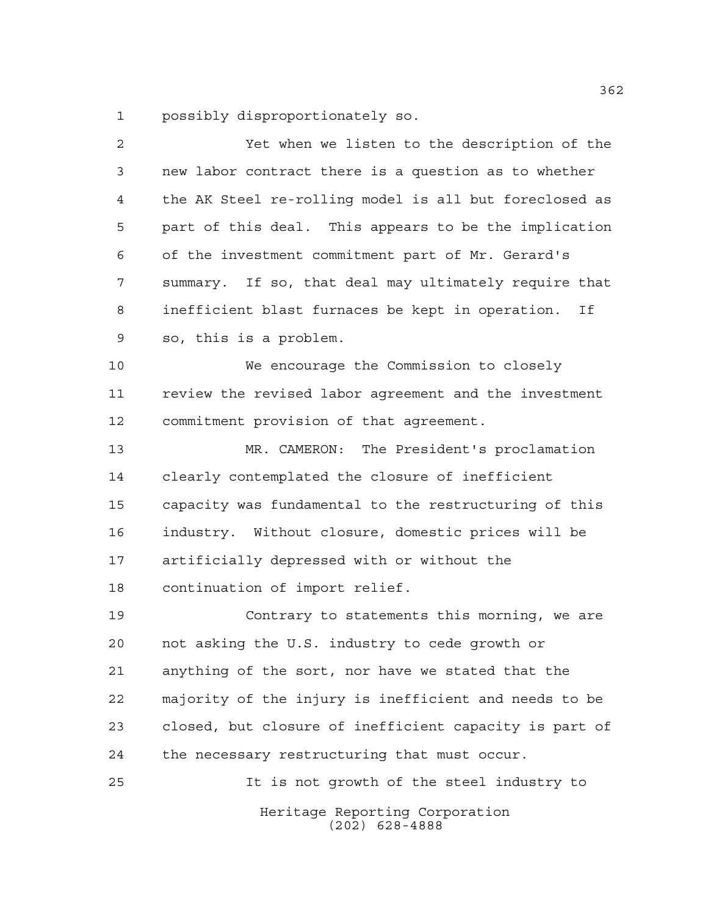possibly disproportionately so.

| 2              | Yet when we listen to the description of the           |
|----------------|--------------------------------------------------------|
| 3              | new labor contract there is a question as to whether   |
| $\overline{4}$ | the AK Steel re-rolling model is all but foreclosed as |
| 5              | part of this deal. This appears to be the implication  |
| 6              | of the investment commitment part of Mr. Gerard's      |
| 7              | summary. If so, that deal may ultimately require that  |
| 8              | inefficient blast furnaces be kept in operation.<br>Ιf |
| 9              | so, this is a problem.                                 |
| 10             | We encourage the Commission to closely                 |
| 11             | review the revised labor agreement and the investment  |
| 12             | commitment provision of that agreement.                |
| 13             | MR. CAMERON: The President's proclamation              |
| 14             | clearly contemplated the closure of inefficient        |
| 15             | capacity was fundamental to the restructuring of this  |
| 16             | industry. Without closure, domestic prices will be     |
| 17             | artificially depressed with or without the             |
| 18             | continuation of import relief.                         |
| 19             | Contrary to statements this morning, we are            |
| 20             | not asking the U.S. industry to cede growth or         |
| 21             | anything of the sort, nor have we stated that the      |
| 22             | majority of the injury is inefficient and needs to be  |
| 23             | closed, but closure of inefficient capacity is part of |
| 24             | the necessary restructuring that must occur.           |
| 25             | It is not growth of the steel industry to              |
|                | Heritage Reporting Corporation<br>$(202)$ 628-4888     |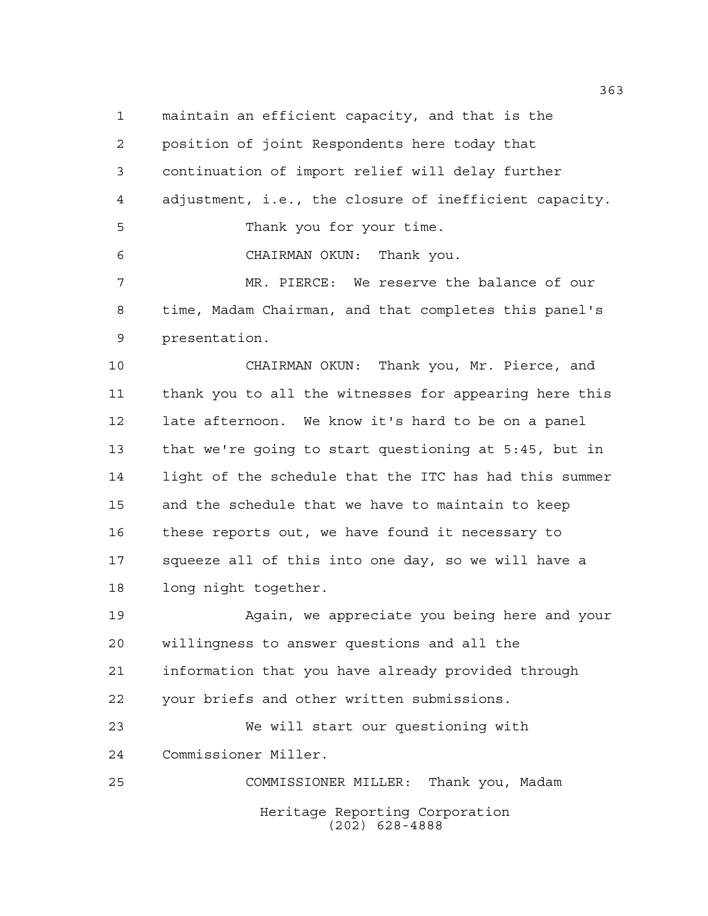maintain an efficient capacity, and that is the position of joint Respondents here today that continuation of import relief will delay further adjustment, i.e., the closure of inefficient capacity. Thank you for your time. CHAIRMAN OKUN: Thank you. MR. PIERCE: We reserve the balance of our time, Madam Chairman, and that completes this panel's presentation.

 CHAIRMAN OKUN: Thank you, Mr. Pierce, and thank you to all the witnesses for appearing here this late afternoon. We know it's hard to be on a panel that we're going to start questioning at 5:45, but in light of the schedule that the ITC has had this summer and the schedule that we have to maintain to keep these reports out, we have found it necessary to squeeze all of this into one day, so we will have a long night together.

 Again, we appreciate you being here and your willingness to answer questions and all the information that you have already provided through your briefs and other written submissions.

 We will start our questioning with Commissioner Miller.

Heritage Reporting Corporation (202) 628-4888 COMMISSIONER MILLER: Thank you, Madam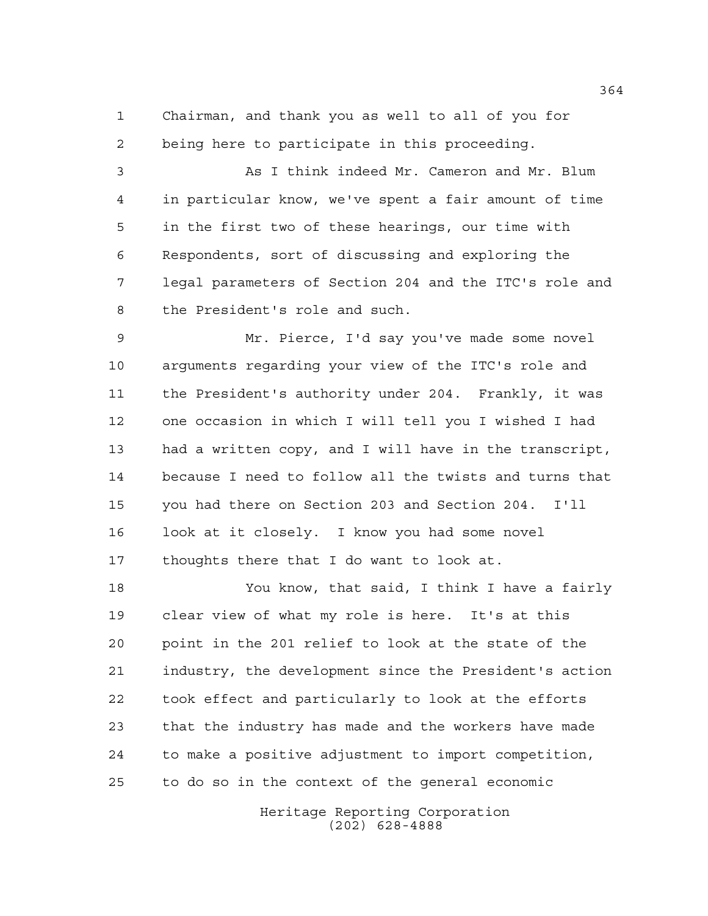Chairman, and thank you as well to all of you for being here to participate in this proceeding.

 As I think indeed Mr. Cameron and Mr. Blum in particular know, we've spent a fair amount of time in the first two of these hearings, our time with Respondents, sort of discussing and exploring the legal parameters of Section 204 and the ITC's role and the President's role and such.

 Mr. Pierce, I'd say you've made some novel arguments regarding your view of the ITC's role and the President's authority under 204. Frankly, it was one occasion in which I will tell you I wished I had had a written copy, and I will have in the transcript, because I need to follow all the twists and turns that you had there on Section 203 and Section 204. I'll look at it closely. I know you had some novel thoughts there that I do want to look at.

 You know, that said, I think I have a fairly clear view of what my role is here. It's at this point in the 201 relief to look at the state of the industry, the development since the President's action took effect and particularly to look at the efforts that the industry has made and the workers have made to make a positive adjustment to import competition, to do so in the context of the general economic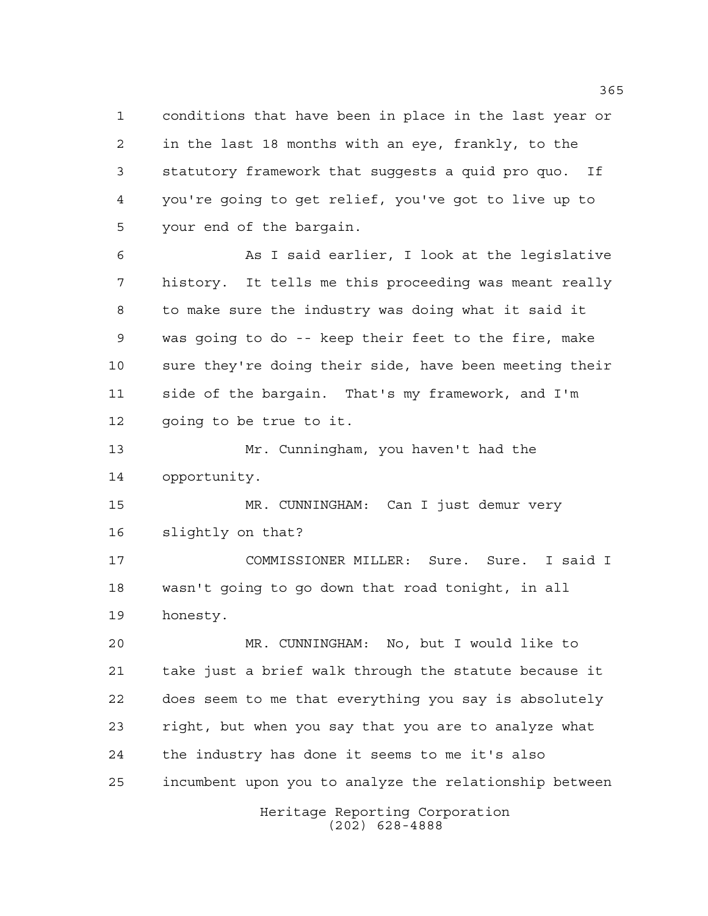conditions that have been in place in the last year or in the last 18 months with an eye, frankly, to the statutory framework that suggests a quid pro quo. If you're going to get relief, you've got to live up to your end of the bargain.

 As I said earlier, I look at the legislative history. It tells me this proceeding was meant really to make sure the industry was doing what it said it was going to do -- keep their feet to the fire, make sure they're doing their side, have been meeting their side of the bargain. That's my framework, and I'm going to be true to it.

 Mr. Cunningham, you haven't had the opportunity.

 MR. CUNNINGHAM: Can I just demur very slightly on that?

 COMMISSIONER MILLER: Sure. Sure. I said I wasn't going to go down that road tonight, in all honesty.

 MR. CUNNINGHAM: No, but I would like to take just a brief walk through the statute because it does seem to me that everything you say is absolutely right, but when you say that you are to analyze what the industry has done it seems to me it's also incumbent upon you to analyze the relationship between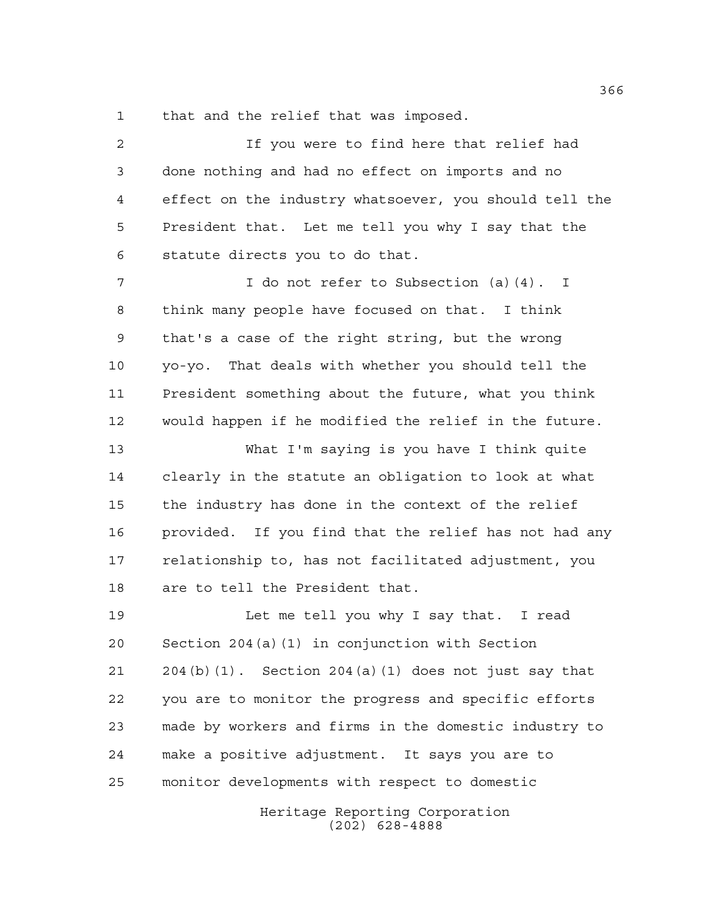that and the relief that was imposed.

 If you were to find here that relief had done nothing and had no effect on imports and no effect on the industry whatsoever, you should tell the President that. Let me tell you why I say that the statute directs you to do that. I do not refer to Subsection (a)(4). I think many people have focused on that. I think that's a case of the right string, but the wrong yo-yo. That deals with whether you should tell the President something about the future, what you think would happen if he modified the relief in the future. What I'm saying is you have I think quite clearly in the statute an obligation to look at what the industry has done in the context of the relief provided. If you find that the relief has not had any relationship to, has not facilitated adjustment, you are to tell the President that. Let me tell you why I say that. I read Section 204(a)(1) in conjunction with Section 204(b)(1). Section 204(a)(1) does not just say that you are to monitor the progress and specific efforts made by workers and firms in the domestic industry to make a positive adjustment. It says you are to monitor developments with respect to domestic

> Heritage Reporting Corporation (202) 628-4888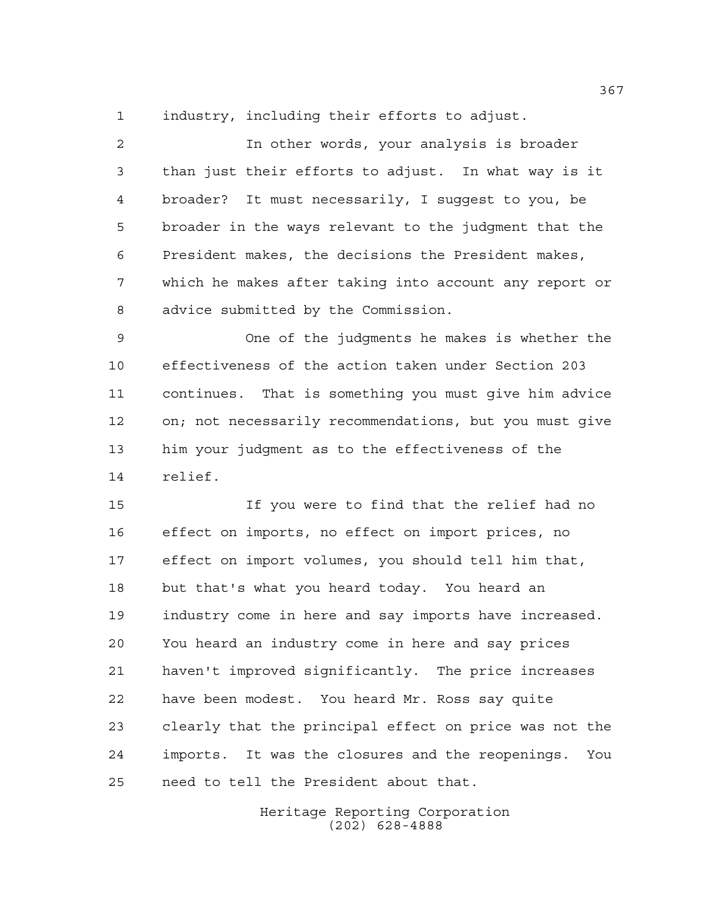industry, including their efforts to adjust.

| 2  | In other words, your analysis is broader                   |
|----|------------------------------------------------------------|
| 3  | than just their efforts to adjust. In what way is it       |
| 4  | broader? It must necessarily, I suggest to you, be         |
| 5  | broader in the ways relevant to the judgment that the      |
| 6  | President makes, the decisions the President makes,        |
| 7  | which he makes after taking into account any report or     |
| 8  | advice submitted by the Commission.                        |
| 9  | One of the judgments he makes is whether the               |
| 10 | effectiveness of the action taken under Section 203        |
| 11 | continues. That is something you must give him advice      |
| 12 | on; not necessarily recommendations, but you must give     |
| 13 | him your judgment as to the effectiveness of the           |
| 14 | relief.                                                    |
| 15 | If you were to find that the relief had no                 |
| 16 | effect on imports, no effect on import prices, no          |
| 17 | effect on import volumes, you should tell him that,        |
| 18 | but that's what you heard today. You heard an              |
| 19 | industry come in here and say imports have increased.      |
| 20 | You heard an industry come in here and say prices          |
| 21 | haven't improved significantly. The price increases        |
| 22 | have been modest. You heard Mr. Ross say quite             |
| 23 | clearly that the principal effect on price was not the     |
| 24 | It was the closures and the reopenings.<br>imports.<br>You |

need to tell the President about that.

Heritage Reporting Corporation (202) 628-4888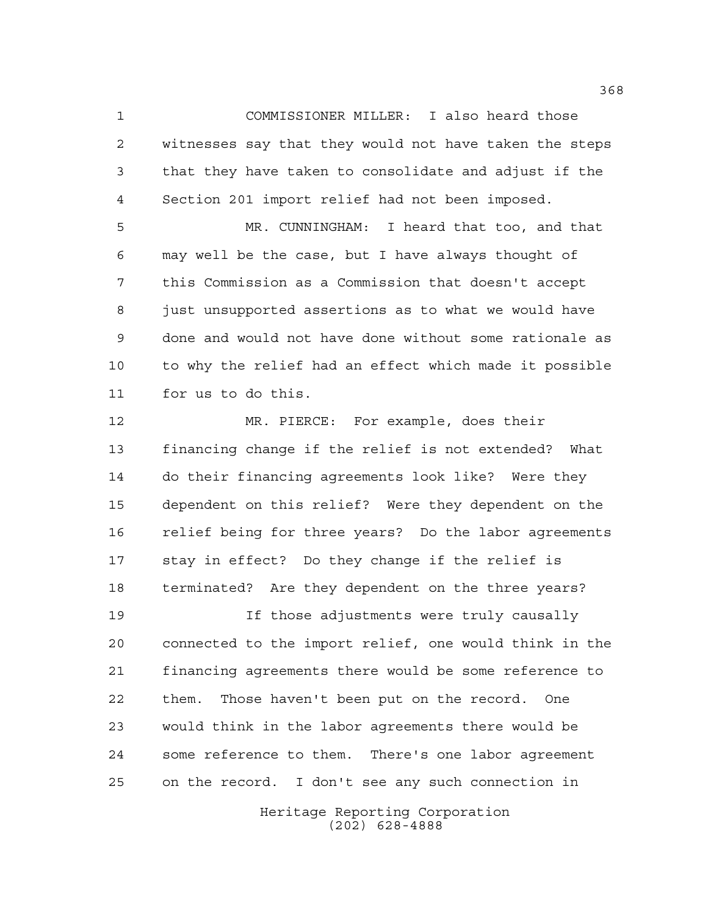COMMISSIONER MILLER: I also heard those witnesses say that they would not have taken the steps that they have taken to consolidate and adjust if the Section 201 import relief had not been imposed.

 MR. CUNNINGHAM: I heard that too, and that may well be the case, but I have always thought of this Commission as a Commission that doesn't accept just unsupported assertions as to what we would have done and would not have done without some rationale as to why the relief had an effect which made it possible for us to do this.

 MR. PIERCE: For example, does their financing change if the relief is not extended? What do their financing agreements look like? Were they dependent on this relief? Were they dependent on the relief being for three years? Do the labor agreements stay in effect? Do they change if the relief is terminated? Are they dependent on the three years?

 If those adjustments were truly causally connected to the import relief, one would think in the financing agreements there would be some reference to them. Those haven't been put on the record. One would think in the labor agreements there would be some reference to them. There's one labor agreement on the record. I don't see any such connection in

> Heritage Reporting Corporation (202) 628-4888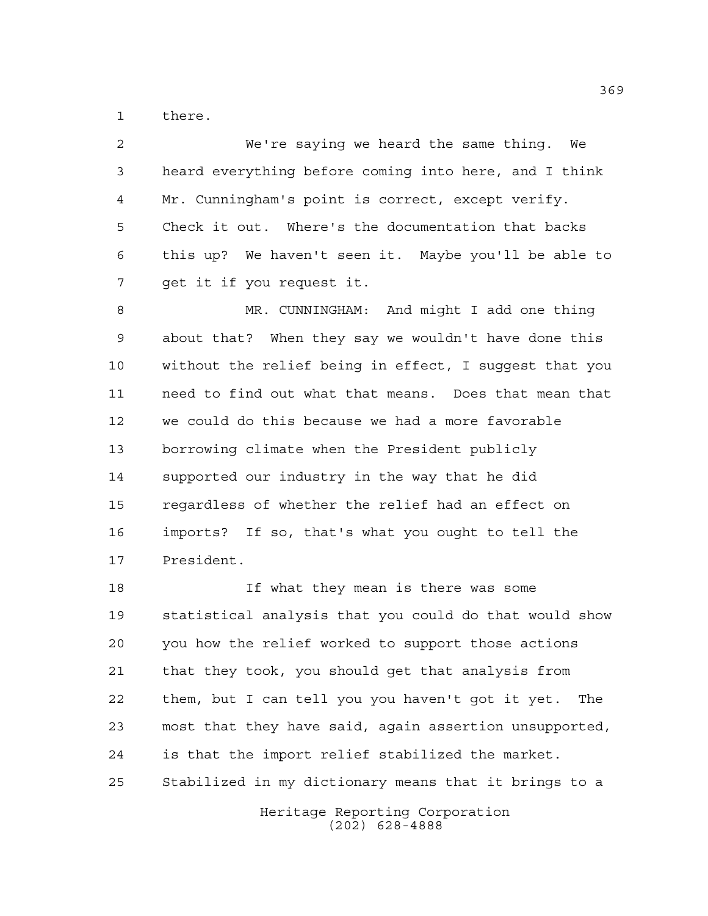there.

 We're saying we heard the same thing. We heard everything before coming into here, and I think Mr. Cunningham's point is correct, except verify. Check it out. Where's the documentation that backs this up? We haven't seen it. Maybe you'll be able to get it if you request it. MR. CUNNINGHAM: And might I add one thing

 about that? When they say we wouldn't have done this without the relief being in effect, I suggest that you need to find out what that means. Does that mean that we could do this because we had a more favorable borrowing climate when the President publicly supported our industry in the way that he did regardless of whether the relief had an effect on imports? If so, that's what you ought to tell the President.

 If what they mean is there was some statistical analysis that you could do that would show you how the relief worked to support those actions that they took, you should get that analysis from them, but I can tell you you haven't got it yet. The most that they have said, again assertion unsupported, is that the import relief stabilized the market. Stabilized in my dictionary means that it brings to a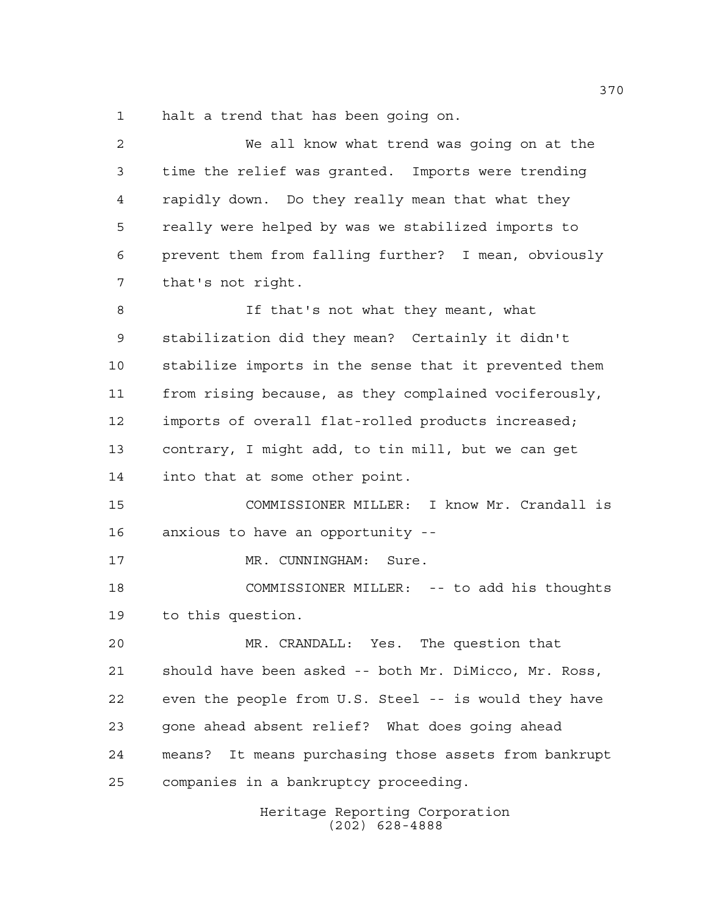halt a trend that has been going on.

| $\overline{2}$ | We all know what trend was going on at the               |
|----------------|----------------------------------------------------------|
| 3              | time the relief was granted. Imports were trending       |
| $\overline{4}$ | rapidly down. Do they really mean that what they         |
| 5              | really were helped by was we stabilized imports to       |
| 6              | prevent them from falling further? I mean, obviously     |
| 7              | that's not right.                                        |
| 8              | If that's not what they meant, what                      |
| 9              | stabilization did they mean? Certainly it didn't         |
| 10             | stabilize imports in the sense that it prevented them    |
| 11             | from rising because, as they complained vociferously,    |
| 12             | imports of overall flat-rolled products increased;       |
| 13             | contrary, I might add, to tin mill, but we can get       |
| 14             | into that at some other point.                           |
| 15             | COMMISSIONER MILLER: I know Mr. Crandall is              |
| 16             | anxious to have an opportunity --                        |
| 17             | MR. CUNNINGHAM: Sure.                                    |
| 18             | COMMISSIONER MILLER: -- to add his thoughts              |
| 19             | to this question.                                        |
| 20             | MR. CRANDALL: Yes.<br>The question that                  |
| 21             | should have been asked -- both Mr. DiMicco, Mr. Ross,    |
| 22             | even the people from U.S. Steel -- is would they have    |
| 23             | gone ahead absent relief? What does going ahead          |
| 24             | It means purchasing those assets from bankrupt<br>means? |
| 25             | companies in a bankruptcy proceeding.                    |
|                | Heritage Reporting Corporation                           |

(202) 628-4888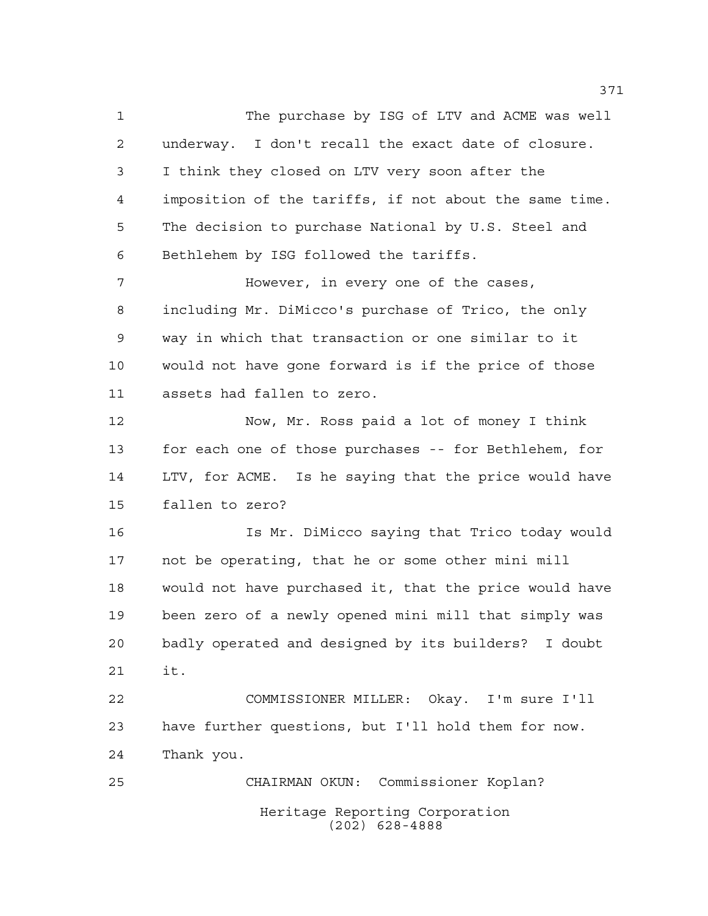The purchase by ISG of LTV and ACME was well underway. I don't recall the exact date of closure. I think they closed on LTV very soon after the imposition of the tariffs, if not about the same time. The decision to purchase National by U.S. Steel and Bethlehem by ISG followed the tariffs. **However, in every one of the cases,**  including Mr. DiMicco's purchase of Trico, the only way in which that transaction or one similar to it would not have gone forward is if the price of those

 Now, Mr. Ross paid a lot of money I think for each one of those purchases -- for Bethlehem, for LTV, for ACME. Is he saying that the price would have

 fallen to zero? Is Mr. DiMicco saying that Trico today would not be operating, that he or some other mini mill would not have purchased it, that the price would have

assets had fallen to zero.

 been zero of a newly opened mini mill that simply was badly operated and designed by its builders? I doubt it.

 COMMISSIONER MILLER: Okay. I'm sure I'll have further questions, but I'll hold them for now. Thank you.

Heritage Reporting Corporation (202) 628-4888 CHAIRMAN OKUN: Commissioner Koplan?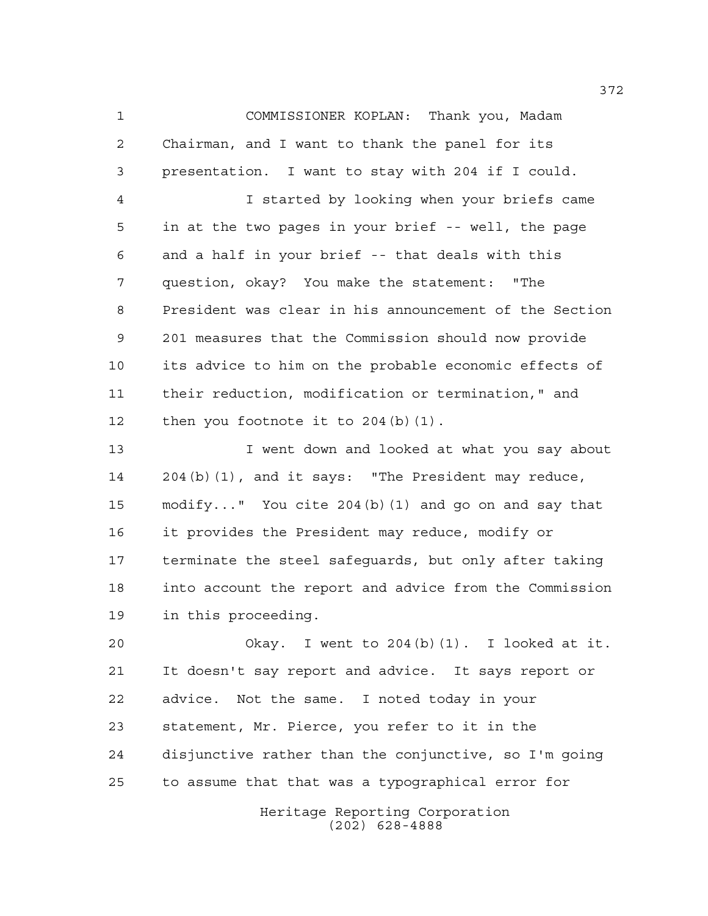COMMISSIONER KOPLAN: Thank you, Madam Chairman, and I want to thank the panel for its presentation. I want to stay with 204 if I could.

 I started by looking when your briefs came in at the two pages in your brief -- well, the page and a half in your brief -- that deals with this question, okay? You make the statement: "The President was clear in his announcement of the Section 201 measures that the Commission should now provide its advice to him on the probable economic effects of their reduction, modification or termination," and 12 then you footnote it to 204(b)(1).

 I went down and looked at what you say about 204(b)(1), and it says: "The President may reduce, modify..." You cite 204(b)(1) and go on and say that it provides the President may reduce, modify or terminate the steel safeguards, but only after taking into account the report and advice from the Commission in this proceeding.

 Okay. I went to 204(b)(1). I looked at it. It doesn't say report and advice. It says report or advice. Not the same. I noted today in your statement, Mr. Pierce, you refer to it in the disjunctive rather than the conjunctive, so I'm going to assume that that was a typographical error for

> Heritage Reporting Corporation (202) 628-4888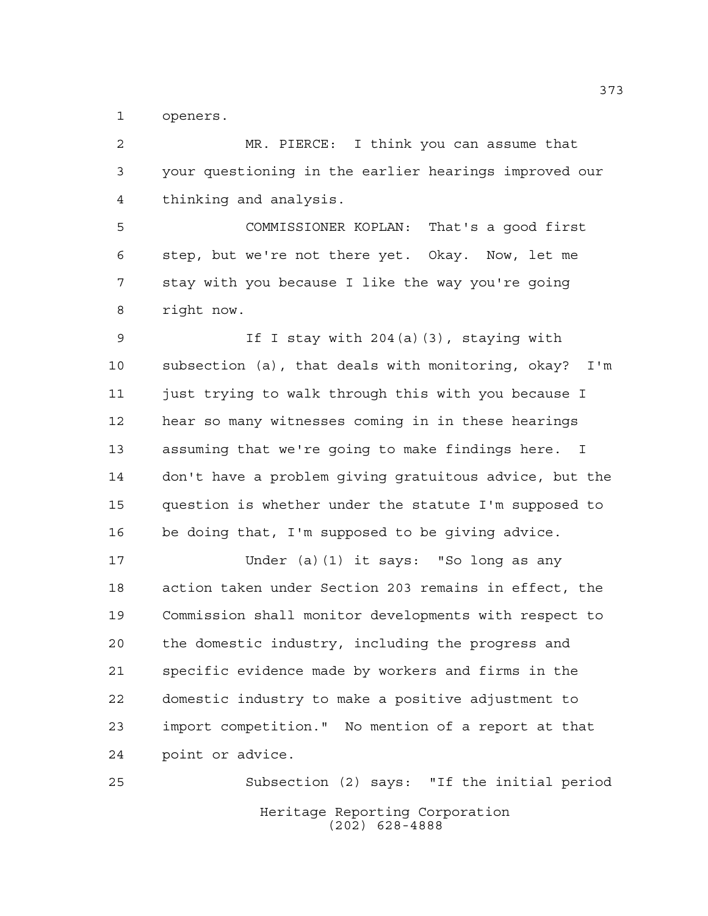openers.

 MR. PIERCE: I think you can assume that your questioning in the earlier hearings improved our thinking and analysis.

 COMMISSIONER KOPLAN: That's a good first step, but we're not there yet. Okay. Now, let me stay with you because I like the way you're going right now.

 If I stay with 204(a)(3), staying with subsection (a), that deals with monitoring, okay? I'm just trying to walk through this with you because I hear so many witnesses coming in in these hearings assuming that we're going to make findings here. I don't have a problem giving gratuitous advice, but the question is whether under the statute I'm supposed to be doing that, I'm supposed to be giving advice.

 Under (a)(1) it says: "So long as any action taken under Section 203 remains in effect, the Commission shall monitor developments with respect to the domestic industry, including the progress and specific evidence made by workers and firms in the domestic industry to make a positive adjustment to import competition." No mention of a report at that point or advice.

Heritage Reporting Corporation (202) 628-4888 Subsection (2) says: "If the initial period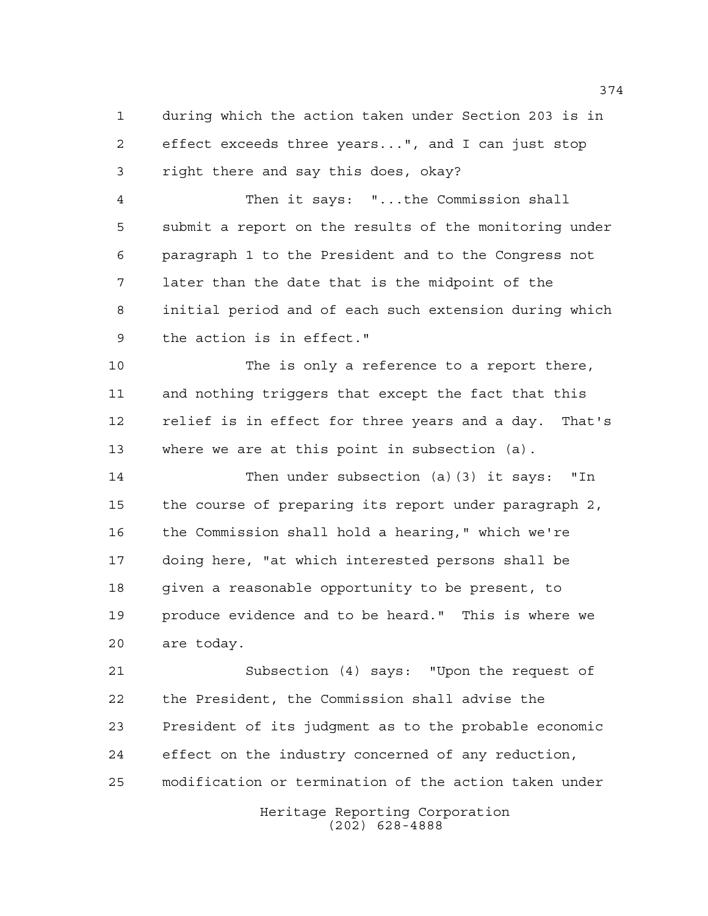during which the action taken under Section 203 is in effect exceeds three years...", and I can just stop right there and say this does, okay?

 Then it says: "...the Commission shall submit a report on the results of the monitoring under paragraph 1 to the President and to the Congress not later than the date that is the midpoint of the initial period and of each such extension during which the action is in effect."

 The is only a reference to a report there, and nothing triggers that except the fact that this relief is in effect for three years and a day. That's where we are at this point in subsection (a).

 Then under subsection (a)(3) it says: "In the course of preparing its report under paragraph 2, the Commission shall hold a hearing," which we're doing here, "at which interested persons shall be given a reasonable opportunity to be present, to produce evidence and to be heard." This is where we are today.

 Subsection (4) says: "Upon the request of the President, the Commission shall advise the President of its judgment as to the probable economic effect on the industry concerned of any reduction, modification or termination of the action taken under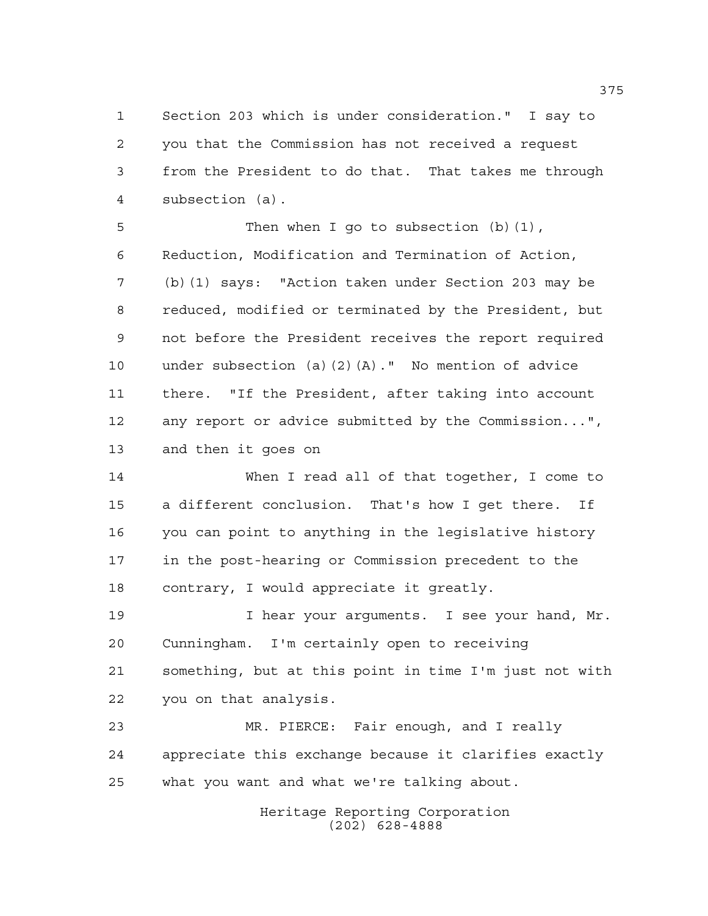Section 203 which is under consideration." I say to you that the Commission has not received a request from the President to do that. That takes me through subsection (a).

5 Then when I go to subsection (b)(1), Reduction, Modification and Termination of Action, (b)(1) says: "Action taken under Section 203 may be reduced, modified or terminated by the President, but not before the President receives the report required under subsection (a)(2)(A)." No mention of advice there. "If the President, after taking into account any report or advice submitted by the Commission...", and then it goes on

 When I read all of that together, I come to a different conclusion. That's how I get there. If you can point to anything in the legislative history in the post-hearing or Commission precedent to the contrary, I would appreciate it greatly.

 I hear your arguments. I see your hand, Mr. Cunningham. I'm certainly open to receiving something, but at this point in time I'm just not with you on that analysis.

 MR. PIERCE: Fair enough, and I really appreciate this exchange because it clarifies exactly what you want and what we're talking about.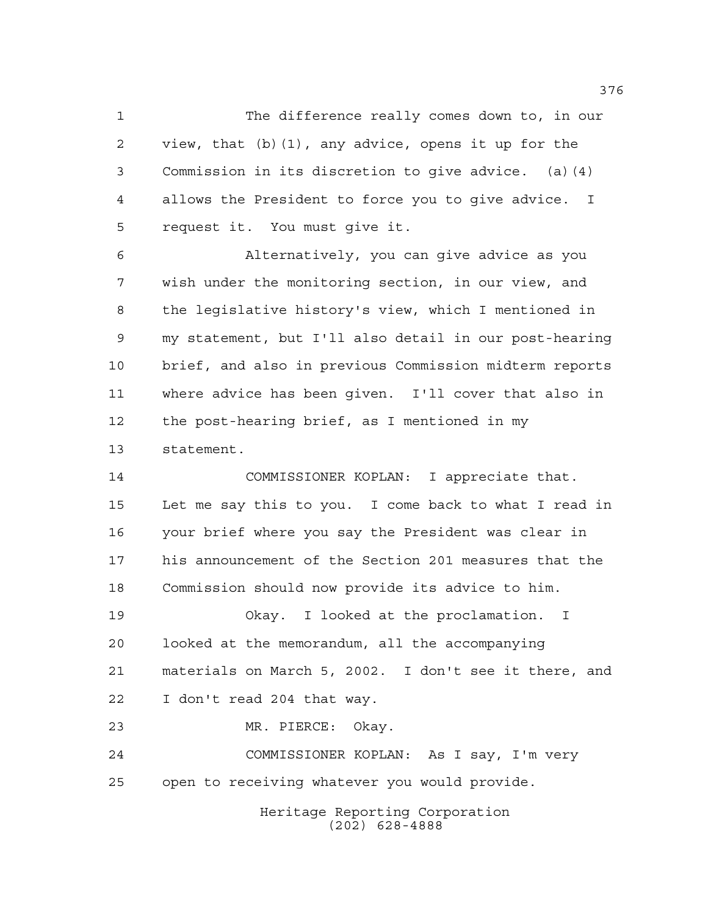The difference really comes down to, in our view, that (b)(1), any advice, opens it up for the Commission in its discretion to give advice. (a)(4) allows the President to force you to give advice. I request it. You must give it.

 Alternatively, you can give advice as you wish under the monitoring section, in our view, and the legislative history's view, which I mentioned in my statement, but I'll also detail in our post-hearing brief, and also in previous Commission midterm reports where advice has been given. I'll cover that also in the post-hearing brief, as I mentioned in my statement.

 COMMISSIONER KOPLAN: I appreciate that. Let me say this to you. I come back to what I read in your brief where you say the President was clear in his announcement of the Section 201 measures that the Commission should now provide its advice to him.

 Okay. I looked at the proclamation. I looked at the memorandum, all the accompanying materials on March 5, 2002. I don't see it there, and I don't read 204 that way.

MR. PIERCE: Okay.

 COMMISSIONER KOPLAN: As I say, I'm very open to receiving whatever you would provide.

> Heritage Reporting Corporation (202) 628-4888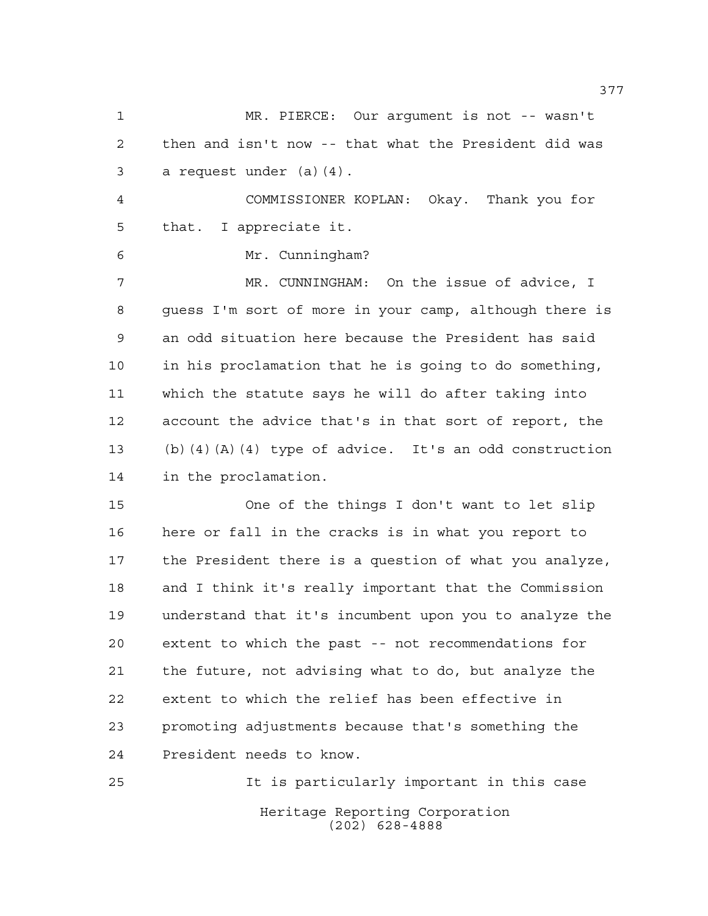MR. PIERCE: Our argument is not -- wasn't then and isn't now -- that what the President did was a request under (a)(4). COMMISSIONER KOPLAN: Okay. Thank you for that. I appreciate it. Mr. Cunningham? MR. CUNNINGHAM: On the issue of advice, I guess I'm sort of more in your camp, although there is an odd situation here because the President has said in his proclamation that he is going to do something, which the statute says he will do after taking into account the advice that's in that sort of report, the (b)(4)(A)(4) type of advice. It's an odd construction in the proclamation. One of the things I don't want to let slip here or fall in the cracks is in what you report to the President there is a question of what you analyze, and I think it's really important that the Commission understand that it's incumbent upon you to analyze the extent to which the past -- not recommendations for the future, not advising what to do, but analyze the extent to which the relief has been effective in promoting adjustments because that's something the President needs to know.

Heritage Reporting Corporation (202) 628-4888 It is particularly important in this case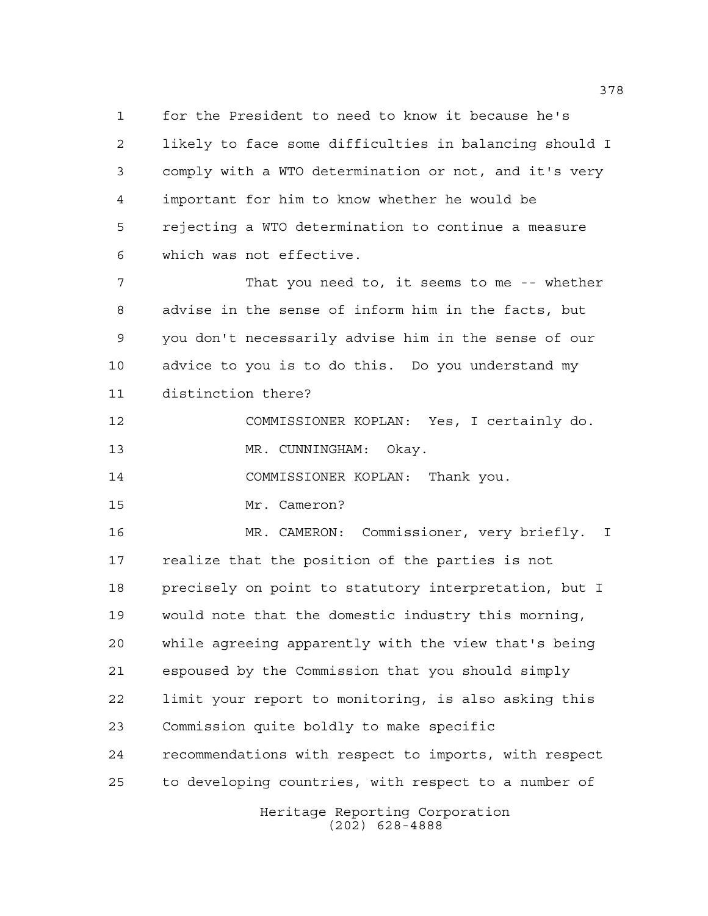for the President to need to know it because he's likely to face some difficulties in balancing should I comply with a WTO determination or not, and it's very important for him to know whether he would be rejecting a WTO determination to continue a measure which was not effective.

 That you need to, it seems to me -- whether advise in the sense of inform him in the facts, but you don't necessarily advise him in the sense of our advice to you is to do this. Do you understand my distinction there?

 COMMISSIONER KOPLAN: Yes, I certainly do. 13 MR. CUNNINGHAM: Okay.

COMMISSIONER KOPLAN: Thank you.

Mr. Cameron?

 MR. CAMERON: Commissioner, very briefly. I realize that the position of the parties is not precisely on point to statutory interpretation, but I would note that the domestic industry this morning, while agreeing apparently with the view that's being espoused by the Commission that you should simply limit your report to monitoring, is also asking this Commission quite boldly to make specific recommendations with respect to imports, with respect to developing countries, with respect to a number of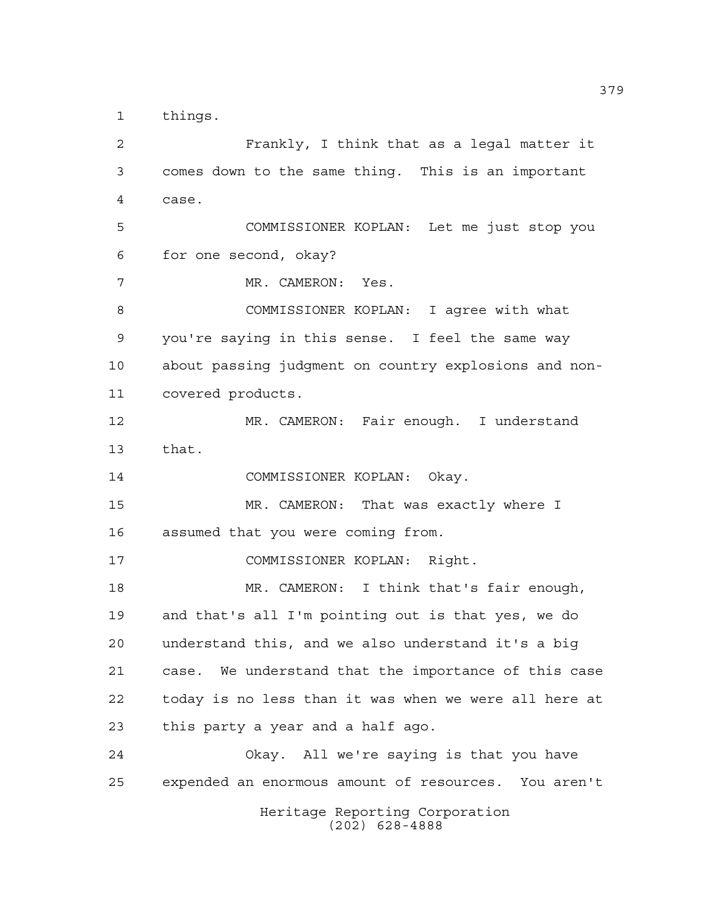things.

Heritage Reporting Corporation Frankly, I think that as a legal matter it comes down to the same thing. This is an important case. COMMISSIONER KOPLAN: Let me just stop you for one second, okay? MR. CAMERON: Yes. COMMISSIONER KOPLAN: I agree with what you're saying in this sense. I feel the same way about passing judgment on country explosions and non- covered products. MR. CAMERON: Fair enough. I understand that. COMMISSIONER KOPLAN: Okay. MR. CAMERON: That was exactly where I assumed that you were coming from. COMMISSIONER KOPLAN: Right. MR. CAMERON: I think that's fair enough, and that's all I'm pointing out is that yes, we do understand this, and we also understand it's a big case. We understand that the importance of this case today is no less than it was when we were all here at this party a year and a half ago. Okay. All we're saying is that you have expended an enormous amount of resources. You aren't

(202) 628-4888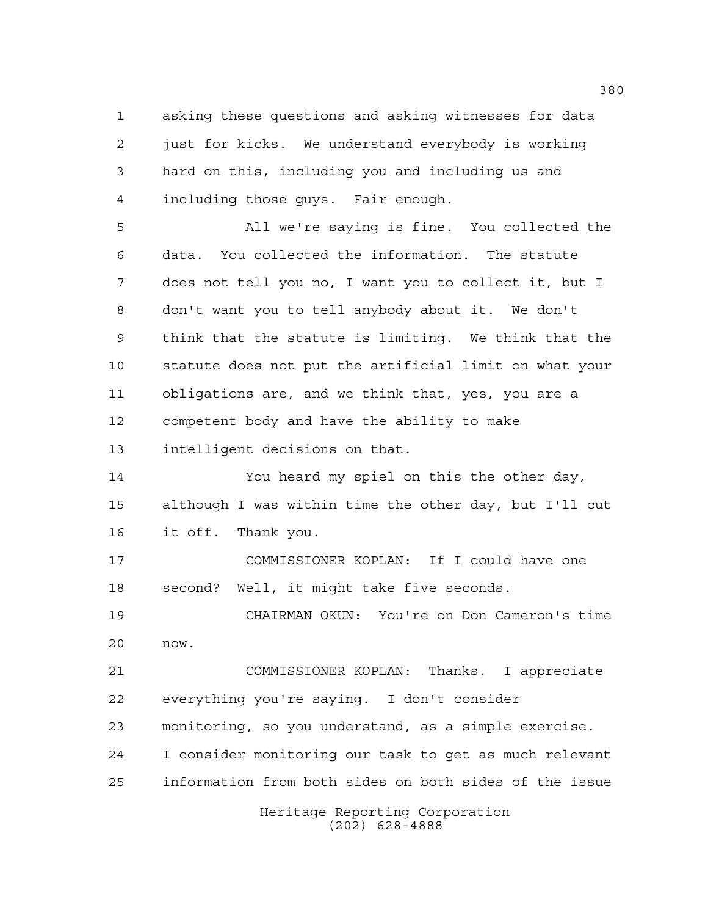asking these questions and asking witnesses for data just for kicks. We understand everybody is working hard on this, including you and including us and including those guys. Fair enough.

 All we're saying is fine. You collected the data. You collected the information. The statute does not tell you no, I want you to collect it, but I don't want you to tell anybody about it. We don't think that the statute is limiting. We think that the statute does not put the artificial limit on what your obligations are, and we think that, yes, you are a competent body and have the ability to make intelligent decisions on that.

 You heard my spiel on this the other day, although I was within time the other day, but I'll cut it off. Thank you.

 COMMISSIONER KOPLAN: If I could have one second? Well, it might take five seconds.

 CHAIRMAN OKUN: You're on Don Cameron's time now.

 COMMISSIONER KOPLAN: Thanks. I appreciate everything you're saying. I don't consider monitoring, so you understand, as a simple exercise. I consider monitoring our task to get as much relevant information from both sides on both sides of the issue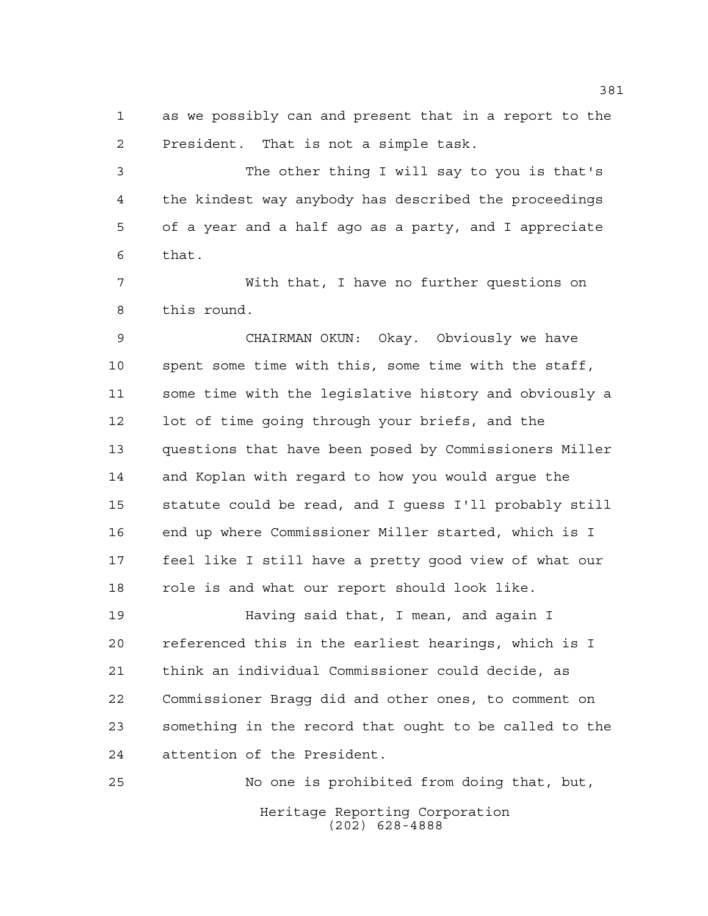as we possibly can and present that in a report to the President. That is not a simple task.

 The other thing I will say to you is that's the kindest way anybody has described the proceedings of a year and a half ago as a party, and I appreciate that.

 With that, I have no further questions on this round.

 CHAIRMAN OKUN: Okay. Obviously we have spent some time with this, some time with the staff, some time with the legislative history and obviously a lot of time going through your briefs, and the questions that have been posed by Commissioners Miller and Koplan with regard to how you would argue the statute could be read, and I guess I'll probably still end up where Commissioner Miller started, which is I feel like I still have a pretty good view of what our role is and what our report should look like.

 Having said that, I mean, and again I referenced this in the earliest hearings, which is I think an individual Commissioner could decide, as Commissioner Bragg did and other ones, to comment on something in the record that ought to be called to the attention of the President.

Heritage Reporting Corporation (202) 628-4888 No one is prohibited from doing that, but,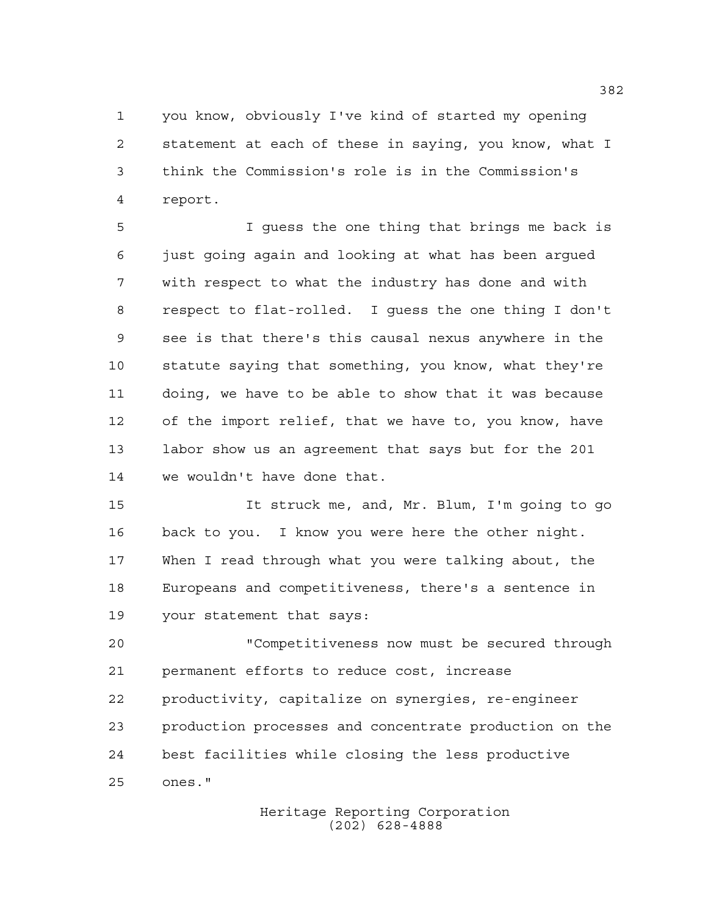you know, obviously I've kind of started my opening statement at each of these in saying, you know, what I think the Commission's role is in the Commission's report.

 I guess the one thing that brings me back is just going again and looking at what has been argued with respect to what the industry has done and with respect to flat-rolled. I guess the one thing I don't see is that there's this causal nexus anywhere in the statute saying that something, you know, what they're doing, we have to be able to show that it was because of the import relief, that we have to, you know, have labor show us an agreement that says but for the 201 we wouldn't have done that.

 It struck me, and, Mr. Blum, I'm going to go back to you. I know you were here the other night. When I read through what you were talking about, the Europeans and competitiveness, there's a sentence in your statement that says:

 "Competitiveness now must be secured through permanent efforts to reduce cost, increase productivity, capitalize on synergies, re-engineer production processes and concentrate production on the best facilities while closing the less productive ones."

> Heritage Reporting Corporation (202) 628-4888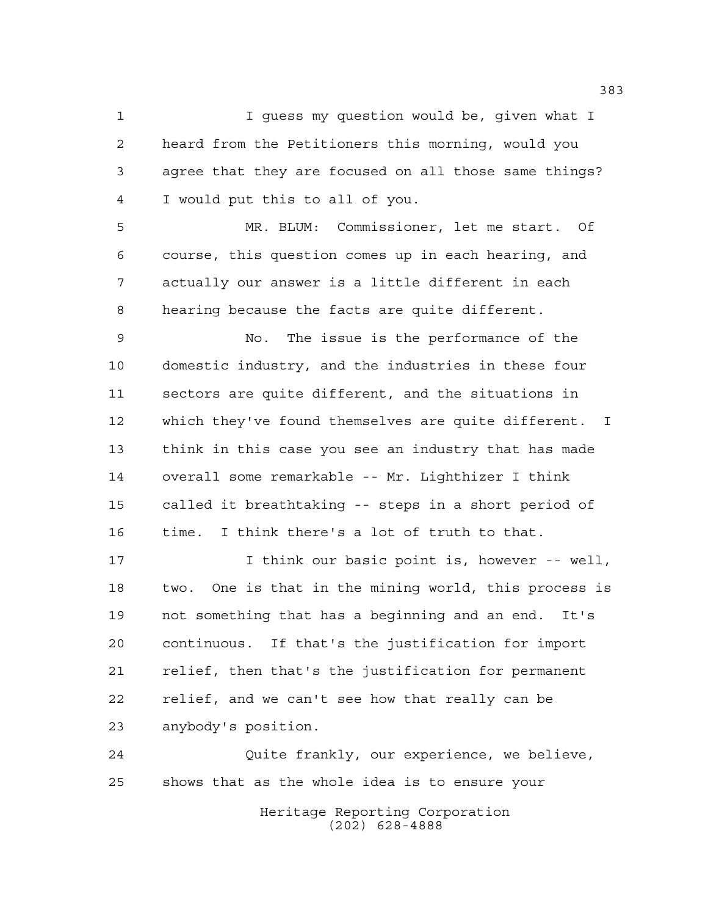1 I guess my question would be, given what I heard from the Petitioners this morning, would you agree that they are focused on all those same things? I would put this to all of you.

 MR. BLUM: Commissioner, let me start. Of course, this question comes up in each hearing, and actually our answer is a little different in each hearing because the facts are quite different.

 No. The issue is the performance of the domestic industry, and the industries in these four sectors are quite different, and the situations in which they've found themselves are quite different. I think in this case you see an industry that has made overall some remarkable -- Mr. Lighthizer I think called it breathtaking -- steps in a short period of time. I think there's a lot of truth to that.

 I think our basic point is, however -- well, two. One is that in the mining world, this process is not something that has a beginning and an end. It's continuous. If that's the justification for import relief, then that's the justification for permanent relief, and we can't see how that really can be anybody's position.

 Quite frankly, our experience, we believe, shows that as the whole idea is to ensure your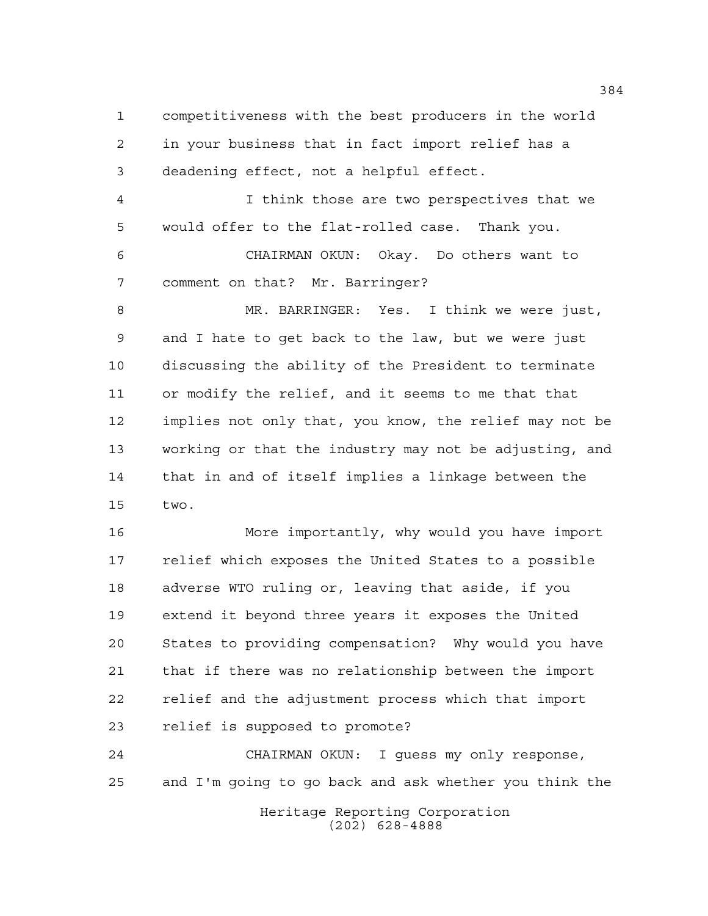competitiveness with the best producers in the world in your business that in fact import relief has a deadening effect, not a helpful effect. I think those are two perspectives that we would offer to the flat-rolled case. Thank you. CHAIRMAN OKUN: Okay. Do others want to comment on that? Mr. Barringer? MR. BARRINGER: Yes. I think we were just, and I hate to get back to the law, but we were just discussing the ability of the President to terminate or modify the relief, and it seems to me that that implies not only that, you know, the relief may not be working or that the industry may not be adjusting, and that in and of itself implies a linkage between the two.

 More importantly, why would you have import relief which exposes the United States to a possible adverse WTO ruling or, leaving that aside, if you extend it beyond three years it exposes the United States to providing compensation? Why would you have that if there was no relationship between the import relief and the adjustment process which that import relief is supposed to promote?

 CHAIRMAN OKUN: I guess my only response, and I'm going to go back and ask whether you think the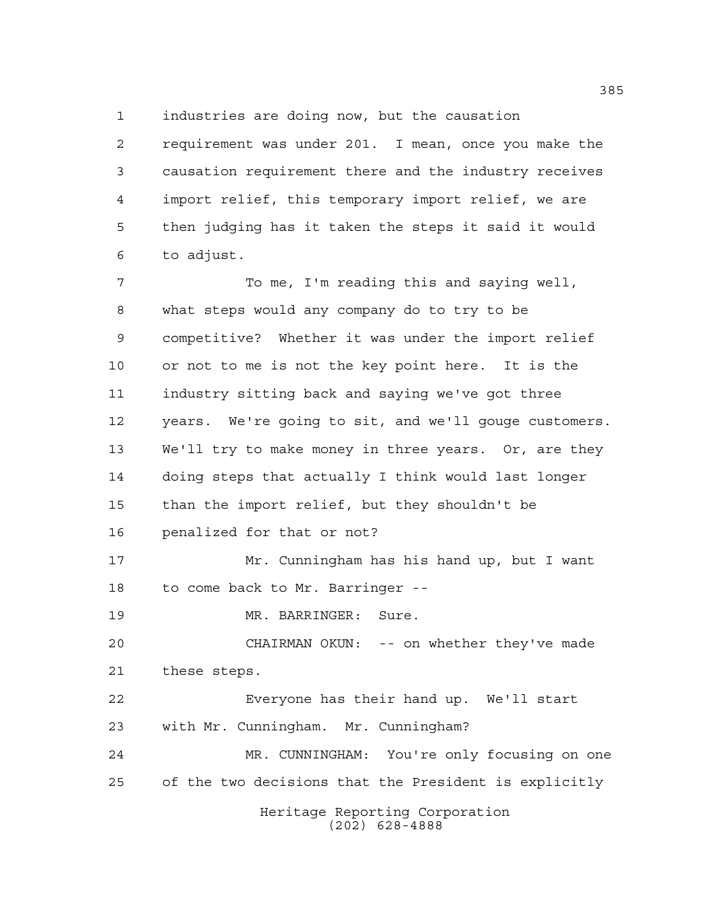industries are doing now, but the causation

 requirement was under 201. I mean, once you make the causation requirement there and the industry receives import relief, this temporary import relief, we are then judging has it taken the steps it said it would to adjust.

 To me, I'm reading this and saying well, what steps would any company do to try to be competitive? Whether it was under the import relief or not to me is not the key point here. It is the industry sitting back and saying we've got three years. We're going to sit, and we'll gouge customers. We'll try to make money in three years. Or, are they doing steps that actually I think would last longer than the import relief, but they shouldn't be penalized for that or not? Mr. Cunningham has his hand up, but I want to come back to Mr. Barringer -- MR. BARRINGER: Sure. CHAIRMAN OKUN: -- on whether they've made these steps. Everyone has their hand up. We'll start with Mr. Cunningham. Mr. Cunningham?

 MR. CUNNINGHAM: You're only focusing on one of the two decisions that the President is explicitly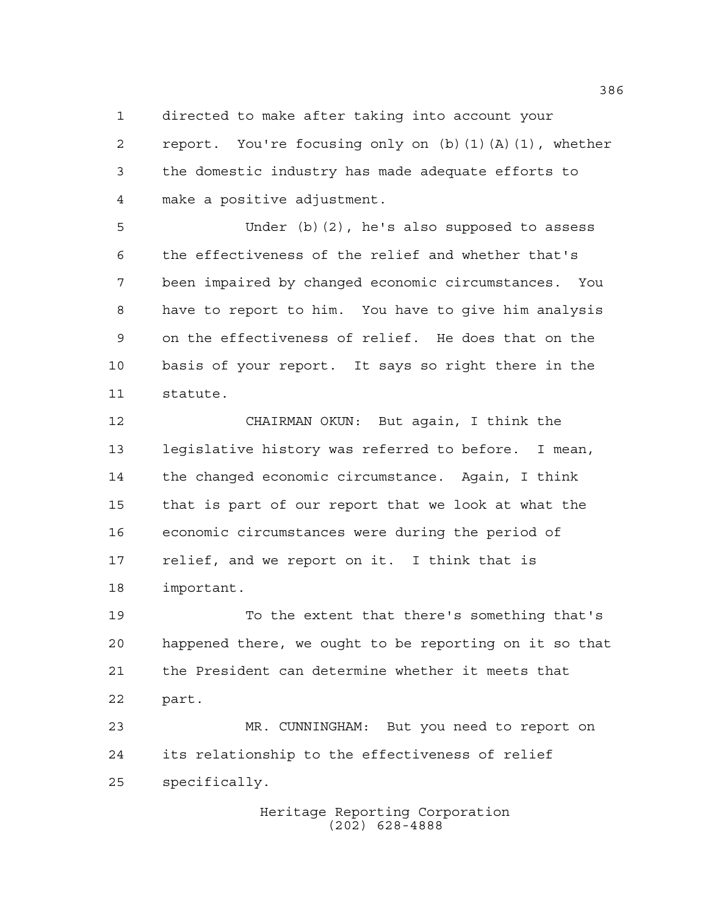directed to make after taking into account your

 report. You're focusing only on (b)(1)(A)(1), whether the domestic industry has made adequate efforts to make a positive adjustment.

 Under (b)(2), he's also supposed to assess the effectiveness of the relief and whether that's been impaired by changed economic circumstances. You have to report to him. You have to give him analysis on the effectiveness of relief. He does that on the basis of your report. It says so right there in the statute.

 CHAIRMAN OKUN: But again, I think the legislative history was referred to before. I mean, the changed economic circumstance. Again, I think that is part of our report that we look at what the economic circumstances were during the period of relief, and we report on it. I think that is important.

 To the extent that there's something that's happened there, we ought to be reporting on it so that the President can determine whether it meets that part.

 MR. CUNNINGHAM: But you need to report on its relationship to the effectiveness of relief specifically.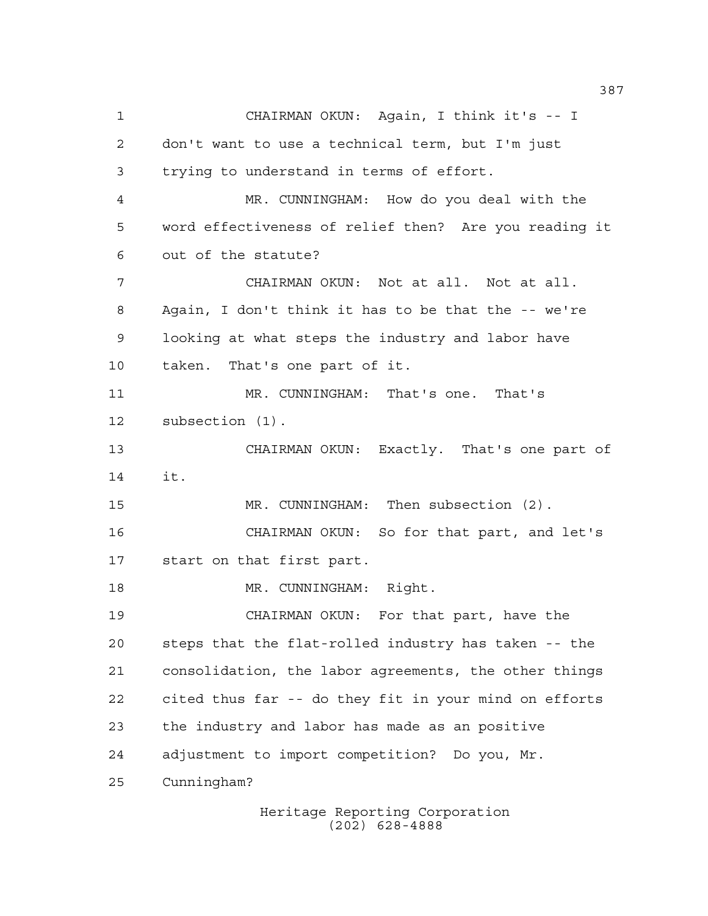CHAIRMAN OKUN: Again, I think it's -- I don't want to use a technical term, but I'm just trying to understand in terms of effort. MR. CUNNINGHAM: How do you deal with the word effectiveness of relief then? Are you reading it out of the statute? CHAIRMAN OKUN: Not at all. Not at all. Again, I don't think it has to be that the -- we're looking at what steps the industry and labor have taken. That's one part of it. MR. CUNNINGHAM: That's one. That's subsection (1). CHAIRMAN OKUN: Exactly. That's one part of it. MR. CUNNINGHAM: Then subsection (2). CHAIRMAN OKUN: So for that part, and let's start on that first part. 18 MR. CUNNINGHAM: Right. CHAIRMAN OKUN: For that part, have the steps that the flat-rolled industry has taken -- the consolidation, the labor agreements, the other things cited thus far -- do they fit in your mind on efforts the industry and labor has made as an positive adjustment to import competition? Do you, Mr. Cunningham?

> Heritage Reporting Corporation (202) 628-4888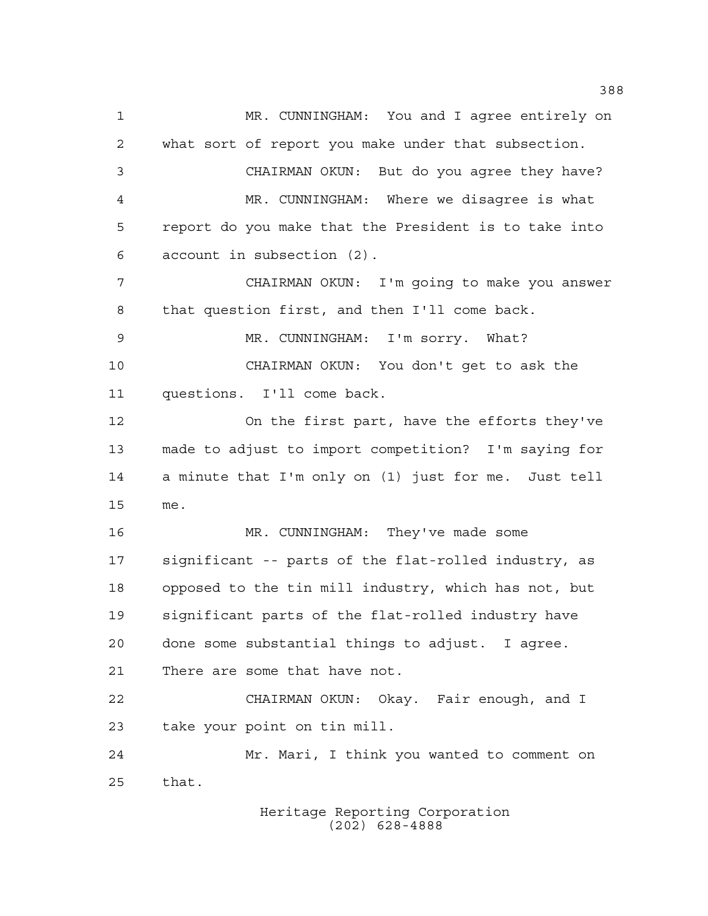MR. CUNNINGHAM: You and I agree entirely on what sort of report you make under that subsection. CHAIRMAN OKUN: But do you agree they have? MR. CUNNINGHAM: Where we disagree is what report do you make that the President is to take into account in subsection (2). CHAIRMAN OKUN: I'm going to make you answer that question first, and then I'll come back. MR. CUNNINGHAM: I'm sorry. What? CHAIRMAN OKUN: You don't get to ask the questions. I'll come back. On the first part, have the efforts they've made to adjust to import competition? I'm saying for a minute that I'm only on (1) just for me. Just tell me. MR. CUNNINGHAM: They've made some significant -- parts of the flat-rolled industry, as opposed to the tin mill industry, which has not, but significant parts of the flat-rolled industry have done some substantial things to adjust. I agree. There are some that have not. CHAIRMAN OKUN: Okay. Fair enough, and I take your point on tin mill. Mr. Mari, I think you wanted to comment on that.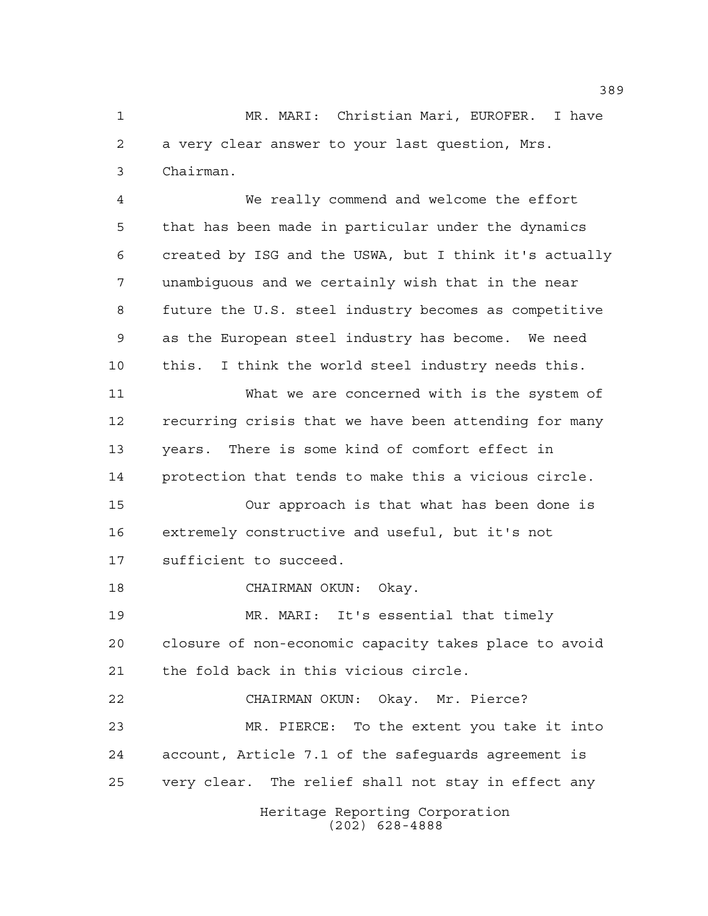MR. MARI: Christian Mari, EUROFER. I have a very clear answer to your last question, Mrs. Chairman.

Heritage Reporting Corporation We really commend and welcome the effort that has been made in particular under the dynamics created by ISG and the USWA, but I think it's actually unambiguous and we certainly wish that in the near future the U.S. steel industry becomes as competitive as the European steel industry has become. We need this. I think the world steel industry needs this. What we are concerned with is the system of recurring crisis that we have been attending for many years. There is some kind of comfort effect in protection that tends to make this a vicious circle. Our approach is that what has been done is extremely constructive and useful, but it's not sufficient to succeed. CHAIRMAN OKUN: Okay. MR. MARI: It's essential that timely closure of non-economic capacity takes place to avoid the fold back in this vicious circle. CHAIRMAN OKUN: Okay. Mr. Pierce? MR. PIERCE: To the extent you take it into account, Article 7.1 of the safeguards agreement is very clear. The relief shall not stay in effect any

(202) 628-4888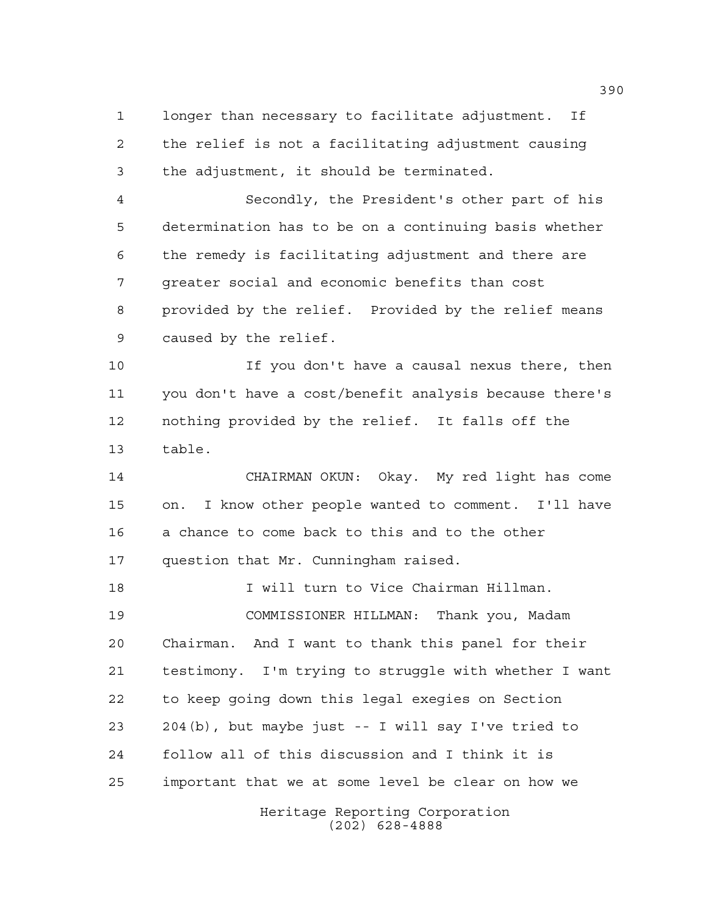longer than necessary to facilitate adjustment. If the relief is not a facilitating adjustment causing the adjustment, it should be terminated.

 Secondly, the President's other part of his determination has to be on a continuing basis whether the remedy is facilitating adjustment and there are greater social and economic benefits than cost provided by the relief. Provided by the relief means caused by the relief.

 If you don't have a causal nexus there, then you don't have a cost/benefit analysis because there's nothing provided by the relief. It falls off the table.

 CHAIRMAN OKUN: Okay. My red light has come on. I know other people wanted to comment. I'll have a chance to come back to this and to the other question that Mr. Cunningham raised.

 I will turn to Vice Chairman Hillman. COMMISSIONER HILLMAN: Thank you, Madam Chairman. And I want to thank this panel for their testimony. I'm trying to struggle with whether I want to keep going down this legal exegies on Section 204(b), but maybe just -- I will say I've tried to follow all of this discussion and I think it is important that we at some level be clear on how we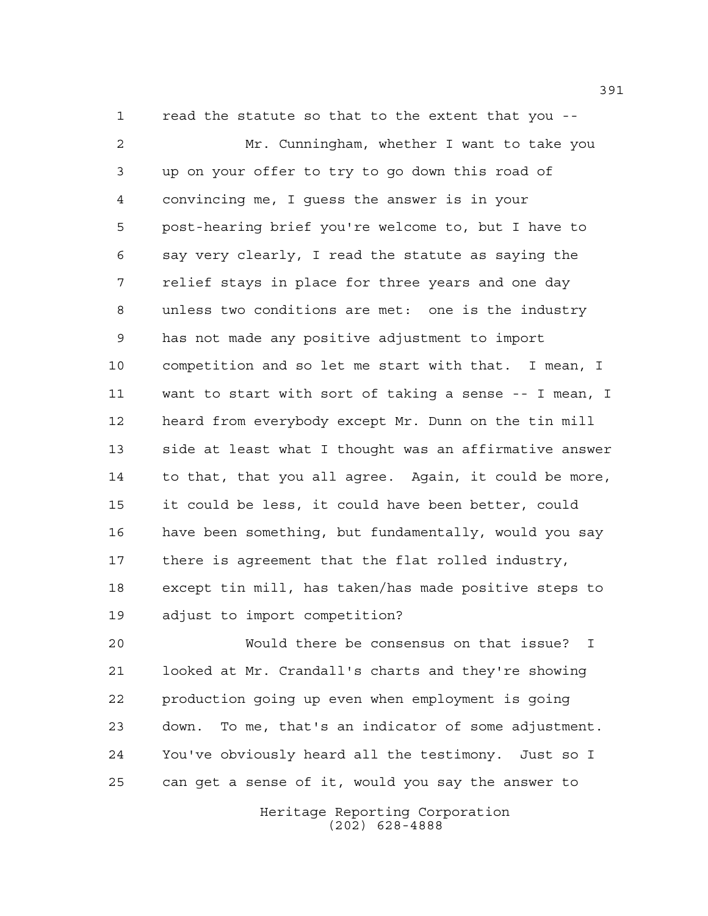read the statute so that to the extent that you -- Mr. Cunningham, whether I want to take you up on your offer to try to go down this road of convincing me, I guess the answer is in your post-hearing brief you're welcome to, but I have to say very clearly, I read the statute as saying the relief stays in place for three years and one day unless two conditions are met: one is the industry has not made any positive adjustment to import competition and so let me start with that. I mean, I want to start with sort of taking a sense -- I mean, I heard from everybody except Mr. Dunn on the tin mill side at least what I thought was an affirmative answer to that, that you all agree. Again, it could be more, it could be less, it could have been better, could have been something, but fundamentally, would you say there is agreement that the flat rolled industry, except tin mill, has taken/has made positive steps to adjust to import competition?

 Would there be consensus on that issue? I looked at Mr. Crandall's charts and they're showing production going up even when employment is going down. To me, that's an indicator of some adjustment. You've obviously heard all the testimony. Just so I can get a sense of it, would you say the answer to

> Heritage Reporting Corporation (202) 628-4888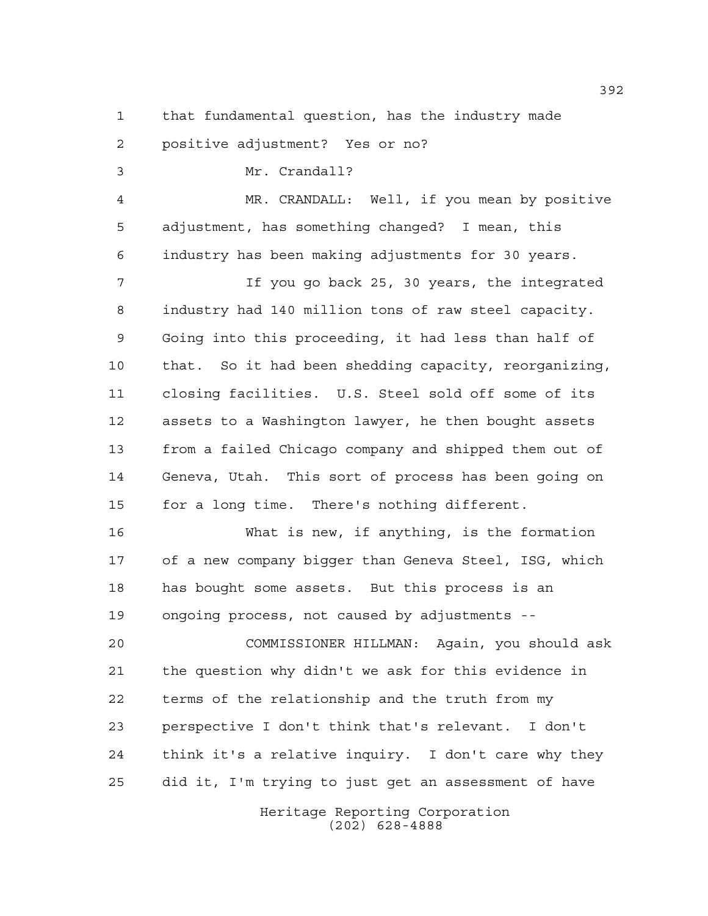that fundamental question, has the industry made positive adjustment? Yes or no?

 Mr. Crandall? MR. CRANDALL: Well, if you mean by positive adjustment, has something changed? I mean, this industry has been making adjustments for 30 years. If you go back 25, 30 years, the integrated industry had 140 million tons of raw steel capacity. Going into this proceeding, it had less than half of that. So it had been shedding capacity, reorganizing, closing facilities. U.S. Steel sold off some of its assets to a Washington lawyer, he then bought assets from a failed Chicago company and shipped them out of Geneva, Utah. This sort of process has been going on for a long time. There's nothing different.

 What is new, if anything, is the formation of a new company bigger than Geneva Steel, ISG, which has bought some assets. But this process is an ongoing process, not caused by adjustments --

 COMMISSIONER HILLMAN: Again, you should ask the question why didn't we ask for this evidence in terms of the relationship and the truth from my perspective I don't think that's relevant. I don't think it's a relative inquiry. I don't care why they did it, I'm trying to just get an assessment of have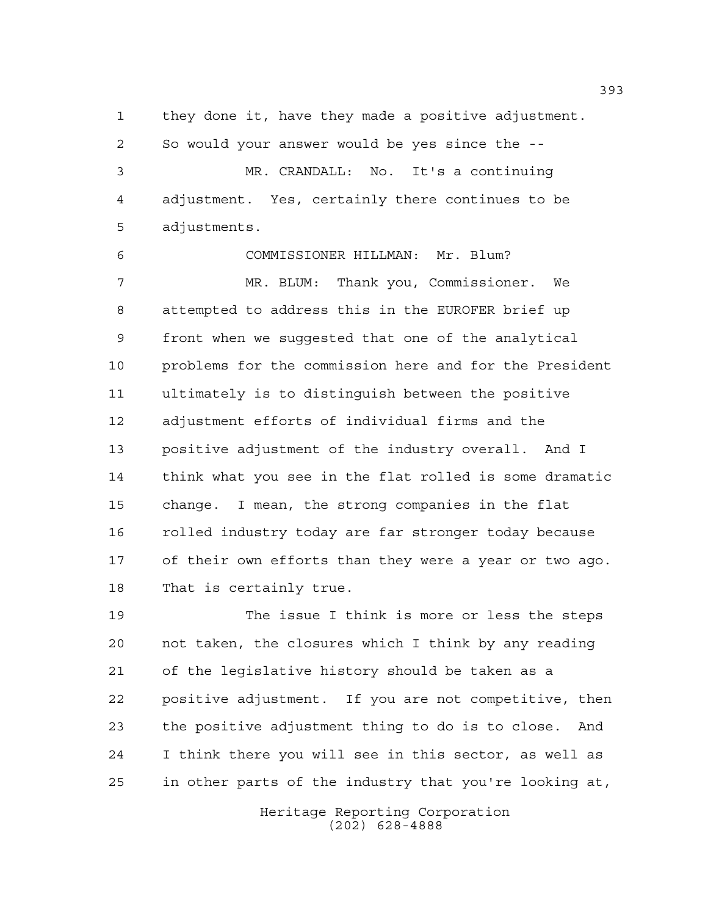they done it, have they made a positive adjustment. So would your answer would be yes since the -- MR. CRANDALL: No. It's a continuing adjustment. Yes, certainly there continues to be adjustments.

 COMMISSIONER HILLMAN: Mr. Blum? MR. BLUM: Thank you, Commissioner. We attempted to address this in the EUROFER brief up front when we suggested that one of the analytical problems for the commission here and for the President ultimately is to distinguish between the positive adjustment efforts of individual firms and the positive adjustment of the industry overall. And I think what you see in the flat rolled is some dramatic change. I mean, the strong companies in the flat 16 rolled industry today are far stronger today because of their own efforts than they were a year or two ago. That is certainly true.

 The issue I think is more or less the steps not taken, the closures which I think by any reading of the legislative history should be taken as a positive adjustment. If you are not competitive, then the positive adjustment thing to do is to close. And I think there you will see in this sector, as well as in other parts of the industry that you're looking at,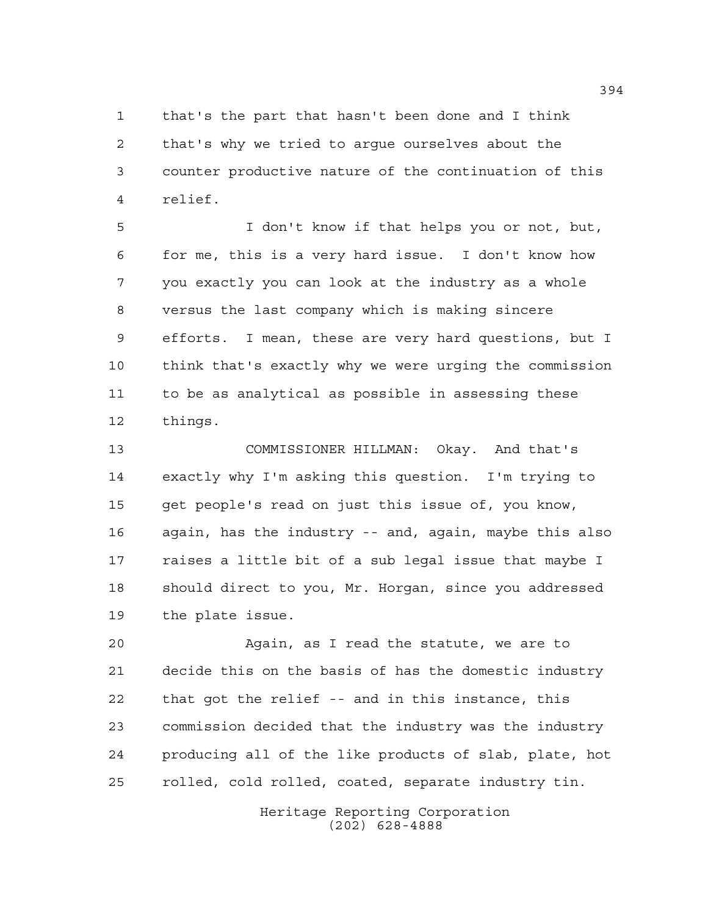that's the part that hasn't been done and I think that's why we tried to argue ourselves about the counter productive nature of the continuation of this relief.

 I don't know if that helps you or not, but, for me, this is a very hard issue. I don't know how you exactly you can look at the industry as a whole versus the last company which is making sincere efforts. I mean, these are very hard questions, but I think that's exactly why we were urging the commission to be as analytical as possible in assessing these things.

 COMMISSIONER HILLMAN: Okay. And that's exactly why I'm asking this question. I'm trying to get people's read on just this issue of, you know, again, has the industry -- and, again, maybe this also raises a little bit of a sub legal issue that maybe I should direct to you, Mr. Horgan, since you addressed the plate issue.

 Again, as I read the statute, we are to decide this on the basis of has the domestic industry that got the relief -- and in this instance, this commission decided that the industry was the industry producing all of the like products of slab, plate, hot rolled, cold rolled, coated, separate industry tin.

> Heritage Reporting Corporation (202) 628-4888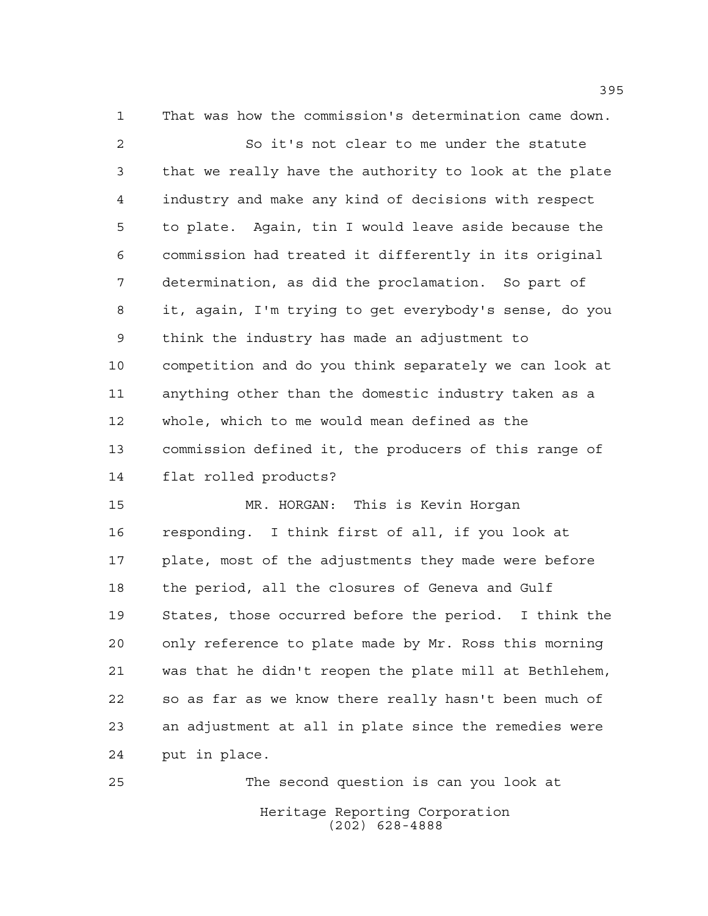That was how the commission's determination came down. So it's not clear to me under the statute that we really have the authority to look at the plate industry and make any kind of decisions with respect to plate. Again, tin I would leave aside because the commission had treated it differently in its original determination, as did the proclamation. So part of it, again, I'm trying to get everybody's sense, do you think the industry has made an adjustment to competition and do you think separately we can look at anything other than the domestic industry taken as a whole, which to me would mean defined as the commission defined it, the producers of this range of flat rolled products? MR. HORGAN: This is Kevin Horgan

 responding. I think first of all, if you look at plate, most of the adjustments they made were before the period, all the closures of Geneva and Gulf States, those occurred before the period. I think the only reference to plate made by Mr. Ross this morning was that he didn't reopen the plate mill at Bethlehem, so as far as we know there really hasn't been much of an adjustment at all in plate since the remedies were put in place.

Heritage Reporting Corporation (202) 628-4888 The second question is can you look at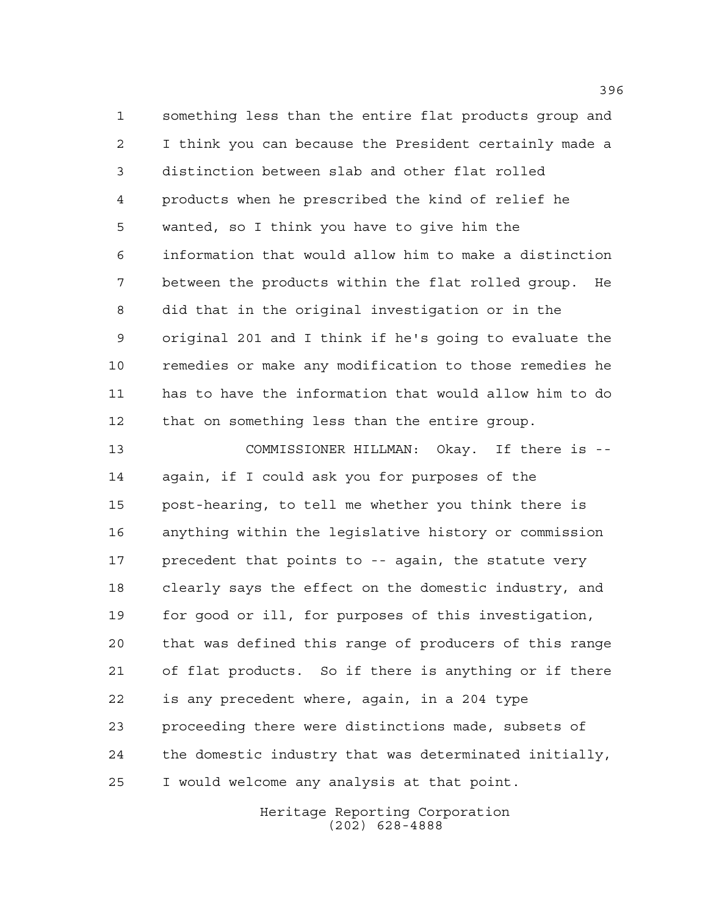something less than the entire flat products group and I think you can because the President certainly made a distinction between slab and other flat rolled products when he prescribed the kind of relief he wanted, so I think you have to give him the information that would allow him to make a distinction between the products within the flat rolled group. He did that in the original investigation or in the original 201 and I think if he's going to evaluate the remedies or make any modification to those remedies he has to have the information that would allow him to do that on something less than the entire group.

 COMMISSIONER HILLMAN: Okay. If there is -- again, if I could ask you for purposes of the post-hearing, to tell me whether you think there is anything within the legislative history or commission precedent that points to -- again, the statute very clearly says the effect on the domestic industry, and for good or ill, for purposes of this investigation, that was defined this range of producers of this range of flat products. So if there is anything or if there is any precedent where, again, in a 204 type proceeding there were distinctions made, subsets of the domestic industry that was determinated initially, I would welcome any analysis at that point.

> Heritage Reporting Corporation (202) 628-4888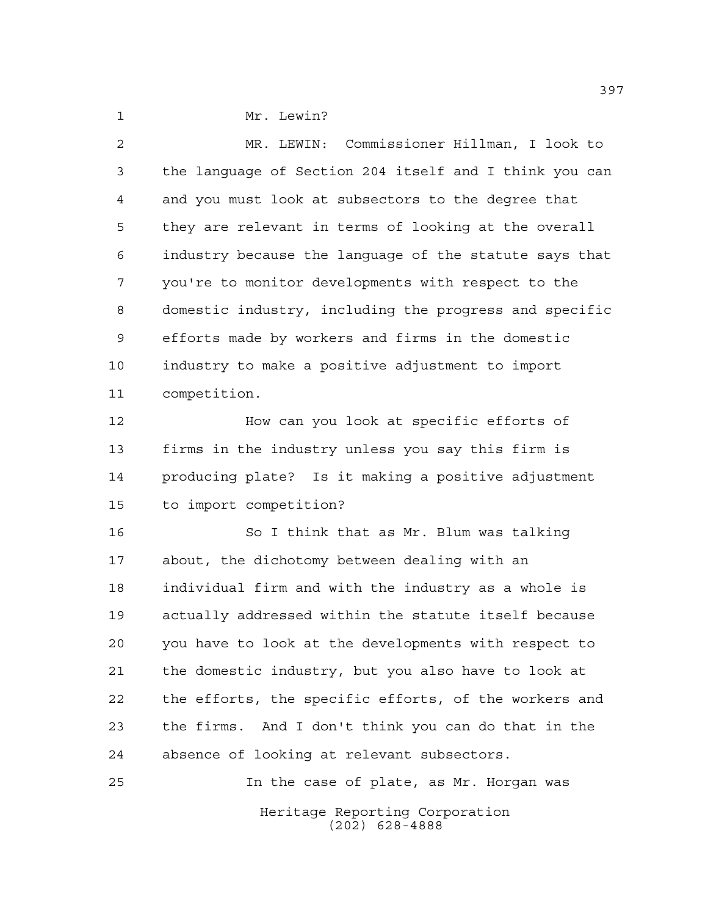1 Mr. Lewin?

 MR. LEWIN: Commissioner Hillman, I look to the language of Section 204 itself and I think you can and you must look at subsectors to the degree that they are relevant in terms of looking at the overall industry because the language of the statute says that you're to monitor developments with respect to the domestic industry, including the progress and specific efforts made by workers and firms in the domestic industry to make a positive adjustment to import competition.

 How can you look at specific efforts of firms in the industry unless you say this firm is producing plate? Is it making a positive adjustment to import competition?

 So I think that as Mr. Blum was talking about, the dichotomy between dealing with an individual firm and with the industry as a whole is actually addressed within the statute itself because you have to look at the developments with respect to the domestic industry, but you also have to look at the efforts, the specific efforts, of the workers and the firms. And I don't think you can do that in the absence of looking at relevant subsectors.

Heritage Reporting Corporation (202) 628-4888 In the case of plate, as Mr. Horgan was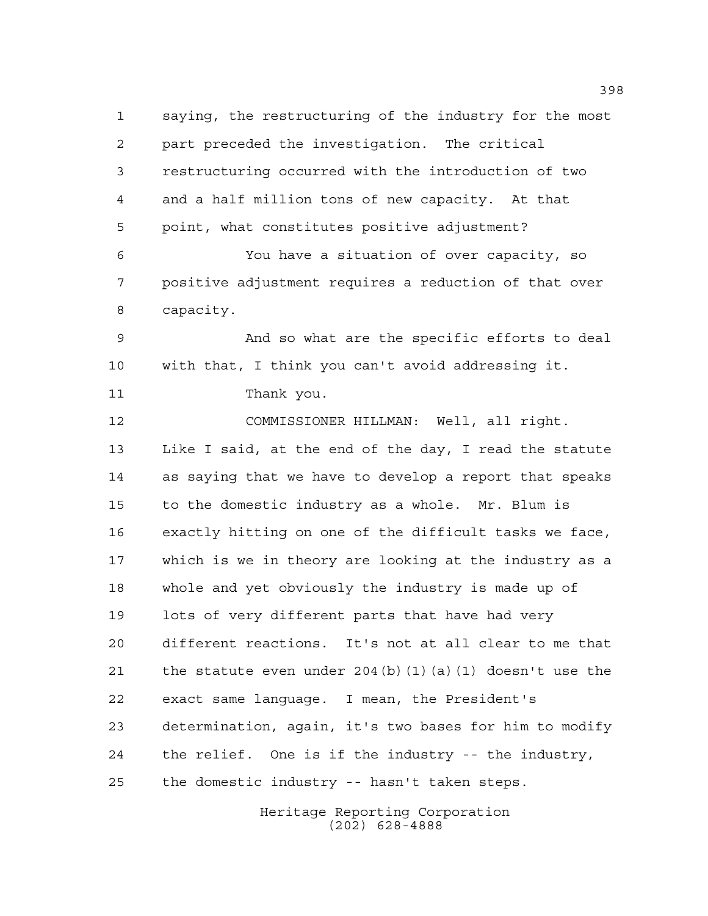saying, the restructuring of the industry for the most part preceded the investigation. The critical restructuring occurred with the introduction of two and a half million tons of new capacity. At that point, what constitutes positive adjustment? You have a situation of over capacity, so positive adjustment requires a reduction of that over capacity. And so what are the specific efforts to deal with that, I think you can't avoid addressing it. Thank you. COMMISSIONER HILLMAN: Well, all right. Like I said, at the end of the day, I read the statute as saying that we have to develop a report that speaks to the domestic industry as a whole. Mr. Blum is exactly hitting on one of the difficult tasks we face, which is we in theory are looking at the industry as a whole and yet obviously the industry is made up of lots of very different parts that have had very different reactions. It's not at all clear to me that 21 the statute even under 204(b)(1)(a)(1) doesn't use the exact same language. I mean, the President's determination, again, it's two bases for him to modify the relief. One is if the industry -- the industry, the domestic industry -- hasn't taken steps.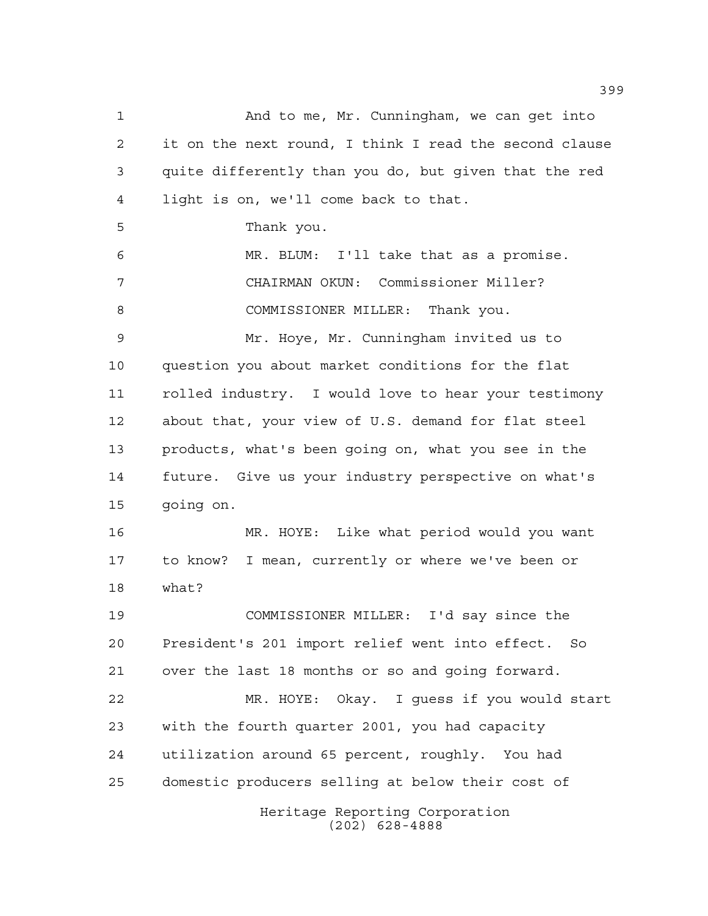Heritage Reporting Corporation (202) 628-4888 And to me, Mr. Cunningham, we can get into it on the next round, I think I read the second clause quite differently than you do, but given that the red light is on, we'll come back to that. Thank you. MR. BLUM: I'll take that as a promise. CHAIRMAN OKUN: Commissioner Miller? 8 COMMISSIONER MILLER: Thank you. Mr. Hoye, Mr. Cunningham invited us to question you about market conditions for the flat rolled industry. I would love to hear your testimony about that, your view of U.S. demand for flat steel products, what's been going on, what you see in the future. Give us your industry perspective on what's going on. MR. HOYE: Like what period would you want to know? I mean, currently or where we've been or what? COMMISSIONER MILLER: I'd say since the President's 201 import relief went into effect. So over the last 18 months or so and going forward. MR. HOYE: Okay. I guess if you would start with the fourth quarter 2001, you had capacity utilization around 65 percent, roughly. You had domestic producers selling at below their cost of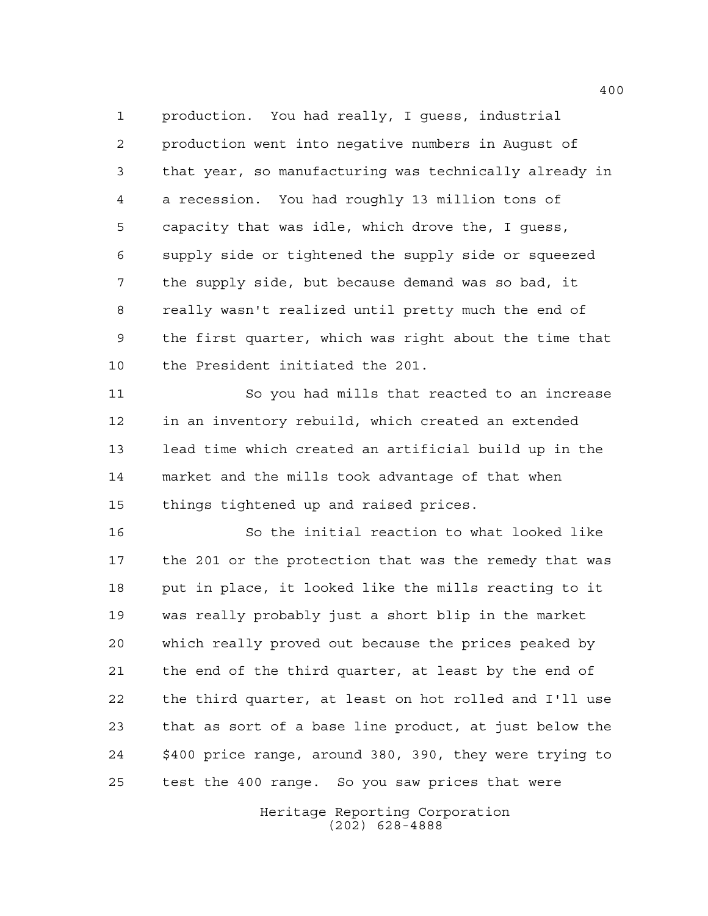production. You had really, I guess, industrial production went into negative numbers in August of that year, so manufacturing was technically already in a recession. You had roughly 13 million tons of capacity that was idle, which drove the, I guess, supply side or tightened the supply side or squeezed the supply side, but because demand was so bad, it really wasn't realized until pretty much the end of the first quarter, which was right about the time that the President initiated the 201.

 So you had mills that reacted to an increase in an inventory rebuild, which created an extended lead time which created an artificial build up in the market and the mills took advantage of that when things tightened up and raised prices.

 So the initial reaction to what looked like the 201 or the protection that was the remedy that was put in place, it looked like the mills reacting to it was really probably just a short blip in the market which really proved out because the prices peaked by the end of the third quarter, at least by the end of the third quarter, at least on hot rolled and I'll use that as sort of a base line product, at just below the \$400 price range, around 380, 390, they were trying to test the 400 range. So you saw prices that were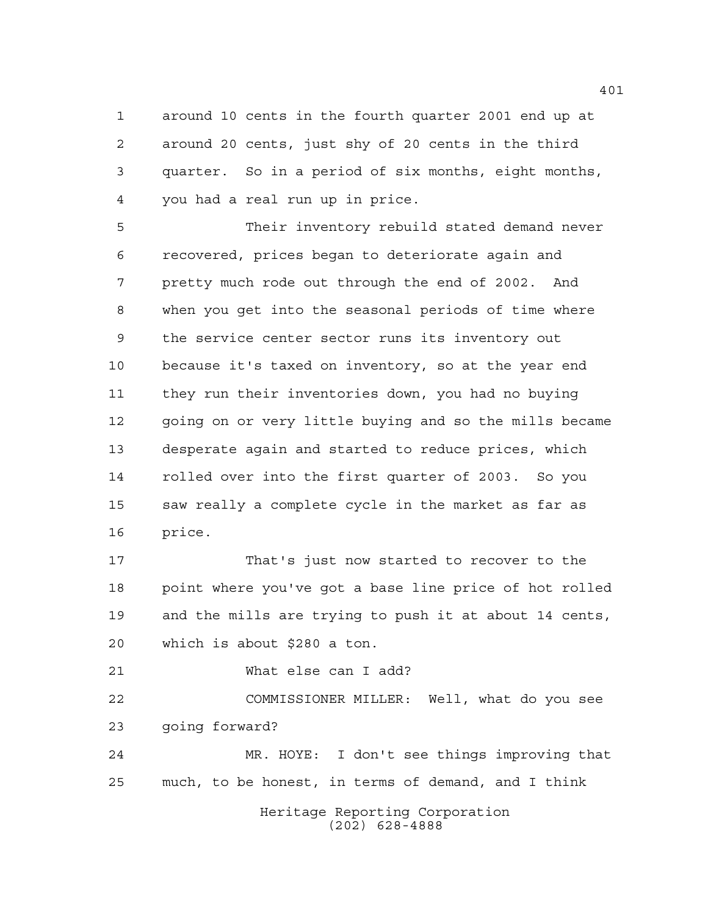around 10 cents in the fourth quarter 2001 end up at around 20 cents, just shy of 20 cents in the third quarter. So in a period of six months, eight months, you had a real run up in price.

 Their inventory rebuild stated demand never recovered, prices began to deteriorate again and pretty much rode out through the end of 2002. And when you get into the seasonal periods of time where the service center sector runs its inventory out because it's taxed on inventory, so at the year end they run their inventories down, you had no buying going on or very little buying and so the mills became desperate again and started to reduce prices, which rolled over into the first quarter of 2003. So you saw really a complete cycle in the market as far as price.

 That's just now started to recover to the point where you've got a base line price of hot rolled and the mills are trying to push it at about 14 cents, which is about \$280 a ton.

What else can I add?

 COMMISSIONER MILLER: Well, what do you see going forward?

 MR. HOYE: I don't see things improving that much, to be honest, in terms of demand, and I think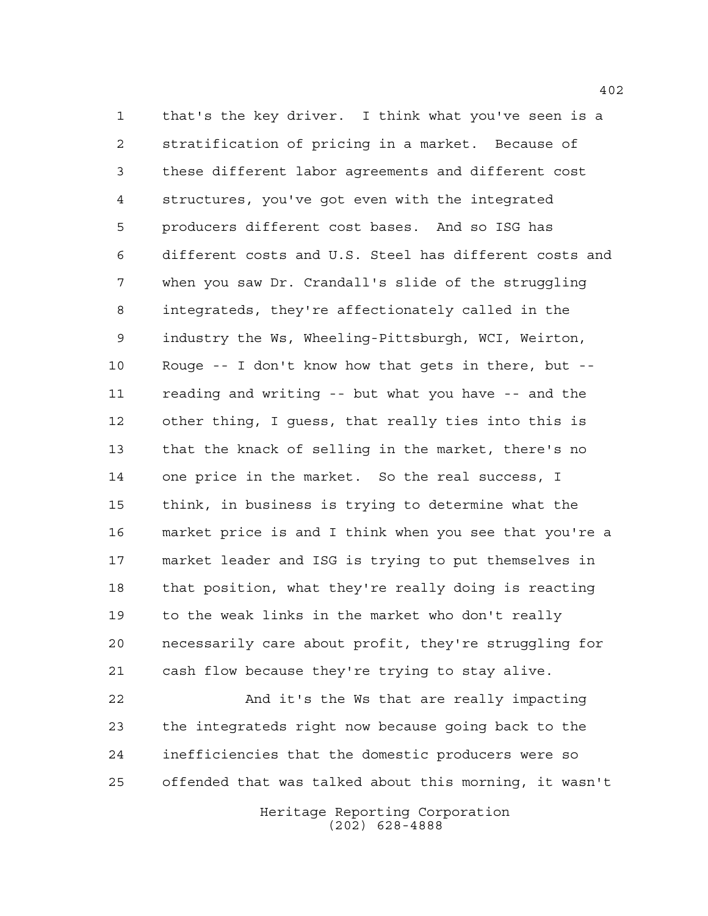that's the key driver. I think what you've seen is a stratification of pricing in a market. Because of these different labor agreements and different cost structures, you've got even with the integrated producers different cost bases. And so ISG has different costs and U.S. Steel has different costs and when you saw Dr. Crandall's slide of the struggling integrateds, they're affectionately called in the industry the Ws, Wheeling-Pittsburgh, WCI, Weirton, Rouge -- I don't know how that gets in there, but -- reading and writing -- but what you have -- and the other thing, I guess, that really ties into this is that the knack of selling in the market, there's no one price in the market. So the real success, I think, in business is trying to determine what the market price is and I think when you see that you're a market leader and ISG is trying to put themselves in that position, what they're really doing is reacting to the weak links in the market who don't really necessarily care about profit, they're struggling for cash flow because they're trying to stay alive.

 And it's the Ws that are really impacting the integrateds right now because going back to the inefficiencies that the domestic producers were so offended that was talked about this morning, it wasn't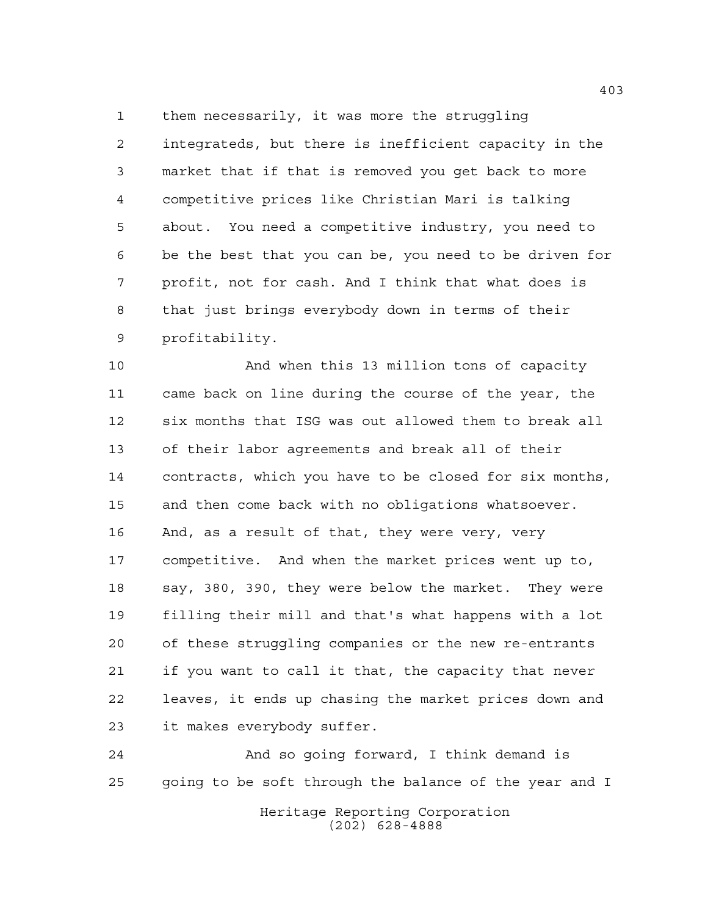them necessarily, it was more the struggling integrateds, but there is inefficient capacity in the market that if that is removed you get back to more competitive prices like Christian Mari is talking about. You need a competitive industry, you need to be the best that you can be, you need to be driven for profit, not for cash. And I think that what does is that just brings everybody down in terms of their profitability.

 And when this 13 million tons of capacity came back on line during the course of the year, the six months that ISG was out allowed them to break all of their labor agreements and break all of their contracts, which you have to be closed for six months, and then come back with no obligations whatsoever. And, as a result of that, they were very, very competitive. And when the market prices went up to, say, 380, 390, they were below the market. They were filling their mill and that's what happens with a lot of these struggling companies or the new re-entrants if you want to call it that, the capacity that never leaves, it ends up chasing the market prices down and it makes everybody suffer.

 And so going forward, I think demand is going to be soft through the balance of the year and I

> Heritage Reporting Corporation (202) 628-4888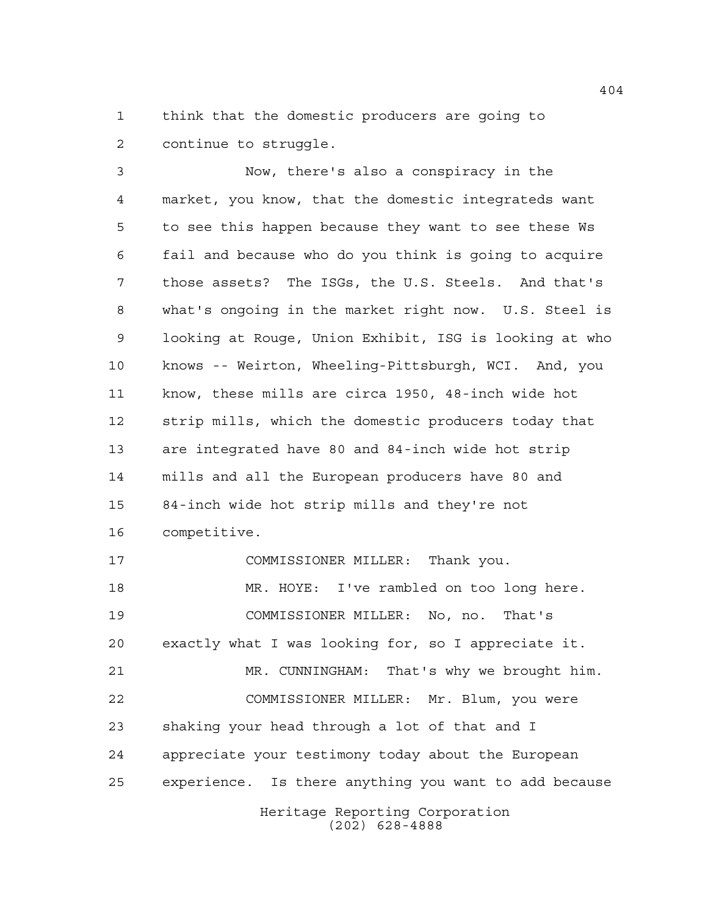think that the domestic producers are going to continue to struggle.

 Now, there's also a conspiracy in the market, you know, that the domestic integrateds want to see this happen because they want to see these Ws fail and because who do you think is going to acquire those assets? The ISGs, the U.S. Steels. And that's what's ongoing in the market right now. U.S. Steel is looking at Rouge, Union Exhibit, ISG is looking at who knows -- Weirton, Wheeling-Pittsburgh, WCI. And, you know, these mills are circa 1950, 48-inch wide hot strip mills, which the domestic producers today that are integrated have 80 and 84-inch wide hot strip mills and all the European producers have 80 and 84-inch wide hot strip mills and they're not competitive. COMMISSIONER MILLER: Thank you. MR. HOYE: I've rambled on too long here. COMMISSIONER MILLER: No, no. That's exactly what I was looking for, so I appreciate it.

 MR. CUNNINGHAM: That's why we brought him. COMMISSIONER MILLER: Mr. Blum, you were shaking your head through a lot of that and I appreciate your testimony today about the European experience. Is there anything you want to add because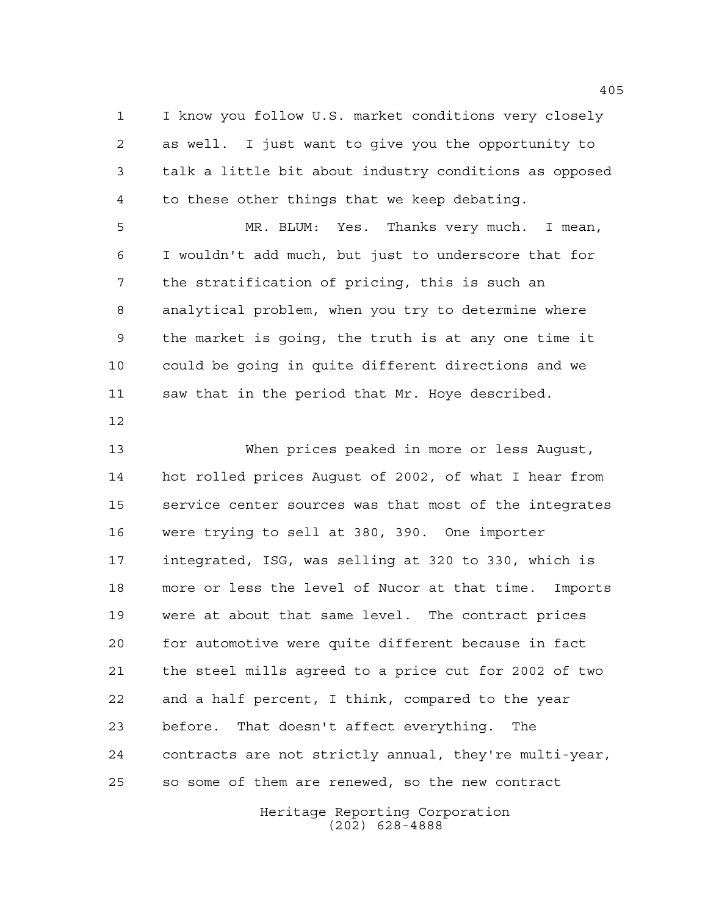I know you follow U.S. market conditions very closely as well. I just want to give you the opportunity to talk a little bit about industry conditions as opposed to these other things that we keep debating.

 MR. BLUM: Yes. Thanks very much. I mean, I wouldn't add much, but just to underscore that for the stratification of pricing, this is such an analytical problem, when you try to determine where the market is going, the truth is at any one time it could be going in quite different directions and we saw that in the period that Mr. Hoye described.

 When prices peaked in more or less August, hot rolled prices August of 2002, of what I hear from service center sources was that most of the integrates were trying to sell at 380, 390. One importer integrated, ISG, was selling at 320 to 330, which is more or less the level of Nucor at that time. Imports were at about that same level. The contract prices for automotive were quite different because in fact the steel mills agreed to a price cut for 2002 of two and a half percent, I think, compared to the year before. That doesn't affect everything. The contracts are not strictly annual, they're multi-year, so some of them are renewed, so the new contract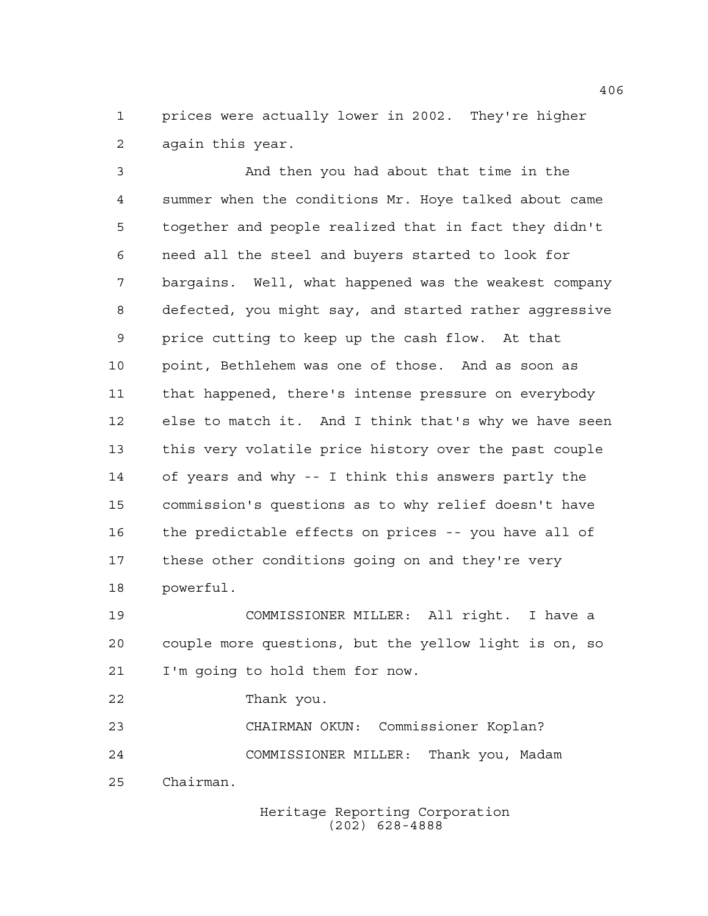prices were actually lower in 2002. They're higher again this year.

 And then you had about that time in the summer when the conditions Mr. Hoye talked about came together and people realized that in fact they didn't need all the steel and buyers started to look for bargains. Well, what happened was the weakest company defected, you might say, and started rather aggressive price cutting to keep up the cash flow. At that point, Bethlehem was one of those. And as soon as that happened, there's intense pressure on everybody else to match it. And I think that's why we have seen this very volatile price history over the past couple of years and why -- I think this answers partly the commission's questions as to why relief doesn't have the predictable effects on prices -- you have all of these other conditions going on and they're very powerful.

 COMMISSIONER MILLER: All right. I have a couple more questions, but the yellow light is on, so I'm going to hold them for now.

Thank you.

 CHAIRMAN OKUN: Commissioner Koplan? COMMISSIONER MILLER: Thank you, Madam Chairman.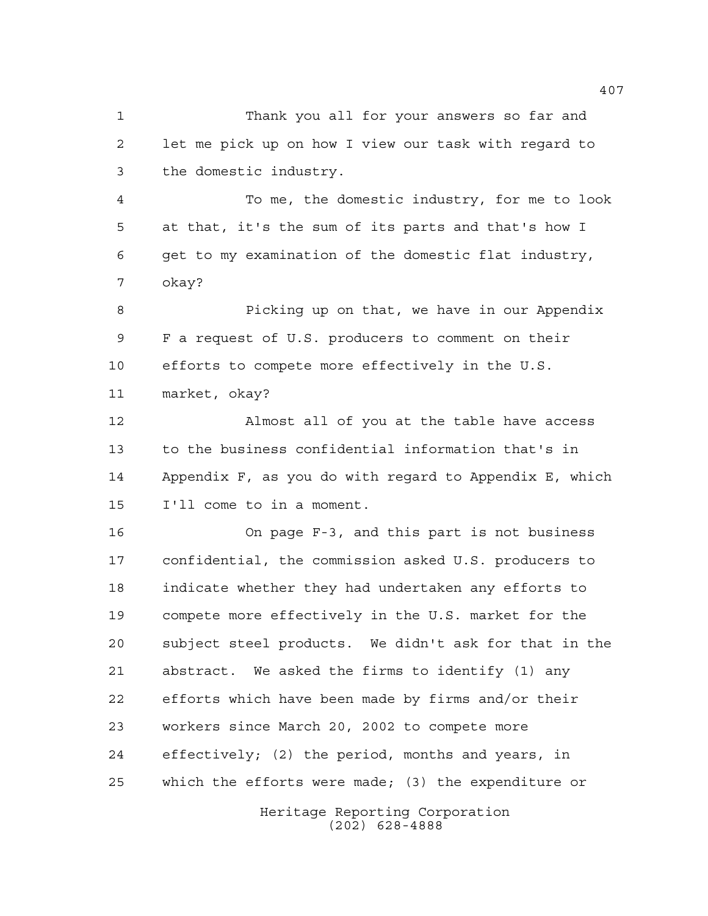Thank you all for your answers so far and let me pick up on how I view our task with regard to the domestic industry.

 To me, the domestic industry, for me to look at that, it's the sum of its parts and that's how I get to my examination of the domestic flat industry, okay?

 Picking up on that, we have in our Appendix F a request of U.S. producers to comment on their efforts to compete more effectively in the U.S. market, okay?

 Almost all of you at the table have access to the business confidential information that's in Appendix F, as you do with regard to Appendix E, which I'll come to in a moment.

 On page F-3, and this part is not business confidential, the commission asked U.S. producers to indicate whether they had undertaken any efforts to compete more effectively in the U.S. market for the subject steel products. We didn't ask for that in the abstract. We asked the firms to identify (1) any efforts which have been made by firms and/or their workers since March 20, 2002 to compete more effectively; (2) the period, months and years, in which the efforts were made; (3) the expenditure or

> Heritage Reporting Corporation (202) 628-4888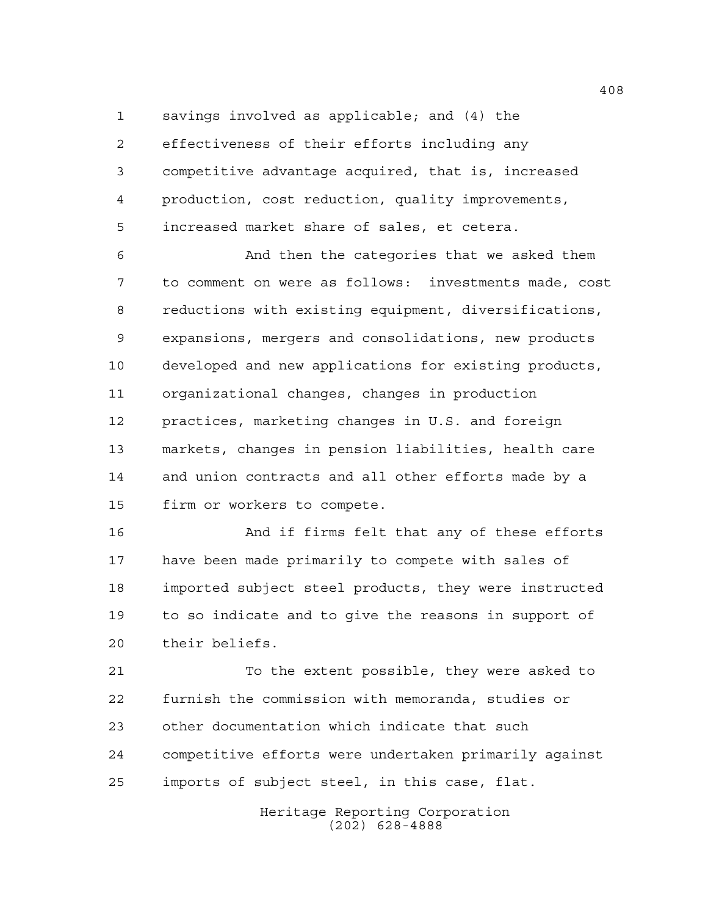savings involved as applicable; and (4) the

 effectiveness of their efforts including any competitive advantage acquired, that is, increased production, cost reduction, quality improvements, increased market share of sales, et cetera.

 And then the categories that we asked them to comment on were as follows: investments made, cost reductions with existing equipment, diversifications, expansions, mergers and consolidations, new products developed and new applications for existing products, organizational changes, changes in production practices, marketing changes in U.S. and foreign markets, changes in pension liabilities, health care and union contracts and all other efforts made by a firm or workers to compete.

 And if firms felt that any of these efforts have been made primarily to compete with sales of imported subject steel products, they were instructed to so indicate and to give the reasons in support of their beliefs.

 To the extent possible, they were asked to furnish the commission with memoranda, studies or other documentation which indicate that such competitive efforts were undertaken primarily against imports of subject steel, in this case, flat.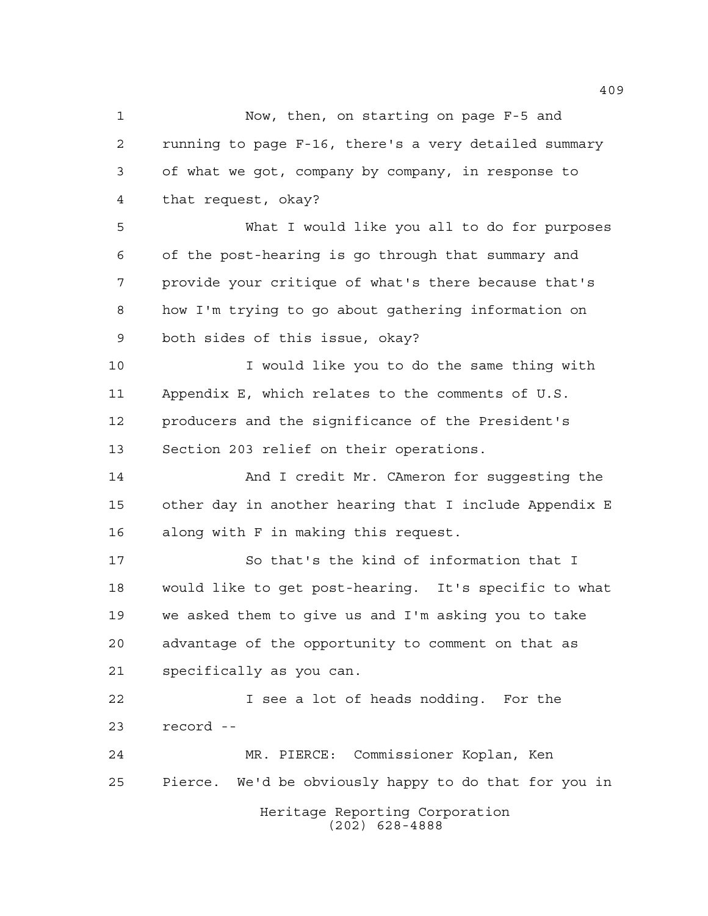Heritage Reporting Corporation (202) 628-4888 Now, then, on starting on page F-5 and running to page F-16, there's a very detailed summary of what we got, company by company, in response to that request, okay? What I would like you all to do for purposes of the post-hearing is go through that summary and provide your critique of what's there because that's how I'm trying to go about gathering information on both sides of this issue, okay? I would like you to do the same thing with Appendix E, which relates to the comments of U.S. producers and the significance of the President's Section 203 relief on their operations. 14 And I credit Mr. CAmeron for suggesting the other day in another hearing that I include Appendix E along with F in making this request. So that's the kind of information that I would like to get post-hearing. It's specific to what we asked them to give us and I'm asking you to take advantage of the opportunity to comment on that as specifically as you can. I see a lot of heads nodding. For the record -- MR. PIERCE: Commissioner Koplan, Ken Pierce. We'd be obviously happy to do that for you in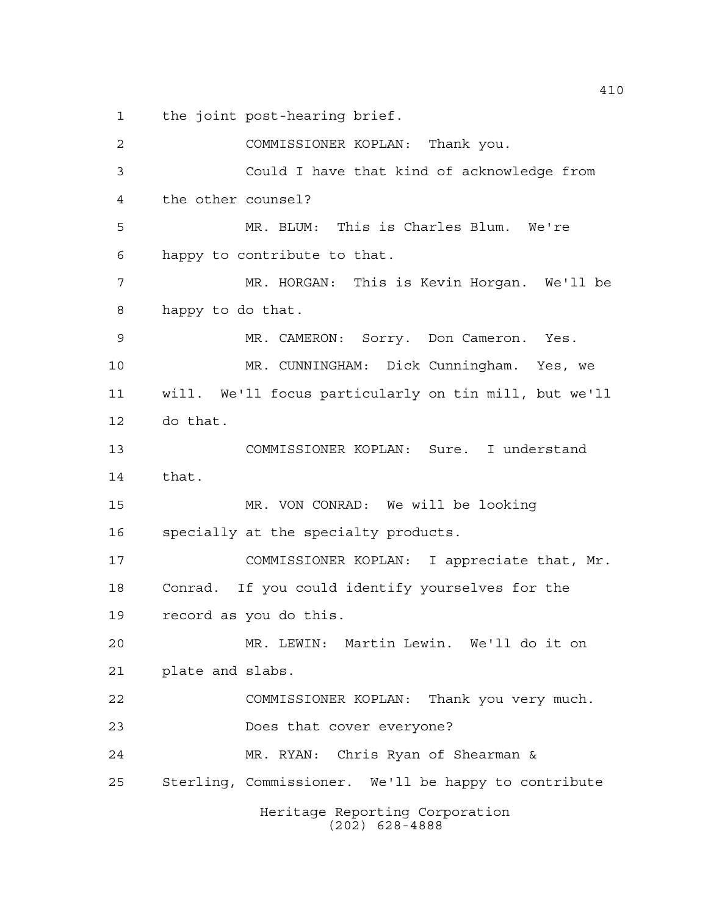the joint post-hearing brief.

Heritage Reporting Corporation (202) 628-4888 COMMISSIONER KOPLAN: Thank you. Could I have that kind of acknowledge from the other counsel? MR. BLUM: This is Charles Blum. We're happy to contribute to that. MR. HORGAN: This is Kevin Horgan. We'll be happy to do that. MR. CAMERON: Sorry. Don Cameron. Yes. MR. CUNNINGHAM: Dick Cunningham. Yes, we will. We'll focus particularly on tin mill, but we'll do that. COMMISSIONER KOPLAN: Sure. I understand that. MR. VON CONRAD: We will be looking specially at the specialty products. COMMISSIONER KOPLAN: I appreciate that, Mr. Conrad. If you could identify yourselves for the record as you do this. MR. LEWIN: Martin Lewin. We'll do it on plate and slabs. COMMISSIONER KOPLAN: Thank you very much. Does that cover everyone? MR. RYAN: Chris Ryan of Shearman & Sterling, Commissioner. We'll be happy to contribute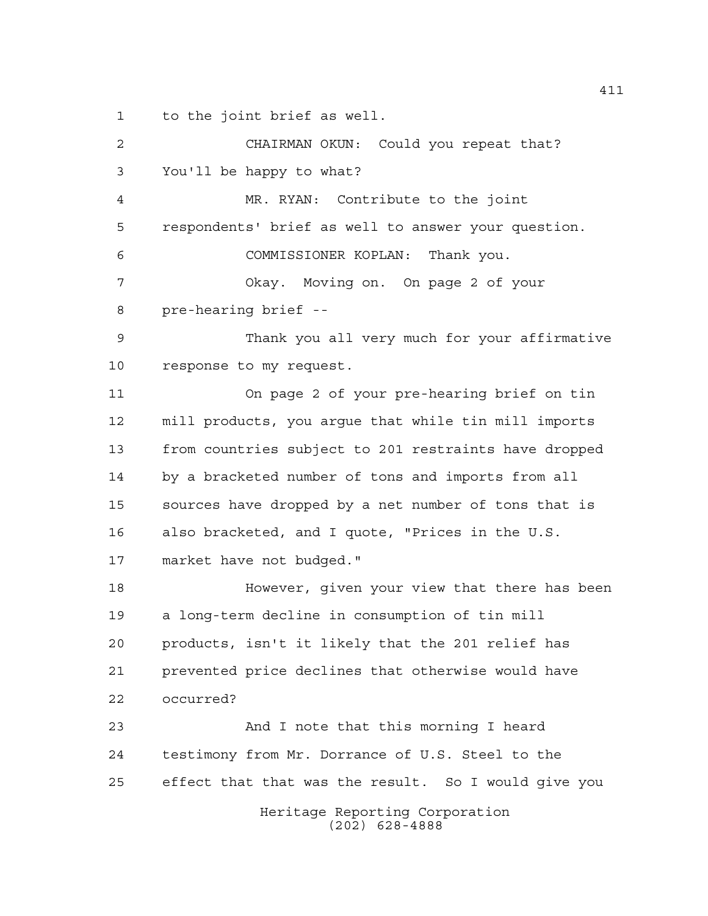to the joint brief as well.

| 2  | CHAIRMAN OKUN: Could you repeat that?                 |
|----|-------------------------------------------------------|
| 3  | You'll be happy to what?                              |
| 4  | MR. RYAN: Contribute to the joint                     |
| 5  | respondents' brief as well to answer your question.   |
| 6  | COMMISSIONER KOPLAN: Thank you.                       |
| 7  | Okay. Moving on. On page 2 of your                    |
| 8  | pre-hearing brief --                                  |
| 9  | Thank you all very much for your affirmative          |
| 10 | response to my request.                               |
| 11 | On page 2 of your pre-hearing brief on tin            |
| 12 | mill products, you argue that while tin mill imports  |
| 13 | from countries subject to 201 restraints have dropped |
| 14 | by a bracketed number of tons and imports from all    |
| 15 | sources have dropped by a net number of tons that is  |
| 16 | also bracketed, and I quote, "Prices in the U.S.      |
| 17 | market have not budged."                              |
| 18 | However, given your view that there has been          |
| 19 | a long-term decline in consumption of tin mill        |
| 20 | products, isn't it likely that the 201 relief has     |
| 21 | prevented price declines that otherwise would have    |
| 22 | occurred?                                             |
| 23 | And I note that this morning I heard                  |
| 24 | testimony from Mr. Dorrance of U.S. Steel to the      |
| 25 | effect that that was the result. So I would give you  |
|    | Heritage Reporting Corporation<br>$(202)$ 628-4888    |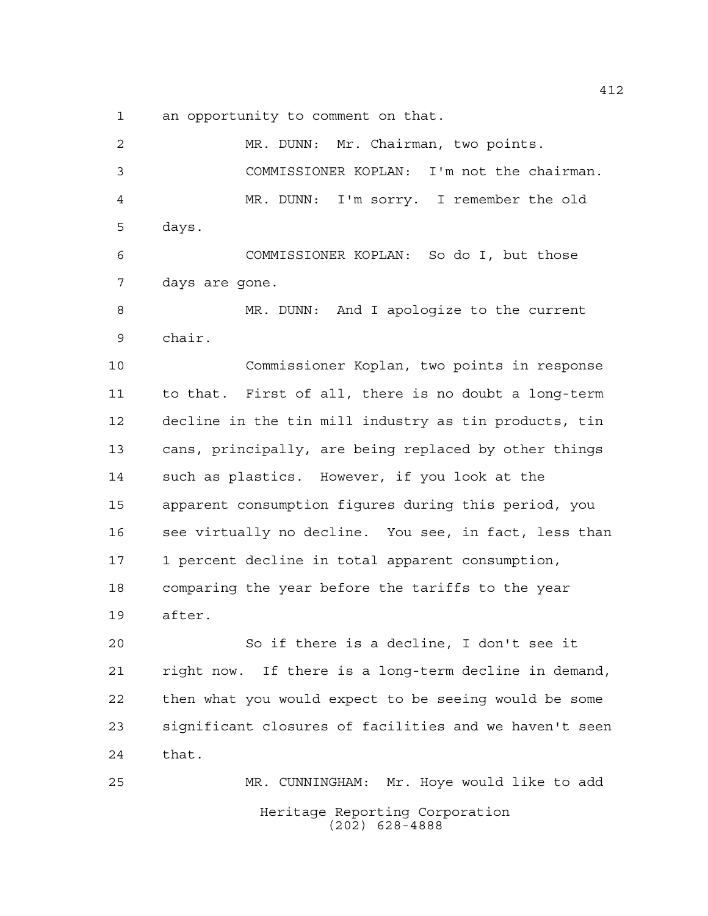an opportunity to comment on that.

Heritage Reporting Corporation (202) 628-4888 MR. DUNN: Mr. Chairman, two points. COMMISSIONER KOPLAN: I'm not the chairman. MR. DUNN: I'm sorry. I remember the old days. COMMISSIONER KOPLAN: So do I, but those days are gone. MR. DUNN: And I apologize to the current chair. Commissioner Koplan, two points in response to that. First of all, there is no doubt a long-term decline in the tin mill industry as tin products, tin cans, principally, are being replaced by other things such as plastics. However, if you look at the apparent consumption figures during this period, you see virtually no decline. You see, in fact, less than 1 percent decline in total apparent consumption, comparing the year before the tariffs to the year after. So if there is a decline, I don't see it right now. If there is a long-term decline in demand, then what you would expect to be seeing would be some significant closures of facilities and we haven't seen that. MR. CUNNINGHAM: Mr. Hoye would like to add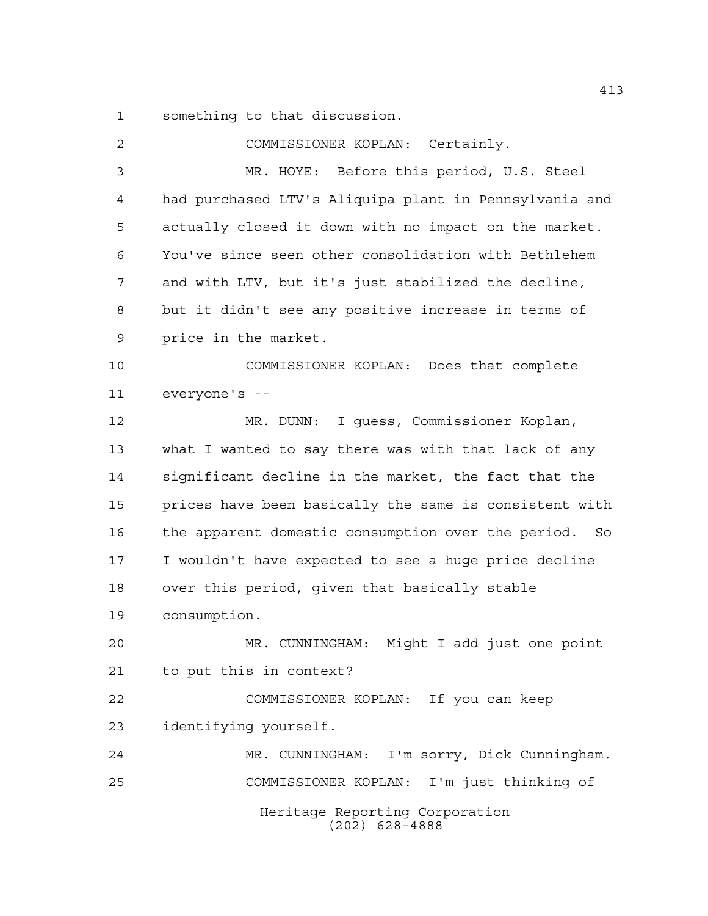something to that discussion.

| $\overline{2}$ | COMMISSIONER KOPLAN: Certainly.                        |
|----------------|--------------------------------------------------------|
| 3              | MR. HOYE: Before this period, U.S. Steel               |
| 4              | had purchased LTV's Aliquipa plant in Pennsylvania and |
| 5              | actually closed it down with no impact on the market.  |
| 6              | You've since seen other consolidation with Bethlehem   |
| 7              | and with LTV, but it's just stabilized the decline,    |
| 8              | but it didn't see any positive increase in terms of    |
| 9              | price in the market.                                   |
| 10             | COMMISSIONER KOPLAN: Does that complete                |
| 11             | everyone's --                                          |
| 12             | MR. DUNN: I guess, Commissioner Koplan,                |
| 13             | what I wanted to say there was with that lack of any   |
| 14             | significant decline in the market, the fact that the   |
| 15             | prices have been basically the same is consistent with |
| 16             | the apparent domestic consumption over the period. So  |
| 17             | I wouldn't have expected to see a huge price decline   |
| 18             | over this period, given that basically stable          |
| 19             | consumption.                                           |
| 20             | Might I add just one point<br>MR. CUNNINGHAM:          |
| 21             | to put this in context?                                |
| 22             | COMMISSIONER KOPLAN: If you can keep                   |
| 23             | identifying yourself.                                  |
| 24             | MR. CUNNINGHAM: I'm sorry, Dick Cunningham.            |
| 25             | COMMISSIONER KOPLAN: I'm just thinking of              |
|                | Heritage Reporting Corporation<br>$(202)$ 628-4888     |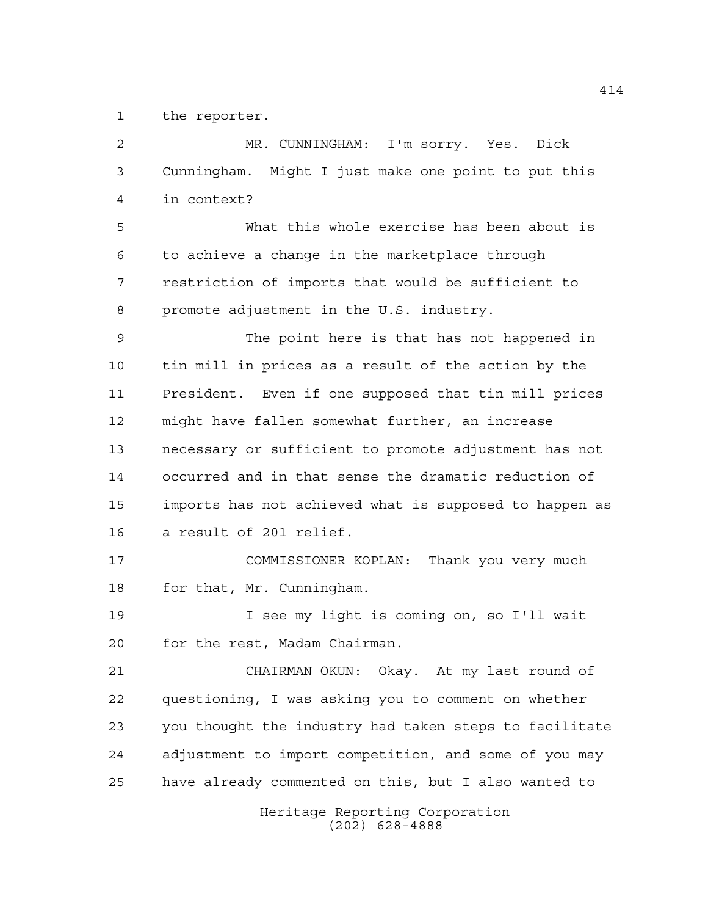the reporter.

| 2  | MR. CUNNINGHAM: I'm sorry. Yes. Dick                   |
|----|--------------------------------------------------------|
| 3  | Cunningham. Might I just make one point to put this    |
| 4  | in context?                                            |
| 5  | What this whole exercise has been about is             |
| 6  | to achieve a change in the marketplace through         |
| 7  | restriction of imports that would be sufficient to     |
| 8  | promote adjustment in the U.S. industry.               |
| 9  | The point here is that has not happened in             |
| 10 | tin mill in prices as a result of the action by the    |
| 11 | President. Even if one supposed that tin mill prices   |
| 12 | might have fallen somewhat further, an increase        |
| 13 | necessary or sufficient to promote adjustment has not  |
| 14 | occurred and in that sense the dramatic reduction of   |
| 15 | imports has not achieved what is supposed to happen as |
| 16 | a result of 201 relief.                                |
| 17 | COMMISSIONER KOPLAN: Thank you very much               |
| 18 | for that, Mr. Cunningham.                              |
| 19 | I see my light is coming on, so I'll wait              |
| 20 | for the rest, Madam Chairman.                          |
| 21 | CHAIRMAN OKUN: Okay. At my last round of               |
| 22 | questioning, I was asking you to comment on whether    |
| 23 | you thought the industry had taken steps to facilitate |
| 24 | adjustment to import competition, and some of you may  |
| 25 | have already commented on this, but I also wanted to   |
|    | Heritage Reporting Corporation<br>$(202)$ 628-4888     |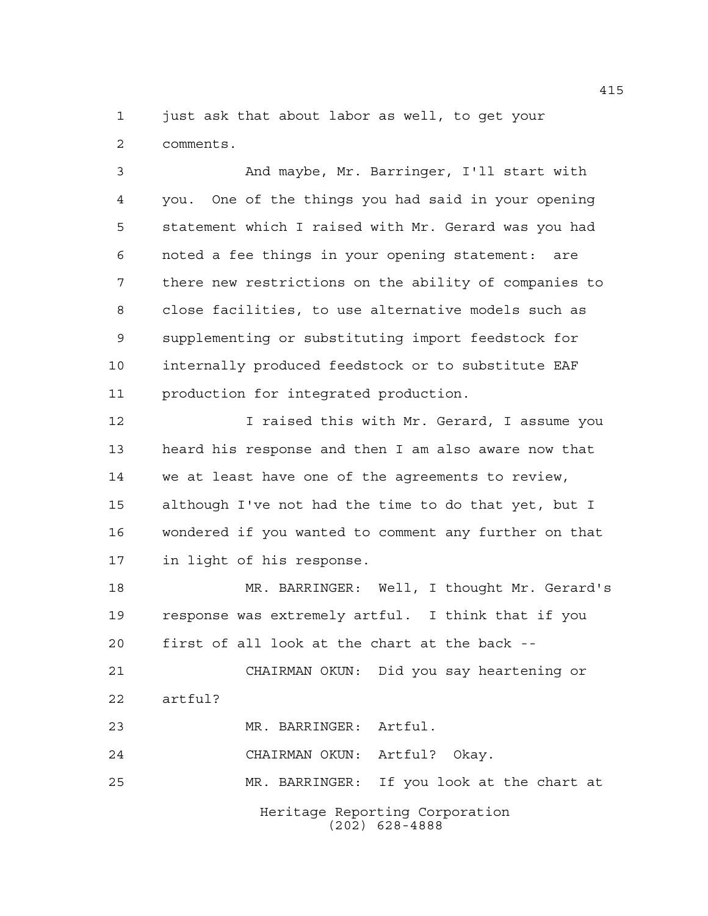just ask that about labor as well, to get your comments.

 And maybe, Mr. Barringer, I'll start with you. One of the things you had said in your opening statement which I raised with Mr. Gerard was you had noted a fee things in your opening statement: are there new restrictions on the ability of companies to close facilities, to use alternative models such as supplementing or substituting import feedstock for internally produced feedstock or to substitute EAF production for integrated production.

 I raised this with Mr. Gerard, I assume you heard his response and then I am also aware now that we at least have one of the agreements to review, although I've not had the time to do that yet, but I wondered if you wanted to comment any further on that in light of his response.

 MR. BARRINGER: Well, I thought Mr. Gerard's response was extremely artful. I think that if you first of all look at the chart at the back -- CHAIRMAN OKUN: Did you say heartening or

artful?

MR. BARRINGER: Artful.

CHAIRMAN OKUN: Artful? Okay.

MR. BARRINGER: If you look at the chart at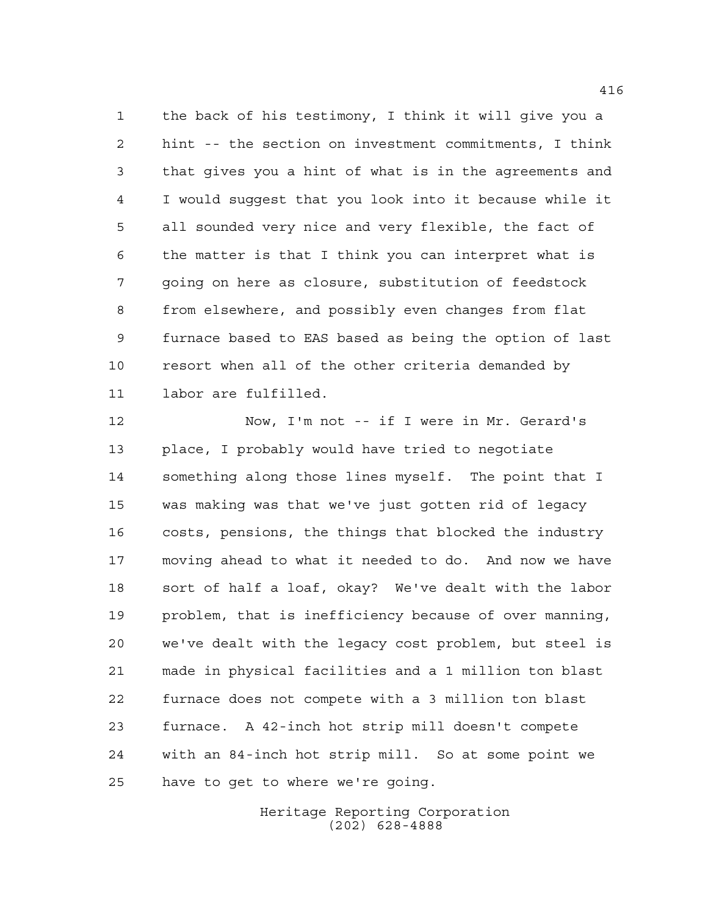the back of his testimony, I think it will give you a hint -- the section on investment commitments, I think that gives you a hint of what is in the agreements and I would suggest that you look into it because while it all sounded very nice and very flexible, the fact of the matter is that I think you can interpret what is going on here as closure, substitution of feedstock from elsewhere, and possibly even changes from flat furnace based to EAS based as being the option of last resort when all of the other criteria demanded by labor are fulfilled.

 Now, I'm not -- if I were in Mr. Gerard's place, I probably would have tried to negotiate something along those lines myself. The point that I was making was that we've just gotten rid of legacy costs, pensions, the things that blocked the industry moving ahead to what it needed to do. And now we have sort of half a loaf, okay? We've dealt with the labor problem, that is inefficiency because of over manning, we've dealt with the legacy cost problem, but steel is made in physical facilities and a 1 million ton blast furnace does not compete with a 3 million ton blast furnace. A 42-inch hot strip mill doesn't compete with an 84-inch hot strip mill. So at some point we have to get to where we're going.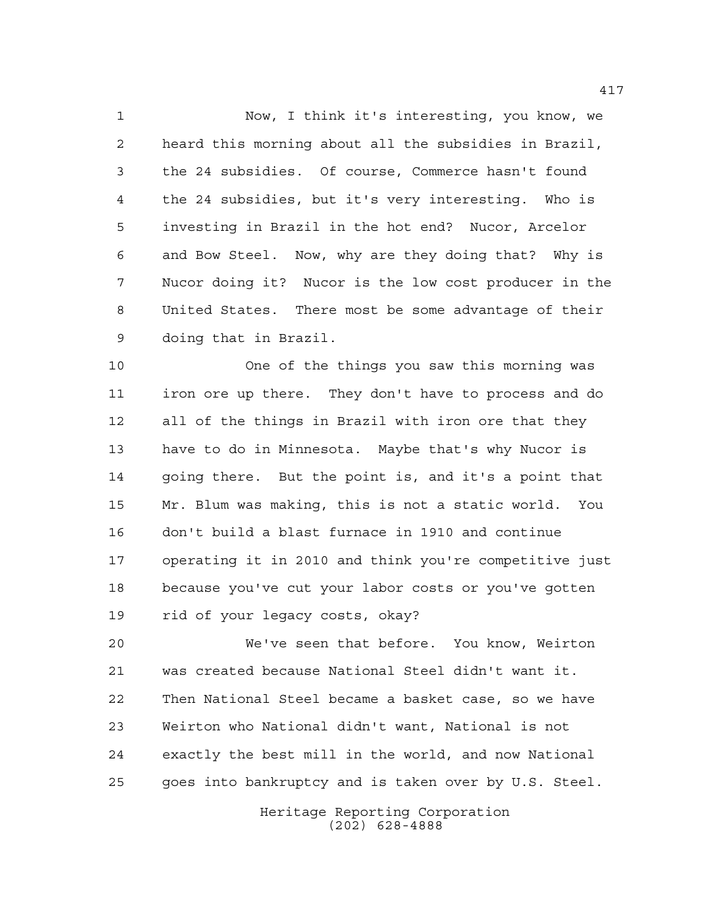Now, I think it's interesting, you know, we heard this morning about all the subsidies in Brazil, the 24 subsidies. Of course, Commerce hasn't found the 24 subsidies, but it's very interesting. Who is investing in Brazil in the hot end? Nucor, Arcelor and Bow Steel. Now, why are they doing that? Why is Nucor doing it? Nucor is the low cost producer in the United States. There most be some advantage of their doing that in Brazil.

 One of the things you saw this morning was iron ore up there. They don't have to process and do all of the things in Brazil with iron ore that they have to do in Minnesota. Maybe that's why Nucor is going there. But the point is, and it's a point that Mr. Blum was making, this is not a static world. You don't build a blast furnace in 1910 and continue operating it in 2010 and think you're competitive just because you've cut your labor costs or you've gotten rid of your legacy costs, okay?

 We've seen that before. You know, Weirton was created because National Steel didn't want it. Then National Steel became a basket case, so we have Weirton who National didn't want, National is not exactly the best mill in the world, and now National goes into bankruptcy and is taken over by U.S. Steel.

> Heritage Reporting Corporation (202) 628-4888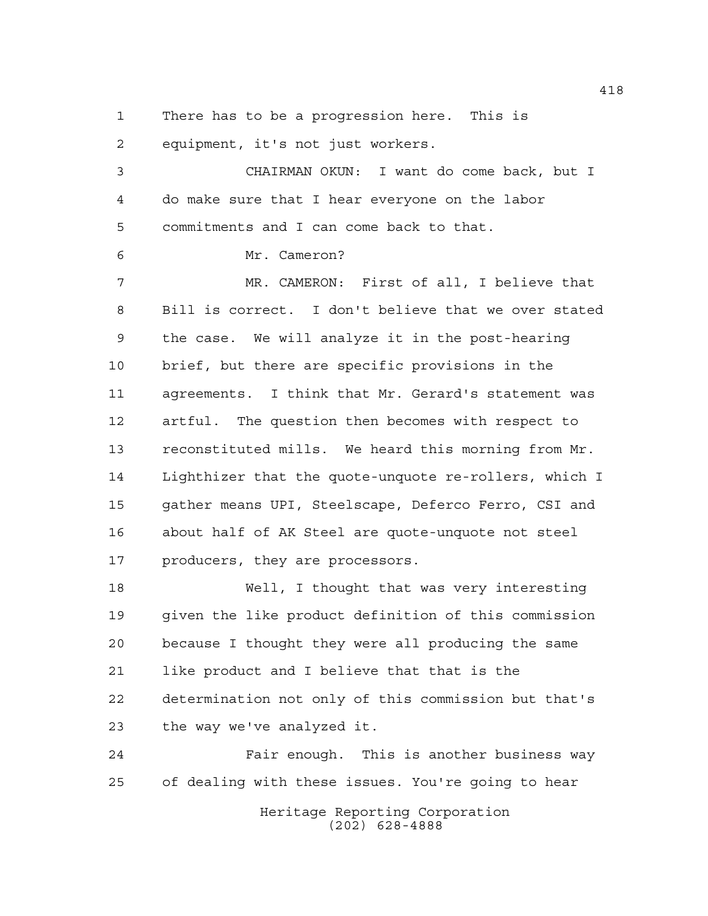There has to be a progression here. This is

equipment, it's not just workers.

 CHAIRMAN OKUN: I want do come back, but I do make sure that I hear everyone on the labor commitments and I can come back to that.

Mr. Cameron?

 MR. CAMERON: First of all, I believe that Bill is correct. I don't believe that we over stated the case. We will analyze it in the post-hearing brief, but there are specific provisions in the agreements. I think that Mr. Gerard's statement was artful. The question then becomes with respect to reconstituted mills. We heard this morning from Mr. Lighthizer that the quote-unquote re-rollers, which I gather means UPI, Steelscape, Deferco Ferro, CSI and about half of AK Steel are quote-unquote not steel producers, they are processors.

 Well, I thought that was very interesting given the like product definition of this commission because I thought they were all producing the same like product and I believe that that is the determination not only of this commission but that's the way we've analyzed it.

 Fair enough. This is another business way of dealing with these issues. You're going to hear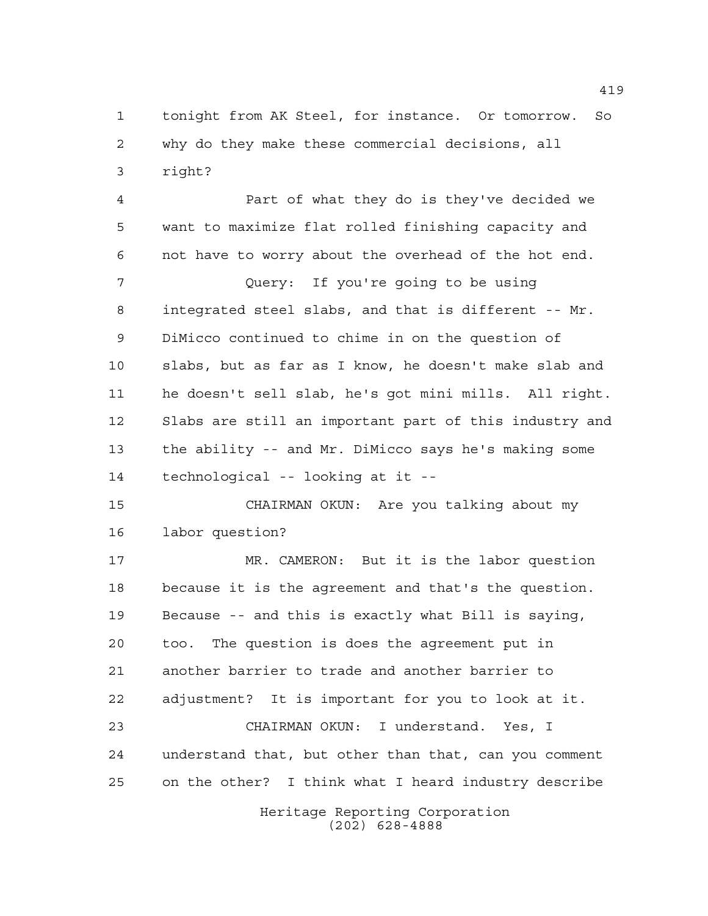tonight from AK Steel, for instance. Or tomorrow. So why do they make these commercial decisions, all right?

 Part of what they do is they've decided we want to maximize flat rolled finishing capacity and not have to worry about the overhead of the hot end.

 Query: If you're going to be using integrated steel slabs, and that is different -- Mr. DiMicco continued to chime in on the question of slabs, but as far as I know, he doesn't make slab and he doesn't sell slab, he's got mini mills. All right. Slabs are still an important part of this industry and the ability -- and Mr. DiMicco says he's making some technological -- looking at it --

 CHAIRMAN OKUN: Are you talking about my labor question?

 MR. CAMERON: But it is the labor question because it is the agreement and that's the question. Because -- and this is exactly what Bill is saying, too. The question is does the agreement put in another barrier to trade and another barrier to adjustment? It is important for you to look at it. CHAIRMAN OKUN: I understand. Yes, I understand that, but other than that, can you comment on the other? I think what I heard industry describe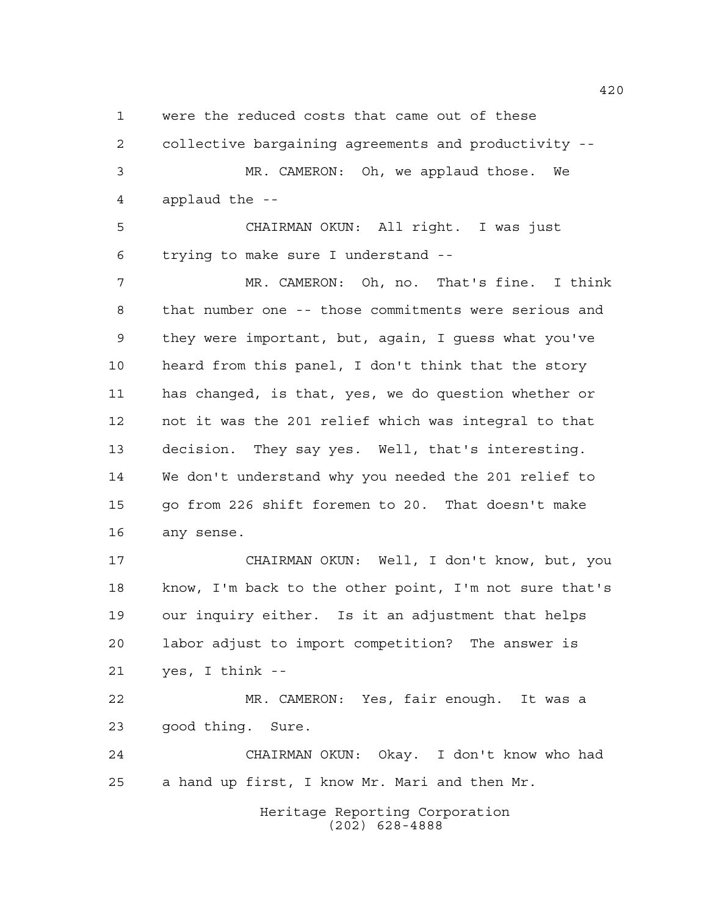were the reduced costs that came out of these

 collective bargaining agreements and productivity -- MR. CAMERON: Oh, we applaud those. We applaud the --

 CHAIRMAN OKUN: All right. I was just trying to make sure I understand --

 MR. CAMERON: Oh, no. That's fine. I think that number one -- those commitments were serious and they were important, but, again, I guess what you've heard from this panel, I don't think that the story has changed, is that, yes, we do question whether or not it was the 201 relief which was integral to that decision. They say yes. Well, that's interesting. We don't understand why you needed the 201 relief to go from 226 shift foremen to 20. That doesn't make any sense.

 CHAIRMAN OKUN: Well, I don't know, but, you know, I'm back to the other point, I'm not sure that's our inquiry either. Is it an adjustment that helps labor adjust to import competition? The answer is yes, I think --

 MR. CAMERON: Yes, fair enough. It was a good thing. Sure.

 CHAIRMAN OKUN: Okay. I don't know who had a hand up first, I know Mr. Mari and then Mr.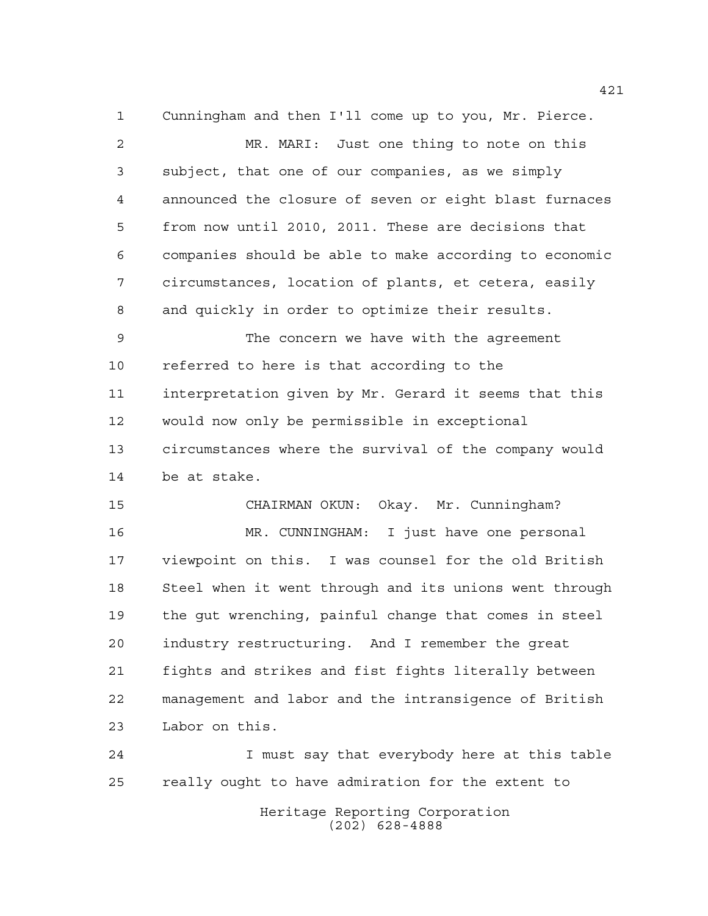Cunningham and then I'll come up to you, Mr. Pierce. MR. MARI: Just one thing to note on this subject, that one of our companies, as we simply announced the closure of seven or eight blast furnaces from now until 2010, 2011. These are decisions that companies should be able to make according to economic circumstances, location of plants, et cetera, easily and quickly in order to optimize their results. The concern we have with the agreement referred to here is that according to the interpretation given by Mr. Gerard it seems that this would now only be permissible in exceptional circumstances where the survival of the company would be at stake. CHAIRMAN OKUN: Okay. Mr. Cunningham? MR. CUNNINGHAM: I just have one personal viewpoint on this. I was counsel for the old British Steel when it went through and its unions went through the gut wrenching, painful change that comes in steel industry restructuring. And I remember the great fights and strikes and fist fights literally between management and labor and the intransigence of British Labor on this. I must say that everybody here at this table really ought to have admiration for the extent to

> Heritage Reporting Corporation (202) 628-4888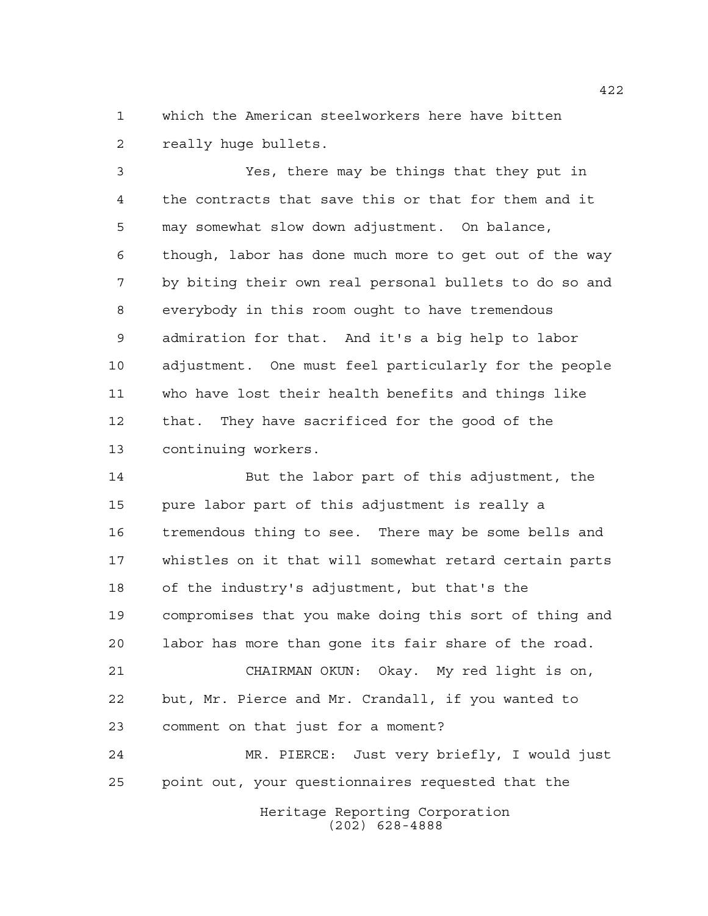which the American steelworkers here have bitten really huge bullets.

 Yes, there may be things that they put in the contracts that save this or that for them and it may somewhat slow down adjustment. On balance, though, labor has done much more to get out of the way by biting their own real personal bullets to do so and everybody in this room ought to have tremendous admiration for that. And it's a big help to labor adjustment. One must feel particularly for the people who have lost their health benefits and things like that. They have sacrificed for the good of the continuing workers.

 But the labor part of this adjustment, the pure labor part of this adjustment is really a tremendous thing to see. There may be some bells and whistles on it that will somewhat retard certain parts of the industry's adjustment, but that's the compromises that you make doing this sort of thing and labor has more than gone its fair share of the road. CHAIRMAN OKUN: Okay. My red light is on, but, Mr. Pierce and Mr. Crandall, if you wanted to comment on that just for a moment? MR. PIERCE: Just very briefly, I would just point out, your questionnaires requested that the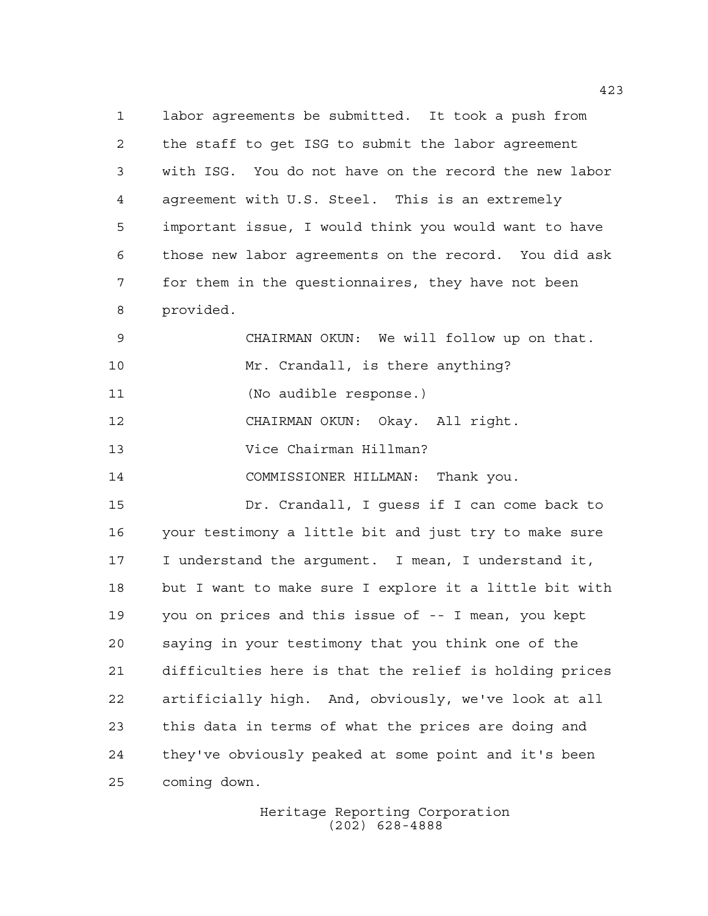labor agreements be submitted. It took a push from the staff to get ISG to submit the labor agreement with ISG. You do not have on the record the new labor agreement with U.S. Steel. This is an extremely important issue, I would think you would want to have those new labor agreements on the record. You did ask for them in the questionnaires, they have not been provided. CHAIRMAN OKUN: We will follow up on that. Mr. Crandall, is there anything? (No audible response.) CHAIRMAN OKUN: Okay. All right. Vice Chairman Hillman? COMMISSIONER HILLMAN: Thank you. Dr. Crandall, I guess if I can come back to your testimony a little bit and just try to make sure I understand the argument. I mean, I understand it, but I want to make sure I explore it a little bit with you on prices and this issue of -- I mean, you kept saying in your testimony that you think one of the difficulties here is that the relief is holding prices artificially high. And, obviously, we've look at all this data in terms of what the prices are doing and

coming down.

Heritage Reporting Corporation (202) 628-4888

they've obviously peaked at some point and it's been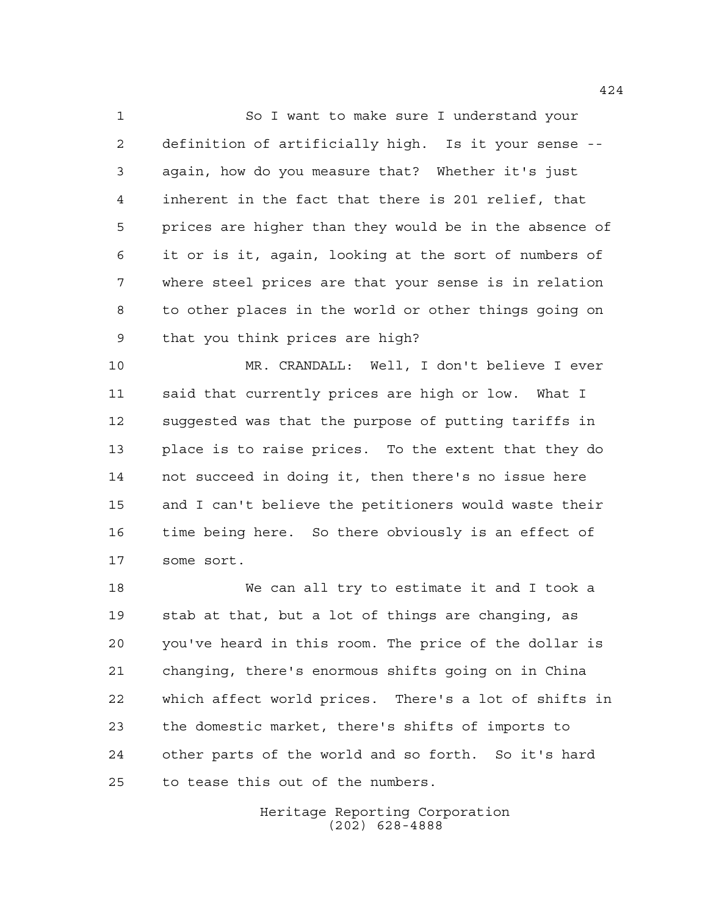So I want to make sure I understand your definition of artificially high. Is it your sense -- again, how do you measure that? Whether it's just inherent in the fact that there is 201 relief, that prices are higher than they would be in the absence of it or is it, again, looking at the sort of numbers of where steel prices are that your sense is in relation to other places in the world or other things going on that you think prices are high?

 MR. CRANDALL: Well, I don't believe I ever said that currently prices are high or low. What I suggested was that the purpose of putting tariffs in place is to raise prices. To the extent that they do not succeed in doing it, then there's no issue here and I can't believe the petitioners would waste their time being here. So there obviously is an effect of some sort.

 We can all try to estimate it and I took a stab at that, but a lot of things are changing, as you've heard in this room. The price of the dollar is changing, there's enormous shifts going on in China which affect world prices. There's a lot of shifts in the domestic market, there's shifts of imports to other parts of the world and so forth. So it's hard to tease this out of the numbers.

> Heritage Reporting Corporation (202) 628-4888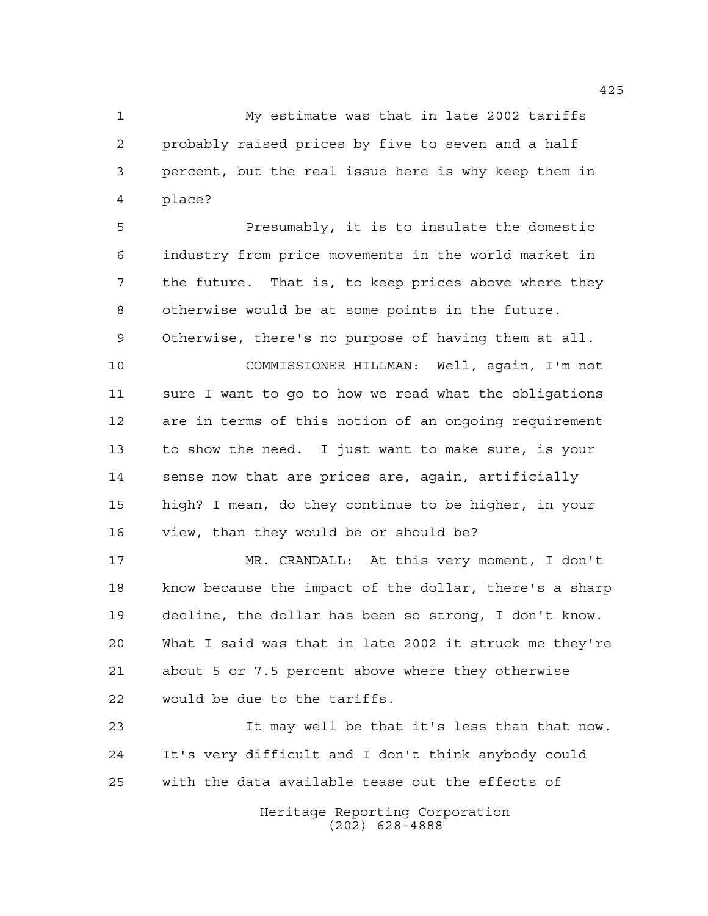My estimate was that in late 2002 tariffs probably raised prices by five to seven and a half percent, but the real issue here is why keep them in place?

 Presumably, it is to insulate the domestic industry from price movements in the world market in the future. That is, to keep prices above where they otherwise would be at some points in the future. Otherwise, there's no purpose of having them at all.

 COMMISSIONER HILLMAN: Well, again, I'm not sure I want to go to how we read what the obligations are in terms of this notion of an ongoing requirement to show the need. I just want to make sure, is your sense now that are prices are, again, artificially high? I mean, do they continue to be higher, in your view, than they would be or should be?

 MR. CRANDALL: At this very moment, I don't know because the impact of the dollar, there's a sharp decline, the dollar has been so strong, I don't know. What I said was that in late 2002 it struck me they're about 5 or 7.5 percent above where they otherwise would be due to the tariffs.

 It may well be that it's less than that now. It's very difficult and I don't think anybody could with the data available tease out the effects of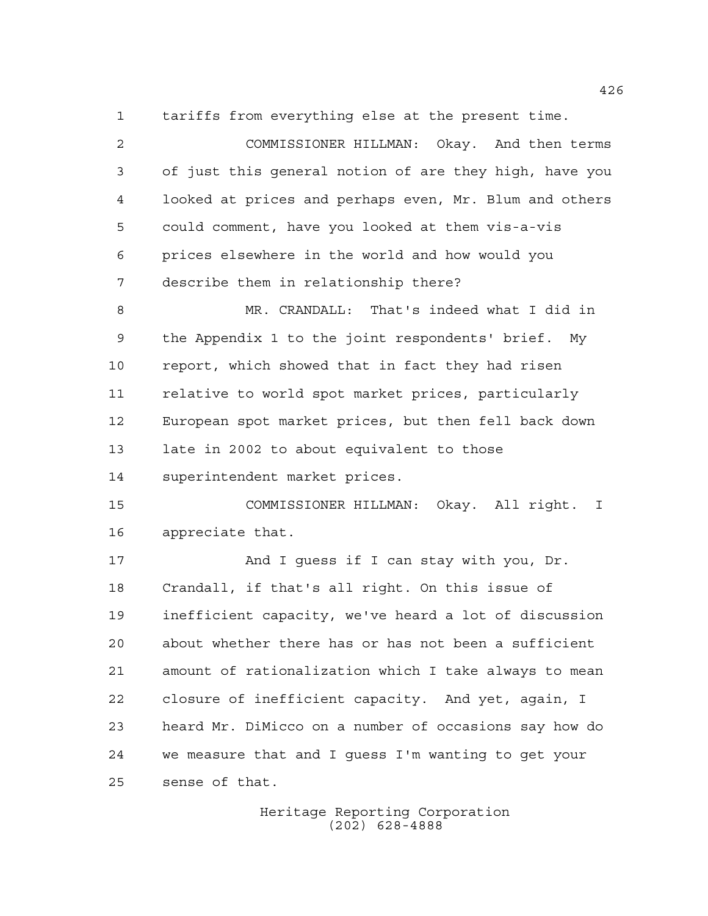tariffs from everything else at the present time.

 COMMISSIONER HILLMAN: Okay. And then terms of just this general notion of are they high, have you looked at prices and perhaps even, Mr. Blum and others could comment, have you looked at them vis-a-vis prices elsewhere in the world and how would you describe them in relationship there? MR. CRANDALL: That's indeed what I did in the Appendix 1 to the joint respondents' brief. My report, which showed that in fact they had risen relative to world spot market prices, particularly European spot market prices, but then fell back down late in 2002 to about equivalent to those superintendent market prices. COMMISSIONER HILLMAN: Okay. All right. I appreciate that. 17 And I guess if I can stay with you, Dr. Crandall, if that's all right. On this issue of inefficient capacity, we've heard a lot of discussion about whether there has or has not been a sufficient amount of rationalization which I take always to mean closure of inefficient capacity. And yet, again, I heard Mr. DiMicco on a number of occasions say how do we measure that and I guess I'm wanting to get your

sense of that.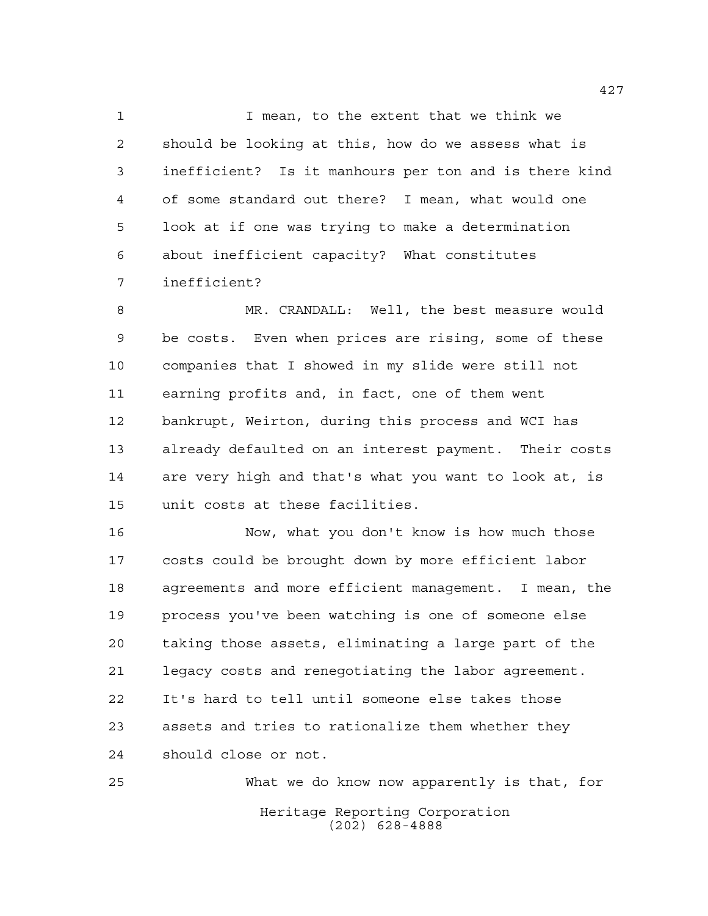I mean, to the extent that we think we should be looking at this, how do we assess what is inefficient? Is it manhours per ton and is there kind of some standard out there? I mean, what would one look at if one was trying to make a determination about inefficient capacity? What constitutes inefficient?

 MR. CRANDALL: Well, the best measure would be costs. Even when prices are rising, some of these companies that I showed in my slide were still not earning profits and, in fact, one of them went bankrupt, Weirton, during this process and WCI has already defaulted on an interest payment. Their costs are very high and that's what you want to look at, is unit costs at these facilities.

 Now, what you don't know is how much those costs could be brought down by more efficient labor agreements and more efficient management. I mean, the process you've been watching is one of someone else taking those assets, eliminating a large part of the legacy costs and renegotiating the labor agreement. It's hard to tell until someone else takes those assets and tries to rationalize them whether they should close or not.

Heritage Reporting Corporation (202) 628-4888 What we do know now apparently is that, for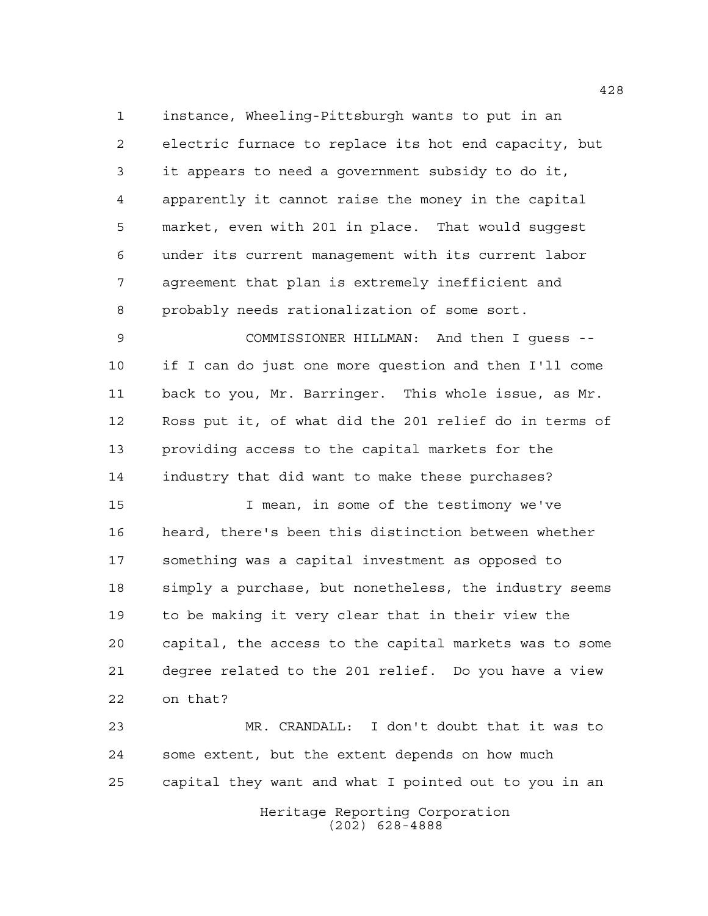instance, Wheeling-Pittsburgh wants to put in an electric furnace to replace its hot end capacity, but it appears to need a government subsidy to do it, apparently it cannot raise the money in the capital market, even with 201 in place. That would suggest under its current management with its current labor agreement that plan is extremely inefficient and probably needs rationalization of some sort.

 COMMISSIONER HILLMAN: And then I guess -- if I can do just one more question and then I'll come back to you, Mr. Barringer. This whole issue, as Mr. Ross put it, of what did the 201 relief do in terms of providing access to the capital markets for the industry that did want to make these purchases?

 I mean, in some of the testimony we've heard, there's been this distinction between whether something was a capital investment as opposed to simply a purchase, but nonetheless, the industry seems to be making it very clear that in their view the capital, the access to the capital markets was to some degree related to the 201 relief. Do you have a view on that?

 MR. CRANDALL: I don't doubt that it was to some extent, but the extent depends on how much capital they want and what I pointed out to you in an

> Heritage Reporting Corporation (202) 628-4888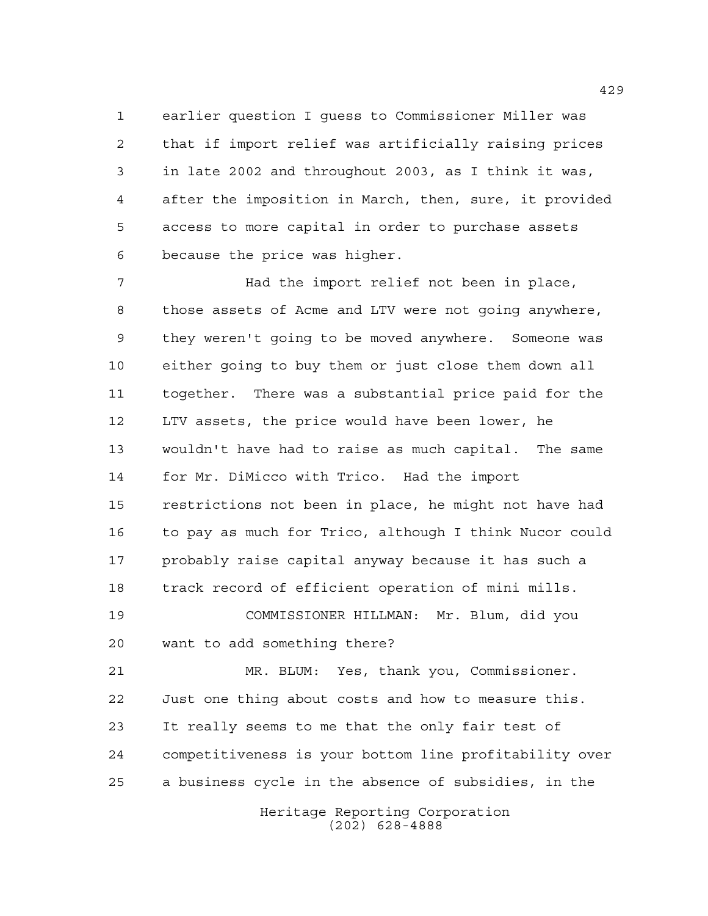earlier question I guess to Commissioner Miller was that if import relief was artificially raising prices in late 2002 and throughout 2003, as I think it was, after the imposition in March, then, sure, it provided access to more capital in order to purchase assets because the price was higher.

 Had the import relief not been in place, those assets of Acme and LTV were not going anywhere, they weren't going to be moved anywhere. Someone was either going to buy them or just close them down all together. There was a substantial price paid for the LTV assets, the price would have been lower, he wouldn't have had to raise as much capital. The same for Mr. DiMicco with Trico. Had the import restrictions not been in place, he might not have had to pay as much for Trico, although I think Nucor could probably raise capital anyway because it has such a track record of efficient operation of mini mills. COMMISSIONER HILLMAN: Mr. Blum, did you

want to add something there?

 MR. BLUM: Yes, thank you, Commissioner. Just one thing about costs and how to measure this. It really seems to me that the only fair test of competitiveness is your bottom line profitability over a business cycle in the absence of subsidies, in the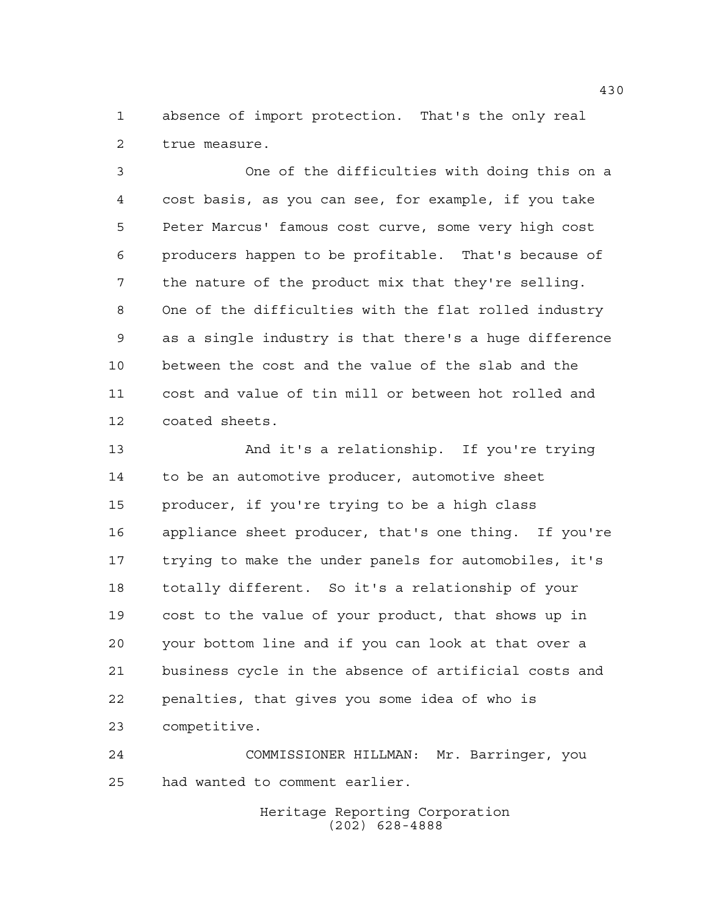absence of import protection. That's the only real true measure.

 One of the difficulties with doing this on a cost basis, as you can see, for example, if you take Peter Marcus' famous cost curve, some very high cost producers happen to be profitable. That's because of the nature of the product mix that they're selling. One of the difficulties with the flat rolled industry as a single industry is that there's a huge difference between the cost and the value of the slab and the cost and value of tin mill or between hot rolled and coated sheets.

 And it's a relationship. If you're trying to be an automotive producer, automotive sheet producer, if you're trying to be a high class appliance sheet producer, that's one thing. If you're trying to make the under panels for automobiles, it's totally different. So it's a relationship of your cost to the value of your product, that shows up in your bottom line and if you can look at that over a business cycle in the absence of artificial costs and penalties, that gives you some idea of who is competitive.

 COMMISSIONER HILLMAN: Mr. Barringer, you had wanted to comment earlier.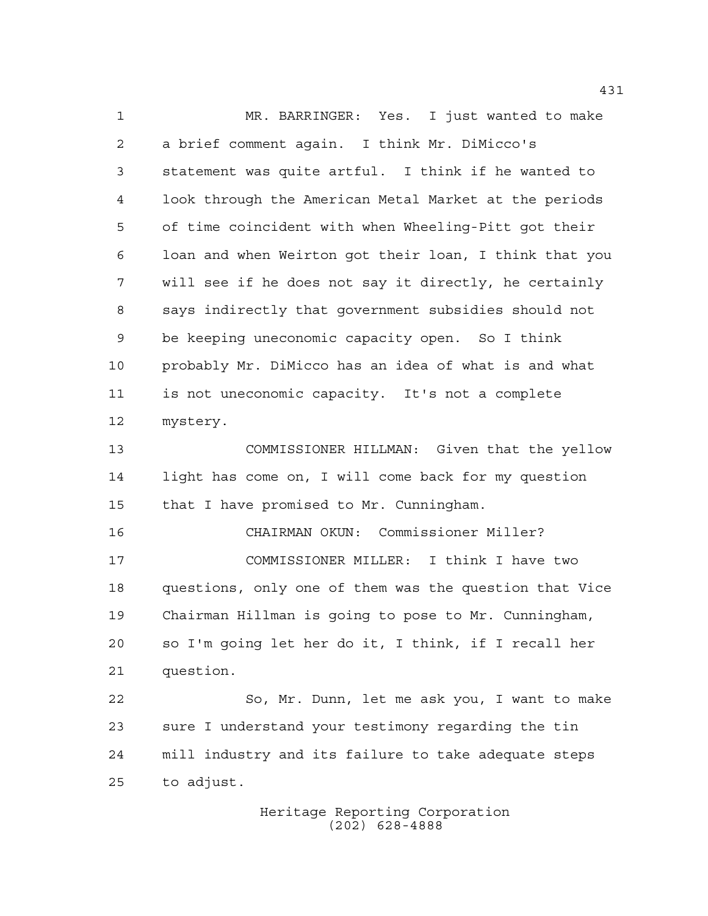MR. BARRINGER: Yes. I just wanted to make a brief comment again. I think Mr. DiMicco's statement was quite artful. I think if he wanted to look through the American Metal Market at the periods of time coincident with when Wheeling-Pitt got their loan and when Weirton got their loan, I think that you will see if he does not say it directly, he certainly says indirectly that government subsidies should not be keeping uneconomic capacity open. So I think probably Mr. DiMicco has an idea of what is and what is not uneconomic capacity. It's not a complete mystery. COMMISSIONER HILLMAN: Given that the yellow light has come on, I will come back for my question that I have promised to Mr. Cunningham. CHAIRMAN OKUN: Commissioner Miller? COMMISSIONER MILLER: I think I have two questions, only one of them was the question that Vice Chairman Hillman is going to pose to Mr. Cunningham, so I'm going let her do it, I think, if I recall her question. So, Mr. Dunn, let me ask you, I want to make sure I understand your testimony regarding the tin mill industry and its failure to take adequate steps to adjust.

> Heritage Reporting Corporation (202) 628-4888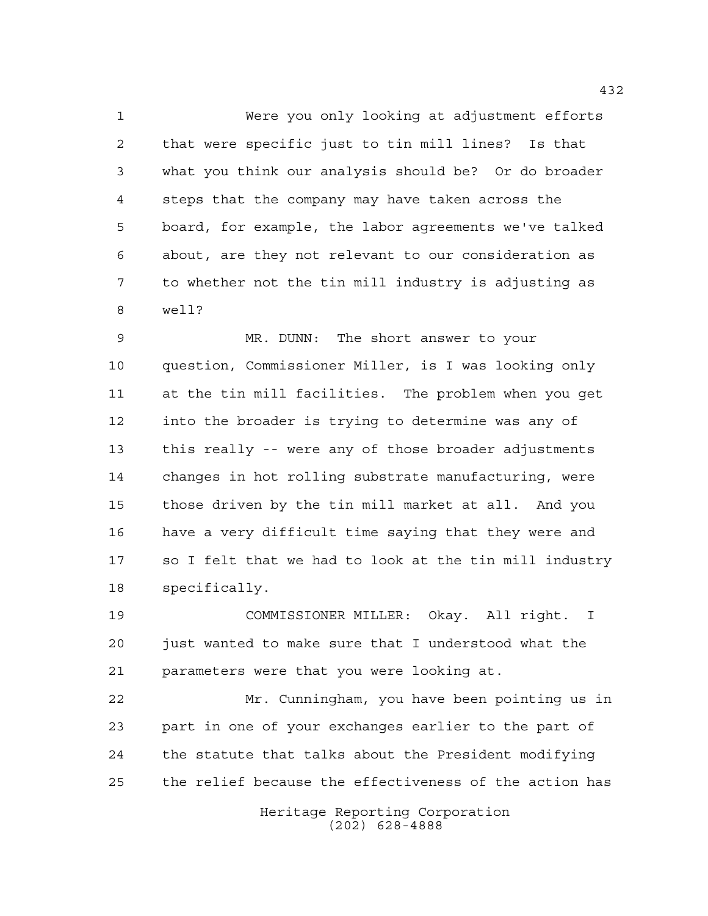Were you only looking at adjustment efforts that were specific just to tin mill lines? Is that what you think our analysis should be? Or do broader steps that the company may have taken across the board, for example, the labor agreements we've talked about, are they not relevant to our consideration as to whether not the tin mill industry is adjusting as well?

 MR. DUNN: The short answer to your question, Commissioner Miller, is I was looking only at the tin mill facilities. The problem when you get into the broader is trying to determine was any of this really -- were any of those broader adjustments changes in hot rolling substrate manufacturing, were those driven by the tin mill market at all. And you have a very difficult time saying that they were and so I felt that we had to look at the tin mill industry specifically.

 COMMISSIONER MILLER: Okay. All right. I just wanted to make sure that I understood what the parameters were that you were looking at.

 Mr. Cunningham, you have been pointing us in part in one of your exchanges earlier to the part of the statute that talks about the President modifying the relief because the effectiveness of the action has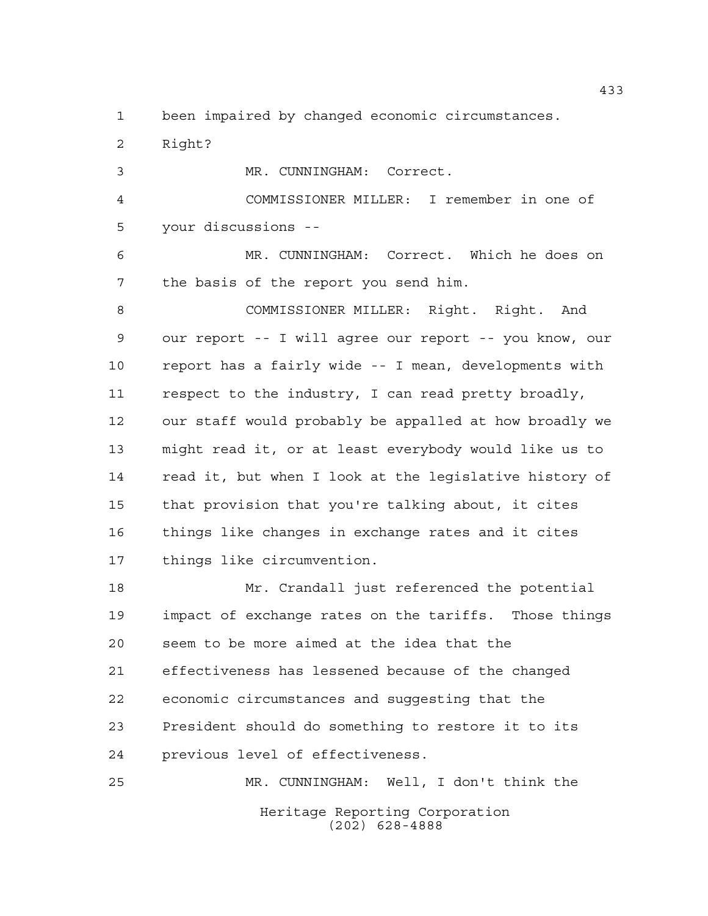been impaired by changed economic circumstances.

 Right? MR. CUNNINGHAM: Correct. COMMISSIONER MILLER: I remember in one of your discussions -- MR. CUNNINGHAM: Correct. Which he does on the basis of the report you send him. COMMISSIONER MILLER: Right. Right. And our report -- I will agree our report -- you know, our report has a fairly wide -- I mean, developments with respect to the industry, I can read pretty broadly, our staff would probably be appalled at how broadly we might read it, or at least everybody would like us to read it, but when I look at the legislative history of that provision that you're talking about, it cites things like changes in exchange rates and it cites things like circumvention. Mr. Crandall just referenced the potential impact of exchange rates on the tariffs. Those things seem to be more aimed at the idea that the

 effectiveness has lessened because of the changed economic circumstances and suggesting that the President should do something to restore it to its previous level of effectiveness.

Heritage Reporting Corporation (202) 628-4888 MR. CUNNINGHAM: Well, I don't think the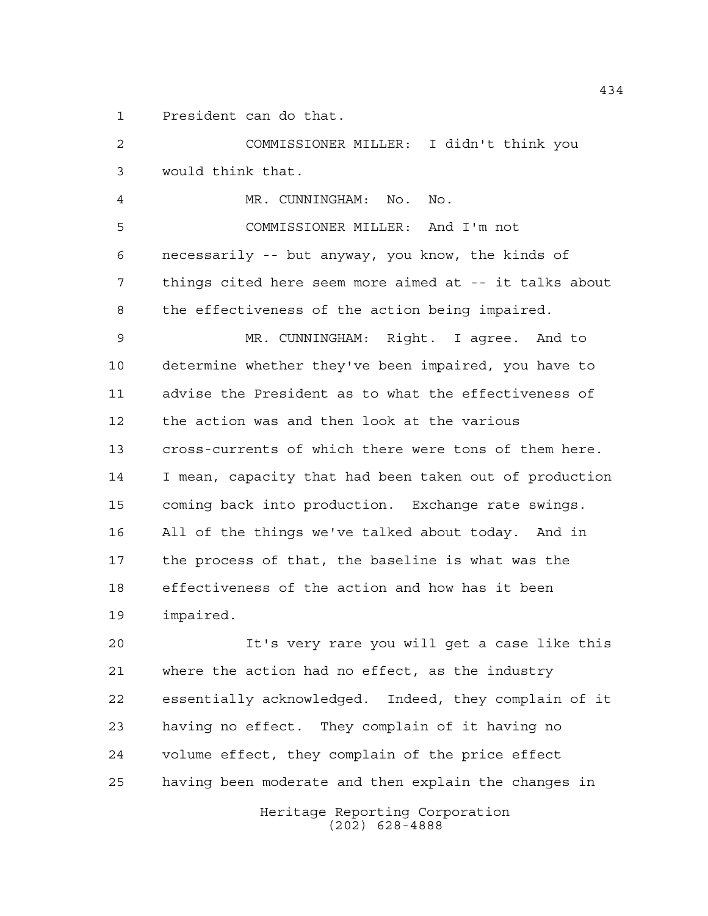President can do that.

 COMMISSIONER MILLER: I didn't think you would think that.

 MR. CUNNINGHAM: No. No. COMMISSIONER MILLER: And I'm not necessarily -- but anyway, you know, the kinds of things cited here seem more aimed at -- it talks about the effectiveness of the action being impaired. MR. CUNNINGHAM: Right. I agree. And to determine whether they've been impaired, you have to advise the President as to what the effectiveness of the action was and then look at the various

 cross-currents of which there were tons of them here. I mean, capacity that had been taken out of production coming back into production. Exchange rate swings. All of the things we've talked about today. And in the process of that, the baseline is what was the effectiveness of the action and how has it been impaired.

 It's very rare you will get a case like this where the action had no effect, as the industry essentially acknowledged. Indeed, they complain of it having no effect. They complain of it having no volume effect, they complain of the price effect having been moderate and then explain the changes in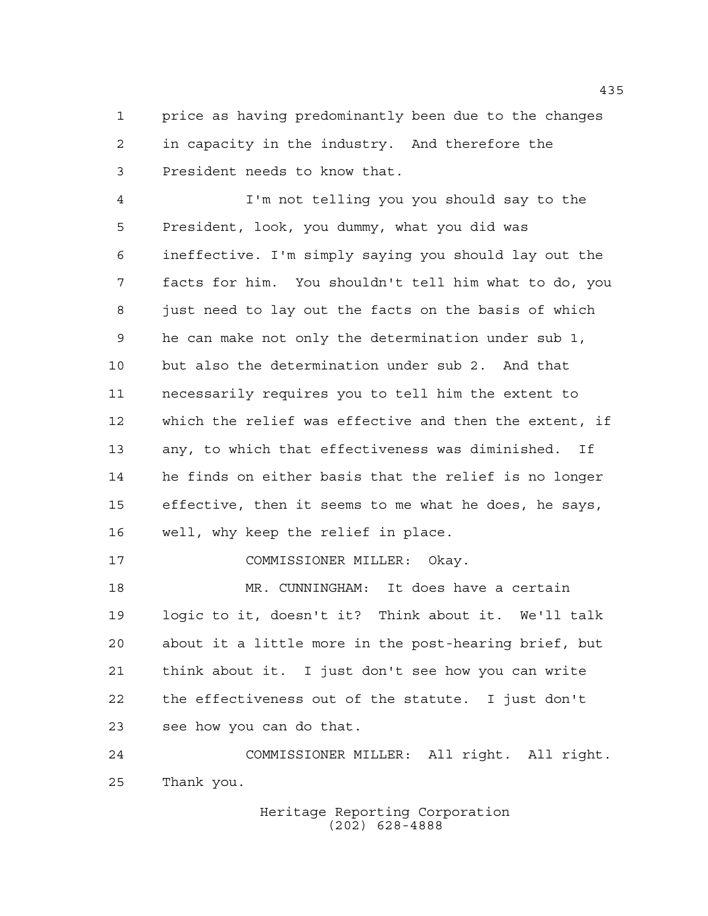price as having predominantly been due to the changes in capacity in the industry. And therefore the President needs to know that.

 I'm not telling you you should say to the President, look, you dummy, what you did was ineffective. I'm simply saying you should lay out the facts for him. You shouldn't tell him what to do, you just need to lay out the facts on the basis of which he can make not only the determination under sub 1, but also the determination under sub 2. And that necessarily requires you to tell him the extent to which the relief was effective and then the extent, if any, to which that effectiveness was diminished. If he finds on either basis that the relief is no longer effective, then it seems to me what he does, he says, well, why keep the relief in place.

COMMISSIONER MILLER: Okay.

 MR. CUNNINGHAM: It does have a certain logic to it, doesn't it? Think about it. We'll talk about it a little more in the post-hearing brief, but think about it. I just don't see how you can write the effectiveness out of the statute. I just don't see how you can do that.

 COMMISSIONER MILLER: All right. All right. Thank you.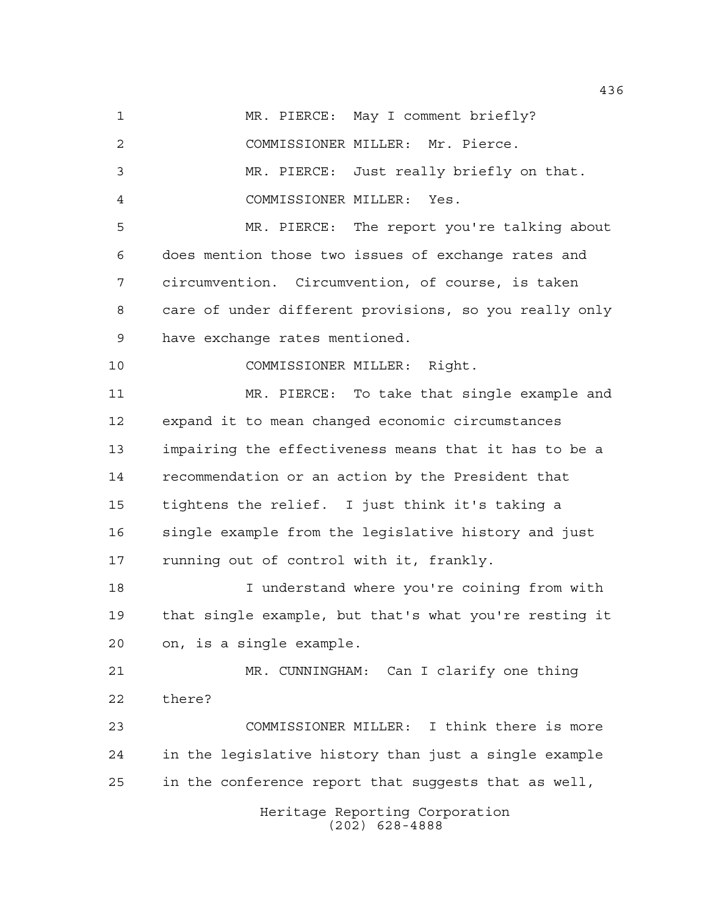Heritage Reporting Corporation 1 MR. PIERCE: May I comment briefly? COMMISSIONER MILLER: Mr. Pierce. MR. PIERCE: Just really briefly on that. COMMISSIONER MILLER: Yes. MR. PIERCE: The report you're talking about does mention those two issues of exchange rates and circumvention. Circumvention, of course, is taken care of under different provisions, so you really only have exchange rates mentioned. COMMISSIONER MILLER: Right. MR. PIERCE: To take that single example and expand it to mean changed economic circumstances impairing the effectiveness means that it has to be a recommendation or an action by the President that tightens the relief. I just think it's taking a single example from the legislative history and just running out of control with it, frankly. I understand where you're coining from with that single example, but that's what you're resting it on, is a single example. MR. CUNNINGHAM: Can I clarify one thing there? COMMISSIONER MILLER: I think there is more in the legislative history than just a single example in the conference report that suggests that as well,

(202) 628-4888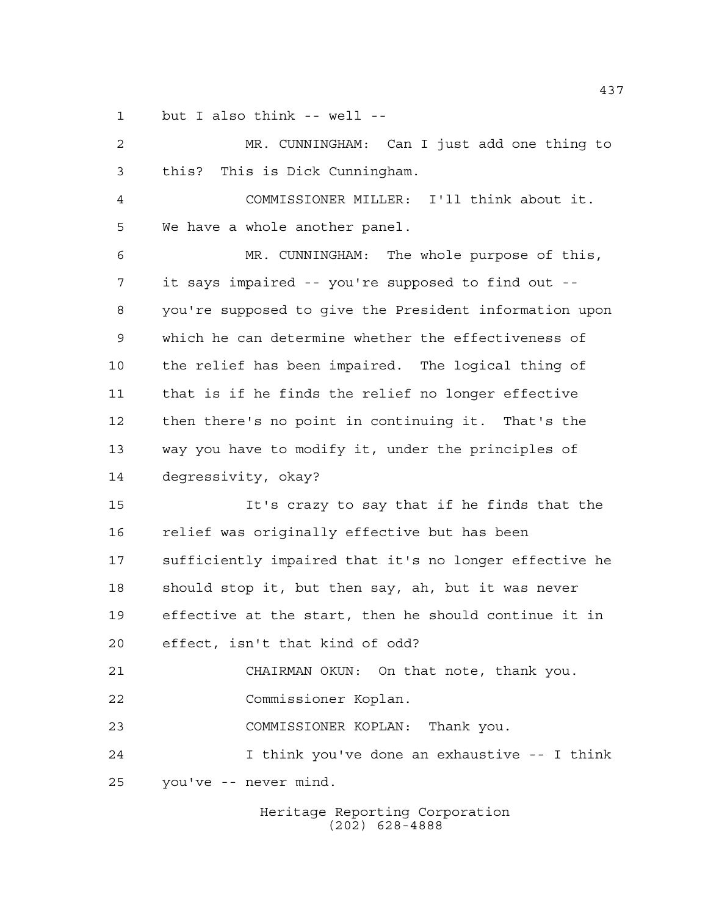but I also think -- well --

| $\overline{a}$ | MR. CUNNINGHAM: Can I just add one thing to            |
|----------------|--------------------------------------------------------|
| 3              | this? This is Dick Cunningham.                         |
| 4              | COMMISSIONER MILLER: I'll think about it.              |
| 5              | We have a whole another panel.                         |
| 6              | MR. CUNNINGHAM: The whole purpose of this,             |
| 7              | it says impaired -- you're supposed to find out --     |
| 8              | you're supposed to give the President information upon |
| 9              | which he can determine whether the effectiveness of    |
| 10             | the relief has been impaired. The logical thing of     |
| 11             | that is if he finds the relief no longer effective     |
| 12             | then there's no point in continuing it. That's the     |
| 13             | way you have to modify it, under the principles of     |
| 14             | degressivity, okay?                                    |
| 15             | It's crazy to say that if he finds that the            |
| 16             | relief was originally effective but has been           |
| 17             | sufficiently impaired that it's no longer effective he |
| 18             | should stop it, but then say, ah, but it was never     |
| 19             | effective at the start, then he should continue it in  |
| 20             | effect, isn't that kind of odd?                        |
| 21             | CHAIRMAN OKUN: On that note, thank you.                |
| 22             | Commissioner Koplan.                                   |
| 23             | COMMISSIONER KOPLAN: Thank you.                        |
| 24             | I think you've done an exhaustive -- I think           |
| 25             | you've -- never mind.                                  |
|                |                                                        |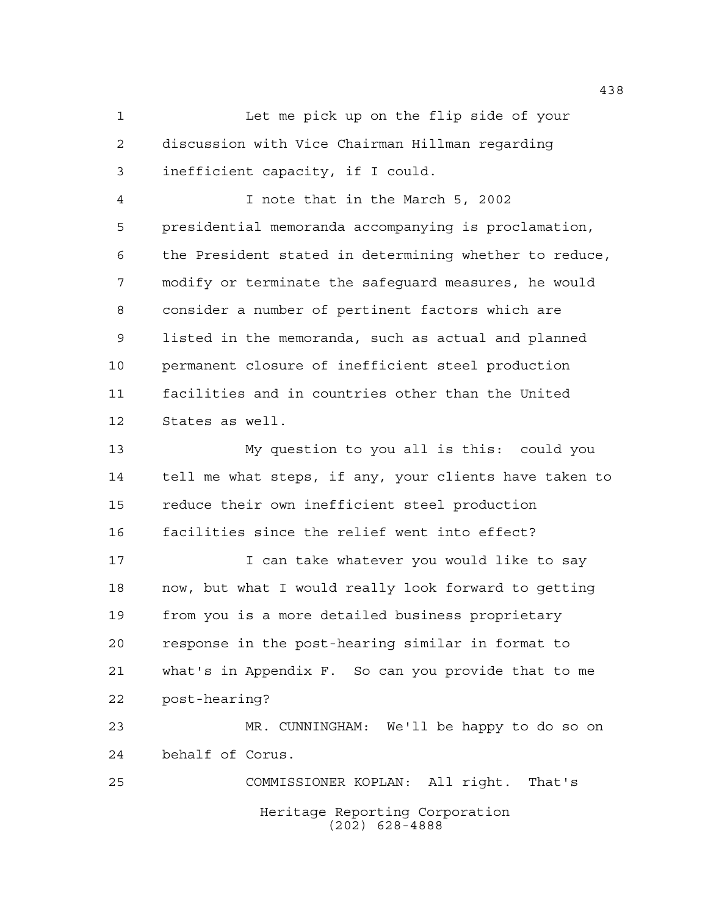Let me pick up on the flip side of your discussion with Vice Chairman Hillman regarding inefficient capacity, if I could.

 I note that in the March 5, 2002 presidential memoranda accompanying is proclamation, the President stated in determining whether to reduce, modify or terminate the safeguard measures, he would consider a number of pertinent factors which are listed in the memoranda, such as actual and planned permanent closure of inefficient steel production facilities and in countries other than the United States as well.

 My question to you all is this: could you tell me what steps, if any, your clients have taken to reduce their own inefficient steel production facilities since the relief went into effect?

17 I can take whatever you would like to say now, but what I would really look forward to getting from you is a more detailed business proprietary response in the post-hearing similar in format to what's in Appendix F. So can you provide that to me post-hearing?

 MR. CUNNINGHAM: We'll be happy to do so on behalf of Corus.

Heritage Reporting Corporation (202) 628-4888 COMMISSIONER KOPLAN: All right. That's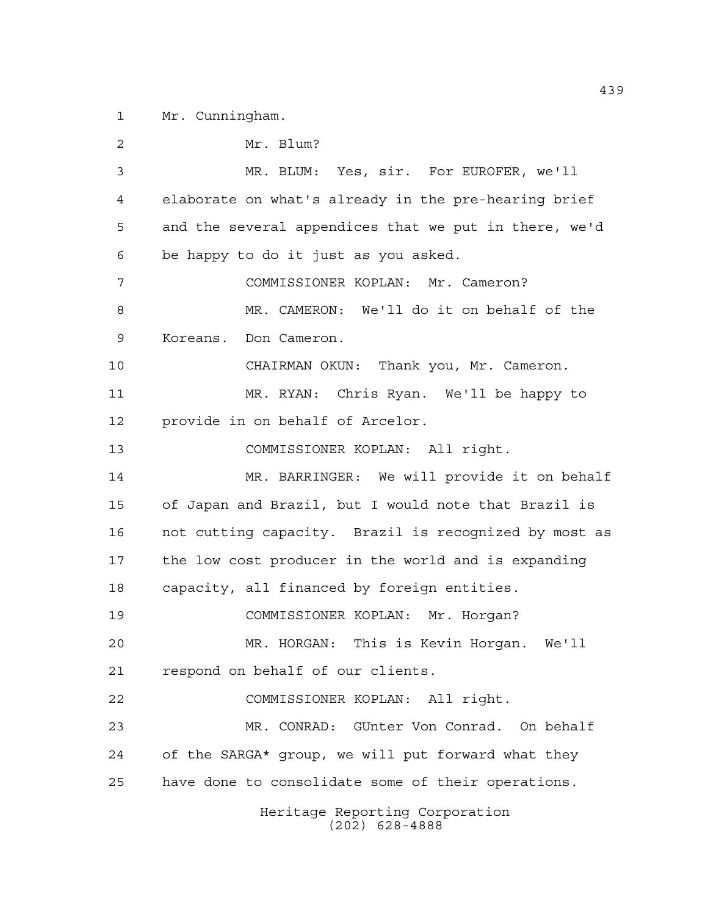Mr. Cunningham.

Heritage Reporting Corporation (202) 628-4888 Mr. Blum? MR. BLUM: Yes, sir. For EUROFER, we'll elaborate on what's already in the pre-hearing brief and the several appendices that we put in there, we'd be happy to do it just as you asked. COMMISSIONER KOPLAN: Mr. Cameron? MR. CAMERON: We'll do it on behalf of the Koreans. Don Cameron. CHAIRMAN OKUN: Thank you, Mr. Cameron. MR. RYAN: Chris Ryan. We'll be happy to provide in on behalf of Arcelor. COMMISSIONER KOPLAN: All right. MR. BARRINGER: We will provide it on behalf of Japan and Brazil, but I would note that Brazil is not cutting capacity. Brazil is recognized by most as the low cost producer in the world and is expanding capacity, all financed by foreign entities. COMMISSIONER KOPLAN: Mr. Horgan? MR. HORGAN: This is Kevin Horgan. We'll respond on behalf of our clients. COMMISSIONER KOPLAN: All right. MR. CONRAD: GUnter Von Conrad. On behalf of the SARGA\* group, we will put forward what they have done to consolidate some of their operations.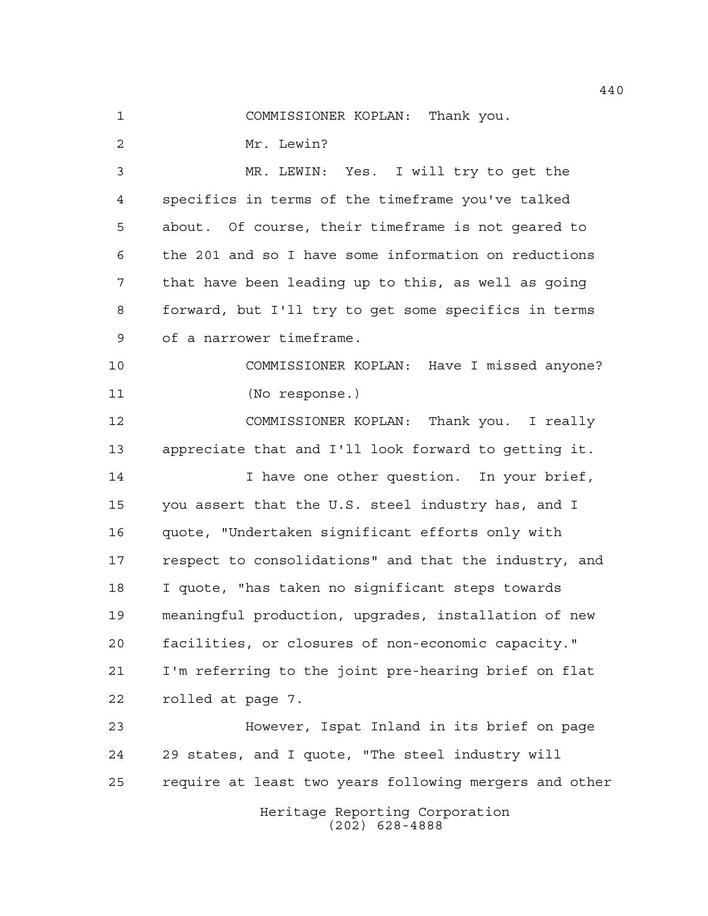COMMISSIONER KOPLAN: Thank you.

Mr. Lewin?

 MR. LEWIN: Yes. I will try to get the specifics in terms of the timeframe you've talked about. Of course, their timeframe is not geared to the 201 and so I have some information on reductions that have been leading up to this, as well as going forward, but I'll try to get some specifics in terms of a narrower timeframe.

 COMMISSIONER KOPLAN: Have I missed anyone? (No response.)

 COMMISSIONER KOPLAN: Thank you. I really appreciate that and I'll look forward to getting it.

14 14 I have one other question. In your brief, you assert that the U.S. steel industry has, and I quote, "Undertaken significant efforts only with respect to consolidations" and that the industry, and I quote, "has taken no significant steps towards meaningful production, upgrades, installation of new facilities, or closures of non-economic capacity." I'm referring to the joint pre-hearing brief on flat rolled at page 7.

 However, Ispat Inland in its brief on page 29 states, and I quote, "The steel industry will require at least two years following mergers and other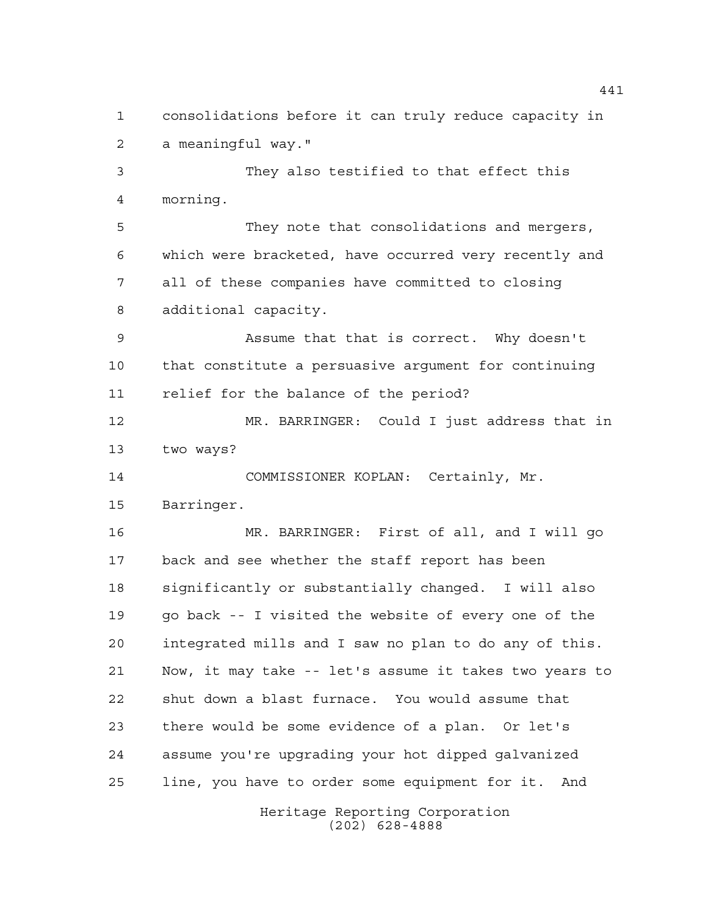consolidations before it can truly reduce capacity in a meaningful way."

 They also testified to that effect this morning.

 They note that consolidations and mergers, which were bracketed, have occurred very recently and all of these companies have committed to closing additional capacity.

 Assume that that is correct. Why doesn't that constitute a persuasive argument for continuing relief for the balance of the period?

 MR. BARRINGER: Could I just address that in two ways?

 COMMISSIONER KOPLAN: Certainly, Mr. Barringer.

 MR. BARRINGER: First of all, and I will go back and see whether the staff report has been significantly or substantially changed. I will also go back -- I visited the website of every one of the integrated mills and I saw no plan to do any of this. Now, it may take -- let's assume it takes two years to shut down a blast furnace. You would assume that there would be some evidence of a plan. Or let's assume you're upgrading your hot dipped galvanized line, you have to order some equipment for it. And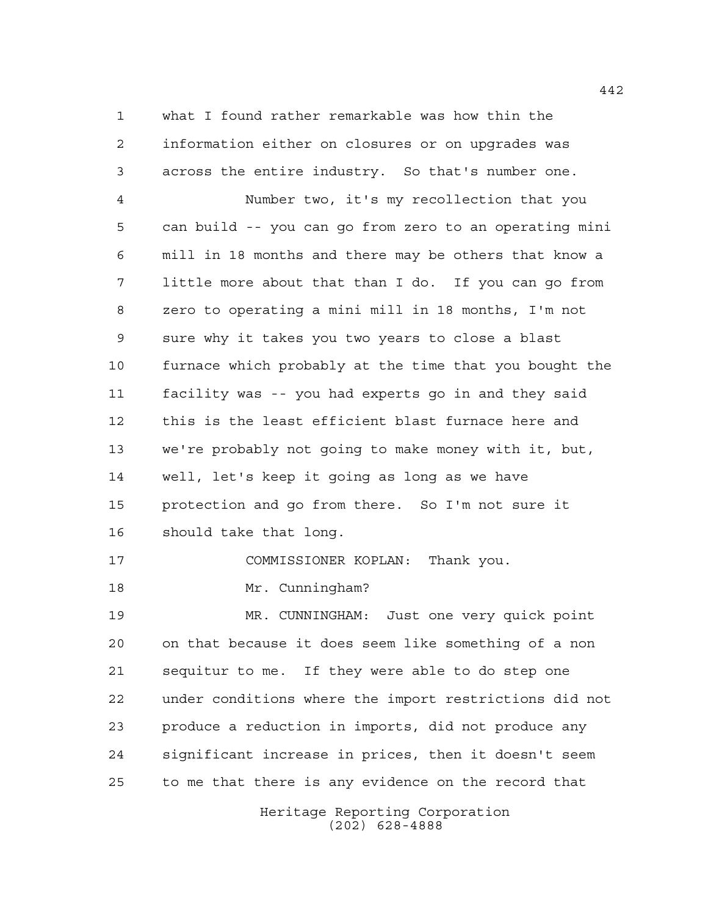what I found rather remarkable was how thin the information either on closures or on upgrades was across the entire industry. So that's number one.

 Number two, it's my recollection that you can build -- you can go from zero to an operating mini mill in 18 months and there may be others that know a little more about that than I do. If you can go from zero to operating a mini mill in 18 months, I'm not sure why it takes you two years to close a blast furnace which probably at the time that you bought the facility was -- you had experts go in and they said this is the least efficient blast furnace here and we're probably not going to make money with it, but, well, let's keep it going as long as we have protection and go from there. So I'm not sure it should take that long.

COMMISSIONER KOPLAN: Thank you.

Mr. Cunningham?

 MR. CUNNINGHAM: Just one very quick point on that because it does seem like something of a non sequitur to me. If they were able to do step one under conditions where the import restrictions did not produce a reduction in imports, did not produce any significant increase in prices, then it doesn't seem to me that there is any evidence on the record that

> Heritage Reporting Corporation (202) 628-4888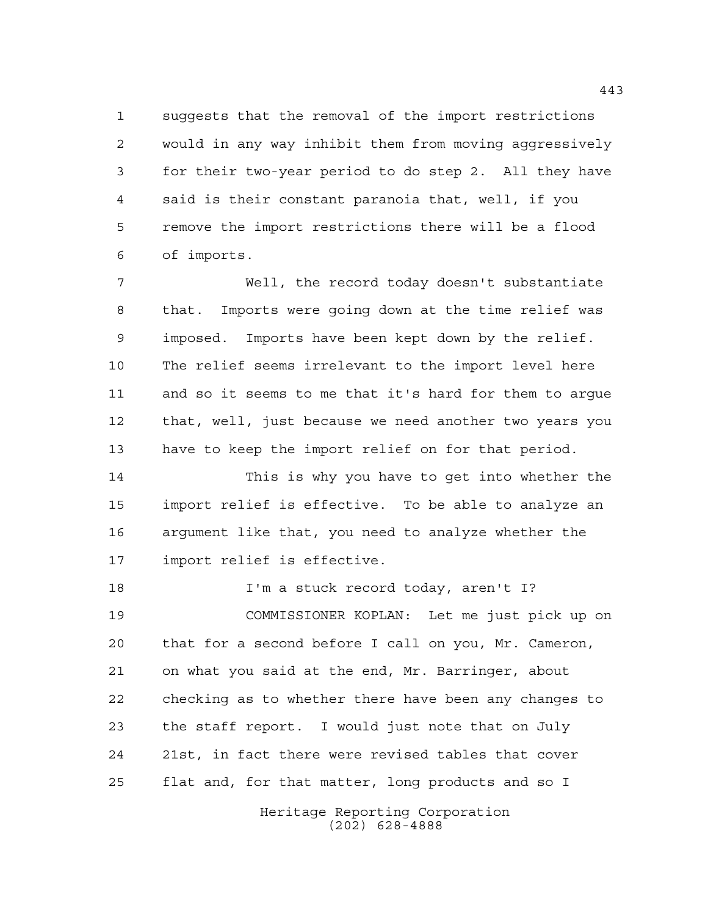suggests that the removal of the import restrictions would in any way inhibit them from moving aggressively for their two-year period to do step 2. All they have said is their constant paranoia that, well, if you remove the import restrictions there will be a flood of imports.

 Well, the record today doesn't substantiate that. Imports were going down at the time relief was imposed. Imports have been kept down by the relief. The relief seems irrelevant to the import level here and so it seems to me that it's hard for them to argue that, well, just because we need another two years you have to keep the import relief on for that period.

 This is why you have to get into whether the import relief is effective. To be able to analyze an argument like that, you need to analyze whether the import relief is effective.

18 I'm a stuck record today, aren't I? COMMISSIONER KOPLAN: Let me just pick up on that for a second before I call on you, Mr. Cameron, on what you said at the end, Mr. Barringer, about checking as to whether there have been any changes to the staff report. I would just note that on July 21st, in fact there were revised tables that cover flat and, for that matter, long products and so I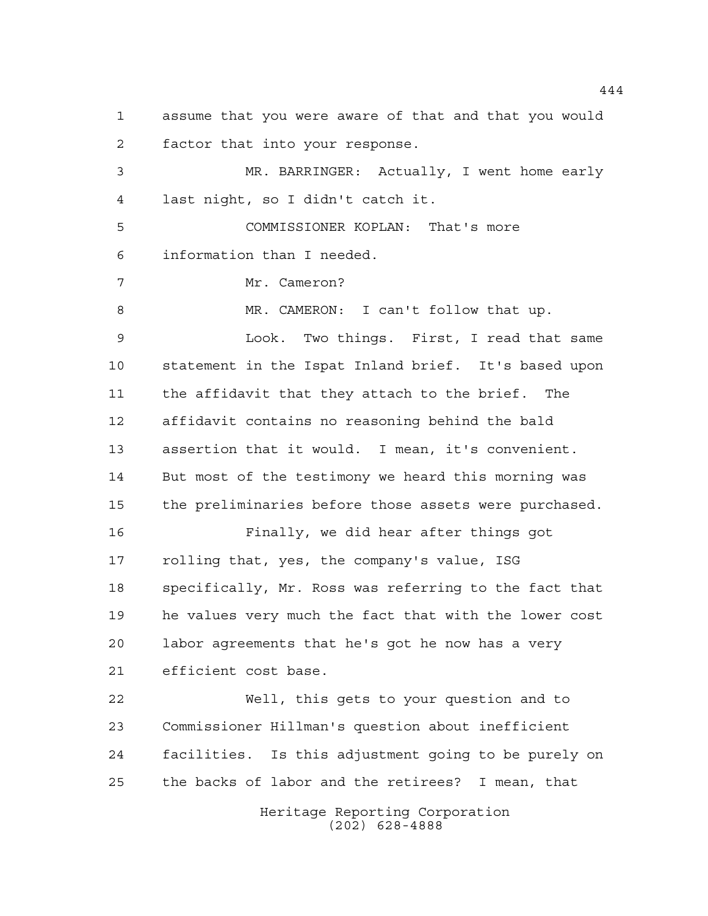assume that you were aware of that and that you would factor that into your response. MR. BARRINGER: Actually, I went home early last night, so I didn't catch it. COMMISSIONER KOPLAN: That's more information than I needed. Mr. Cameron? MR. CAMERON: I can't follow that up. Look. Two things. First, I read that same statement in the Ispat Inland brief. It's based upon the affidavit that they attach to the brief. The affidavit contains no reasoning behind the bald assertion that it would. I mean, it's convenient. But most of the testimony we heard this morning was the preliminaries before those assets were purchased. Finally, we did hear after things got rolling that, yes, the company's value, ISG specifically, Mr. Ross was referring to the fact that he values very much the fact that with the lower cost labor agreements that he's got he now has a very efficient cost base. Well, this gets to your question and to Commissioner Hillman's question about inefficient facilities. Is this adjustment going to be purely on the backs of labor and the retirees? I mean, that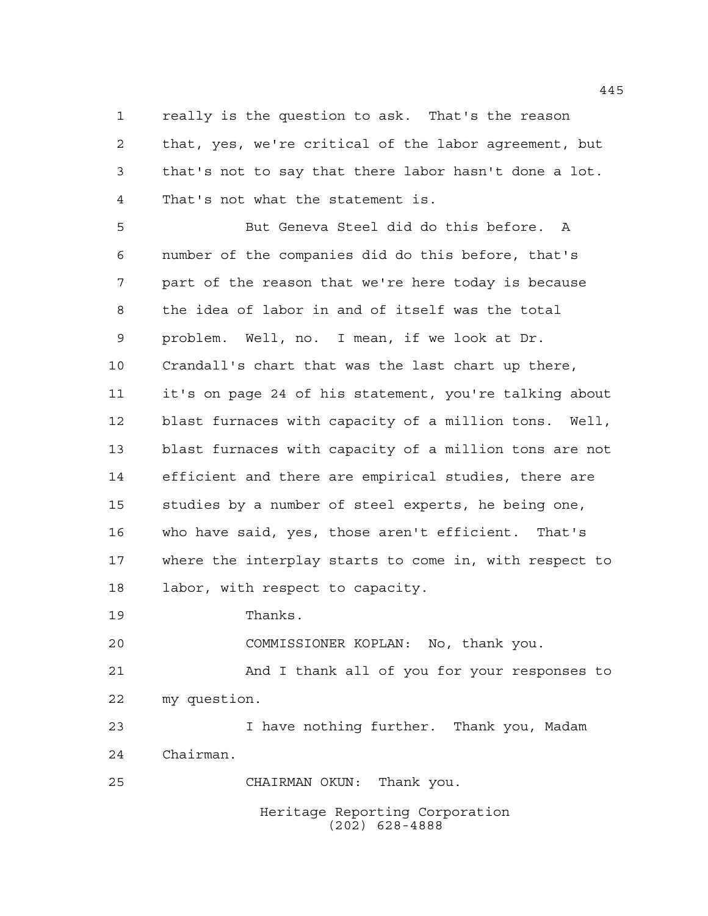really is the question to ask. That's the reason that, yes, we're critical of the labor agreement, but that's not to say that there labor hasn't done a lot. That's not what the statement is.

 But Geneva Steel did do this before. A number of the companies did do this before, that's part of the reason that we're here today is because the idea of labor in and of itself was the total problem. Well, no. I mean, if we look at Dr. Crandall's chart that was the last chart up there, it's on page 24 of his statement, you're talking about blast furnaces with capacity of a million tons. Well, blast furnaces with capacity of a million tons are not efficient and there are empirical studies, there are studies by a number of steel experts, he being one, who have said, yes, those aren't efficient. That's where the interplay starts to come in, with respect to labor, with respect to capacity.

Thanks.

COMMISSIONER KOPLAN: No, thank you.

 And I thank all of you for your responses to my question.

 I have nothing further. Thank you, Madam Chairman.

CHAIRMAN OKUN: Thank you.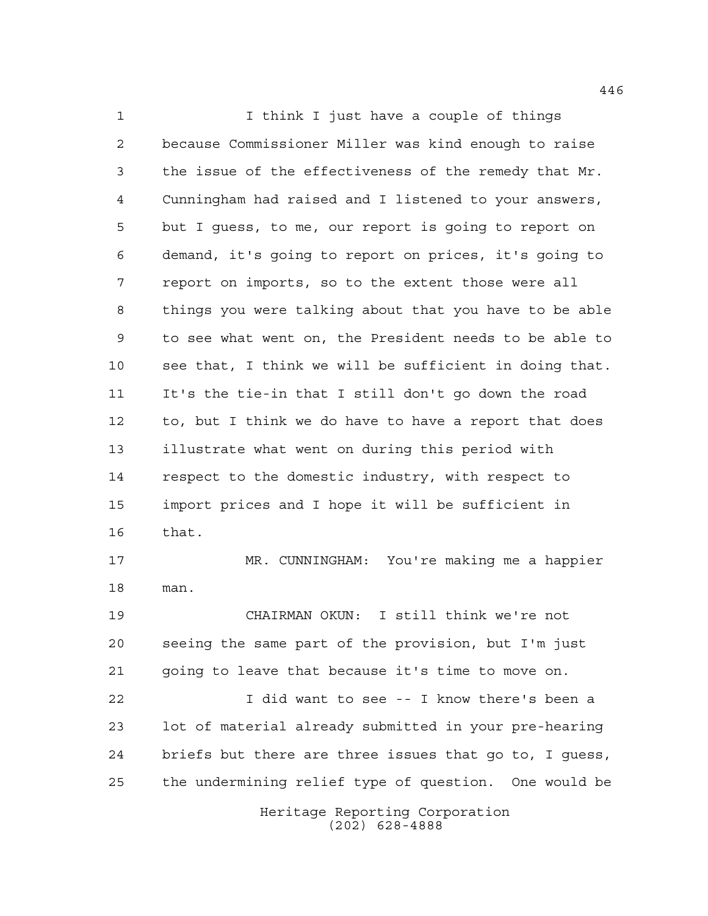I think I just have a couple of things because Commissioner Miller was kind enough to raise the issue of the effectiveness of the remedy that Mr. Cunningham had raised and I listened to your answers, but I guess, to me, our report is going to report on demand, it's going to report on prices, it's going to report on imports, so to the extent those were all things you were talking about that you have to be able to see what went on, the President needs to be able to see that, I think we will be sufficient in doing that. It's the tie-in that I still don't go down the road to, but I think we do have to have a report that does illustrate what went on during this period with respect to the domestic industry, with respect to import prices and I hope it will be sufficient in that. MR. CUNNINGHAM: You're making me a happier man. CHAIRMAN OKUN: I still think we're not seeing the same part of the provision, but I'm just going to leave that because it's time to move on. I did want to see -- I know there's been a lot of material already submitted in your pre-hearing briefs but there are three issues that go to, I guess, the undermining relief type of question. One would be

Heritage Reporting Corporation (202) 628-4888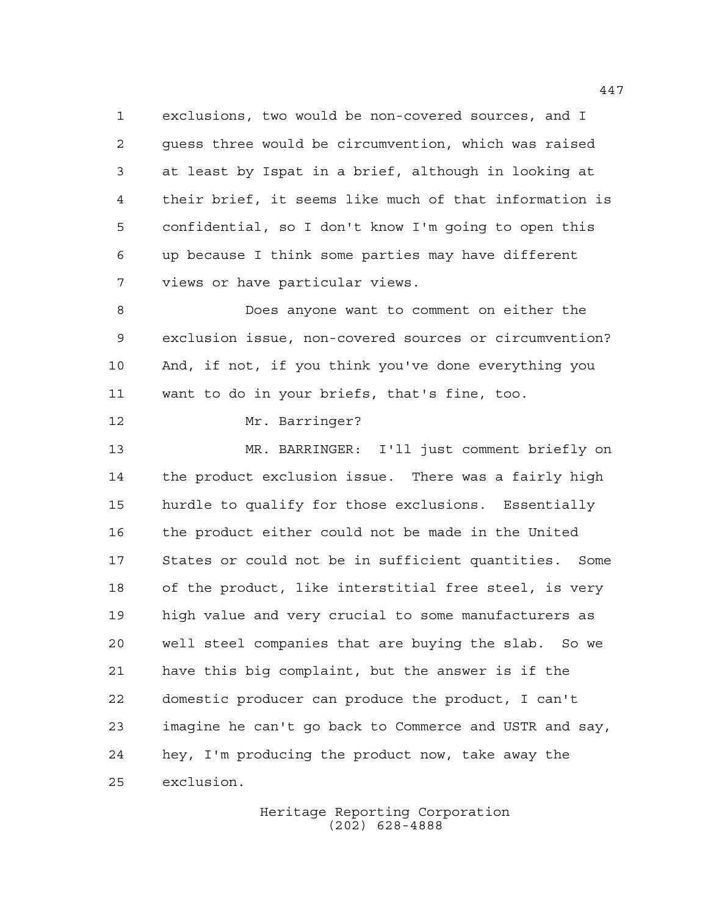exclusions, two would be non-covered sources, and I guess three would be circumvention, which was raised at least by Ispat in a brief, although in looking at their brief, it seems like much of that information is confidential, so I don't know I'm going to open this up because I think some parties may have different views or have particular views.

 Does anyone want to comment on either the exclusion issue, non-covered sources or circumvention? And, if not, if you think you've done everything you want to do in your briefs, that's fine, too.

Mr. Barringer?

 MR. BARRINGER: I'll just comment briefly on the product exclusion issue. There was a fairly high hurdle to qualify for those exclusions. Essentially the product either could not be made in the United States or could not be in sufficient quantities. Some of the product, like interstitial free steel, is very high value and very crucial to some manufacturers as well steel companies that are buying the slab. So we have this big complaint, but the answer is if the domestic producer can produce the product, I can't imagine he can't go back to Commerce and USTR and say, hey, I'm producing the product now, take away the exclusion.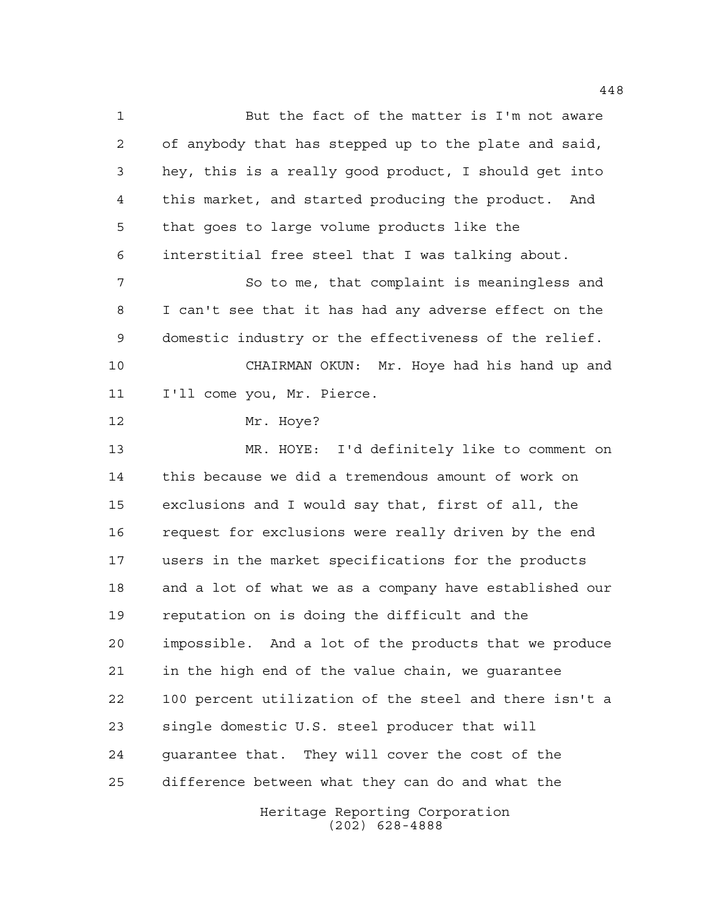But the fact of the matter is I'm not aware of anybody that has stepped up to the plate and said, hey, this is a really good product, I should get into this market, and started producing the product. And that goes to large volume products like the interstitial free steel that I was talking about. 7 So to me, that complaint is meaningless and I can't see that it has had any adverse effect on the domestic industry or the effectiveness of the relief. CHAIRMAN OKUN: Mr. Hoye had his hand up and I'll come you, Mr. Pierce. Mr. Hoye? MR. HOYE: I'd definitely like to comment on this because we did a tremendous amount of work on exclusions and I would say that, first of all, the request for exclusions were really driven by the end users in the market specifications for the products and a lot of what we as a company have established our reputation on is doing the difficult and the impossible. And a lot of the products that we produce in the high end of the value chain, we guarantee 100 percent utilization of the steel and there isn't a single domestic U.S. steel producer that will guarantee that. They will cover the cost of the difference between what they can do and what the

Heritage Reporting Corporation (202) 628-4888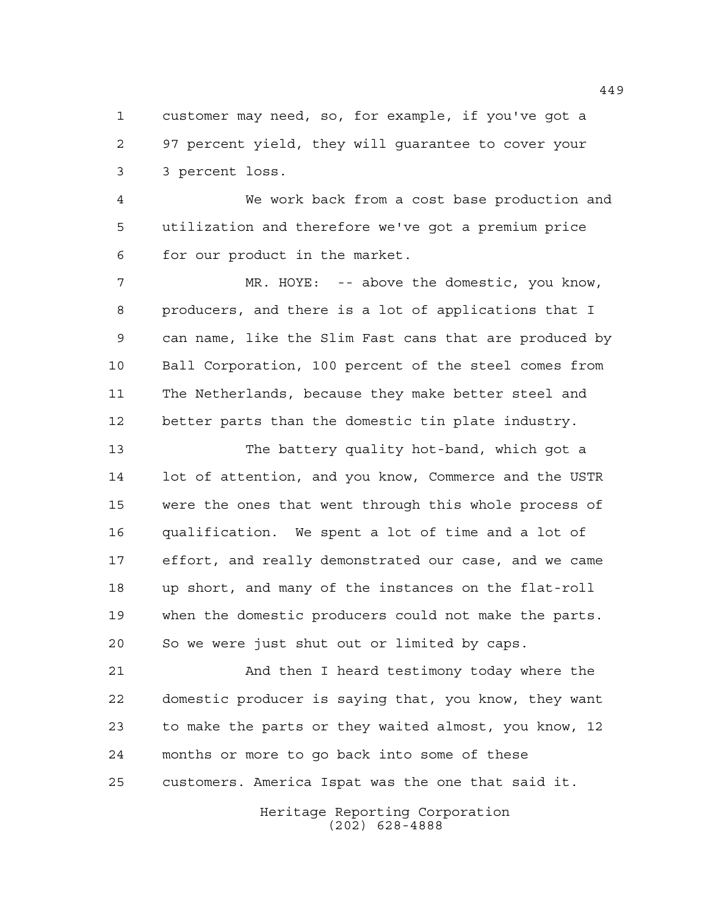customer may need, so, for example, if you've got a 97 percent yield, they will guarantee to cover your 3 percent loss.

 We work back from a cost base production and utilization and therefore we've got a premium price for our product in the market.

 MR. HOYE: -- above the domestic, you know, producers, and there is a lot of applications that I can name, like the Slim Fast cans that are produced by Ball Corporation, 100 percent of the steel comes from The Netherlands, because they make better steel and better parts than the domestic tin plate industry.

 The battery quality hot-band, which got a lot of attention, and you know, Commerce and the USTR were the ones that went through this whole process of qualification. We spent a lot of time and a lot of effort, and really demonstrated our case, and we came up short, and many of the instances on the flat-roll when the domestic producers could not make the parts. So we were just shut out or limited by caps.

 And then I heard testimony today where the domestic producer is saying that, you know, they want to make the parts or they waited almost, you know, 12 months or more to go back into some of these customers. America Ispat was the one that said it.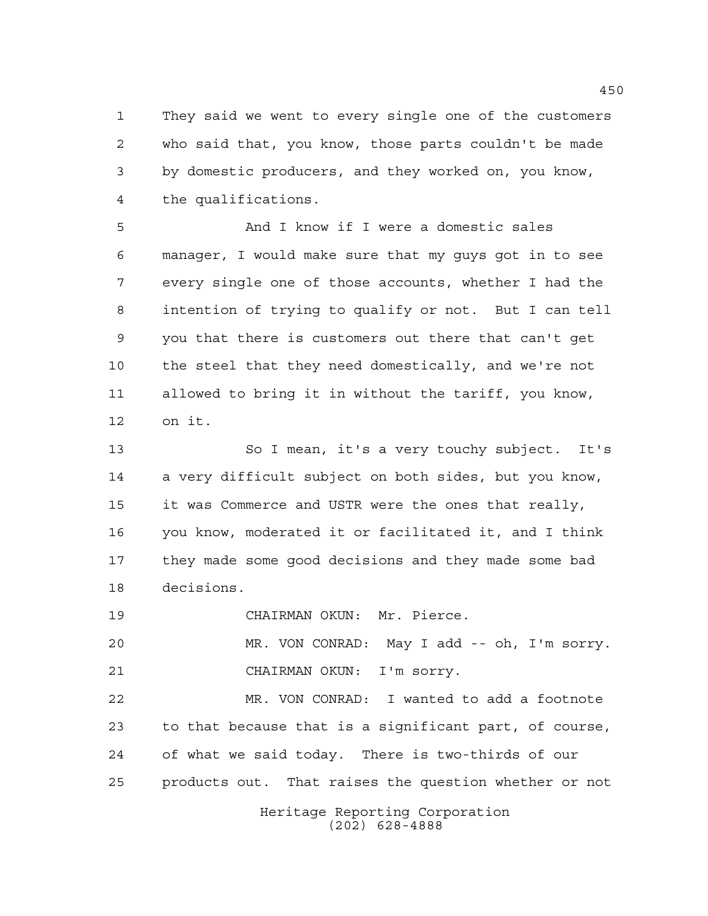They said we went to every single one of the customers who said that, you know, those parts couldn't be made by domestic producers, and they worked on, you know, the qualifications.

 And I know if I were a domestic sales manager, I would make sure that my guys got in to see every single one of those accounts, whether I had the intention of trying to qualify or not. But I can tell you that there is customers out there that can't get the steel that they need domestically, and we're not allowed to bring it in without the tariff, you know, on it.

 So I mean, it's a very touchy subject. It's a very difficult subject on both sides, but you know, it was Commerce and USTR were the ones that really, you know, moderated it or facilitated it, and I think they made some good decisions and they made some bad decisions.

CHAIRMAN OKUN: Mr. Pierce.

 MR. VON CONRAD: May I add -- oh, I'm sorry. CHAIRMAN OKUN: I'm sorry.

 MR. VON CONRAD: I wanted to add a footnote to that because that is a significant part, of course, of what we said today. There is two-thirds of our products out. That raises the question whether or not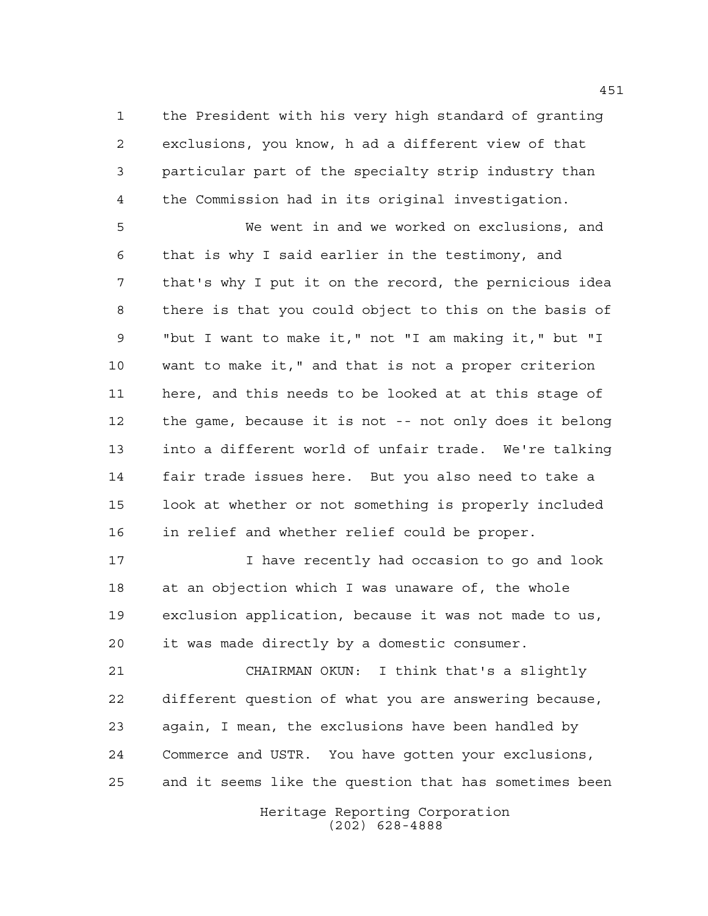the President with his very high standard of granting exclusions, you know, h ad a different view of that particular part of the specialty strip industry than the Commission had in its original investigation.

 We went in and we worked on exclusions, and that is why I said earlier in the testimony, and that's why I put it on the record, the pernicious idea there is that you could object to this on the basis of "but I want to make it," not "I am making it," but "I want to make it," and that is not a proper criterion here, and this needs to be looked at at this stage of the game, because it is not -- not only does it belong into a different world of unfair trade. We're talking fair trade issues here. But you also need to take a look at whether or not something is properly included in relief and whether relief could be proper.

 I have recently had occasion to go and look at an objection which I was unaware of, the whole exclusion application, because it was not made to us, it was made directly by a domestic consumer.

 CHAIRMAN OKUN: I think that's a slightly different question of what you are answering because, again, I mean, the exclusions have been handled by Commerce and USTR. You have gotten your exclusions, and it seems like the question that has sometimes been

> Heritage Reporting Corporation (202) 628-4888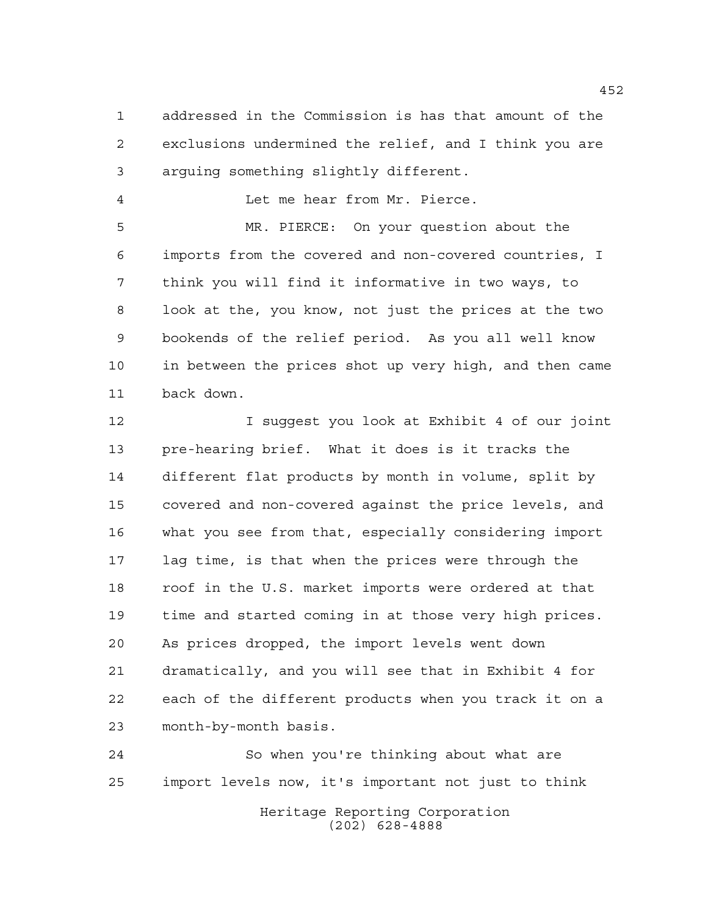addressed in the Commission is has that amount of the exclusions undermined the relief, and I think you are arguing something slightly different.

Let me hear from Mr. Pierce.

 MR. PIERCE: On your question about the imports from the covered and non-covered countries, I think you will find it informative in two ways, to look at the, you know, not just the prices at the two bookends of the relief period. As you all well know in between the prices shot up very high, and then came back down.

 I suggest you look at Exhibit 4 of our joint pre-hearing brief. What it does is it tracks the different flat products by month in volume, split by covered and non-covered against the price levels, and what you see from that, especially considering import lag time, is that when the prices were through the roof in the U.S. market imports were ordered at that time and started coming in at those very high prices. As prices dropped, the import levels went down dramatically, and you will see that in Exhibit 4 for each of the different products when you track it on a month-by-month basis.

 So when you're thinking about what are import levels now, it's important not just to think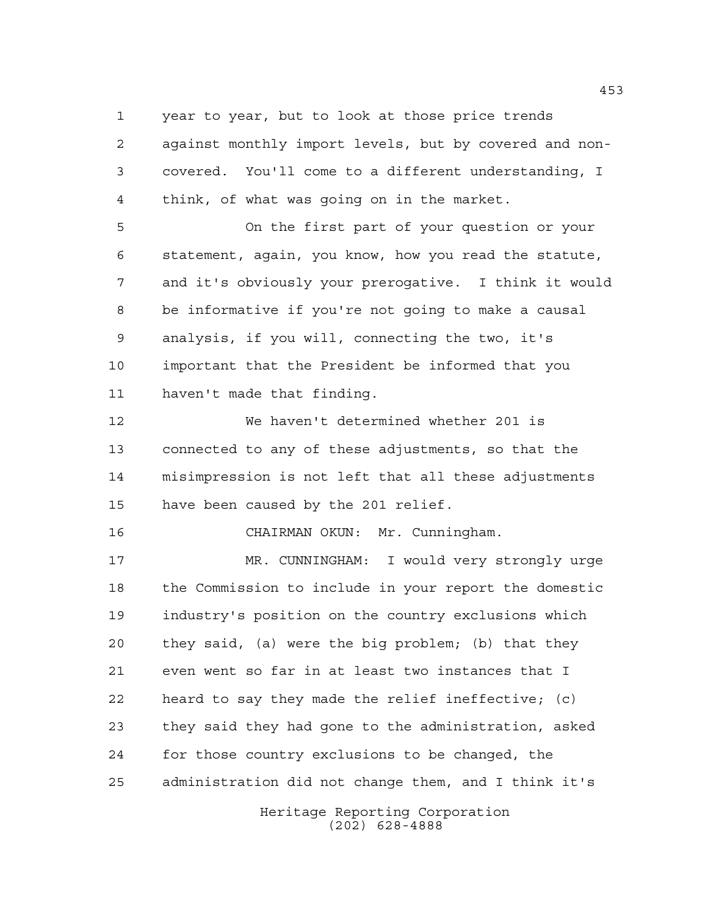year to year, but to look at those price trends

 against monthly import levels, but by covered and non- covered. You'll come to a different understanding, I think, of what was going on in the market.

 On the first part of your question or your statement, again, you know, how you read the statute, and it's obviously your prerogative. I think it would be informative if you're not going to make a causal analysis, if you will, connecting the two, it's important that the President be informed that you haven't made that finding.

 We haven't determined whether 201 is connected to any of these adjustments, so that the misimpression is not left that all these adjustments have been caused by the 201 relief.

CHAIRMAN OKUN: Mr. Cunningham.

 MR. CUNNINGHAM: I would very strongly urge the Commission to include in your report the domestic industry's position on the country exclusions which they said, (a) were the big problem; (b) that they even went so far in at least two instances that I heard to say they made the relief ineffective; (c) they said they had gone to the administration, asked for those country exclusions to be changed, the administration did not change them, and I think it's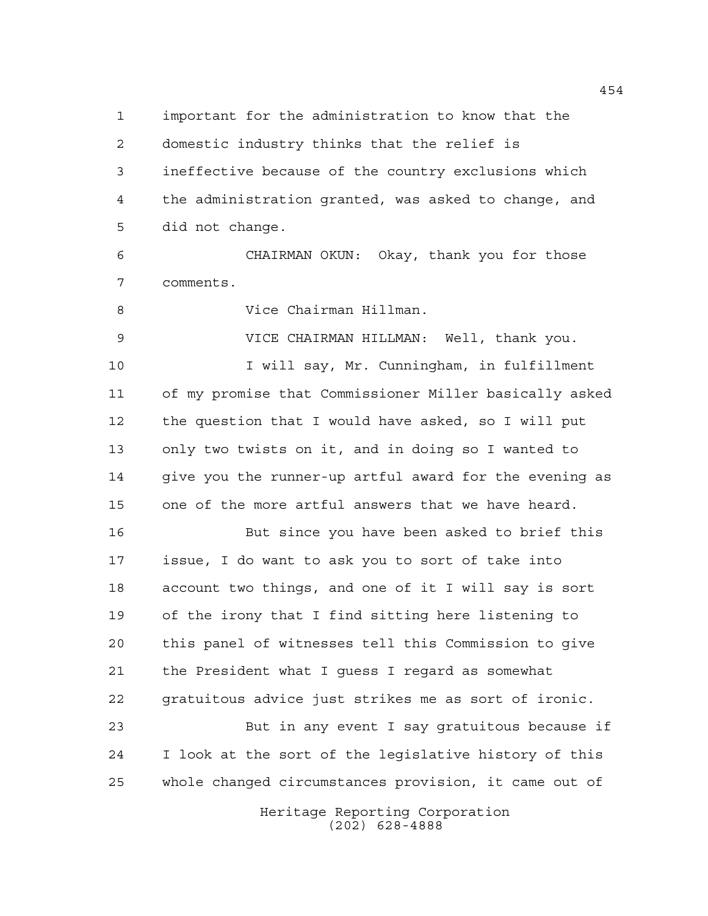important for the administration to know that the domestic industry thinks that the relief is ineffective because of the country exclusions which the administration granted, was asked to change, and did not change.

 CHAIRMAN OKUN: Okay, thank you for those comments.

Vice Chairman Hillman.

 VICE CHAIRMAN HILLMAN: Well, thank you. 10 10 I will say, Mr. Cunningham, in fulfillment of my promise that Commissioner Miller basically asked the question that I would have asked, so I will put only two twists on it, and in doing so I wanted to give you the runner-up artful award for the evening as one of the more artful answers that we have heard.

 But since you have been asked to brief this issue, I do want to ask you to sort of take into account two things, and one of it I will say is sort of the irony that I find sitting here listening to this panel of witnesses tell this Commission to give the President what I guess I regard as somewhat gratuitous advice just strikes me as sort of ironic. But in any event I say gratuitous because if

 I look at the sort of the legislative history of this whole changed circumstances provision, it came out of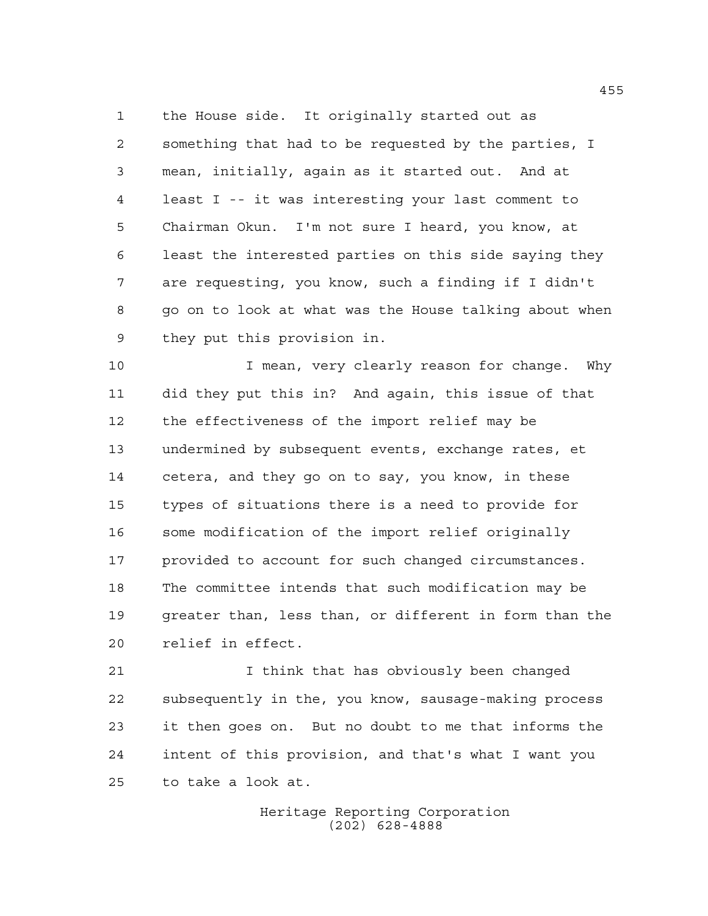the House side. It originally started out as something that had to be requested by the parties, I mean, initially, again as it started out. And at least I -- it was interesting your last comment to Chairman Okun. I'm not sure I heard, you know, at least the interested parties on this side saying they are requesting, you know, such a finding if I didn't go on to look at what was the House talking about when they put this provision in.

 I mean, very clearly reason for change. Why did they put this in? And again, this issue of that the effectiveness of the import relief may be undermined by subsequent events, exchange rates, et cetera, and they go on to say, you know, in these types of situations there is a need to provide for some modification of the import relief originally provided to account for such changed circumstances. The committee intends that such modification may be greater than, less than, or different in form than the relief in effect.

 I think that has obviously been changed subsequently in the, you know, sausage-making process it then goes on. But no doubt to me that informs the intent of this provision, and that's what I want you to take a look at.

> Heritage Reporting Corporation (202) 628-4888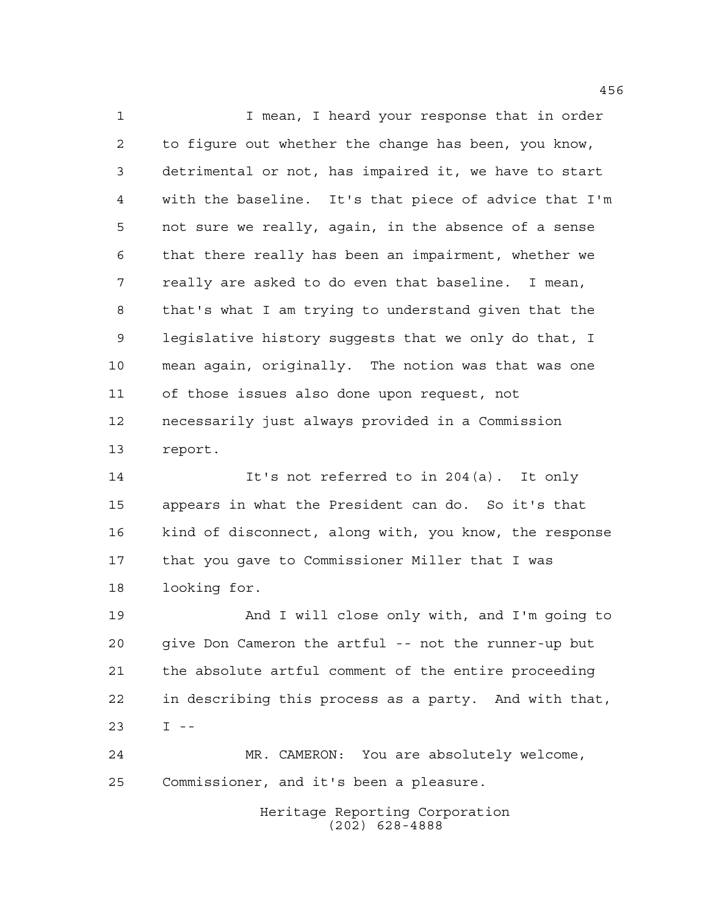1 1 I mean, I heard your response that in order to figure out whether the change has been, you know, detrimental or not, has impaired it, we have to start with the baseline. It's that piece of advice that I'm not sure we really, again, in the absence of a sense that there really has been an impairment, whether we really are asked to do even that baseline. I mean, that's what I am trying to understand given that the legislative history suggests that we only do that, I mean again, originally. The notion was that was one of those issues also done upon request, not necessarily just always provided in a Commission report.

 It's not referred to in 204(a). It only appears in what the President can do. So it's that kind of disconnect, along with, you know, the response that you gave to Commissioner Miller that I was looking for.

 And I will close only with, and I'm going to give Don Cameron the artful -- not the runner-up but the absolute artful comment of the entire proceeding in describing this process as a party. And with that, I --

 MR. CAMERON: You are absolutely welcome, Commissioner, and it's been a pleasure.

> Heritage Reporting Corporation (202) 628-4888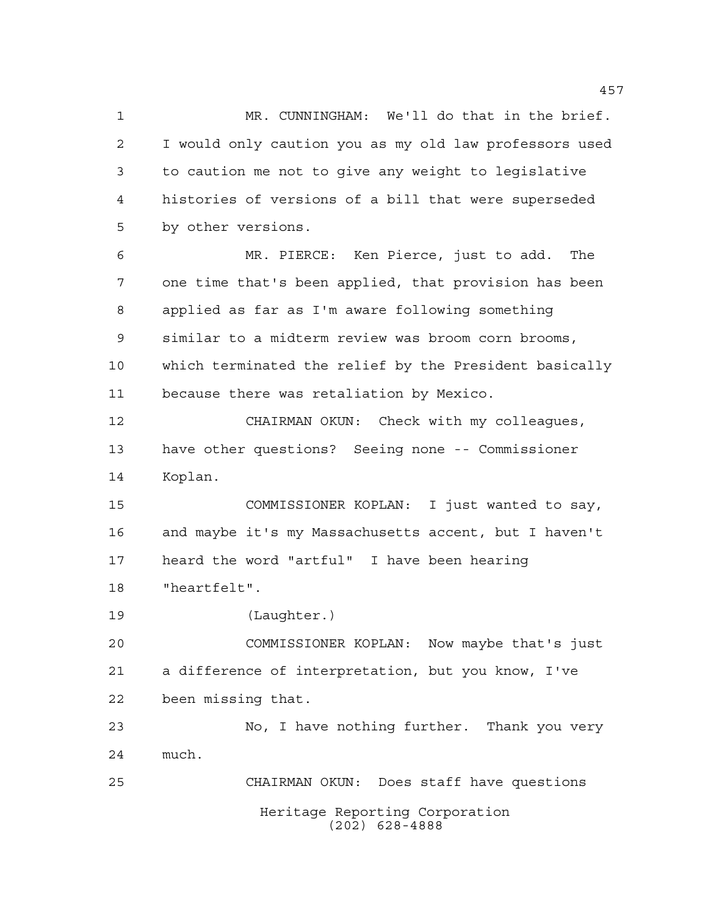MR. CUNNINGHAM: We'll do that in the brief. I would only caution you as my old law professors used to caution me not to give any weight to legislative histories of versions of a bill that were superseded by other versions.

 MR. PIERCE: Ken Pierce, just to add. The one time that's been applied, that provision has been applied as far as I'm aware following something similar to a midterm review was broom corn brooms, which terminated the relief by the President basically because there was retaliation by Mexico.

 CHAIRMAN OKUN: Check with my colleagues, have other questions? Seeing none -- Commissioner Koplan.

 COMMISSIONER KOPLAN: I just wanted to say, and maybe it's my Massachusetts accent, but I haven't heard the word "artful" I have been hearing "heartfelt".

(Laughter.)

 COMMISSIONER KOPLAN: Now maybe that's just a difference of interpretation, but you know, I've been missing that.

 No, I have nothing further. Thank you very much. CHAIRMAN OKUN: Does staff have questions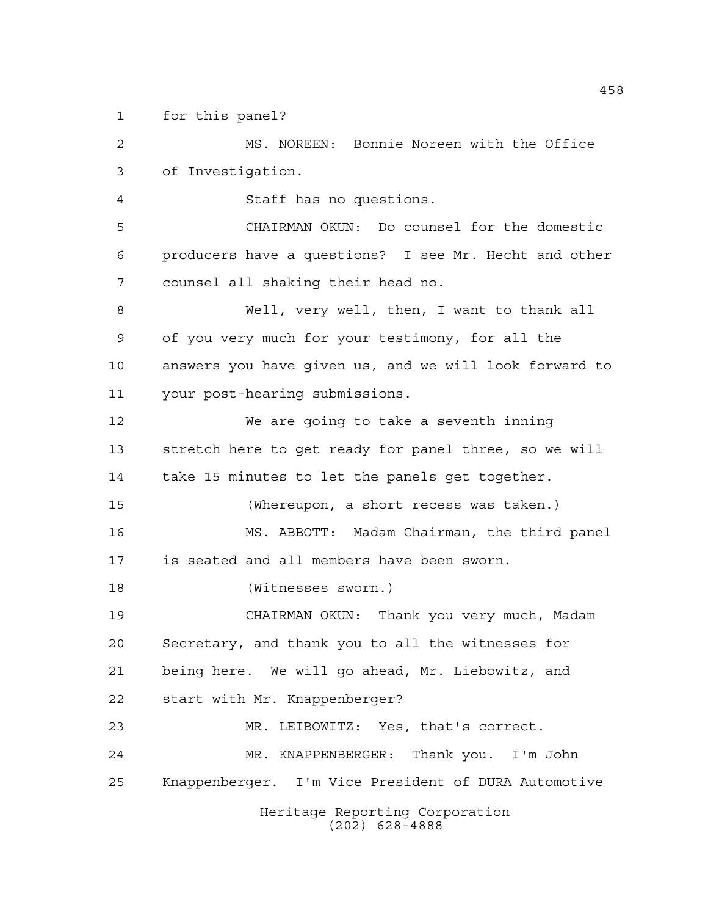for this panel?

Heritage Reporting Corporation (202) 628-4888 MS. NOREEN: Bonnie Noreen with the Office of Investigation. Staff has no questions. CHAIRMAN OKUN: Do counsel for the domestic producers have a questions? I see Mr. Hecht and other counsel all shaking their head no. Well, very well, then, I want to thank all of you very much for your testimony, for all the answers you have given us, and we will look forward to your post-hearing submissions. We are going to take a seventh inning stretch here to get ready for panel three, so we will take 15 minutes to let the panels get together. (Whereupon, a short recess was taken.) MS. ABBOTT: Madam Chairman, the third panel is seated and all members have been sworn. (Witnesses sworn.) CHAIRMAN OKUN: Thank you very much, Madam Secretary, and thank you to all the witnesses for being here. We will go ahead, Mr. Liebowitz, and start with Mr. Knappenberger? MR. LEIBOWITZ: Yes, that's correct. MR. KNAPPENBERGER: Thank you. I'm John Knappenberger. I'm Vice President of DURA Automotive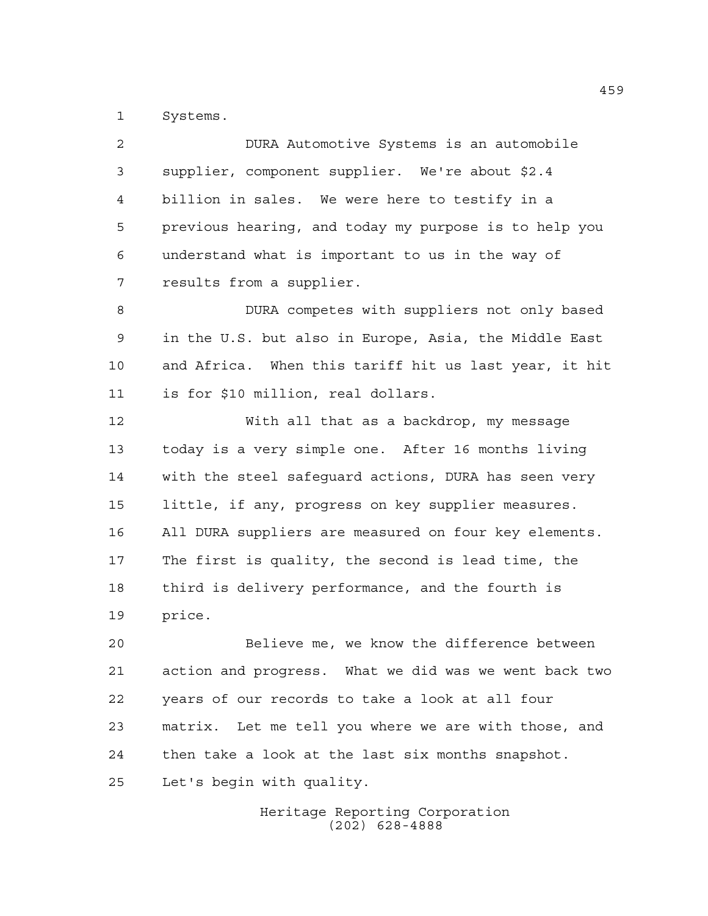Systems.

| $\overline{2}$ | DURA Automotive Systems is an automobile              |
|----------------|-------------------------------------------------------|
| 3              | supplier, component supplier. We're about \$2.4       |
| 4              | billion in sales. We were here to testify in a        |
| 5              | previous hearing, and today my purpose is to help you |
| 6              | understand what is important to us in the way of      |
| 7              | results from a supplier.                              |
| 8              | DURA competes with suppliers not only based           |
| 9              | in the U.S. but also in Europe, Asia, the Middle East |
| 10             | and Africa. When this tariff hit us last year, it hit |
| 11             | is for \$10 million, real dollars.                    |
| 12             | With all that as a backdrop, my message               |
| 13             | today is a very simple one. After 16 months living    |
| 14             | with the steel safeguard actions, DURA has seen very  |
| 15             | little, if any, progress on key supplier measures.    |
| 16             | All DURA suppliers are measured on four key elements. |
| 17             | The first is quality, the second is lead time, the    |
| 18             | third is delivery performance, and the fourth is      |
| 19             | price.                                                |
| 20             | Believe me, we know the difference between            |
| 21             | action and progress. What we did was we went back two |
| 22             | years of our records to take a look at all four       |
| 23             | matrix. Let me tell you where we are with those, and  |
| 24             | then take a look at the last six months snapshot.     |
|                |                                                       |

Let's begin with quality.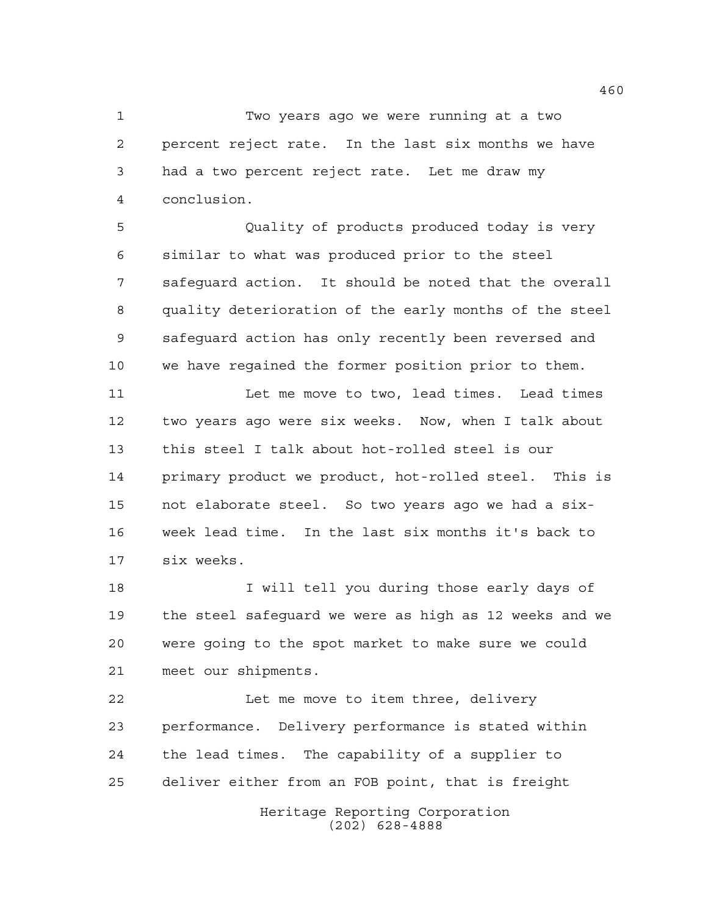Two years ago we were running at a two percent reject rate. In the last six months we have had a two percent reject rate. Let me draw my conclusion.

 Quality of products produced today is very similar to what was produced prior to the steel safeguard action. It should be noted that the overall quality deterioration of the early months of the steel safeguard action has only recently been reversed and we have regained the former position prior to them.

11 Let me move to two, lead times. Lead times two years ago were six weeks. Now, when I talk about this steel I talk about hot-rolled steel is our primary product we product, hot-rolled steel. This is not elaborate steel. So two years ago we had a six- week lead time. In the last six months it's back to six weeks.

 I will tell you during those early days of the steel safeguard we were as high as 12 weeks and we were going to the spot market to make sure we could meet our shipments.

 Let me move to item three, delivery performance. Delivery performance is stated within the lead times. The capability of a supplier to deliver either from an FOB point, that is freight

> Heritage Reporting Corporation (202) 628-4888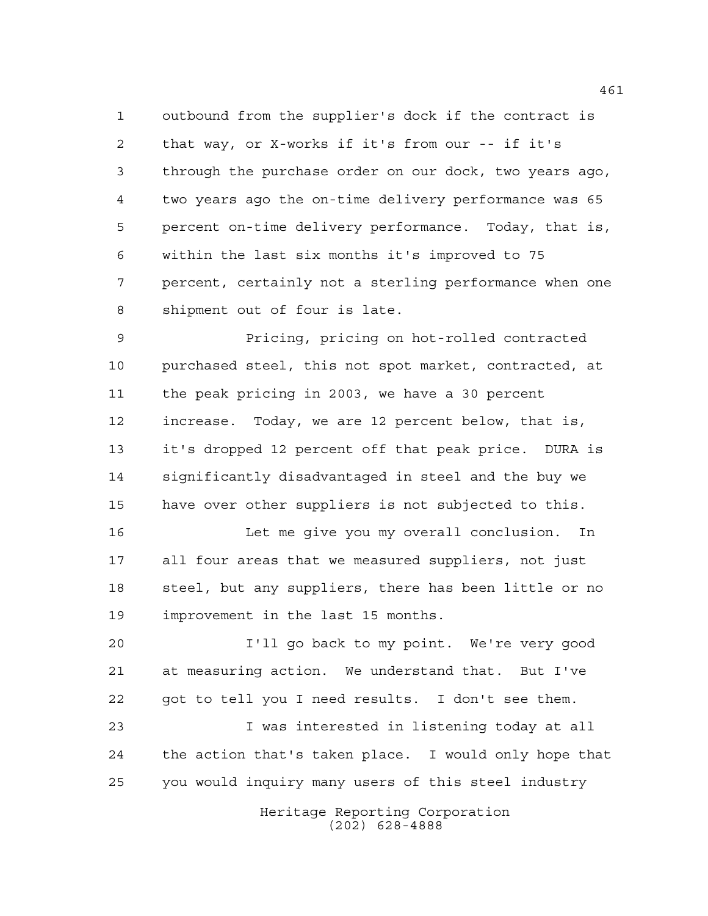outbound from the supplier's dock if the contract is that way, or X-works if it's from our -- if it's through the purchase order on our dock, two years ago, two years ago the on-time delivery performance was 65 percent on-time delivery performance. Today, that is, within the last six months it's improved to 75 percent, certainly not a sterling performance when one shipment out of four is late.

 Pricing, pricing on hot-rolled contracted purchased steel, this not spot market, contracted, at the peak pricing in 2003, we have a 30 percent increase. Today, we are 12 percent below, that is, it's dropped 12 percent off that peak price. DURA is significantly disadvantaged in steel and the buy we have over other suppliers is not subjected to this.

 Let me give you my overall conclusion. In all four areas that we measured suppliers, not just steel, but any suppliers, there has been little or no improvement in the last 15 months.

 I'll go back to my point. We're very good at measuring action. We understand that. But I've got to tell you I need results. I don't see them.

 I was interested in listening today at all the action that's taken place. I would only hope that you would inquiry many users of this steel industry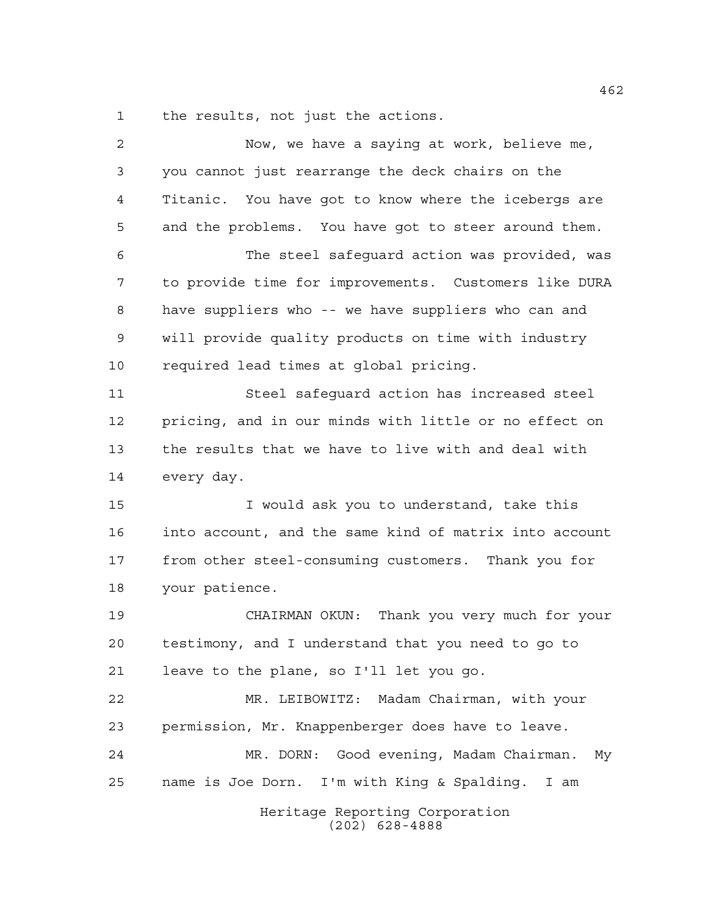the results, not just the actions.

| $\overline{a}$ | Now, we have a saying at work, believe me,             |
|----------------|--------------------------------------------------------|
| 3              | you cannot just rearrange the deck chairs on the       |
| 4              | Titanic. You have got to know where the icebergs are   |
| 5              | and the problems. You have got to steer around them.   |
| 6              | The steel safeguard action was provided, was           |
| 7              | to provide time for improvements. Customers like DURA  |
| 8              | have suppliers who -- we have suppliers who can and    |
| 9              | will provide quality products on time with industry    |
| 10             | required lead times at global pricing.                 |
| 11             | Steel safeguard action has increased steel             |
| 12             | pricing, and in our minds with little or no effect on  |
| 13             | the results that we have to live with and deal with    |
| 14             | every day.                                             |
| 15             | I would ask you to understand, take this               |
| 16             | into account, and the same kind of matrix into account |
| 17             | from other steel-consuming customers. Thank you for    |
| 18             | your patience.                                         |
| 19             | CHAIRMAN OKUN: Thank you very much for your            |
| 20             | testimony, and I understand that you need to go to     |
| 21             | leave to the plane, so I'll let you go.                |
| 22             | MR. LEIBOWITZ: Madam Chairman, with your               |
| 23             | permission, Mr. Knappenberger does have to leave.      |
| 24             | MR. DORN: Good evening, Madam Chairman.<br>Мy          |
| 25             | name is Joe Dorn. I'm with King & Spalding. I am       |
|                | Heritage Reporting Corporation<br>$(202)$ 628-4888     |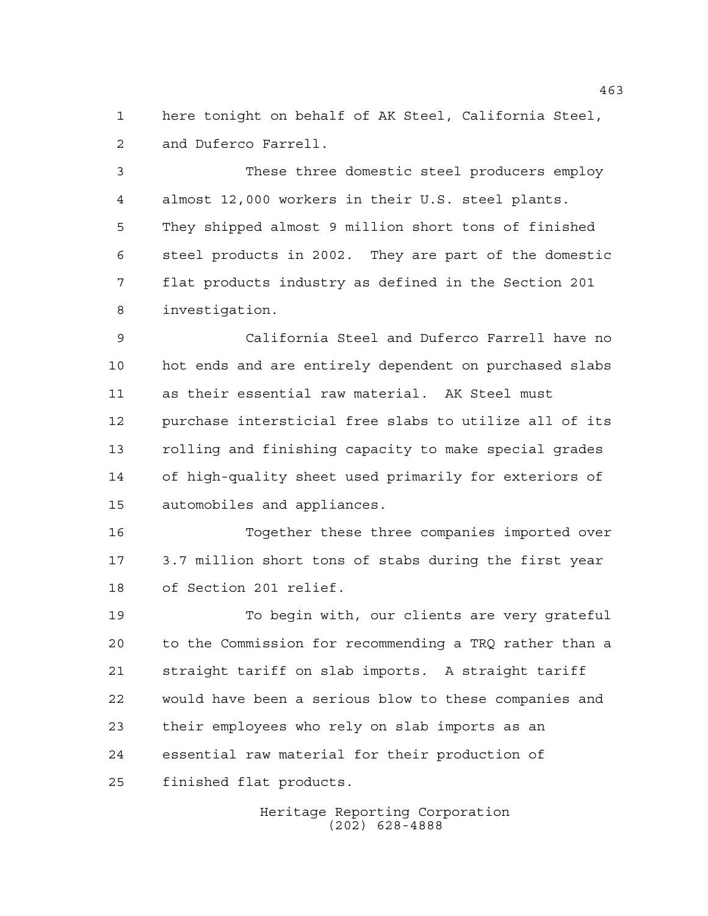here tonight on behalf of AK Steel, California Steel, and Duferco Farrell.

 These three domestic steel producers employ almost 12,000 workers in their U.S. steel plants. They shipped almost 9 million short tons of finished steel products in 2002. They are part of the domestic flat products industry as defined in the Section 201 investigation.

 California Steel and Duferco Farrell have no hot ends and are entirely dependent on purchased slabs as their essential raw material. AK Steel must purchase intersticial free slabs to utilize all of its rolling and finishing capacity to make special grades of high-quality sheet used primarily for exteriors of automobiles and appliances.

 Together these three companies imported over 3.7 million short tons of stabs during the first year of Section 201 relief.

 To begin with, our clients are very grateful to the Commission for recommending a TRQ rather than a straight tariff on slab imports. A straight tariff would have been a serious blow to these companies and their employees who rely on slab imports as an essential raw material for their production of finished flat products.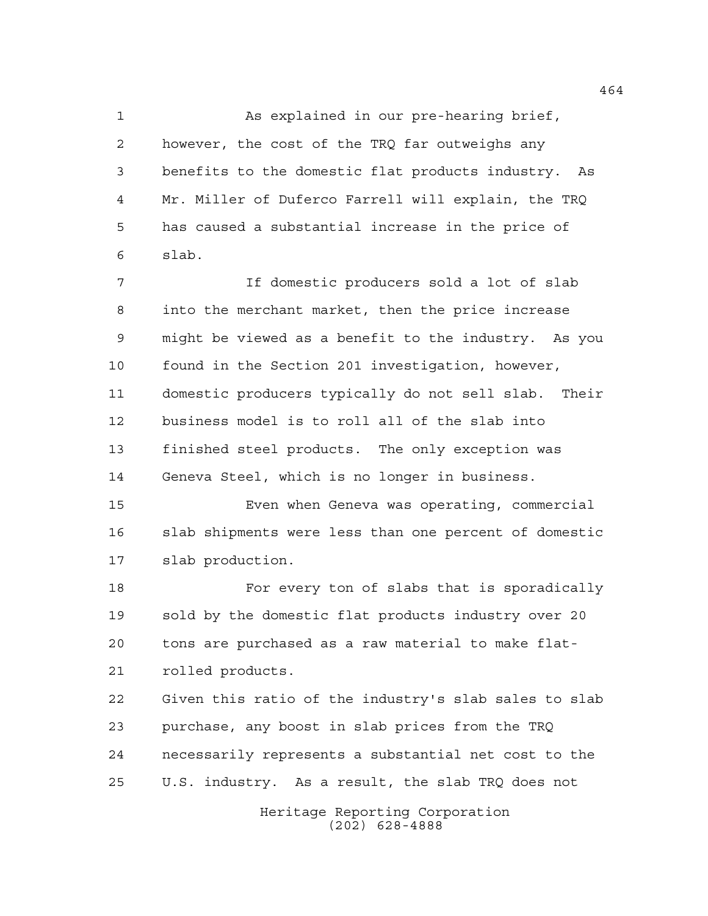As explained in our pre-hearing brief, however, the cost of the TRQ far outweighs any benefits to the domestic flat products industry. As Mr. Miller of Duferco Farrell will explain, the TRQ has caused a substantial increase in the price of slab.

 If domestic producers sold a lot of slab into the merchant market, then the price increase might be viewed as a benefit to the industry. As you found in the Section 201 investigation, however, domestic producers typically do not sell slab. Their business model is to roll all of the slab into finished steel products. The only exception was Geneva Steel, which is no longer in business.

 Even when Geneva was operating, commercial slab shipments were less than one percent of domestic slab production.

 For every ton of slabs that is sporadically sold by the domestic flat products industry over 20 tons are purchased as a raw material to make flat-rolled products.

 Given this ratio of the industry's slab sales to slab purchase, any boost in slab prices from the TRQ necessarily represents a substantial net cost to the U.S. industry. As a result, the slab TRQ does not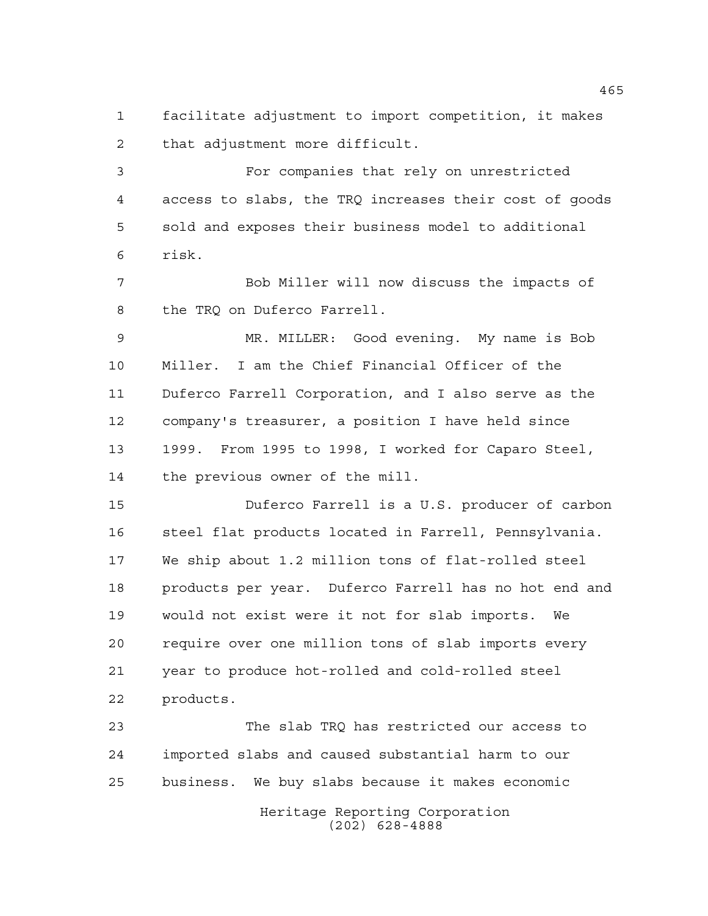facilitate adjustment to import competition, it makes that adjustment more difficult.

 For companies that rely on unrestricted access to slabs, the TRQ increases their cost of goods sold and exposes their business model to additional risk.

 Bob Miller will now discuss the impacts of the TRQ on Duferco Farrell.

 MR. MILLER: Good evening. My name is Bob Miller. I am the Chief Financial Officer of the Duferco Farrell Corporation, and I also serve as the company's treasurer, a position I have held since 1999. From 1995 to 1998, I worked for Caparo Steel, the previous owner of the mill.

 Duferco Farrell is a U.S. producer of carbon 16 steel flat products located in Farrell, Pennsylvania. We ship about 1.2 million tons of flat-rolled steel products per year. Duferco Farrell has no hot end and would not exist were it not for slab imports. We require over one million tons of slab imports every year to produce hot-rolled and cold-rolled steel products.

 The slab TRQ has restricted our access to imported slabs and caused substantial harm to our business. We buy slabs because it makes economic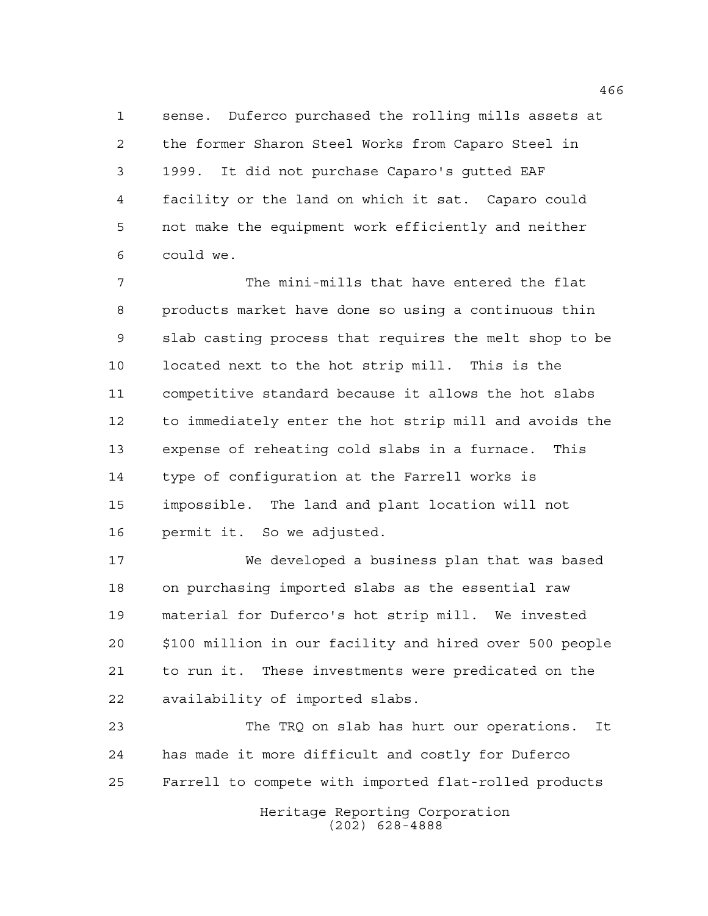sense. Duferco purchased the rolling mills assets at the former Sharon Steel Works from Caparo Steel in 1999. It did not purchase Caparo's gutted EAF facility or the land on which it sat. Caparo could not make the equipment work efficiently and neither could we.

 The mini-mills that have entered the flat products market have done so using a continuous thin slab casting process that requires the melt shop to be located next to the hot strip mill. This is the competitive standard because it allows the hot slabs to immediately enter the hot strip mill and avoids the expense of reheating cold slabs in a furnace. This type of configuration at the Farrell works is impossible. The land and plant location will not permit it. So we adjusted.

 We developed a business plan that was based on purchasing imported slabs as the essential raw material for Duferco's hot strip mill. We invested \$100 million in our facility and hired over 500 people to run it. These investments were predicated on the availability of imported slabs.

 The TRQ on slab has hurt our operations. It has made it more difficult and costly for Duferco Farrell to compete with imported flat-rolled products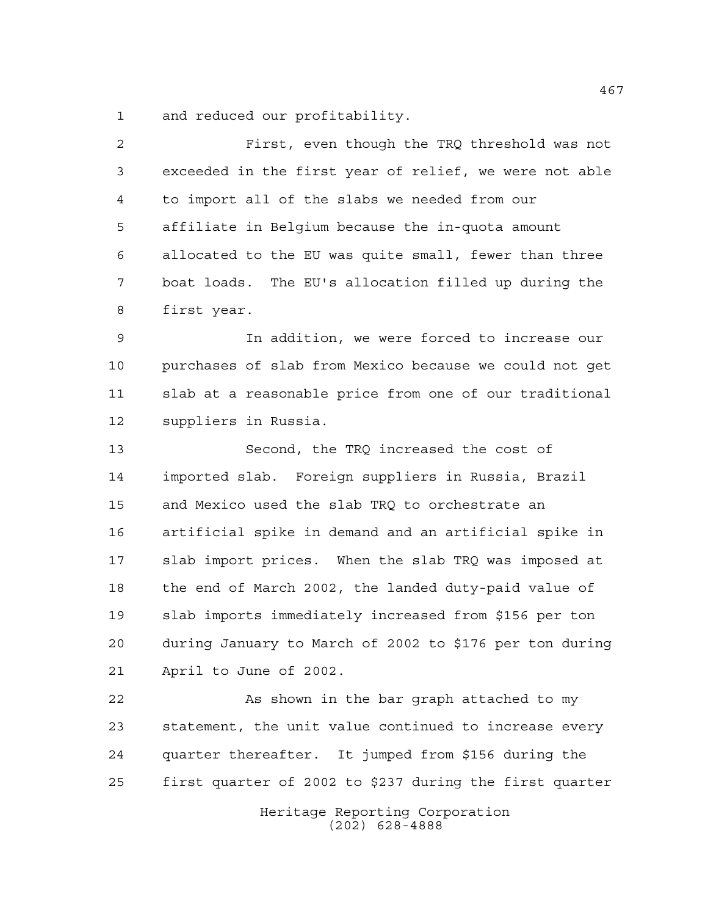and reduced our profitability.

| $\overline{a}$ | First, even though the TRQ threshold was not            |
|----------------|---------------------------------------------------------|
| 3              | exceeded in the first year of relief, we were not able  |
| 4              | to import all of the slabs we needed from our           |
| 5              | affiliate in Belgium because the in-quota amount        |
| 6              | allocated to the EU was quite small, fewer than three   |
| 7              | boat loads. The EU's allocation filled up during the    |
| 8              | first year.                                             |
| $\mathsf 9$    | In addition, we were forced to increase our             |
| 10             | purchases of slab from Mexico because we could not get  |
| 11             | slab at a reasonable price from one of our traditional  |
| 12             | suppliers in Russia.                                    |
| 13             | Second, the TRQ increased the cost of                   |
| 14             | imported slab. Foreign suppliers in Russia, Brazil      |
| 15             | and Mexico used the slab TRQ to orchestrate an          |
| 16             | artificial spike in demand and an artificial spike in   |
| 17             | slab import prices. When the slab TRQ was imposed at    |
| 18             | the end of March 2002, the landed duty-paid value of    |
| 19             | slab imports immediately increased from \$156 per ton   |
| 20             | during January to March of 2002 to \$176 per ton during |
| 21             | April to June of 2002.                                  |
| 22             | As shown in the bar graph attached to my                |
| 23             | statement, the unit value continued to increase every   |
| 24             | quarter thereafter. It jumped from \$156 during the     |

first quarter of 2002 to \$237 during the first quarter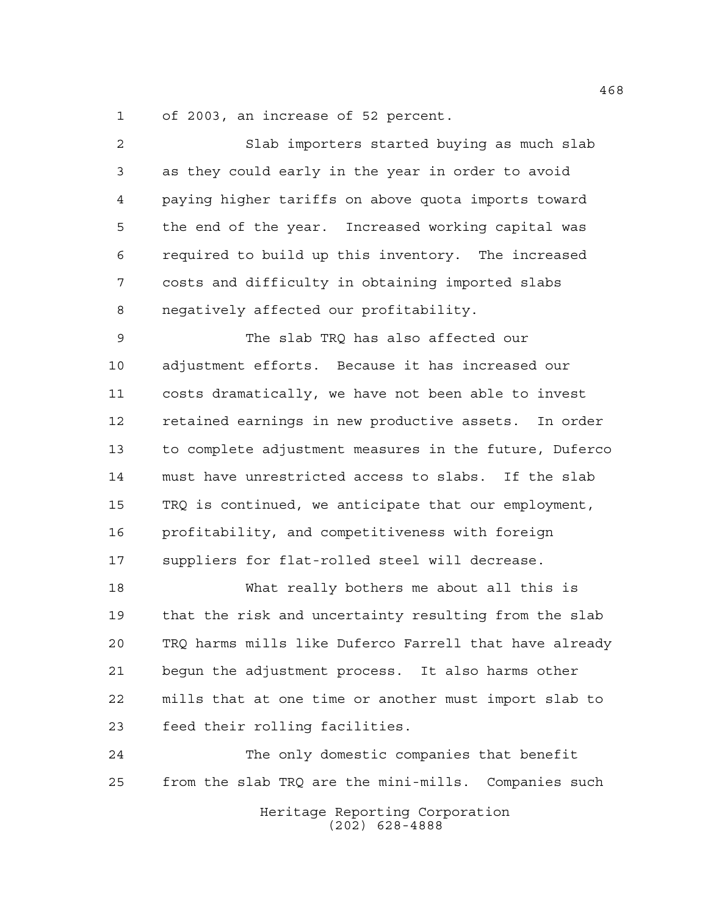of 2003, an increase of 52 percent.

 Slab importers started buying as much slab as they could early in the year in order to avoid paying higher tariffs on above quota imports toward the end of the year. Increased working capital was required to build up this inventory. The increased costs and difficulty in obtaining imported slabs negatively affected our profitability. The slab TRQ has also affected our adjustment efforts. Because it has increased our costs dramatically, we have not been able to invest retained earnings in new productive assets. In order to complete adjustment measures in the future, Duferco must have unrestricted access to slabs. If the slab TRQ is continued, we anticipate that our employment, profitability, and competitiveness with foreign suppliers for flat-rolled steel will decrease. What really bothers me about all this is that the risk and uncertainty resulting from the slab TRQ harms mills like Duferco Farrell that have already begun the adjustment process. It also harms other mills that at one time or another must import slab to feed their rolling facilities. The only domestic companies that benefit from the slab TRQ are the mini-mills. Companies such

> Heritage Reporting Corporation (202) 628-4888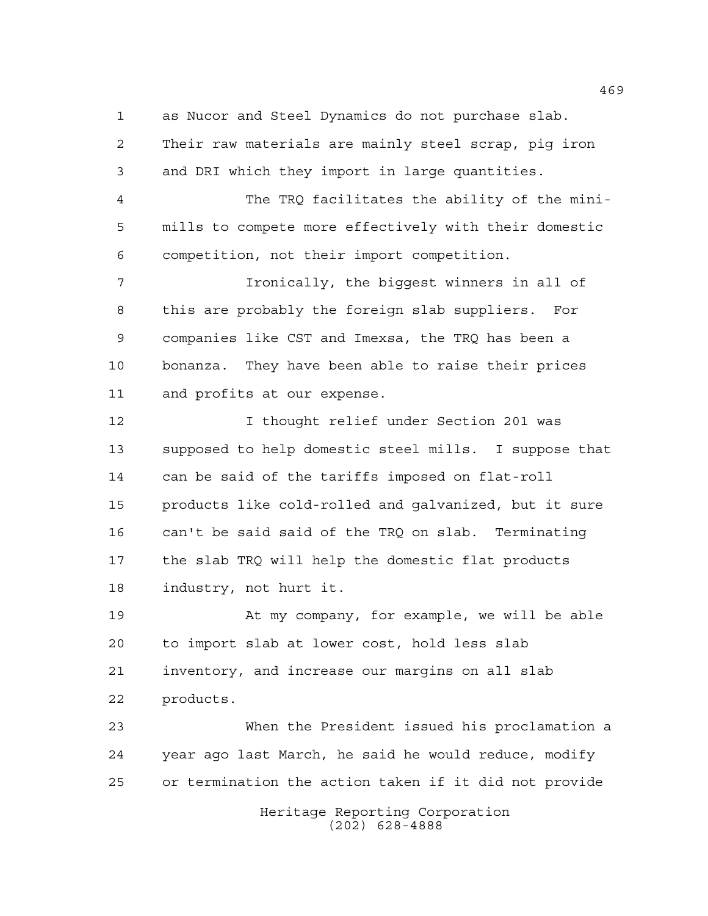as Nucor and Steel Dynamics do not purchase slab. Their raw materials are mainly steel scrap, pig iron and DRI which they import in large quantities.

 The TRQ facilitates the ability of the mini- mills to compete more effectively with their domestic competition, not their import competition.

 Ironically, the biggest winners in all of this are probably the foreign slab suppliers. For companies like CST and Imexsa, the TRQ has been a bonanza. They have been able to raise their prices and profits at our expense.

 I thought relief under Section 201 was supposed to help domestic steel mills. I suppose that can be said of the tariffs imposed on flat-roll products like cold-rolled and galvanized, but it sure can't be said said of the TRQ on slab. Terminating the slab TRQ will help the domestic flat products industry, not hurt it.

 At my company, for example, we will be able to import slab at lower cost, hold less slab inventory, and increase our margins on all slab products.

 When the President issued his proclamation a year ago last March, he said he would reduce, modify or termination the action taken if it did not provide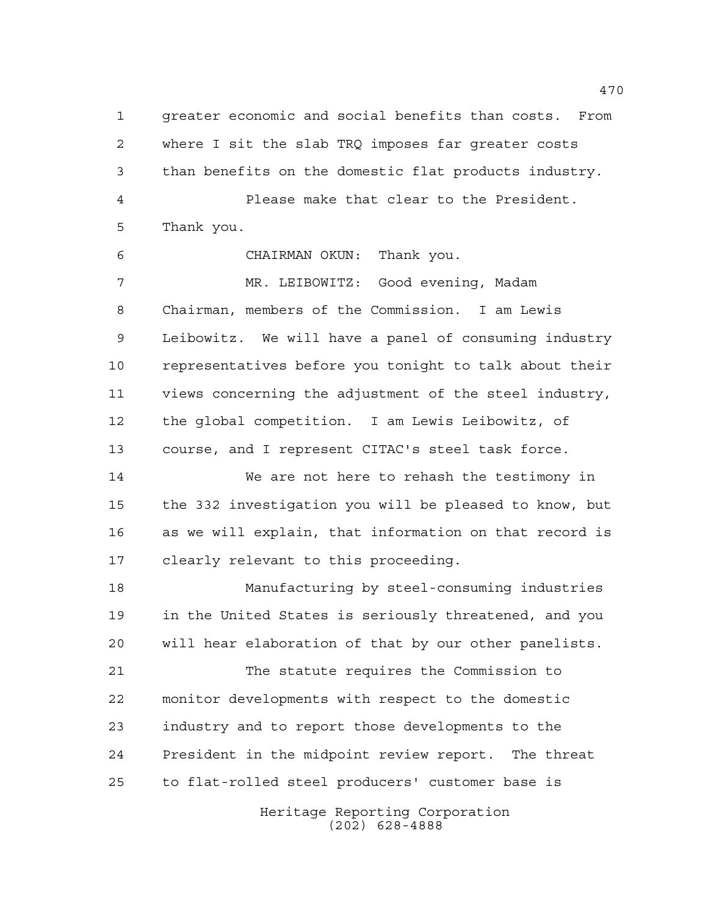greater economic and social benefits than costs. From where I sit the slab TRQ imposes far greater costs than benefits on the domestic flat products industry. Please make that clear to the President. Thank you.

CHAIRMAN OKUN: Thank you.

 MR. LEIBOWITZ: Good evening, Madam Chairman, members of the Commission. I am Lewis Leibowitz. We will have a panel of consuming industry representatives before you tonight to talk about their views concerning the adjustment of the steel industry, the global competition. I am Lewis Leibowitz, of course, and I represent CITAC's steel task force.

 We are not here to rehash the testimony in the 332 investigation you will be pleased to know, but as we will explain, that information on that record is clearly relevant to this proceeding.

 Manufacturing by steel-consuming industries in the United States is seriously threatened, and you will hear elaboration of that by our other panelists.

 The statute requires the Commission to monitor developments with respect to the domestic industry and to report those developments to the President in the midpoint review report. The threat to flat-rolled steel producers' customer base is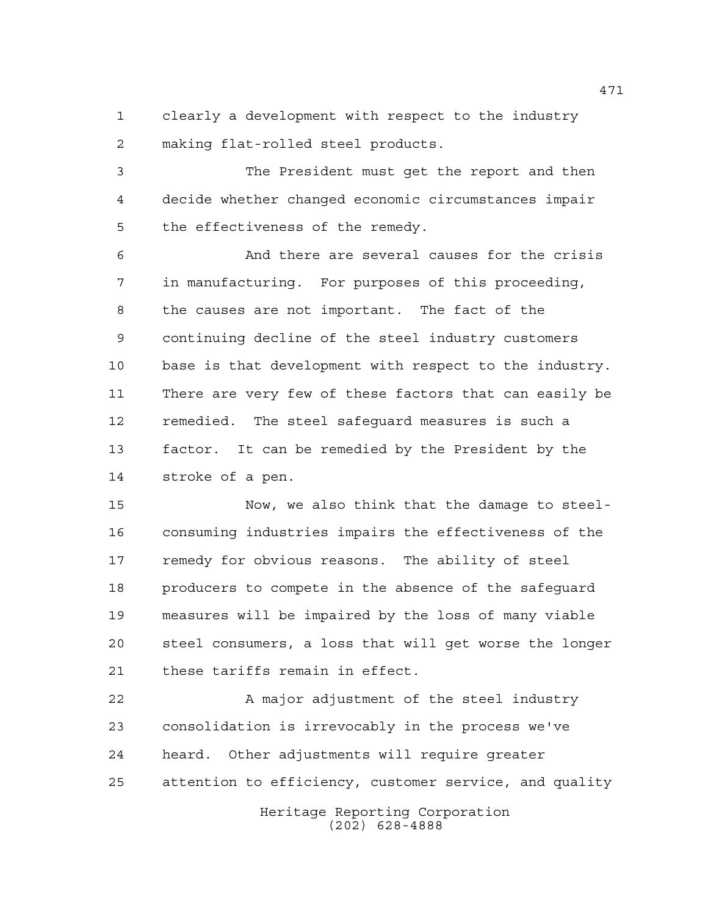clearly a development with respect to the industry making flat-rolled steel products.

 The President must get the report and then decide whether changed economic circumstances impair the effectiveness of the remedy.

 And there are several causes for the crisis in manufacturing. For purposes of this proceeding, the causes are not important. The fact of the continuing decline of the steel industry customers base is that development with respect to the industry. There are very few of these factors that can easily be remedied. The steel safeguard measures is such a factor. It can be remedied by the President by the stroke of a pen.

 Now, we also think that the damage to steel- consuming industries impairs the effectiveness of the remedy for obvious reasons. The ability of steel producers to compete in the absence of the safeguard measures will be impaired by the loss of many viable steel consumers, a loss that will get worse the longer these tariffs remain in effect.

22 A major adjustment of the steel industry consolidation is irrevocably in the process we've heard. Other adjustments will require greater attention to efficiency, customer service, and quality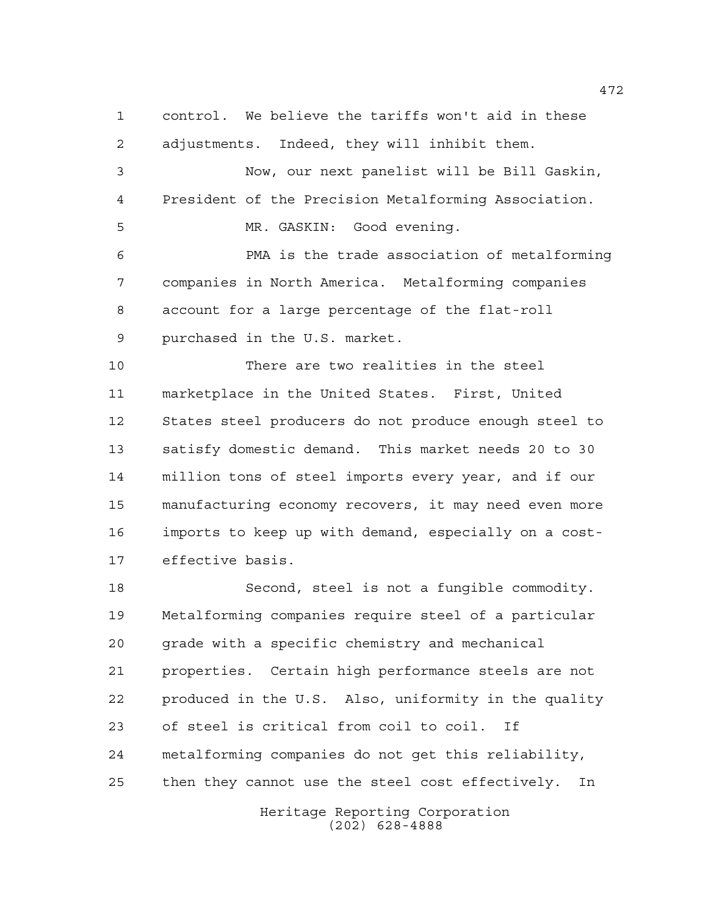control. We believe the tariffs won't aid in these adjustments. Indeed, they will inhibit them. Now, our next panelist will be Bill Gaskin, President of the Precision Metalforming Association. MR. GASKIN: Good evening. PMA is the trade association of metalforming companies in North America. Metalforming companies account for a large percentage of the flat-roll purchased in the U.S. market. There are two realities in the steel marketplace in the United States. First, United States steel producers do not produce enough steel to satisfy domestic demand. This market needs 20 to 30 million tons of steel imports every year, and if our manufacturing economy recovers, it may need even more imports to keep up with demand, especially on a cost- effective basis. Second, steel is not a fungible commodity. Metalforming companies require steel of a particular grade with a specific chemistry and mechanical properties. Certain high performance steels are not

 produced in the U.S. Also, uniformity in the quality of steel is critical from coil to coil. If metalforming companies do not get this reliability, then they cannot use the steel cost effectively. In

> Heritage Reporting Corporation (202) 628-4888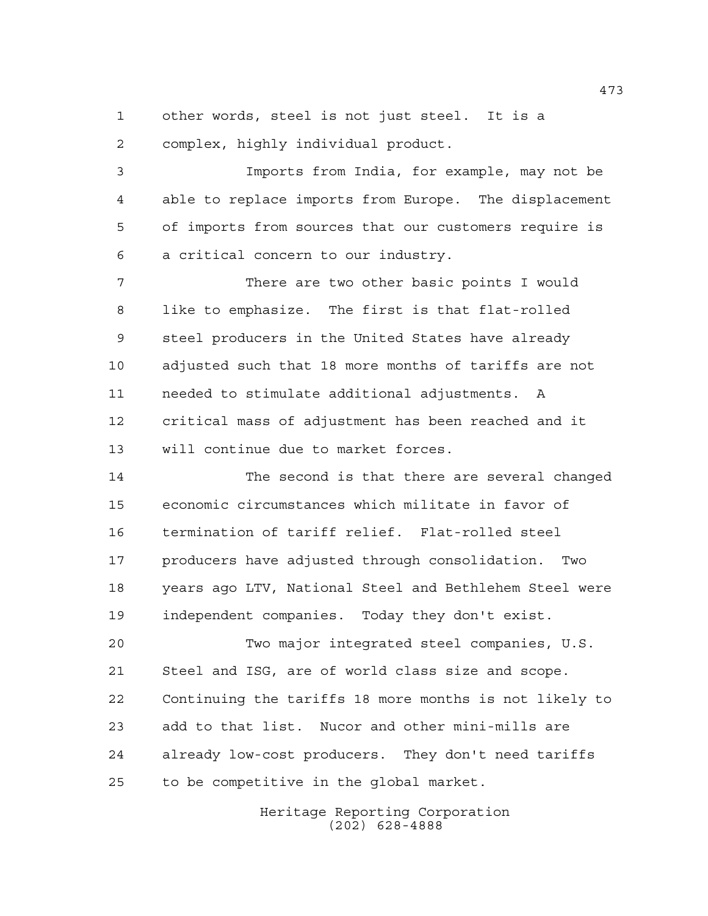other words, steel is not just steel. It is a complex, highly individual product.

 Imports from India, for example, may not be able to replace imports from Europe. The displacement of imports from sources that our customers require is a critical concern to our industry.

 There are two other basic points I would like to emphasize. The first is that flat-rolled steel producers in the United States have already adjusted such that 18 more months of tariffs are not needed to stimulate additional adjustments. A critical mass of adjustment has been reached and it will continue due to market forces.

 The second is that there are several changed economic circumstances which militate in favor of termination of tariff relief. Flat-rolled steel producers have adjusted through consolidation. Two years ago LTV, National Steel and Bethlehem Steel were independent companies. Today they don't exist.

 Two major integrated steel companies, U.S. Steel and ISG, are of world class size and scope. Continuing the tariffs 18 more months is not likely to add to that list. Nucor and other mini-mills are already low-cost producers. They don't need tariffs to be competitive in the global market.

> Heritage Reporting Corporation (202) 628-4888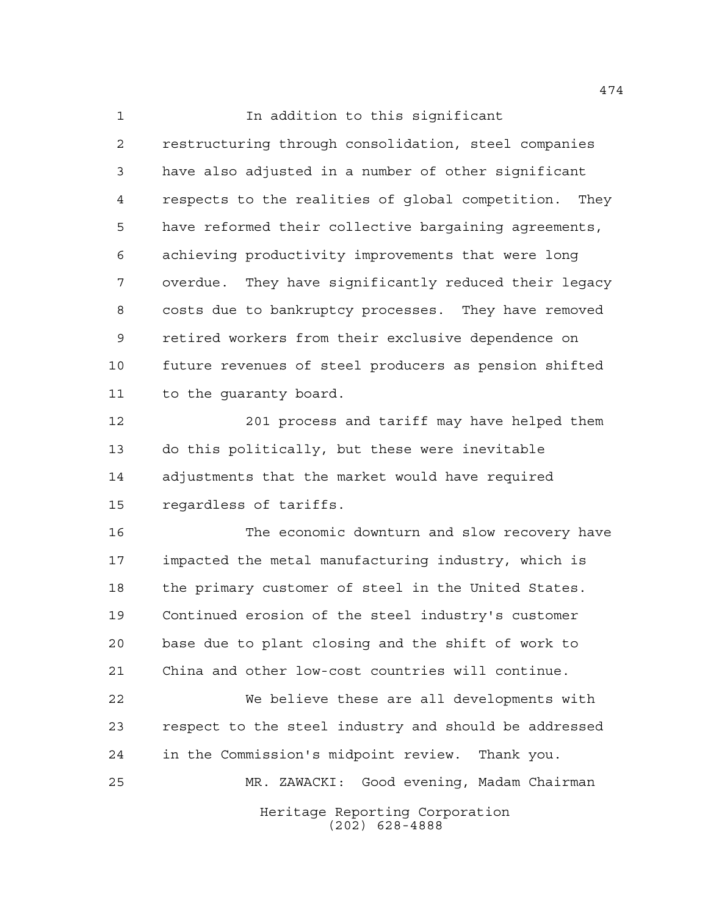**In addition to this significant**  restructuring through consolidation, steel companies have also adjusted in a number of other significant respects to the realities of global competition. They have reformed their collective bargaining agreements, achieving productivity improvements that were long overdue. They have significantly reduced their legacy costs due to bankruptcy processes. They have removed retired workers from their exclusive dependence on future revenues of steel producers as pension shifted to the guaranty board.

 201 process and tariff may have helped them do this politically, but these were inevitable adjustments that the market would have required regardless of tariffs.

 The economic downturn and slow recovery have impacted the metal manufacturing industry, which is 18 the primary customer of steel in the United States. Continued erosion of the steel industry's customer base due to plant closing and the shift of work to China and other low-cost countries will continue.

 We believe these are all developments with respect to the steel industry and should be addressed in the Commission's midpoint review. Thank you. MR. ZAWACKI: Good evening, Madam Chairman

> Heritage Reporting Corporation (202) 628-4888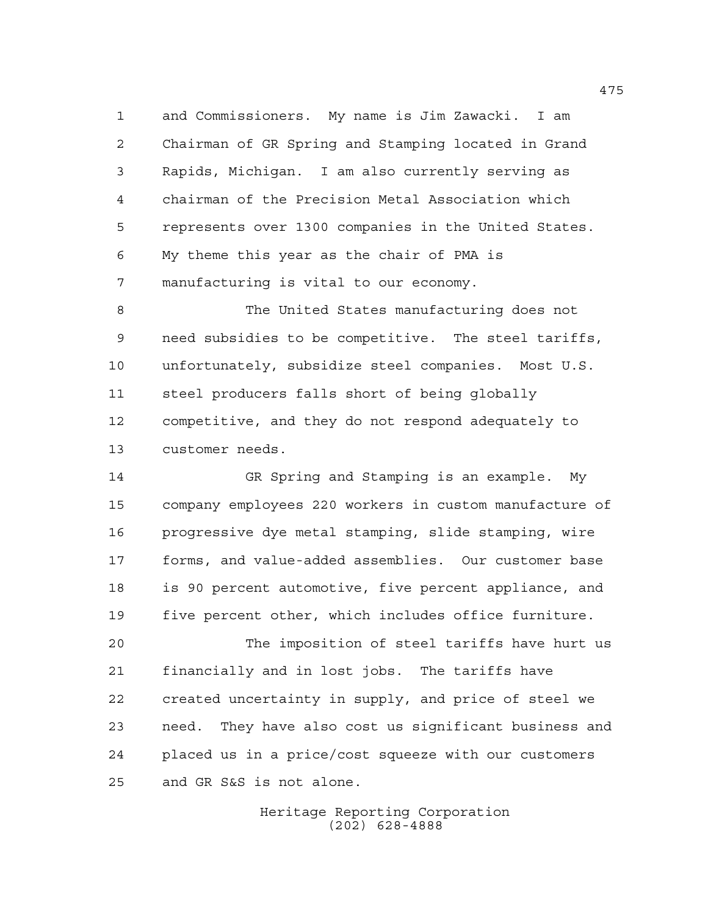and Commissioners. My name is Jim Zawacki. I am Chairman of GR Spring and Stamping located in Grand Rapids, Michigan. I am also currently serving as chairman of the Precision Metal Association which represents over 1300 companies in the United States. My theme this year as the chair of PMA is manufacturing is vital to our economy.

 The United States manufacturing does not need subsidies to be competitive. The steel tariffs, unfortunately, subsidize steel companies. Most U.S. steel producers falls short of being globally competitive, and they do not respond adequately to customer needs.

 GR Spring and Stamping is an example. My company employees 220 workers in custom manufacture of progressive dye metal stamping, slide stamping, wire forms, and value-added assemblies. Our customer base is 90 percent automotive, five percent appliance, and five percent other, which includes office furniture.

 The imposition of steel tariffs have hurt us financially and in lost jobs. The tariffs have created uncertainty in supply, and price of steel we need. They have also cost us significant business and placed us in a price/cost squeeze with our customers and GR S&S is not alone.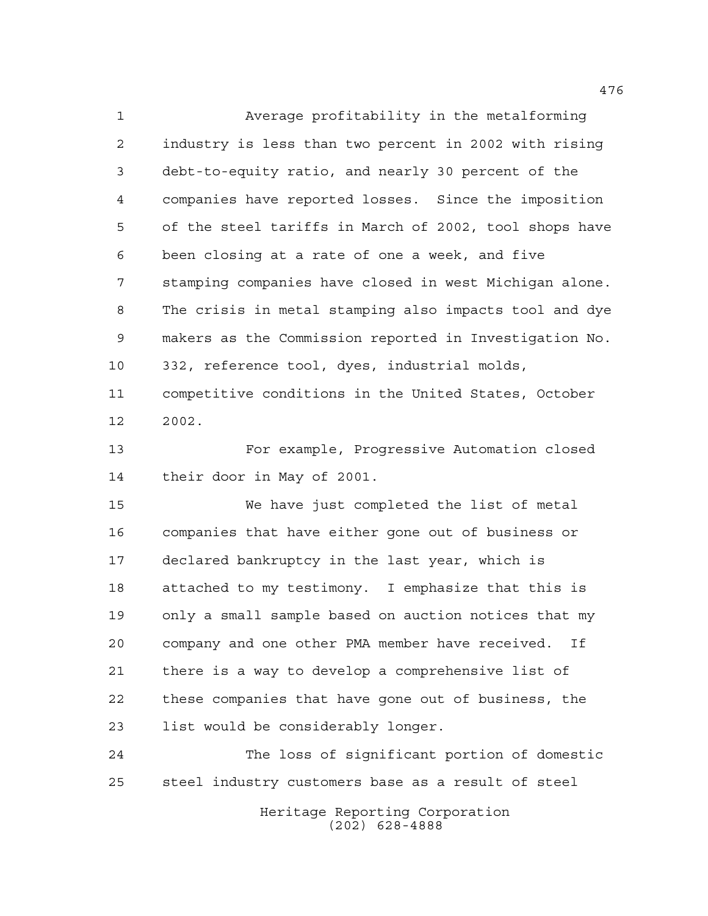Average profitability in the metalforming industry is less than two percent in 2002 with rising debt-to-equity ratio, and nearly 30 percent of the companies have reported losses. Since the imposition of the steel tariffs in March of 2002, tool shops have been closing at a rate of one a week, and five stamping companies have closed in west Michigan alone. The crisis in metal stamping also impacts tool and dye makers as the Commission reported in Investigation No. 332, reference tool, dyes, industrial molds, competitive conditions in the United States, October 2002. For example, Progressive Automation closed their door in May of 2001. We have just completed the list of metal companies that have either gone out of business or declared bankruptcy in the last year, which is attached to my testimony. I emphasize that this is

 The loss of significant portion of domestic steel industry customers base as a result of steel

only a small sample based on auction notices that my

company and one other PMA member have received. If

these companies that have gone out of business, the

there is a way to develop a comprehensive list of

list would be considerably longer.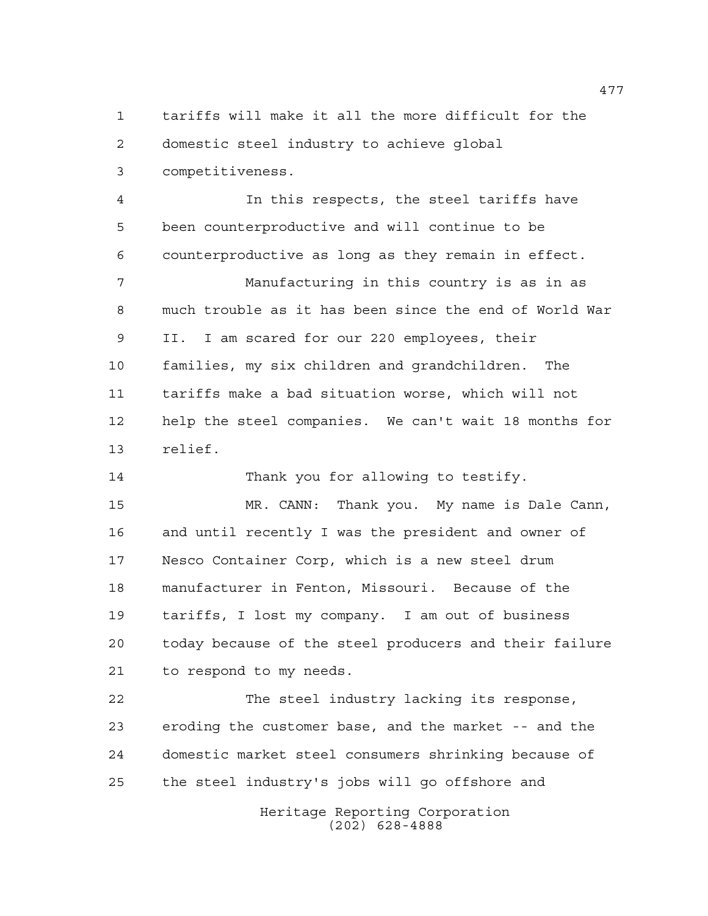tariffs will make it all the more difficult for the domestic steel industry to achieve global competitiveness.

 In this respects, the steel tariffs have been counterproductive and will continue to be counterproductive as long as they remain in effect.

 Manufacturing in this country is as in as much trouble as it has been since the end of World War II. I am scared for our 220 employees, their families, my six children and grandchildren. The tariffs make a bad situation worse, which will not help the steel companies. We can't wait 18 months for relief.

Thank you for allowing to testify.

 MR. CANN: Thank you. My name is Dale Cann, and until recently I was the president and owner of Nesco Container Corp, which is a new steel drum manufacturer in Fenton, Missouri. Because of the tariffs, I lost my company. I am out of business today because of the steel producers and their failure to respond to my needs.

 The steel industry lacking its response, eroding the customer base, and the market -- and the domestic market steel consumers shrinking because of the steel industry's jobs will go offshore and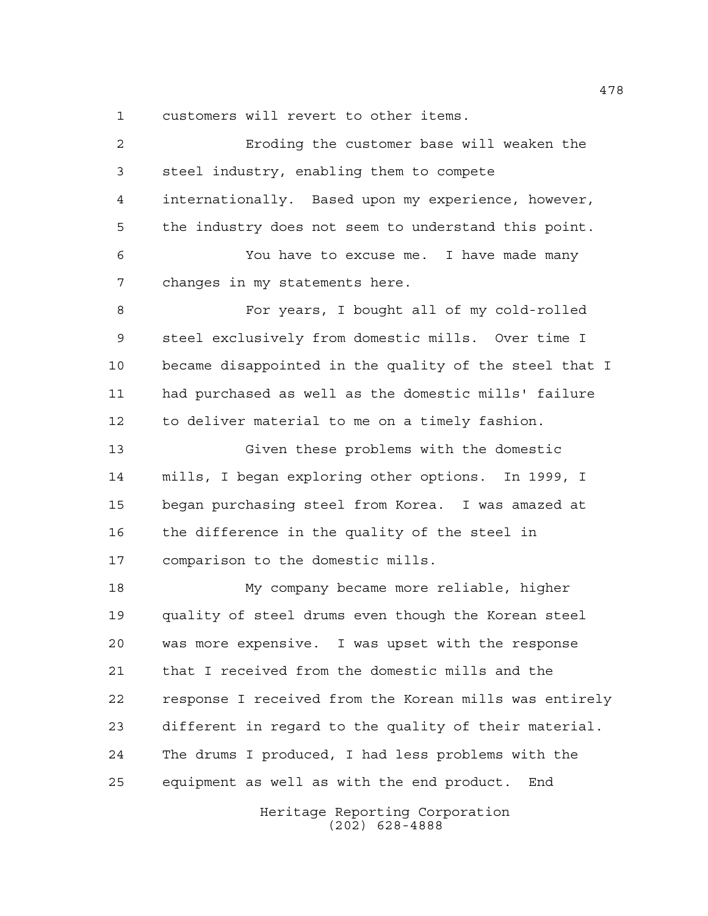customers will revert to other items.

| 2           | Eroding the customer base will weaken the              |
|-------------|--------------------------------------------------------|
| 3           | steel industry, enabling them to compete               |
| 4           | internationally. Based upon my experience, however,    |
| 5           | the industry does not seem to understand this point.   |
| 6           | You have to excuse me. I have made many                |
| 7           | changes in my statements here.                         |
| 8           | For years, I bought all of my cold-rolled              |
| $\mathsf 9$ | steel exclusively from domestic mills. Over time I     |
| 10          | became disappointed in the quality of the steel that I |
| 11          | had purchased as well as the domestic mills' failure   |
| 12          | to deliver material to me on a timely fashion.         |
| 13          | Given these problems with the domestic                 |
| 14          | mills, I began exploring other options. In 1999, I     |
| 15          | began purchasing steel from Korea. I was amazed at     |
| 16          | the difference in the quality of the steel in          |
| 17          | comparison to the domestic mills.                      |
| 18          | My company became more reliable, higher                |
| 19          | quality of steel drums even though the Korean steel    |
| 20          | was more expensive. I was upset with the response      |
| 21          | that I received from the domestic mills and the        |
| 22          | response I received from the Korean mills was entirely |
| 23          | different in regard to the quality of their material.  |
| 24          | The drums I produced, I had less problems with the     |
| 25          | equipment as well as with the end product.<br>End      |
|             | Heritage Reporting Corporation<br>$(202)$ 628-4888     |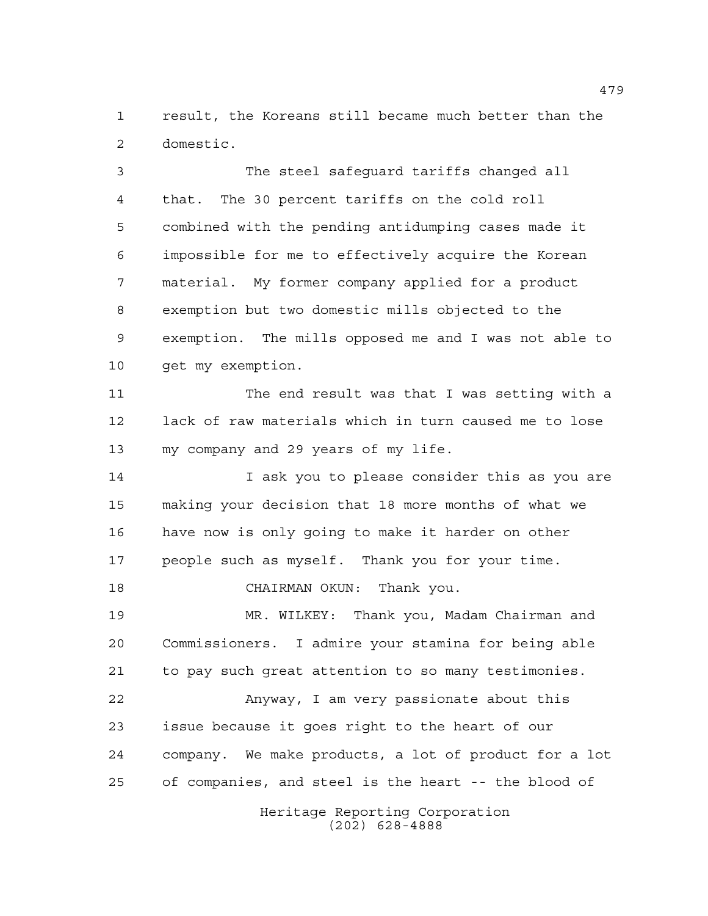result, the Koreans still became much better than the domestic.

 The steel safeguard tariffs changed all that. The 30 percent tariffs on the cold roll combined with the pending antidumping cases made it impossible for me to effectively acquire the Korean material. My former company applied for a product exemption but two domestic mills objected to the exemption. The mills opposed me and I was not able to get my exemption.

 The end result was that I was setting with a lack of raw materials which in turn caused me to lose my company and 29 years of my life.

14 I ask you to please consider this as you are making your decision that 18 more months of what we have now is only going to make it harder on other people such as myself. Thank you for your time.

CHAIRMAN OKUN: Thank you.

 MR. WILKEY: Thank you, Madam Chairman and Commissioners. I admire your stamina for being able to pay such great attention to so many testimonies.

 Anyway, I am very passionate about this issue because it goes right to the heart of our company. We make products, a lot of product for a lot of companies, and steel is the heart -- the blood of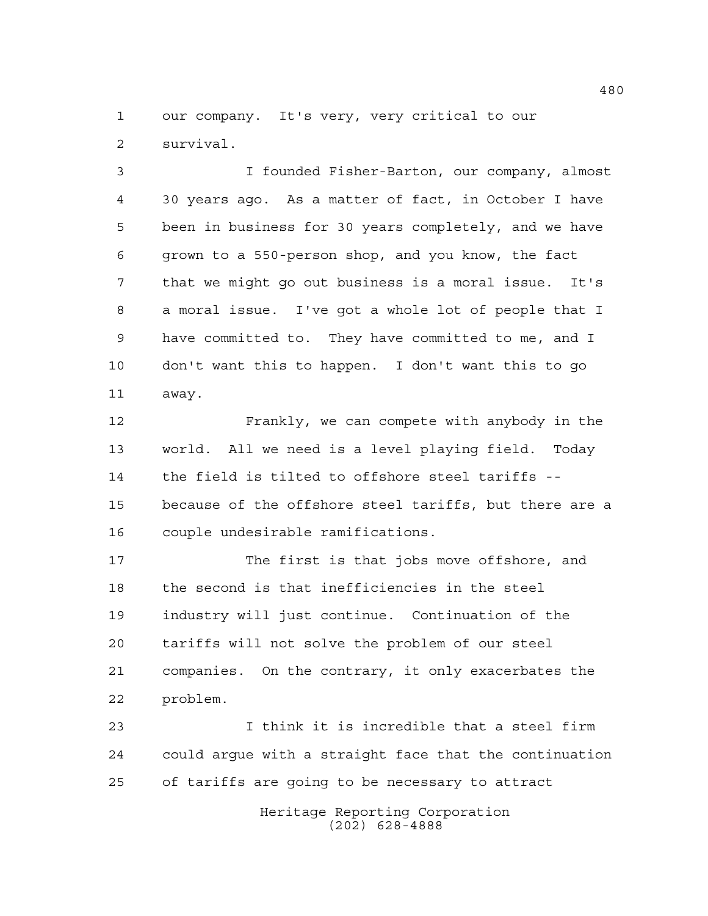our company. It's very, very critical to our survival.

 I founded Fisher-Barton, our company, almost 30 years ago. As a matter of fact, in October I have been in business for 30 years completely, and we have grown to a 550-person shop, and you know, the fact that we might go out business is a moral issue. It's a moral issue. I've got a whole lot of people that I have committed to. They have committed to me, and I don't want this to happen. I don't want this to go away.

 Frankly, we can compete with anybody in the world. All we need is a level playing field. Today the field is tilted to offshore steel tariffs -- because of the offshore steel tariffs, but there are a couple undesirable ramifications.

 The first is that jobs move offshore, and the second is that inefficiencies in the steel industry will just continue. Continuation of the tariffs will not solve the problem of our steel companies. On the contrary, it only exacerbates the problem.

 I think it is incredible that a steel firm could argue with a straight face that the continuation of tariffs are going to be necessary to attract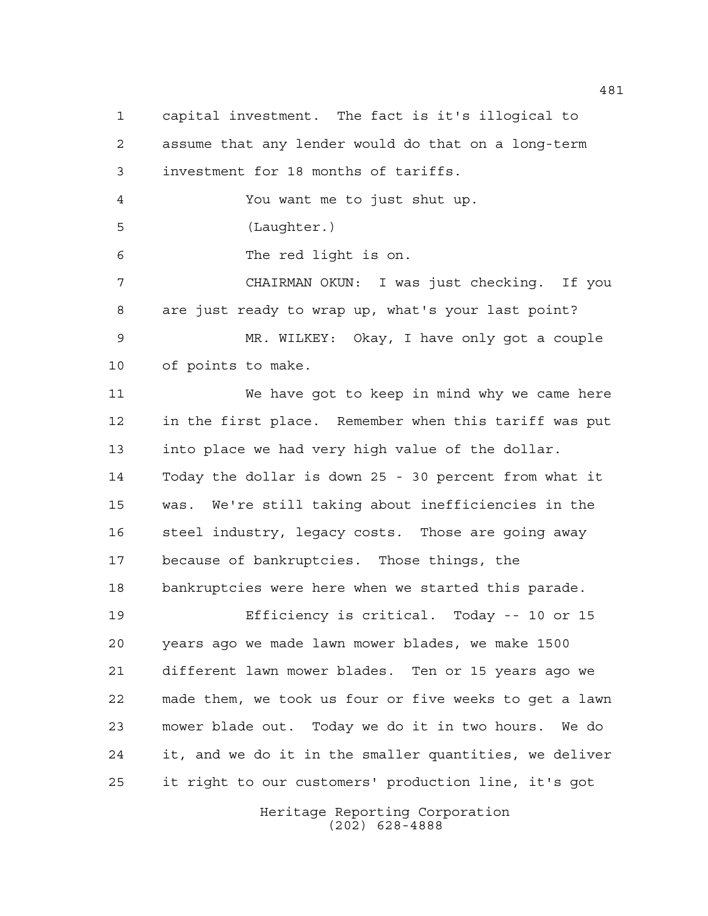capital investment. The fact is it's illogical to assume that any lender would do that on a long-term investment for 18 months of tariffs. You want me to just shut up. (Laughter.) The red light is on. CHAIRMAN OKUN: I was just checking. If you are just ready to wrap up, what's your last point? MR. WILKEY: Okay, I have only got a couple of points to make. We have got to keep in mind why we came here in the first place. Remember when this tariff was put into place we had very high value of the dollar. Today the dollar is down 25 - 30 percent from what it was. We're still taking about inefficiencies in the 16 steel industry, legacy costs. Those are going away because of bankruptcies. Those things, the bankruptcies were here when we started this parade. Efficiency is critical. Today -- 10 or 15 years ago we made lawn mower blades, we make 1500 different lawn mower blades. Ten or 15 years ago we made them, we took us four or five weeks to get a lawn mower blade out. Today we do it in two hours. We do it, and we do it in the smaller quantities, we deliver it right to our customers' production line, it's got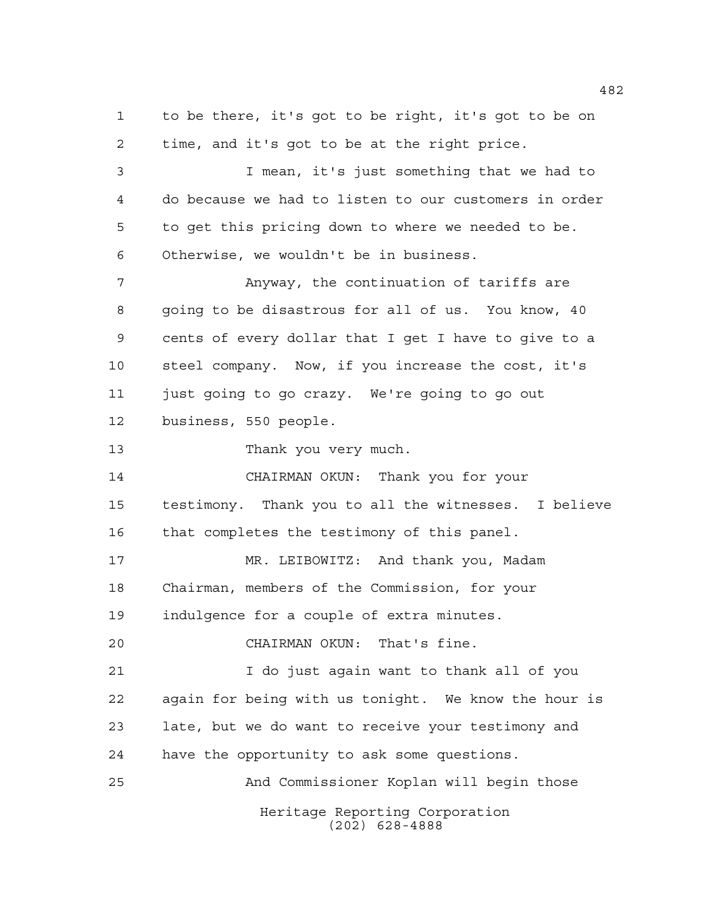Heritage Reporting Corporation to be there, it's got to be right, it's got to be on time, and it's got to be at the right price. I mean, it's just something that we had to do because we had to listen to our customers in order to get this pricing down to where we needed to be. Otherwise, we wouldn't be in business. Anyway, the continuation of tariffs are going to be disastrous for all of us. You know, 40 cents of every dollar that I get I have to give to a steel company. Now, if you increase the cost, it's just going to go crazy. We're going to go out business, 550 people. Thank you very much. CHAIRMAN OKUN: Thank you for your testimony. Thank you to all the witnesses. I believe that completes the testimony of this panel. MR. LEIBOWITZ: And thank you, Madam Chairman, members of the Commission, for your indulgence for a couple of extra minutes. CHAIRMAN OKUN: That's fine. I do just again want to thank all of you again for being with us tonight. We know the hour is late, but we do want to receive your testimony and have the opportunity to ask some questions. And Commissioner Koplan will begin those

(202) 628-4888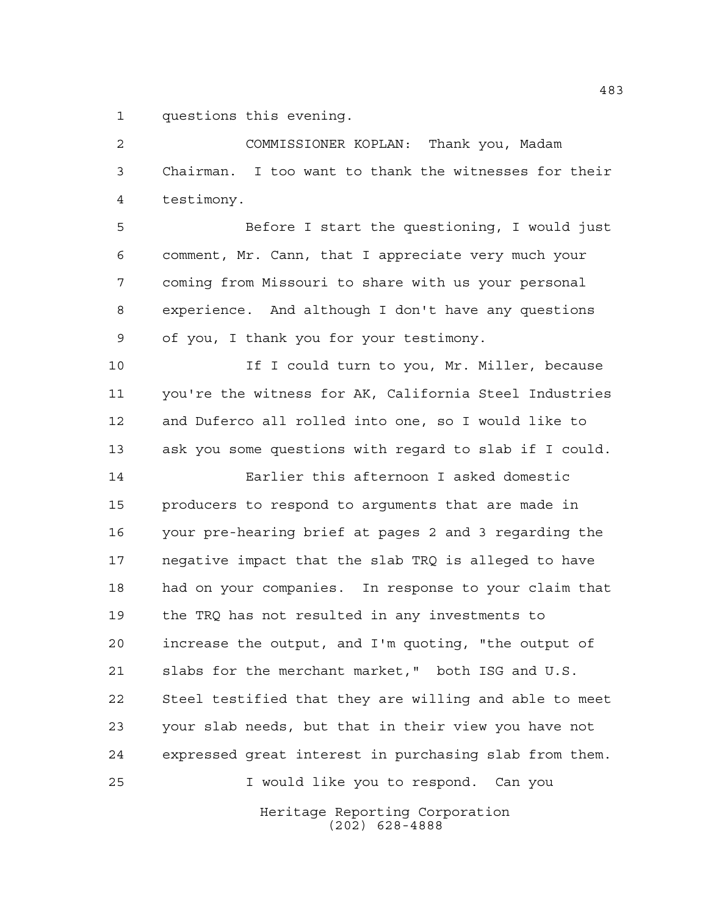questions this evening.

 COMMISSIONER KOPLAN: Thank you, Madam Chairman. I too want to thank the witnesses for their testimony. Before I start the questioning, I would just comment, Mr. Cann, that I appreciate very much your coming from Missouri to share with us your personal

 experience. And although I don't have any questions of you, I thank you for your testimony.

10 10 If I could turn to you, Mr. Miller, because you're the witness for AK, California Steel Industries and Duferco all rolled into one, so I would like to ask you some questions with regard to slab if I could.

 Earlier this afternoon I asked domestic producers to respond to arguments that are made in your pre-hearing brief at pages 2 and 3 regarding the negative impact that the slab TRQ is alleged to have had on your companies. In response to your claim that the TRQ has not resulted in any investments to increase the output, and I'm quoting, "the output of slabs for the merchant market," both ISG and U.S. Steel testified that they are willing and able to meet your slab needs, but that in their view you have not expressed great interest in purchasing slab from them. I would like you to respond. Can you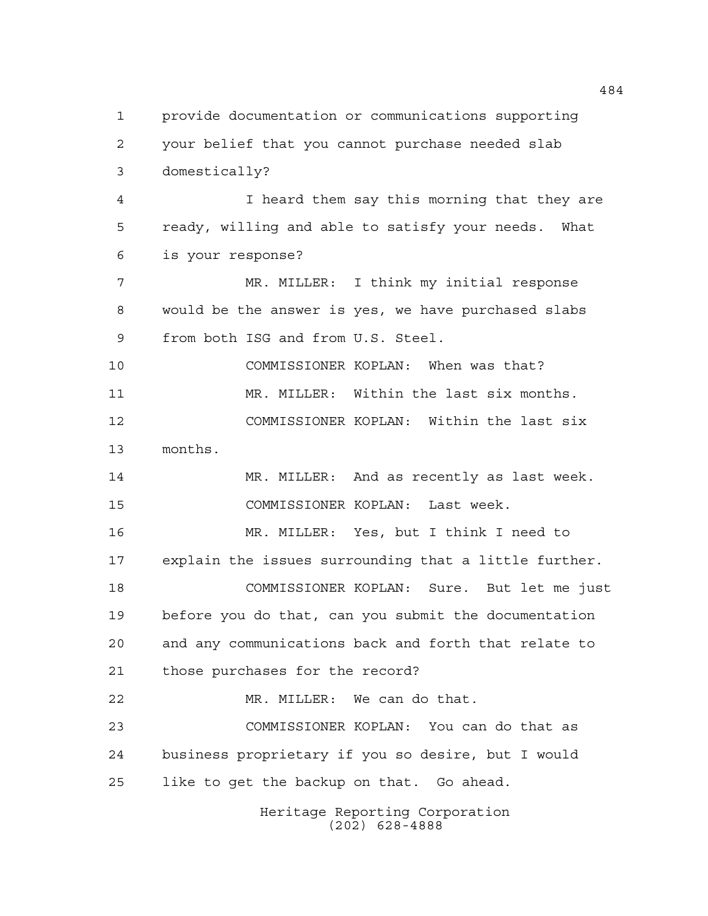Heritage Reporting Corporation (202) 628-4888 provide documentation or communications supporting your belief that you cannot purchase needed slab domestically? I heard them say this morning that they are ready, willing and able to satisfy your needs. What is your response? MR. MILLER: I think my initial response would be the answer is yes, we have purchased slabs from both ISG and from U.S. Steel. COMMISSIONER KOPLAN: When was that? MR. MILLER: Within the last six months. COMMISSIONER KOPLAN: Within the last six months. 14 MR. MILLER: And as recently as last week. COMMISSIONER KOPLAN: Last week. MR. MILLER: Yes, but I think I need to explain the issues surrounding that a little further. COMMISSIONER KOPLAN: Sure. But let me just before you do that, can you submit the documentation and any communications back and forth that relate to those purchases for the record? MR. MILLER: We can do that. COMMISSIONER KOPLAN: You can do that as business proprietary if you so desire, but I would like to get the backup on that. Go ahead.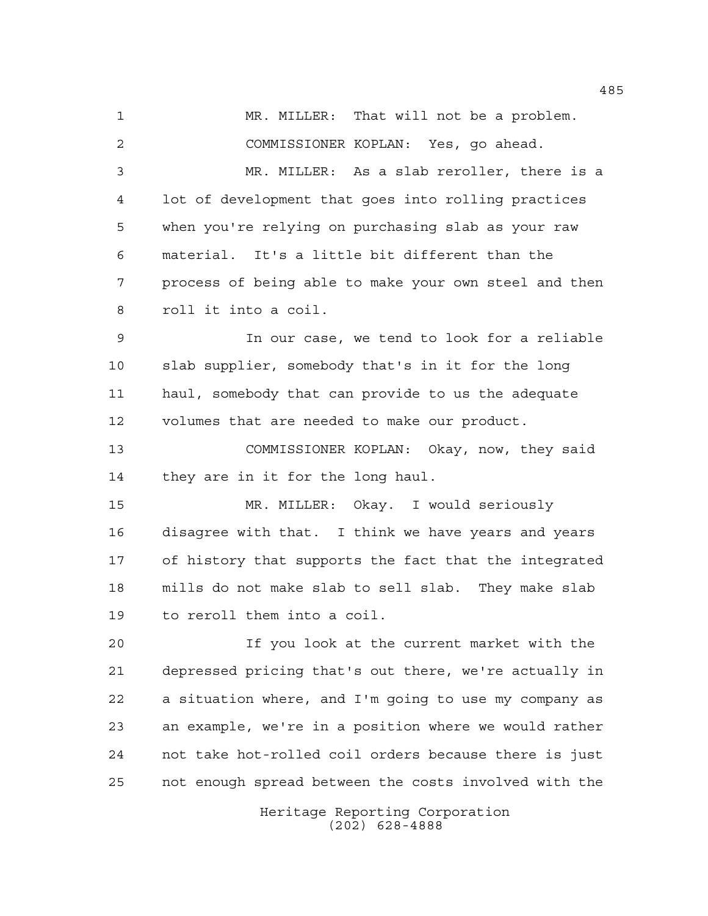1 MR. MILLER: That will not be a problem. COMMISSIONER KOPLAN: Yes, go ahead.

 MR. MILLER: As a slab reroller, there is a lot of development that goes into rolling practices when you're relying on purchasing slab as your raw material. It's a little bit different than the process of being able to make your own steel and then roll it into a coil.

 In our case, we tend to look for a reliable slab supplier, somebody that's in it for the long haul, somebody that can provide to us the adequate volumes that are needed to make our product.

 COMMISSIONER KOPLAN: Okay, now, they said they are in it for the long haul.

 MR. MILLER: Okay. I would seriously disagree with that. I think we have years and years of history that supports the fact that the integrated mills do not make slab to sell slab. They make slab to reroll them into a coil.

 If you look at the current market with the depressed pricing that's out there, we're actually in a situation where, and I'm going to use my company as an example, we're in a position where we would rather not take hot-rolled coil orders because there is just not enough spread between the costs involved with the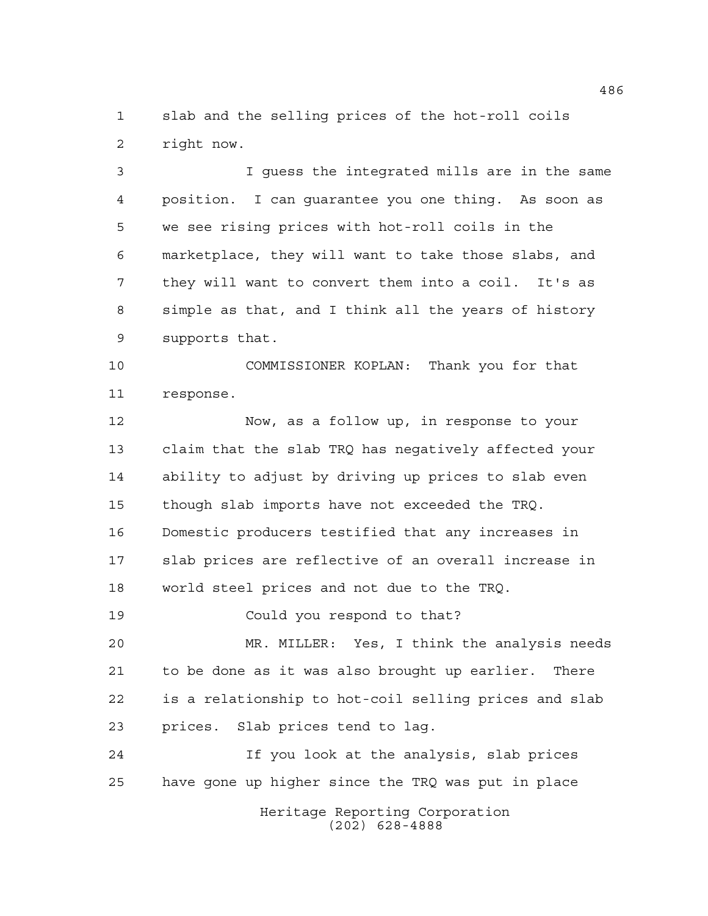slab and the selling prices of the hot-roll coils right now.

 I guess the integrated mills are in the same position. I can guarantee you one thing. As soon as we see rising prices with hot-roll coils in the marketplace, they will want to take those slabs, and they will want to convert them into a coil. It's as simple as that, and I think all the years of history supports that.

 COMMISSIONER KOPLAN: Thank you for that response.

 Now, as a follow up, in response to your claim that the slab TRQ has negatively affected your ability to adjust by driving up prices to slab even though slab imports have not exceeded the TRQ. Domestic producers testified that any increases in slab prices are reflective of an overall increase in world steel prices and not due to the TRQ.

Could you respond to that?

 MR. MILLER: Yes, I think the analysis needs to be done as it was also brought up earlier. There is a relationship to hot-coil selling prices and slab prices. Slab prices tend to lag.

 If you look at the analysis, slab prices have gone up higher since the TRQ was put in place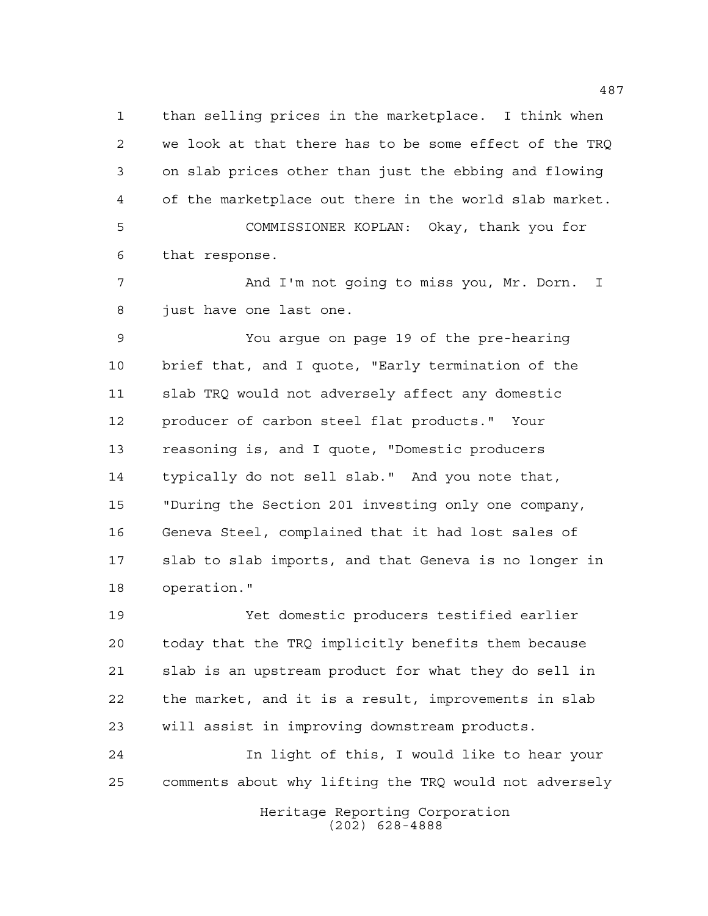than selling prices in the marketplace. I think when we look at that there has to be some effect of the TRQ on slab prices other than just the ebbing and flowing of the marketplace out there in the world slab market. COMMISSIONER KOPLAN: Okay, thank you for

that response.

 And I'm not going to miss you, Mr. Dorn. I just have one last one.

 You argue on page 19 of the pre-hearing brief that, and I quote, "Early termination of the slab TRQ would not adversely affect any domestic producer of carbon steel flat products." Your reasoning is, and I quote, "Domestic producers typically do not sell slab." And you note that, "During the Section 201 investing only one company, Geneva Steel, complained that it had lost sales of slab to slab imports, and that Geneva is no longer in operation."

 Yet domestic producers testified earlier today that the TRQ implicitly benefits them because slab is an upstream product for what they do sell in the market, and it is a result, improvements in slab will assist in improving downstream products.

 In light of this, I would like to hear your comments about why lifting the TRQ would not adversely

> Heritage Reporting Corporation (202) 628-4888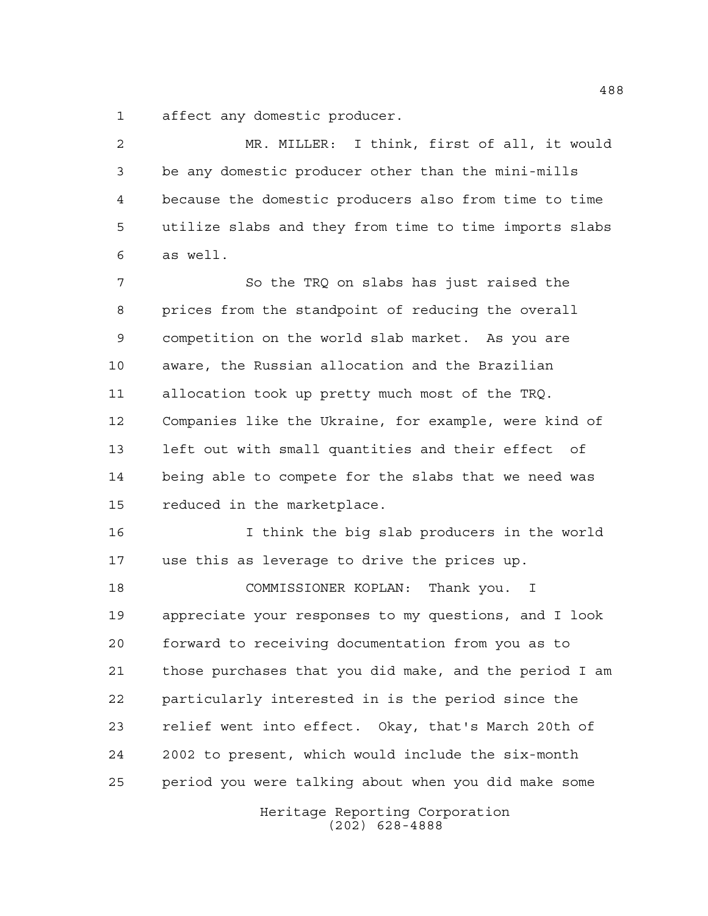affect any domestic producer.

 MR. MILLER: I think, first of all, it would be any domestic producer other than the mini-mills because the domestic producers also from time to time utilize slabs and they from time to time imports slabs as well. So the TRQ on slabs has just raised the prices from the standpoint of reducing the overall competition on the world slab market. As you are aware, the Russian allocation and the Brazilian allocation took up pretty much most of the TRQ. Companies like the Ukraine, for example, were kind of left out with small quantities and their effect of being able to compete for the slabs that we need was reduced in the marketplace. I think the big slab producers in the world use this as leverage to drive the prices up. COMMISSIONER KOPLAN: Thank you. I appreciate your responses to my questions, and I look forward to receiving documentation from you as to those purchases that you did make, and the period I am particularly interested in is the period since the relief went into effect. Okay, that's March 20th of 2002 to present, which would include the six-month period you were talking about when you did make some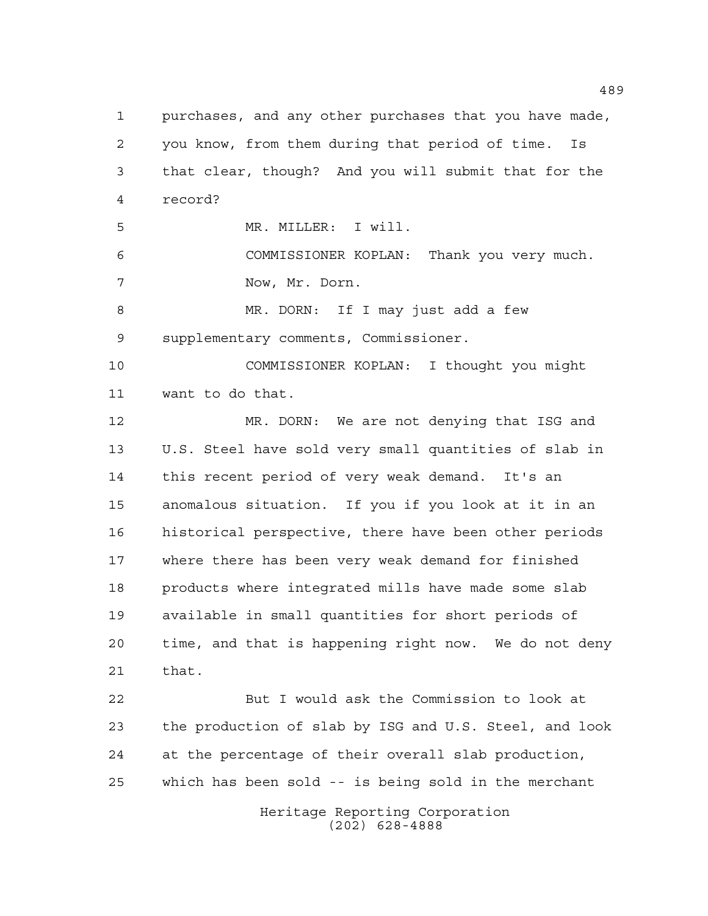Heritage Reporting Corporation purchases, and any other purchases that you have made, you know, from them during that period of time. Is that clear, though? And you will submit that for the record? MR. MILLER: I will. COMMISSIONER KOPLAN: Thank you very much. Now, Mr. Dorn. MR. DORN: If I may just add a few supplementary comments, Commissioner. COMMISSIONER KOPLAN: I thought you might want to do that. MR. DORN: We are not denying that ISG and U.S. Steel have sold very small quantities of slab in this recent period of very weak demand. It's an anomalous situation. If you if you look at it in an historical perspective, there have been other periods where there has been very weak demand for finished products where integrated mills have made some slab available in small quantities for short periods of time, and that is happening right now. We do not deny that. But I would ask the Commission to look at the production of slab by ISG and U.S. Steel, and look at the percentage of their overall slab production, which has been sold -- is being sold in the merchant

(202) 628-4888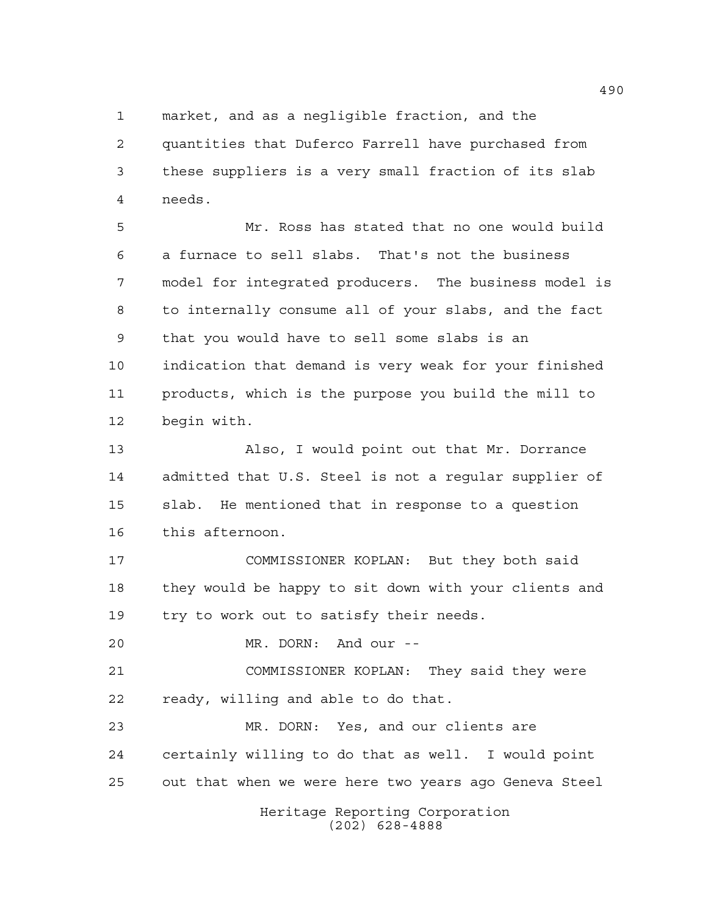market, and as a negligible fraction, and the

 quantities that Duferco Farrell have purchased from these suppliers is a very small fraction of its slab needs.

 Mr. Ross has stated that no one would build a furnace to sell slabs. That's not the business model for integrated producers. The business model is to internally consume all of your slabs, and the fact that you would have to sell some slabs is an indication that demand is very weak for your finished products, which is the purpose you build the mill to begin with.

 Also, I would point out that Mr. Dorrance admitted that U.S. Steel is not a regular supplier of slab. He mentioned that in response to a question this afternoon.

 COMMISSIONER KOPLAN: But they both said they would be happy to sit down with your clients and try to work out to satisfy their needs.

MR. DORN: And our --

 COMMISSIONER KOPLAN: They said they were ready, willing and able to do that.

 MR. DORN: Yes, and our clients are certainly willing to do that as well. I would point out that when we were here two years ago Geneva Steel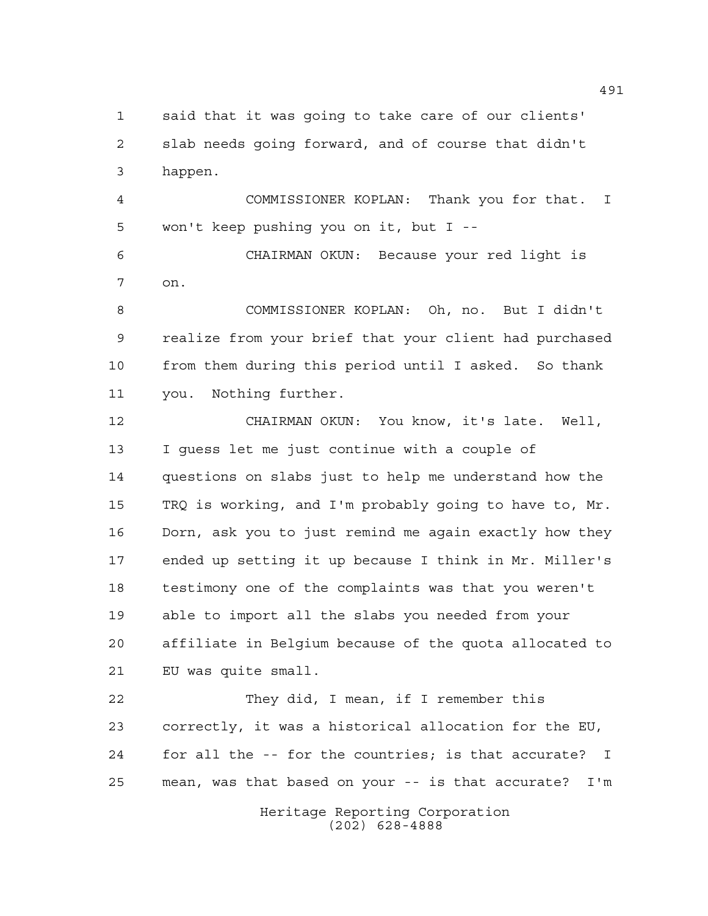said that it was going to take care of our clients' slab needs going forward, and of course that didn't happen.

 COMMISSIONER KOPLAN: Thank you for that. I won't keep pushing you on it, but I --

 CHAIRMAN OKUN: Because your red light is on.

 COMMISSIONER KOPLAN: Oh, no. But I didn't realize from your brief that your client had purchased from them during this period until I asked. So thank you. Nothing further.

 CHAIRMAN OKUN: You know, it's late. Well, I guess let me just continue with a couple of questions on slabs just to help me understand how the TRQ is working, and I'm probably going to have to, Mr. Dorn, ask you to just remind me again exactly how they ended up setting it up because I think in Mr. Miller's testimony one of the complaints was that you weren't able to import all the slabs you needed from your affiliate in Belgium because of the quota allocated to EU was quite small.

 They did, I mean, if I remember this correctly, it was a historical allocation for the EU, for all the -- for the countries; is that accurate? I mean, was that based on your -- is that accurate? I'm

> Heritage Reporting Corporation (202) 628-4888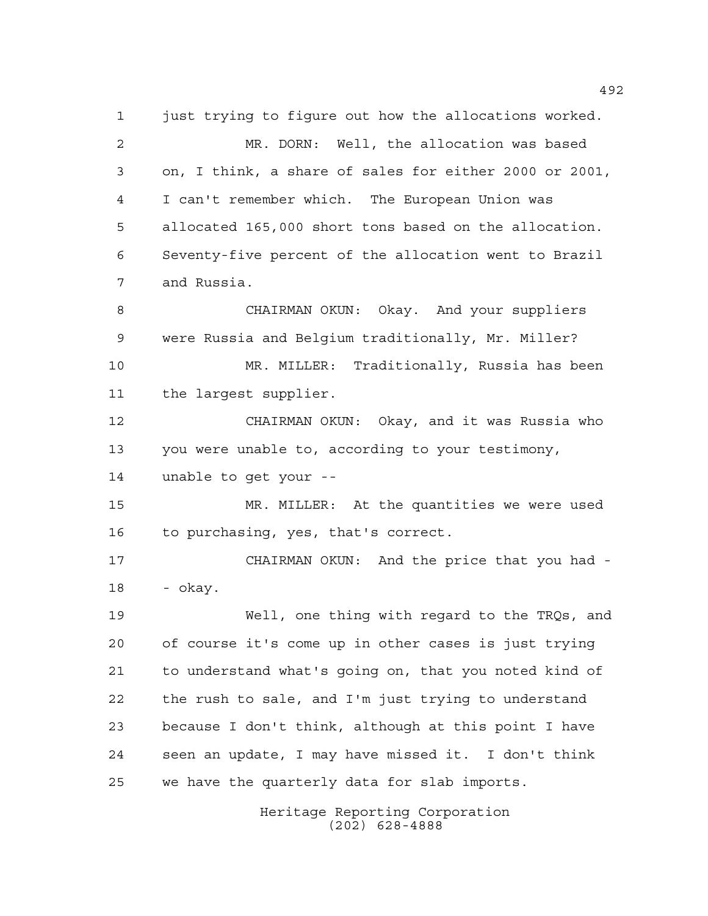Heritage Reporting Corporation (202) 628-4888 just trying to figure out how the allocations worked. MR. DORN: Well, the allocation was based on, I think, a share of sales for either 2000 or 2001, I can't remember which. The European Union was allocated 165,000 short tons based on the allocation. Seventy-five percent of the allocation went to Brazil and Russia. CHAIRMAN OKUN: Okay. And your suppliers were Russia and Belgium traditionally, Mr. Miller? MR. MILLER: Traditionally, Russia has been the largest supplier. CHAIRMAN OKUN: Okay, and it was Russia who you were unable to, according to your testimony, unable to get your -- MR. MILLER: At the quantities we were used to purchasing, yes, that's correct. CHAIRMAN OKUN: And the price that you had - - okay. Well, one thing with regard to the TRQs, and of course it's come up in other cases is just trying to understand what's going on, that you noted kind of the rush to sale, and I'm just trying to understand because I don't think, although at this point I have seen an update, I may have missed it. I don't think we have the quarterly data for slab imports.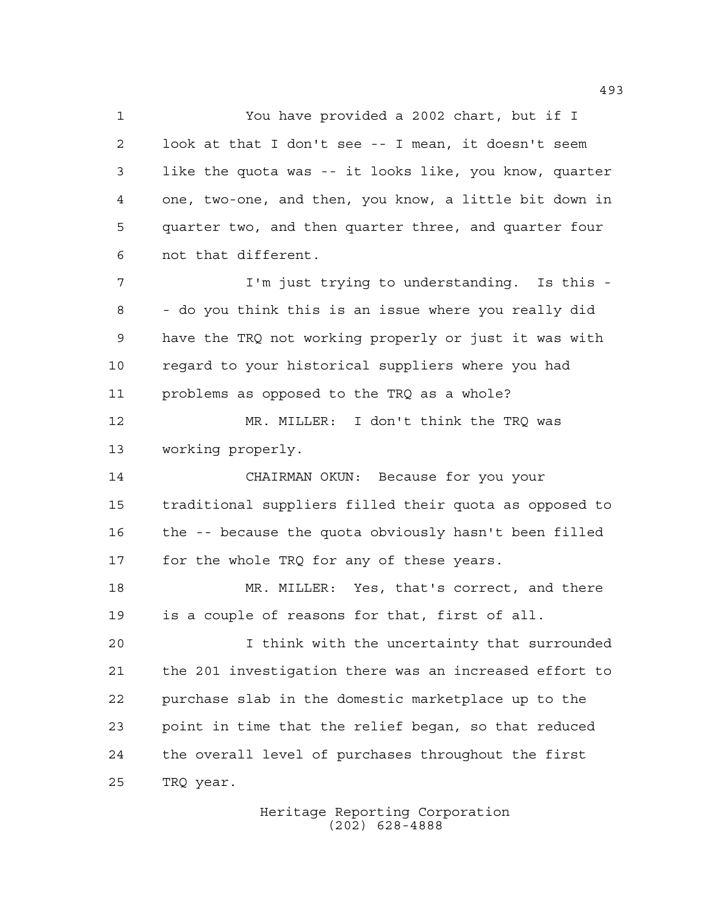You have provided a 2002 chart, but if I look at that I don't see -- I mean, it doesn't seem like the quota was -- it looks like, you know, quarter one, two-one, and then, you know, a little bit down in quarter two, and then quarter three, and quarter four not that different.

 I'm just trying to understanding. Is this - - do you think this is an issue where you really did have the TRQ not working properly or just it was with regard to your historical suppliers where you had problems as opposed to the TRQ as a whole?

 MR. MILLER: I don't think the TRQ was working properly.

 CHAIRMAN OKUN: Because for you your traditional suppliers filled their quota as opposed to the -- because the quota obviously hasn't been filled 17 for the whole TRQ for any of these years.

 MR. MILLER: Yes, that's correct, and there is a couple of reasons for that, first of all.

 I think with the uncertainty that surrounded the 201 investigation there was an increased effort to purchase slab in the domestic marketplace up to the point in time that the relief began, so that reduced the overall level of purchases throughout the first TRQ year.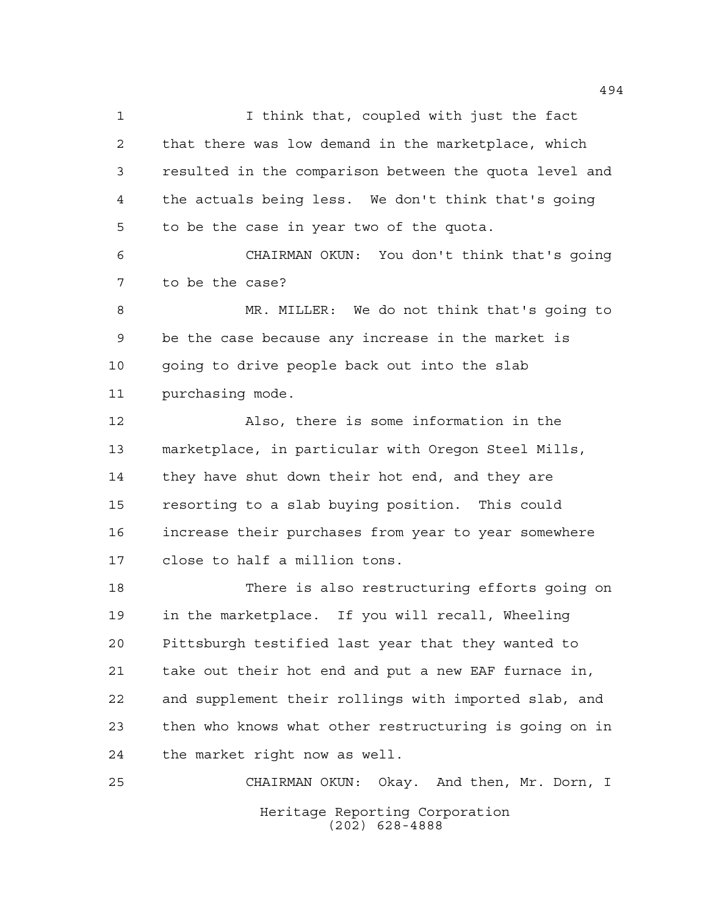I think that, coupled with just the fact that there was low demand in the marketplace, which resulted in the comparison between the quota level and the actuals being less. We don't think that's going to be the case in year two of the quota. CHAIRMAN OKUN: You don't think that's going to be the case? MR. MILLER: We do not think that's going to be the case because any increase in the market is going to drive people back out into the slab purchasing mode. Also, there is some information in the marketplace, in particular with Oregon Steel Mills, they have shut down their hot end, and they are resorting to a slab buying position. This could increase their purchases from year to year somewhere close to half a million tons. There is also restructuring efforts going on in the marketplace. If you will recall, Wheeling Pittsburgh testified last year that they wanted to take out their hot end and put a new EAF furnace in, and supplement their rollings with imported slab, and then who knows what other restructuring is going on in the market right now as well. CHAIRMAN OKUN: Okay. And then, Mr. Dorn, I

> Heritage Reporting Corporation (202) 628-4888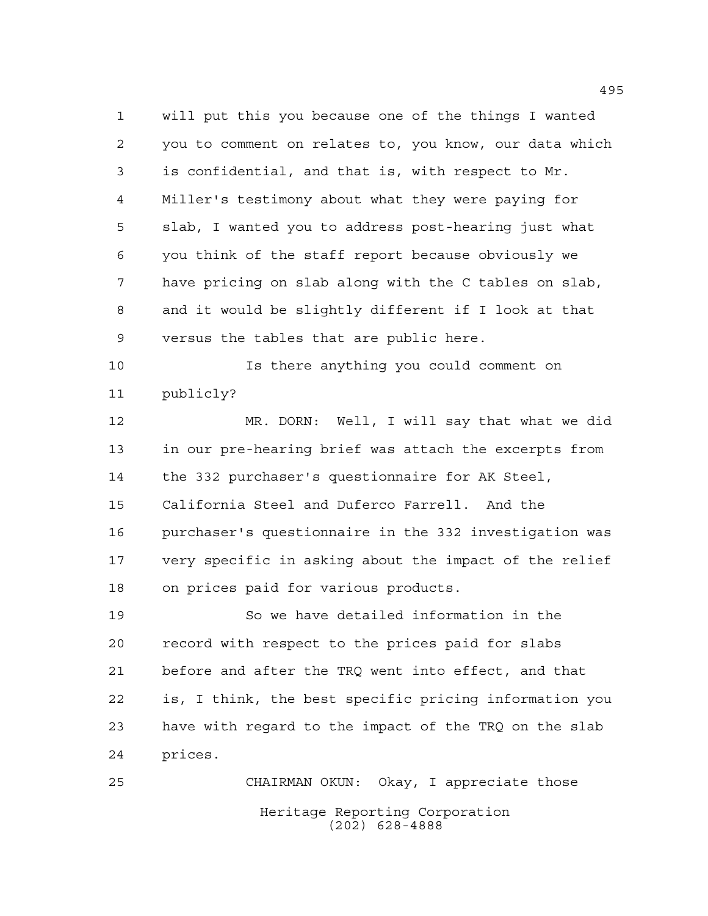will put this you because one of the things I wanted you to comment on relates to, you know, our data which is confidential, and that is, with respect to Mr. Miller's testimony about what they were paying for slab, I wanted you to address post-hearing just what you think of the staff report because obviously we have pricing on slab along with the C tables on slab, and it would be slightly different if I look at that versus the tables that are public here.

 Is there anything you could comment on publicly?

 MR. DORN: Well, I will say that what we did in our pre-hearing brief was attach the excerpts from the 332 purchaser's questionnaire for AK Steel, California Steel and Duferco Farrell. And the purchaser's questionnaire in the 332 investigation was very specific in asking about the impact of the relief on prices paid for various products.

 So we have detailed information in the record with respect to the prices paid for slabs before and after the TRQ went into effect, and that is, I think, the best specific pricing information you have with regard to the impact of the TRQ on the slab prices.

Heritage Reporting Corporation (202) 628-4888 CHAIRMAN OKUN: Okay, I appreciate those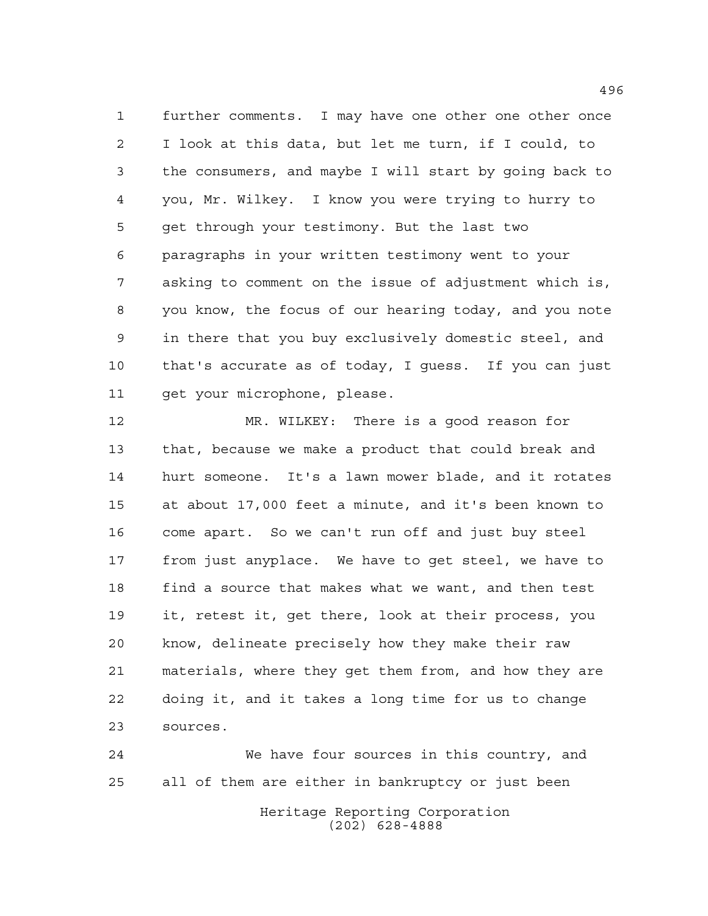further comments. I may have one other one other once I look at this data, but let me turn, if I could, to the consumers, and maybe I will start by going back to you, Mr. Wilkey. I know you were trying to hurry to get through your testimony. But the last two paragraphs in your written testimony went to your asking to comment on the issue of adjustment which is, you know, the focus of our hearing today, and you note in there that you buy exclusively domestic steel, and that's accurate as of today, I guess. If you can just get your microphone, please.

 MR. WILKEY: There is a good reason for that, because we make a product that could break and hurt someone. It's a lawn mower blade, and it rotates at about 17,000 feet a minute, and it's been known to come apart. So we can't run off and just buy steel from just anyplace. We have to get steel, we have to find a source that makes what we want, and then test it, retest it, get there, look at their process, you know, delineate precisely how they make their raw materials, where they get them from, and how they are doing it, and it takes a long time for us to change sources.

 We have four sources in this country, and all of them are either in bankruptcy or just been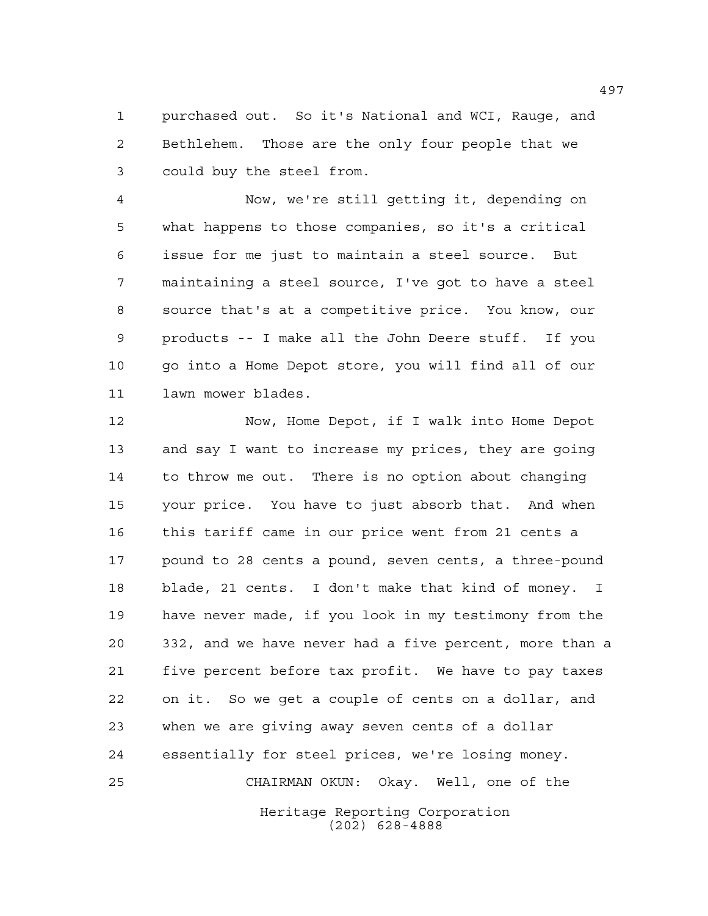purchased out. So it's National and WCI, Rauge, and Bethlehem. Those are the only four people that we could buy the steel from.

 Now, we're still getting it, depending on what happens to those companies, so it's a critical issue for me just to maintain a steel source. But maintaining a steel source, I've got to have a steel source that's at a competitive price. You know, our products -- I make all the John Deere stuff. If you go into a Home Depot store, you will find all of our lawn mower blades.

 Now, Home Depot, if I walk into Home Depot and say I want to increase my prices, they are going to throw me out. There is no option about changing your price. You have to just absorb that. And when this tariff came in our price went from 21 cents a pound to 28 cents a pound, seven cents, a three-pound blade, 21 cents. I don't make that kind of money. I have never made, if you look in my testimony from the 332, and we have never had a five percent, more than a five percent before tax profit. We have to pay taxes on it. So we get a couple of cents on a dollar, and when we are giving away seven cents of a dollar essentially for steel prices, we're losing money. CHAIRMAN OKUN: Okay. Well, one of the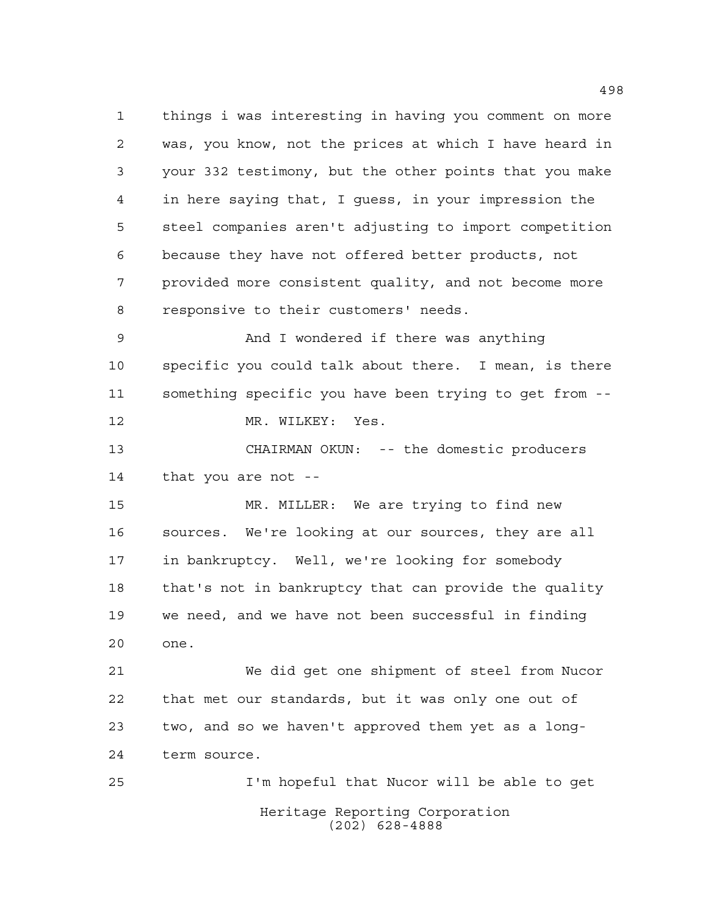things i was interesting in having you comment on more was, you know, not the prices at which I have heard in your 332 testimony, but the other points that you make in here saying that, I guess, in your impression the steel companies aren't adjusting to import competition because they have not offered better products, not provided more consistent quality, and not become more responsive to their customers' needs. And I wondered if there was anything specific you could talk about there. I mean, is there something specific you have been trying to get from -- 12 MR. WILKEY: Yes. CHAIRMAN OKUN: -- the domestic producers that you are not -- MR. MILLER: We are trying to find new sources. We're looking at our sources, they are all in bankruptcy. Well, we're looking for somebody that's not in bankruptcy that can provide the quality we need, and we have not been successful in finding one. We did get one shipment of steel from Nucor that met our standards, but it was only one out of two, and so we haven't approved them yet as a long-term source.

Heritage Reporting Corporation (202) 628-4888 I'm hopeful that Nucor will be able to get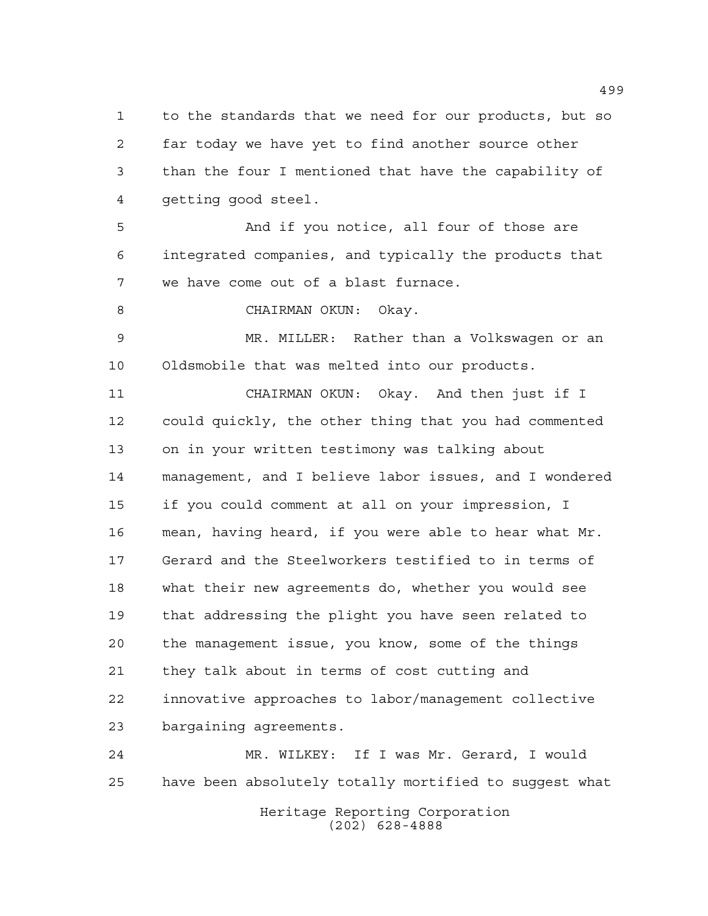to the standards that we need for our products, but so far today we have yet to find another source other than the four I mentioned that have the capability of getting good steel.

 And if you notice, all four of those are integrated companies, and typically the products that we have come out of a blast furnace.

CHAIRMAN OKUN: Okay.

 MR. MILLER: Rather than a Volkswagen or an Oldsmobile that was melted into our products.

 CHAIRMAN OKUN: Okay. And then just if I could quickly, the other thing that you had commented on in your written testimony was talking about management, and I believe labor issues, and I wondered if you could comment at all on your impression, I mean, having heard, if you were able to hear what Mr. Gerard and the Steelworkers testified to in terms of what their new agreements do, whether you would see that addressing the plight you have seen related to the management issue, you know, some of the things they talk about in terms of cost cutting and innovative approaches to labor/management collective bargaining agreements.

 MR. WILKEY: If I was Mr. Gerard, I would have been absolutely totally mortified to suggest what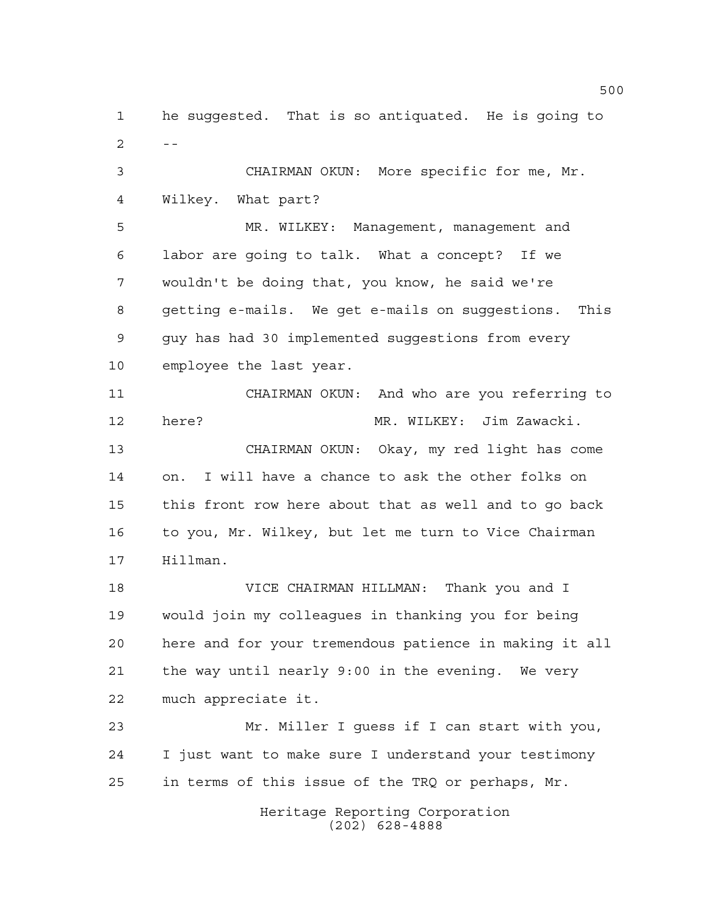he suggested. That is so antiquated. He is going to  $2 - -$ 

 CHAIRMAN OKUN: More specific for me, Mr. Wilkey. What part?

 MR. WILKEY: Management, management and labor are going to talk. What a concept? If we wouldn't be doing that, you know, he said we're getting e-mails. We get e-mails on suggestions. This guy has had 30 implemented suggestions from every employee the last year.

 CHAIRMAN OKUN: And who are you referring to here? MR. WILKEY: Jim Zawacki. CHAIRMAN OKUN: Okay, my red light has come on. I will have a chance to ask the other folks on this front row here about that as well and to go back to you, Mr. Wilkey, but let me turn to Vice Chairman Hillman.

 VICE CHAIRMAN HILLMAN: Thank you and I would join my colleagues in thanking you for being here and for your tremendous patience in making it all the way until nearly 9:00 in the evening. We very much appreciate it.

 Mr. Miller I guess if I can start with you, I just want to make sure I understand your testimony in terms of this issue of the TRQ or perhaps, Mr.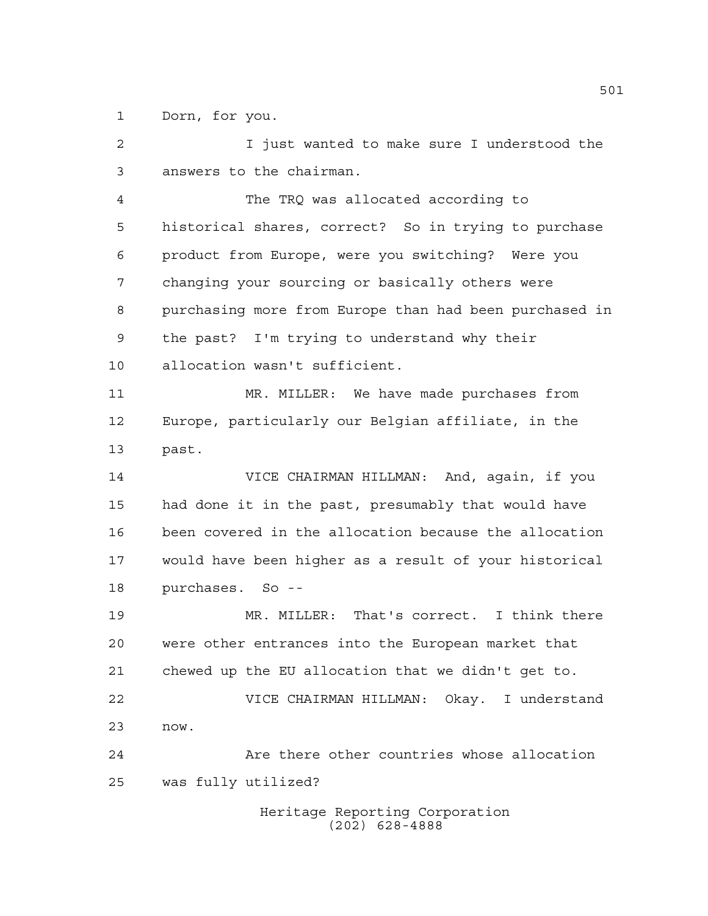Dorn, for you.

 I just wanted to make sure I understood the answers to the chairman.

 The TRQ was allocated according to historical shares, correct? So in trying to purchase product from Europe, were you switching? Were you changing your sourcing or basically others were purchasing more from Europe than had been purchased in the past? I'm trying to understand why their allocation wasn't sufficient.

 MR. MILLER: We have made purchases from Europe, particularly our Belgian affiliate, in the past.

 VICE CHAIRMAN HILLMAN: And, again, if you had done it in the past, presumably that would have been covered in the allocation because the allocation would have been higher as a result of your historical purchases. So --

 MR. MILLER: That's correct. I think there were other entrances into the European market that chewed up the EU allocation that we didn't get to. VICE CHAIRMAN HILLMAN: Okay. I understand now. Are there other countries whose allocation was fully utilized?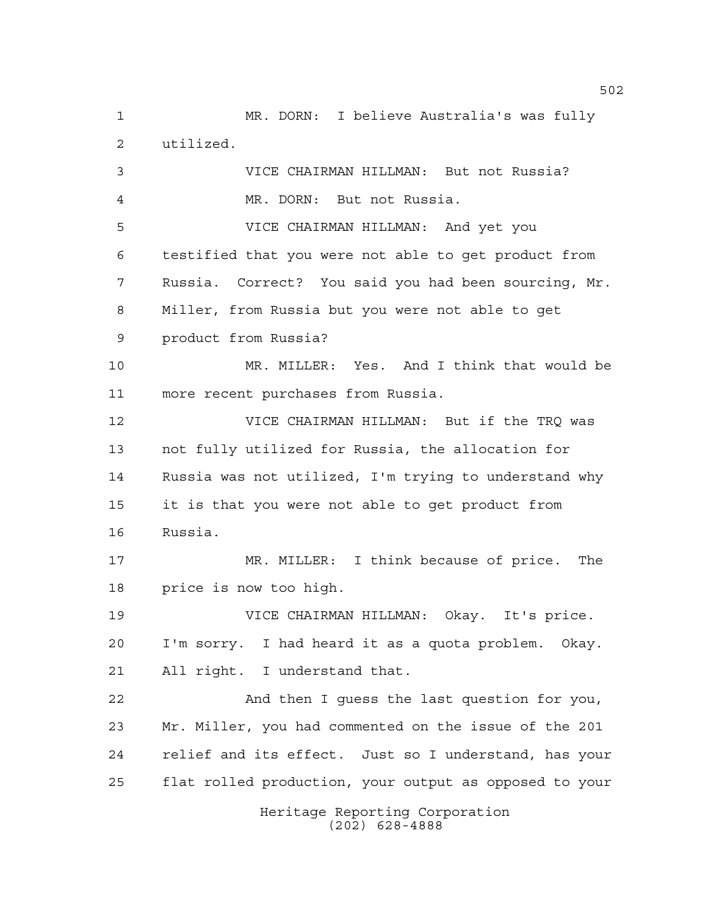Heritage Reporting Corporation (202) 628-4888 MR. DORN: I believe Australia's was fully utilized. VICE CHAIRMAN HILLMAN: But not Russia? MR. DORN: But not Russia. VICE CHAIRMAN HILLMAN: And yet you testified that you were not able to get product from Russia. Correct? You said you had been sourcing, Mr. Miller, from Russia but you were not able to get product from Russia? MR. MILLER: Yes. And I think that would be more recent purchases from Russia. VICE CHAIRMAN HILLMAN: But if the TRQ was not fully utilized for Russia, the allocation for Russia was not utilized, I'm trying to understand why it is that you were not able to get product from Russia. MR. MILLER: I think because of price. The price is now too high. VICE CHAIRMAN HILLMAN: Okay. It's price. I'm sorry. I had heard it as a quota problem. Okay. All right. I understand that. And then I guess the last question for you, Mr. Miller, you had commented on the issue of the 201 relief and its effect. Just so I understand, has your flat rolled production, your output as opposed to your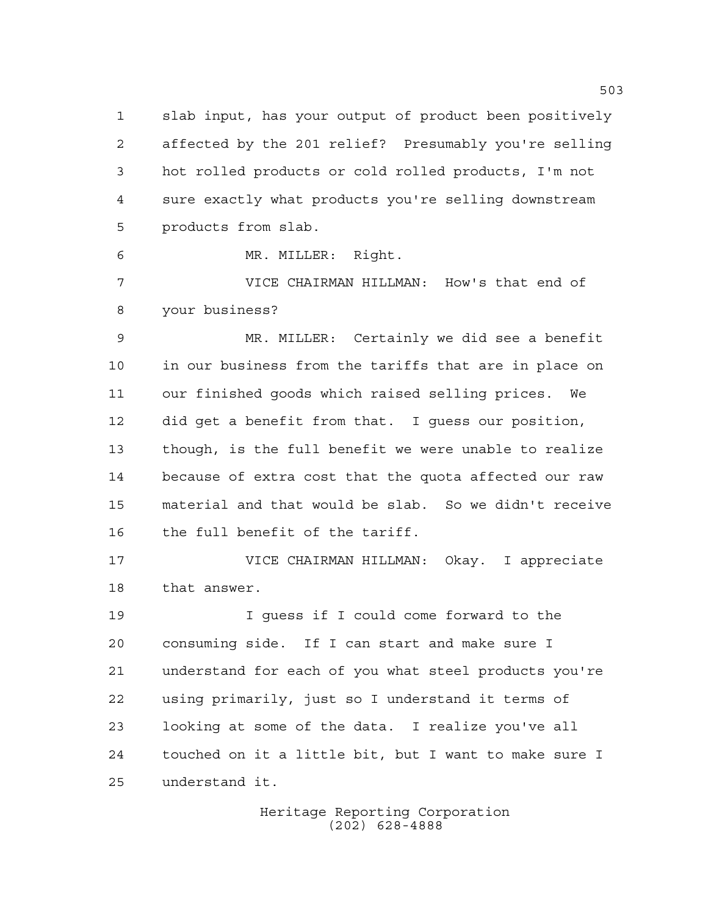slab input, has your output of product been positively affected by the 201 relief? Presumably you're selling hot rolled products or cold rolled products, I'm not sure exactly what products you're selling downstream products from slab.

MR. MILLER: Right.

 VICE CHAIRMAN HILLMAN: How's that end of your business?

 MR. MILLER: Certainly we did see a benefit in our business from the tariffs that are in place on our finished goods which raised selling prices. We did get a benefit from that. I guess our position, though, is the full benefit we were unable to realize because of extra cost that the quota affected our raw material and that would be slab. So we didn't receive the full benefit of the tariff.

 VICE CHAIRMAN HILLMAN: Okay. I appreciate that answer.

 I guess if I could come forward to the consuming side. If I can start and make sure I understand for each of you what steel products you're using primarily, just so I understand it terms of looking at some of the data. I realize you've all touched on it a little bit, but I want to make sure I understand it.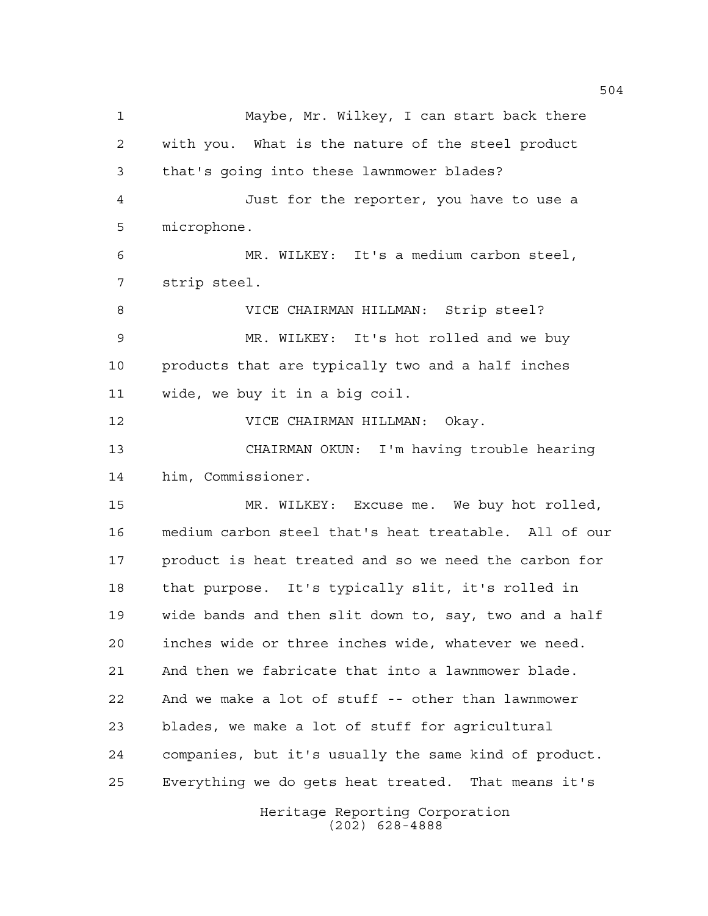Maybe, Mr. Wilkey, I can start back there with you. What is the nature of the steel product that's going into these lawnmower blades? Just for the reporter, you have to use a microphone. MR. WILKEY: It's a medium carbon steel, strip steel. VICE CHAIRMAN HILLMAN: Strip steel? MR. WILKEY: It's hot rolled and we buy products that are typically two and a half inches wide, we buy it in a big coil. VICE CHAIRMAN HILLMAN: Okay. CHAIRMAN OKUN: I'm having trouble hearing him, Commissioner. MR. WILKEY: Excuse me. We buy hot rolled, medium carbon steel that's heat treatable. All of our product is heat treated and so we need the carbon for that purpose. It's typically slit, it's rolled in wide bands and then slit down to, say, two and a half inches wide or three inches wide, whatever we need. And then we fabricate that into a lawnmower blade. And we make a lot of stuff -- other than lawnmower blades, we make a lot of stuff for agricultural companies, but it's usually the same kind of product. Everything we do gets heat treated. That means it's

> Heritage Reporting Corporation (202) 628-4888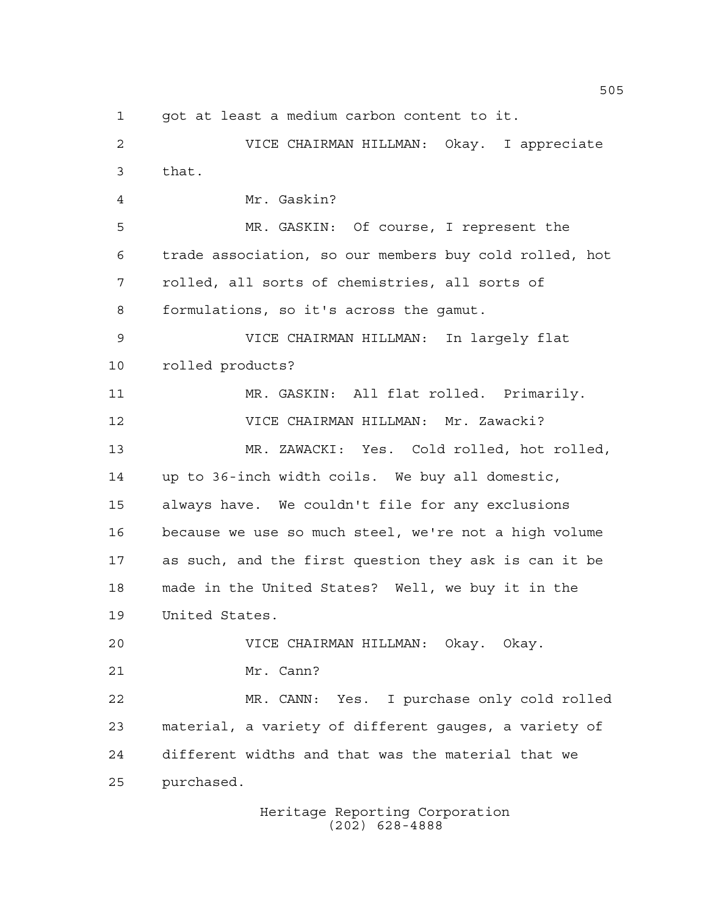got at least a medium carbon content to it.

 VICE CHAIRMAN HILLMAN: Okay. I appreciate that. Mr. Gaskin? MR. GASKIN: Of course, I represent the trade association, so our members buy cold rolled, hot rolled, all sorts of chemistries, all sorts of formulations, so it's across the gamut. VICE CHAIRMAN HILLMAN: In largely flat rolled products? MR. GASKIN: All flat rolled. Primarily. VICE CHAIRMAN HILLMAN: Mr. Zawacki? MR. ZAWACKI: Yes. Cold rolled, hot rolled, up to 36-inch width coils. We buy all domestic, always have. We couldn't file for any exclusions because we use so much steel, we're not a high volume as such, and the first question they ask is can it be made in the United States? Well, we buy it in the United States. VICE CHAIRMAN HILLMAN: Okay. Okay. Mr. Cann? MR. CANN: Yes. I purchase only cold rolled material, a variety of different gauges, a variety of different widths and that was the material that we purchased.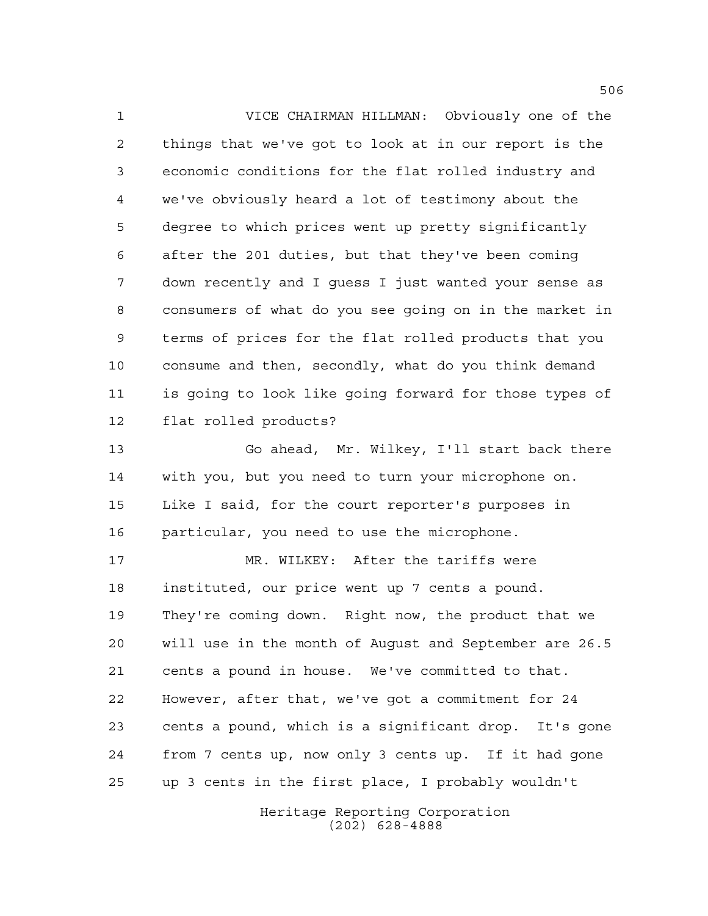VICE CHAIRMAN HILLMAN: Obviously one of the things that we've got to look at in our report is the economic conditions for the flat rolled industry and we've obviously heard a lot of testimony about the degree to which prices went up pretty significantly after the 201 duties, but that they've been coming down recently and I guess I just wanted your sense as consumers of what do you see going on in the market in terms of prices for the flat rolled products that you consume and then, secondly, what do you think demand is going to look like going forward for those types of flat rolled products?

 Go ahead, Mr. Wilkey, I'll start back there with you, but you need to turn your microphone on. Like I said, for the court reporter's purposes in particular, you need to use the microphone.

17 MR. WILKEY: After the tariffs were instituted, our price went up 7 cents a pound. They're coming down. Right now, the product that we will use in the month of August and September are 26.5 cents a pound in house. We've committed to that. However, after that, we've got a commitment for 24 cents a pound, which is a significant drop. It's gone from 7 cents up, now only 3 cents up. If it had gone up 3 cents in the first place, I probably wouldn't

> Heritage Reporting Corporation (202) 628-4888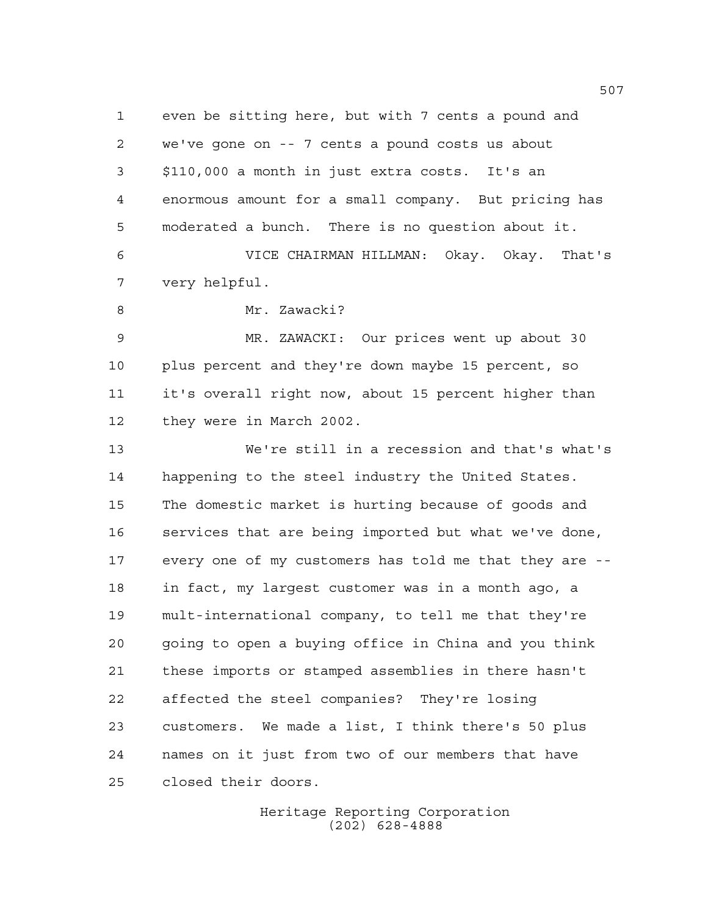even be sitting here, but with 7 cents a pound and we've gone on -- 7 cents a pound costs us about \$110,000 a month in just extra costs. It's an enormous amount for a small company. But pricing has moderated a bunch. There is no question about it. VICE CHAIRMAN HILLMAN: Okay. Okay. That's very helpful. 8 Mr. Zawacki? MR. ZAWACKI: Our prices went up about 30 plus percent and they're down maybe 15 percent, so

it's overall right now, about 15 percent higher than

they were in March 2002.

 We're still in a recession and that's what's happening to the steel industry the United States. The domestic market is hurting because of goods and services that are being imported but what we've done, every one of my customers has told me that they are -- in fact, my largest customer was in a month ago, a mult-international company, to tell me that they're going to open a buying office in China and you think these imports or stamped assemblies in there hasn't affected the steel companies? They're losing customers. We made a list, I think there's 50 plus names on it just from two of our members that have closed their doors.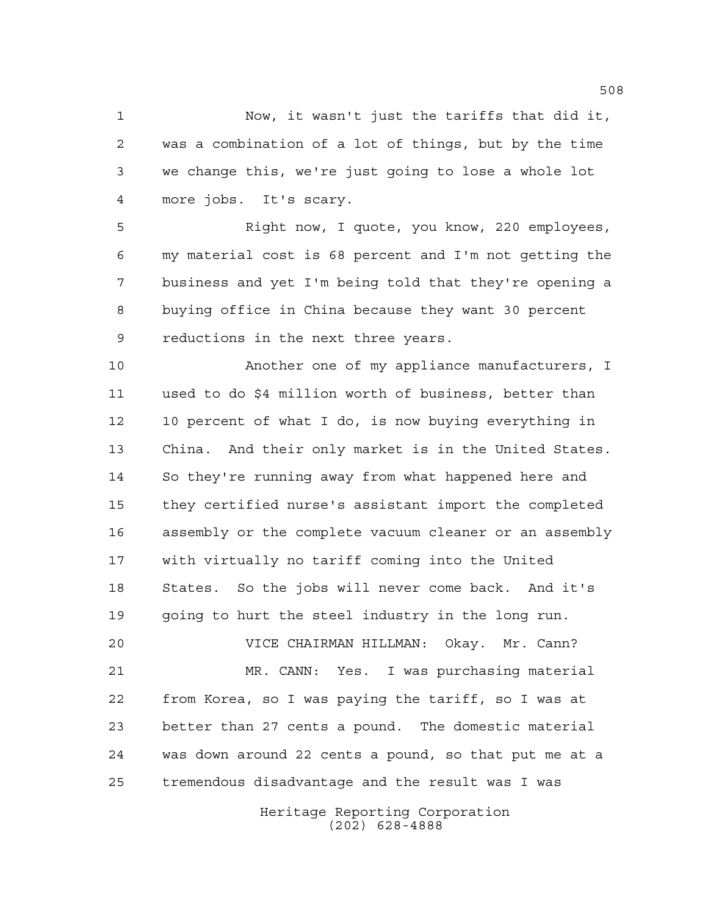Now, it wasn't just the tariffs that did it, was a combination of a lot of things, but by the time we change this, we're just going to lose a whole lot more jobs. It's scary.

 Right now, I quote, you know, 220 employees, my material cost is 68 percent and I'm not getting the business and yet I'm being told that they're opening a buying office in China because they want 30 percent reductions in the next three years.

 Another one of my appliance manufacturers, I used to do \$4 million worth of business, better than 10 percent of what I do, is now buying everything in China. And their only market is in the United States. So they're running away from what happened here and they certified nurse's assistant import the completed assembly or the complete vacuum cleaner or an assembly with virtually no tariff coming into the United States. So the jobs will never come back. And it's going to hurt the steel industry in the long run.

 VICE CHAIRMAN HILLMAN: Okay. Mr. Cann? MR. CANN: Yes. I was purchasing material from Korea, so I was paying the tariff, so I was at better than 27 cents a pound. The domestic material was down around 22 cents a pound, so that put me at a tremendous disadvantage and the result was I was

> Heritage Reporting Corporation (202) 628-4888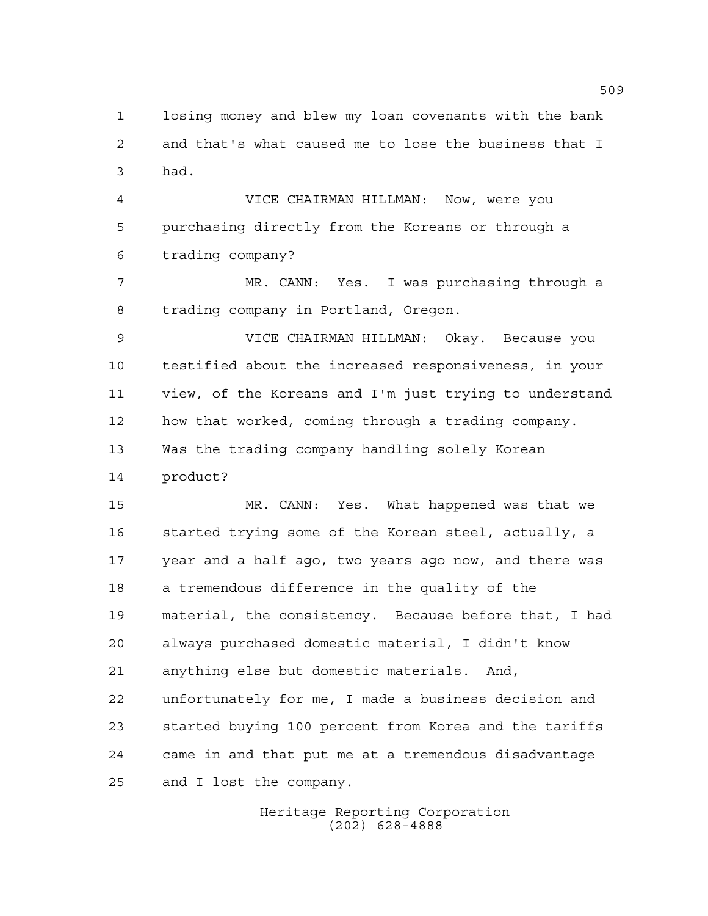losing money and blew my loan covenants with the bank and that's what caused me to lose the business that I had.

 VICE CHAIRMAN HILLMAN: Now, were you purchasing directly from the Koreans or through a trading company?

 MR. CANN: Yes. I was purchasing through a trading company in Portland, Oregon.

 VICE CHAIRMAN HILLMAN: Okay. Because you testified about the increased responsiveness, in your view, of the Koreans and I'm just trying to understand how that worked, coming through a trading company. Was the trading company handling solely Korean product?

 MR. CANN: Yes. What happened was that we started trying some of the Korean steel, actually, a year and a half ago, two years ago now, and there was a tremendous difference in the quality of the material, the consistency. Because before that, I had always purchased domestic material, I didn't know anything else but domestic materials. And, unfortunately for me, I made a business decision and started buying 100 percent from Korea and the tariffs came in and that put me at a tremendous disadvantage and I lost the company.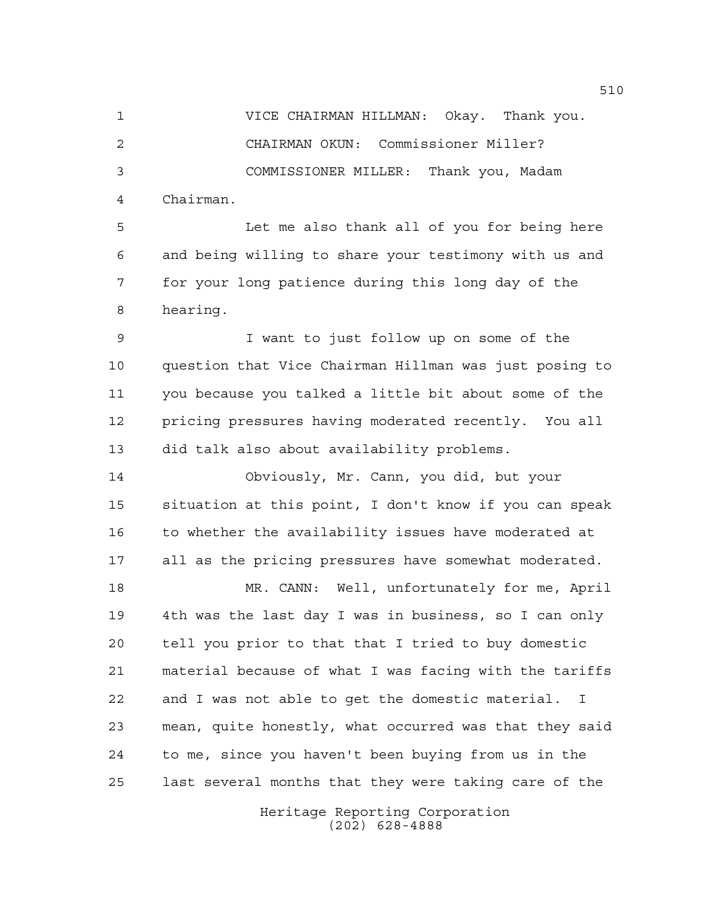VICE CHAIRMAN HILLMAN: Okay. Thank you. CHAIRMAN OKUN: Commissioner Miller? COMMISSIONER MILLER: Thank you, Madam Chairman.

 Let me also thank all of you for being here and being willing to share your testimony with us and for your long patience during this long day of the hearing.

 I want to just follow up on some of the question that Vice Chairman Hillman was just posing to you because you talked a little bit about some of the pricing pressures having moderated recently. You all did talk also about availability problems.

 Obviously, Mr. Cann, you did, but your situation at this point, I don't know if you can speak 16 to whether the availability issues have moderated at all as the pricing pressures have somewhat moderated.

 MR. CANN: Well, unfortunately for me, April 4th was the last day I was in business, so I can only tell you prior to that that I tried to buy domestic material because of what I was facing with the tariffs and I was not able to get the domestic material. I mean, quite honestly, what occurred was that they said to me, since you haven't been buying from us in the last several months that they were taking care of the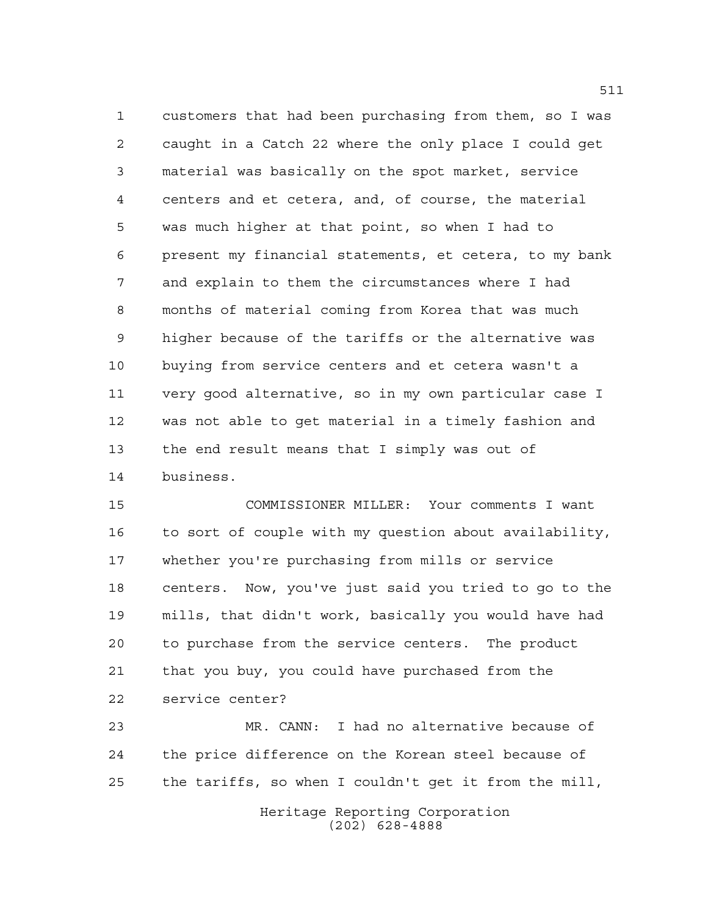customers that had been purchasing from them, so I was caught in a Catch 22 where the only place I could get material was basically on the spot market, service centers and et cetera, and, of course, the material was much higher at that point, so when I had to present my financial statements, et cetera, to my bank and explain to them the circumstances where I had months of material coming from Korea that was much higher because of the tariffs or the alternative was buying from service centers and et cetera wasn't a very good alternative, so in my own particular case I was not able to get material in a timely fashion and the end result means that I simply was out of business.

 COMMISSIONER MILLER: Your comments I want to sort of couple with my question about availability, whether you're purchasing from mills or service centers. Now, you've just said you tried to go to the mills, that didn't work, basically you would have had to purchase from the service centers. The product that you buy, you could have purchased from the service center?

 MR. CANN: I had no alternative because of the price difference on the Korean steel because of the tariffs, so when I couldn't get it from the mill,

> Heritage Reporting Corporation (202) 628-4888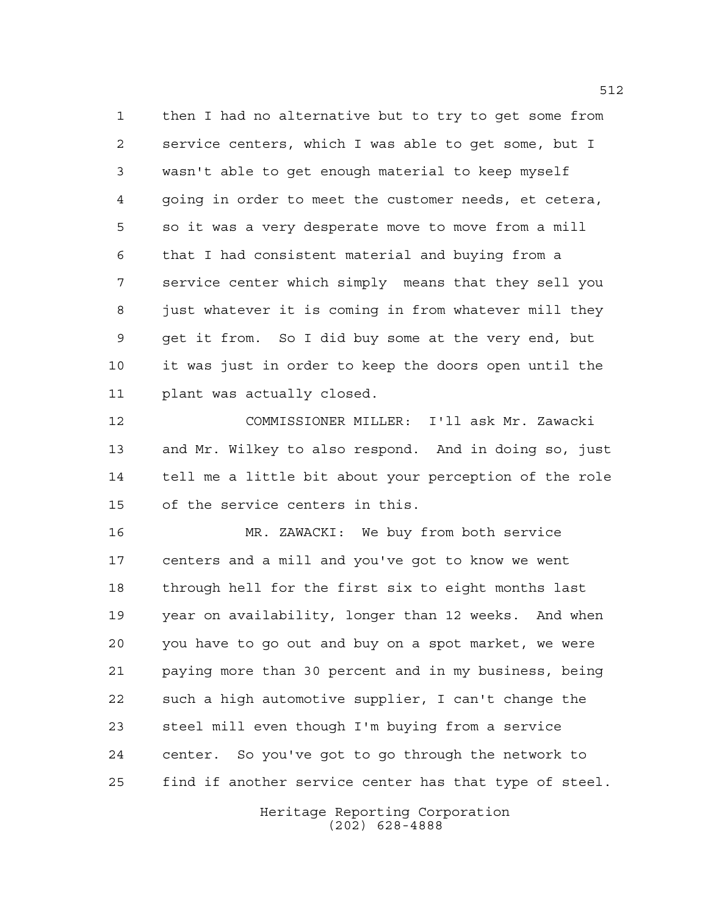then I had no alternative but to try to get some from service centers, which I was able to get some, but I wasn't able to get enough material to keep myself going in order to meet the customer needs, et cetera, so it was a very desperate move to move from a mill that I had consistent material and buying from a service center which simply means that they sell you just whatever it is coming in from whatever mill they get it from. So I did buy some at the very end, but it was just in order to keep the doors open until the plant was actually closed.

 COMMISSIONER MILLER: I'll ask Mr. Zawacki and Mr. Wilkey to also respond. And in doing so, just tell me a little bit about your perception of the role of the service centers in this.

 MR. ZAWACKI: We buy from both service centers and a mill and you've got to know we went through hell for the first six to eight months last year on availability, longer than 12 weeks. And when you have to go out and buy on a spot market, we were paying more than 30 percent and in my business, being such a high automotive supplier, I can't change the steel mill even though I'm buying from a service center. So you've got to go through the network to find if another service center has that type of steel.

> Heritage Reporting Corporation (202) 628-4888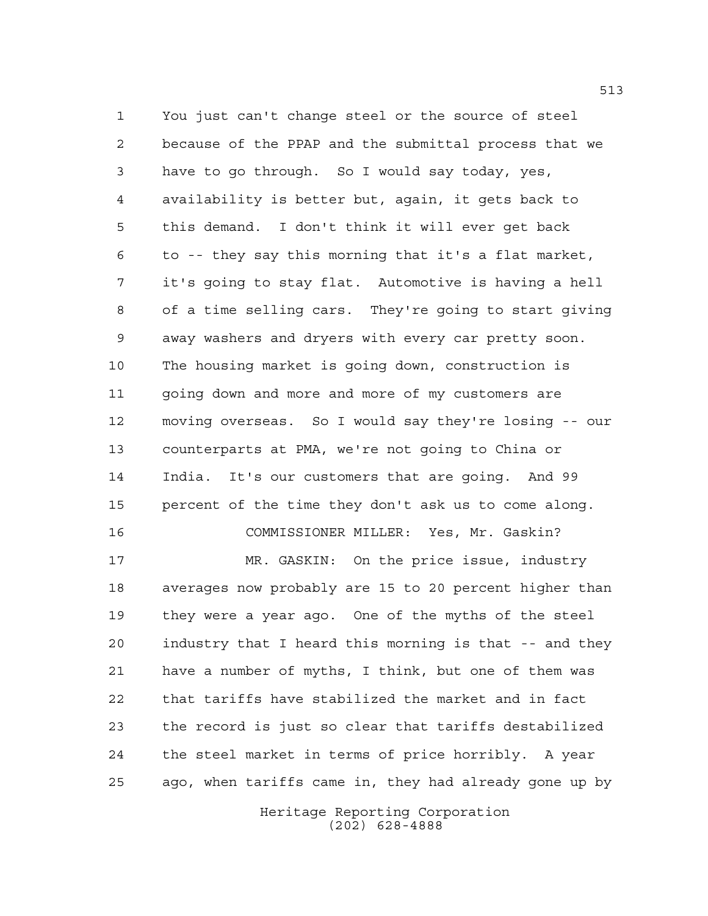You just can't change steel or the source of steel because of the PPAP and the submittal process that we have to go through. So I would say today, yes, availability is better but, again, it gets back to this demand. I don't think it will ever get back to -- they say this morning that it's a flat market, it's going to stay flat. Automotive is having a hell of a time selling cars. They're going to start giving away washers and dryers with every car pretty soon. The housing market is going down, construction is going down and more and more of my customers are moving overseas. So I would say they're losing -- our counterparts at PMA, we're not going to China or India. It's our customers that are going. And 99 percent of the time they don't ask us to come along. COMMISSIONER MILLER: Yes, Mr. Gaskin?

 MR. GASKIN: On the price issue, industry averages now probably are 15 to 20 percent higher than they were a year ago. One of the myths of the steel industry that I heard this morning is that -- and they have a number of myths, I think, but one of them was that tariffs have stabilized the market and in fact the record is just so clear that tariffs destabilized the steel market in terms of price horribly. A year ago, when tariffs came in, they had already gone up by

> Heritage Reporting Corporation (202) 628-4888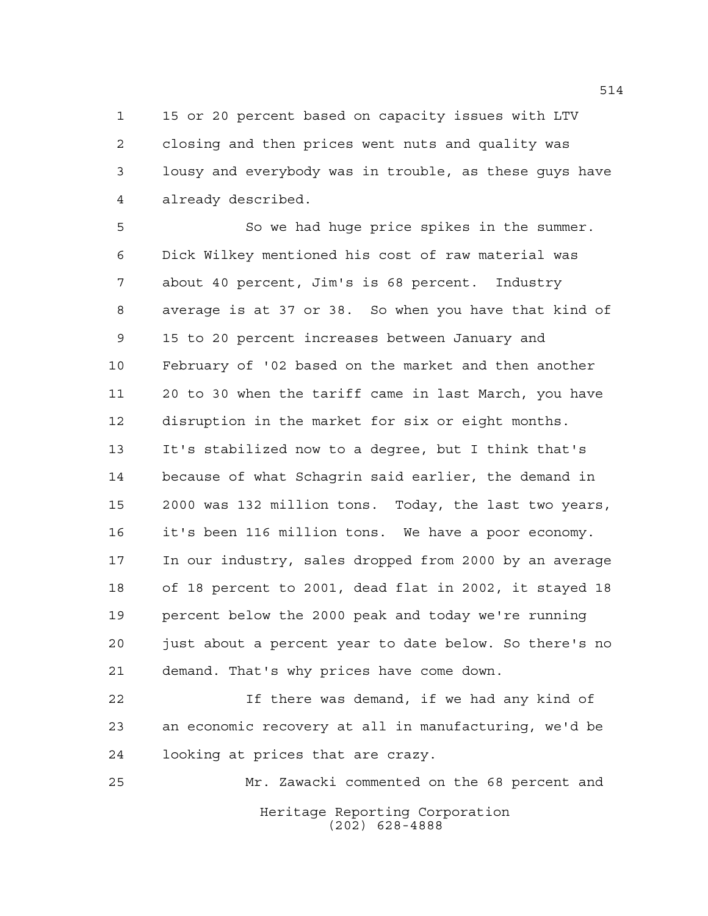15 or 20 percent based on capacity issues with LTV closing and then prices went nuts and quality was lousy and everybody was in trouble, as these guys have already described.

 So we had huge price spikes in the summer. Dick Wilkey mentioned his cost of raw material was about 40 percent, Jim's is 68 percent. Industry average is at 37 or 38. So when you have that kind of 15 to 20 percent increases between January and February of '02 based on the market and then another 20 to 30 when the tariff came in last March, you have disruption in the market for six or eight months. It's stabilized now to a degree, but I think that's because of what Schagrin said earlier, the demand in 2000 was 132 million tons. Today, the last two years, it's been 116 million tons. We have a poor economy. In our industry, sales dropped from 2000 by an average of 18 percent to 2001, dead flat in 2002, it stayed 18 percent below the 2000 peak and today we're running just about a percent year to date below. So there's no demand. That's why prices have come down.

 If there was demand, if we had any kind of an economic recovery at all in manufacturing, we'd be looking at prices that are crazy.

Heritage Reporting Corporation (202) 628-4888 Mr. Zawacki commented on the 68 percent and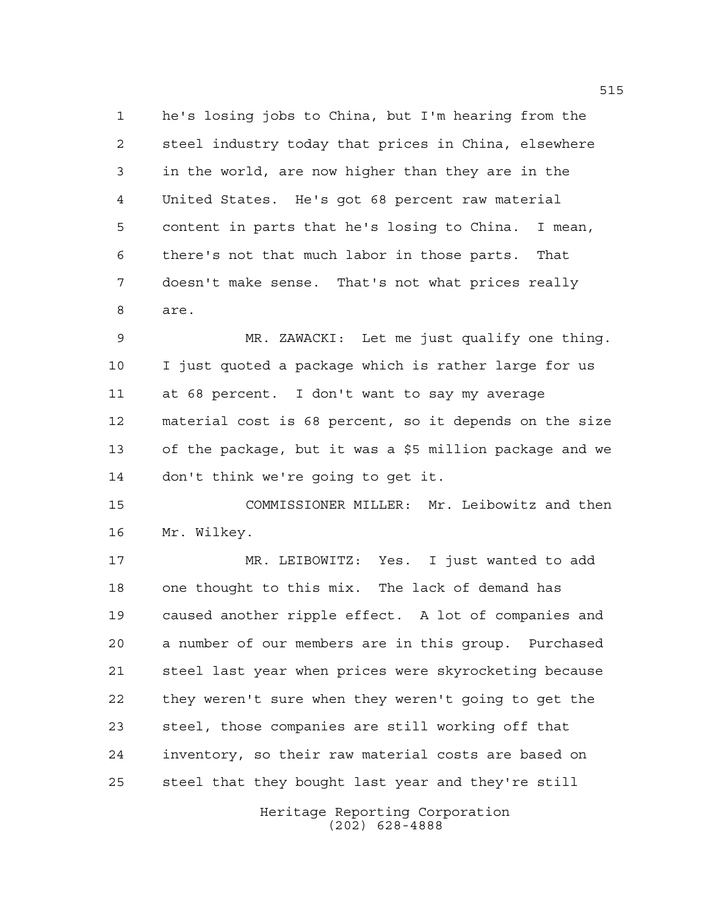he's losing jobs to China, but I'm hearing from the steel industry today that prices in China, elsewhere in the world, are now higher than they are in the United States. He's got 68 percent raw material content in parts that he's losing to China. I mean, there's not that much labor in those parts. That doesn't make sense. That's not what prices really are.

 MR. ZAWACKI: Let me just qualify one thing. I just quoted a package which is rather large for us at 68 percent. I don't want to say my average material cost is 68 percent, so it depends on the size of the package, but it was a \$5 million package and we don't think we're going to get it.

 COMMISSIONER MILLER: Mr. Leibowitz and then Mr. Wilkey.

 MR. LEIBOWITZ: Yes. I just wanted to add one thought to this mix. The lack of demand has caused another ripple effect. A lot of companies and a number of our members are in this group. Purchased steel last year when prices were skyrocketing because they weren't sure when they weren't going to get the steel, those companies are still working off that inventory, so their raw material costs are based on steel that they bought last year and they're still

> Heritage Reporting Corporation (202) 628-4888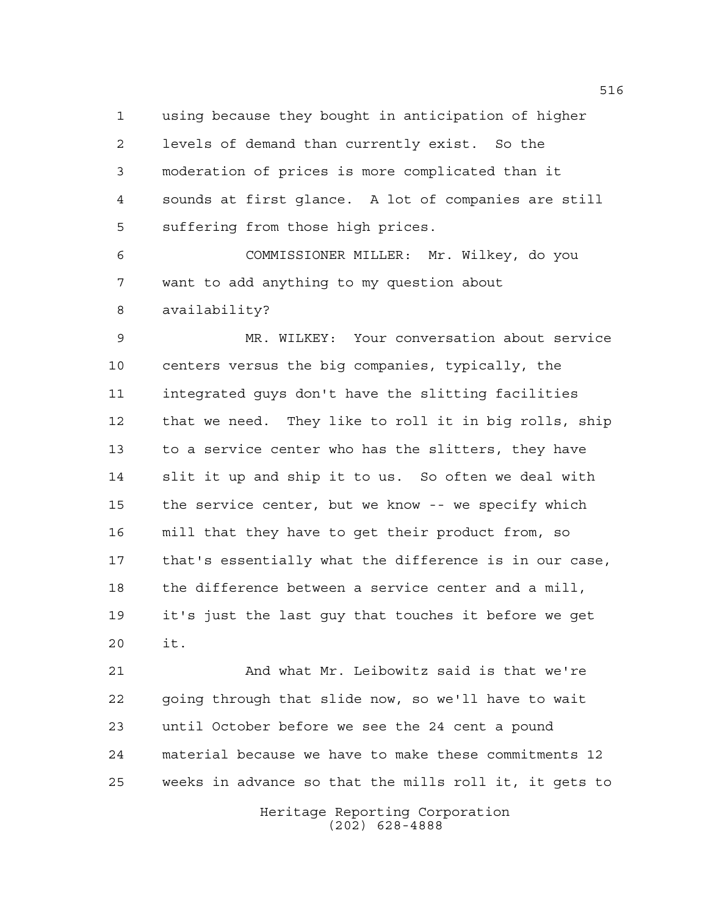using because they bought in anticipation of higher levels of demand than currently exist. So the moderation of prices is more complicated than it sounds at first glance. A lot of companies are still suffering from those high prices.

 COMMISSIONER MILLER: Mr. Wilkey, do you want to add anything to my question about availability?

 MR. WILKEY: Your conversation about service centers versus the big companies, typically, the integrated guys don't have the slitting facilities that we need. They like to roll it in big rolls, ship to a service center who has the slitters, they have slit it up and ship it to us. So often we deal with the service center, but we know -- we specify which mill that they have to get their product from, so that's essentially what the difference is in our case, the difference between a service center and a mill, it's just the last guy that touches it before we get it.

 And what Mr. Leibowitz said is that we're going through that slide now, so we'll have to wait until October before we see the 24 cent a pound material because we have to make these commitments 12 weeks in advance so that the mills roll it, it gets to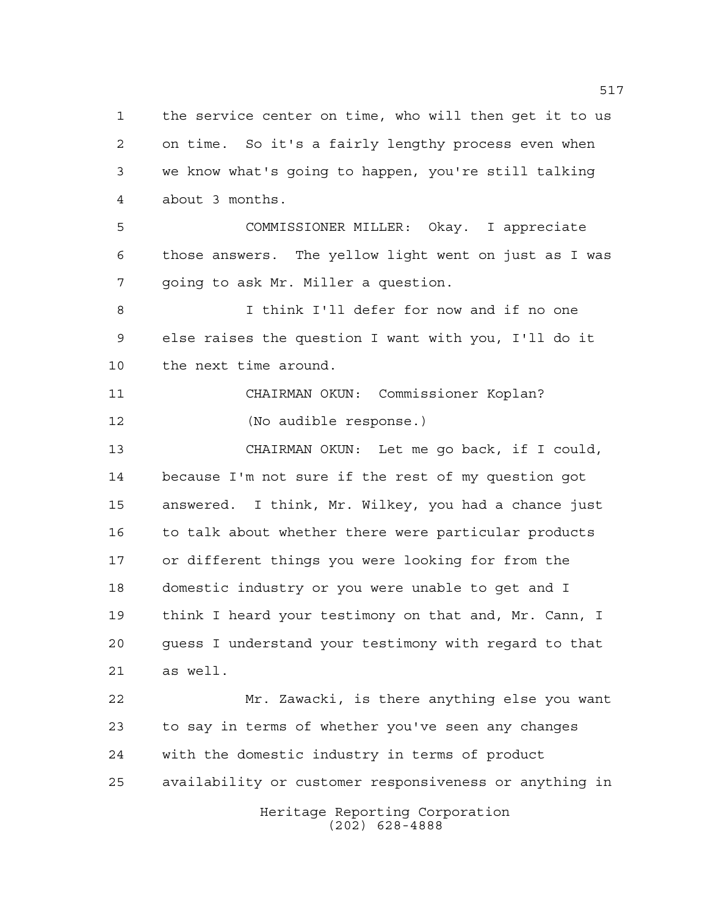Heritage Reporting Corporation the service center on time, who will then get it to us on time. So it's a fairly lengthy process even when we know what's going to happen, you're still talking about 3 months. COMMISSIONER MILLER: Okay. I appreciate those answers. The yellow light went on just as I was going to ask Mr. Miller a question. I think I'll defer for now and if no one else raises the question I want with you, I'll do it the next time around. CHAIRMAN OKUN: Commissioner Koplan? (No audible response.) CHAIRMAN OKUN: Let me go back, if I could, because I'm not sure if the rest of my question got answered. I think, Mr. Wilkey, you had a chance just 16 to talk about whether there were particular products or different things you were looking for from the domestic industry or you were unable to get and I think I heard your testimony on that and, Mr. Cann, I guess I understand your testimony with regard to that as well. Mr. Zawacki, is there anything else you want to say in terms of whether you've seen any changes with the domestic industry in terms of product availability or customer responsiveness or anything in

(202) 628-4888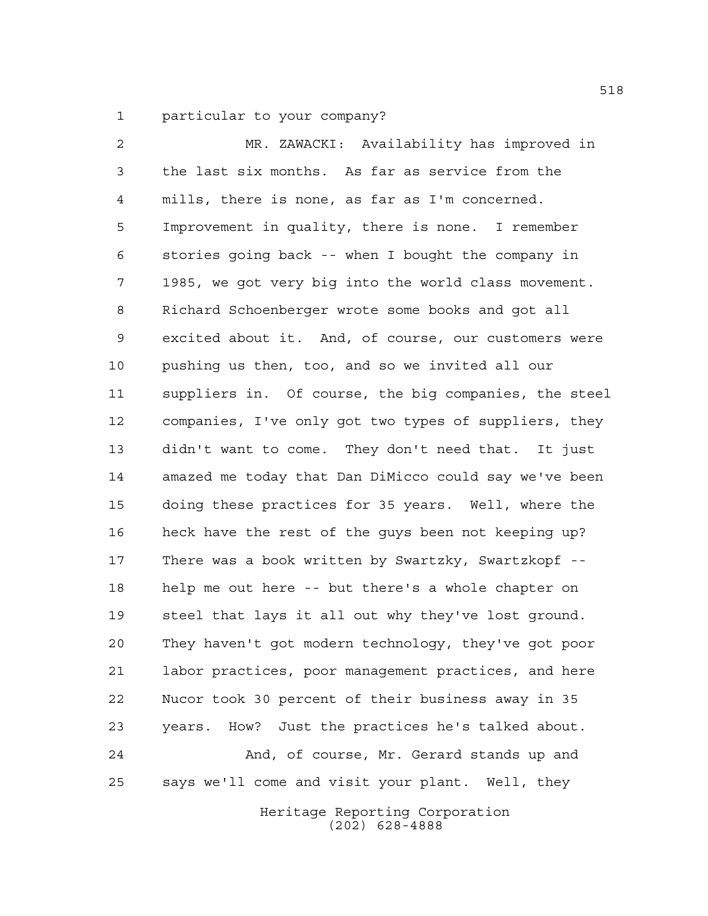particular to your company?

 MR. ZAWACKI: Availability has improved in the last six months. As far as service from the mills, there is none, as far as I'm concerned. Improvement in quality, there is none. I remember stories going back -- when I bought the company in 1985, we got very big into the world class movement. Richard Schoenberger wrote some books and got all excited about it. And, of course, our customers were pushing us then, too, and so we invited all our suppliers in. Of course, the big companies, the steel companies, I've only got two types of suppliers, they didn't want to come. They don't need that. It just amazed me today that Dan DiMicco could say we've been doing these practices for 35 years. Well, where the heck have the rest of the guys been not keeping up? There was a book written by Swartzky, Swartzkopf -- help me out here -- but there's a whole chapter on steel that lays it all out why they've lost ground. They haven't got modern technology, they've got poor labor practices, poor management practices, and here Nucor took 30 percent of their business away in 35 years. How? Just the practices he's talked about. And, of course, Mr. Gerard stands up and says we'll come and visit your plant. Well, they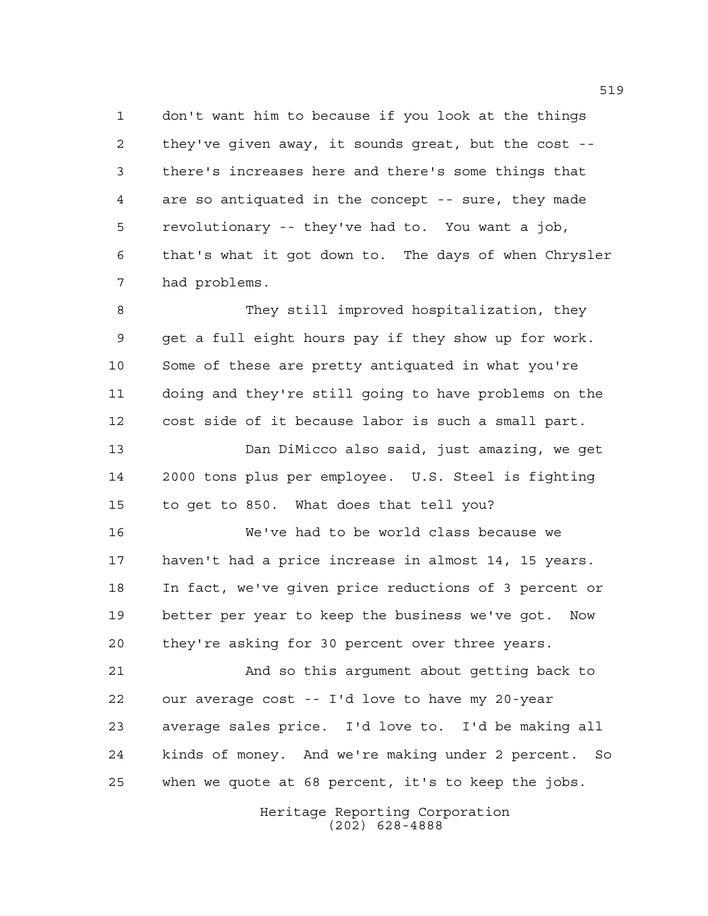don't want him to because if you look at the things they've given away, it sounds great, but the cost -- there's increases here and there's some things that are so antiquated in the concept -- sure, they made revolutionary -- they've had to. You want a job, that's what it got down to. The days of when Chrysler had problems.

 They still improved hospitalization, they get a full eight hours pay if they show up for work. Some of these are pretty antiquated in what you're doing and they're still going to have problems on the cost side of it because labor is such a small part.

 Dan DiMicco also said, just amazing, we get 2000 tons plus per employee. U.S. Steel is fighting to get to 850. What does that tell you?

 We've had to be world class because we haven't had a price increase in almost 14, 15 years. In fact, we've given price reductions of 3 percent or better per year to keep the business we've got. Now they're asking for 30 percent over three years.

 And so this argument about getting back to our average cost -- I'd love to have my 20-year average sales price. I'd love to. I'd be making all kinds of money. And we're making under 2 percent. So when we quote at 68 percent, it's to keep the jobs.

> Heritage Reporting Corporation (202) 628-4888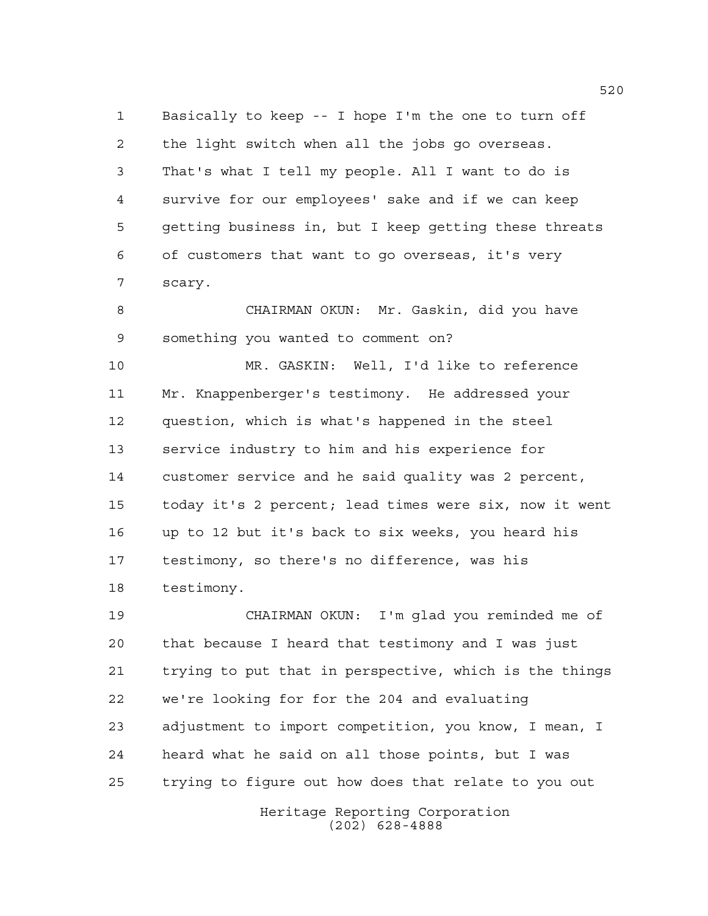Basically to keep -- I hope I'm the one to turn off the light switch when all the jobs go overseas. That's what I tell my people. All I want to do is survive for our employees' sake and if we can keep getting business in, but I keep getting these threats of customers that want to go overseas, it's very scary.

 CHAIRMAN OKUN: Mr. Gaskin, did you have something you wanted to comment on?

 MR. GASKIN: Well, I'd like to reference Mr. Knappenberger's testimony. He addressed your question, which is what's happened in the steel service industry to him and his experience for customer service and he said quality was 2 percent, today it's 2 percent; lead times were six, now it went up to 12 but it's back to six weeks, you heard his testimony, so there's no difference, was his testimony.

 CHAIRMAN OKUN: I'm glad you reminded me of that because I heard that testimony and I was just trying to put that in perspective, which is the things we're looking for for the 204 and evaluating adjustment to import competition, you know, I mean, I heard what he said on all those points, but I was trying to figure out how does that relate to you out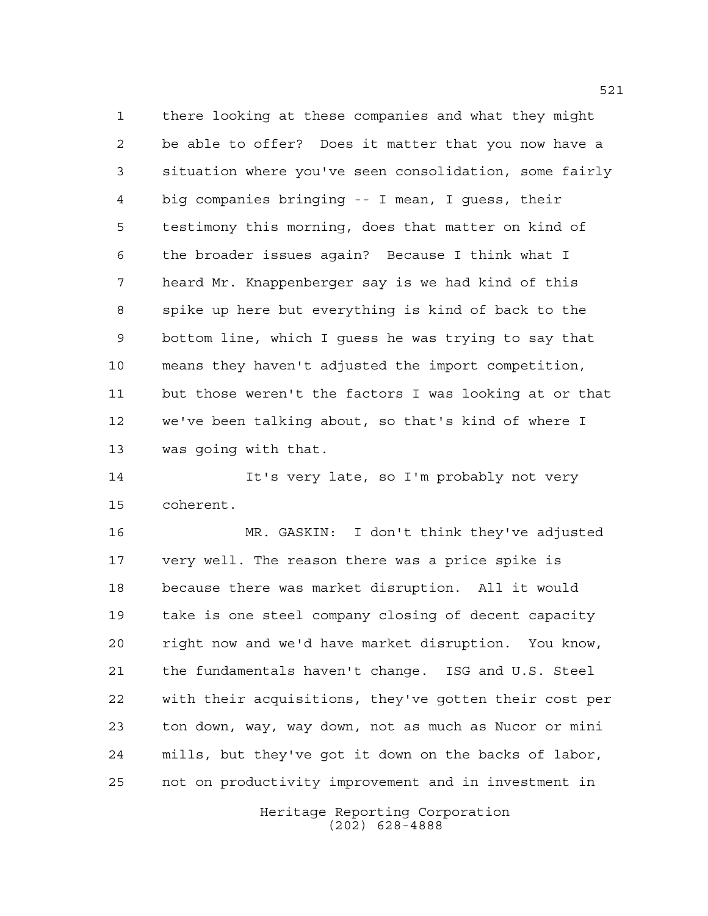there looking at these companies and what they might be able to offer? Does it matter that you now have a situation where you've seen consolidation, some fairly big companies bringing -- I mean, I guess, their testimony this morning, does that matter on kind of the broader issues again? Because I think what I heard Mr. Knappenberger say is we had kind of this spike up here but everything is kind of back to the bottom line, which I guess he was trying to say that means they haven't adjusted the import competition, but those weren't the factors I was looking at or that we've been talking about, so that's kind of where I was going with that.

 It's very late, so I'm probably not very coherent.

 MR. GASKIN: I don't think they've adjusted very well. The reason there was a price spike is because there was market disruption. All it would take is one steel company closing of decent capacity right now and we'd have market disruption. You know, the fundamentals haven't change. ISG and U.S. Steel with their acquisitions, they've gotten their cost per ton down, way, way down, not as much as Nucor or mini mills, but they've got it down on the backs of labor, not on productivity improvement and in investment in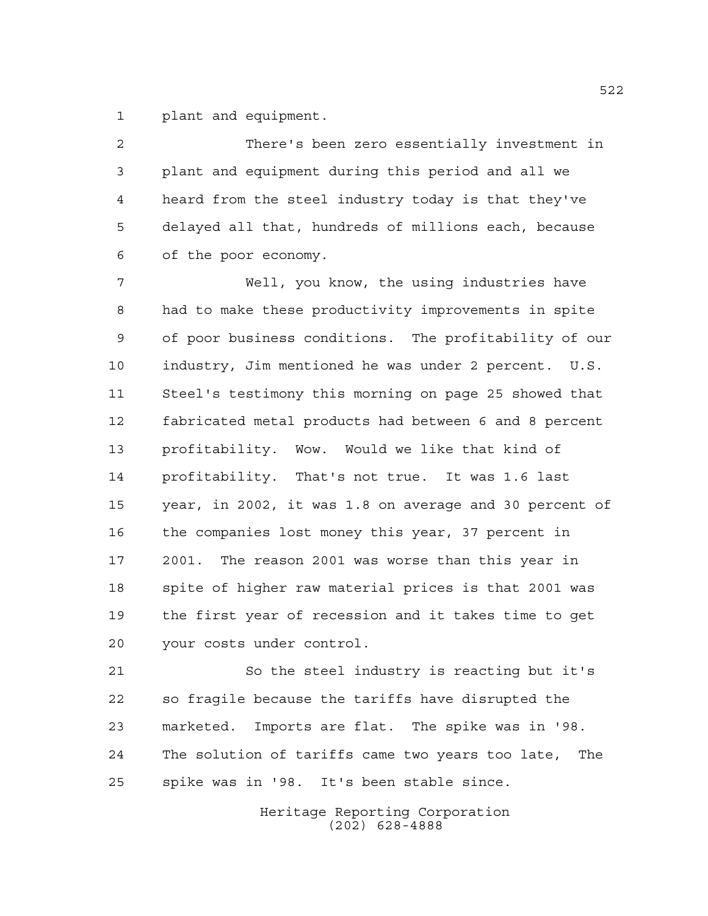plant and equipment.

 There's been zero essentially investment in plant and equipment during this period and all we heard from the steel industry today is that they've delayed all that, hundreds of millions each, because of the poor economy.

 Well, you know, the using industries have had to make these productivity improvements in spite of poor business conditions. The profitability of our industry, Jim mentioned he was under 2 percent. U.S. Steel's testimony this morning on page 25 showed that fabricated metal products had between 6 and 8 percent profitability. Wow. Would we like that kind of profitability. That's not true. It was 1.6 last year, in 2002, it was 1.8 on average and 30 percent of the companies lost money this year, 37 percent in 2001. The reason 2001 was worse than this year in spite of higher raw material prices is that 2001 was the first year of recession and it takes time to get your costs under control.

 So the steel industry is reacting but it's so fragile because the tariffs have disrupted the marketed. Imports are flat. The spike was in '98. The solution of tariffs came two years too late, The spike was in '98. It's been stable since.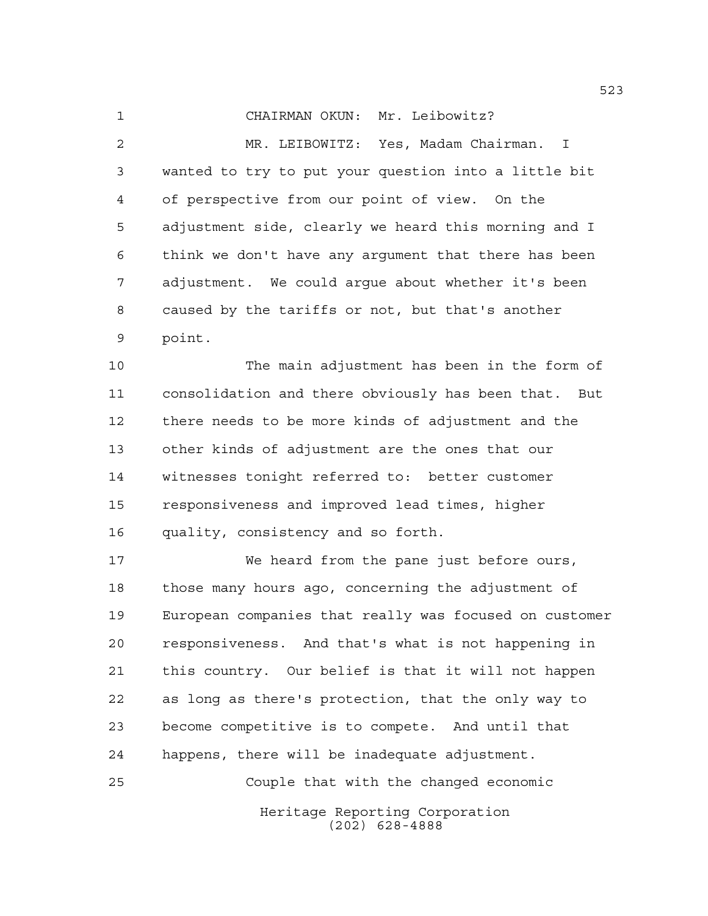CHAIRMAN OKUN: Mr. Leibowitz?

 MR. LEIBOWITZ: Yes, Madam Chairman. I wanted to try to put your question into a little bit of perspective from our point of view. On the adjustment side, clearly we heard this morning and I think we don't have any argument that there has been adjustment. We could argue about whether it's been caused by the tariffs or not, but that's another point.

 The main adjustment has been in the form of consolidation and there obviously has been that. But there needs to be more kinds of adjustment and the other kinds of adjustment are the ones that our witnesses tonight referred to: better customer responsiveness and improved lead times, higher quality, consistency and so forth.

 We heard from the pane just before ours, those many hours ago, concerning the adjustment of European companies that really was focused on customer responsiveness. And that's what is not happening in this country. Our belief is that it will not happen as long as there's protection, that the only way to become competitive is to compete. And until that happens, there will be inadequate adjustment. Couple that with the changed economic

> Heritage Reporting Corporation (202) 628-4888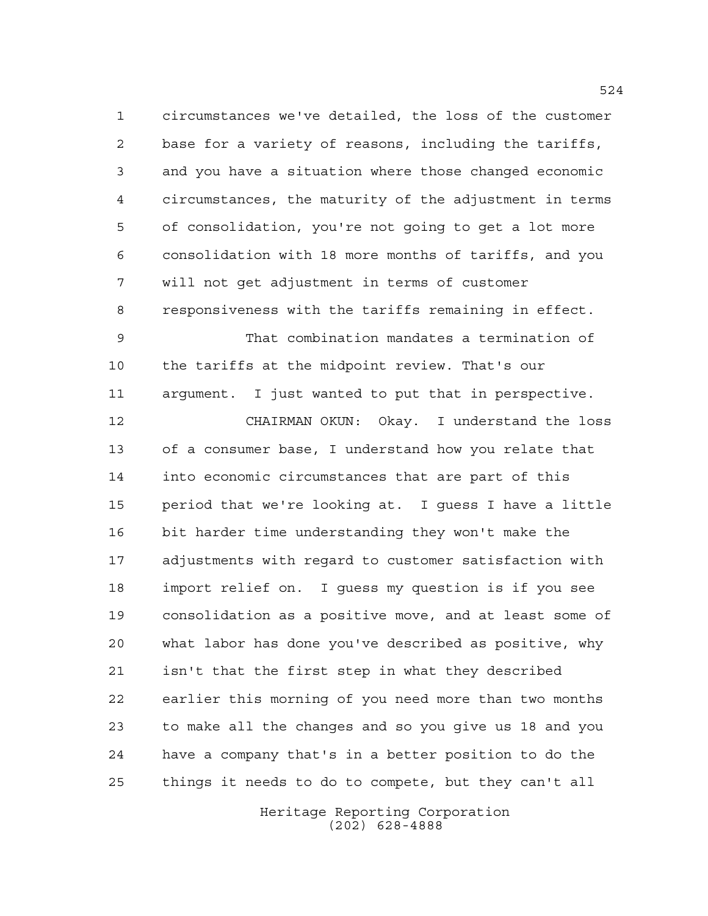circumstances we've detailed, the loss of the customer base for a variety of reasons, including the tariffs, and you have a situation where those changed economic circumstances, the maturity of the adjustment in terms of consolidation, you're not going to get a lot more consolidation with 18 more months of tariffs, and you will not get adjustment in terms of customer responsiveness with the tariffs remaining in effect. That combination mandates a termination of the tariffs at the midpoint review. That's our argument. I just wanted to put that in perspective. CHAIRMAN OKUN: Okay. I understand the loss of a consumer base, I understand how you relate that into economic circumstances that are part of this period that we're looking at. I guess I have a little bit harder time understanding they won't make the adjustments with regard to customer satisfaction with import relief on. I guess my question is if you see consolidation as a positive move, and at least some of what labor has done you've described as positive, why isn't that the first step in what they described earlier this morning of you need more than two months to make all the changes and so you give us 18 and you have a company that's in a better position to do the things it needs to do to compete, but they can't all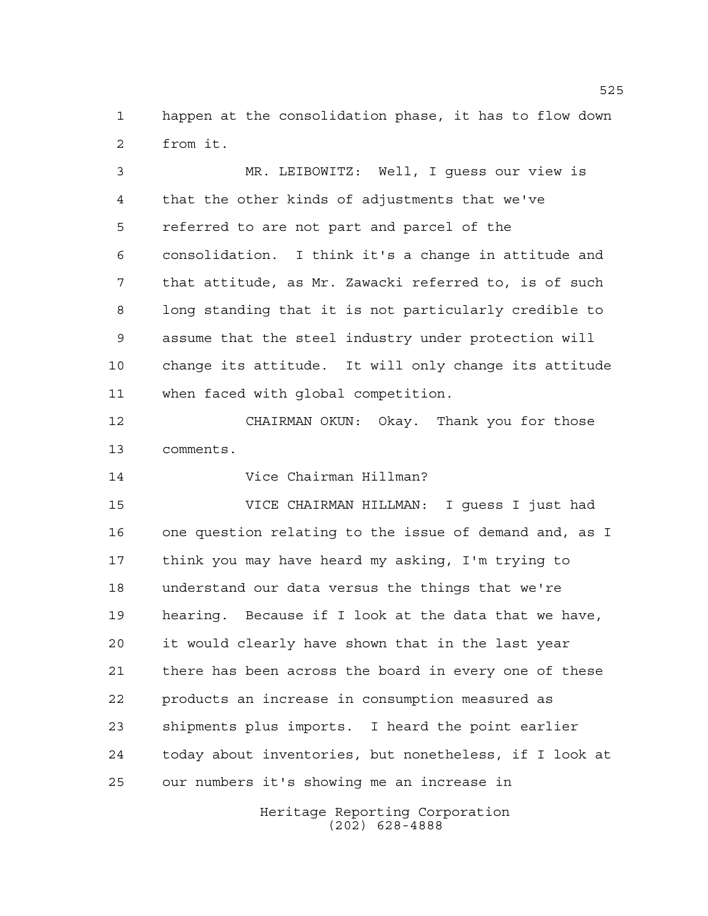happen at the consolidation phase, it has to flow down from it.

 MR. LEIBOWITZ: Well, I guess our view is that the other kinds of adjustments that we've referred to are not part and parcel of the consolidation. I think it's a change in attitude and that attitude, as Mr. Zawacki referred to, is of such long standing that it is not particularly credible to assume that the steel industry under protection will change its attitude. It will only change its attitude when faced with global competition.

 CHAIRMAN OKUN: Okay. Thank you for those comments.

Vice Chairman Hillman?

 VICE CHAIRMAN HILLMAN: I guess I just had one question relating to the issue of demand and, as I think you may have heard my asking, I'm trying to understand our data versus the things that we're hearing. Because if I look at the data that we have, it would clearly have shown that in the last year there has been across the board in every one of these products an increase in consumption measured as shipments plus imports. I heard the point earlier today about inventories, but nonetheless, if I look at our numbers it's showing me an increase in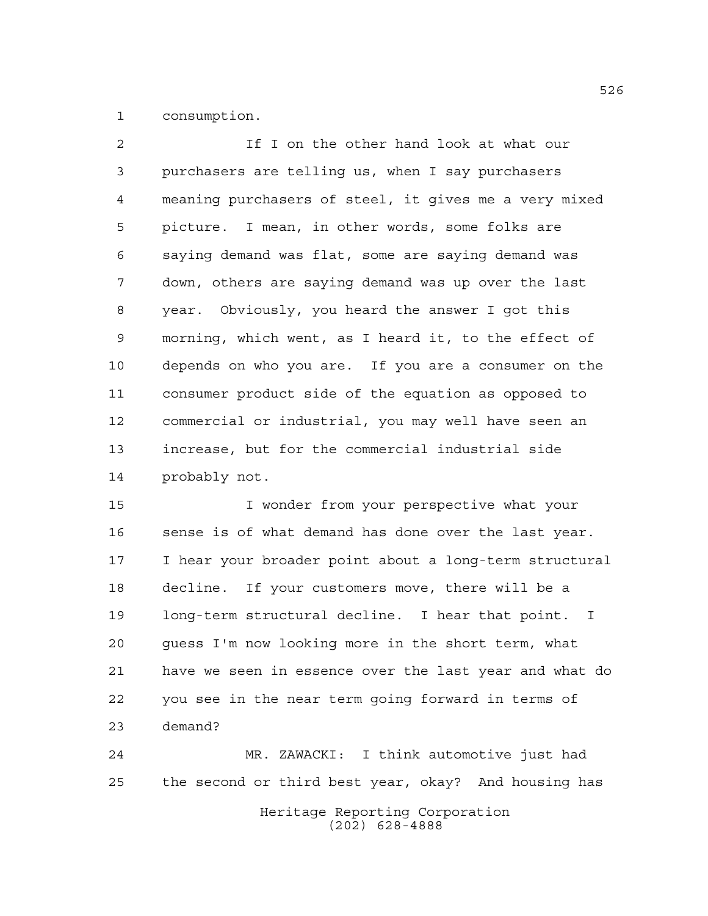consumption.

 If I on the other hand look at what our purchasers are telling us, when I say purchasers meaning purchasers of steel, it gives me a very mixed picture. I mean, in other words, some folks are saying demand was flat, some are saying demand was down, others are saying demand was up over the last year. Obviously, you heard the answer I got this morning, which went, as I heard it, to the effect of depends on who you are. If you are a consumer on the consumer product side of the equation as opposed to commercial or industrial, you may well have seen an increase, but for the commercial industrial side probably not.

 I wonder from your perspective what your 16 sense is of what demand has done over the last year. I hear your broader point about a long-term structural decline. If your customers move, there will be a long-term structural decline. I hear that point. I guess I'm now looking more in the short term, what have we seen in essence over the last year and what do you see in the near term going forward in terms of demand?

Heritage Reporting Corporation MR. ZAWACKI: I think automotive just had the second or third best year, okay? And housing has

(202) 628-4888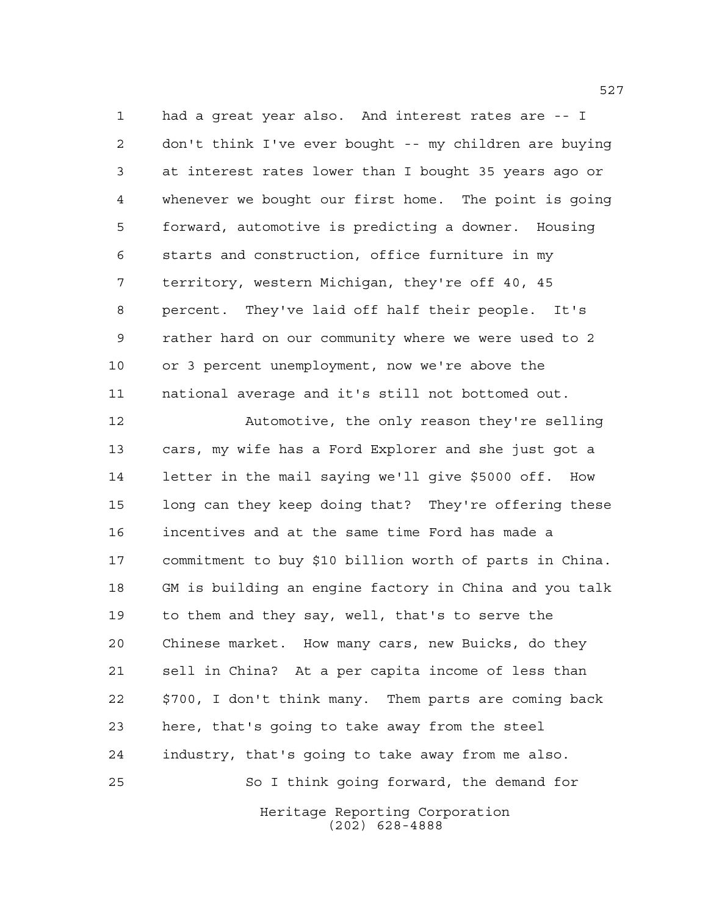had a great year also. And interest rates are -- I don't think I've ever bought -- my children are buying at interest rates lower than I bought 35 years ago or whenever we bought our first home. The point is going forward, automotive is predicting a downer. Housing starts and construction, office furniture in my territory, western Michigan, they're off 40, 45 percent. They've laid off half their people. It's rather hard on our community where we were used to 2 or 3 percent unemployment, now we're above the national average and it's still not bottomed out.

 Automotive, the only reason they're selling cars, my wife has a Ford Explorer and she just got a letter in the mail saying we'll give \$5000 off. How long can they keep doing that? They're offering these incentives and at the same time Ford has made a commitment to buy \$10 billion worth of parts in China. GM is building an engine factory in China and you talk to them and they say, well, that's to serve the Chinese market. How many cars, new Buicks, do they sell in China? At a per capita income of less than \$700, I don't think many. Them parts are coming back here, that's going to take away from the steel industry, that's going to take away from me also. So I think going forward, the demand for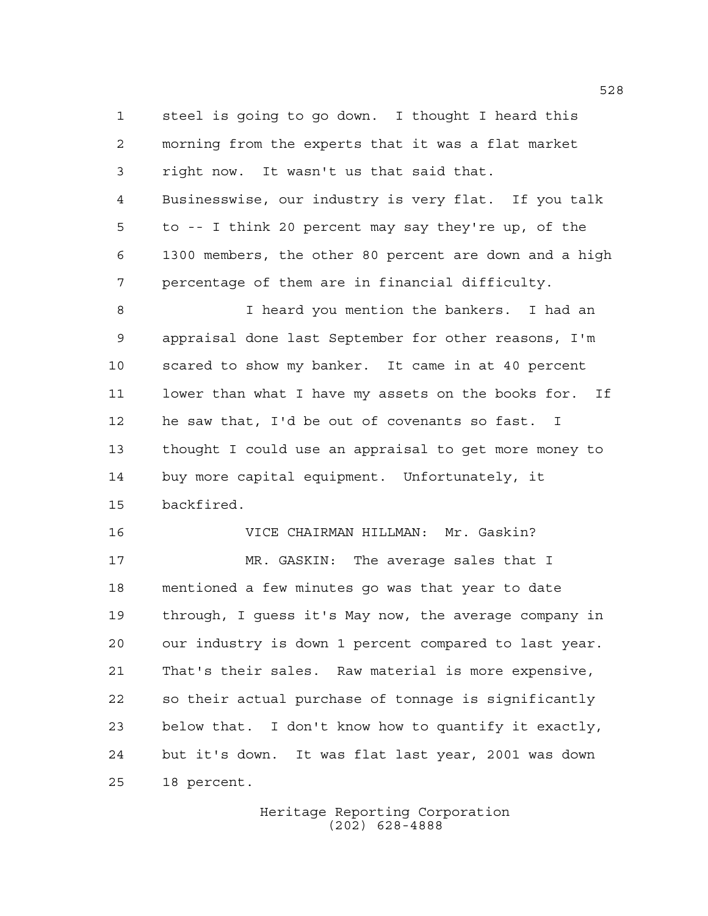steel is going to go down. I thought I heard this morning from the experts that it was a flat market right now. It wasn't us that said that. Businesswise, our industry is very flat. If you talk to -- I think 20 percent may say they're up, of the 1300 members, the other 80 percent are down and a high percentage of them are in financial difficulty.

 I heard you mention the bankers. I had an appraisal done last September for other reasons, I'm scared to show my banker. It came in at 40 percent lower than what I have my assets on the books for. If he saw that, I'd be out of covenants so fast. I thought I could use an appraisal to get more money to buy more capital equipment. Unfortunately, it backfired.

 VICE CHAIRMAN HILLMAN: Mr. Gaskin? MR. GASKIN: The average sales that I mentioned a few minutes go was that year to date through, I guess it's May now, the average company in our industry is down 1 percent compared to last year. That's their sales. Raw material is more expensive, so their actual purchase of tonnage is significantly below that. I don't know how to quantify it exactly, but it's down. It was flat last year, 2001 was down 18 percent.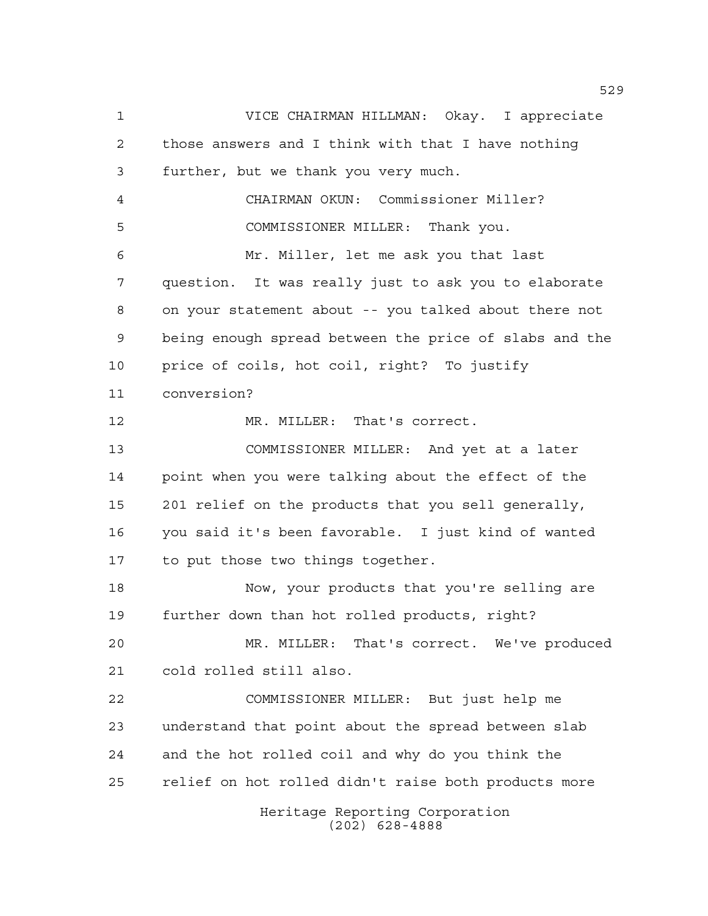Heritage Reporting Corporation (202) 628-4888 VICE CHAIRMAN HILLMAN: Okay. I appreciate those answers and I think with that I have nothing further, but we thank you very much. CHAIRMAN OKUN: Commissioner Miller? COMMISSIONER MILLER: Thank you. Mr. Miller, let me ask you that last question. It was really just to ask you to elaborate on your statement about -- you talked about there not being enough spread between the price of slabs and the price of coils, hot coil, right? To justify conversion? 12 MR. MILLER: That's correct. COMMISSIONER MILLER: And yet at a later point when you were talking about the effect of the 201 relief on the products that you sell generally, you said it's been favorable. I just kind of wanted to put those two things together. Now, your products that you're selling are further down than hot rolled products, right? MR. MILLER: That's correct. We've produced cold rolled still also. COMMISSIONER MILLER: But just help me understand that point about the spread between slab and the hot rolled coil and why do you think the relief on hot rolled didn't raise both products more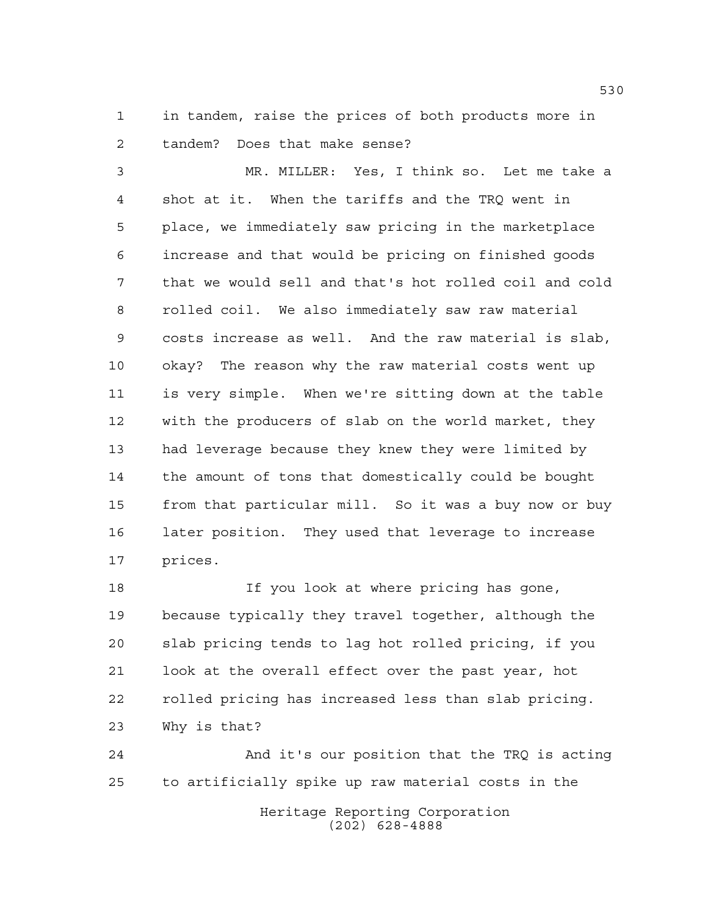in tandem, raise the prices of both products more in tandem? Does that make sense?

 MR. MILLER: Yes, I think so. Let me take a shot at it. When the tariffs and the TRQ went in place, we immediately saw pricing in the marketplace increase and that would be pricing on finished goods that we would sell and that's hot rolled coil and cold rolled coil. We also immediately saw raw material costs increase as well. And the raw material is slab, okay? The reason why the raw material costs went up is very simple. When we're sitting down at the table with the producers of slab on the world market, they had leverage because they knew they were limited by the amount of tons that domestically could be bought from that particular mill. So it was a buy now or buy later position. They used that leverage to increase prices.

 If you look at where pricing has gone, because typically they travel together, although the slab pricing tends to lag hot rolled pricing, if you look at the overall effect over the past year, hot rolled pricing has increased less than slab pricing. Why is that?

Heritage Reporting Corporation (202) 628-4888 And it's our position that the TRQ is acting to artificially spike up raw material costs in the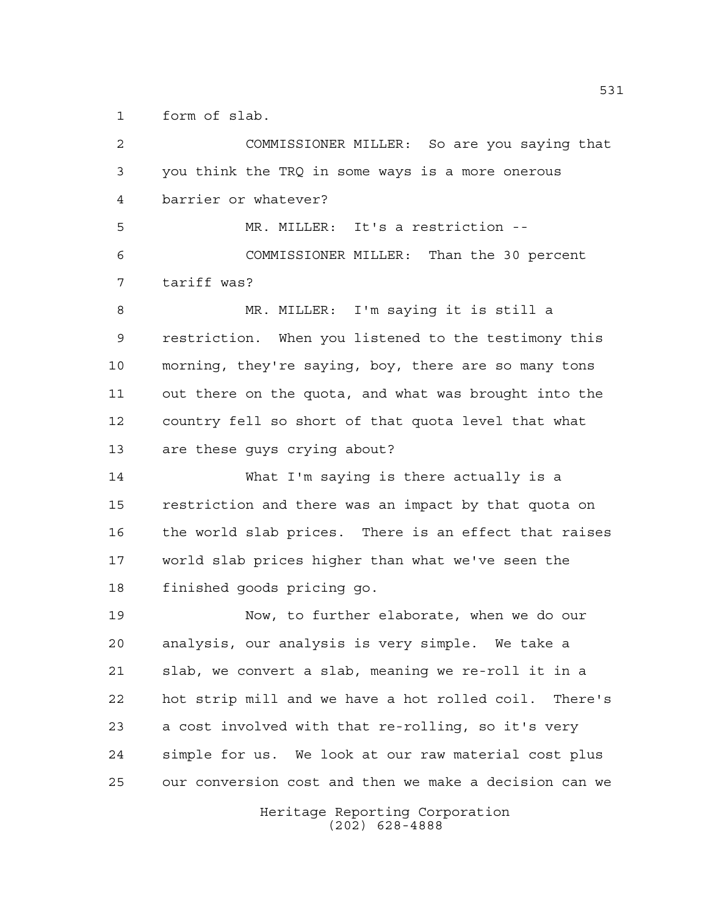form of slab.

Heritage Reporting Corporation (202) 628-4888 COMMISSIONER MILLER: So are you saying that you think the TRQ in some ways is a more onerous barrier or whatever? MR. MILLER: It's a restriction -- COMMISSIONER MILLER: Than the 30 percent tariff was? MR. MILLER: I'm saying it is still a restriction. When you listened to the testimony this morning, they're saying, boy, there are so many tons out there on the quota, and what was brought into the country fell so short of that quota level that what are these guys crying about? What I'm saying is there actually is a restriction and there was an impact by that quota on the world slab prices. There is an effect that raises world slab prices higher than what we've seen the finished goods pricing go. Now, to further elaborate, when we do our analysis, our analysis is very simple. We take a slab, we convert a slab, meaning we re-roll it in a hot strip mill and we have a hot rolled coil. There's a cost involved with that re-rolling, so it's very simple for us. We look at our raw material cost plus our conversion cost and then we make a decision can we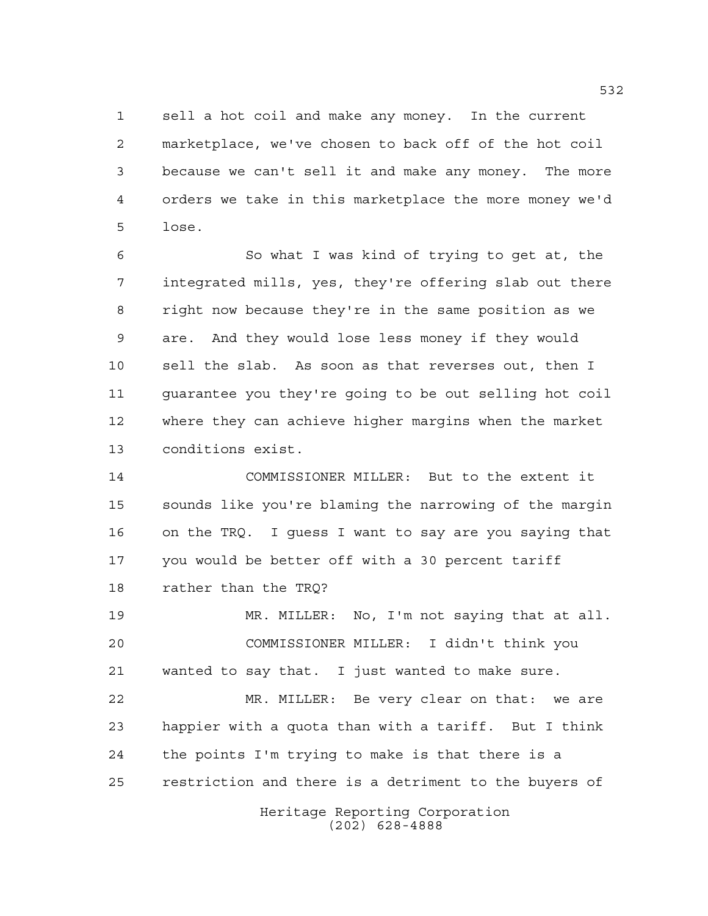sell a hot coil and make any money. In the current marketplace, we've chosen to back off of the hot coil because we can't sell it and make any money. The more orders we take in this marketplace the more money we'd lose.

 So what I was kind of trying to get at, the integrated mills, yes, they're offering slab out there right now because they're in the same position as we are. And they would lose less money if they would sell the slab. As soon as that reverses out, then I guarantee you they're going to be out selling hot coil where they can achieve higher margins when the market conditions exist.

 COMMISSIONER MILLER: But to the extent it sounds like you're blaming the narrowing of the margin on the TRQ. I guess I want to say are you saying that you would be better off with a 30 percent tariff rather than the TRQ?

 MR. MILLER: No, I'm not saying that at all. COMMISSIONER MILLER: I didn't think you wanted to say that. I just wanted to make sure.

 MR. MILLER: Be very clear on that: we are happier with a quota than with a tariff. But I think the points I'm trying to make is that there is a restriction and there is a detriment to the buyers of

> Heritage Reporting Corporation (202) 628-4888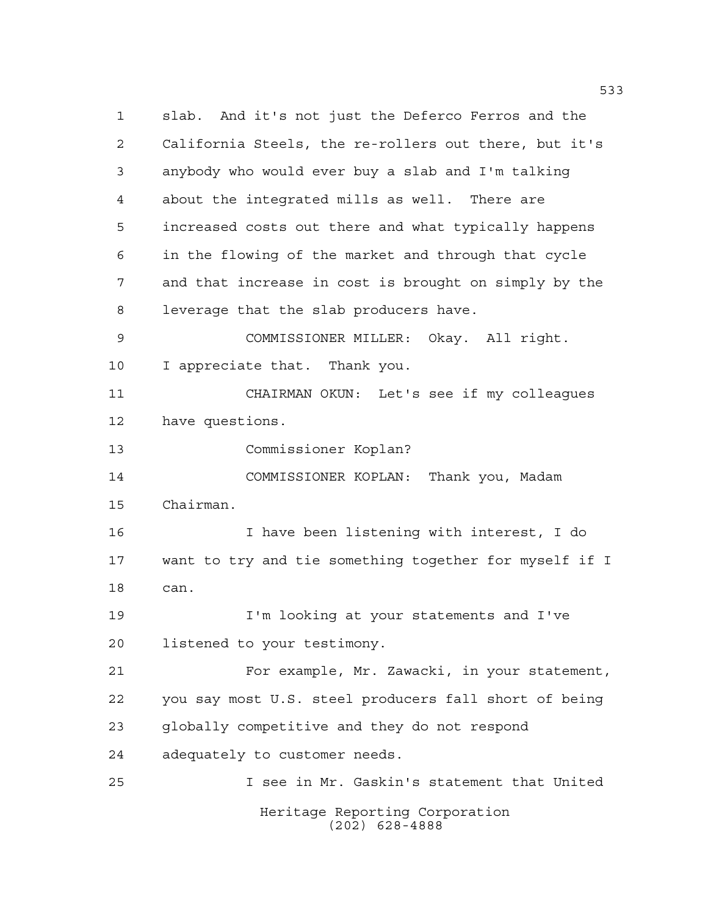Heritage Reporting Corporation (202) 628-4888 slab. And it's not just the Deferco Ferros and the California Steels, the re-rollers out there, but it's anybody who would ever buy a slab and I'm talking about the integrated mills as well. There are increased costs out there and what typically happens in the flowing of the market and through that cycle and that increase in cost is brought on simply by the leverage that the slab producers have. COMMISSIONER MILLER: Okay. All right. I appreciate that. Thank you. CHAIRMAN OKUN: Let's see if my colleagues have questions. Commissioner Koplan? COMMISSIONER KOPLAN: Thank you, Madam Chairman. I have been listening with interest, I do want to try and tie something together for myself if I can. I'm looking at your statements and I've listened to your testimony. For example, Mr. Zawacki, in your statement, you say most U.S. steel producers fall short of being globally competitive and they do not respond adequately to customer needs. I see in Mr. Gaskin's statement that United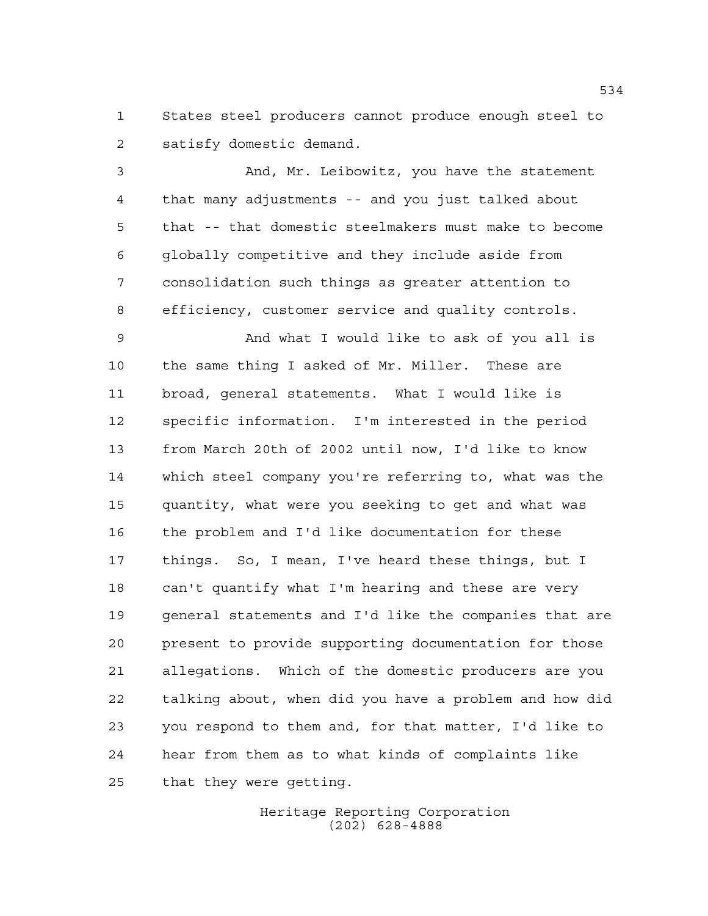States steel producers cannot produce enough steel to satisfy domestic demand.

 And, Mr. Leibowitz, you have the statement that many adjustments -- and you just talked about that -- that domestic steelmakers must make to become globally competitive and they include aside from consolidation such things as greater attention to efficiency, customer service and quality controls.

 And what I would like to ask of you all is the same thing I asked of Mr. Miller. These are broad, general statements. What I would like is specific information. I'm interested in the period from March 20th of 2002 until now, I'd like to know which steel company you're referring to, what was the quantity, what were you seeking to get and what was the problem and I'd like documentation for these things. So, I mean, I've heard these things, but I can't quantify what I'm hearing and these are very general statements and I'd like the companies that are present to provide supporting documentation for those allegations. Which of the domestic producers are you talking about, when did you have a problem and how did you respond to them and, for that matter, I'd like to hear from them as to what kinds of complaints like that they were getting.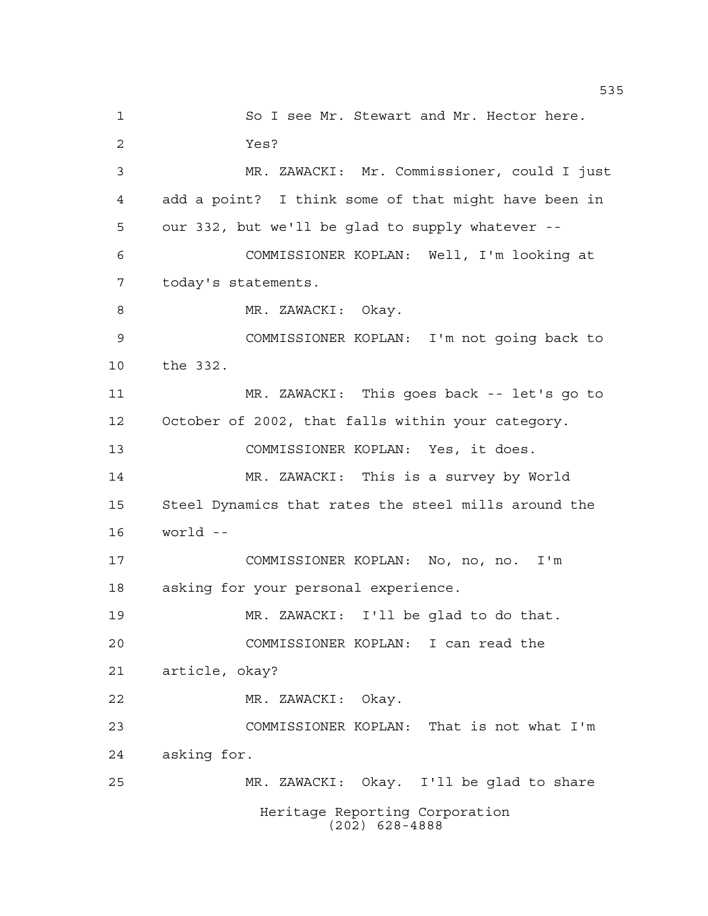Heritage Reporting Corporation (202) 628-4888 1 So I see Mr. Stewart and Mr. Hector here. Yes? MR. ZAWACKI: Mr. Commissioner, could I just add a point? I think some of that might have been in our 332, but we'll be glad to supply whatever -- COMMISSIONER KOPLAN: Well, I'm looking at today's statements. 8 MR. ZAWACKI: Okay. COMMISSIONER KOPLAN: I'm not going back to the 332. MR. ZAWACKI: This goes back -- let's go to October of 2002, that falls within your category. COMMISSIONER KOPLAN: Yes, it does. MR. ZAWACKI: This is a survey by World Steel Dynamics that rates the steel mills around the world -- COMMISSIONER KOPLAN: No, no, no. I'm asking for your personal experience. MR. ZAWACKI: I'll be glad to do that. COMMISSIONER KOPLAN: I can read the article, okay? MR. ZAWACKI: Okay. COMMISSIONER KOPLAN: That is not what I'm asking for. MR. ZAWACKI: Okay. I'll be glad to share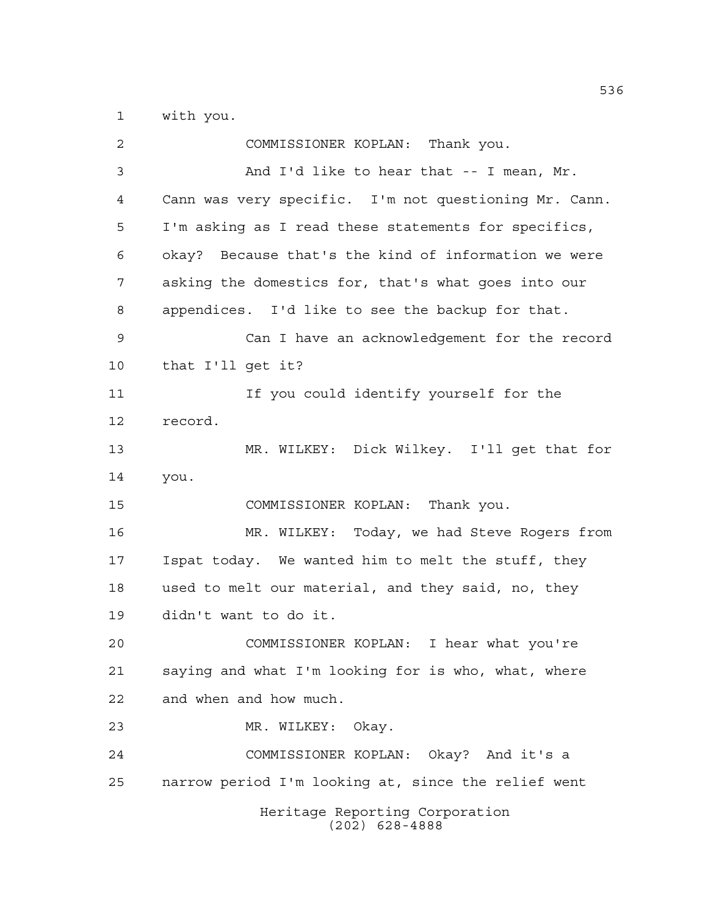with you.

| 2  | COMMISSIONER KOPLAN: Thank you.                       |
|----|-------------------------------------------------------|
| 3  | And I'd like to hear that -- I mean, Mr.              |
| 4  | Cann was very specific. I'm not questioning Mr. Cann. |
| 5  | I'm asking as I read these statements for specifics,  |
| 6  | okay? Because that's the kind of information we were  |
| 7  | asking the domestics for, that's what goes into our   |
| 8  | appendices. I'd like to see the backup for that.      |
| 9  | Can I have an acknowledgement for the record          |
| 10 | that I'll get it?                                     |
| 11 | If you could identify yourself for the                |
| 12 | record.                                               |
| 13 | MR. WILKEY: Dick Wilkey. I'll get that for            |
| 14 | you.                                                  |
| 15 | COMMISSIONER KOPLAN: Thank you.                       |
| 16 | MR. WILKEY: Today, we had Steve Rogers from           |
| 17 | Ispat today. We wanted him to melt the stuff, they    |
| 18 | used to melt our material, and they said, no, they    |
| 19 | didn't want to do it.                                 |
| 20 | COMMISSIONER KOPLAN: I hear what you're               |
| 21 | saying and what I'm looking for is who, what, where   |
| 22 | and when and how much.                                |
| 23 | MR. WILKEY: Okay.                                     |
| 24 | COMMISSIONER KOPLAN: Okay? And it's a                 |
| 25 | narrow period I'm looking at, since the relief went   |
|    | Heritage Reporting Corporation<br>$(202)$ 628-4888    |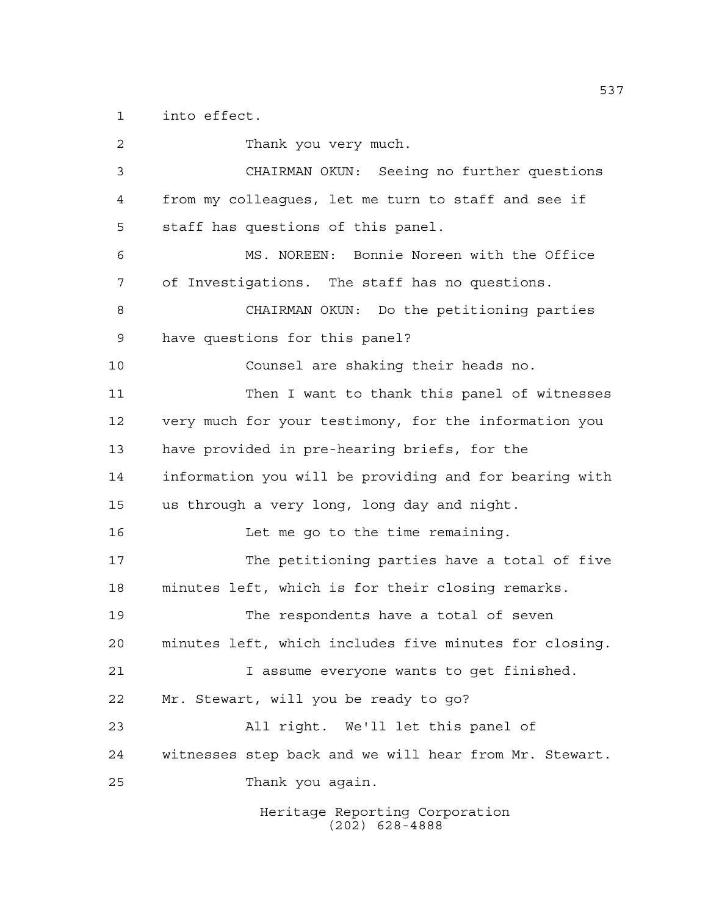into effect.

Heritage Reporting Corporation (202) 628-4888 Thank you very much. CHAIRMAN OKUN: Seeing no further questions from my colleagues, let me turn to staff and see if staff has questions of this panel. MS. NOREEN: Bonnie Noreen with the Office of Investigations. The staff has no questions. CHAIRMAN OKUN: Do the petitioning parties have questions for this panel? Counsel are shaking their heads no. Then I want to thank this panel of witnesses very much for your testimony, for the information you have provided in pre-hearing briefs, for the information you will be providing and for bearing with us through a very long, long day and night. 16 Let me go to the time remaining. The petitioning parties have a total of five minutes left, which is for their closing remarks. The respondents have a total of seven minutes left, which includes five minutes for closing. I assume everyone wants to get finished. Mr. Stewart, will you be ready to go? All right. We'll let this panel of witnesses step back and we will hear from Mr. Stewart. Thank you again.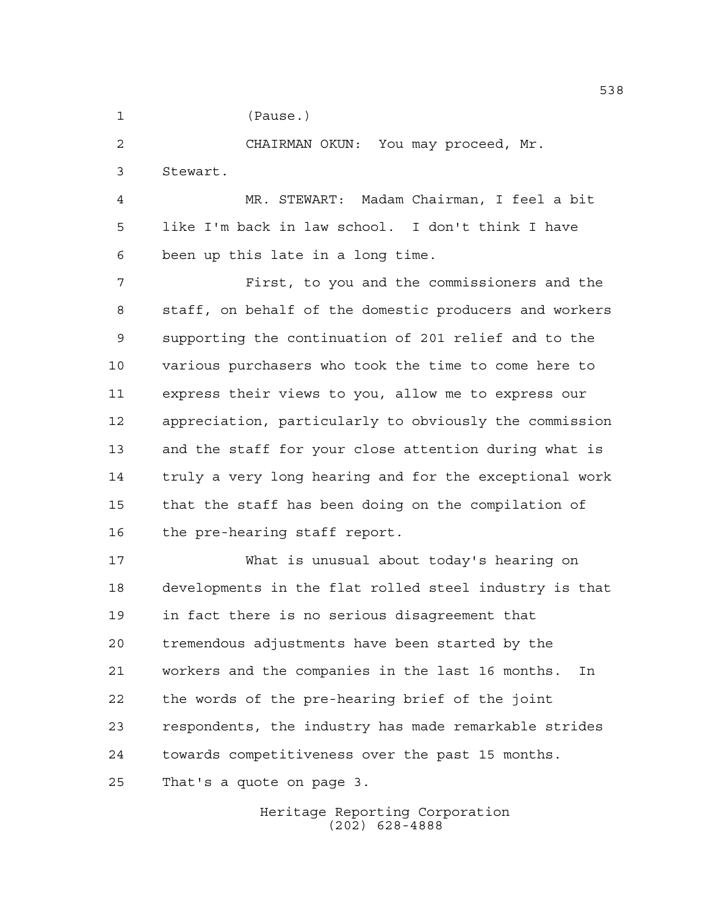(Pause.)

CHAIRMAN OKUN: You may proceed, Mr.

Stewart.

 MR. STEWART: Madam Chairman, I feel a bit like I'm back in law school. I don't think I have been up this late in a long time.

 First, to you and the commissioners and the staff, on behalf of the domestic producers and workers supporting the continuation of 201 relief and to the various purchasers who took the time to come here to express their views to you, allow me to express our appreciation, particularly to obviously the commission and the staff for your close attention during what is truly a very long hearing and for the exceptional work that the staff has been doing on the compilation of the pre-hearing staff report.

 What is unusual about today's hearing on developments in the flat rolled steel industry is that in fact there is no serious disagreement that tremendous adjustments have been started by the workers and the companies in the last 16 months. In the words of the pre-hearing brief of the joint respondents, the industry has made remarkable strides towards competitiveness over the past 15 months. That's a quote on page 3.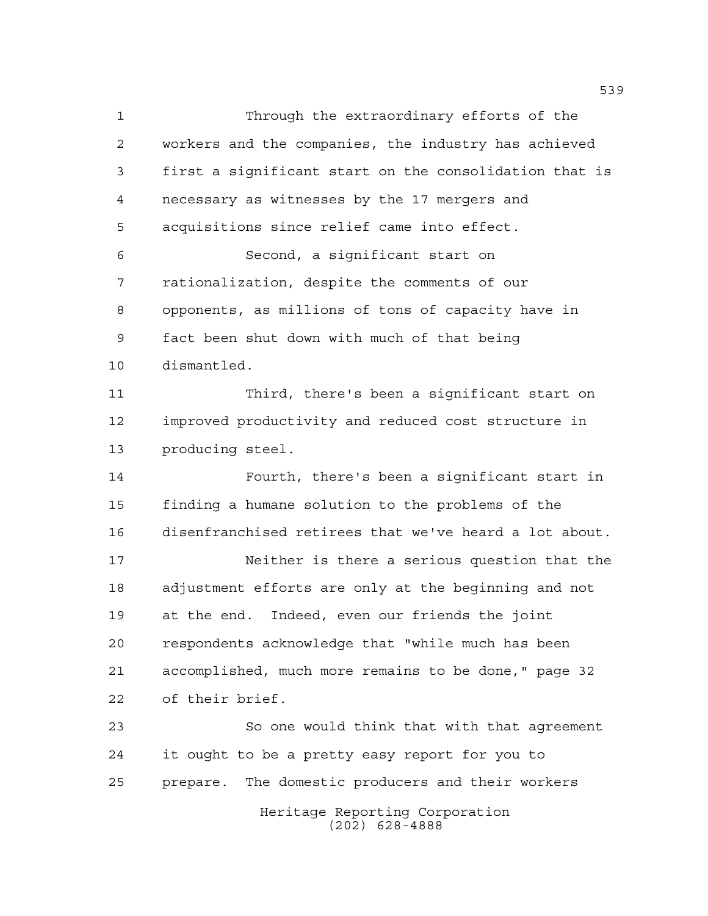Through the extraordinary efforts of the workers and the companies, the industry has achieved first a significant start on the consolidation that is necessary as witnesses by the 17 mergers and acquisitions since relief came into effect. Second, a significant start on rationalization, despite the comments of our opponents, as millions of tons of capacity have in fact been shut down with much of that being dismantled. Third, there's been a significant start on improved productivity and reduced cost structure in producing steel. Fourth, there's been a significant start in finding a humane solution to the problems of the disenfranchised retirees that we've heard a lot about. Neither is there a serious question that the adjustment efforts are only at the beginning and not at the end. Indeed, even our friends the joint respondents acknowledge that "while much has been accomplished, much more remains to be done," page 32 of their brief. So one would think that with that agreement it ought to be a pretty easy report for you to prepare. The domestic producers and their workers

Heritage Reporting Corporation (202) 628-4888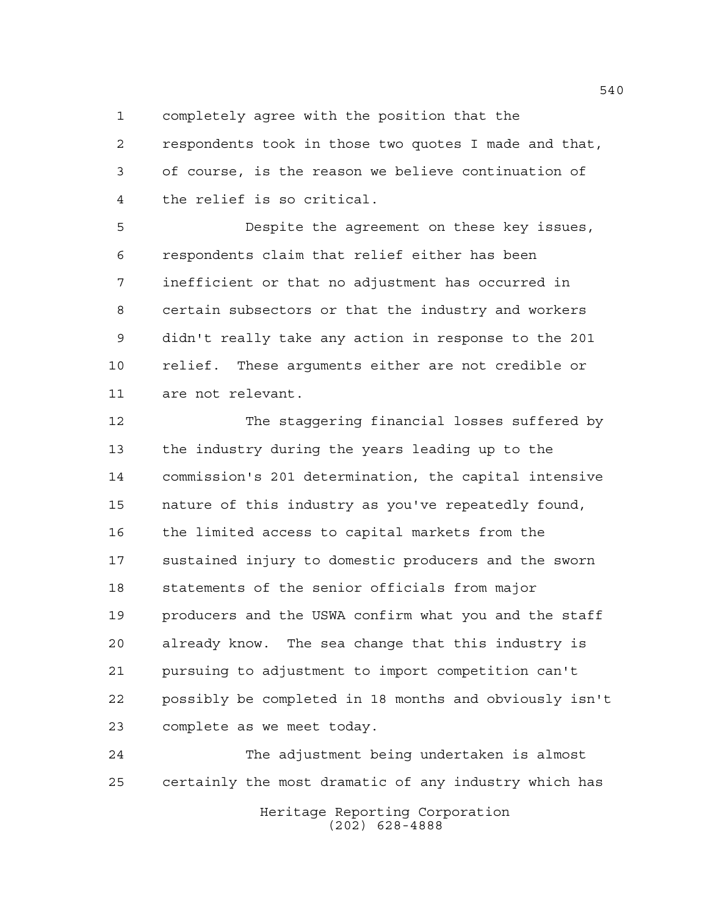completely agree with the position that the

 respondents took in those two quotes I made and that, of course, is the reason we believe continuation of the relief is so critical.

 Despite the agreement on these key issues, respondents claim that relief either has been inefficient or that no adjustment has occurred in certain subsectors or that the industry and workers didn't really take any action in response to the 201 relief. These arguments either are not credible or are not relevant.

 The staggering financial losses suffered by the industry during the years leading up to the commission's 201 determination, the capital intensive nature of this industry as you've repeatedly found, the limited access to capital markets from the sustained injury to domestic producers and the sworn statements of the senior officials from major producers and the USWA confirm what you and the staff already know. The sea change that this industry is pursuing to adjustment to import competition can't possibly be completed in 18 months and obviously isn't complete as we meet today.

 The adjustment being undertaken is almost certainly the most dramatic of any industry which has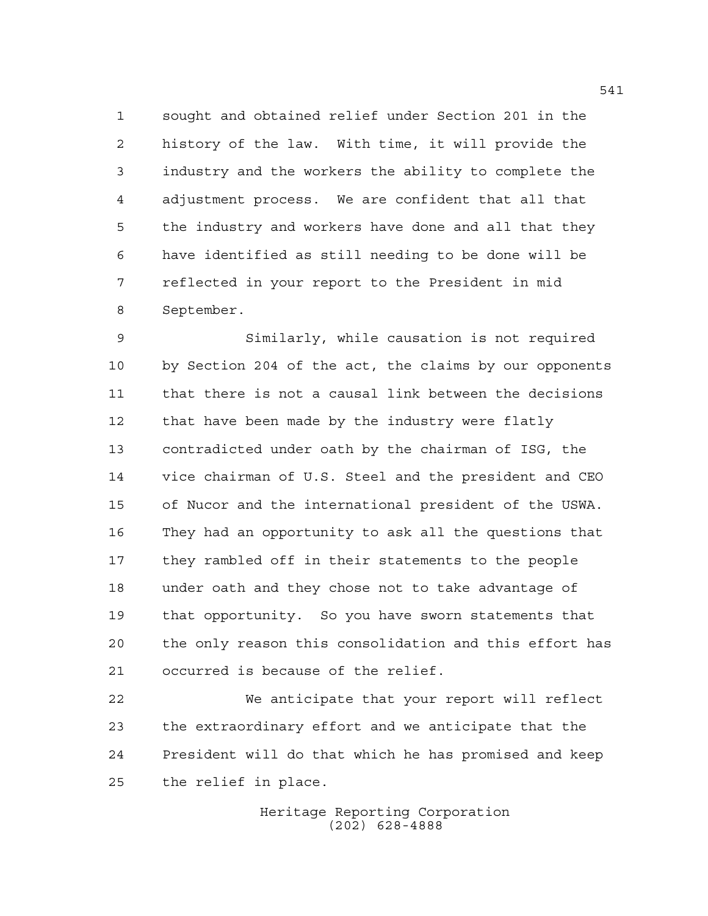sought and obtained relief under Section 201 in the history of the law. With time, it will provide the industry and the workers the ability to complete the adjustment process. We are confident that all that the industry and workers have done and all that they have identified as still needing to be done will be reflected in your report to the President in mid September.

 Similarly, while causation is not required by Section 204 of the act, the claims by our opponents that there is not a causal link between the decisions 12 that have been made by the industry were flatly contradicted under oath by the chairman of ISG, the vice chairman of U.S. Steel and the president and CEO of Nucor and the international president of the USWA. They had an opportunity to ask all the questions that they rambled off in their statements to the people under oath and they chose not to take advantage of that opportunity. So you have sworn statements that the only reason this consolidation and this effort has occurred is because of the relief.

 We anticipate that your report will reflect the extraordinary effort and we anticipate that the President will do that which he has promised and keep the relief in place.

> Heritage Reporting Corporation (202) 628-4888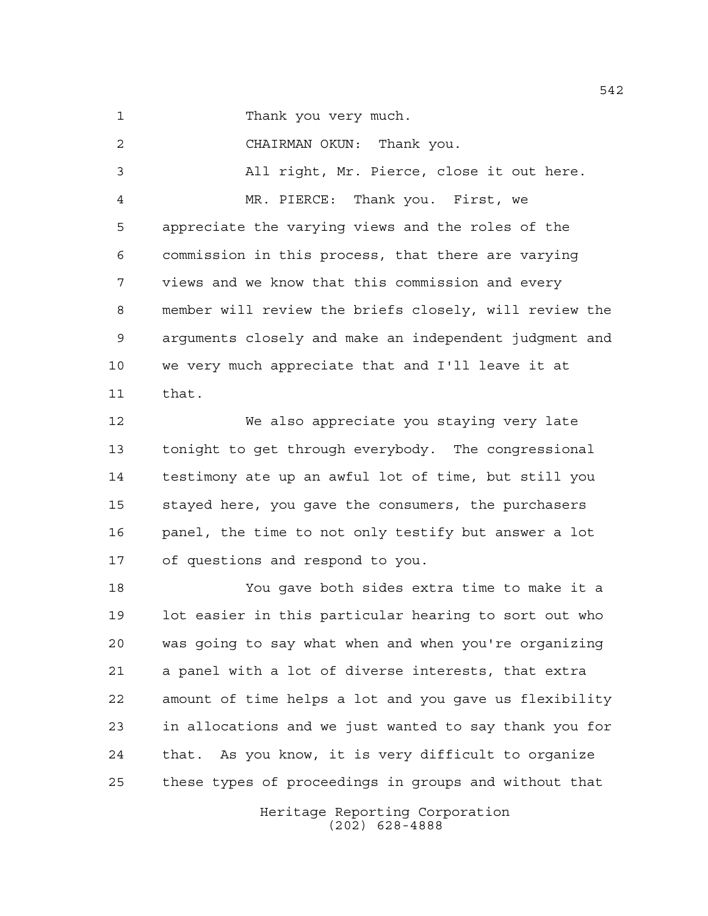Thank you very much.

 CHAIRMAN OKUN: Thank you. All right, Mr. Pierce, close it out here. MR. PIERCE: Thank you. First, we appreciate the varying views and the roles of the commission in this process, that there are varying views and we know that this commission and every member will review the briefs closely, will review the arguments closely and make an independent judgment and we very much appreciate that and I'll leave it at that.

 We also appreciate you staying very late tonight to get through everybody. The congressional testimony ate up an awful lot of time, but still you stayed here, you gave the consumers, the purchasers panel, the time to not only testify but answer a lot of questions and respond to you.

 You gave both sides extra time to make it a lot easier in this particular hearing to sort out who was going to say what when and when you're organizing a panel with a lot of diverse interests, that extra amount of time helps a lot and you gave us flexibility in allocations and we just wanted to say thank you for that. As you know, it is very difficult to organize these types of proceedings in groups and without that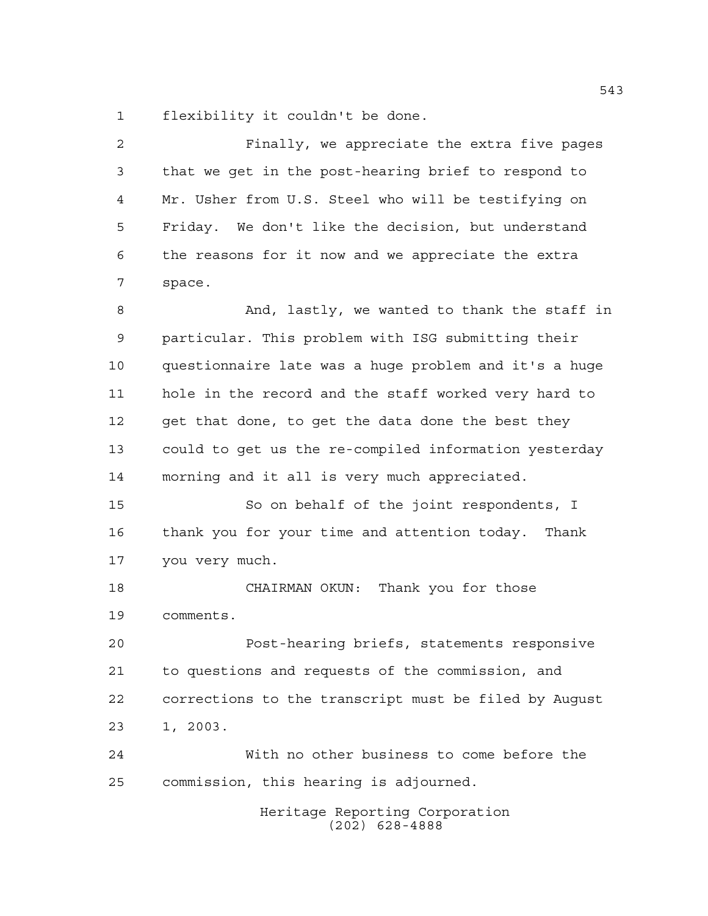flexibility it couldn't be done.

| $\overline{a}$ | Finally, we appreciate the extra five pages           |
|----------------|-------------------------------------------------------|
| 3              | that we get in the post-hearing brief to respond to   |
| 4              | Mr. Usher from U.S. Steel who will be testifying on   |
| 5              | Friday. We don't like the decision, but understand    |
| 6              | the reasons for it now and we appreciate the extra    |
| 7              | space.                                                |
| 8              | And, lastly, we wanted to thank the staff in          |
| 9              | particular. This problem with ISG submitting their    |
| 10             | questionnaire late was a huge problem and it's a huge |
| 11             | hole in the record and the staff worked very hard to  |
| 12             | get that done, to get the data done the best they     |
| 13             | could to get us the re-compiled information yesterday |
| 14             | morning and it all is very much appreciated.          |
| 15             | So on behalf of the joint respondents, I              |
| 16             | thank you for your time and attention today. Thank    |
| 17             | you very much.                                        |
| 18             | CHAIRMAN OKUN: Thank you for those                    |
| 19             | comments.                                             |
| 20             | Post-hearing briefs, statements responsive            |
| 21             | to questions and requests of the commission, and      |
| 22             | corrections to the transcript must be filed by Auqust |
| 23             | 1, 2003.                                              |
| 24             | With no other business to come before the             |
| 25             | commission, this hearing is adjourned.                |
|                | Heritage Reporting Corporation<br>$(202)$ 628-4888    |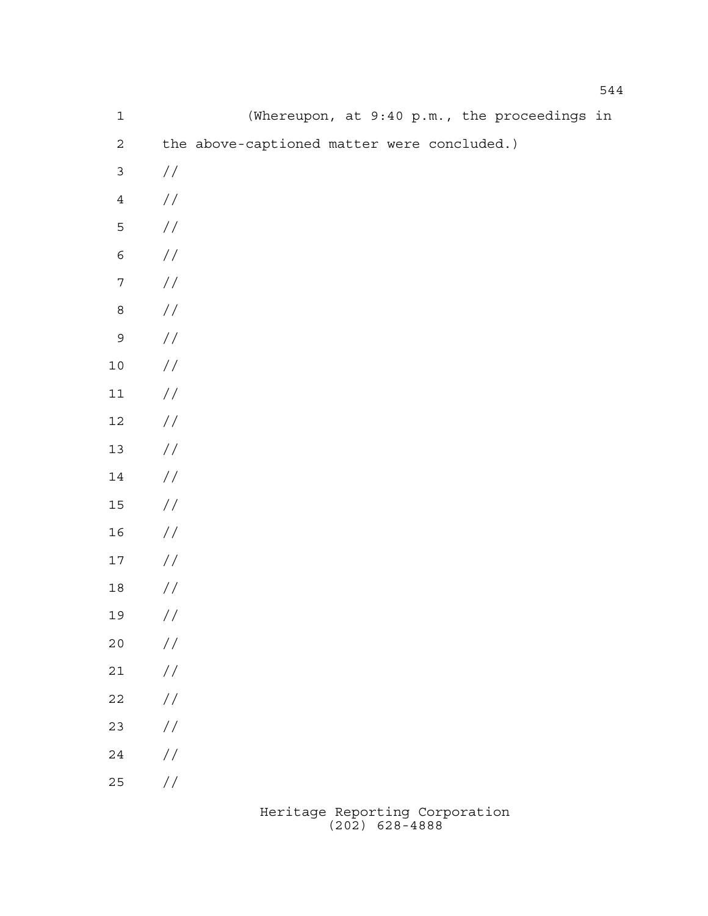| $\mathbf 1$      | (Whereupon, at 9:40 p.m., the proceedings in |
|------------------|----------------------------------------------|
| $\overline{a}$   | the above-captioned matter were concluded.)  |
| $\mathfrak{Z}$   | $\frac{1}{2}$                                |
| $\ensuremath{4}$ | $\frac{\sqrt{2}}{2}$                         |
| $\mathsf S$      | $\!/\!$                                      |
| $\epsilon$       | $\!/\!$                                      |
| $\boldsymbol{7}$ | $\!/\!$                                      |
| $\,8\,$          | $\!/\!$                                      |
| $\mathsf 9$      | $\!/\!$                                      |
| $1\,0$           | $\!/\!$                                      |
| $11\,$           | $\!/\!$                                      |
| $12\,$           | $\!/\!$                                      |
| $13$             | $\!/\!$                                      |
| 14               | $\!/\!$                                      |
| $15\,$           | $\!/\!$                                      |
| 16               | $\frac{\sqrt{2}}{2}$                         |
| $17$             | $\frac{\sqrt{2}}{2}$                         |
| $18\,$           | $\frac{\sqrt{2}}{2}$                         |
| 19               | $\!/\!$                                      |
| $20$             | $\frac{1}{2}$                                |
| $2\sqrt{1}$      | $\!/\!$                                      |
| $2\sqrt{2}$      | $\frac{1}{2}$                                |
| 23               | $\frac{1}{2}$                                |
| $2\sqrt{4}$      | $\frac{1}{2}$                                |
| 25               | $\frac{\displaystyle /}{\displaystyle /}$    |
|                  |                                              |